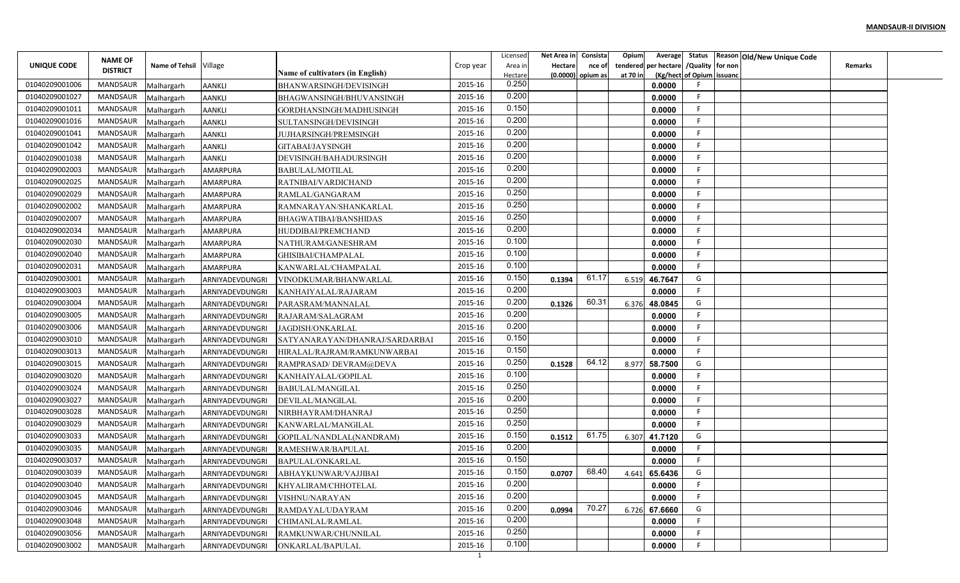|                |                 |                        |                 |                                  |              | Licensed | Net Area in | Consista            | Opium<br>Average        |                           | Status Reason Old/New Unique Code |                |  |
|----------------|-----------------|------------------------|-----------------|----------------------------------|--------------|----------|-------------|---------------------|-------------------------|---------------------------|-----------------------------------|----------------|--|
| UNIQUE CODE    | <b>NAME OF</b>  | Name of Tehsil Village |                 |                                  | Crop year    | Area in  | Hectare     | nce of              | per hectare<br>tendered | /Quality for non          |                                   | <b>Remarks</b> |  |
|                | <b>DISTRICT</b> |                        |                 | Name of cultivators (in English) |              | Hectare  |             | $(0.0000)$ opium as | at 70 in                | (Kg/hect of Opium issuanc |                                   |                |  |
| 01040209001006 | <b>MANDSAUR</b> | Malhargarh             | <b>AANKLI</b>   | BHANWARSINGH/DEVISINGH           | 2015-16      | 0.250    |             |                     | 0.0000                  |                           |                                   |                |  |
| 01040209001027 | <b>MANDSAUR</b> | Malhargarh             | <b>AANKLI</b>   | BHAGWANSINGH/BHUVANSINGH         | 2015-16      | 0.200    |             |                     | 0.0000                  | -F                        |                                   |                |  |
| 01040209001011 | MANDSAUR        | Malhargarh             | <b>AANKLI</b>   | GORDHANSINGH/MADHUSINGH          | 2015-16      | 0.150    |             |                     | 0.0000                  | -F                        |                                   |                |  |
| 01040209001016 | <b>MANDSAUR</b> | Malhargarh             | <b>AANKLI</b>   | SULTANSINGH/DEVISINGH            | 2015-16      | 0.200    |             |                     | 0.0000                  | F                         |                                   |                |  |
| 01040209001041 | <b>MANDSAUR</b> | Malhargarh             | <b>AANKLI</b>   | JUJHARSINGH/PREMSINGH            | 2015-16      | 0.200    |             |                     | 0.0000                  | - 6                       |                                   |                |  |
| 01040209001042 | <b>MANDSAUR</b> | Malhargarh             | <b>AANKLI</b>   | GITABAI/JAYSINGH                 | 2015-16      | 0.200    |             |                     | 0.0000                  | -F                        |                                   |                |  |
| 01040209001038 | MANDSAUR        | Malhargarh             | AANKLI          | DEVISINGH/BAHADURSINGH           | 2015-16      | 0.200    |             |                     | 0.0000                  | -F                        |                                   |                |  |
| 01040209002003 | <b>MANDSAUR</b> | Malhargarh             | AMARPURA        | BABULAL/MOTILAL                  | 2015-16      | 0.200    |             |                     | 0.0000                  |                           |                                   |                |  |
| 01040209002025 | <b>MANDSAUR</b> | Malhargarh             | AMARPURA        | RATNIBAI/VARDICHAND              | 2015-16      | 0.200    |             |                     | 0.0000                  |                           |                                   |                |  |
| 01040209002029 | MANDSAUR        | Malhargarh             | AMARPURA        | RAMLAL/GANGARAM                  | 2015-16      | 0.250    |             |                     | 0.0000                  | F.                        |                                   |                |  |
| 01040209002002 | <b>MANDSAUR</b> | Malhargarh             | AMARPURA        | RAMNARAYAN/SHANKARLAL            | 2015-16      | 0.250    |             |                     | 0.0000                  | -F                        |                                   |                |  |
| 01040209002007 | <b>MANDSAUR</b> | Malhargarh             | AMARPURA        | BHAGWATIBAI/BANSHIDAS            | 2015-16      | 0.250    |             |                     | 0.0000                  | -F                        |                                   |                |  |
| 01040209002034 | <b>MANDSAUR</b> | Malhargarh             | AMARPURA        | HUDDIBAI/PREMCHAND               | 2015-16      | 0.200    |             |                     | 0.0000                  |                           |                                   |                |  |
| 01040209002030 | <b>MANDSAUR</b> | Malhargarh             | AMARPURA        | NATHURAM/GANESHRAM               | 2015-16      | 0.100    |             |                     | 0.0000                  |                           |                                   |                |  |
| 01040209002040 | <b>MANDSAUR</b> | Malhargarh             | AMARPURA        | GHISIBAI/CHAMPALAL               | 2015-16      | 0.100    |             |                     | 0.0000                  | -F                        |                                   |                |  |
| 01040209002031 | <b>MANDSAUR</b> | Malhargarh             | AMARPURA        | KANWARLAL/CHAMPALAL              | 2015-16      | 0.100    |             |                     | 0.0000                  |                           |                                   |                |  |
| 01040209003001 | <b>MANDSAUR</b> | Malhargarh             | ARNIYADEVDUNGRI | VINODKUMAR/BHANWARLAL            | 2015-16      | 0.150    | 0.1394      | 61.17               | 46.7647<br>6.519        | G                         |                                   |                |  |
| 01040209003003 | <b>MANDSAUR</b> | Malhargarh             | ARNIYADEVDUNGRI | KANHAIYALAL/RAJARAM              | 2015-16      | 0.200    |             |                     | 0.0000                  | -F                        |                                   |                |  |
| 01040209003004 | MANDSAUR        | Malhargarh             | ARNIYADEVDUNGRI | PARASRAM/MANNALAL                | 2015-16      | 0.200    | 0.1326      | 60.31               | 48.0845<br>6.376        | G                         |                                   |                |  |
| 01040209003005 | MANDSAUR        | Malhargarh             | ARNIYADEVDUNGRI | RAJARAM/SALAGRAM                 | 2015-16      | 0.200    |             |                     | 0.0000                  | -F                        |                                   |                |  |
| 01040209003006 | <b>MANDSAUR</b> | Malhargarh             | ARNIYADEVDUNGRI | <b>JAGDISH/ONKARLAL</b>          | 2015-16      | 0.200    |             |                     | 0.0000                  | -F                        |                                   |                |  |
| 01040209003010 | <b>MANDSAUR</b> | Malhargarh             | ARNIYADEVDUNGRI | SATYANARAYAN/DHANRAJ/SARDARBAI   | 2015-16      | 0.150    |             |                     | 0.0000                  |                           |                                   |                |  |
| 01040209003013 | <b>MANDSAUR</b> | Malhargarh             | ARNIYADEVDUNGRI | HIRALAL/RAJRAM/RAMKUNWARBAI      | 2015-16      | 0.150    |             |                     | 0.0000                  | -F                        |                                   |                |  |
| 01040209003015 | <b>MANDSAUR</b> | Malhargarh             | ARNIYADEVDUNGRI | RAMPRASAD/DEVRAM@DEVA            | 2015-16      | 0.250    | 0.1528      | 64.12               | 8.977<br>58.7500        | G                         |                                   |                |  |
| 01040209003020 | <b>MANDSAUR</b> | Malhargarh             | ARNIYADEVDUNGRI | KANHAIYALAL/GOPILAL              | 2015-16      | 0.100    |             |                     | 0.0000                  |                           |                                   |                |  |
| 01040209003024 | MANDSAUR        |                        |                 |                                  | 2015-16      | 0.250    |             |                     | 0.0000                  |                           |                                   |                |  |
| 01040209003027 | <b>MANDSAUR</b> | Malhargarh             | ARNIYADEVDUNGRI | <b>BABULAL/MANGILAL</b>          | 2015-16      | 0.200    |             |                     | 0.0000                  | F                         |                                   |                |  |
| 01040209003028 | MANDSAUR        | Malhargarh             | ARNIYADEVDUNGRI | DEVILAL/MANGILAL                 | 2015-16      | 0.250    |             |                     |                         | F                         |                                   |                |  |
| 01040209003029 | <b>MANDSAUR</b> | Malhargarh             | ARNIYADEVDUNGRI | NIRBHAYRAM/DHANRAJ               | 2015-16      | 0.250    |             |                     | 0.0000                  | E                         |                                   |                |  |
|                |                 | Malhargarh             | ARNIYADEVDUNGRI | KANWARLAL/MANGILAL               |              | 0.150    |             | 61.75               | 0.0000                  | G                         |                                   |                |  |
| 01040209003033 | <b>MANDSAUR</b> | Malhargarh             | ARNIYADEVDUNGRI | GOPILAL/NANDLAL(NANDRAM)         | 2015-16      | 0.200    | 0.1512      |                     | 6.307<br>41.7120        |                           |                                   |                |  |
| 01040209003035 | <b>MANDSAUR</b> | Malhargarh             | ARNIYADEVDUNGRI | RAMESHWAR/BAPULAL                | 2015-16      | 0.150    |             |                     | 0.0000                  |                           |                                   |                |  |
| 01040209003037 | MANDSAUR        | Malhargarh             | ARNIYADEVDUNGRI | BAPULAL/ONKARLAL                 | 2015-16      | 0.150    |             | 68.40               | 0.0000                  |                           |                                   |                |  |
| 01040209003039 | MANDSAUR        | Malhargarh             | ARNIYADEVDUNGRI | ABHAYKUNWAR/VAJJIBAI             | 2015-16      | 0.200    | 0.0707      |                     | 4.641<br>65.6436        | G                         |                                   |                |  |
| 01040209003040 | MANDSAUR        | Malhargarh             | ARNIYADEVDUNGRI | KHYALIRAM/CHHOTELAL              | 2015-16      |          |             |                     | 0.0000                  |                           |                                   |                |  |
| 01040209003045 | MANDSAUR        | Malhargarh             | ARNIYADEVDUNGRI | VISHNU/NARAYAN                   | 2015-16      | 0.200    |             |                     | 0.0000                  | F                         |                                   |                |  |
| 01040209003046 | MANDSAUR        | Malhargarh             | ARNIYADEVDUNGRI | RAMDAYAL/UDAYRAM                 | 2015-16      | 0.200    | 0.0994      | 70.27               | 6.726 67.6660           | G                         |                                   |                |  |
| 01040209003048 | MANDSAUR        | Malhargarh             | ARNIYADEVDUNGRI | CHIMANLAL/RAMLAL                 | 2015-16      | 0.200    |             |                     | 0.0000                  | -F                        |                                   |                |  |
| 01040209003056 | MANDSAUR        | Malhargarh             | ARNIYADEVDUNGRI | RAMKUNWAR/CHUNNILAL              | 2015-16      | 0.250    |             |                     | 0.0000                  | -F                        |                                   |                |  |
| 01040209003002 | MANDSAUR        | Malhargarh             | ARNIYADEVDUNGRI | ONKARLAL/BAPULAL                 | 2015-16<br>1 | 0.100    |             |                     | 0.0000                  |                           |                                   |                |  |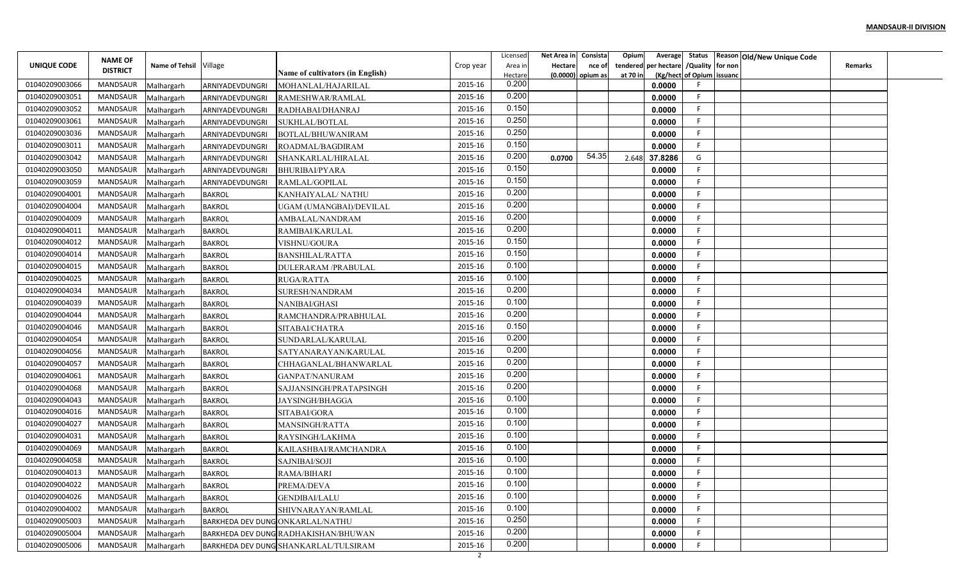|                |                 |                        |                 |                                                                                             |                | Licensed | Net Area in | Consista | Opium<br>Average        |     |                           | Status Reason Old/New Unique Code |                |  |
|----------------|-----------------|------------------------|-----------------|---------------------------------------------------------------------------------------------|----------------|----------|-------------|----------|-------------------------|-----|---------------------------|-----------------------------------|----------------|--|
| UNIQUE CODE    | <b>NAME OF</b>  | Name of Tehsil Village |                 |                                                                                             | Crop year      | Area ir  | Hectare     | nce of   | per hectare<br>tendered |     | /Quality for non          |                                   | <b>Remarks</b> |  |
|                | <b>DISTRICT</b> |                        |                 | Name of cultivators (in English)                                                            |                | Hectare  | (0.0000)    | opium as | at 70 in                |     | (Kg/hect of Opium issuanc |                                   |                |  |
| 01040209003066 | <b>MANDSAUR</b> | Malhargarh             | ARNIYADEVDUNGRI | MOHANLAL/HAJARILAL                                                                          | 2015-16        | 0.200    |             |          | 0.0000                  |     |                           |                                   |                |  |
| 01040209003051 | MANDSAUR        | Malhargarh             | ARNIYADEVDUNGRI | RAMESHWAR/RAMLAL                                                                            | 2015-16        | 0.200    |             |          | 0.0000                  | -F  |                           |                                   |                |  |
| 01040209003052 | MANDSAUR        | Malhargarh             | ARNIYADEVDUNGRI | RADHABAI/DHANRAJ                                                                            | 2015-16        | 0.150    |             |          | 0.0000                  | -F  |                           |                                   |                |  |
| 01040209003061 | <b>MANDSAUR</b> | Malhargarh             | ARNIYADEVDUNGRI | SUKHLAL/BOTLAL                                                                              | 2015-16        | 0.250    |             |          | 0.0000                  | F   |                           |                                   |                |  |
| 01040209003036 | MANDSAUR        | Malhargarh             | ARNIYADEVDUNGRI | BOTLAL/BHUWANIRAM                                                                           | 2015-16        | 0.250    |             |          | 0.0000                  | - 6 |                           |                                   |                |  |
| 01040209003011 | MANDSAUR        | Malhargarh             | ARNIYADEVDUNGRI | ROADMAL/BAGDIRAM                                                                            | 2015-16        | 0.150    |             |          | 0.0000                  | -F  |                           |                                   |                |  |
| 01040209003042 | MANDSAUR        | Malhargarh             | ARNIYADEVDUNGRI | SHANKARLAL/HIRALAL                                                                          | 2015-16        | 0.200    | 0.0700      | 54.35    | 37.8286<br>2.648        | G   |                           |                                   |                |  |
| 01040209003050 | MANDSAUR        | Malhargarh             | ARNIYADEVDUNGRI | <b>BHURIBAI/PYARA</b>                                                                       | 2015-16        | 0.150    |             |          | 0.0000                  |     |                           |                                   |                |  |
| 01040209003059 | MANDSAUR        | Malhargarh             | ARNIYADEVDUNGRI | RAMLAL/GOPILAL                                                                              | 2015-16        | 0.150    |             |          | 0.0000                  |     |                           |                                   |                |  |
| 01040209004001 | MANDSAUR        | Malhargarh             | <b>BAKROL</b>   | KANHAIYALAL/NATHU                                                                           | 2015-16        | 0.200    |             |          | 0.0000                  | F.  |                           |                                   |                |  |
| 01040209004004 | MANDSAUR        | Malhargarh             | <b>BAKROL</b>   | UGAM (UMANGBAI)/DEVILAL                                                                     | 2015-16        | 0.200    |             |          | 0.0000                  | -F  |                           |                                   |                |  |
| 01040209004009 | MANDSAUR        | Malhargarh             | <b>BAKROL</b>   | AMBALAL/NANDRAM                                                                             | 2015-16        | 0.200    |             |          | 0.0000                  | -F  |                           |                                   |                |  |
| 01040209004011 | MANDSAUR        | Malhargarh             | <b>BAKROL</b>   | RAMIBAI/KARULAL                                                                             | 2015-16        | 0.200    |             |          | 0.0000                  | -F  |                           |                                   |                |  |
| 01040209004012 | MANDSAUR        | Malhargarh             | <b>BAKROL</b>   | VISHNU/GOURA                                                                                | 2015-16        | 0.150    |             |          | 0.0000                  |     |                           |                                   |                |  |
| 01040209004014 | <b>MANDSAUR</b> | Malhargarh             | <b>BAKROL</b>   | <b>BANSHILAL/RATTA</b>                                                                      | 2015-16        | 0.150    |             |          | 0.0000                  | - 6 |                           |                                   |                |  |
| 01040209004015 | MANDSAUR        | Malhargarh             | <b>BAKROL</b>   | DULERARAM / PRABULAL                                                                        | 2015-16        | 0.100    |             |          | 0.0000                  |     |                           |                                   |                |  |
| 01040209004025 | MANDSAUR        | Malhargarh             | <b>BAKROL</b>   | RUGA/RATTA                                                                                  | 2015-16        | 0.100    |             |          | 0.0000                  |     |                           |                                   |                |  |
| 01040209004034 | MANDSAUR        | Malhargarh             | <b>BAKROL</b>   | SURESH/NANDRAM                                                                              | 2015-16        | 0.200    |             |          | 0.0000                  | -F  |                           |                                   |                |  |
| 01040209004039 | MANDSAUR        | Malhargarh             | <b>BAKROL</b>   | NANIBAI/GHASI                                                                               | 2015-16        | 0.100    |             |          | 0.0000                  |     |                           |                                   |                |  |
| 01040209004044 | MANDSAUR        | Malhargarh             | <b>BAKROL</b>   | RAMCHANDRA/PRABHULAL                                                                        | 2015-16        | 0.200    |             |          | 0.0000                  | -F  |                           |                                   |                |  |
| 01040209004046 | MANDSAUR        | Malhargarh             | <b>BAKROL</b>   | SITABAI/CHATRA                                                                              | 2015-16        | 0.150    |             |          | 0.0000                  | -F  |                           |                                   |                |  |
| 01040209004054 | <b>MANDSAUR</b> | Malhargarh             | <b>BAKROL</b>   | SUNDARLAL/KARULAL                                                                           | 2015-16        | 0.200    |             |          | 0.0000                  |     |                           |                                   |                |  |
| 01040209004056 | MANDSAUR        | Malhargarh             | <b>BAKROL</b>   | SATYANARAYAN/KARULAL                                                                        | 2015-16        | 0.200    |             |          | 0.0000                  | -F  |                           |                                   |                |  |
| 01040209004057 | MANDSAUR        | Malhargarh             | <b>BAKROL</b>   | CHHAGANLAL/BHANWARLAL                                                                       | 2015-16        | 0.200    |             |          | 0.0000                  | F   |                           |                                   |                |  |
| 01040209004061 | MANDSAUR        | Malhargarh             | <b>BAKROL</b>   | <b>GANPAT/NANURAM</b>                                                                       | 2015-16        | 0.200    |             |          | 0.0000                  |     |                           |                                   |                |  |
| 01040209004068 | MANDSAUR        | Malhargarh             | <b>BAKROL</b>   | SAJJANSINGH/PRATAPSINGH                                                                     | 2015-16        | 0.200    |             |          | 0.0000                  |     |                           |                                   |                |  |
| 01040209004043 | MANDSAUR        | Malhargarh             | <b>BAKROL</b>   | <b>JAYSINGH/BHAGGA</b>                                                                      | 2015-16        | 0.100    |             |          | 0.0000                  | -F  |                           |                                   |                |  |
| 01040209004016 | MANDSAUR        | Malhargarh             | <b>BAKROL</b>   | SITABAI/GORA                                                                                | 2015-16        | 0.100    |             |          | 0.0000                  | F   |                           |                                   |                |  |
| 01040209004027 | MANDSAUR        | Malhargarh             | <b>BAKROL</b>   | MANSINGH/RATTA                                                                              | 2015-16        | 0.100    |             |          | 0.0000                  | -F  |                           |                                   |                |  |
| 01040209004031 | MANDSAUR        | Malhargarh             | <b>BAKROL</b>   | RAYSINGH/LAKHMA                                                                             | 2015-16        | 0.100    |             |          | 0.0000                  |     |                           |                                   |                |  |
| 01040209004069 | <b>MANDSAUR</b> | Malhargarh             | <b>BAKROL</b>   | KAILASHBAI/RAMCHANDRA                                                                       | 2015-16        | 0.100    |             |          | 0.0000                  |     |                           |                                   |                |  |
| 01040209004058 | MANDSAUR        | Malhargarh             | <b>BAKROL</b>   | SAJNIBAI/SOJI                                                                               | 2015-16        | 0.100    |             |          | 0.0000                  |     |                           |                                   |                |  |
| 01040209004013 | MANDSAUR        | Malhargarh             | <b>BAKROL</b>   | RAMA/BIHARI                                                                                 | 2015-16        | 0.100    |             |          | 0.0000                  |     |                           |                                   |                |  |
| 01040209004022 | MANDSAUR        | Malhargarh             | <b>BAKROL</b>   | PREMA/DEVA                                                                                  | 2015-16        | 0.100    |             |          | 0.0000                  |     |                           |                                   |                |  |
| 01040209004026 | MANDSAUR        | Malhargarh             | <b>BAKROL</b>   | <b>GENDIBAI/LALU</b>                                                                        | 2015-16        | 0.100    |             |          | 0.0000                  |     |                           |                                   |                |  |
| 01040209004002 | MANDSAUR        | Malhargarh             | <b>BAKROL</b>   | SHIVNARAYAN/RAMLAL                                                                          | 2015-16        | 0.100    |             |          | 0.0000                  | -F  |                           |                                   |                |  |
| 01040209005003 | MANDSAUR        | Malhargarh             |                 | BARKHEDA DEV DUNG ONKARLAL/NATHU                                                            | 2015-16        | 0.250    |             |          | 0.0000                  | -F  |                           |                                   |                |  |
| 01040209005004 | MANDSAUR        | Malhargarh             |                 |                                                                                             | 2015-16        | 0.200    |             |          | 0.0000                  | -F  |                           |                                   |                |  |
| 01040209005006 | MANDSAUR        |                        |                 | <b>BARKHEDA DEV DUNG RADHAKISHAN/BHUWAN</b><br><b>BARKHEDA DEV DUNG SHANKARLAL/TULSIRAM</b> | 2015-16        | 0.200    |             |          | 0.0000                  |     |                           |                                   |                |  |
|                |                 | Malhargarh             |                 |                                                                                             | $\overline{2}$ |          |             |          |                         |     |                           |                                   |                |  |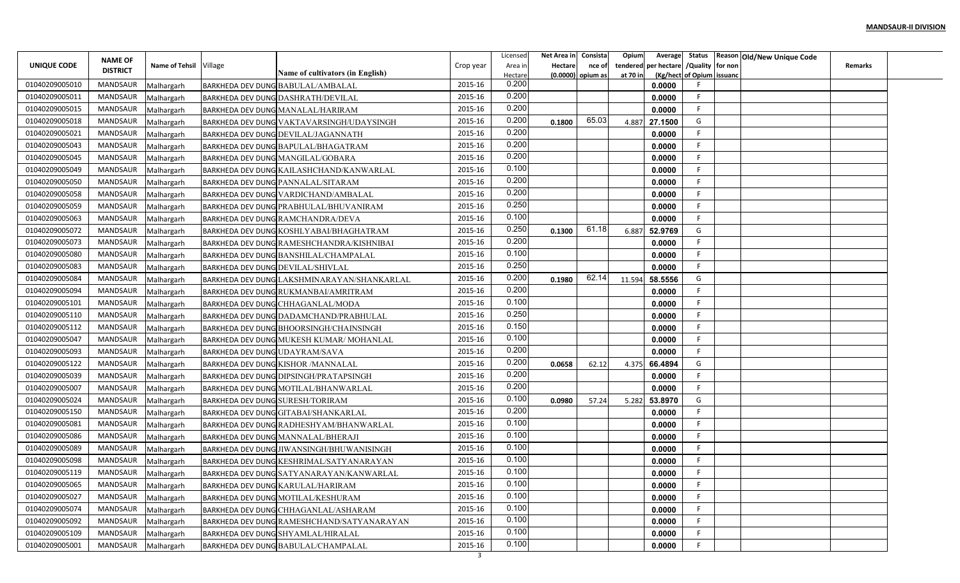| UNIQUE CODE<br>Name of Tehsil Village<br>tendered per hectare<br>/Quality for non<br>Crop year<br>Area in<br>Hectare<br>nce of<br><b>DISTRICT</b><br>Name of cultivators (in English)<br>(Kg/hect of Opium issuand<br>$(0.0000)$ opium as<br>at 70 in<br>Hectare<br>0.200<br>2015-16<br>01040209005010<br>MANDSAUR<br><b>BARKHEDA DEV DUNG BABULAL/AMBALAL</b><br>0.0000<br>Malhargarh | Remarks |
|----------------------------------------------------------------------------------------------------------------------------------------------------------------------------------------------------------------------------------------------------------------------------------------------------------------------------------------------------------------------------------------|---------|
|                                                                                                                                                                                                                                                                                                                                                                                        |         |
|                                                                                                                                                                                                                                                                                                                                                                                        |         |
| 0.200<br>01040209005011<br>MANDSAUR<br>2015-16<br>0.0000<br>Malhargarh<br><b>BARKHEDA DEV DUNG DASHRATH/DEVILAL</b>                                                                                                                                                                                                                                                                    |         |
| 0.200<br>2015-16<br>01040209005015<br><b>MANDSAUR</b><br><b>BARKHEDA DEV DUNG MANALAL/HARIRAM</b><br>0.0000<br>Malhargarh                                                                                                                                                                                                                                                              |         |
| 0.200<br>65.03<br>2015-16<br>G<br>01040209005018<br>MANDSAUR<br>4.887<br>27.1500<br>Malhargarh<br><b>BARKHEDA DEV DUNG VAKTAVARSINGH/UDAYSINGH</b><br>0.1800                                                                                                                                                                                                                           |         |
| 0.200<br>01040209005021<br>MANDSAUR<br>2015-16<br>0.0000<br>Malhargarh<br><b>BARKHEDA DEV DUNG DEVILAL/JAGANNATH</b>                                                                                                                                                                                                                                                                   |         |
| 0.200<br>2015-16<br>01040209005043<br>MANDSAUR<br>0.0000<br>Malhargarh<br><b>BARKHEDA DEV DUNG BAPULAL/BHAGATRAM</b>                                                                                                                                                                                                                                                                   |         |
| 0.200<br>01040209005045<br>MANDSAUR<br>2015-16<br><b>BARKHEDA DEV DUNG MANGILAL/GOBARA</b><br>0.0000<br>Malhargarh                                                                                                                                                                                                                                                                     |         |
| 0.100<br>01040209005049<br>MANDSAUR<br>2015-16<br><b>BARKHEDA DEV DUNG KAILASHCHAND/KANWARLAL</b><br>0.0000<br>Malhargarh                                                                                                                                                                                                                                                              |         |
| 0.200<br>2015-16<br>01040209005050<br>MANDSAUR<br>0.0000<br><b>BARKHEDA DEV DUNG PANNALAL/SITARAM</b><br>Malhargarh                                                                                                                                                                                                                                                                    |         |
| 0.200<br>2015-16<br>01040209005058<br>MANDSAUR<br>0.0000<br>Malhargarh<br><b>BARKHEDA DEV DUNG VARDICHAND/AMBALAL</b>                                                                                                                                                                                                                                                                  |         |
| 0.250<br>01040209005059<br>MANDSAUR<br>2015-16<br>0.0000<br>BARKHEDA DEV DUNG PRABHULAL/BHUVANIRAM<br>Malhargarh                                                                                                                                                                                                                                                                       |         |
| 0.100<br>2015-16<br>01040209005063<br>MANDSAUR<br>0.0000<br>Malhargarh<br><b>BARKHEDA DEV DUNG RAMCHANDRA/DEVA</b>                                                                                                                                                                                                                                                                     |         |
| 0.250<br>61.18<br>G<br>01040209005072<br>MANDSAUR<br>2015-16<br>52.9769<br>6.887<br>BARKHEDA DEV DUNG KOSHLYABAI/BHAGHATRAM<br>0.1300<br>Malhargarh                                                                                                                                                                                                                                    |         |
| 0.200<br>01040209005073<br>2015-16<br>MANDSAUR<br>0.0000<br>Malhargarh<br><b>BARKHEDA DEV DUNG RAMESHCHANDRA/KISHNIBAI</b>                                                                                                                                                                                                                                                             |         |
| 0.100<br>01040209005080<br>MANDSAUR<br>2015-16<br>0.0000<br><b>BARKHEDA DEV DUNG BANSHILAL/CHAMPALAL</b><br>Malhargarh                                                                                                                                                                                                                                                                 |         |
| 0.250<br>01040209005083<br>MANDSAUR<br>2015-16<br><b>BARKHEDA DEV DUNG DEVILAL/SHIVLAL</b><br>0.0000<br>Malhargarh                                                                                                                                                                                                                                                                     |         |
| 0.200<br>62.14<br>2015-16<br>G<br>01040209005084<br>MANDSAUR<br>11.594<br>58.5556<br>0.1980<br>Malhargarh<br>BARKHEDA DEV DUNG LAKSHMINARAYAN/SHANKARLAL                                                                                                                                                                                                                               |         |
| 0.200<br>01040209005094<br>MANDSAUR<br>2015-16<br>0.0000<br>Malhargarh<br><b>BARKHEDA DEV DUNG RUKMANBAI/AMRITRAM</b>                                                                                                                                                                                                                                                                  |         |
| 0.100<br>01040209005101<br>MANDSAUR<br>2015-16<br>0.0000<br>Malhargarh<br><b>BARKHEDA DEV DUNG CHHAGANLAL/MODA</b>                                                                                                                                                                                                                                                                     |         |
| 0.250<br>2015-16<br>01040209005110<br>MANDSAUR<br>0.0000<br>Malhargarh<br><b>BARKHEDA DEV DUNG DADAMCHAND/PRABHULAL</b>                                                                                                                                                                                                                                                                |         |
| 0.150<br>01040209005112<br>MANDSAUR<br>2015-16<br>0.0000<br>Malhargarh<br><b>BARKHEDA DEV DUNG BHOORSINGH/CHAINSINGH</b>                                                                                                                                                                                                                                                               |         |
| 0.100<br>2015-16<br>01040209005047<br>MANDSAUR<br>0.0000<br>Malhargarh<br><b>BARKHEDA DEV DUNG MUKESH KUMAR/ MOHANLAL</b>                                                                                                                                                                                                                                                              |         |
| 0.200<br>01040209005093<br>MANDSAUR<br>2015-16<br><b>BARKHEDA DEV DUNG UDAYRAM/SAVA</b><br>0.0000<br>Malhargarh                                                                                                                                                                                                                                                                        |         |
| 0.200<br>2015-16<br>01040209005122<br>MANDSAUR<br>G<br>66.4894<br><b>BARKHEDA DEV DUNG KISHOR /MANNALAL</b><br>Malhargarh<br>0.0658<br>62.12<br>4.375                                                                                                                                                                                                                                  |         |
| 0.200<br>2015-16<br>01040209005039<br>MANDSAUR<br><b>BARKHEDA DEV DUNG DIPSINGH/PRATAPSINGH</b><br>0.0000<br>Malhargarh                                                                                                                                                                                                                                                                |         |
| 0.200<br>01040209005007<br>MANDSAUR<br>2015-16<br>0.0000<br>Malhargarh<br>BARKHEDA DEV DUNG MOTILAL/BHANWARLAL                                                                                                                                                                                                                                                                         |         |
| 0.100<br>01040209005024<br>MANDSAUR<br>2015-16<br>G<br>5.282<br>53.8970<br>Malhargarh<br><b>BARKHEDA DEV DUNG SURESH/TORIRAM</b><br>0.0980<br>57.24                                                                                                                                                                                                                                    |         |
| 0.200<br>2015-16<br>01040209005150<br>MANDSAUR<br>0.0000<br>Malhargarh<br>BARKHEDA DEV DUNG GITABAI/SHANKARLAL                                                                                                                                                                                                                                                                         |         |
| 0.100<br>2015-16<br>01040209005081<br>MANDSAUR<br>0.0000<br>Malhargarh<br><b>BARKHEDA DEV DUNG RADHESHYAM/BHANWARLAL</b>                                                                                                                                                                                                                                                               |         |
| 0.100<br>2015-16<br>01040209005086<br>MANDSAUR<br>Malhargarh<br><b>BARKHEDA DEV DUNG MANNALAL/BHERAJI</b><br>0.0000                                                                                                                                                                                                                                                                    |         |
| 0.100<br>2015-16<br>01040209005089<br>MANDSAUR<br>0.0000<br>Malhargarh<br>BARKHEDA DEV DUNG JIWANSINGH/BHUWANISINGH                                                                                                                                                                                                                                                                    |         |
| 0.100<br>01040209005098<br>MANDSAUR<br>2015-16<br>0.0000<br>BARKHEDA DEV DUNG KESHRIMAL/SATYANARAYAN<br>Malhargarh                                                                                                                                                                                                                                                                     |         |
| 0.100<br>2015-16<br>01040209005119<br>MANDSAUR<br>0.0000<br>Malhargarh<br>BARKHEDA DEV DUNG SATYANARAYAN/KANWARLAL                                                                                                                                                                                                                                                                     |         |
| 0.100<br>2015-16<br>01040209005065<br>MANDSAUR<br>Malhargarh<br>BARKHEDA DEV DUNG KARULAL/HARIRAM<br>0.0000                                                                                                                                                                                                                                                                            |         |
| 0.100<br>2015-16<br>01040209005027<br>MANDSAUR<br>0.0000<br>Malhargarh<br>BARKHEDA DEV DUNG MOTILAL/KESHURAM                                                                                                                                                                                                                                                                           |         |
| 0.100<br>01040209005074<br>MANDSAUR<br>2015-16<br>BARKHEDA DEV DUNG CHHAGANLAL/ASHARAM<br>0.0000<br>Malhargarh                                                                                                                                                                                                                                                                         |         |
| 0.100<br>2015-16<br>01040209005092<br>MANDSAUR<br>0.0000<br>Malhargarh<br>BARKHEDA DEV DUNG RAMESHCHAND/SATYANARAYAN                                                                                                                                                                                                                                                                   |         |
| 0.100<br>2015-16<br>01040209005109<br>MANDSAUR<br>Malhargarh<br>BARKHEDA DEV DUNG SHYAMLAL/HIRALAL<br>0.0000                                                                                                                                                                                                                                                                           |         |
| 0.100<br>2015-16<br>01040209005001<br>MANDSAUR<br>BARKHEDA DEV DUNG BABULAL/CHAMPALAL<br>Malhargarh<br>0.0000                                                                                                                                                                                                                                                                          |         |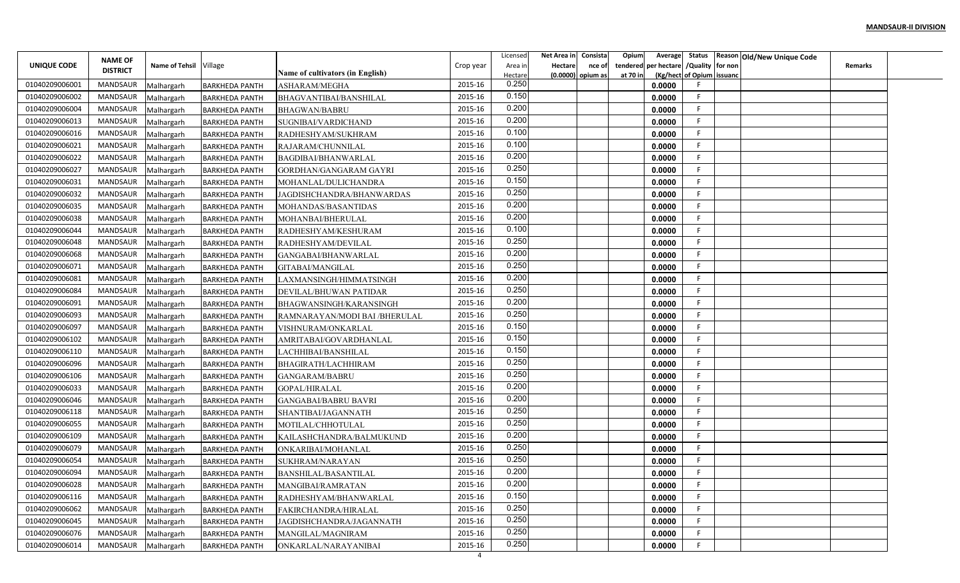|                | <b>NAME OF</b>  |                          |                                                |                                             |           | Licensed         | Net Area in    | Consista            | Opium    |                                        |                           | Average Status Reason Old/New Unique Code |                |  |
|----------------|-----------------|--------------------------|------------------------------------------------|---------------------------------------------|-----------|------------------|----------------|---------------------|----------|----------------------------------------|---------------------------|-------------------------------------------|----------------|--|
| UNIQUE CODE    | <b>DISTRICT</b> | Name of Tehsil Village   |                                                |                                             | Crop year | Area in          | <b>Hectare</b> | nce of              |          | tendered per hectare / Quality for non |                           |                                           | <b>Remarks</b> |  |
| 01040209006001 | MANDSAUR        |                          |                                                | Name of cultivators (in English)            | 2015-16   | Hectare<br>0.250 |                | $(0.0000)$ opium as | at 70 in | 0.0000                                 | (Kg/hect of Opium issuanc |                                           |                |  |
| 01040209006002 | MANDSAUR        | Malhargarh<br>Malhargarh | <b>BARKHEDA PANTH</b><br><b>BARKHEDA PANTH</b> | ASHARAM/MEGHA<br>BHAGVANTIBAI/BANSHILAL     | 2015-16   | 0.150            |                |                     |          | 0.0000                                 | F.                        |                                           |                |  |
| 01040209006004 | MANDSAUR        | Malhargarh               |                                                |                                             | 2015-16   | 0.200            |                |                     |          | 0.0000                                 | -F.                       |                                           |                |  |
| 01040209006013 | <b>MANDSAUR</b> | Malhargarh               | <b>BARKHEDA PANTH</b><br><b>BARKHEDA PANTH</b> | <b>BHAGWAN/BABRU</b><br>SUGNIBAI/VARDICHAND | 2015-16   | 0.200            |                |                     |          | 0.0000                                 | F.                        |                                           |                |  |
| 01040209006016 | MANDSAUR        | Malhargarh               | <b>BARKHEDA PANTH</b>                          | RADHESHYAM/SUKHRAM                          | 2015-16   | 0.100            |                |                     |          | 0.0000                                 | F.                        |                                           |                |  |
| 01040209006021 | MANDSAUR        | Malhargarh               | <b>BARKHEDA PANTH</b>                          | RAJARAM/CHUNNILAL                           | 2015-16   | 0.100            |                |                     |          | 0.0000                                 | F.                        |                                           |                |  |
| 01040209006022 | MANDSAUR        | Malhargarh               | <b>BARKHEDA PANTH</b>                          | BAGDIBAI/BHANWARLAL                         | 2015-16   | 0.200            |                |                     |          | 0.0000                                 | F.                        |                                           |                |  |
| 01040209006027 | MANDSAUR        | Malhargarh               | <b>BARKHEDA PANTH</b>                          | GORDHAN/GANGARAM GAYRI                      | 2015-16   | 0.250            |                |                     |          | 0.0000                                 | F.                        |                                           |                |  |
| 01040209006031 | MANDSAUR        | Malhargarh               | <b>BARKHEDA PANTH</b>                          | MOHANLAL/DULICHANDRA                        | 2015-16   | 0.150            |                |                     |          | 0.0000                                 | F                         |                                           |                |  |
| 01040209006032 | MANDSAUR        | Malhargarh               | <b>BARKHEDA PANTH</b>                          | JAGDISHCHANDRA/BHANWARDAS                   | 2015-16   | 0.250            |                |                     |          | 0.0000                                 | F                         |                                           |                |  |
| 01040209006035 | MANDSAUR        | Malhargarh               | <b>BARKHEDA PANTH</b>                          | MOHANDAS/BASANTIDAS                         | 2015-16   | 0.200            |                |                     |          | 0.0000                                 | -F                        |                                           |                |  |
| 01040209006038 | MANDSAUR        | Malhargarh               | <b>BARKHEDA PANTH</b>                          | MOHANBAI/BHERULAL                           | 2015-16   | 0.200            |                |                     |          | 0.0000                                 | -F                        |                                           |                |  |
| 01040209006044 | MANDSAUR        | Malhargarh               | <b>BARKHEDA PANTH</b>                          | RADHESHYAM/KESHURAM                         | 2015-16   | 0.100            |                |                     |          | 0.0000                                 | F.                        |                                           |                |  |
| 01040209006048 | MANDSAUR        | Malhargarh               | <b>BARKHEDA PANTH</b>                          | RADHESHYAM/DEVILAI                          | 2015-16   | 0.250            |                |                     |          | 0.0000                                 | F.                        |                                           |                |  |
| 01040209006068 | MANDSAUR        | Malhargarh               | <b>BARKHEDA PANTH</b>                          | GANGABAI/BHANWARLAL                         | 2015-16   | 0.200            |                |                     |          | 0.0000                                 | F.                        |                                           |                |  |
| 01040209006071 | MANDSAUR        | Malhargarh               | <b>BARKHEDA PANTH</b>                          | GITABAI/MANGILAL                            | 2015-16   | 0.250            |                |                     |          | 0.0000                                 | F.                        |                                           |                |  |
| 01040209006081 | MANDSAUR        | Malhargarh               | <b>BARKHEDA PANTH</b>                          | LAXMANSINGH/HIMMATSINGH                     | 2015-16   | 0.200            |                |                     |          | 0.0000                                 | F                         |                                           |                |  |
| 01040209006084 | MANDSAUR        | Malhargarh               | <b>BARKHEDA PANTH</b>                          | DEVILAL/BHUWAN PATIDAR                      | 2015-16   | 0.250            |                |                     |          | 0.0000                                 | F                         |                                           |                |  |
| 01040209006091 | MANDSAUR        | Malhargarh               | <b>BARKHEDA PANTH</b>                          | BHAGWANSINGH/KARANSINGH                     | 2015-16   | 0.200            |                |                     |          | 0.0000                                 | -F                        |                                           |                |  |
| 01040209006093 | MANDSAUR        | Malhargarh               | <b>BARKHEDA PANTH</b>                          | RAMNARAYAN/MODI BAI /BHERULAL               | 2015-16   | 0.250            |                |                     |          | 0.0000                                 | F.                        |                                           |                |  |
| 01040209006097 | MANDSAUR        | Malhargarh               | <b>BARKHEDA PANTH</b>                          | VISHNURAM/ONKARLAL                          | 2015-16   | 0.150            |                |                     |          | 0.0000                                 | F.                        |                                           |                |  |
| 01040209006102 | MANDSAUR        | Malhargarh               | <b>BARKHEDA PANTH</b>                          | AMRITABAI/GOVARDHANLAL                      | 2015-16   | 0.150            |                |                     |          | 0.0000                                 | F.                        |                                           |                |  |
| 01040209006110 | MANDSAUR        | Malhargarh               | <b>BARKHEDA PANTH</b>                          | LACHHIBAI/BANSHILAL                         | 2015-16   | 0.150            |                |                     |          | 0.0000                                 | F.                        |                                           |                |  |
| 01040209006096 | MANDSAUR        | Malhargarh               | <b>BARKHEDA PANTH</b>                          | BHAGIRATH/LACHHIRAM                         | 2015-16   | 0.250            |                |                     |          | 0.0000                                 | F                         |                                           |                |  |
| 01040209006106 | MANDSAUR        | Malhargarh               | <b>BARKHEDA PANTH</b>                          | GANGARAM/BABRU                              | 2015-16   | 0.250            |                |                     |          | 0.0000                                 | F                         |                                           |                |  |
| 01040209006033 | MANDSAUR        | Malhargarh               | <b>BARKHEDA PANTH</b>                          | GOPAL/HIRALAL                               | 2015-16   | 0.200            |                |                     |          | 0.0000                                 | E                         |                                           |                |  |
| 01040209006046 | MANDSAUR        | Malhargarh               | <b>BARKHEDA PANTH</b>                          | <b>GANGABAI/BABRU BAVRI</b>                 | 2015-16   | 0.200            |                |                     |          | 0.0000                                 | F.                        |                                           |                |  |
| 01040209006118 | MANDSAUR        | Malhargarh               | <b>BARKHEDA PANTH</b>                          | SHANTIBAI/JAGANNATH                         | 2015-16   | 0.250            |                |                     |          | 0.0000                                 | F                         |                                           |                |  |
| 01040209006055 | MANDSAUR        | Malhargarh               | <b>BARKHEDA PANTH</b>                          | MOTILAL/CHHOTULAL                           | 2015-16   | 0.250            |                |                     |          | 0.0000                                 | F.                        |                                           |                |  |
| 01040209006109 | <b>MANDSAUR</b> | Malhargarh               | <b>BARKHEDA PANTH</b>                          | KAILASHCHANDRA/BALMUKUND                    | 2015-16   | 0.200            |                |                     |          | 0.0000                                 | F                         |                                           |                |  |
| 01040209006079 | MANDSAUR        | Malhargarh               | <b>BARKHEDA PANTH</b>                          | ONKARIBAI/MOHANLAL                          | 2015-16   | 0.250            |                |                     |          | 0.0000                                 | F.                        |                                           |                |  |
| 01040209006054 | MANDSAUR        | Malhargarh               | <b>BARKHEDA PANTH</b>                          | SUKHRAM/NARAYAN                             | 2015-16   | 0.250            |                |                     |          | 0.0000                                 | F                         |                                           |                |  |
| 01040209006094 | MANDSAUR        | Malhargarh               | <b>BARKHEDA PANTH</b>                          | <b>BANSHILAL/BASANTILAL</b>                 | 2015-16   | 0.200            |                |                     |          | 0.0000                                 | F.                        |                                           |                |  |
| 01040209006028 | MANDSAUR        | Malhargarh               | <b>BARKHEDA PANTH</b>                          | MANGIBAI/RAMRATAN                           | 2015-16   | 0.200            |                |                     |          | 0.0000                                 | F.                        |                                           |                |  |
| 01040209006116 | MANDSAUR        | Malhargarh               | <b>BARKHEDA PANTH</b>                          | RADHESHYAM/BHANWARLAL                       | 2015-16   | 0.150            |                |                     |          | 0.0000                                 | F                         |                                           |                |  |
| 01040209006062 | MANDSAUR        | Malhargarh               | <b>BARKHEDA PANTH</b>                          | FAKIRCHANDRA/HIRALAL                        | 2015-16   | 0.250            |                |                     |          | 0.0000                                 | F.                        |                                           |                |  |
| 01040209006045 | MANDSAUR        | Malhargarh               | <b>BARKHEDA PANTH</b>                          | JAGDISHCHANDRA/JAGANNATH                    | 2015-16   | 0.250            |                |                     |          | 0.0000                                 | F                         |                                           |                |  |
| 01040209006076 | MANDSAUR        | Malhargarh               | <b>BARKHEDA PANTH</b>                          | MANGILAL/MAGNIRAM                           | 2015-16   | 0.250            |                |                     |          | 0.0000                                 | F.                        |                                           |                |  |
| 01040209006014 | MANDSAUR        | Malhargarh               | <b>BARKHEDA PANTH</b>                          | ONKARLAL/NARAYANIBAI                        | 2015-16   | 0.250            |                |                     |          | 0.0000                                 | F                         |                                           |                |  |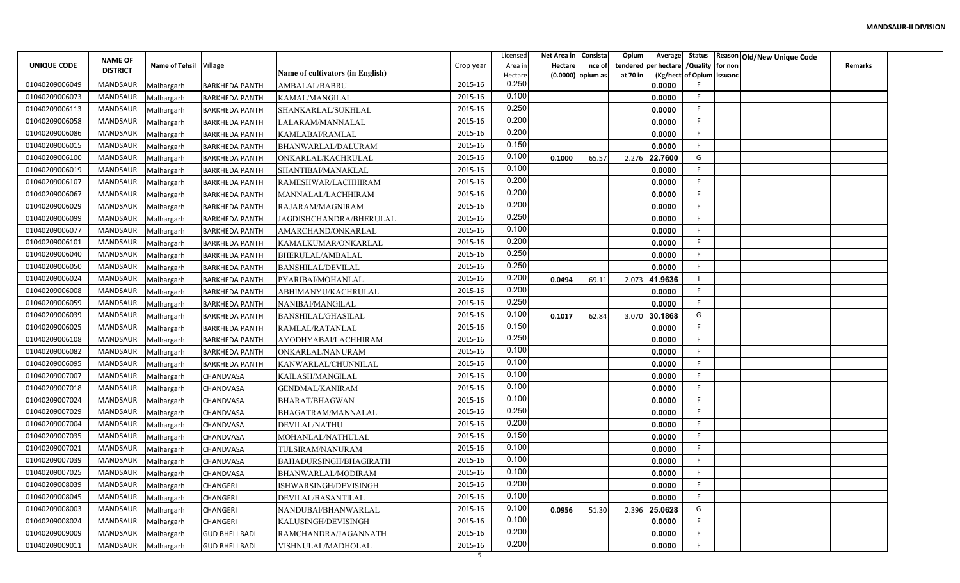|                | <b>NAME OF</b>  |                          |                                                |                                  |           | Licensed         | Net Area in | Consista            | Opium    | Average                             |                  | Status Reason Old/New Unique Code |                |  |
|----------------|-----------------|--------------------------|------------------------------------------------|----------------------------------|-----------|------------------|-------------|---------------------|----------|-------------------------------------|------------------|-----------------------------------|----------------|--|
| UNIQUE CODE    | <b>DISTRICT</b> | Name of Tehsil Village   |                                                |                                  | Crop year | Area in          | Hectare     | nce of              | tendered | per hectare                         | /Quality for non |                                   | <b>Remarks</b> |  |
| 01040209006049 | MANDSAUR        |                          |                                                | Name of cultivators (in English) | 2015-16   | Hectare<br>0.250 |             | $(0.0000)$ opium as | at 70 ir | (Kg/hect of Opium issuand<br>0.0000 |                  |                                   |                |  |
| 01040209006073 | MANDSAUR        | Malhargarh<br>Malhargarh | <b>BARKHEDA PANTH</b><br><b>BARKHEDA PANTH</b> | AMBALAL/BABRU<br>KAMAL/MANGILAL  | 2015-16   | 0.100            |             |                     |          | 0.0000                              |                  |                                   |                |  |
| 01040209006113 | MANDSAUR        | Malhargarh               | <b>BARKHEDA PANTH</b>                          | SHANKARLAL/SUKHLAL               | 2015-16   | 0.250            |             |                     |          | 0.0000                              |                  |                                   |                |  |
| 01040209006058 | MANDSAUR        | Malhargarh               | <b>BARKHEDA PANTH</b>                          | LALARAM/MANNALAL                 | 2015-16   | 0.200            |             |                     |          | 0.0000                              |                  |                                   |                |  |
| 01040209006086 | MANDSAUR        | Malhargarh               | <b>BARKHEDA PANTH</b>                          | KAMLABAI/RAMLAL                  | 2015-16   | 0.200            |             |                     |          | 0.0000                              |                  |                                   |                |  |
| 01040209006015 | MANDSAUR        | Malhargarh               | <b>BARKHEDA PANTH</b>                          | BHANWARLAL/DALURAM               | 2015-16   | 0.150            |             |                     |          | 0.0000                              |                  |                                   |                |  |
| 01040209006100 | MANDSAUR        | Malhargarh               | <b>BARKHEDA PANTH</b>                          | ONKARLAL/KACHRULAL               | 2015-16   | 0.100            | 0.1000      | 65.57               | 2.276    | 22.7600                             | G                |                                   |                |  |
| 01040209006019 | MANDSAUR        | Malhargarh               | <b>BARKHEDA PANTH</b>                          | SHANTIBAI/MANAKLAL               | 2015-16   | 0.100            |             |                     |          | 0.0000                              |                  |                                   |                |  |
| 01040209006107 | MANDSAUR        | Malhargarh               | <b>BARKHEDA PANTH</b>                          | RAMESHWAR/LACHHIRAM              | 2015-16   | 0.200            |             |                     |          | 0.0000                              |                  |                                   |                |  |
| 01040209006067 | MANDSAUR        | Malhargarh               | <b>BARKHEDA PANTH</b>                          | MANNALAL/LACHHIRAM               | 2015-16   | 0.200            |             |                     |          | 0.0000                              |                  |                                   |                |  |
| 01040209006029 | MANDSAUR        | Malhargarh               | <b>BARKHEDA PANTH</b>                          | RAJARAM/MAGNIRAM                 | 2015-16   | 0.200            |             |                     |          | 0.0000                              |                  |                                   |                |  |
| 01040209006099 | MANDSAUR        | Malhargarh               | <b>BARKHEDA PANTH</b>                          | JAGDISHCHANDRA/BHERULAL          | 2015-16   | 0.250            |             |                     |          | 0.0000                              |                  |                                   |                |  |
| 01040209006077 | MANDSAUR        | Malhargarh               | <b>BARKHEDA PANTH</b>                          | AMARCHAND/ONKARLAL               | 2015-16   | 0.100            |             |                     |          | 0.0000                              |                  |                                   |                |  |
| 01040209006101 | MANDSAUR        | Malhargarh               | <b>BARKHEDA PANTH</b>                          | KAMALKUMAR/ONKARLAL              | 2015-16   | 0.200            |             |                     |          | 0.0000                              |                  |                                   |                |  |
| 01040209006040 | MANDSAUR        | Malhargarh               | <b>BARKHEDA PANTH</b>                          | BHERULAL/AMBALAL                 | 2015-16   | 0.250            |             |                     |          | 0.0000                              |                  |                                   |                |  |
| 01040209006050 | MANDSAUR        | Malhargarh               | <b>BARKHEDA PANTH</b>                          | <b>BANSHILAL/DEVILAL</b>         | 2015-16   | 0.250            |             |                     |          | 0.0000                              |                  |                                   |                |  |
| 01040209006024 | MANDSAUR        | Malhargarh               | <b>BARKHEDA PANTH</b>                          | PYARIBAI/MOHANLAL                | 2015-16   | 0.200            | 0.0494      | 69.11               | 2.073    | 41.9636                             |                  |                                   |                |  |
| 01040209006008 | MANDSAUR        | Malhargarh               | <b>BARKHEDA PANTH</b>                          | ABHIMANYU/KACHRULAL              | 2015-16   | 0.200            |             |                     |          | 0.0000                              |                  |                                   |                |  |
| 01040209006059 | MANDSAUR        | Malhargarh               | <b>BARKHEDA PANTH</b>                          | NANIBAI/MANGILAL                 | 2015-16   | 0.250            |             |                     |          | 0.0000                              |                  |                                   |                |  |
| 01040209006039 | MANDSAUR        | Malhargarh               | <b>BARKHEDA PANTH</b>                          | <b>BANSHILAL/GHASILAL</b>        | 2015-16   | 0.100            | 0.1017      | 62.84               | 3.070    | 30.1868                             | G                |                                   |                |  |
| 01040209006025 | MANDSAUR        | Malhargarh               | <b>BARKHEDA PANTH</b>                          | RAMLAL/RATANLAL                  | 2015-16   | 0.150            |             |                     |          | 0.0000                              |                  |                                   |                |  |
| 01040209006108 | MANDSAUR        | Malhargarh               | <b>BARKHEDA PANTH</b>                          | AYODHYABAI/LACHHIRAM             | 2015-16   | 0.250            |             |                     |          | 0.0000                              |                  |                                   |                |  |
| 01040209006082 | MANDSAUR        | Malhargarh               | <b>BARKHEDA PANTH</b>                          | ONKARLAL/NANURAM                 | 2015-16   | 0.100            |             |                     |          | 0.0000                              |                  |                                   |                |  |
| 01040209006095 | MANDSAUR        | Malhargarh               | <b>BARKHEDA PANTH</b>                          | KANWARLAL/CHUNNILAL              | 2015-16   | 0.100            |             |                     |          | 0.0000                              |                  |                                   |                |  |
| 01040209007007 | MANDSAUR        | Malhargarh               | <b>CHANDVASA</b>                               | KAILASH/MANGILAI                 | 2015-16   | 0.100            |             |                     |          | 0.0000                              |                  |                                   |                |  |
| 01040209007018 | MANDSAUR        | Malhargarh               | CHANDVASA                                      | <b>GENDMAL/KANIRAM</b>           | 2015-16   | 0.100            |             |                     |          | 0.0000                              |                  |                                   |                |  |
| 01040209007024 | MANDSAUR        | Malhargarh               | CHANDVASA                                      | <b>BHARAT/BHAGWAN</b>            | 2015-16   | 0.100            |             |                     |          | 0.0000                              |                  |                                   |                |  |
| 01040209007029 | MANDSAUR        | Malhargarh               | <b>CHANDVASA</b>                               | BHAGATRAM/MANNALAL               | 2015-16   | 0.250            |             |                     |          | 0.0000                              |                  |                                   |                |  |
| 01040209007004 | MANDSAUR        | Malhargarh               | CHANDVASA                                      | DEVILAL/NATHU                    | 2015-16   | 0.200            |             |                     |          | 0.0000                              |                  |                                   |                |  |
| 01040209007035 | MANDSAUR        | Malhargarh               | CHANDVASA                                      | MOHANLAL/NATHULAL                | 2015-16   | 0.150            |             |                     |          | 0.0000                              |                  |                                   |                |  |
| 01040209007021 | MANDSAUR        | Malhargarh               | <b>CHANDVASA</b>                               | TULSIRAM/NANURAM                 | 2015-16   | 0.100            |             |                     |          | 0.0000                              |                  |                                   |                |  |
| 01040209007039 | MANDSAUR        | Malhargarh               | <b>CHANDVASA</b>                               | BAHADURSINGH/BHAGIRATH           | 2015-16   | 0.100            |             |                     |          | 0.0000                              |                  |                                   |                |  |
| 01040209007025 | MANDSAUR        | Malhargarh               | CHANDVASA                                      | BHANWARLAL/MODIRAM               | 2015-16   | 0.100            |             |                     |          | 0.0000                              |                  |                                   |                |  |
| 01040209008039 | MANDSAUR        | Malhargarh               | <b>CHANGERI</b>                                | ISHWARSINGH/DEVISINGH            | 2015-16   | 0.200            |             |                     |          | 0.0000                              | Е                |                                   |                |  |
| 01040209008045 | MANDSAUR        | Malhargarh               | CHANGERI                                       | DEVILAL/BASANTILAL               | 2015-16   | 0.100            |             |                     |          | 0.0000                              |                  |                                   |                |  |
| 01040209008003 | MANDSAUR        | Malhargarh               | CHANGERI                                       | NANDUBAI/BHANWARLAL              | 2015-16   | 0.100            | 0.0956      | 51.30               | 2.396    | 25.0628                             | G                |                                   |                |  |
| 01040209008024 | MANDSAUR        | Malhargarh               | <b>CHANGERI</b>                                | KALUSINGH/DEVISINGH              | 2015-16   | 0.100            |             |                     |          | 0.0000                              |                  |                                   |                |  |
| 01040209009009 | MANDSAUR        | Malhargarh               | <b>GUD BHELI BADI</b>                          | RAMCHANDRA/JAGANNATH             | 2015-16   | 0.200            |             |                     |          | 0.0000                              |                  |                                   |                |  |
| 01040209009011 | MANDSAUR        | Malhargarh               | <b>GUD BHELI BADI</b>                          | VISHNULAL/MADHOLAL               | 2015-16   | 0.200            |             |                     |          | 0.0000                              |                  |                                   |                |  |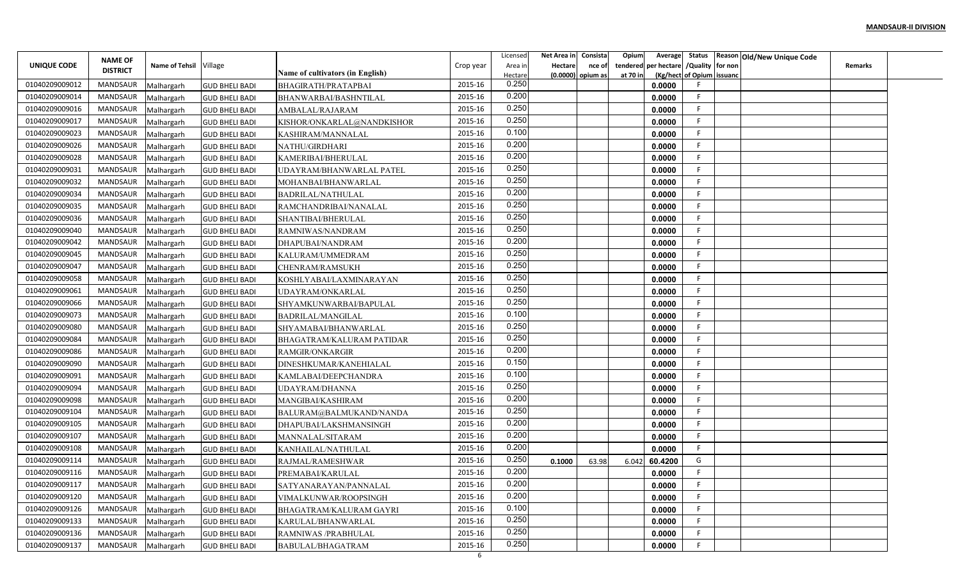|                |                                   |                        |                       |                                  |              | Licensed       | Net Area in | Consista            | Opium<br>Average        |                           | Status Reason Old/New Unique Code |                |  |
|----------------|-----------------------------------|------------------------|-----------------------|----------------------------------|--------------|----------------|-------------|---------------------|-------------------------|---------------------------|-----------------------------------|----------------|--|
| UNIQUE CODE    | <b>NAME OF</b><br><b>DISTRICT</b> | Name of Tehsil Village |                       |                                  | Crop year    | Area in        | Hectare     | nce of              | per hectare<br>tendered | /Quality for non          |                                   | <b>Remarks</b> |  |
|                |                                   |                        |                       | Name of cultivators (in English) |              | Hectare        |             | $(0.0000)$ opium as | at 70 in                | (Kg/hect of Opium issuanc |                                   |                |  |
| 01040209009012 | <b>MANDSAUR</b>                   | Malhargarh             | <b>GUD BHELI BADI</b> | BHAGIRATH/PRATAPBAI              | 2015-16      | 0.250          |             |                     | 0.0000                  |                           |                                   |                |  |
| 01040209009014 | <b>MANDSAUR</b>                   | Malhargarh             | <b>GUD BHELI BADI</b> | BHANWARBAI/BASHNTILAL            | 2015-16      | 0.200<br>0.250 |             |                     | 0.0000                  | -F                        |                                   |                |  |
| 01040209009016 | MANDSAUR                          | Malhargarh             | <b>GUD BHELI BADI</b> | AMBALAL/RAJARAM                  | 2015-16      |                |             |                     | 0.0000                  | -F                        |                                   |                |  |
| 01040209009017 | <b>MANDSAUR</b>                   | Malhargarh             | <b>GUD BHELI BADI</b> | KISHOR/ONKARLAL@NANDKISHOR       | 2015-16      | 0.250          |             |                     | 0.0000                  | F                         |                                   |                |  |
| 01040209009023 | <b>MANDSAUR</b>                   | Malhargarh             | <b>GUD BHELI BADI</b> | KASHIRAM/MANNALAL                | 2015-16      | 0.100          |             |                     | 0.0000                  | - 6                       |                                   |                |  |
| 01040209009026 | <b>MANDSAUR</b>                   | Malhargarh             | <b>GUD BHELI BADI</b> | NATHU/GIRDHARI                   | 2015-16      | 0.200          |             |                     | 0.0000                  | -F                        |                                   |                |  |
| 01040209009028 | <b>MANDSAUR</b>                   | Malhargarh             | <b>GUD BHELI BADI</b> | KAMERIBAI/BHERULAL               | 2015-16      | 0.200          |             |                     | 0.0000                  | -F                        |                                   |                |  |
| 01040209009031 | <b>MANDSAUR</b>                   | Malhargarh             | <b>GUD BHELI BADI</b> | UDAYRAM/BHANWARLAL PATEL         | 2015-16      | 0.250          |             |                     | 0.0000                  | -F                        |                                   |                |  |
| 01040209009032 | <b>MANDSAUR</b>                   | Malhargarh             | <b>GUD BHELI BADI</b> | MOHANBAI/BHANWARLAL              | 2015-16      | 0.250          |             |                     | 0.0000                  |                           |                                   |                |  |
| 01040209009034 | MANDSAUR                          | Malhargarh             | <b>GUD BHELI BADI</b> | <b>BADRILAL/NATHULAL</b>         | 2015-16      | 0.200          |             |                     | 0.0000                  | E                         |                                   |                |  |
| 01040209009035 | MANDSAUR                          | Malhargarh             | <b>GUD BHELI BADI</b> | RAMCHANDRIBAI/NANALAL            | 2015-16      | 0.250          |             |                     | 0.0000                  | -F                        |                                   |                |  |
| 01040209009036 | <b>MANDSAUR</b>                   | Malhargarh             | <b>GUD BHELI BADI</b> | SHANTIBAI/BHERULAL               | 2015-16      | 0.250          |             |                     | 0.0000                  | -F                        |                                   |                |  |
| 01040209009040 | <b>MANDSAUR</b>                   | Malhargarh             | <b>GUD BHELI BADI</b> | RAMNIWAS/NANDRAM                 | 2015-16      | 0.250          |             |                     | 0.0000                  | -F                        |                                   |                |  |
| 01040209009042 | <b>MANDSAUR</b>                   | Malhargarh             | <b>GUD BHELI BADI</b> | DHAPUBAI/NANDRAM                 | 2015-16      | 0.200          |             |                     | 0.0000                  |                           |                                   |                |  |
| 01040209009045 | <b>MANDSAUR</b>                   | Malhargarh             | <b>GUD BHELI BADI</b> | KALURAM/UMMEDRAM                 | 2015-16      | 0.250          |             |                     | 0.0000                  | -F                        |                                   |                |  |
| 01040209009047 | <b>MANDSAUR</b>                   | Malhargarh             | <b>GUD BHELI BADI</b> | <b>CHENRAM/RAMSUKH</b>           | 2015-16      | 0.250          |             |                     | 0.0000                  |                           |                                   |                |  |
| 01040209009058 | <b>MANDSAUR</b>                   | Malhargarh             | <b>GUD BHELI BADI</b> | KOSHLYABAI/LAXMINARAYAN          | 2015-16      | 0.250          |             |                     | 0.0000                  |                           |                                   |                |  |
| 01040209009061 | <b>MANDSAUR</b>                   | Malhargarh             | <b>GUD BHELI BADI</b> | UDAYRAM/ONKARLAL                 | 2015-16      | 0.250          |             |                     | 0.0000                  | -F                        |                                   |                |  |
| 01040209009066 | MANDSAUR                          | Malhargarh             | <b>GUD BHELI BADI</b> | SHYAMKUNWARBAI/BAPULAL           | 2015-16      | 0.250          |             |                     | 0.0000                  |                           |                                   |                |  |
| 01040209009073 | MANDSAUR                          | Malhargarh             | <b>GUD BHELI BADI</b> | BADRILAL/MANGILAL                | 2015-16      | 0.100          |             |                     | 0.0000                  | -F                        |                                   |                |  |
| 01040209009080 | MANDSAUR                          | Malhargarh             | <b>GUD BHELI BADI</b> | SHYAMABAI/BHANWARLAL             | 2015-16      | 0.250          |             |                     | 0.0000                  | -F                        |                                   |                |  |
| 01040209009084 | <b>MANDSAUR</b>                   | Malhargarh             | <b>GUD BHELI BADI</b> | BHAGATRAM/KALURAM PATIDAR        | 2015-16      | 0.250          |             |                     | 0.0000                  |                           |                                   |                |  |
| 01040209009086 | <b>MANDSAUR</b>                   | Malhargarh             | <b>GUD BHELI BADI</b> | RAMGIR/ONKARGIR                  | 2015-16      | 0.200          |             |                     | 0.0000                  | -F                        |                                   |                |  |
| 01040209009090 | <b>MANDSAUR</b>                   | Malhargarh             | <b>GUD BHELI BADI</b> | DINESHKUMAR/KANEHIALAL           | 2015-16      | 0.150          |             |                     | 0.0000                  | F                         |                                   |                |  |
| 01040209009091 | <b>MANDSAUR</b>                   | Malhargarh             | <b>GUD BHELI BADI</b> | KAMLABAI/DEEPCHANDRA             | 2015-16      | 0.100          |             |                     | 0.0000                  |                           |                                   |                |  |
| 01040209009094 | MANDSAUR                          | Malhargarh             | <b>GUD BHELI BADI</b> | UDAYRAM/DHANNA                   | 2015-16      | 0.250          |             |                     | 0.0000                  |                           |                                   |                |  |
| 01040209009098 | <b>MANDSAUR</b>                   | Malhargarh             | <b>GUD BHELI BADI</b> | MANGIBAI/KASHIRAM                | 2015-16      | 0.200          |             |                     | 0.0000                  | F                         |                                   |                |  |
| 01040209009104 | MANDSAUR                          | Malhargarh             | <b>GUD BHELI BADI</b> | BALURAM@BALMUKAND/NANDA          | 2015-16      | 0.250          |             |                     | 0.0000                  | F                         |                                   |                |  |
| 01040209009105 | <b>MANDSAUR</b>                   | Malhargarh             | <b>GUD BHELI BADI</b> | DHAPUBAI/LAKSHMANSINGH           | 2015-16      | 0.200          |             |                     | 0.0000                  | F                         |                                   |                |  |
| 01040209009107 | <b>MANDSAUR</b>                   | Malhargarh             | <b>GUD BHELI BADI</b> | MANNALAL/SITARAM                 | 2015-16      | 0.200          |             |                     | 0.0000                  |                           |                                   |                |  |
| 01040209009108 | <b>MANDSAUR</b>                   | Malhargarh             | <b>GUD BHELI BADI</b> | KANHAILAL/NATHULAL               | 2015-16      | 0.200          |             |                     | 0.0000                  |                           |                                   |                |  |
| 01040209009114 | MANDSAUR                          | Malhargarh             | <b>GUD BHELI BADI</b> | RAJMAL/RAMESHWAR                 | 2015-16      | 0.250          | 0.1000      | 63.98               | 60.4200<br>6.042        | G                         |                                   |                |  |
| 01040209009116 | MANDSAUR                          | Malhargarh             | <b>GUD BHELI BADI</b> | PREMABAI/KARULAL                 | 2015-16      | 0.200          |             |                     | 0.0000                  | -F.                       |                                   |                |  |
| 01040209009117 | MANDSAUR                          | Malhargarh             | <b>GUD BHELI BADI</b> |                                  | 2015-16      | 0.200          |             |                     | 0.0000                  |                           |                                   |                |  |
| 01040209009120 | MANDSAUR                          |                        |                       | SATYANARAYAN/PANNALAL            | 2015-16      | 0.200          |             |                     | 0.0000                  | -F                        |                                   |                |  |
| 01040209009126 | MANDSAUR                          | Malhargarh             | <b>GUD BHELI BADI</b> | VIMALKUNWAR/ROOPSINGH            | 2015-16      | 0.100          |             |                     | 0.0000                  | -F                        |                                   |                |  |
| 01040209009133 | MANDSAUR                          | Malhargarh             | <b>GUD BHELI BADI</b> | BHAGATRAM/KALURAM GAYRI          | 2015-16      | 0.250          |             |                     |                         | -F                        |                                   |                |  |
|                |                                   | Malhargarh             | <b>GUD BHELI BADI</b> | KARULAL/BHANWARLAL               |              | 0.250          |             |                     | 0.0000                  | -F                        |                                   |                |  |
| 01040209009136 | MANDSAUR                          | Malhargarh             | <b>GUD BHELI BADI</b> | RAMNIWAS /PRABHULAL              | 2015-16      | 0.250          |             |                     | 0.0000                  |                           |                                   |                |  |
| 01040209009137 | <b>MANDSAUR</b>                   | Malhargarh             | <b>GUD BHELI BADI</b> | BABULAL/BHAGATRAM                | 2015-16<br>6 |                |             |                     | 0.0000                  |                           |                                   |                |  |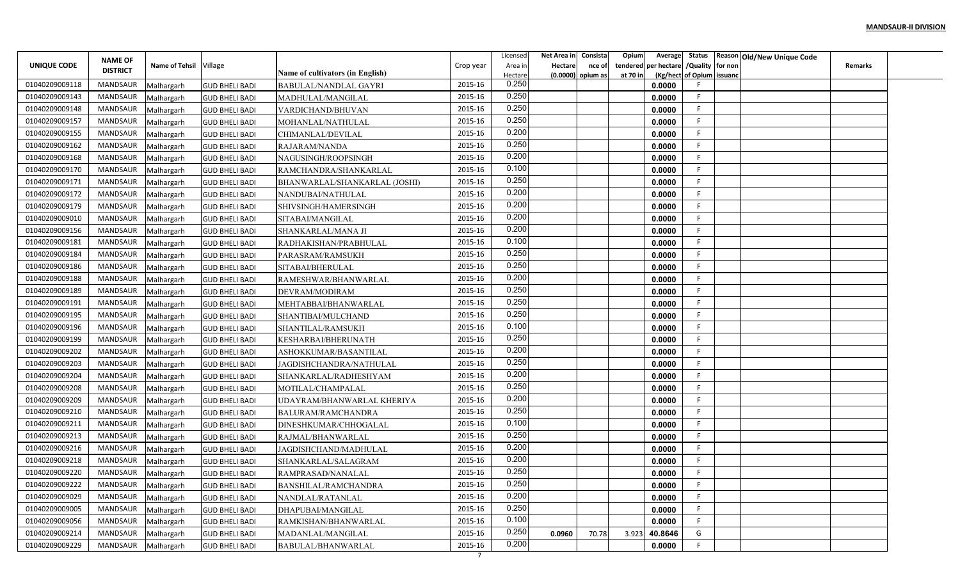|                |                 |                          |                       |                                         |                           | Licensed | Net Area in | Consista            | Opium<br>Average        |                           | Status Reason Old/New Unique Code |                |  |
|----------------|-----------------|--------------------------|-----------------------|-----------------------------------------|---------------------------|----------|-------------|---------------------|-------------------------|---------------------------|-----------------------------------|----------------|--|
| UNIQUE CODE    | <b>NAME OF</b>  | Name of Tehsil Village   |                       |                                         | Crop year                 | Area ir  | Hectare     | nce of              | per hectare<br>tendered | /Quality for non          |                                   | <b>Remarks</b> |  |
|                | <b>DISTRICT</b> |                          |                       | <b>Name of cultivators (in English)</b> |                           | Hectare  |             | $(0.0000)$ opium as | at 70 in                | (Kg/hect of Opium issuanc |                                   |                |  |
| 01040209009118 | MANDSAUR        | Malhargarh               | <b>GUD BHELI BADI</b> | BABULAL/NANDLAL GAYRI                   | 2015-16                   | 0.250    |             |                     | 0.0000                  |                           |                                   |                |  |
| 01040209009143 | MANDSAUR        | Malhargarh               | <b>GUD BHELI BADI</b> | MADHULAL/MANGILAL                       | 2015-16                   | 0.250    |             |                     | 0.0000                  | -F                        |                                   |                |  |
| 01040209009148 | MANDSAUR        | Malhargarh               | <b>GUD BHELI BADI</b> | VARDICHAND/BHUVAN                       | 2015-16                   | 0.250    |             |                     | 0.0000                  | -F                        |                                   |                |  |
| 01040209009157 | <b>MANDSAUR</b> | Malhargarh               | <b>GUD BHELI BADI</b> | MOHANLAL/NATHULAL                       | 2015-16                   | 0.250    |             |                     | 0.0000                  | F                         |                                   |                |  |
| 01040209009155 | MANDSAUR        | Malhargarh               | <b>GUD BHELI BADI</b> | CHIMANLAL/DEVILAL                       | 2015-16                   | 0.200    |             |                     | 0.0000                  | -F                        |                                   |                |  |
| 01040209009162 | MANDSAUR        | Malhargarh               | <b>GUD BHELI BADI</b> | RAJARAM/NANDA                           | 2015-16                   | 0.250    |             |                     | 0.0000                  |                           |                                   |                |  |
| 01040209009168 | MANDSAUR        | Malhargarh               | <b>GUD BHELI BADI</b> | NAGUSINGH/ROOPSINGH                     | 2015-16                   | 0.200    |             |                     | 0.0000                  | -F                        |                                   |                |  |
| 01040209009170 | MANDSAUR        | Malhargarh               | <b>GUD BHELI BADI</b> | RAMCHANDRA/SHANKARLAL                   | 2015-16                   | 0.100    |             |                     | 0.0000                  |                           |                                   |                |  |
| 01040209009171 | MANDSAUR        | Malhargarh               | <b>GUD BHELI BADI</b> | BHANWARLAL/SHANKARLAL (JOSHI)           | 2015-16                   | 0.250    |             |                     | 0.0000                  |                           |                                   |                |  |
| 01040209009172 | MANDSAUR        | Malhargarh               | <b>GUD BHELI BADI</b> | NANDUBAI/NATHULAL                       | 2015-16                   | 0.200    |             |                     | 0.0000                  | F.                        |                                   |                |  |
| 01040209009179 | MANDSAUR        | Malhargarh               | <b>GUD BHELI BADI</b> | SHIVSINGH/HAMERSINGH                    | 2015-16                   | 0.200    |             |                     | 0.0000                  | F                         |                                   |                |  |
| 01040209009010 | MANDSAUR        | Malhargarh               | <b>GUD BHELI BADI</b> | SITABAI/MANGILAL                        | 2015-16                   | 0.200    |             |                     | 0.0000                  | -F                        |                                   |                |  |
| 01040209009156 | MANDSAUR        | Malhargarh               | <b>GUD BHELI BADI</b> | SHANKARLAL/MANA JI                      | 2015-16                   | 0.200    |             |                     | 0.0000                  |                           |                                   |                |  |
| 01040209009181 | MANDSAUR        | Malhargarh               | <b>GUD BHELI BADI</b> | RADHAKISHAN/PRABHULAL                   | 2015-16                   | 0.100    |             |                     | 0.0000                  |                           |                                   |                |  |
| 01040209009184 | <b>MANDSAUR</b> | Malhargarh               | <b>GUD BHELI BADI</b> | PARASRAM/RAMSUKH                        | 2015-16                   | 0.250    |             |                     | 0.0000                  | - 6                       |                                   |                |  |
| 01040209009186 | MANDSAUR        | Malhargarh               | <b>GUD BHELI BADI</b> | SITABAI/BHERULAL                        | 2015-16                   | 0.250    |             |                     | 0.0000                  |                           |                                   |                |  |
| 01040209009188 | MANDSAUR        | Malhargarh               | <b>GUD BHELI BADI</b> | RAMESHWAR/BHANWARLAL                    | 2015-16                   | 0.200    |             |                     | 0.0000                  |                           |                                   |                |  |
| 01040209009189 | MANDSAUR        | Malhargarh               | <b>GUD BHELI BADI</b> | DEVRAM/MODIRAM                          | 2015-16                   | 0.250    |             |                     | 0.0000                  | -F                        |                                   |                |  |
| 01040209009191 | MANDSAUR        | Malhargarh               | <b>GUD BHELI BADI</b> | MEHTABBAI/BHANWARLAL                    | 2015-16                   | 0.250    |             |                     | 0.0000                  |                           |                                   |                |  |
| 01040209009195 | MANDSAUR        | Malhargarh               | <b>GUD BHELI BADI</b> | SHANTIBAI/MULCHAND                      | 2015-16                   | 0.250    |             |                     | 0.0000                  | -F                        |                                   |                |  |
| 01040209009196 | MANDSAUR        | Malhargarh               | <b>GUD BHELI BADI</b> | SHANTILAL/RAMSUKH                       | 2015-16                   | 0.100    |             |                     | 0.0000                  | -F                        |                                   |                |  |
| 01040209009199 | MANDSAUR        | Malhargarh               | <b>GUD BHELI BADI</b> | KESHARBAI/BHERUNATH                     | 2015-16                   | 0.250    |             |                     | 0.0000                  |                           |                                   |                |  |
| 01040209009202 | MANDSAUR        | Malhargarh               | <b>GUD BHELI BADI</b> | ASHOKKUMAR/BASANTILAL                   | 2015-16                   | 0.200    |             |                     | 0.0000                  | -F                        |                                   |                |  |
| 01040209009203 | MANDSAUR        | Malhargarh               | <b>GUD BHELI BADI</b> | JAGDISHCHANDRA/NATHULAL                 | 2015-16                   | 0.250    |             |                     | 0.0000                  | F                         |                                   |                |  |
| 01040209009204 | MANDSAUR        | Malhargarh               | <b>GUD BHELI BADI</b> | SHANKARLAL/RADHESHYAM                   | 2015-16                   | 0.200    |             |                     | 0.0000                  |                           |                                   |                |  |
| 01040209009208 | MANDSAUR        | Malhargarh               | <b>GUD BHELI BADI</b> | MOTILAL/CHAMPALAL                       | 2015-16                   | 0.250    |             |                     | 0.0000                  |                           |                                   |                |  |
| 01040209009209 | MANDSAUR        |                          | <b>GUD BHELI BADI</b> | UDAYRAM/BHANWARLAL KHERIYA              | 2015-16                   | 0.200    |             |                     | 0.0000                  | F.                        |                                   |                |  |
| 01040209009210 | MANDSAUR        | Malhargarh<br>Malhargarh | <b>GUD BHELI BADI</b> | <b>BALURAM/RAMCHANDRA</b>               | 2015-16                   | 0.250    |             |                     | 0.0000                  | F                         |                                   |                |  |
| 01040209009211 | <b>MANDSAUR</b> | Malhargarh               | <b>GUD BHELI BADI</b> | DINESHKUMAR/CHHOGALAL                   | 2015-16                   | 0.100    |             |                     | 0.0000                  | F                         |                                   |                |  |
| 01040209009213 | MANDSAUR        |                          | <b>GUD BHELI BADI</b> | RAJMAL/BHANWARLAL                       | 2015-16                   | 0.250    |             |                     | 0.0000                  |                           |                                   |                |  |
| 01040209009216 | <b>MANDSAUR</b> | Malhargarh               |                       | <b>JAGDISHCHAND/MADHULAL</b>            | 2015-16                   | 0.200    |             |                     | 0.0000                  |                           |                                   |                |  |
| 01040209009218 | MANDSAUR        | Malhargarh               | <b>GUD BHELI BADI</b> |                                         | 2015-16                   | 0.200    |             |                     |                         |                           |                                   |                |  |
| 01040209009220 | MANDSAUR        | Malhargarh               | <b>GUD BHELI BADI</b> | SHANKARLAL/SALAGRAM                     | 2015-16                   | 0.250    |             |                     | 0.0000                  |                           |                                   |                |  |
| 01040209009222 | MANDSAUR        | Malhargarh               | <b>GUD BHELI BADI</b> | RAMPRASAD/NANALAL                       | 2015-16                   | 0.250    |             |                     | 0.0000                  |                           |                                   |                |  |
| 01040209009029 |                 | Malhargarh               | <b>GUD BHELI BADI</b> | BANSHILAL/RAMCHANDRA                    |                           | 0.200    |             |                     | 0.0000                  | -F                        |                                   |                |  |
|                | MANDSAUR        | Malhargarh               | <b>GUD BHELI BADI</b> | NANDLAL/RATANLAL                        | 2015-16                   | 0.250    |             |                     | 0.0000                  |                           |                                   |                |  |
| 01040209009005 | MANDSAUR        | Malhargarh               | <b>GUD BHELI BADI</b> | DHAPUBAI/MANGILAL                       | 2015-16                   | 0.100    |             |                     | 0.0000                  | -F.                       |                                   |                |  |
| 01040209009056 | MANDSAUR        | Malhargarh               | <b>GUD BHELI BADI</b> | RAMKISHAN/BHANWARLAL                    | 2015-16                   |          |             |                     | 0.0000                  | -F                        |                                   |                |  |
| 01040209009214 | MANDSAUR        | Malhargarh               | <b>GUD BHELI BADI</b> | MADANLAL/MANGILAL                       | 2015-16                   | 0.250    | 0.0960      | 70.78               | 40.8646<br>3.923        | G                         |                                   |                |  |
| 01040209009229 | MANDSAUR        | Malhargarh               | <b>GUD BHELI BADI</b> | BABULAL/BHANWARLAL                      | 2015-16<br>$\overline{7}$ | 0.200    |             |                     | 0.0000                  |                           |                                   |                |  |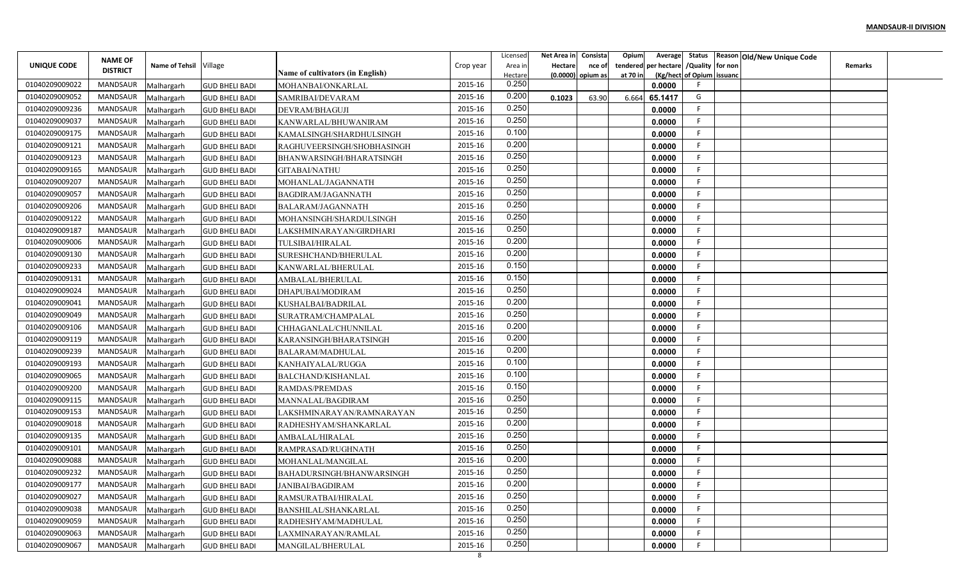|                |                                   |                        |                       |                                  |           | Licensed       | Net Area in | Consista          | Opium<br>Average        |                           | Status Reason Old/New Unique Code |                |  |
|----------------|-----------------------------------|------------------------|-----------------------|----------------------------------|-----------|----------------|-------------|-------------------|-------------------------|---------------------------|-----------------------------------|----------------|--|
| UNIQUE CODE    | <b>NAME OF</b><br><b>DISTRICT</b> | Name of Tehsil Village |                       |                                  | Crop year | Area in        | Hectare     | nce of            | per hectare<br>tendered | /Quality for non          |                                   | <b>Remarks</b> |  |
|                |                                   |                        |                       | Name of cultivators (in English) |           | Hectare        |             | (0.0000) opium as | at 70 in                | (Kg/hect of Opium issuanc |                                   |                |  |
| 01040209009022 | <b>MANDSAUR</b>                   | Malhargarh             | <b>GUD BHELI BADI</b> | MOHANBAI/ONKARLAL                | 2015-16   | 0.250          |             |                   | 0.0000                  |                           |                                   |                |  |
| 01040209009052 | MANDSAUR                          | Malhargarh             | <b>GUD BHELI BADI</b> | SAMRIBAI/DEVARAM                 | 2015-16   | 0.200<br>0.250 | 0.1023      | 63.90             | 65.1417<br>6.664        | G                         |                                   |                |  |
| 01040209009236 | MANDSAUR                          | Malhargarh             | <b>GUD BHELI BADI</b> | DEVRAM/BHAGUJI                   | 2015-16   |                |             |                   | 0.0000                  | -F                        |                                   |                |  |
| 01040209009037 | <b>MANDSAUR</b>                   | Malhargarh             | <b>GUD BHELI BADI</b> | KANWARLAL/BHUWANIRAM             | 2015-16   | 0.250          |             |                   | 0.0000                  | F                         |                                   |                |  |
| 01040209009175 | <b>MANDSAUR</b>                   | Malhargarh             | <b>GUD BHELI BADI</b> | KAMALSINGH/SHARDHULSINGH         | 2015-16   | 0.100          |             |                   | 0.0000                  |                           |                                   |                |  |
| 01040209009121 | <b>MANDSAUR</b>                   | Malhargarh             | <b>GUD BHELI BADI</b> | RAGHUVEERSINGH/SHOBHASINGH       | 2015-16   | 0.200          |             |                   | 0.0000                  | -F                        |                                   |                |  |
| 01040209009123 | <b>MANDSAUR</b>                   | Malhargarh             | <b>GUD BHELI BADI</b> | BHANWARSINGH/BHARATSINGH         | 2015-16   | 0.250          |             |                   | 0.0000                  | -F                        |                                   |                |  |
| 01040209009165 | <b>MANDSAUR</b>                   | Malhargarh             | <b>GUD BHELI BADI</b> | <b>GITABAI/NATHU</b>             | 2015-16   | 0.250          |             |                   | 0.0000                  | -F                        |                                   |                |  |
| 01040209009207 | MANDSAUR                          | Malhargarh             | <b>GUD BHELI BADI</b> | MOHANLAL/JAGANNATH               | 2015-16   | 0.250          |             |                   | 0.0000                  |                           |                                   |                |  |
| 01040209009057 | MANDSAUR                          | Malhargarh             | <b>GUD BHELI BADI</b> | BAGDIRAM/JAGANNATH               | 2015-16   | 0.250          |             |                   | 0.0000                  | F                         |                                   |                |  |
| 01040209009206 | <b>MANDSAUR</b>                   | Malhargarh             | <b>GUD BHELI BADI</b> | BALARAM/JAGANNATH                | 2015-16   | 0.250          |             |                   | 0.0000                  | -F                        |                                   |                |  |
| 01040209009122 | MANDSAUR                          | Malhargarh             | <b>GUD BHELI BADI</b> | MOHANSINGH/SHARDULSINGH          | 2015-16   | 0.250          |             |                   | 0.0000                  | -F                        |                                   |                |  |
| 01040209009187 | <b>MANDSAUR</b>                   | Malhargarh             | <b>GUD BHELI BADI</b> | LAKSHMINARAYAN/GIRDHARI          | 2015-16   | 0.250          |             |                   | 0.0000                  | -F                        |                                   |                |  |
| 01040209009006 | <b>MANDSAUR</b>                   | Malhargarh             | <b>GUD BHELI BADI</b> | TULSIBAI/HIRALAL                 | 2015-16   | 0.200          |             |                   | 0.0000                  |                           |                                   |                |  |
| 01040209009130 | <b>MANDSAUR</b>                   | Malhargarh             | <b>GUD BHELI BADI</b> | SURESHCHAND/BHERULAL             | 2015-16   | 0.200          |             |                   | 0.0000                  | -F                        |                                   |                |  |
| 01040209009233 | <b>MANDSAUR</b>                   | Malhargarh             | <b>GUD BHELI BADI</b> | KANWARLAL/BHERULAL               | 2015-16   | 0.150          |             |                   | 0.0000                  |                           |                                   |                |  |
| 01040209009131 | <b>MANDSAUR</b>                   | Malhargarh             | <b>GUD BHELI BADI</b> | AMBALAL/BHERULAL                 | 2015-16   | 0.150          |             |                   | 0.0000                  |                           |                                   |                |  |
| 01040209009024 | <b>MANDSAUR</b>                   | Malhargarh             | <b>GUD BHELI BADI</b> | DHAPUBAI/MODIRAM                 | 2015-16   | 0.250          |             |                   | 0.0000                  | -F                        |                                   |                |  |
| 01040209009041 | MANDSAUR                          | Malhargarh             | <b>GUD BHELI BADI</b> | KUSHALBAI/BADRILAL               | 2015-16   | 0.200          |             |                   | 0.0000                  |                           |                                   |                |  |
| 01040209009049 | MANDSAUR                          | Malhargarh             | <b>GUD BHELI BADI</b> | SURATRAM/CHAMPALAL               | 2015-16   | 0.250          |             |                   | 0.0000                  | -F                        |                                   |                |  |
| 01040209009106 | <b>MANDSAUR</b>                   | Malhargarh             | <b>GUD BHELI BADI</b> | CHHAGANLAL/CHUNNILAL             | 2015-16   | 0.200          |             |                   | 0.0000                  | -F                        |                                   |                |  |
| 01040209009119 | <b>MANDSAUR</b>                   | Malhargarh             | <b>GUD BHELI BADI</b> | KARANSINGH/BHARATSINGH           | 2015-16   | 0.200          |             |                   | 0.0000                  |                           |                                   |                |  |
| 01040209009239 | <b>MANDSAUR</b>                   | Malhargarh             | <b>GUD BHELI BADI</b> | BALARAM/MADHULAL                 | 2015-16   | 0.200          |             |                   | 0.0000                  | -F                        |                                   |                |  |
| 01040209009193 | <b>MANDSAUR</b>                   | Malhargarh             | <b>GUD BHELI BADI</b> | KANHAIYALAL/RUGGA                | 2015-16   | 0.100          |             |                   | 0.0000                  | F                         |                                   |                |  |
| 01040209009065 | <b>MANDSAUR</b>                   | Malhargarh             | <b>GUD BHELI BADI</b> | BALCHAND/KISHANLAL               | 2015-16   | 0.100          |             |                   | 0.0000                  |                           |                                   |                |  |
| 01040209009200 | MANDSAUR                          | Malhargarh             | <b>GUD BHELI BADI</b> | RAMDAS/PREMDAS                   | 2015-16   | 0.150          |             |                   | 0.0000                  |                           |                                   |                |  |
| 01040209009115 | MANDSAUR                          | Malhargarh             | <b>GUD BHELI BADI</b> | MANNALAL/BAGDIRAM                | 2015-16   | 0.250          |             |                   | 0.0000                  | F                         |                                   |                |  |
| 01040209009153 | MANDSAUR                          | Malhargarh             | <b>GUD BHELI BADI</b> | LAKSHMINARAYAN/RAMNARAYAN        | 2015-16   | 0.250          |             |                   | 0.0000                  | F                         |                                   |                |  |
| 01040209009018 | <b>MANDSAUR</b>                   | Malhargarh             | <b>GUD BHELI BADI</b> | RADHESHYAM/SHANKARLAL            | 2015-16   | 0.200          |             |                   | 0.0000                  | F                         |                                   |                |  |
| 01040209009135 | <b>MANDSAUR</b>                   | Malhargarh             | <b>GUD BHELI BADI</b> | AMBALAL/HIRALAL                  | 2015-16   | 0.250          |             |                   | 0.0000                  |                           |                                   |                |  |
| 01040209009101 | <b>MANDSAUR</b>                   | Malhargarh             | <b>GUD BHELI BADI</b> | RAMPRASAD/RUGHNATH               | 2015-16   | 0.250          |             |                   | 0.0000                  |                           |                                   |                |  |
| 01040209009088 | MANDSAUR                          | Malhargarh             | <b>GUD BHELI BADI</b> | MOHANLAL/MANGILAL                | 2015-16   | 0.200          |             |                   | 0.0000                  |                           |                                   |                |  |
| 01040209009232 | MANDSAUR                          | Malhargarh             | <b>GUD BHELI BADI</b> | BAHADURSINGH/BHANWARSINGH        | 2015-16   | 0.250          |             |                   | 0.0000                  |                           |                                   |                |  |
| 01040209009177 | MANDSAUR                          | Malhargarh             | <b>GUD BHELI BADI</b> | JANIBAI/BAGDIRAM                 | 2015-16   | 0.200          |             |                   | 0.0000                  |                           |                                   |                |  |
| 01040209009027 | MANDSAUR                          | Malhargarh             | <b>GUD BHELI BADI</b> | RAMSURATBAI/HIRALAL              | 2015-16   | 0.250          |             |                   | 0.0000                  | -F                        |                                   |                |  |
| 01040209009038 | MANDSAUR                          | Malhargarh             | <b>GUD BHELI BADI</b> | BANSHILAL/SHANKARLAL             | 2015-16   | 0.250          |             |                   | 0.0000                  | -F                        |                                   |                |  |
| 01040209009059 | MANDSAUR                          | Malhargarh             | <b>GUD BHELI BADI</b> | RADHESHYAM/MADHULAL              | 2015-16   | 0.250          |             |                   | 0.0000                  | -F                        |                                   |                |  |
| 01040209009063 | MANDSAUR                          |                        |                       |                                  | 2015-16   | 0.250          |             |                   |                         | -F                        |                                   |                |  |
| 01040209009067 | <b>MANDSAUR</b>                   | Malhargarh             | <b>GUD BHELI BADI</b> | LAXMINARAYAN/RAMLAL              | 2015-16   | 0.250          |             |                   | 0.0000<br>0.0000        |                           |                                   |                |  |
|                |                                   | Malhargarh             | <b>GUD BHELI BADI</b> | MANGILAL/BHERULAL                | 8         |                |             |                   |                         |                           |                                   |                |  |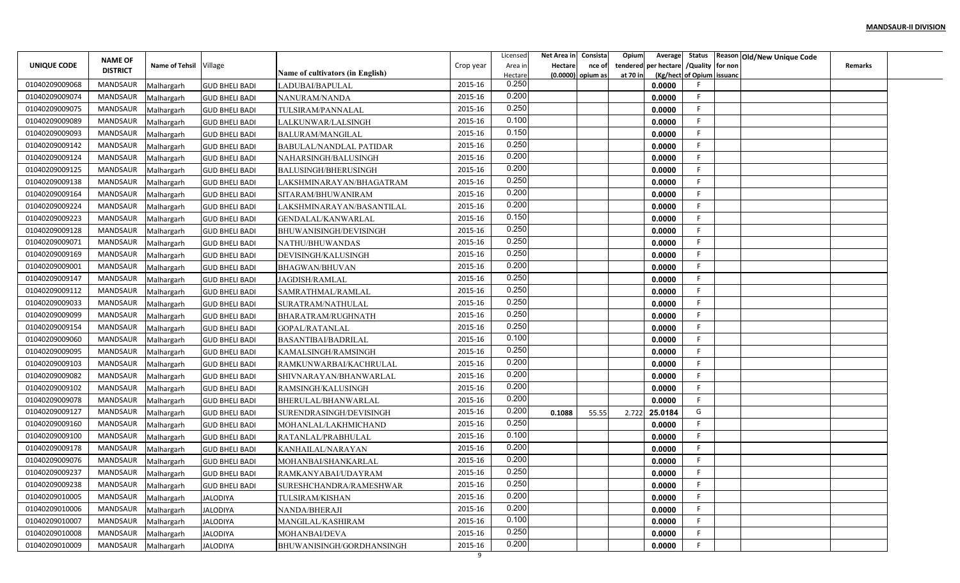|                |                                   |                        |                       |                                  |              | Licensed         | Net Area in | Consista            | Opium<br>Average        |                           | Status Reason Old/New Unique Code |                |  |
|----------------|-----------------------------------|------------------------|-----------------------|----------------------------------|--------------|------------------|-------------|---------------------|-------------------------|---------------------------|-----------------------------------|----------------|--|
| UNIQUE CODE    | <b>NAME OF</b><br><b>DISTRICT</b> | Name of Tehsil Village |                       |                                  | Crop year    | Area in          | Hectare     | nce of              | per hectare<br>tendered | /Quality for non          |                                   | <b>Remarks</b> |  |
|                |                                   |                        |                       | Name of cultivators (in English) | 2015-16      | Hectare<br>0.250 |             | $(0.0000)$ opium as | at 70 in                | (Kg/hect of Opium issuanc |                                   |                |  |
| 01040209009068 | <b>MANDSAUR</b>                   | Malhargarh             | <b>GUD BHELI BADI</b> | LADUBAI/BAPULAL                  |              | 0.200            |             |                     | 0.0000                  | -F                        |                                   |                |  |
| 01040209009074 | MANDSAUR                          | Malhargarh             | <b>GUD BHELI BADI</b> | NANURAM/NANDA                    | 2015-16      | 0.250            |             |                     | 0.0000                  | -F                        |                                   |                |  |
| 01040209009075 | MANDSAUR                          | Malhargarh             | <b>GUD BHELI BADI</b> | TULSIRAM/PANNALAL                | 2015-16      | 0.100            |             |                     | 0.0000                  | F                         |                                   |                |  |
| 01040209009089 | <b>MANDSAUR</b>                   | Malhargarh             | <b>GUD BHELI BADI</b> | LALKUNWAR/LALSINGH               | 2015-16      | 0.150            |             |                     | 0.0000                  |                           |                                   |                |  |
| 01040209009093 | <b>MANDSAUR</b>                   | Malhargarh             | <b>GUD BHELI BADI</b> | BALURAM/MANGILAL                 | 2015-16      | 0.250            |             |                     | 0.0000                  | - 6                       |                                   |                |  |
| 01040209009142 | <b>MANDSAUR</b>                   | Malhargarh             | <b>GUD BHELI BADI</b> | <b>BABULAL/NANDLAL PATIDAR</b>   | 2015-16      | 0.200            |             |                     | 0.0000                  | -F                        |                                   |                |  |
| 01040209009124 | MANDSAUR                          | Malhargarh             | <b>GUD BHELI BADI</b> | NAHARSINGH/BALUSINGH             | 2015-16      |                  |             |                     | 0.0000                  | -F                        |                                   |                |  |
| 01040209009125 | <b>MANDSAUR</b>                   | Malhargarh             | <b>GUD BHELI BADI</b> | <b>BALUSINGH/BHERUSINGH</b>      | 2015-16      | 0.200            |             |                     | 0.0000                  | -F                        |                                   |                |  |
| 01040209009138 | MANDSAUR                          | Malhargarh             | <b>GUD BHELI BADI</b> | LAKSHMINARAYAN/BHAGATRAM         | 2015-16      | 0.250            |             |                     | 0.0000                  |                           |                                   |                |  |
| 01040209009164 | MANDSAUR                          | Malhargarh             | <b>GUD BHELI BADI</b> | SITARAM/BHUWANIRAM               | 2015-16      | 0.200            |             |                     | 0.0000                  | E                         |                                   |                |  |
| 01040209009224 | <b>MANDSAUR</b>                   | Malhargarh             | <b>GUD BHELI BADI</b> | LAKSHMINARAYAN/BASANTILAL        | 2015-16      | 0.200            |             |                     | 0.0000                  | -F                        |                                   |                |  |
| 01040209009223 | <b>MANDSAUR</b>                   | Malhargarh             | <b>GUD BHELI BADI</b> | GENDALAL/KANWARLAL               | 2015-16      | 0.150            |             |                     | 0.0000                  | -F                        |                                   |                |  |
| 01040209009128 | <b>MANDSAUR</b>                   | Malhargarh             | <b>GUD BHELI BADI</b> | BHUWANISINGH/DEVISINGH           | 2015-16      | 0.250            |             |                     | 0.0000                  | -F                        |                                   |                |  |
| 01040209009071 | <b>MANDSAUR</b>                   | Malhargarh             | <b>GUD BHELI BADI</b> | NATHU/BHUWANDAS                  | 2015-16      | 0.250            |             |                     | 0.0000                  |                           |                                   |                |  |
| 01040209009169 | <b>MANDSAUR</b>                   | Malhargarh             | <b>GUD BHELI BADI</b> | DEVISINGH/KALUSINGH              | 2015-16      | 0.250            |             |                     | 0.0000                  | -F                        |                                   |                |  |
| 01040209009001 | <b>MANDSAUR</b>                   | Malhargarh             | <b>GUD BHELI BADI</b> | BHAGWAN/BHUVAN                   | 2015-16      | 0.200            |             |                     | 0.0000                  |                           |                                   |                |  |
| 01040209009147 | <b>MANDSAUR</b>                   | Malhargarh             | <b>GUD BHELI BADI</b> | JAGDISH/RAMLAL                   | 2015-16      | 0.250            |             |                     | 0.0000                  |                           |                                   |                |  |
| 01040209009112 | <b>MANDSAUR</b>                   | Malhargarh             | <b>GUD BHELI BADI</b> | SAMRATHMAL/RAMLAL                | 2015-16      | 0.250            |             |                     | 0.0000                  | -F                        |                                   |                |  |
| 01040209009033 | MANDSAUR                          | Malhargarh             | <b>GUD BHELI BADI</b> | SURATRAM/NATHULAL                | 2015-16      | 0.250            |             |                     | 0.0000                  |                           |                                   |                |  |
| 01040209009099 | MANDSAUR                          | Malhargarh             | <b>GUD BHELI BADI</b> | BHARATRAM/RUGHNATH               | 2015-16      | 0.250            |             |                     | 0.0000                  | -F                        |                                   |                |  |
| 01040209009154 | <b>MANDSAUR</b>                   | Malhargarh             | <b>GUD BHELI BADI</b> | GOPAL/RATANLAL                   | 2015-16      | 0.250            |             |                     | 0.0000                  | -F                        |                                   |                |  |
| 01040209009060 | <b>MANDSAUR</b>                   | Malhargarh             | <b>GUD BHELI BADI</b> | <b>BASANTIBAI/BADRILAL</b>       | 2015-16      | 0.100            |             |                     | 0.0000                  |                           |                                   |                |  |
| 01040209009095 | <b>MANDSAUR</b>                   | Malhargarh             | <b>GUD BHELI BADI</b> | KAMALSINGH/RAMSINGH              | 2015-16      | 0.250            |             |                     | 0.0000                  | -F                        |                                   |                |  |
| 01040209009103 | <b>MANDSAUR</b>                   | Malhargarh             | <b>GUD BHELI BADI</b> | RAMKUNWARBAI/KACHRULAL           | 2015-16      | 0.200            |             |                     | 0.0000                  | F                         |                                   |                |  |
| 01040209009082 | <b>MANDSAUR</b>                   | Malhargarh             | <b>GUD BHELI BADI</b> | SHIVNARAYAN/BHANWARLAL           | 2015-16      | 0.200            |             |                     | 0.0000                  |                           |                                   |                |  |
| 01040209009102 | MANDSAUR                          | Malhargarh             | <b>GUD BHELI BADI</b> | RAMSINGH/KALUSINGH               | 2015-16      | 0.200            |             |                     | 0.0000                  |                           |                                   |                |  |
| 01040209009078 | MANDSAUR                          | Malhargarh             | <b>GUD BHELI BADI</b> | BHERULAL/BHANWARLAL              | 2015-16      | 0.200            |             |                     | 0.0000                  | E                         |                                   |                |  |
| 01040209009127 | MANDSAUR                          | Malhargarh             | <b>GUD BHELI BADI</b> | SURENDRASINGH/DEVISINGH          | 2015-16      | 0.200            | 0.1088      | 55.55               | 25.0184<br>2.722        | G                         |                                   |                |  |
| 01040209009160 | <b>MANDSAUR</b>                   | Malhargarh             | <b>GUD BHELI BADI</b> | MOHANLAL/LAKHMICHAND             | 2015-16      | 0.250            |             |                     | 0.0000                  | -F                        |                                   |                |  |
| 01040209009100 | <b>MANDSAUR</b>                   | Malhargarh             | <b>GUD BHELI BADI</b> | RATANLAL/PRABHULAL               | 2015-16      | 0.100            |             |                     | 0.0000                  |                           |                                   |                |  |
| 01040209009178 | <b>MANDSAUR</b>                   | Malhargarh             | <b>GUD BHELI BADI</b> | KANHAILAL/NARAYAN                | 2015-16      | 0.200            |             |                     | 0.0000                  |                           |                                   |                |  |
| 01040209009076 | MANDSAUR                          | Malhargarh             | <b>GUD BHELI BADI</b> | MOHANBAI/SHANKARLAL              | 2015-16      | 0.200            |             |                     | 0.0000                  |                           |                                   |                |  |
| 01040209009237 | MANDSAUR                          |                        |                       |                                  | 2015-16      | 0.250            |             |                     | 0.0000                  |                           |                                   |                |  |
| 01040209009238 | MANDSAUR                          | Malhargarh             | <b>GUD BHELI BADI</b> | RAMKANYABAI/UDAYRAM              | 2015-16      | 0.250            |             |                     | 0.0000                  |                           |                                   |                |  |
| 01040209010005 | MANDSAUR                          | Malhargarh             | <b>GUD BHELI BADI</b> | SURESHCHANDRA/RAMESHWAR          | 2015-16      | 0.200            |             |                     |                         | -F                        |                                   |                |  |
|                |                                   | Malhargarh             | <b>JALODIYA</b>       | TULSIRAM/KISHAN                  |              | 0.200            |             |                     | 0.0000                  | -F                        |                                   |                |  |
| 01040209010006 | MANDSAUR                          | Malhargarh             | <b>JALODIYA</b>       | NANDA/BHERAJI                    | 2015-16      | 0.100            |             |                     | 0.0000                  | -F                        |                                   |                |  |
| 01040209010007 | MANDSAUR                          | Malhargarh             | <b>JALODIYA</b>       | MANGILAL/KASHIRAM                | 2015-16      | 0.250            |             |                     | 0.0000                  | -F                        |                                   |                |  |
| 01040209010008 | MANDSAUR                          | Malhargarh             | JALODIYA              | MOHANBAI/DEVA                    | 2015-16      | 0.200            |             |                     | 0.0000                  |                           |                                   |                |  |
| 01040209010009 | MANDSAUR                          | Malhargarh             | <b>JALODIYA</b>       | BHUWANISINGH/GORDHANSINGH        | 2015-16<br>9 |                  |             |                     | 0.0000                  |                           |                                   |                |  |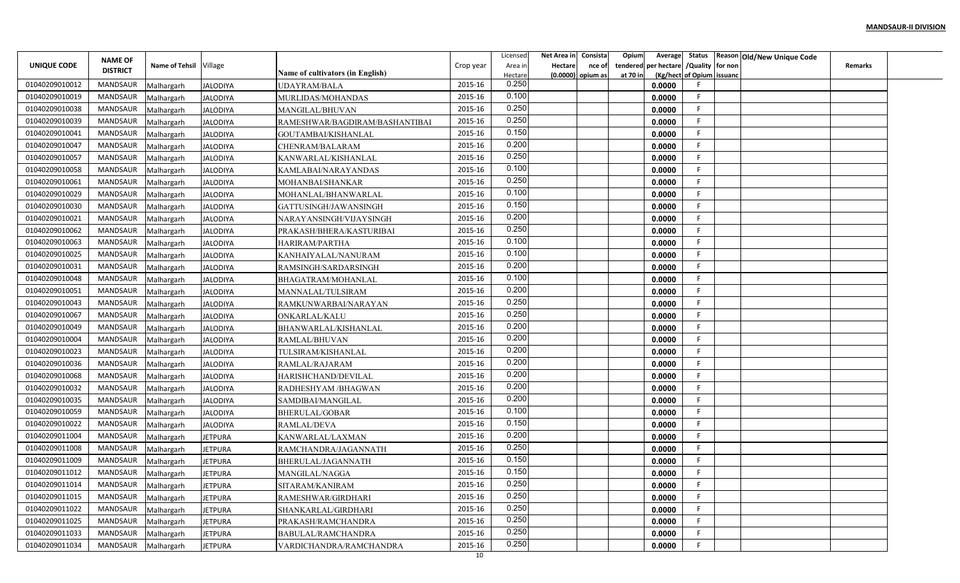|                | <b>NAME OF</b>  |                          |                                    |                                                       |           | Licensed         | Net Area in    | Consista            | Opium    |                                        |                           | Average Status Reason Old/New Unique Code |                |  |
|----------------|-----------------|--------------------------|------------------------------------|-------------------------------------------------------|-----------|------------------|----------------|---------------------|----------|----------------------------------------|---------------------------|-------------------------------------------|----------------|--|
| UNIQUE CODE    | <b>DISTRICT</b> | Name of Tehsil Village   |                                    |                                                       | Crop year | Area in          | <b>Hectare</b> | nce of              |          | tendered per hectare / Quality for non |                           |                                           | <b>Remarks</b> |  |
| 01040209010012 | MANDSAUR        |                          |                                    | <b>Name of cultivators (in English)</b>               | 2015-16   | Hectare<br>0.250 |                | $(0.0000)$ opium as | at 70 in | 0.0000                                 | (Kg/hect of Opium issuanc |                                           |                |  |
| 01040209010019 | MANDSAUR        | Malhargarh               | <b>JALODIYA</b><br><b>JALODIYA</b> | UDAYRAM/BALA<br>MURLIDAS/MOHANDAS                     | 2015-16   | 0.100            |                |                     |          | 0.0000                                 | F.                        |                                           |                |  |
| 01040209010038 | MANDSAUR        | Malhargarh               |                                    |                                                       | 2015-16   | 0.250            |                |                     |          | 0.0000                                 | -F                        |                                           |                |  |
| 01040209010039 | <b>MANDSAUR</b> | Malhargarh               | JALODIYA                           | MANGILAL/BHUVAN                                       | 2015-16   | 0.250            |                |                     |          | 0.0000                                 | F.                        |                                           |                |  |
| 01040209010041 | MANDSAUR        | Malhargarh<br>Malhargarh | <b>JALODIYA</b><br><b>JALODIYA</b> | RAMESHWAR/BAGDIRAM/BASHANTIBAI<br>GOUTAMBAI/KISHANLAL | 2015-16   | 0.150            |                |                     |          | 0.0000                                 | F.                        |                                           |                |  |
| 01040209010047 | MANDSAUR        | Malhargarh               | <b>JALODIYA</b>                    | CHENRAM/BALARAM                                       | 2015-16   | 0.200            |                |                     |          | 0.0000                                 | F.                        |                                           |                |  |
| 01040209010057 | MANDSAUR        | Malhargarh               | JALODIYA                           | KANWARLAL/KISHANLAL                                   | 2015-16   | 0.250            |                |                     |          | 0.0000                                 | F                         |                                           |                |  |
| 01040209010058 | MANDSAUR        | Malhargarh               | <b>JALODIYA</b>                    | KAMLABAI/NARAYANDAS                                   | 2015-16   | 0.100            |                |                     |          | 0.0000                                 | F.                        |                                           |                |  |
| 01040209010061 | MANDSAUR        | Malhargarh               | <b>JALODIYA</b>                    | MOHANBAI/SHANKAR                                      | 2015-16   | 0.250            |                |                     |          | 0.0000                                 | E                         |                                           |                |  |
| 01040209010029 | <b>MANDSAUR</b> | Malhargarh               | <b>JALODIYA</b>                    | MOHANLAL/BHANWARLAL                                   | 2015-16   | 0.100            |                |                     |          | 0.0000                                 | F                         |                                           |                |  |
| 01040209010030 | MANDSAUR        | Malhargarh               | <b>JALODIYA</b>                    | GATTUSINGH/JAWANSINGH                                 | 2015-16   | 0.150            |                |                     |          | 0.0000                                 | -F                        |                                           |                |  |
| 01040209010021 | MANDSAUR        | Malhargarh               | <b>JALODIYA</b>                    | NARAYANSINGH/VIJAYSINGH                               | 2015-16   | 0.200            |                |                     |          | 0.0000                                 | -F                        |                                           |                |  |
| 01040209010062 | MANDSAUR        | Malhargarh               | <b>JALODIYA</b>                    | PRAKASH/BHERA/KASTURIBAI                              | 2015-16   | 0.250            |                |                     |          | 0.0000                                 | -F.                       |                                           |                |  |
| 01040209010063 | MANDSAUR        | Malhargarh               | <b>JALODIYA</b>                    | HARIRAM/PARTHA                                        | 2015-16   | 0.100            |                |                     |          | 0.0000                                 | E                         |                                           |                |  |
| 01040209010025 | MANDSAUR        | Malhargarh               | <b>JALODIYA</b>                    | KANHAIYALAL/NANURAM                                   | 2015-16   | 0.100            |                |                     |          | 0.0000                                 | F.                        |                                           |                |  |
| 01040209010031 | MANDSAUR        | Malhargarh               | <b>JALODIYA</b>                    | RAMSINGH/SARDARSINGH                                  | 2015-16   | 0.200            |                |                     |          | 0.0000                                 | F.                        |                                           |                |  |
| 01040209010048 | MANDSAUR        | Malhargarh               | <b>JALODIYA</b>                    | BHAGATRAM/MOHANLAL                                    | 2015-16   | 0.100            |                |                     |          | 0.0000                                 | F                         |                                           |                |  |
| 01040209010051 | MANDSAUR        | Malhargarh               | <b>JALODIYA</b>                    | MANNALAL/TULSIRAM                                     | 2015-16   | 0.200            |                |                     |          | 0.0000                                 | F                         |                                           |                |  |
| 01040209010043 | MANDSAUR        | Malhargarh               | <b>JALODIYA</b>                    | RAMKUNWARBAI/NARAYAN                                  | 2015-16   | 0.250            |                |                     |          | 0.0000                                 | -F                        |                                           |                |  |
| 01040209010067 | MANDSAUR        | Malhargarh               | <b>JALODIYA</b>                    | ONKARLAL/KALU                                         | 2015-16   | 0.250            |                |                     |          | 0.0000                                 | F.                        |                                           |                |  |
| 01040209010049 | <b>MANDSAUR</b> | Malhargarh               | <b>JALODIYA</b>                    | BHANWARLAL/KISHANLAL                                  | 2015-16   | 0.200            |                |                     |          | 0.0000                                 | -F                        |                                           |                |  |
| 01040209010004 | MANDSAUR        | Malhargarh               | <b>JALODIYA</b>                    | RAMLAL/BHUVAN                                         | 2015-16   | 0.200            |                |                     |          | 0.0000                                 | F.                        |                                           |                |  |
| 01040209010023 | MANDSAUR        | Malhargarh               | <b>JALODIYA</b>                    | TULSIRAM/KISHANLAL                                    | 2015-16   | 0.200            |                |                     |          | 0.0000                                 | F.                        |                                           |                |  |
| 01040209010036 | MANDSAUR        | Malhargarh               | <b>JALODIYA</b>                    | RAMLAL/RAJARAM                                        | 2015-16   | 0.200            |                |                     |          | 0.0000                                 | F                         |                                           |                |  |
| 01040209010068 | MANDSAUR        | Malhargarh               | <b>JALODIYA</b>                    | HARISHCHAND/DEVILAL                                   | 2015-16   | 0.200            |                |                     |          | 0.0000                                 | F                         |                                           |                |  |
| 01040209010032 | MANDSAUR        | Malhargarh               | <b>JALODIYA</b>                    | RADHESHYAM /BHAGWAN                                   | 2015-16   | 0.200            |                |                     |          | 0.0000                                 | E                         |                                           |                |  |
| 01040209010035 | MANDSAUR        | Malhargarh               | <b>JALODIYA</b>                    | SAMDIBAI/MANGILAL                                     | 2015-16   | 0.200            |                |                     |          | 0.0000                                 | F.                        |                                           |                |  |
| 01040209010059 | MANDSAUR        | Malhargarh               | <b>JALODIYA</b>                    | BHERULAL/GOBAR                                        | 2015-16   | 0.100            |                |                     |          | 0.0000                                 | -F                        |                                           |                |  |
| 01040209010022 | <b>MANDSAUR</b> | Malhargarh               | <b>JALODIYA</b>                    | RAMLAL/DEVA                                           | 2015-16   | 0.150            |                |                     |          | 0.0000                                 | F.                        |                                           |                |  |
| 01040209011004 | MANDSAUR        | Malhargarh               | <b>JETPURA</b>                     | KANWARLAL/LAXMAN                                      | 2015-16   | 0.200            |                |                     |          | 0.0000                                 | E                         |                                           |                |  |
| 01040209011008 | MANDSAUR        | Malhargarh               | <b>JETPURA</b>                     | RAMCHANDRA/JAGANNATH                                  | 2015-16   | 0.250            |                |                     |          | 0.0000                                 | F                         |                                           |                |  |
| 01040209011009 | MANDSAUR        | Malhargarh               | JETPURA                            | BHERULAL/JAGANNATH                                    | 2015-16   | 0.150            |                |                     |          | 0.0000                                 | F                         |                                           |                |  |
| 01040209011012 | MANDSAUR        | Malhargarh               | <b>JETPURA</b>                     | MANGILAL/NAGGA                                        | 2015-16   | 0.150            |                |                     |          | 0.0000                                 | F.                        |                                           |                |  |
| 01040209011014 | MANDSAUR        | Malhargarh               | <b>JETPURA</b>                     | SITARAM/KANIRAM                                       | 2015-16   | 0.250            |                |                     |          | 0.0000                                 | F                         |                                           |                |  |
| 01040209011015 | MANDSAUR        | Malhargarh               | <b>JETPURA</b>                     | RAMESHWAR/GIRDHARI                                    | 2015-16   | 0.250            |                |                     |          | 0.0000                                 | F                         |                                           |                |  |
| 01040209011022 | MANDSAUR        | Malhargarh               | <b>JETPURA</b>                     | SHANKARLAL/GIRDHARI                                   | 2015-16   | 0.250            |                |                     |          | 0.0000                                 | F.                        |                                           |                |  |
| 01040209011025 | MANDSAUR        | Malhargarh               | <b>JETPURA</b>                     | PRAKASH/RAMCHANDRA                                    | 2015-16   | 0.250            |                |                     |          | 0.0000                                 | F                         |                                           |                |  |
| 01040209011033 | MANDSAUR        | Malhargarh               | <b>JETPURA</b>                     | BABULAL/RAMCHANDRA                                    | 2015-16   | 0.250            |                |                     |          | 0.0000                                 | F.                        |                                           |                |  |
| 01040209011034 | MANDSAUR        | Malhargarh               | <b>JETPURA</b>                     | VARDICHANDRA/RAMCHANDRA                               | 2015-16   | 0.250            |                |                     |          | 0.0000                                 | F                         |                                           |                |  |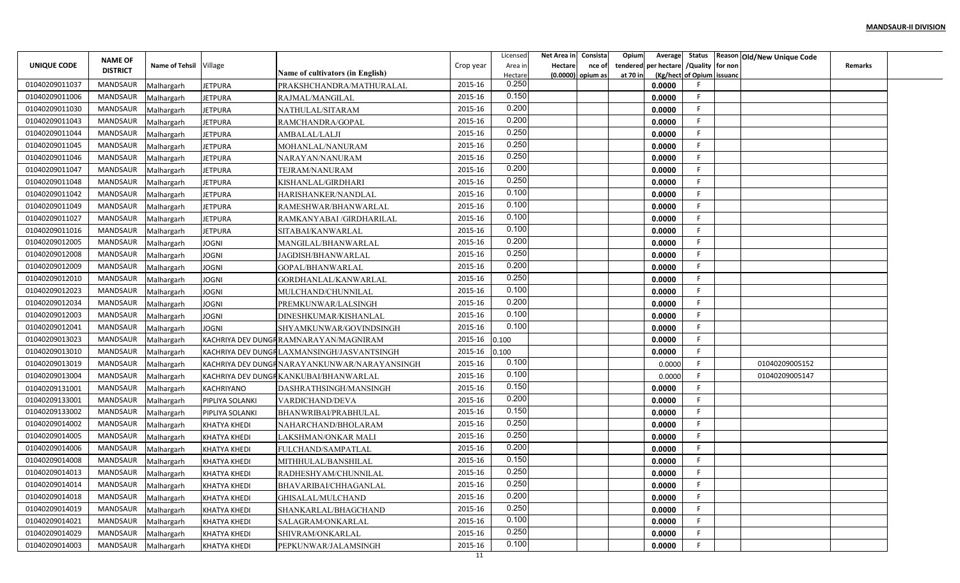|                | <b>NAME OF</b>  |                          |                     |                                              |           | Licensed         | Net Area in    | Consista          | Opium    |                                        |                           | Average Status Reason Old/New Unique Code |                |  |
|----------------|-----------------|--------------------------|---------------------|----------------------------------------------|-----------|------------------|----------------|-------------------|----------|----------------------------------------|---------------------------|-------------------------------------------|----------------|--|
| UNIQUE CODE    | <b>DISTRICT</b> | Name of Tehsil Village   |                     | Name of cultivators (in English)             | Crop year | Area in          | <b>Hectare</b> | nce of            |          | tendered per hectare / Quality for non |                           |                                           | <b>Remarks</b> |  |
| 01040209011037 | MANDSAUR        |                          | <b>JETPURA</b>      | PRAKSHCHANDRA/MATHURALAL                     | 2015-16   | Hectare<br>0.250 |                | (0.0000) opium as | at 70 in | 0.0000                                 | (Kg/hect of Opium issuanc |                                           |                |  |
| 01040209011006 | MANDSAUR        | Malhargarh<br>Malhargarh | <b>JETPURA</b>      | RAJMAL/MANGILAL                              | 2015-16   | 0.150            |                |                   |          | 0.0000                                 | F.                        |                                           |                |  |
| 01040209011030 | MANDSAUR        | Malhargarh               | <b>JETPURA</b>      | NATHULAL/SITARAM                             | 2015-16   | 0.200            |                |                   |          | 0.0000                                 | -F                        |                                           |                |  |
| 01040209011043 | <b>MANDSAUR</b> | Malhargarh               | <b>JETPURA</b>      | RAMCHANDRA/GOPAL                             | 2015-16   | 0.200            |                |                   |          | 0.0000                                 | F.                        |                                           |                |  |
| 01040209011044 | MANDSAUR        | Malhargarh               | <b>JETPURA</b>      | AMBALAL/LALJI                                | 2015-16   | 0.250            |                |                   |          | 0.0000                                 | F.                        |                                           |                |  |
| 01040209011045 | MANDSAUR        | Malhargarh               | <b>JETPURA</b>      | MOHANLAL/NANURAM                             | 2015-16   | 0.250            |                |                   |          | 0.0000                                 | F.                        |                                           |                |  |
| 01040209011046 | MANDSAUR        | Malhargarh               | <b>JETPURA</b>      | NARAYAN/NANURAM                              | 2015-16   | 0.250            |                |                   |          | 0.0000                                 | F                         |                                           |                |  |
| 01040209011047 | MANDSAUR        | Malhargarh               | <b>JETPURA</b>      | TEJRAM/NANURAM                               | 2015-16   | 0.200            |                |                   |          | 0.0000                                 | F.                        |                                           |                |  |
| 01040209011048 | MANDSAUR        | Malhargarh               | <b>JETPURA</b>      | KISHANLAL/GIRDHARI                           | 2015-16   | 0.250            |                |                   |          | 0.0000                                 | E                         |                                           |                |  |
| 01040209011042 | MANDSAUR        | Malhargarh               | <b>JETPURA</b>      | HARISHANKER/NANDLAL                          | 2015-16   | 0.100            |                |                   |          | 0.0000                                 | F                         |                                           |                |  |
| 01040209011049 | MANDSAUR        | Malhargarh               | <b>JETPURA</b>      | RAMESHWAR/BHANWARLAL                         | 2015-16   | 0.100            |                |                   |          | 0.0000                                 | -F                        |                                           |                |  |
| 01040209011027 | MANDSAUR        | Malhargarh               | JETPURA             | RAMKANYABAI /GIRDHARILAL                     | 2015-16   | 0.100            |                |                   |          | 0.0000                                 | -F                        |                                           |                |  |
| 01040209011016 | MANDSAUR        | Malhargarh               | <b>JETPURA</b>      | SITABAI/KANWARLAL                            | 2015-16   | 0.100            |                |                   |          | 0.0000                                 | -F                        |                                           |                |  |
| 01040209012005 | MANDSAUR        | Malhargarh               | <b>JOGNI</b>        | MANGILAL/BHANWARLAL                          | 2015-16   | 0.200            |                |                   |          | 0.0000                                 | E                         |                                           |                |  |
| 01040209012008 | MANDSAUR        | Malhargarh               | <b>JOGNI</b>        | JAGDISH/BHANWARLAI                           | 2015-16   | 0.250            |                |                   |          | 0.0000                                 | F.                        |                                           |                |  |
| 01040209012009 | MANDSAUR        | Malhargarh               | <b>JOGNI</b>        | GOPAL/BHANWARLAL                             | 2015-16   | 0.200            |                |                   |          | 0.0000                                 | F.                        |                                           |                |  |
| 01040209012010 | MANDSAUR        | Malhargarh               | <b>JOGNI</b>        | GORDHANLAL/KANWARLAL                         | 2015-16   | 0.250            |                |                   |          | 0.0000                                 | F                         |                                           |                |  |
| 01040209012023 | MANDSAUR        | Malhargarh               | <b>JOGNI</b>        | MULCHAND/CHUNNILAL                           | 2015-16   | 0.100            |                |                   |          | 0.0000                                 | F                         |                                           |                |  |
| 01040209012034 | MANDSAUR        | Malhargarh               | <b>JOGNI</b>        | PREMKUNWAR/LALSINGH                          | 2015-16   | 0.200            |                |                   |          | 0.0000                                 | -F                        |                                           |                |  |
| 01040209012003 | MANDSAUR        | Malhargarh               | <b>JOGNI</b>        | DINESHKUMAR/KISHANLAL                        | 2015-16   | 0.100            |                |                   |          | 0.0000                                 | F.                        |                                           |                |  |
| 01040209012041 | <b>MANDSAUR</b> | Malhargarh               | <b>JOGNI</b>        | SHYAMKUNWAR/GOVINDSINGH                      | 2015-16   | 0.100            |                |                   |          | 0.0000                                 | -F                        |                                           |                |  |
| 01040209013023 | MANDSAUR        | Malhargarh               |                     | KACHRIYA DEV DUNGFRAMNARAYAN/MAGNIRAM        | 2015-16   | 0.100            |                |                   |          | 0.0000                                 | F.                        |                                           |                |  |
| 01040209013010 | MANDSAUR        | Malhargarh               |                     | KACHRIYA DEV DUNGRLAXMANSINGH/JASVANTSINGH   | 2015-16   | 0.100            |                |                   |          | 0.0000                                 | F.                        |                                           |                |  |
| 01040209013019 | MANDSAUR        | Malhargarh               |                     | KACHRIYA DEV DUNGRNARAYANKUNWAR/NARAYANSINGH | 2015-16   | 0.100            |                |                   |          | 0.0000                                 | F.                        | 01040209005152                            |                |  |
| 01040209013004 | MANDSAUR        | Malhargarh               |                     | KACHRIYA DEV DUNGRKANKUBAI/BHANWARLAL        | 2015-16   | 0.100            |                |                   |          | 0.0000                                 | F                         | 01040209005147                            |                |  |
| 01040209131001 | MANDSAUR        | Malhargarh               | <b>KACHRIYANO</b>   | DASHRATHSINGH/MANSINGH                       | 2015-16   | 0.150            |                |                   |          | 0.0000                                 | E                         |                                           |                |  |
| 01040209133001 | MANDSAUR        | Malhargarh               | PIPLIYA SOLANKI     | VARDICHAND/DEVA                              | 2015-16   | 0.200            |                |                   |          | 0.0000                                 | F.                        |                                           |                |  |
| 01040209133002 | MANDSAUR        | Malhargarh               | PIPLIYA SOLANKI     | BHANWRIBAI/PRABHULAL                         | 2015-16   | 0.150            |                |                   |          | 0.0000                                 | -F                        |                                           |                |  |
| 01040209014002 | <b>MANDSAUR</b> | Malhargarh               | <b>KHATYA KHEDI</b> | NAHARCHAND/BHOLARAM                          | 2015-16   | 0.250            |                |                   |          | 0.0000                                 | F.                        |                                           |                |  |
| 01040209014005 | MANDSAUR        | Malhargarh               | <b>KHATYA KHEDI</b> | LAKSHMAN/ONKAR MALI                          | 2015-16   | 0.250            |                |                   |          | 0.0000                                 | E                         |                                           |                |  |
| 01040209014006 | MANDSAUR        | Malhargarh               | <b>KHATYA KHEDI</b> | FULCHAND/SAMPATLAL                           | 2015-16   | 0.200            |                |                   |          | 0.0000                                 | F.                        |                                           |                |  |
| 01040209014008 | MANDSAUR        | Malhargarh               | <b>KHATYA KHEDI</b> | MITHHULAL/BANSHILAL                          | 2015-16   | 0.150            |                |                   |          | 0.0000                                 | F                         |                                           |                |  |
| 01040209014013 | MANDSAUR        | Malhargarh               | <b>KHATYA KHEDI</b> | RADHESHYAM/CHUNNILAL                         | 2015-16   | 0.250            |                |                   |          | 0.0000                                 | F.                        |                                           |                |  |
| 01040209014014 | MANDSAUR        | Malhargarh               | <b>KHATYA KHEDI</b> | BHAVARIBAI/CHHAGANLAL                        | 2015-16   | 0.250            |                |                   |          | 0.0000                                 | F                         |                                           |                |  |
| 01040209014018 | MANDSAUR        | Malhargarh               | KHATYA KHEDI        | GHISALAL/MULCHAND                            | 2015-16   | 0.200            |                |                   |          | 0.0000                                 | F                         |                                           |                |  |
| 01040209014019 | MANDSAUR        | Malhargarh               | <b>KHATYA KHEDI</b> | SHANKARLAL/BHAGCHAND                         | 2015-16   | 0.250            |                |                   |          | 0.0000                                 | F.                        |                                           |                |  |
| 01040209014021 | MANDSAUR        | Malhargarh               | <b>KHATYA KHEDI</b> | SALAGRAM/ONKARLAL                            | 2015-16   | 0.100            |                |                   |          | 0.0000                                 | F                         |                                           |                |  |
| 01040209014029 | MANDSAUR        | Malhargarh               | <b>KHATYA KHEDI</b> | SHIVRAM/ONKARLAL                             | 2015-16   | 0.250            |                |                   |          | 0.0000                                 | F.                        |                                           |                |  |
| 01040209014003 | MANDSAUR        | Malhargarh               | <b>KHATYA KHEDI</b> | PEPKUNWAR/JALAMSINGH                         | 2015-16   | 0.100            |                |                   |          | 0.0000                                 | F                         |                                           |                |  |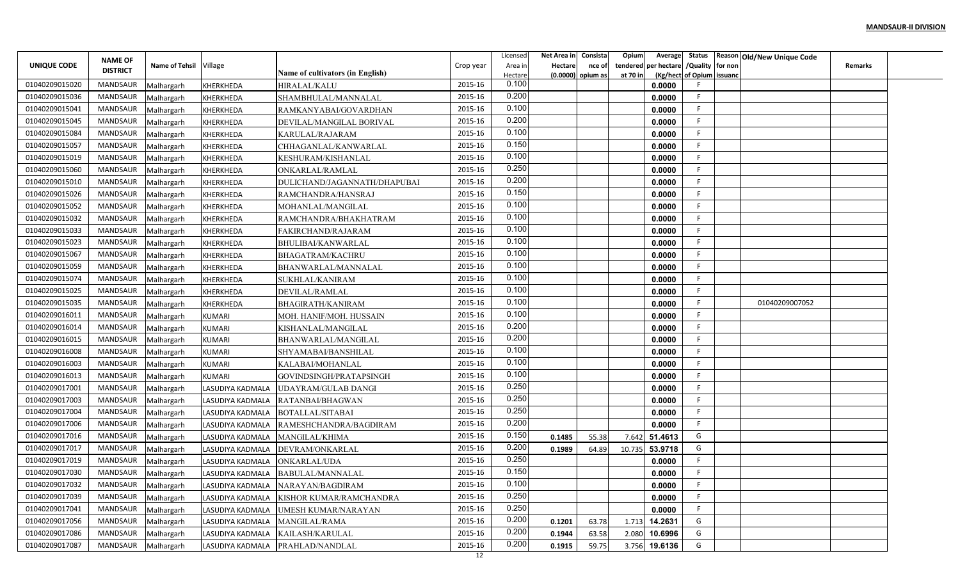|                                  | <b>NAME OF</b>              |                          |                                      |                                                 |           | Licensed         | Net Area in         | Consista | Opium    | Average                   |                  | Status Reason Old/New Unique Code |                |  |
|----------------------------------|-----------------------------|--------------------------|--------------------------------------|-------------------------------------------------|-----------|------------------|---------------------|----------|----------|---------------------------|------------------|-----------------------------------|----------------|--|
| UNIQUE CODE                      | <b>DISTRICT</b>             | Name of Tehsil Village   |                                      |                                                 | Crop year | Area in          | Hectare             | nce of   | tendered | per hectare               | /Quality for non |                                   | <b>Remarks</b> |  |
| 01040209015020                   | MANDSAUR                    |                          |                                      | Name of cultivators (in English)                | 2015-16   | Hectare<br>0.100 | $(0.0000)$ opium as |          | at 70 ir | (Kg/hect of Opium issuand |                  |                                   |                |  |
| 01040209015036                   | MANDSAUR                    | Malhargarh               | KHERKHEDA                            | HIRALAL/KALU<br>SHAMBHULAL/MANNALAI             | 2015-16   | 0.200            |                     |          |          | 0.0000                    |                  |                                   |                |  |
|                                  |                             | Malhargarh               | <b>KHERKHEDA</b>                     |                                                 | 2015-16   | 0.100            |                     |          |          | 0.0000                    |                  |                                   |                |  |
| 01040209015041<br>01040209015045 | MANDSAUR<br><b>MANDSAUR</b> | Malhargarh               | KHERKHEDA                            | RAMKANYABAI/GOVARDHAN                           | 2015-16   | 0.200            |                     |          |          | 0.0000                    |                  |                                   |                |  |
| 01040209015084                   | MANDSAUR                    | Malhargarh               | <b>KHERKHEDA</b>                     | DEVILAL/MANGILAL BORIVAL                        | 2015-16   | 0.100            |                     |          |          | 0.0000                    |                  |                                   |                |  |
| 01040209015057                   | MANDSAUR                    | Malhargarh               | KHERKHEDA                            | KARULAL/RAJARAM                                 | 2015-16   | 0.150            |                     |          |          | 0.0000                    |                  |                                   |                |  |
| 01040209015019                   | MANDSAUR                    | Malhargarh               | KHERKHEDA                            | CHHAGANLAL/KANWARLAL<br>KESHURAM/KISHANLAL      | 2015-16   | 0.100            |                     |          |          | 0.0000<br>0.0000          |                  |                                   |                |  |
| 01040209015060                   | MANDSAUR                    | Malhargarh               | <b>KHERKHEDA</b>                     |                                                 | 2015-16   | 0.250            |                     |          |          | 0.0000                    |                  |                                   |                |  |
| 01040209015010                   | MANDSAUR                    | Malhargarh<br>Malhargarh | <b>KHERKHEDA</b><br><b>KHERKHEDA</b> | ONKARLAL/RAMLAL<br>DULICHAND/JAGANNATH/DHAPUBAI | 2015-16   | 0.200            |                     |          |          | 0.0000                    |                  |                                   |                |  |
| 01040209015026                   | <b>MANDSAUR</b>             | Malhargarh               | KHERKHEDA                            | RAMCHANDRA/HANSRAJ                              | 2015-16   | 0.150            |                     |          |          | 0.0000                    |                  |                                   |                |  |
| 01040209015052                   | MANDSAUR                    | Malhargarh               | KHERKHEDA                            | MOHANLAL/MANGILAL                               | 2015-16   | 0.100            |                     |          |          | 0.0000                    |                  |                                   |                |  |
| 01040209015032                   | MANDSAUR                    | Malhargarh               | <b>KHERKHEDA</b>                     | RAMCHANDRA/BHAKHATRAM                           | 2015-16   | 0.100            |                     |          |          | 0.0000                    |                  |                                   |                |  |
| 01040209015033                   | MANDSAUR                    | Malhargarh               | KHERKHEDA                            | FAKIRCHAND/RAJARAM                              | 2015-16   | 0.100            |                     |          |          | 0.0000                    |                  |                                   |                |  |
| 01040209015023                   | MANDSAUR                    | Malhargarh               | KHERKHEDA                            | BHULIBAI/KANWARLAL                              | 2015-16   | 0.100            |                     |          |          | 0.0000                    |                  |                                   |                |  |
| 01040209015067                   | MANDSAUR                    | Malhargarh               | <b>KHERKHEDA</b>                     | <b>BHAGATRAM/KACHRU</b>                         | 2015-16   | 0.100            |                     |          |          | 0.0000                    |                  |                                   |                |  |
| 01040209015059                   | MANDSAUR                    | Malhargarh               | <b>KHERKHEDA</b>                     | BHANWARLAL/MANNALAL                             | 2015-16   | 0.100            |                     |          |          | 0.0000                    |                  |                                   |                |  |
| 01040209015074                   | MANDSAUR                    | Malhargarh               | KHERKHEDA                            | SUKHLAL/KANIRAM                                 | 2015-16   | 0.100            |                     |          |          | 0.0000                    |                  |                                   |                |  |
| 01040209015025                   | MANDSAUR                    | Malhargarh               | KHERKHEDA                            | DEVILAL/RAMLAL                                  | 2015-16   | 0.100            |                     |          |          | 0.0000                    |                  |                                   |                |  |
| 01040209015035                   | MANDSAUR                    | Malhargarh               | KHERKHEDA                            | BHAGIRATH/KANIRAM                               | 2015-16   | 0.100            |                     |          |          | 0.0000                    |                  | 01040209007052                    |                |  |
| 01040209016011                   | MANDSAUR                    | Malhargarh               | <b>KUMARI</b>                        | MOH. HANIF/MOH. HUSSAIN                         | 2015-16   | 0.100            |                     |          |          | 0.0000                    |                  |                                   |                |  |
| 01040209016014                   | MANDSAUR                    | Malhargarh               | <b>KUMARI</b>                        | KISHANLAL/MANGILAL                              | 2015-16   | 0.200            |                     |          |          | 0.0000                    |                  |                                   |                |  |
| 01040209016015                   | MANDSAUR                    | Malhargarh               | <b>KUMARI</b>                        | BHANWARLAL/MANGILAL                             | 2015-16   | 0.200            |                     |          |          | 0.0000                    |                  |                                   |                |  |
| 01040209016008                   | MANDSAUR                    | Malhargarh               | <b>KUMARI</b>                        | SHYAMABAI/BANSHILAL                             | 2015-16   | 0.100            |                     |          |          | 0.0000                    |                  |                                   |                |  |
| 01040209016003                   | MANDSAUR                    | Malhargarh               | <b>KUMARI</b>                        | KALABAI/MOHANLAL                                | 2015-16   | 0.100            |                     |          |          | 0.0000                    |                  |                                   |                |  |
| 01040209016013                   | MANDSAUR                    | Malhargarh               | <b>KUMARI</b>                        | GOVINDSINGH/PRATAPSINGH                         | 2015-16   | 0.100            |                     |          |          | 0.0000                    |                  |                                   |                |  |
| 01040209017001                   | MANDSAUR                    | Malhargarh               | LASUDIYA KADMALA                     | UDAYRAM/GULAB DANGI                             | 2015-16   | 0.250            |                     |          |          | 0.0000                    |                  |                                   |                |  |
| 01040209017003                   | MANDSAUR                    | Malhargarh               | LASUDIYA KADMALA                     | RATANBAI/BHAGWAN                                | 2015-16   | 0.250            |                     |          |          | 0.0000                    |                  |                                   |                |  |
| 01040209017004                   | MANDSAUR                    | Malhargarh               | LASUDIYA KADMALA                     | <b>BOTALLAL/SITABAI</b>                         | 2015-16   | 0.250            |                     |          |          | 0.0000                    |                  |                                   |                |  |
| 01040209017006                   | <b>MANDSAUR</b>             | Malhargarh               | LASUDIYA KADMALA                     | RAMESHCHANDRA/BAGDIRAM                          | 2015-16   | 0.200            |                     |          |          | 0.0000                    |                  |                                   |                |  |
| 01040209017016                   | MANDSAUR                    | Malhargarh               | LASUDIYA KADMALA                     | MANGILAL/KHIMA                                  | 2015-16   | 0.150            | 0.1485              | 55.38    | 7.642    | 51.4613                   | G                |                                   |                |  |
| 01040209017017                   | MANDSAUR                    | Malhargarh               | LASUDIYA KADMALA                     | DEVRAM/ONKARLAL                                 | 2015-16   | 0.200            | 0.1989              | 64.89    | 10.735   | 53.9718                   | G                |                                   |                |  |
| 01040209017019                   | MANDSAUR                    | Malhargarh               | LASUDIYA KADMALA                     | ONKARLAL/UDA                                    | 2015-16   | 0.250            |                     |          |          | 0.0000                    |                  |                                   |                |  |
| 01040209017030                   | MANDSAUR                    | Malhargarh               |                                      | LASUDIYA KADMALA   BABULAL/MANNALAL             | 2015-16   | 0.150            |                     |          |          | 0.0000                    |                  |                                   |                |  |
| 01040209017032                   | MANDSAUR                    | Malhargarh               | LASUDIYA KADMALA                     | NARAYAN/BAGDIRAM                                | 2015-16   | 0.100            |                     |          |          | 0.0000                    |                  |                                   |                |  |
| 01040209017039                   | MANDSAUR                    | Malhargarh               | LASUDIYA KADMALA                     | KISHOR KUMAR/RAMCHANDRA                         | 2015-16   | 0.250            |                     |          |          | 0.0000                    |                  |                                   |                |  |
| 01040209017041                   | MANDSAUR                    | Malhargarh               | LASUDIYA KADMALA                     | UMESH KUMAR/NARAYAN                             | 2015-16   | 0.250            |                     |          |          | 0.0000                    | F                |                                   |                |  |
| 01040209017056                   | MANDSAUR                    | Malhargarh               | LASUDIYA KADMALA                     | MANGILAL/RAMA                                   | 2015-16   | 0.200            | 0.1201              | 63.78    | 1.713    | 14.2631                   | G                |                                   |                |  |
| 01040209017086                   | MANDSAUR                    | Malhargarh               | LASUDIYA KADMALA                     | KAILASH/KARULAL                                 | 2015-16   | 0.200            | 0.1944              | 63.58    | 2.080    | 10.6996                   | G                |                                   |                |  |
| 01040209017087                   | MANDSAUR                    | Malhargarh               | LASUDIYA KADMALA                     | PRAHLAD/NANDLAL                                 | 2015-16   | 0.200            | 0.1915              | 59.75    |          | 3.756 19.6136             | G                |                                   |                |  |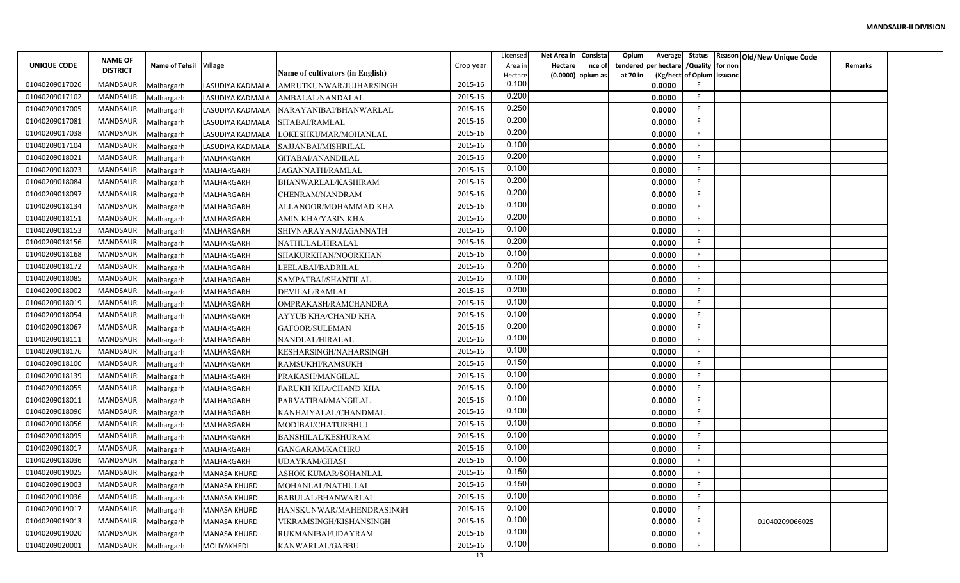|                | <b>NAME OF</b>  |                          |                     |                                             |           | Licensed         | Net Area in    | Consista          | Opium    |                                        |                           | Average Status Reason Old/New Unique Code |                |  |
|----------------|-----------------|--------------------------|---------------------|---------------------------------------------|-----------|------------------|----------------|-------------------|----------|----------------------------------------|---------------------------|-------------------------------------------|----------------|--|
| UNIQUE CODE    | <b>DISTRICT</b> | Name of Tehsil Village   |                     |                                             | Crop year | Area in          | <b>Hectare</b> | nce of            |          | tendered per hectare / Quality for non |                           |                                           | <b>Remarks</b> |  |
| 01040209017026 | MANDSAUR        |                          | LASUDIYA KADMALA    | Name of cultivators (in English)            | 2015-16   | Hectare<br>0.100 |                | (0.0000) opium as | at 70 in | 0.0000                                 | (Kg/hect of Opium issuanc |                                           |                |  |
| 01040209017102 | MANDSAUR        | Malhargarh<br>Malhargarh | LASUDIYA KADMALA    | AMRUTKUNWAR/JUJHARSINGH<br>AMBALAL/NANDALAL | 2015-16   | 0.200            |                |                   |          | 0.0000                                 | F.                        |                                           |                |  |
| 01040209017005 | MANDSAUR        | Malhargarh               | LASUDIYA KADMALA    | NARAYANIBAI/BHANWARLAL                      | 2015-16   | 0.250            |                |                   |          | 0.0000                                 | -F                        |                                           |                |  |
| 01040209017081 | <b>MANDSAUR</b> | Malhargarh               | LASUDIYA KADMALA    | SITABAI/RAMLAL                              | 2015-16   | 0.200            |                |                   |          | 0.0000                                 | F.                        |                                           |                |  |
| 01040209017038 | MANDSAUR        | Malhargarh               | LASUDIYA KADMALA    | LOKESHKUMAR/MOHANLAL                        | 2015-16   | 0.200            |                |                   |          | 0.0000                                 | F.                        |                                           |                |  |
| 01040209017104 | MANDSAUR        | Malhargarh               | LASUDIYA KADMALA    | SAJJANBAI/MISHRILAL                         | 2015-16   | 0.100            |                |                   |          | 0.0000                                 | F.                        |                                           |                |  |
| 01040209018021 | MANDSAUR        | Malhargarh               | MALHARGARH          | GITABAI/ANANDILAL                           | 2015-16   | 0.200            |                |                   |          | 0.0000                                 | F                         |                                           |                |  |
| 01040209018073 | MANDSAUR        | Malhargarh               | MALHARGARH          | <b>JAGANNATH/RAMLAL</b>                     | 2015-16   | 0.100            |                |                   |          | 0.0000                                 | F.                        |                                           |                |  |
| 01040209018084 | MANDSAUR        | Malhargarh               | MALHARGARH          | BHANWARLAL/KASHIRAM                         | 2015-16   | 0.200            |                |                   |          | 0.0000                                 | F                         |                                           |                |  |
| 01040209018097 | MANDSAUR        | Malhargarh               | MALHARGARH          | CHENRAM/NANDRAM                             | 2015-16   | 0.200            |                |                   |          | 0.0000                                 | F                         |                                           |                |  |
| 01040209018134 | MANDSAUR        | Malhargarh               | MALHARGARH          | ALLANOOR/MOHAMMAD KHA                       | 2015-16   | 0.100            |                |                   |          | 0.0000                                 | -F                        |                                           |                |  |
| 01040209018151 | MANDSAUR        | Malhargarh               | MALHARGARH          | AMIN KHA/YASIN KHA                          | 2015-16   | 0.200            |                |                   |          | 0.0000                                 | -F                        |                                           |                |  |
| 01040209018153 | MANDSAUR        | Malhargarh               | MALHARGARH          | SHIVNARAYAN/JAGANNATH                       | 2015-16   | 0.100            |                |                   |          | 0.0000                                 | F.                        |                                           |                |  |
| 01040209018156 | MANDSAUR        | Malhargarh               | MALHARGARH          | NATHULAL/HIRALAL                            | 2015-16   | 0.200            |                |                   |          | 0.0000                                 | F                         |                                           |                |  |
| 01040209018168 | MANDSAUR        | Malhargarh               | MALHARGARH          | SHAKURKHAN/NOORKHAN                         | 2015-16   | 0.100            |                |                   |          | 0.0000                                 | F.                        |                                           |                |  |
| 01040209018172 | MANDSAUR        | Malhargarh               | MALHARGARH          | LEELABAI/BADRILAL                           | 2015-16   | 0.200            |                |                   |          | 0.0000                                 | F.                        |                                           |                |  |
| 01040209018085 | MANDSAUR        | Malhargarh               | MALHARGARH          | SAMPATBAI/SHANTILAL                         | 2015-16   | 0.100            |                |                   |          | 0.0000                                 | F                         |                                           |                |  |
| 01040209018002 | MANDSAUR        | Malhargarh               | MALHARGARH          | DEVILAL/RAMLAL                              | 2015-16   | 0.200            |                |                   |          | 0.0000                                 | F                         |                                           |                |  |
| 01040209018019 | MANDSAUR        | Malhargarh               | MALHARGARH          | OMPRAKASH/RAMCHANDRA                        | 2015-16   | 0.100            |                |                   |          | 0.0000                                 | -F                        |                                           |                |  |
| 01040209018054 | MANDSAUR        | Malhargarh               | MALHARGARH          | AYYUB KHA/CHAND KHA                         | 2015-16   | 0.100            |                |                   |          | 0.0000                                 | F.                        |                                           |                |  |
| 01040209018067 | MANDSAUR        | Malhargarh               | MALHARGARH          | GAFOOR/SULEMAN                              | 2015-16   | 0.200            |                |                   |          | 0.0000                                 | -F                        |                                           |                |  |
| 01040209018111 | MANDSAUR        | Malhargarh               | MALHARGARH          | NANDLAL/HIRALAL                             | 2015-16   | 0.100            |                |                   |          | 0.0000                                 | F.                        |                                           |                |  |
| 01040209018176 | MANDSAUR        | Malhargarh               | MALHARGARH          | KESHARSINGH/NAHARSINGH                      | 2015-16   | 0.100            |                |                   |          | 0.0000                                 | F.                        |                                           |                |  |
| 01040209018100 | MANDSAUR        | Malhargarh               | MALHARGARH          | RAMSUKHI/RAMSUKH                            | 2015-16   | 0.150            |                |                   |          | 0.0000                                 | F                         |                                           |                |  |
| 01040209018139 | MANDSAUR        | Malhargarh               | MALHARGARH          | PRAKASH/MANGILAL                            | 2015-16   | 0.100            |                |                   |          | 0.0000                                 | F                         |                                           |                |  |
| 01040209018055 | MANDSAUR        | Malhargarh               | MALHARGARH          | FARUKH KHA/CHAND KHA                        | 2015-16   | 0.100            |                |                   |          | 0.0000                                 | E                         |                                           |                |  |
| 01040209018011 | MANDSAUR        | Malhargarh               | MALHARGARH          | PARVATIBAI/MANGILAL                         | 2015-16   | 0.100            |                |                   |          | 0.0000                                 | -F                        |                                           |                |  |
| 01040209018096 | MANDSAUR        | Malhargarh               | MALHARGARH          | KANHAIYALAL/CHANDMAL                        | 2015-16   | 0.100            |                |                   |          | 0.0000                                 | E                         |                                           |                |  |
| 01040209018056 | <b>MANDSAUR</b> | Malhargarh               | MALHARGARH          | MODIBAI/CHATURBHUJ                          | 2015-16   | 0.100            |                |                   |          | 0.0000                                 | F.                        |                                           |                |  |
| 01040209018095 | MANDSAUR        | Malhargarh               | MALHARGARH          | BANSHILAL/KESHURAM                          | 2015-16   | 0.100            |                |                   |          | 0.0000                                 | F                         |                                           |                |  |
| 01040209018017 | MANDSAUR        | Malhargarh               | MALHARGARH          | <b>GANGARAM/KACHRU</b>                      | 2015-16   | 0.100            |                |                   |          | 0.0000                                 | F.                        |                                           |                |  |
| 01040209018036 | MANDSAUR        | Malhargarh               | MALHARGARH          | UDAYRAM/GHASI                               | 2015-16   | 0.100            |                |                   |          | 0.0000                                 | F                         |                                           |                |  |
| 01040209019025 | MANDSAUR        | Malhargarh               | <b>MANASA KHURD</b> | ASHOK KUMAR/SOHANLAL                        | 2015-16   | 0.150            |                |                   |          | 0.0000                                 | F.                        |                                           |                |  |
| 01040209019003 | MANDSAUR        | Malhargarh               | <b>MANASA KHURD</b> | MOHANLAL/NATHULAL                           | 2015-16   | 0.150            |                |                   |          | 0.0000                                 | F                         |                                           |                |  |
| 01040209019036 | MANDSAUR        | Malhargarh               | <b>MANASA KHURD</b> | BABULAL/BHANWARLAL                          | 2015-16   | 0.100            |                |                   |          | 0.0000                                 | F                         |                                           |                |  |
| 01040209019017 | MANDSAUR        | Malhargarh               | <b>MANASA KHURD</b> | HANSKUNWAR/MAHENDRASINGH                    | 2015-16   | 0.100            |                |                   |          | 0.0000                                 | F                         |                                           |                |  |
| 01040209019013 | MANDSAUR        | Malhargarh               | <b>MANASA KHURD</b> | VIKRAMSINGH/KISHANSINGH                     | 2015-16   | 0.100            |                |                   |          | 0.0000                                 | F                         | 01040209066025                            |                |  |
| 01040209019020 | MANDSAUR        | Malhargarh               | <b>MANASA KHURD</b> | RUKMANIBAI/UDAYRAM                          | 2015-16   | 0.100            |                |                   |          | 0.0000                                 | F.                        |                                           |                |  |
| 01040209020001 | MANDSAUR        | Malhargarh               | MOLIYAKHEDI         | KANWARLAL/GABBU                             | 2015-16   | 0.100            |                |                   |          | 0.0000                                 | F.                        |                                           |                |  |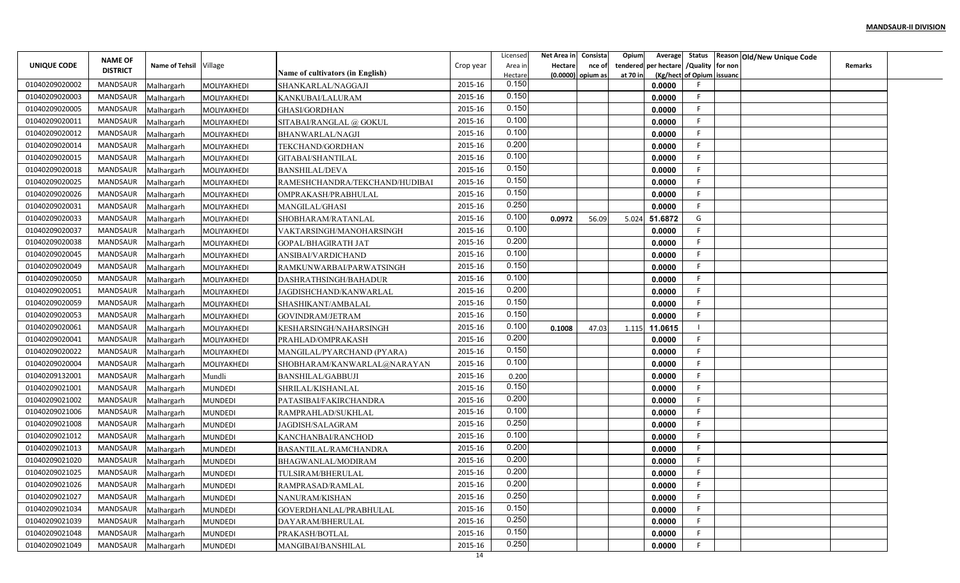|                                                                                                                                                                          | Average Status Reason Old/New Unique Code |
|--------------------------------------------------------------------------------------------------------------------------------------------------------------------------|-------------------------------------------|
| <b>NAME OF</b><br>Name of Tehsil Village<br>tendered per hectare / Quality for non<br>UNIQUE CODE<br>Crop year<br><b>Hectare</b><br>Area in<br>nce of<br><b>DISTRICT</b> | <b>Remarks</b>                            |
| <b>Name of cultivators (in English)</b><br>(Kg/hect of Opium issuanc<br>(0.0000) opium as<br>at 70 in<br>Hectare<br>0.150                                                |                                           |
| 2015-16<br>01040209020002<br>MANDSAUR<br>0.0000<br>MOLIYAKHEDI<br>SHANKARLAL/NAGGAJI<br>Malhargarh<br>0.150                                                              |                                           |
| 2015-16<br>01040209020003<br>MANDSAUR<br>F.<br>MOLIYAKHEDI<br>KANKUBAI/LALURAM<br>0.0000<br>Malhargarh<br>0.150                                                          |                                           |
| 01040209020005<br>MANDSAUR<br>2015-16<br>-F<br>GHASI/GORDHAN<br>0.0000<br>Malhargarh<br>MOLIYAKHEDI<br>0.100                                                             |                                           |
| 01040209020011<br><b>MANDSAUR</b><br>2015-16<br>F.<br>SITABAI/RANGLAL @ GOKUL<br>0.0000<br>Malhargarh<br>MOLIYAKHEDI<br>0.100                                            |                                           |
| MANDSAUR<br>2015-16<br>F.<br>01040209020012<br>0.0000<br>Malhargarh<br>MOLIYAKHEDI<br>BHANWARLAL/NAGJI                                                                   |                                           |
| 0.200<br>01040209020014<br>MANDSAUR<br>2015-16<br>F.<br>0.0000<br>Malhargarh<br>MOLIYAKHEDI<br>TEKCHAND/GORDHAN                                                          |                                           |
| 0.100<br>01040209020015<br>2015-16<br>F.<br>MANDSAUR<br>GITABAI/SHANTILAL<br>0.0000<br>Malhargarh<br>MOLIYAKHEDI                                                         |                                           |
| 0.150<br>01040209020018<br>MANDSAUR<br>2015-16<br>F.<br>MOLIYAKHEDI<br><b>BANSHILAL/DEVA</b><br>0.0000<br>Malhargarh                                                     |                                           |
| 0.150<br>01040209020025<br>MANDSAUR<br>2015-16<br>RAMESHCHANDRA/TEKCHAND/HUDIBAI<br>0.0000<br>F<br>Malhargarh<br>MOLIYAKHEDI                                             |                                           |
| 0.150<br>2015-16<br>01040209020026<br>MANDSAUR<br>F<br>OMPRAKASH/PRABHULAL<br>0.0000<br>Malhargarh<br>MOLIYAKHEDI                                                        |                                           |
| 0.250<br>-F<br>01040209020031<br>MANDSAUR<br>2015-16<br>0.0000<br>Malhargarh<br>MOLIYAKHEDI<br>MANGILAL/GHASI                                                            |                                           |
| 0.100<br>01040209020033<br>MANDSAUR<br>2015-16<br>G<br>51.6872<br>5.024<br>Malhargarh<br>MOLIYAKHEDI<br>SHOBHARAM/RATANLAL<br>0.0972<br>56.09                            |                                           |
| 0.100<br>MANDSAUR<br>2015-16<br>-F<br>01040209020037<br>0.0000<br>Malhargarh<br>MOLIYAKHEDI<br>VAKTARSINGH/MANOHARSINGH                                                  |                                           |
| 0.200<br>01040209020038<br>MANDSAUR<br>2015-16<br>F<br>GOPAL/BHAGIRATH JAT<br>0.0000<br>MOLIYAKHEDI<br>Malhargarh                                                        |                                           |
| 0.100<br>01040209020045<br>MANDSAUR<br>2015-16<br>F.<br>0.0000<br>Malhargarh<br>MOLIYAKHEDI<br>ANSIBAI/VARDICHAND                                                        |                                           |
| 0.150<br>01040209020049<br>MANDSAUR<br>2015-16<br>F.<br>MOLIYAKHEDI<br>0.0000<br>RAMKUNWARBAI/PARWATSINGH<br>Malhargarh                                                  |                                           |
| 0.100<br>01040209020050<br>MANDSAUR<br>2015-16<br>F<br>DASHRATHSINGH/BAHADUR<br>0.0000<br>Malhargarh<br>MOLIYAKHEDI                                                      |                                           |
| 0.200<br>2015-16<br>01040209020051<br>MANDSAUR<br>F<br>0.0000<br>JAGDISHCHAND/KANWARLAL<br>Malhargarh<br>MOLIYAKHEDI                                                     |                                           |
| 0.150<br>01040209020059<br>MANDSAUR<br>2015-16<br>-F<br>0.0000<br>Malhargarh<br>MOLIYAKHEDI<br>SHASHIKANT/AMBALAL                                                        |                                           |
| 0.150<br>01040209020053<br>MANDSAUR<br>2015-16<br>F.<br>0.0000<br>Malhargarh<br>MOLIYAKHEDI<br><b>GOVINDRAM/JETRAM</b>                                                   |                                           |
| 0.100<br>2015-16<br>01040209020061<br>MANDSAUR<br>11.0615<br>Malhargarh<br>MOLIYAKHEDI<br>KESHARSINGH/NAHARSINGH<br>0.1008<br>47.03<br>1.115                             |                                           |
| 0.200<br>01040209020041<br>MANDSAUR<br>2015-16<br>F.<br>0.0000<br>Malhargarh<br>MOLIYAKHEDI<br>PRAHLAD/OMPRAKASH                                                         |                                           |
| 0.150<br>01040209020022<br>MANDSAUR<br>2015-16<br>F.<br>0.0000<br>Malhargarh<br>MOLIYAKHEDI<br>MANGILAL/PYARCHAND (PYARA)                                                |                                           |
| 0.100<br>F<br>01040209020004<br>MANDSAUR<br>2015-16<br>SHOBHARAM/KANWARLAL@NARAYAN<br>0.0000<br>Malhargarh<br>MOLIYAKHEDI                                                |                                           |
| 01040209132001<br>MANDSAUR<br>2015-16<br>F<br>Mundli<br>0.0000<br>Malhargarh<br><b>BANSHILAL/GABBUJI</b><br>0.200                                                        |                                           |
| 0.150<br>01040209021001<br>2015-16<br>MANDSAUR<br>F<br>SHRILAL/KISHANLAL<br>0.0000<br>Malhargarh<br><b>MUNDEDI</b>                                                       |                                           |
| 0.200<br>01040209021002<br>MANDSAUR<br>2015-16<br>F.<br>Malhargarh<br><b>MUNDEDI</b><br>PATASIBAI/FAKIRCHANDRA<br>0.0000                                                 |                                           |
| 0.100<br>F<br>01040209021006<br>MANDSAUR<br>2015-16<br>RAMPRAHLAD/SUKHLAL<br>0.0000<br>Malhargarh<br><b>MUNDEDI</b>                                                      |                                           |
| 0.250<br>01040209021008<br><b>MANDSAUR</b><br>2015-16<br>F.<br><b>JAGDISH/SALAGRAM</b><br>0.0000<br>Malhargarh<br><b>MUNDEDI</b>                                         |                                           |
| 0.100<br>2015-16<br>01040209021012<br>MANDSAUR<br>E<br>KANCHANBAI/RANCHOD<br>0.0000<br>Malhargarh<br><b>MUNDEDI</b>                                                      |                                           |
| 0.200<br>01040209021013<br>MANDSAUR<br>2015-16<br>F.<br>0.0000<br>Malhargarh<br><b>MUNDEDI</b><br>BASANTILAL/RAMCHANDRA                                                  |                                           |
| 0.200<br>01040209021020<br>F<br>MANDSAUR<br>2015-16<br>0.0000<br>Malhargarh<br><b>MUNDEDI</b><br>BHAGWANLAL/MODIRAM                                                      |                                           |
| 0.200<br>01040209021025<br>MANDSAUR<br>2015-16<br>F.<br>0.0000                                                                                                           |                                           |
| Malhargarh<br><b>MUNDEDI</b><br>TULSIRAM/BHERULAL<br>0.200<br>01040209021026<br>2015-16<br>F<br>MANDSAUR<br>0.0000                                                       |                                           |
| Malhargarh<br><b>MUNDEDI</b><br>RAMPRASAD/RAMLAL<br>0.250<br>2015-16<br>01040209021027<br>MANDSAUR<br>F                                                                  |                                           |
| Malhargarh<br><b>MUNDEDI</b><br>0.0000<br>NANURAM/KISHAN<br>0.150<br>F.                                                                                                  |                                           |
| 01040209021034<br>2015-16<br>MANDSAUR<br>0.0000<br>Malhargarh<br><b>MUNDEDI</b><br>GOVERDHANLAL/PRABHULAL<br>0.250<br>F                                                  |                                           |
| 01040209021039<br>MANDSAUR<br>2015-16<br><b>MUNDEDI</b><br>0.0000<br>Malhargarh<br>DAYARAM/BHERULAL<br>0.150                                                             |                                           |
| MANDSAUR<br>2015-16<br>F.<br>01040209021048<br>0.0000<br>Malhargarh<br><b>MUNDEDI</b><br>PRAKASH/BOTLAL                                                                  |                                           |
| 0.250<br>2015-16<br>01040209021049<br>MANDSAUR<br>F<br>0.0000<br>MANGIBAI/BANSHILAL<br>Malhargarh<br><b>MUNDEDI</b><br>14                                                |                                           |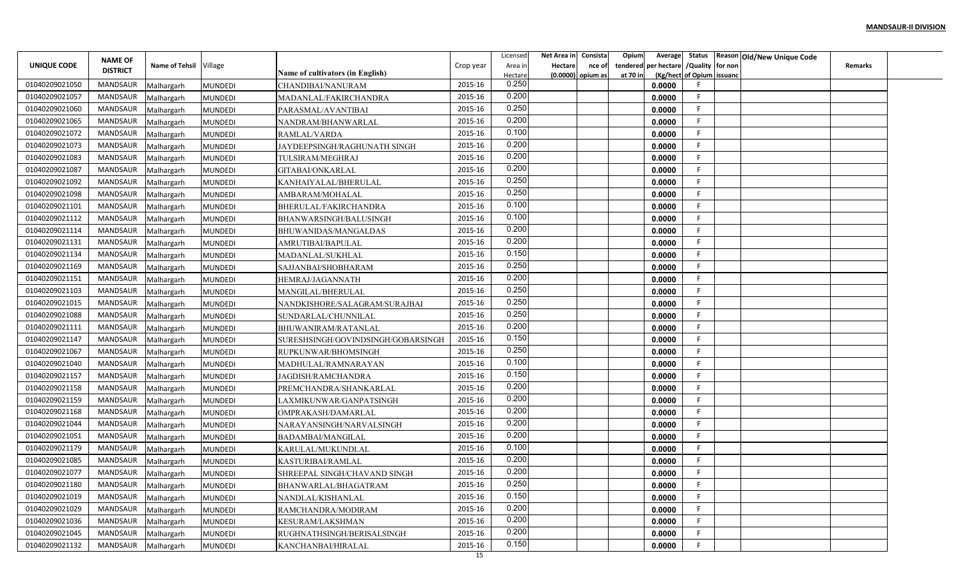|                |                 |                          |                                  |                                                      |           | Licensed | Net Area in | Consista            | Opium<br>Average        |                           | Status Reason Old/New Unique Code |                |  |
|----------------|-----------------|--------------------------|----------------------------------|------------------------------------------------------|-----------|----------|-------------|---------------------|-------------------------|---------------------------|-----------------------------------|----------------|--|
| UNIQUE CODE    | <b>NAME OF</b>  | Name of Tehsil Village   |                                  |                                                      | Crop year | Area in  | Hectare     | nce of              | per hectare<br>tendered | /Quality for non          |                                   | <b>Remarks</b> |  |
|                | <b>DISTRICT</b> |                          |                                  | Name of cultivators (in English)                     |           | Hectare  |             | $(0.0000)$ opium as | at 70 in                | (Kg/hect of Opium issuanc |                                   |                |  |
| 01040209021050 | <b>MANDSAUR</b> | Malhargarh               | <b>MUNDEDI</b>                   | CHANDIBAI/NANURAM                                    | 2015-16   | 0.250    |             |                     | 0.0000                  |                           |                                   |                |  |
| 01040209021057 | <b>MANDSAUR</b> | Malhargarh               | <b>MUNDEDI</b>                   | MADANLAL/FAKIRCHANDRA                                | 2015-16   | 0.200    |             |                     | 0.0000                  | -F                        |                                   |                |  |
| 01040209021060 | MANDSAUR        | Malhargarh               | <b>MUNDEDI</b>                   | PARASMAL/AVANTIBAI                                   | 2015-16   | 0.250    |             |                     | 0.0000                  | -F                        |                                   |                |  |
| 01040209021065 | <b>MANDSAUR</b> | Malhargarh               | <b>MUNDEDI</b>                   | NANDRAM/BHANWARLAL                                   | 2015-16   | 0.200    |             |                     | 0.0000                  | F                         |                                   |                |  |
| 01040209021072 | <b>MANDSAUR</b> | Malhargarh               | <b>MUNDEDI</b>                   | RAMLAL/VARDA                                         | 2015-16   | 0.100    |             |                     | 0.0000                  |                           |                                   |                |  |
| 01040209021073 | <b>MANDSAUR</b> | Malhargarh               | <b>MUNDEDI</b>                   | JAYDEEPSINGH/RAGHUNATH SINGH                         | 2015-16   | 0.200    |             |                     | 0.0000                  | -F                        |                                   |                |  |
| 01040209021083 | MANDSAUR        | Malhargarh               | <b>MUNDEDI</b>                   | TULSIRAM/MEGHRAJ                                     | 2015-16   | 0.200    |             |                     | 0.0000                  | -F                        |                                   |                |  |
| 01040209021087 | <b>MANDSAUR</b> | Malhargarh               | <b>MUNDEDI</b>                   | GITABAI/ONKARLAL                                     | 2015-16   | 0.200    |             |                     | 0.0000                  |                           |                                   |                |  |
| 01040209021092 | MANDSAUR        | Malhargarh               | <b>MUNDEDI</b>                   | KANHAIYALAL/BHERULAL                                 | 2015-16   | 0.250    |             |                     | 0.0000                  |                           |                                   |                |  |
| 01040209021098 | MANDSAUR        | Malhargarh               | <b>MUNDEDI</b>                   | AMBARAM/MOHALAI                                      | 2015-16   | 0.250    |             |                     | 0.0000                  | F                         |                                   |                |  |
| 01040209021101 | <b>MANDSAUR</b> | Malhargarh               | <b>MUNDEDI</b>                   | BHERULAL/FAKIRCHANDRA                                | 2015-16   | 0.100    |             |                     | 0.0000                  | -F                        |                                   |                |  |
| 01040209021112 | <b>MANDSAUR</b> | Malhargarh               | <b>MUNDEDI</b>                   | BHANWARSINGH/BALUSINGH                               | 2015-16   | 0.100    |             |                     | 0.0000                  | -F                        |                                   |                |  |
| 01040209021114 | <b>MANDSAUR</b> | Malhargarh               | <b>MUNDEDI</b>                   | BHUWANIDAS/MANGALDAS                                 | 2015-16   | 0.200    |             |                     | 0.0000                  |                           |                                   |                |  |
| 01040209021131 | <b>MANDSAUR</b> | Malhargarh               | <b>MUNDEDI</b>                   | AMRUTIBAI/BAPULAL                                    | 2015-16   | 0.200    |             |                     | 0.0000                  |                           |                                   |                |  |
| 01040209021134 | <b>MANDSAUR</b> | Malhargarh               | MUNDEDI                          | MADANLAL/SUKHLAL                                     | 2015-16   | 0.150    |             |                     | 0.0000                  | - 6                       |                                   |                |  |
| 01040209021169 | <b>MANDSAUR</b> | Malhargarh               | <b>MUNDEDI</b>                   | SAJJANBAI/SHOBHARAM                                  | 2015-16   | 0.250    |             |                     | 0.0000                  |                           |                                   |                |  |
| 01040209021151 | <b>MANDSAUR</b> | Malhargarh               | <b>MUNDEDI</b>                   | HEMRAJ/JAGANNATH                                     | 2015-16   | 0.200    |             |                     | 0.0000                  |                           |                                   |                |  |
| 01040209021103 | <b>MANDSAUR</b> | Malhargarh               | <b>MUNDEDI</b>                   | MANGILAL/BHERULAL                                    | 2015-16   | 0.250    |             |                     | 0.0000                  | -F                        |                                   |                |  |
| 01040209021015 | MANDSAUR        | Malhargarh               | <b>MUNDEDI</b>                   | NANDKISHORE/SALAGRAM/SURAJBAI                        | 2015-16   | 0.250    |             |                     | 0.0000                  |                           |                                   |                |  |
| 01040209021088 | MANDSAUR        | Malhargarh               | <b>MUNDEDI</b>                   | SUNDARLAL/CHUNNILAL                                  | 2015-16   | 0.250    |             |                     | 0.0000                  | -F                        |                                   |                |  |
| 01040209021111 | <b>MANDSAUR</b> | Malhargarh               | <b>MUNDEDI</b>                   | BHUWANIRAM/RATANLAL                                  | 2015-16   | 0.200    |             |                     | 0.0000                  | -F                        |                                   |                |  |
| 01040209021147 | <b>MANDSAUR</b> | Malhargarh               | <b>MUNDEDI</b>                   | SURESHSINGH/GOVINDSINGH/GOBARSINGH                   | 2015-16   | 0.150    |             |                     | 0.0000                  |                           |                                   |                |  |
| 01040209021067 | <b>MANDSAUR</b> | Malhargarh               | <b>MUNDEDI</b>                   | RUPKUNWAR/BHOMSINGH                                  | 2015-16   | 0.250    |             |                     | 0.0000                  | -F                        |                                   |                |  |
| 01040209021040 | <b>MANDSAUR</b> | Malhargarh               | <b>MUNDEDI</b>                   | MADHULAL/RAMNARAYAN                                  | 2015-16   | 0.100    |             |                     | 0.0000                  | -F                        |                                   |                |  |
| 01040209021157 | <b>MANDSAUR</b> | Malhargarh               | <b>MUNDEDI</b>                   | <b>JAGDISH/RAMCHANDRA</b>                            | 2015-16   | 0.150    |             |                     | 0.0000                  |                           |                                   |                |  |
| 01040209021158 | MANDSAUR        | Malhargarh               | <b>MUNDEDI</b>                   | PREMCHANDRA/SHANKARLAL                               | 2015-16   | 0.200    |             |                     | 0.0000                  |                           |                                   |                |  |
| 01040209021159 | MANDSAUR        | Malhargarh               | <b>MUNDEDI</b>                   | LAXMIKUNWAR/GANPATSINGH                              | 2015-16   | 0.200    |             |                     | 0.0000                  | -F                        |                                   |                |  |
| 01040209021168 | MANDSAUR        | Malhargarh               | <b>MUNDEDI</b>                   | OMPRAKASH/DAMARLAL                                   | 2015-16   | 0.200    |             |                     | 0.0000                  | F                         |                                   |                |  |
| 01040209021044 | <b>MANDSAUR</b> | Malhargarh               | <b>MUNDEDI</b>                   | NARAYANSINGH/NARVALSINGH                             | 2015-16   | 0.200    |             |                     | 0.0000                  | -F                        |                                   |                |  |
| 01040209021051 | <b>MANDSAUR</b> | Malhargarh               | MUNDEDI                          | BADAMBAI/MANGILAL                                    | 2015-16   | 0.200    |             |                     | 0.0000                  |                           |                                   |                |  |
| 01040209021179 | <b>MANDSAUR</b> | Malhargarh               | <b>MUNDEDI</b>                   | KARULAL/MUKUNDLAI                                    | 2015-16   | 0.100    |             |                     | 0.0000                  |                           |                                   |                |  |
| 01040209021085 | MANDSAUR        | Malhargarh               | <b>MUNDEDI</b>                   | KASTURIBAI/RAMLAL                                    | 2015-16   | 0.200    |             |                     | 0.0000                  |                           |                                   |                |  |
| 01040209021077 | MANDSAUR        |                          |                                  |                                                      | 2015-16   | 0.200    |             |                     | 0.0000                  |                           |                                   |                |  |
| 01040209021180 | MANDSAUR        | Malhargarh<br>Malhargarh | <b>MUNDEDI</b><br><b>MUNDEDI</b> | SHREEPAL SINGH/CHAVAND SINGH<br>BHANWARLAL/BHAGATRAM | 2015-16   | 0.250    |             |                     | 0.0000                  |                           |                                   |                |  |
| 01040209021019 | MANDSAUR        |                          | <b>MUNDEDI</b>                   |                                                      | 2015-16   | 0.150    |             |                     | 0.0000                  | -F                        |                                   |                |  |
| 01040209021029 | MANDSAUR        | Malhargarh<br>Malhargarh |                                  | NANDLAL/KISHANLAL<br>RAMCHANDRA/MODIRAM              | 2015-16   | 0.200    |             |                     | 0.0000                  | -F                        |                                   |                |  |
| 01040209021036 | MANDSAUR        |                          | <b>MUNDEDI</b>                   | KESURAM/LAKSHMAN                                     | 2015-16   | 0.200    |             |                     | 0.0000                  | -F                        |                                   |                |  |
| 01040209021045 | MANDSAUR        | Malhargarh               | <b>MUNDEDI</b>                   |                                                      | 2015-16   | 0.200    |             |                     |                         | -F                        |                                   |                |  |
| 01040209021132 | MANDSAUR        | Malhargarh               | <b>MUNDEDI</b>                   | RUGHNATHSINGH/BERISALSINGH                           | 2015-16   | 0.150    |             |                     | 0.0000                  |                           |                                   |                |  |
|                |                 | Malhargarh               | <b>MUNDEDI</b>                   | KANCHANBAI/HIRALAL                                   | 15        |          |             |                     | 0.0000                  |                           |                                   |                |  |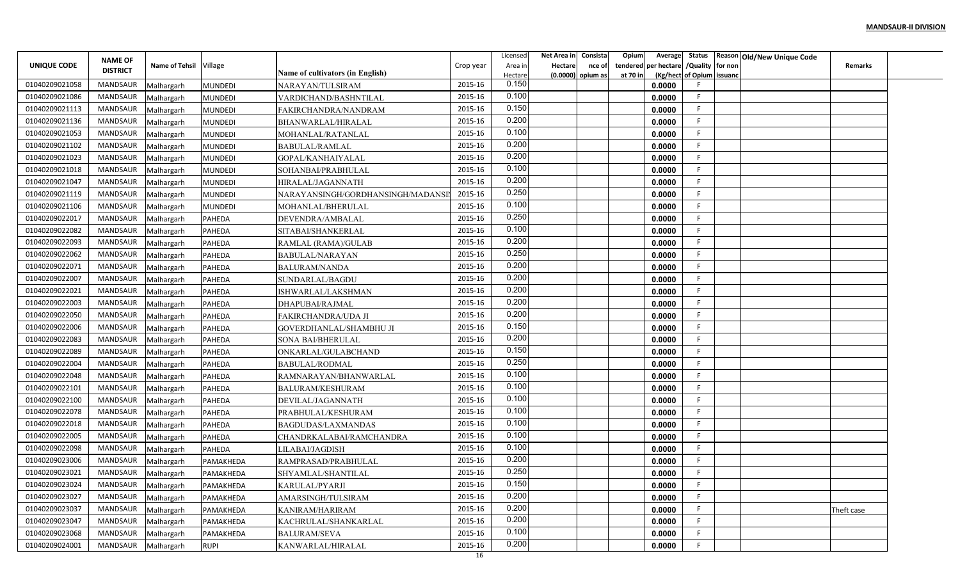|                | <b>NAME OF</b>  |                        |                |                                         |                    | Licensed         | Net Area in Consista     | Opium    | Average                         |                           | Status Reason Old/New Unique Code |                |  |
|----------------|-----------------|------------------------|----------------|-----------------------------------------|--------------------|------------------|--------------------------|----------|---------------------------------|---------------------------|-----------------------------------|----------------|--|
| UNIQUE CODE    | <b>DISTRICT</b> | Name of Tehsil Village |                |                                         | Crop year          | Area in          | <b>Hectare</b><br>nce of | tendered | per hectare / Quality   for non |                           |                                   | <b>Remarks</b> |  |
| 01040209021058 | MANDSAUR        |                        |                | <b>Name of cultivators (in English)</b> | 2015-16            | Hectare<br>0.150 | (0.0000) opium as        | at 70 in |                                 | (Kg/hect of Opium issuanc |                                   |                |  |
| 01040209021086 | MANDSAUR        | Malhargarh             | <b>MUNDEDI</b> | NARAYAN/TULSIRAM                        | 2015-16            | 0.100            |                          |          | 0.0000                          | F                         |                                   |                |  |
| 01040209021113 |                 | Malhargarh             | <b>MUNDEDI</b> | VARDICHAND/BASHNTILAL                   |                    | 0.150            |                          |          | 0.0000                          | F                         |                                   |                |  |
|                | MANDSAUR        | Malhargarh             | <b>MUNDEDI</b> | FAKIRCHANDRA/NANDRAM                    | 2015-16            | 0.200            |                          |          | 0.0000                          | F.                        |                                   |                |  |
| 01040209021136 | MANDSAUR        | Malhargarh             | <b>MUNDEDI</b> | BHANWARLAL/HIRALAL                      | 2015-16<br>2015-16 | 0.100            |                          |          | 0.0000                          |                           |                                   |                |  |
| 01040209021053 | MANDSAUR        | Malhargarh             | MUNDEDI        | MOHANLAL/RATANLAL                       |                    | 0.200            |                          |          | 0.0000                          |                           |                                   |                |  |
| 01040209021102 | MANDSAUR        | Malhargarh             | <b>MUNDEDI</b> | BABULAL/RAMLAL                          | 2015-16            | 0.200            |                          |          | 0.0000                          |                           |                                   |                |  |
| 01040209021023 | MANDSAUR        | Malhargarh             | <b>MUNDEDI</b> | GOPAL/KANHAIYALAL                       | 2015-16            | 0.100            |                          |          | 0.0000                          |                           |                                   |                |  |
| 01040209021018 | MANDSAUR        | Malhargarh             | <b>MUNDEDI</b> | SOHANBAI/PRABHULAL                      | 2015-16            | 0.200            |                          |          | 0.0000                          |                           |                                   |                |  |
| 01040209021047 | MANDSAUR        | Malhargarh             | <b>MUNDEDI</b> | HIRALAL/JAGANNATH                       | 2015-16            |                  |                          |          | 0.0000                          |                           |                                   |                |  |
| 01040209021119 | MANDSAUR        | Malhargarh             | <b>MUNDEDI</b> | NARAYANSINGH/GORDHANSINGH/MADANS        | 2015-16            | 0.250            |                          |          | 0.0000                          |                           |                                   |                |  |
| 01040209021106 | MANDSAUR        | Malhargarh             | <b>MUNDEDI</b> | MOHANLAL/BHERULAL                       | 2015-16            | 0.100            |                          |          | 0.0000                          | F                         |                                   |                |  |
| 01040209022017 | MANDSAUR        | Malhargarh             | <b>PAHEDA</b>  | DEVENDRA/AMBALAL                        | 2015-16            | 0.250            |                          |          | 0.0000                          |                           |                                   |                |  |
| 01040209022082 | MANDSAUR        | Malhargarh             | <b>PAHEDA</b>  | SITABAI/SHANKERLAL                      | 2015-16            | 0.100            |                          |          | 0.0000                          |                           |                                   |                |  |
| 01040209022093 | MANDSAUR        | Malhargarh             | <b>PAHEDA</b>  | RAMLAL (RAMA)/GULAB                     | 2015-16            | 0.200            |                          |          | 0.0000                          |                           |                                   |                |  |
| 01040209022062 | MANDSAUR        | Malhargarh             | <b>PAHEDA</b>  | <b>BABULAL/NARAYAN</b>                  | 2015-16            | 0.250            |                          |          | 0.0000                          |                           |                                   |                |  |
| 01040209022071 | MANDSAUR        | Malhargarh             | <b>PAHEDA</b>  | <b>BALURAM/NANDA</b>                    | 2015-16            | 0.200            |                          |          | 0.0000                          |                           |                                   |                |  |
| 01040209022007 | MANDSAUR        | Malhargarh             | <b>PAHEDA</b>  | SUNDARLAL/BAGDU                         | 2015-16            | 0.200            |                          |          | 0.0000                          |                           |                                   |                |  |
| 01040209022021 | MANDSAUR        | Malhargarh             | <b>PAHEDA</b>  | ISHWARLAL/LAKSHMAN                      | 2015-16            | 0.200            |                          |          | 0.0000                          |                           |                                   |                |  |
| 01040209022003 | MANDSAUR        | Malhargarh             | <b>PAHEDA</b>  | DHAPUBAI/RAJMAL                         | 2015-16            | 0.200            |                          |          | 0.0000                          | -F                        |                                   |                |  |
| 01040209022050 | MANDSAUR        | Malhargarh             | PAHEDA         | FAKIRCHANDRA/UDA JI                     | 2015-16            | 0.200            |                          |          | 0.0000                          | F                         |                                   |                |  |
| 01040209022006 | MANDSAUR        | Malhargarh             | PAHEDA         | GOVERDHANLAL/SHAMBHU JI                 | 2015-16            | 0.150            |                          |          | 0.0000                          |                           |                                   |                |  |
| 01040209022083 | MANDSAUR        | Malhargarh             | <b>PAHEDA</b>  | SONA BAI/BHERULAL                       | 2015-16            | 0.200            |                          |          | 0.0000                          | F                         |                                   |                |  |
| 01040209022089 | MANDSAUR        | Malhargarh             | <b>PAHEDA</b>  | ONKARLAL/GULABCHAND                     | 2015-16            | 0.150            |                          |          | 0.0000                          |                           |                                   |                |  |
| 01040209022004 | MANDSAUR        | Malhargarh             | PAHEDA         | <b>BABULAL/RODMAL</b>                   | 2015-16            | 0.250            |                          |          | 0.0000                          | F                         |                                   |                |  |
| 01040209022048 | MANDSAUR        | Malhargarh             | <b>PAHEDA</b>  | RAMNARAYAN/BHANWARLAL                   | 2015-16            | 0.100            |                          |          | 0.0000                          |                           |                                   |                |  |
| 01040209022101 | MANDSAUR        | Malhargarh             | <b>PAHEDA</b>  | BALURAM/KESHURAM                        | 2015-16            | 0.100            |                          |          | 0.0000                          |                           |                                   |                |  |
| 01040209022100 | MANDSAUR        | Malhargarh             | <b>PAHEDA</b>  | DEVILAL/JAGANNATH                       | 2015-16            | 0.100            |                          |          | 0.0000                          | F                         |                                   |                |  |
| 01040209022078 | MANDSAUR        | Malhargarh             | PAHEDA         | PRABHULAL/KESHURAM                      | 2015-16            | 0.100            |                          |          | 0.0000                          | F                         |                                   |                |  |
| 01040209022018 | MANDSAUR        | Malhargarh             | <b>PAHEDA</b>  | BAGDUDAS/LAXMANDAS                      | 2015-16            | 0.100            |                          |          | 0.0000                          | F                         |                                   |                |  |
| 01040209022005 | MANDSAUR        | Malhargarh             | PAHEDA         | CHANDRKALABAI/RAMCHANDRA                | 2015-16            | 0.100            |                          |          | 0.0000                          |                           |                                   |                |  |
| 01040209022098 | MANDSAUR        | Malhargarh             | <b>PAHEDA</b>  | ILABAI/JAGDISH                          | 2015-16            | 0.100            |                          |          | 0.0000                          |                           |                                   |                |  |
| 01040209023006 | MANDSAUR        | Malhargarh             | PAMAKHEDA      | RAMPRASAD/PRABHULAL                     | 2015-16            | 0.200            |                          |          | 0.0000                          |                           |                                   |                |  |
| 01040209023021 | MANDSAUR        | Malhargarh             | PAMAKHEDA      | SHYAMLAL/SHANTILAL                      | 2015-16            | 0.250            |                          |          | 0.0000                          | F.                        |                                   |                |  |
| 01040209023024 | MANDSAUR        | Malhargarh             | PAMAKHEDA      | KARULAL/PYARJI                          | 2015-16            | 0.150            |                          |          | 0.0000                          |                           |                                   |                |  |
| 01040209023027 | MANDSAUR        | Malhargarh             | PAMAKHEDA      | AMARSINGH/TULSIRAM                      | 2015-16            | 0.200            |                          |          | 0.0000                          |                           |                                   |                |  |
| 01040209023037 | MANDSAUR        | Malhargarh             | PAMAKHEDA      | KANIRAM/HARIRAM                         | 2015-16            | 0.200            |                          |          | 0.0000                          | F.                        |                                   | Theft case     |  |
| 01040209023047 | MANDSAUR        | Malhargarh             | PAMAKHEDA      | KACHRULAL/SHANKARLAL                    | 2015-16            | 0.200            |                          |          | 0.0000                          | F                         |                                   |                |  |
| 01040209023068 | MANDSAUR        | Malhargarh             | PAMAKHEDA      | <b>BALURAM/SEVA</b>                     | 2015-16            | 0.100            |                          |          | 0.0000                          | F.                        |                                   |                |  |
| 01040209024001 | MANDSAUR        | Malhargarh             | <b>RUPI</b>    | KANWARLAL/HIRALAL                       | 2015-16            | 0.200            |                          |          | 0.0000                          |                           |                                   |                |  |
|                |                 |                        |                |                                         | 16                 |                  |                          |          |                                 |                           |                                   |                |  |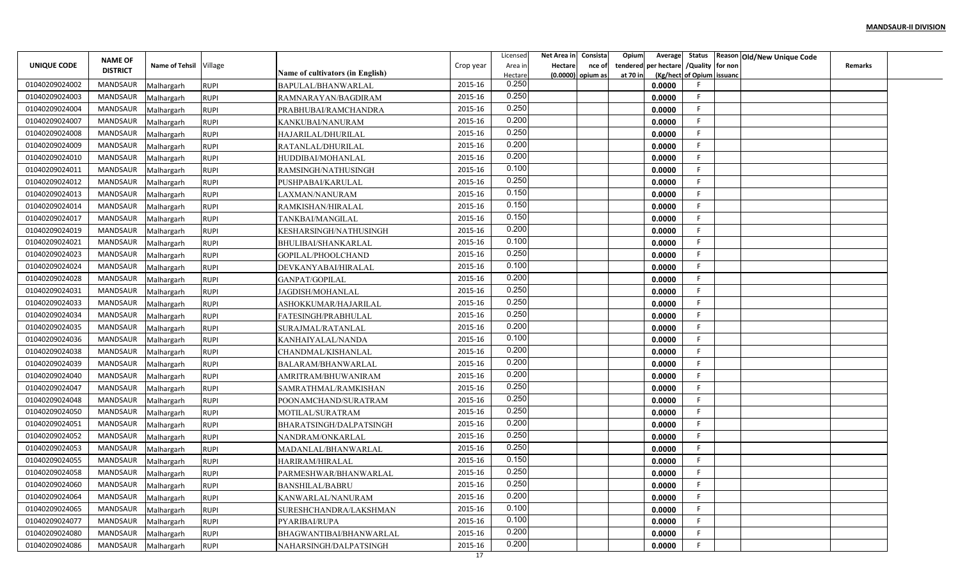| UNIQUE CODE    | <b>NAME OF</b>  | Name of Tehsil Village |             |                                         | Crop year       | Licensed<br>Area ir | Net Area in<br>Hectare | Consista<br>nce of | Opium<br>Average<br>per hectare<br>tendered | /Quality for non          | Status Reason Old/New Unique Code | <b>Remarks</b> |  |
|----------------|-----------------|------------------------|-------------|-----------------------------------------|-----------------|---------------------|------------------------|--------------------|---------------------------------------------|---------------------------|-----------------------------------|----------------|--|
|                | <b>DISTRICT</b> |                        |             | <b>Name of cultivators (in English)</b> |                 | Hectare             | (0.0000)               | opium as           | at 70 in                                    | (Kg/hect of Opium issuanc |                                   |                |  |
| 01040209024002 | <b>MANDSAUR</b> | Malhargarh             | <b>RUPI</b> | BAPULAL/BHANWARLAL                      | 2015-16         | 0.250               |                        |                    | 0.0000                                      |                           |                                   |                |  |
| 01040209024003 | MANDSAUR        | Malhargarh             | <b>RUPI</b> | RAMNARAYAN/BAGDIRAM                     | 2015-16         | 0.250               |                        |                    | 0.0000                                      | -F                        |                                   |                |  |
| 01040209024004 | MANDSAUR        | Malhargarh             | <b>RUPI</b> | PRABHUBAI/RAMCHANDRA                    | 2015-16         | 0.250               |                        |                    | 0.0000                                      | -F                        |                                   |                |  |
| 01040209024007 | <b>MANDSAUR</b> | Malhargarh             | <b>RUPI</b> | KANKUBAI/NANURAM                        | 2015-16         | 0.200               |                        |                    | 0.0000                                      | F                         |                                   |                |  |
| 01040209024008 | MANDSAUR        | Malhargarh             | <b>RUPI</b> | HAJARILAL/DHURILAL                      | 2015-16         | 0.250               |                        |                    | 0.0000                                      |                           |                                   |                |  |
| 01040209024009 | MANDSAUR        | Malhargarh             | <b>RUPI</b> | RATANLAL/DHURILAL                       | 2015-16         | 0.200               |                        |                    | 0.0000                                      |                           |                                   |                |  |
| 01040209024010 | MANDSAUR        | Malhargarh             | <b>RUPI</b> | HUDDIBAI/MOHANLAL                       | 2015-16         | 0.200               |                        |                    | 0.0000                                      | -F                        |                                   |                |  |
| 01040209024011 | MANDSAUR        | Malhargarh             | <b>RUPI</b> | RAMSINGH/NATHUSINGH                     | 2015-16         | 0.100               |                        |                    | 0.0000                                      |                           |                                   |                |  |
| 01040209024012 | MANDSAUR        | Malhargarh             | <b>RUPI</b> | PUSHPABAI/KARULAL                       | 2015-16         | 0.250               |                        |                    | 0.0000                                      |                           |                                   |                |  |
| 01040209024013 | MANDSAUR        | Malhargarh             | <b>RUPI</b> | LAXMAN/NANURAM                          | 2015-16         | 0.150               |                        |                    | 0.0000                                      | F                         |                                   |                |  |
| 01040209024014 | MANDSAUR        | Malhargarh             | <b>RUPI</b> | RAMKISHAN/HIRALAL                       | 2015-16         | 0.150               |                        |                    | 0.0000                                      | -F                        |                                   |                |  |
| 01040209024017 | MANDSAUR        | Malhargarh             | <b>RUPI</b> | TANKBAI/MANGILAL                        | 2015-16         | 0.150               |                        |                    | 0.0000                                      | -F                        |                                   |                |  |
| 01040209024019 | MANDSAUR        | Malhargarh             | <b>RUPI</b> | KESHARSINGH/NATHUSINGH                  | 2015-16         | 0.200               |                        |                    | 0.0000                                      |                           |                                   |                |  |
| 01040209024021 | MANDSAUR        | Malhargarh             | <b>RUPI</b> | BHULIBAI/SHANKARLAL                     | 2015-16         | 0.100               |                        |                    | 0.0000                                      |                           |                                   |                |  |
| 01040209024023 | <b>MANDSAUR</b> | Malhargarh             | <b>RUPI</b> | GOPILAL/PHOOLCHAND                      | 2015-16         | 0.250               |                        |                    | 0.0000                                      |                           |                                   |                |  |
| 01040209024024 | MANDSAUR        | Malhargarh             | <b>RUPI</b> | DEVKANYABAI/HIRALAL                     | 2015-16         | 0.100               |                        |                    | 0.0000                                      |                           |                                   |                |  |
| 01040209024028 | MANDSAUR        | Malhargarh             | <b>RUPI</b> | GANPAT/GOPILAL                          | 2015-16         | 0.200               |                        |                    | 0.0000                                      |                           |                                   |                |  |
| 01040209024031 | MANDSAUR        | Malhargarh             | <b>RUPI</b> | <b>JAGDISH/MOHANLAL</b>                 | 2015-16         | 0.250               |                        |                    | 0.0000                                      | -F                        |                                   |                |  |
| 01040209024033 | MANDSAUR        | Malhargarh             | <b>RUPI</b> | ASHOKKUMAR/HAJARILAL                    | 2015-16         | 0.250               |                        |                    | 0.0000                                      |                           |                                   |                |  |
| 01040209024034 | MANDSAUR        | Malhargarh             | <b>RUPI</b> | FATESINGH/PRABHULAL                     | 2015-16         | 0.250               |                        |                    | 0.0000                                      | -F                        |                                   |                |  |
| 01040209024035 | MANDSAUR        | Malhargarh             | <b>RUPI</b> | SURAJMAL/RATANLAL                       | 2015-16         | 0.200               |                        |                    | 0.0000                                      | - 6                       |                                   |                |  |
| 01040209024036 | <b>MANDSAUR</b> | Malhargarh             | <b>RUPI</b> | KANHAIYALAL/NANDA                       | 2015-16         | 0.100               |                        |                    | 0.0000                                      |                           |                                   |                |  |
| 01040209024038 | MANDSAUR        | Malhargarh             | <b>RUPI</b> | CHANDMAL/KISHANLAL                      | 2015-16         | 0.200               |                        |                    | 0.0000                                      | -F                        |                                   |                |  |
| 01040209024039 | MANDSAUR        | Malhargarh             | <b>RUPI</b> | BALARAM/BHANWARLAL                      | 2015-16         | 0.200               |                        |                    | 0.0000                                      | -F                        |                                   |                |  |
| 01040209024040 | MANDSAUR        | Malhargarh             | <b>RUPI</b> | AMRITRAM/BHUWANIRAM                     | 2015-16         | 0.200               |                        |                    | 0.0000                                      |                           |                                   |                |  |
| 01040209024047 | MANDSAUR        | Malhargarh             | <b>RUPI</b> | SAMRATHMAL/RAMKISHAN                    | 2015-16         | 0.250               |                        |                    | 0.0000                                      |                           |                                   |                |  |
| 01040209024048 | MANDSAUR        | Malhargarh             | <b>RUPI</b> | POONAMCHAND/SURATRAM                    | 2015-16         | 0.250               |                        |                    | 0.0000                                      | -F                        |                                   |                |  |
| 01040209024050 | MANDSAUR        | Malhargarh             | <b>RUPI</b> | MOTILAL/SURATRAM                        | 2015-16         | 0.250               |                        |                    | 0.0000                                      | F                         |                                   |                |  |
| 01040209024051 | MANDSAUR        | Malhargarh             | <b>RUPI</b> | BHARATSINGH/DALPATSINGH                 | 2015-16         | 0.200               |                        |                    | 0.0000                                      | -F                        |                                   |                |  |
| 01040209024052 | MANDSAUR        | Malhargarh             | <b>RUPI</b> | NANDRAM/ONKARLAL                        | 2015-16         | 0.250               |                        |                    | 0.0000                                      |                           |                                   |                |  |
| 01040209024053 | <b>MANDSAUR</b> | Malhargarh             | <b>RUPI</b> | MADANLAL/BHANWARLAL                     | 2015-16         | 0.250               |                        |                    | 0.0000                                      |                           |                                   |                |  |
| 01040209024055 | MANDSAUR        | Malhargarh             | <b>RUPI</b> | HARIRAM/HIRALAL                         | 2015-16         | 0.150               |                        |                    | 0.0000                                      |                           |                                   |                |  |
| 01040209024058 | MANDSAUR        | Malhargarh             | <b>RUPI</b> | PARMESHWAR/BHANWARLAL                   | 2015-16         | 0.250               |                        |                    | 0.0000                                      |                           |                                   |                |  |
| 01040209024060 | MANDSAUR        | Malhargarh             | <b>RUPI</b> | <b>BANSHILAL/BABRU</b>                  | 2015-16         | 0.250               |                        |                    | 0.0000                                      |                           |                                   |                |  |
| 01040209024064 | MANDSAUR        | Malhargarh             | <b>RUPI</b> | KANWARLAL/NANURAM                       | 2015-16         | 0.200               |                        |                    | 0.0000                                      |                           |                                   |                |  |
| 01040209024065 | MANDSAUR        | Malhargarh             | <b>RUPI</b> | SURESHCHANDRA/LAKSHMAN                  | 2015-16         | 0.100               |                        |                    | 0.0000                                      | -F                        |                                   |                |  |
| 01040209024077 | MANDSAUR        | Malhargarh             | <b>RUPI</b> | PYARIBAI/RUPA                           | 2015-16         | 0.100               |                        |                    | 0.0000                                      | -F                        |                                   |                |  |
| 01040209024080 | MANDSAUR        | Malhargarh             | <b>RUPI</b> | BHAGWANTIBAI/BHANWARLAL                 | 2015-16         | 0.200               |                        |                    | 0.0000                                      | -F                        |                                   |                |  |
| 01040209024086 | MANDSAUR        | Malhargarh             | <b>RUPI</b> | NAHARSINGH/DALPATSINGH                  | 2015-16         | 0.200               |                        |                    | 0.0000                                      |                           |                                   |                |  |
|                |                 |                        |             |                                         | $\overline{17}$ |                     |                        |                    |                                             |                           |                                   |                |  |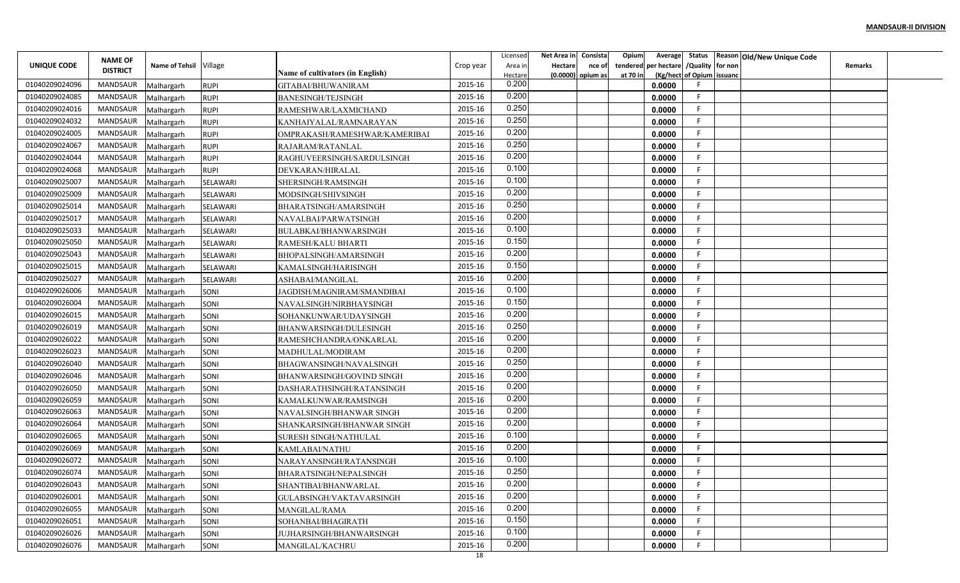|                    |                 |                        |             |                                  |           | Licensed | Net Area in    | Consista          | Opium    |                                        |                           | Average Status Reason Old/New Unique Code |                |  |
|--------------------|-----------------|------------------------|-------------|----------------------------------|-----------|----------|----------------|-------------------|----------|----------------------------------------|---------------------------|-------------------------------------------|----------------|--|
| <b>UNIQUE CODE</b> | <b>NAME OF</b>  | Name of Tehsil Village |             |                                  | Crop year | Area in  | <b>Hectare</b> | nce of            |          | tendered per hectare / Quality for non |                           |                                           | <b>Remarks</b> |  |
|                    | <b>DISTRICT</b> |                        |             | Name of cultivators (in English) |           | Hectare  |                | (0.0000) opium as | at 70 in |                                        | (Kg/hect of Opium issuanc |                                           |                |  |
| 01040209024096     | MANDSAUR        | Malhargarh             | <b>RUPI</b> | GITABAI/BHUWANIRAM               | 2015-16   | 0.200    |                |                   |          | 0.0000                                 |                           |                                           |                |  |
| 01040209024085     | MANDSAUR        | Malhargarh             | <b>RUPI</b> | <b>BANESINGH/TEJSINGH</b>        | 2015-16   | 0.200    |                |                   |          | 0.0000                                 | F.                        |                                           |                |  |
| 01040209024016     | MANDSAUR        | Malhargarh             | <b>RUPI</b> | RAMESHWAR/LAXMICHAND             | 2015-16   | 0.250    |                |                   |          | 0.0000                                 | -F                        |                                           |                |  |
| 01040209024032     | <b>MANDSAUR</b> | Malhargarh             | <b>RUPI</b> | KANHAIYALAL/RAMNARAYAN           | 2015-16   | 0.250    |                |                   |          | 0.0000                                 | F.                        |                                           |                |  |
| 01040209024005     | MANDSAUR        | Malhargarh             | <b>RUPI</b> | OMPRAKASH/RAMESHWAR/KAMERIBAI    | 2015-16   | 0.200    |                |                   |          | 0.0000                                 | F.                        |                                           |                |  |
| 01040209024067     | MANDSAUR        | Malhargarh             | <b>RUPI</b> | RAJARAM/RATANLAL                 | 2015-16   | 0.250    |                |                   |          | 0.0000                                 | F.                        |                                           |                |  |
| 01040209024044     | MANDSAUR        | Malhargarh             | <b>RUPI</b> | RAGHUVEERSINGH/SARDULSINGH       | 2015-16   | 0.200    |                |                   |          | 0.0000                                 | F                         |                                           |                |  |
| 01040209024068     | MANDSAUR        | Malhargarh             | <b>RUPI</b> | DEVKARAN/HIRALAL                 | 2015-16   | 0.100    |                |                   |          | 0.0000                                 | F.                        |                                           |                |  |
| 01040209025007     | MANDSAUR        | Malhargarh             | SELAWARI    | SHERSINGH/RAMSINGH               | 2015-16   | 0.100    |                |                   |          | 0.0000                                 | E                         |                                           |                |  |
| 01040209025009     | MANDSAUR        | Malhargarh             | SELAWARI    | MODSINGH/SHIVSINGH               | 2015-16   | 0.200    |                |                   |          | 0.0000                                 | F                         |                                           |                |  |
| 01040209025014     | MANDSAUR        | Malhargarh             | SELAWARI    | BHARATSINGH/AMARSINGH            | 2015-16   | 0.250    |                |                   |          | 0.0000                                 | -F                        |                                           |                |  |
| 01040209025017     | MANDSAUR        | Malhargarh             | SELAWARI    | NAVALBAI/PARWATSINGH             | 2015-16   | 0.200    |                |                   |          | 0.0000                                 | F                         |                                           |                |  |
| 01040209025033     | MANDSAUR        | Malhargarh             | SELAWARI    | BULABKAI/BHANWARSINGH            | 2015-16   | 0.100    |                |                   |          | 0.0000                                 | -F                        |                                           |                |  |
| 01040209025050     | MANDSAUR        | Malhargarh             | SELAWARI    | RAMESH/KALU BHARTI               | 2015-16   | 0.150    |                |                   |          | 0.0000                                 | E                         |                                           |                |  |
| 01040209025043     | MANDSAUR        | Malhargarh             | SELAWARI    | BHOPALSINGH/AMARSINGH            | 2015-16   | 0.200    |                |                   |          | 0.0000                                 | -F                        |                                           |                |  |
| 01040209025015     | MANDSAUR        | Malhargarh             | SELAWARI    | KAMALSINGH/HARISINGH             | 2015-16   | 0.150    |                |                   |          | 0.0000                                 | F.                        |                                           |                |  |
| 01040209025027     | MANDSAUR        | Malhargarh             | SELAWARI    | ASHABAI/MANGILAL                 | 2015-16   | 0.200    |                |                   |          | 0.0000                                 | F                         |                                           |                |  |
| 01040209026006     | MANDSAUR        | Malhargarh             | SONI        | JAGDISH/MAGNIRAM/SMANDIBAI       | 2015-16   | 0.100    |                |                   |          | 0.0000                                 | F                         |                                           |                |  |
| 01040209026004     | MANDSAUR        | Malhargarh             | SONI        | NAVALSINGH/NIRBHAYSINGH          | 2015-16   | 0.150    |                |                   |          | 0.0000                                 | -F                        |                                           |                |  |
| 01040209026015     | MANDSAUR        | Malhargarh             | SONI        | SOHANKUNWAR/UDAYSINGH            | 2015-16   | 0.200    |                |                   |          | 0.0000                                 | F.                        |                                           |                |  |
| 01040209026019     | MANDSAUR        | Malhargarh             | SONI        | BHANWARSINGH/DULESINGH           | 2015-16   | 0.250    |                |                   |          | 0.0000                                 | -F                        |                                           |                |  |
| 01040209026022     | MANDSAUR        | Malhargarh             | SONI        | RAMESHCHANDRA/ONKARLAL           | 2015-16   | 0.200    |                |                   |          | 0.0000                                 | F.                        |                                           |                |  |
| 01040209026023     | MANDSAUR        | Malhargarh             | SONI        | MADHULAL/MODIRAM                 | 2015-16   | 0.200    |                |                   |          | 0.0000                                 | F.                        |                                           |                |  |
| 01040209026040     | MANDSAUR        | Malhargarh             | SONI        | BHAGWANSINGH/NAVALSINGH          | 2015-16   | 0.250    |                |                   |          | 0.0000                                 | F                         |                                           |                |  |
| 01040209026046     | MANDSAUR        | Malhargarh             | SONI        | BHANWARSINGH/GOVIND SINGH        | 2015-16   | 0.200    |                |                   |          | 0.0000                                 | E                         |                                           |                |  |
| 01040209026050     | MANDSAUR        | Malhargarh             | SONI        | DASHARATHSINGH/RATANSINGH        | 2015-16   | 0.200    |                |                   |          | 0.0000                                 | E                         |                                           |                |  |
| 01040209026059     | MANDSAUR        | Malhargarh             | SONI        | KAMALKUNWAR/RAMSINGH             | 2015-16   | 0.200    |                |                   |          | 0.0000                                 | F                         |                                           |                |  |
| 01040209026063     | MANDSAUR        | Malhargarh             | SONI        | NAVALSINGH/BHANWAR SINGH         | 2015-16   | 0.200    |                |                   |          | 0.0000                                 | -F                        |                                           |                |  |
| 01040209026064     | <b>MANDSAUR</b> | Malhargarh             | SONI        | SHANKARSINGH/BHANWAR SINGH       | 2015-16   | 0.200    |                |                   |          | 0.0000                                 | F.                        |                                           |                |  |
| 01040209026065     | MANDSAUR        | Malhargarh             | SONI        | SURESH SINGH/NATHULAL            | 2015-16   | 0.100    |                |                   |          | 0.0000                                 | E                         |                                           |                |  |
| 01040209026069     | MANDSAUR        | Malhargarh             | SONI        | KAMLABAI/NATHU                   | 2015-16   | 0.200    |                |                   |          | 0.0000                                 | F                         |                                           |                |  |
| 01040209026072     | MANDSAUR        | Malhargarh             | SONI        | NARAYANSINGH/RATANSINGH          | 2015-16   | 0.100    |                |                   |          | 0.0000                                 | F                         |                                           |                |  |
| 01040209026074     | MANDSAUR        | Malhargarh             | SONI        | BHARATSINGH/NEPALSINGH           | 2015-16   | 0.250    |                |                   |          | 0.0000                                 | F.                        |                                           |                |  |
| 01040209026043     | MANDSAUR        | Malhargarh             | SONI        | SHANTIBAI/BHANWARLAL             | 2015-16   | 0.200    |                |                   |          | 0.0000                                 | F                         |                                           |                |  |
| 01040209026001     | MANDSAUR        | Malhargarh             | SONI        | GULABSINGH/VAKTAVARSINGH         | 2015-16   | 0.200    |                |                   |          | 0.0000                                 | F                         |                                           |                |  |
| 01040209026055     | MANDSAUR        | Malhargarh             | SONI        | MANGILAL/RAMA                    | 2015-16   | 0.200    |                |                   |          | 0.0000                                 | F.                        |                                           |                |  |
| 01040209026051     | MANDSAUR        | Malhargarh             | SONI        | SOHANBAI/BHAGIRATH               | 2015-16   | 0.150    |                |                   |          | 0.0000                                 | F                         |                                           |                |  |
| 01040209026026     | MANDSAUR        |                        | SONI        |                                  | 2015-16   | 0.100    |                |                   |          |                                        | F.                        |                                           |                |  |
| 01040209026076     | MANDSAUR        | Malhargarh             |             | JUJHARSINGH/BHANWARSINGH         | 2015-16   | 0.200    |                |                   |          | 0.0000<br>0.0000                       | F                         |                                           |                |  |
|                    |                 | Malhargarh             | SONI        | MANGILAL/KACHRU                  | 18        |          |                |                   |          |                                        |                           |                                           |                |  |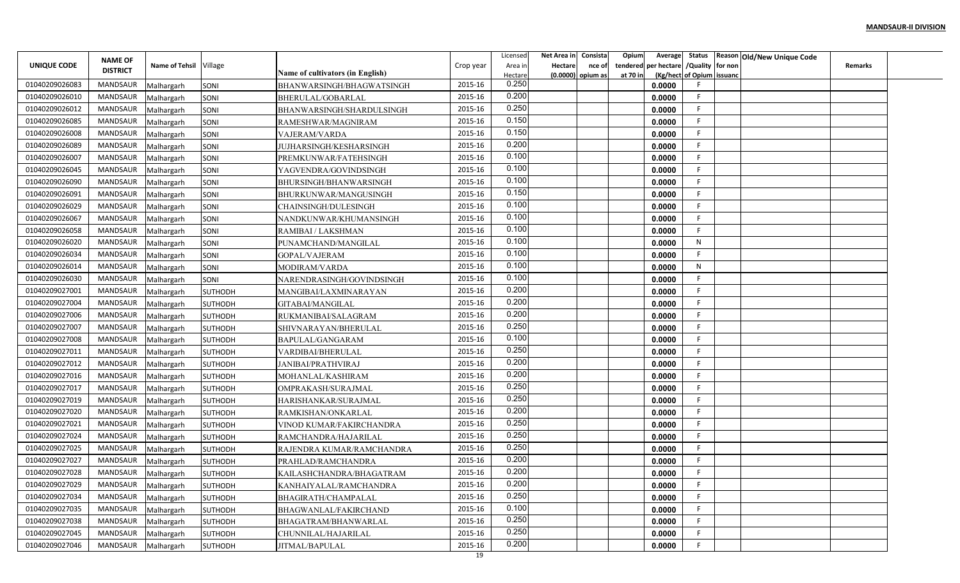|                |                                   |                        |                |                                         |           | Licensed         | Net Area in Consista |                     | Opium    | Average                       | Status Reason Old/New Unique Code |                |  |
|----------------|-----------------------------------|------------------------|----------------|-----------------------------------------|-----------|------------------|----------------------|---------------------|----------|-------------------------------|-----------------------------------|----------------|--|
| UNIQUE CODE    | <b>NAME OF</b><br><b>DISTRICT</b> | Name of Tehsil Village |                |                                         | Crop year | Area in          | <b>Hectare</b>       | nce of              | tendered | per hectare / Quality for non |                                   | <b>Remarks</b> |  |
|                |                                   |                        |                | <b>Name of cultivators (in English)</b> |           | Hectare<br>0.250 |                      | $(0.0000)$ opium as | at 70 in | (Kg/hect of Opium issuanc     |                                   |                |  |
| 01040209026083 | MANDSAUR                          | Malhargarh             | SONI           | BHANWARSINGH/BHAGWATSINGH               | 2015-16   | 0.200            |                      |                     |          | 0.0000<br>F.                  |                                   |                |  |
| 01040209026010 | MANDSAUR                          | Malhargarh             | SONI           | BHERULAL/GOBARLAL                       | 2015-16   | 0.250            |                      |                     |          | 0.0000                        |                                   |                |  |
| 01040209026012 | MANDSAUR                          | Malhargarh             | SONI           | BHANWARSINGH/SHARDULSINGH               | 2015-16   | 0.150            |                      |                     |          | F.<br>0.0000                  |                                   |                |  |
| 01040209026085 | <b>MANDSAUR</b>                   | Malhargarh             | SONI           | RAMESHWAR/MAGNIRAM                      | 2015-16   | 0.150            |                      |                     |          | F.<br>0.0000                  |                                   |                |  |
| 01040209026008 | MANDSAUR                          | Malhargarh             | SONI           | VAJERAM/VARDA                           | 2015-16   | 0.200            |                      |                     |          | F.<br>0.0000                  |                                   |                |  |
| 01040209026089 | MANDSAUR                          | Malhargarh             | SONI           | JUJHARSINGH/KESHARSINGH                 | 2015-16   | 0.100            |                      |                     |          | F.<br>0.0000                  |                                   |                |  |
| 01040209026007 | MANDSAUR                          | Malhargarh             | SONI           | PREMKUNWAR/FATEHSINGH                   | 2015-16   | 0.100            |                      |                     |          | F.<br>0.0000                  |                                   |                |  |
| 01040209026045 | MANDSAUR                          | Malhargarh             | SONI           | YAGVENDRA/GOVINDSINGH                   | 2015-16   | 0.100            |                      |                     |          | F.<br>0.0000                  |                                   |                |  |
| 01040209026090 | MANDSAUR                          | Malhargarh             | SONI           | BHURSINGH/BHANWARSINGH                  | 2015-16   | 0.150            |                      |                     |          | F<br>0.0000                   |                                   |                |  |
| 01040209026091 | MANDSAUR                          | Malhargarh             | SONI           | BHURKUNWAR/MANGUSINGH                   | 2015-16   |                  |                      |                     |          | F.<br>0.0000                  |                                   |                |  |
| 01040209026029 | MANDSAUR                          | Malhargarh             | SONI           | CHAINSINGH/DULESINGH                    | 2015-16   | 0.100            |                      |                     |          | E<br>0.0000                   |                                   |                |  |
| 01040209026067 | MANDSAUR                          | Malhargarh             | SONI           | NANDKUNWAR/KHUMANSINGH                  | 2015-16   | 0.100            |                      |                     |          | F.<br>0.0000                  |                                   |                |  |
| 01040209026058 | MANDSAUR                          | Malhargarh             | SONI           | RAMIBAI / LAKSHMAN                      | 2015-16   | 0.100            |                      |                     |          | E<br>0.0000                   |                                   |                |  |
| 01040209026020 | MANDSAUR                          | Malhargarh             | SONI           | PUNAMCHAND/MANGILAL                     | 2015-16   | 0.100            |                      |                     |          | N<br>0.0000                   |                                   |                |  |
| 01040209026034 | <b>MANDSAUR</b>                   | Malhargarh             | SONI           | GOPAL/VAJERAM                           | 2015-16   | 0.100            |                      |                     |          | E<br>0.0000                   |                                   |                |  |
| 01040209026014 | MANDSAUR                          | Malhargarh             | SONI           | MODIRAM/VARDA                           | 2015-16   | 0.100            |                      |                     |          | N<br>0.0000                   |                                   |                |  |
| 01040209026030 | MANDSAUR                          | Malhargarh             | SONI           | NARENDRASINGH/GOVINDSINGH               | 2015-16   | 0.100            |                      |                     |          | E<br>0.0000                   |                                   |                |  |
| 01040209027001 | MANDSAUR                          | Malhargarh             | <b>SUTHODH</b> | MANGIBAI/LAXMINARAYAN                   | 2015-16   | 0.200            |                      |                     |          | E<br>0.0000                   |                                   |                |  |
| 01040209027004 | MANDSAUR                          | Malhargarh             | <b>SUTHODH</b> | GITABAI/MANGILAL                        | 2015-16   | 0.200            |                      |                     |          | E<br>0.0000                   |                                   |                |  |
| 01040209027006 | MANDSAUR                          | Malhargarh             | SUTHODH        | RUKMANIBAI/SALAGRAM                     | 2015-16   | 0.200            |                      |                     |          | F.<br>0.0000                  |                                   |                |  |
| 01040209027007 | MANDSAUR                          | Malhargarh             | <b>SUTHODH</b> | SHIVNARAYAN/BHERULAL                    | 2015-16   | 0.250            |                      |                     |          | E<br>0.0000                   |                                   |                |  |
| 01040209027008 | <b>MANDSAUR</b>                   | Malhargarh             | <b>SUTHODH</b> | BAPULAL/GANGARAM                        | 2015-16   | 0.100            |                      |                     |          | E<br>0.0000                   |                                   |                |  |
| 01040209027011 | MANDSAUR                          | Malhargarh             | <b>SUTHODH</b> | VARDIBAI/BHERULAL                       | 2015-16   | 0.250            |                      |                     |          | F.<br>0.0000                  |                                   |                |  |
| 01040209027012 | MANDSAUR                          | Malhargarh             | SUTHODH        | JANIBAI/PRATHVIRAJ                      | 2015-16   | 0.200            |                      |                     |          | F.<br>0.0000                  |                                   |                |  |
| 01040209027016 | MANDSAUR                          | Malhargarh             | SUTHODH        | MOHANLAL/KASHIRAM                       | 2015-16   | 0.200            |                      |                     |          | E<br>0.0000                   |                                   |                |  |
| 01040209027017 | MANDSAUR                          | Malhargarh             | <b>SUTHODH</b> | OMPRAKASH/SURAJMAL                      | 2015-16   | 0.250            |                      |                     |          | F<br>0.0000                   |                                   |                |  |
| 01040209027019 | MANDSAUR                          | Malhargarh             | <b>SUTHODH</b> | HARISHANKAR/SURAJMAI                    | 2015-16   | 0.250            |                      |                     |          | F.<br>0.0000                  |                                   |                |  |
| 01040209027020 | MANDSAUR                          | Malhargarh             | SUTHODH        | RAMKISHAN/ONKARLAL                      | 2015-16   | 0.200            |                      |                     |          | E<br>0.0000                   |                                   |                |  |
| 01040209027021 | <b>MANDSAUR</b>                   | Malhargarh             | <b>SUTHODH</b> | VINOD KUMAR/FAKIRCHANDRA                | 2015-16   | 0.250            |                      |                     |          | F.<br>0.0000                  |                                   |                |  |
| 01040209027024 | MANDSAUR                          | Malhargarh             | <b>SUTHODH</b> | RAMCHANDRA/HAJARILAL                    | 2015-16   | 0.250            |                      |                     |          | -F<br>0.0000                  |                                   |                |  |
| 01040209027025 | MANDSAUR                          | Malhargarh             | <b>SUTHODH</b> | RAJENDRA KUMAR/RAMCHANDRA               | 2015-16   | 0.250            |                      |                     |          | F.<br>0.0000                  |                                   |                |  |
| 01040209027027 | <b>MANDSAUR</b>                   | Malhargarh             | SUTHODH        | PRAHLAD/RAMCHANDRA                      | 2015-16   | 0.200            |                      |                     |          | F<br>0.0000                   |                                   |                |  |
| 01040209027028 | MANDSAUR                          | Malhargarh             | <b>SUTHODH</b> | KAILASHCHANDRA/BHAGATRAM                | 2015-16   | 0.200            |                      |                     |          | F.<br>0.0000                  |                                   |                |  |
| 01040209027029 | MANDSAUR                          | Malhargarh             | <b>SUTHODH</b> | KANHAIYALAL/RAMCHANDRA                  | 2015-16   | 0.200            |                      |                     |          | F<br>0.0000                   |                                   |                |  |
| 01040209027034 | MANDSAUR                          | Malhargarh             | <b>SUTHODH</b> | BHAGIRATH/CHAMPALAL                     | 2015-16   | 0.250            |                      |                     |          | F.<br>0.0000                  |                                   |                |  |
| 01040209027035 | MANDSAUR                          | Malhargarh             | SUTHODH        | BHAGWANLAL/FAKIRCHAND                   | 2015-16   | 0.100            |                      |                     |          | F<br>0.0000                   |                                   |                |  |
| 01040209027038 | MANDSAUR                          | Malhargarh             | <b>SUTHODH</b> | BHAGATRAM/BHANWARLAL                    | 2015-16   | 0.250            |                      |                     |          | F<br>0.0000                   |                                   |                |  |
| 01040209027045 | MANDSAUR                          | Malhargarh             | SUTHODH        | CHUNNILAL/HAJARILAL                     | 2015-16   | 0.250            |                      |                     |          | F.<br>0.0000                  |                                   |                |  |
| 01040209027046 | MANDSAUR                          | Malhargarh             | <b>SUTHODH</b> | JITMAL/BAPULAL                          | 2015-16   | 0.200            |                      |                     |          | F.<br>0.0000                  |                                   |                |  |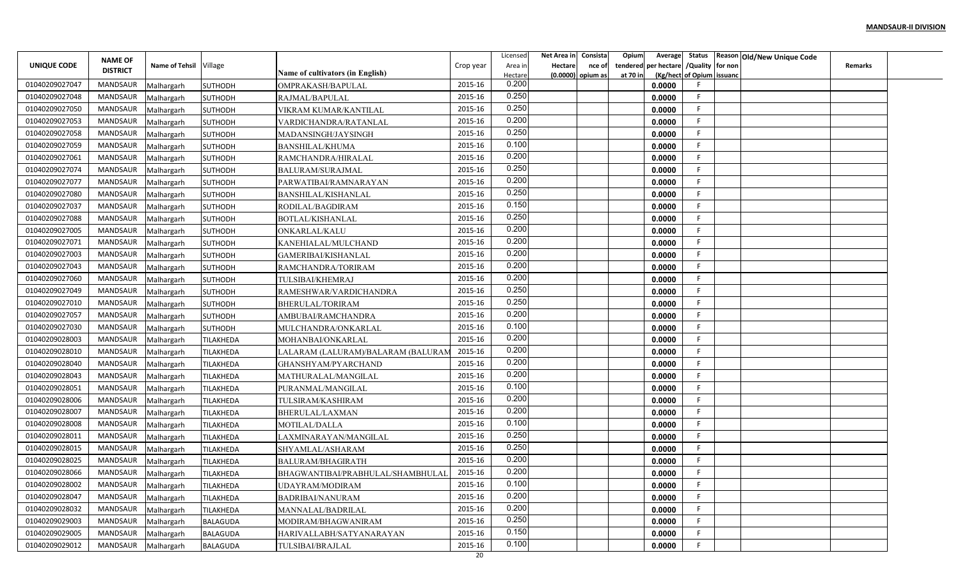|                |                 |                        |                  |                                         |           | Licensed | Net Area in    | Consista          | Opium    |                                        |                           | Average Status Reason Old/New Unique Code |                |  |
|----------------|-----------------|------------------------|------------------|-----------------------------------------|-----------|----------|----------------|-------------------|----------|----------------------------------------|---------------------------|-------------------------------------------|----------------|--|
| UNIQUE CODE    | <b>NAME OF</b>  | Name of Tehsil Village |                  |                                         | Crop year | Area in  | <b>Hectare</b> | nce of            |          | tendered per hectare / Quality for non |                           |                                           | <b>Remarks</b> |  |
|                | <b>DISTRICT</b> |                        |                  | <b>Name of cultivators (in English)</b> |           | Hectare  |                | (0.0000) opium as | at 70 in |                                        | (Kg/hect of Opium issuanc |                                           |                |  |
| 01040209027047 | MANDSAUR        | Malhargarh             | <b>SUTHODH</b>   | OMPRAKASH/BAPULAL                       | 2015-16   | 0.200    |                |                   |          | 0.0000                                 |                           |                                           |                |  |
| 01040209027048 | MANDSAUR        | Malhargarh             | <b>SUTHODH</b>   | RAJMAL/BAPULAL                          | 2015-16   | 0.250    |                |                   |          | 0.0000                                 | F.                        |                                           |                |  |
| 01040209027050 | MANDSAUR        | Malhargarh             | <b>SUTHODH</b>   | VIKRAM KUMAR/KANTILAL                   | 2015-16   | 0.250    |                |                   |          | 0.0000                                 | -F                        |                                           |                |  |
| 01040209027053 | <b>MANDSAUR</b> | Malhargarh             | <b>SUTHODH</b>   | VARDICHANDRA/RATANLAL                   | 2015-16   | 0.200    |                |                   |          | 0.0000                                 | F.                        |                                           |                |  |
| 01040209027058 | MANDSAUR        | Malhargarh             | <b>SUTHODH</b>   | MADANSINGH/JAYSINGH                     | 2015-16   | 0.250    |                |                   |          | 0.0000                                 | F.                        |                                           |                |  |
| 01040209027059 | MANDSAUR        | Malhargarh             | <b>SUTHODH</b>   | <b>BANSHILAL/KHUMA</b>                  | 2015-16   | 0.100    |                |                   |          | 0.0000                                 | F.                        |                                           |                |  |
| 01040209027061 | MANDSAUR        | Malhargarh             | <b>SUTHODH</b>   | RAMCHANDRA/HIRALAL                      | 2015-16   | 0.200    |                |                   |          | 0.0000                                 | F                         |                                           |                |  |
| 01040209027074 | MANDSAUR        | Malhargarh             | <b>SUTHODH</b>   | BALURAM/SURAJMAL                        | 2015-16   | 0.250    |                |                   |          | 0.0000                                 | F.                        |                                           |                |  |
| 01040209027077 | MANDSAUR        | Malhargarh             | <b>SUTHODH</b>   | PARWATIBAI/RAMNARAYAN                   | 2015-16   | 0.200    |                |                   |          | 0.0000                                 | E                         |                                           |                |  |
| 01040209027080 | MANDSAUR        | Malhargarh             | <b>SUTHODH</b>   | BANSHILAL/KISHANLAL                     | 2015-16   | 0.250    |                |                   |          | 0.0000                                 | F                         |                                           |                |  |
| 01040209027037 | MANDSAUR        | Malhargarh             | <b>SUTHODH</b>   | RODILAL/BAGDIRAM                        | 2015-16   | 0.150    |                |                   |          | 0.0000                                 | -F                        |                                           |                |  |
| 01040209027088 | MANDSAUR        | Malhargarh             | <b>SUTHODH</b>   | BOTLAL/KISHANLAL                        | 2015-16   | 0.250    |                |                   |          | 0.0000                                 | -F                        |                                           |                |  |
| 01040209027005 | MANDSAUR        | Malhargarh             | <b>SUTHODH</b>   | ONKARLAL/KALU                           | 2015-16   | 0.200    |                |                   |          | 0.0000                                 | -F                        |                                           |                |  |
| 01040209027071 | MANDSAUR        | Malhargarh             | <b>SUTHODH</b>   | KANEHIALAL/MULCHAND                     | 2015-16   | 0.200    |                |                   |          | 0.0000                                 | E                         |                                           |                |  |
| 01040209027003 | MANDSAUR        | Malhargarh             | <b>SUTHODH</b>   | GAMERIBAI/KISHANLAL                     | 2015-16   | 0.200    |                |                   |          | 0.0000                                 | F.                        |                                           |                |  |
| 01040209027043 | MANDSAUR        | Malhargarh             | <b>SUTHODH</b>   | RAMCHANDRA/TORIRAM                      | 2015-16   | 0.200    |                |                   |          | 0.0000                                 | F.                        |                                           |                |  |
| 01040209027060 | MANDSAUR        | Malhargarh             | <b>SUTHODH</b>   | TULSIBAI/KHEMRAJ                        | 2015-16   | 0.200    |                |                   |          | 0.0000                                 | F                         |                                           |                |  |
| 01040209027049 | MANDSAUR        | Malhargarh             | <b>SUTHODH</b>   | RAMESHWAR/VARDICHANDRA                  | 2015-16   | 0.250    |                |                   |          | 0.0000                                 | F                         |                                           |                |  |
| 01040209027010 | MANDSAUR        | Malhargarh             | <b>SUTHODH</b>   | BHERULAL/TORIRAM                        | 2015-16   | 0.250    |                |                   |          | 0.0000                                 | -F                        |                                           |                |  |
| 01040209027057 | MANDSAUR        | Malhargarh             | <b>SUTHODH</b>   | AMBUBAI/RAMCHANDRA                      | 2015-16   | 0.200    |                |                   |          | 0.0000                                 | F.                        |                                           |                |  |
| 01040209027030 | MANDSAUR        | Malhargarh             | <b>SUTHODH</b>   | MULCHANDRA/ONKARLAI                     | 2015-16   | 0.100    |                |                   |          | 0.0000                                 | -F                        |                                           |                |  |
| 01040209028003 | MANDSAUR        | Malhargarh             | TILAKHEDA        | MOHANBAI/ONKARLAL                       | 2015-16   | 0.200    |                |                   |          | 0.0000                                 | F.                        |                                           |                |  |
| 01040209028010 | MANDSAUR        | Malhargarh             | TILAKHEDA        | LALARAM (LALURAM)/BALARAM (BALURA       | 2015-16   | 0.200    |                |                   |          | 0.0000                                 | F.                        |                                           |                |  |
| 01040209028040 | MANDSAUR        | Malhargarh             | TILAKHEDA        | GHANSHYAM/PYARCHAND                     | 2015-16   | 0.200    |                |                   |          | 0.0000                                 | F                         |                                           |                |  |
| 01040209028043 | MANDSAUR        | Malhargarh             | TILAKHEDA        | MATHURALAL/MANGILAL                     | 2015-16   | 0.200    |                |                   |          | 0.0000                                 | F                         |                                           |                |  |
| 01040209028051 | MANDSAUR        | Malhargarh             | TILAKHEDA        | PURANMAL/MANGILAL                       | 2015-16   | 0.100    |                |                   |          | 0.0000                                 | E                         |                                           |                |  |
| 01040209028006 | MANDSAUR        | Malhargarh             | TILAKHEDA        | TULSIRAM/KASHIRAM                       | 2015-16   | 0.200    |                |                   |          | 0.0000                                 | F.                        |                                           |                |  |
| 01040209028007 | MANDSAUR        | Malhargarh             | TILAKHEDA        | BHERULAL/LAXMAN                         | 2015-16   | 0.200    |                |                   |          | 0.0000                                 | -F                        |                                           |                |  |
| 01040209028008 | <b>MANDSAUR</b> | Malhargarh             | TILAKHEDA        | <b>MOTILAL/DALLA</b>                    | 2015-16   | 0.100    |                |                   |          | 0.0000                                 | F.                        |                                           |                |  |
| 01040209028011 | MANDSAUR        | Malhargarh             | TILAKHEDA        | LAXMINARAYAN/MANGILAL                   | 2015-16   | 0.250    |                |                   |          | 0.0000                                 | E                         |                                           |                |  |
| 01040209028015 | MANDSAUR        | Malhargarh             | TILAKHEDA        | SHYAMLAL/ASHARAM                        | 2015-16   | 0.250    |                |                   |          | 0.0000                                 | F.                        |                                           |                |  |
| 01040209028025 | MANDSAUR        | Malhargarh             | TILAKHEDA        | BALURAM/BHAGIRATH                       | 2015-16   | 0.200    |                |                   |          | 0.0000                                 | F                         |                                           |                |  |
| 01040209028066 | MANDSAUR        | Malhargarh             | <b>TILAKHEDA</b> | BHAGWANTIBAI/PRABHULAL/SHAMBHULAL       | 2015-16   | 0.200    |                |                   |          | 0.0000                                 | F.                        |                                           |                |  |
| 01040209028002 | MANDSAUR        | Malhargarh             | TILAKHEDA        | UDAYRAM/MODIRAM                         | 2015-16   | 0.100    |                |                   |          | 0.0000                                 | F                         |                                           |                |  |
| 01040209028047 | MANDSAUR        | Malhargarh             | TILAKHEDA        | BADRIBAI/NANURAM                        | 2015-16   | 0.200    |                |                   |          | 0.0000                                 | F                         |                                           |                |  |
| 01040209028032 | MANDSAUR        | Malhargarh             | TILAKHEDA        | MANNALAL/BADRILAL                       | 2015-16   | 0.200    |                |                   |          | 0.0000                                 | F.                        |                                           |                |  |
| 01040209029003 | MANDSAUR        | Malhargarh             | <b>BALAGUDA</b>  | MODIRAM/BHAGWANIRAM                     | 2015-16   | 0.250    |                |                   |          | 0.0000                                 | F                         |                                           |                |  |
| 01040209029005 | MANDSAUR        | Malhargarh             | <b>BALAGUDA</b>  | HARIVALLABH/SATYANARAYAN                | 2015-16   | 0.150    |                |                   |          | 0.0000                                 | F.                        |                                           |                |  |
| 01040209029012 | MANDSAUR        | Malhargarh             | <b>BALAGUDA</b>  | TULSIBAI/BRAJLAL                        | 2015-16   | 0.100    |                |                   |          | 0.0000                                 | F                         |                                           |                |  |
|                |                 |                        |                  |                                         | 20        |          |                |                   |          |                                        |                           |                                           |                |  |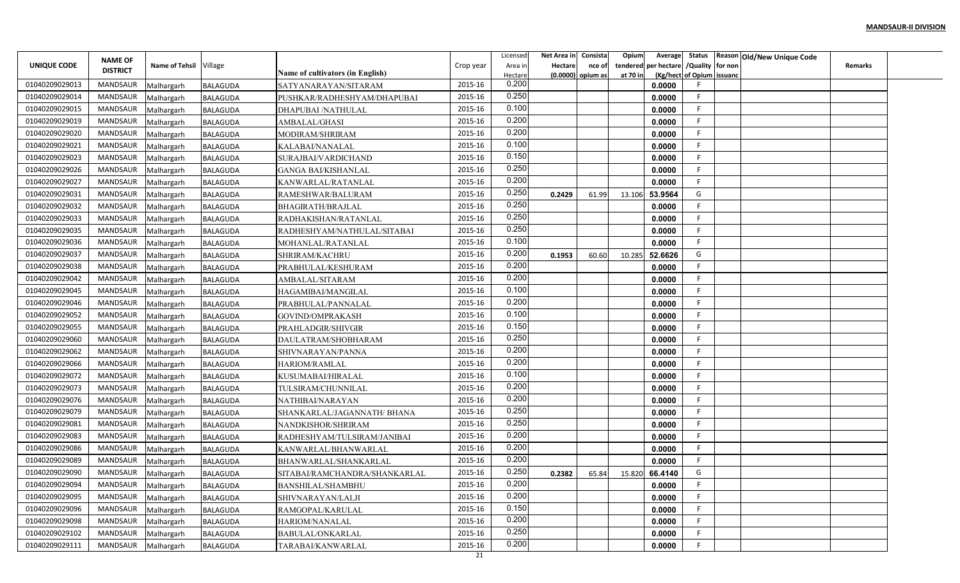|                | <b>NAME OF</b>  |                        |                 |                                  |           | Licensec           | Net Area in                  | Consista | Opium                |                                 |                           | Average Status   Reason   Old/New Unique Code |  |
|----------------|-----------------|------------------------|-----------------|----------------------------------|-----------|--------------------|------------------------------|----------|----------------------|---------------------------------|---------------------------|-----------------------------------------------|--|
| UNIQUE CODE    | <b>DISTRICT</b> | Name of Tehsil Village |                 | Name of cultivators (in English) | Crop year | Area ir<br>Hectare | Hectare<br>(0.0000) opium as | nce of   | tendered<br>at 70 in | per hectare / Quality   for non | (Kg/hect of Opium issuanc | Remarks                                       |  |
| 01040209029013 | MANDSAUR        | Malhargarh             | <b>BALAGUDA</b> | SATYANARAYAN/SITARAM             | 2015-16   | 0.200              |                              |          |                      | 0.0000                          |                           |                                               |  |
| 01040209029014 | MANDSAUR        | Malhargarh             | <b>BALAGUDA</b> | PUSHKAR/RADHESHYAM/DHAPUBAI      | 2015-16   | 0.250              |                              |          |                      | 0.0000                          | F                         |                                               |  |
| 01040209029015 | MANDSAUR        | Malhargarh             | BALAGUDA        | DHAPUBAI /NATHULAL               | 2015-16   | 0.100              |                              |          |                      | 0.0000                          |                           |                                               |  |
| 01040209029019 | MANDSAUR        | Malhargarh             | <b>BALAGUDA</b> | <b>AMBALAL/GHASI</b>             | 2015-16   | 0.200              |                              |          |                      | 0.0000                          | F.                        |                                               |  |
| 01040209029020 | MANDSAUR        | Malhargarh             | <b>BALAGUDA</b> | MODIRAM/SHRIRAM                  | 2015-16   | 0.200              |                              |          |                      | 0.0000                          | F                         |                                               |  |
| 01040209029021 | MANDSAUR        | Malhargarh             | BALAGUDA        | KALABAI/NANALAL                  | 2015-16   | 0.100              |                              |          |                      | 0.0000                          | F.                        |                                               |  |
| 01040209029023 | MANDSAUR        | Malhargarh             | BALAGUDA        | SURAJBAI/VARDICHAND              | 2015-16   | 0.150              |                              |          |                      | 0.0000                          |                           |                                               |  |
| 01040209029026 | <b>MANDSAUR</b> | Malhargarh             | <b>BALAGUDA</b> | <b>GANGA BAI/KISHANLAL</b>       | 2015-16   | 0.250              |                              |          |                      | 0.0000                          |                           |                                               |  |
| 01040209029027 | MANDSAUR        | Malhargarh             | <b>BALAGUDA</b> | KANWARLAL/RATANLAL               | 2015-16   | 0.200              |                              |          |                      | 0.0000                          |                           |                                               |  |
| 01040209029031 | <b>MANDSAUR</b> | Malhargarh             | <b>BALAGUDA</b> | RAMESHWAR/BALURAM                | 2015-16   | 0.250              | 0.2429                       | 61.99    | 13.106               | 53.9564                         | G                         |                                               |  |
| 01040209029032 | MANDSAUR        | Malhargarh             | BALAGUDA        | BHAGIRATH/BRAJLAL                | 2015-16   | 0.250              |                              |          |                      | 0.0000                          | F.                        |                                               |  |
| 01040209029033 | MANDSAUR        | Malhargarh             | <b>BALAGUDA</b> | RADHAKISHAN/RATANLAL             | 2015-16   | 0.250              |                              |          |                      | 0.0000                          | F                         |                                               |  |
| 01040209029035 | MANDSAUR        | Malhargarh             | <b>BALAGUDA</b> | RADHESHYAM/NATHULAL/SITABAI      | 2015-16   | 0.250              |                              |          |                      | 0.0000                          | F.                        |                                               |  |
| 01040209029036 | MANDSAUR        | Malhargarh             | <b>BALAGUDA</b> | MOHANLAL/RATANLAL                | 2015-16   | 0.100              |                              |          |                      | 0.0000                          | F.                        |                                               |  |
| 01040209029037 | MANDSAUR        | Malhargarh             | BALAGUDA        | SHRIRAM/KACHRU                   | 2015-16   | 0.200              | 0.1953                       | 60.60    | 10.28                | 52.6626                         | G                         |                                               |  |
| 01040209029038 | MANDSAUR        | Malhargarh             | <b>BALAGUDA</b> | PRABHULAL/KESHURAM               | 2015-16   | 0.200              |                              |          |                      | 0.0000                          |                           |                                               |  |
| 01040209029042 | MANDSAUR        | Malhargarh             | <b>BALAGUDA</b> | AMBALAL/SITARAM                  | 2015-16   | 0.200              |                              |          |                      | 0.0000                          |                           |                                               |  |
| 01040209029045 | MANDSAUR        | Malhargarh             | <b>BALAGUDA</b> | HAGAMIBAI/MANGILAL               | 2015-16   | 0.100              |                              |          |                      | 0.0000                          |                           |                                               |  |
| 01040209029046 | MANDSAUR        | Malhargarh             | BALAGUDA        | PRABHULAL/PANNALAL               | 2015-16   | 0.200              |                              |          |                      | 0.0000                          |                           |                                               |  |
| 01040209029052 | MANDSAUR        | Malhargarh             | BALAGUDA        | GOVIND/OMPRAKASH                 | 2015-16   | 0.100              |                              |          |                      | 0.0000                          |                           |                                               |  |
| 01040209029055 | MANDSAUR        | Malhargarh             | BALAGUDA        | PRAHLADGIR/SHIVGIR               | 2015-16   | 0.150              |                              |          |                      | 0.0000                          | F.                        |                                               |  |
| 01040209029060 | MANDSAUR        | Malhargarh             | BALAGUDA        | DAULATRAM/SHOBHARAM              | 2015-16   | 0.250              |                              |          |                      | 0.0000                          | F.                        |                                               |  |
| 01040209029062 | MANDSAUR        | Malhargarh             | <b>BALAGUDA</b> | SHIVNARAYAN/PANNA                | 2015-16   | 0.200              |                              |          |                      | 0.0000                          |                           |                                               |  |
| 01040209029066 | <b>MANDSAUR</b> | Malhargarh             | <b>BALAGUDA</b> | HARIOM/RAMLAL                    | 2015-16   | 0.200              |                              |          |                      | 0.0000                          | F.                        |                                               |  |
| 01040209029072 | MANDSAUR        | Malhargarh             | <b>BALAGUDA</b> | KUSUMABAI/HIRALAL                | 2015-16   | 0.100              |                              |          |                      | 0.0000                          | F.                        |                                               |  |
| 01040209029073 | MANDSAUR        | Malhargarh             | <b>BALAGUDA</b> | TULSIRAM/CHUNNILAL               | 2015-16   | 0.200              |                              |          |                      | 0.0000                          | F.                        |                                               |  |
| 01040209029076 | MANDSAUR        | Malhargarh             | <b>BALAGUDA</b> | NATHIBAI/NARAYAN                 | 2015-16   | 0.200              |                              |          |                      | 0.0000                          | F.                        |                                               |  |
| 01040209029079 | MANDSAUR        | Malhargarh             | BALAGUDA        | SHANKARLAL/JAGANNATH/ BHANA      | 2015-16   | 0.250              |                              |          |                      | 0.0000                          | F                         |                                               |  |
| 01040209029081 | MANDSAUR        | Malhargarh             | <b>BALAGUDA</b> | NANDKISHOR/SHRIRAM               | 2015-16   | 0.250              |                              |          |                      | 0.0000                          | F.                        |                                               |  |
| 01040209029083 | MANDSAUR        | Malhargarh             | <b>BALAGUDA</b> | RADHESHYAM/TULSIRAM/JANIBAI      | 2015-16   | 0.200              |                              |          |                      | 0.0000                          | F.                        |                                               |  |
| 01040209029086 | MANDSAUR        | Malhargarh             | BALAGUDA        | KANWARLAL/BHANWARLAL             | 2015-16   | 0.200              |                              |          |                      | 0.0000                          | F                         |                                               |  |
| 01040209029089 | MANDSAUR        | Malhargarh             | BALAGUDA        | BHANWARLAL/SHANKARLAL            | 2015-16   | 0.200              |                              |          |                      | 0.0000                          |                           |                                               |  |
| 01040209029090 | MANDSAUR        | Malhargarh             | <b>BALAGUDA</b> | SITABAI/RAMCHANDRA/SHANKARLAL    | 2015-16   | 0.250              | 0.2382                       | 65.84    |                      | 15.820 66.4140                  | G                         |                                               |  |
| 01040209029094 | MANDSAUR        | Malhargarh             | <b>BALAGUDA</b> | <b>BANSHILAL/SHAMBHU</b>         | 2015-16   | 0.200              |                              |          |                      | 0.0000                          | F.                        |                                               |  |
| 01040209029095 | MANDSAUR        | Malhargarh             | <b>BALAGUDA</b> | SHIVNARAYAN/LALJI                | 2015-16   | 0.200              |                              |          |                      | 0.0000                          | F.                        |                                               |  |
| 01040209029096 | MANDSAUR        | Malhargarh             | <b>BALAGUDA</b> | RAMGOPAL/KARULAL                 | 2015-16   | 0.150              |                              |          |                      | 0.0000                          | F.                        |                                               |  |
| 01040209029098 | MANDSAUR        | Malhargarh             | <b>BALAGUDA</b> | HARIOM/NANALAL                   | 2015-16   | 0.200              |                              |          |                      | 0.0000                          | F.                        |                                               |  |
| 01040209029102 | MANDSAUR        | Malhargarh             | BALAGUDA        | <b>BABULAL/ONKARLAL</b>          | 2015-16   | 0.250              |                              |          |                      | 0.0000                          | F.                        |                                               |  |
| 01040209029111 | MANDSAUR        | Malhargarh             | <b>BALAGUDA</b> | TARABAI/KANWARLAL                | 2015-16   | 0.200              |                              |          |                      | 0.0000                          | F.                        |                                               |  |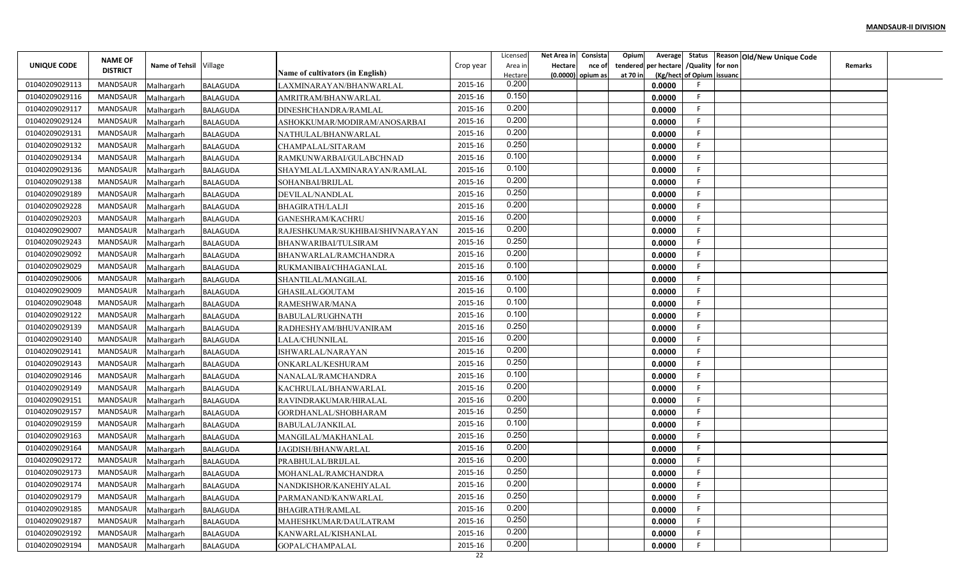|                | <b>NAME OF</b>  |                          |                                    |                                                |           | Licensed         | Net Area in    | Consista          | Opium    |                                        |                           | Average Status Reason Old/New Unique Code |                |  |
|----------------|-----------------|--------------------------|------------------------------------|------------------------------------------------|-----------|------------------|----------------|-------------------|----------|----------------------------------------|---------------------------|-------------------------------------------|----------------|--|
| UNIQUE CODE    | <b>DISTRICT</b> | Name of Tehsil Village   |                                    |                                                | Crop year | Area in          | <b>Hectare</b> | nce of            |          | tendered per hectare / Quality for non |                           |                                           | <b>Remarks</b> |  |
| 01040209029113 | MANDSAUR        |                          |                                    | Name of cultivators (in English)               | 2015-16   | Hectare<br>0.200 |                | (0.0000) opium as | at 70 in | 0.0000                                 | (Kg/hect of Opium issuanc |                                           |                |  |
| 01040209029116 | MANDSAUR        | Malhargarh<br>Malhargarh | <b>BALAGUDA</b><br><b>BALAGUDA</b> | LAXMINARAYAN/BHANWARLAL<br>AMRITRAM/BHANWARLAL | 2015-16   | 0.150            |                |                   |          | 0.0000                                 | F.                        |                                           |                |  |
| 01040209029117 | MANDSAUR        | Malhargarh               | <b>BALAGUDA</b>                    | DINESHCHANDRA/RAMLAL                           | 2015-16   | 0.200            |                |                   |          | 0.0000                                 | F.                        |                                           |                |  |
| 01040209029124 | <b>MANDSAUR</b> | Malhargarh               | <b>BALAGUDA</b>                    | ASHOKKUMAR/MODIRAM/ANOSARBAI                   | 2015-16   | 0.200            |                |                   |          | 0.0000                                 | F.                        |                                           |                |  |
| 01040209029131 | MANDSAUR        | Malhargarh               | <b>BALAGUDA</b>                    | NATHULAL/BHANWARLAL                            | 2015-16   | 0.200            |                |                   |          | 0.0000                                 | F.                        |                                           |                |  |
| 01040209029132 | MANDSAUR        | Malhargarh               | <b>BALAGUDA</b>                    | CHAMPALAL/SITARAM                              | 2015-16   | 0.250            |                |                   |          | 0.0000                                 | F.                        |                                           |                |  |
| 01040209029134 | MANDSAUR        | Malhargarh               | <b>BALAGUDA</b>                    | RAMKUNWARBAI/GULABCHNAD                        | 2015-16   | 0.100            |                |                   |          | 0.0000                                 | F                         |                                           |                |  |
| 01040209029136 | MANDSAUR        | Malhargarh               | <b>BALAGUDA</b>                    | SHAYMLAL/LAXMINARAYAN/RAMLAL                   | 2015-16   | 0.100            |                |                   |          | 0.0000                                 | F.                        |                                           |                |  |
| 01040209029138 | MANDSAUR        | Malhargarh               | <b>BALAGUDA</b>                    | SOHANBAI/BRIJLAL                               | 2015-16   | 0.200            |                |                   |          | 0.0000                                 | E                         |                                           |                |  |
| 01040209029189 | MANDSAUR        | Malhargarh               | <b>BALAGUDA</b>                    | DEVILAL/NANDLAL                                | 2015-16   | 0.250            |                |                   |          | 0.0000                                 | F                         |                                           |                |  |
| 01040209029228 | MANDSAUR        | Malhargarh               | <b>BALAGUDA</b>                    | <b>BHAGIRATH/LALJI</b>                         | 2015-16   | 0.200            |                |                   |          | 0.0000                                 | -F                        |                                           |                |  |
| 01040209029203 | MANDSAUR        | Malhargarh               | <b>BALAGUDA</b>                    | <b>GANESHRAM/KACHRU</b>                        | 2015-16   | 0.200            |                |                   |          | 0.0000                                 | -F                        |                                           |                |  |
| 01040209029007 | MANDSAUR        | Malhargarh               | <b>BALAGUDA</b>                    | RAJESHKUMAR/SUKHIBAI/SHIVNARAYAN               | 2015-16   | 0.200            |                |                   |          | 0.0000                                 | F.                        |                                           |                |  |
| 01040209029243 | MANDSAUR        | Malhargarh               | <b>BALAGUDA</b>                    | BHANWARIBAI/TULSIRAM                           | 2015-16   | 0.250            |                |                   |          | 0.0000                                 | F                         |                                           |                |  |
| 01040209029092 | MANDSAUR        | Malhargarh               | <b>BALAGUDA</b>                    | BHANWARLAL/RAMCHANDRA                          | 2015-16   | 0.200            |                |                   |          | 0.0000                                 | F.                        |                                           |                |  |
| 01040209029029 | MANDSAUR        | Malhargarh               | <b>BALAGUDA</b>                    | RUKMANIBAI/CHHAGANLAL                          | 2015-16   | 0.100            |                |                   |          | 0.0000                                 | F.                        |                                           |                |  |
| 01040209029006 | MANDSAUR        | Malhargarh               | <b>BALAGUDA</b>                    | SHANTILAL/MANGILAL                             | 2015-16   | 0.100            |                |                   |          | 0.0000                                 | F                         |                                           |                |  |
| 01040209029009 | MANDSAUR        | Malhargarh               | <b>BALAGUDA</b>                    | GHASILAL/GOUTAM                                | 2015-16   | 0.100            |                |                   |          | 0.0000                                 | F                         |                                           |                |  |
| 01040209029048 | MANDSAUR        | Malhargarh               | <b>BALAGUDA</b>                    | RAMESHWAR/MANA                                 | 2015-16   | 0.100            |                |                   |          | 0.0000                                 | -F                        |                                           |                |  |
| 01040209029122 | MANDSAUR        | Malhargarh               | <b>BALAGUDA</b>                    | <b>BABULAL/RUGHNATH</b>                        | 2015-16   | 0.100            |                |                   |          | 0.0000                                 | F.                        |                                           |                |  |
| 01040209029139 | <b>MANDSAUR</b> | Malhargarh               | <b>BALAGUDA</b>                    | RADHESHYAM/BHUVANIRAM                          | 2015-16   | 0.250            |                |                   |          | 0.0000                                 | -F                        |                                           |                |  |
| 01040209029140 | MANDSAUR        | Malhargarh               | <b>BALAGUDA</b>                    | LALA/CHUNNILAL                                 | 2015-16   | 0.200            |                |                   |          | 0.0000                                 | F.                        |                                           |                |  |
| 01040209029141 | MANDSAUR        | Malhargarh               | <b>BALAGUDA</b>                    | ISHWARLAL/NARAYAN                              | 2015-16   | 0.200            |                |                   |          | 0.0000                                 | F.                        |                                           |                |  |
| 01040209029143 | MANDSAUR        | Malhargarh               | <b>BALAGUDA</b>                    | ONKARLAL/KESHURAM                              | 2015-16   | 0.250            |                |                   |          | 0.0000                                 | F                         |                                           |                |  |
| 01040209029146 | MANDSAUR        | Malhargarh               | <b>BALAGUDA</b>                    | NANALAL/RAMCHANDRA                             | 2015-16   | 0.100            |                |                   |          | 0.0000                                 | F                         |                                           |                |  |
| 01040209029149 | MANDSAUR        | Malhargarh               | <b>BALAGUDA</b>                    | KACHRULAL/BHANWARLAL                           | 2015-16   | 0.200            |                |                   |          | 0.0000                                 | E                         |                                           |                |  |
| 01040209029151 | MANDSAUR        | Malhargarh               | <b>BALAGUDA</b>                    | RAVINDRAKUMAR/HIRALAL                          | 2015-16   | 0.200            |                |                   |          | 0.0000                                 | F.                        |                                           |                |  |
| 01040209029157 | MANDSAUR        | Malhargarh               | <b>BALAGUDA</b>                    | GORDHANLAL/SHOBHARAM                           | 2015-16   | 0.250            |                |                   |          | 0.0000                                 | F                         |                                           |                |  |
| 01040209029159 | <b>MANDSAUR</b> | Malhargarh               | <b>BALAGUDA</b>                    | BABULAL/JANKILAL                               | 2015-16   | 0.100            |                |                   |          | 0.0000                                 | F.                        |                                           |                |  |
| 01040209029163 | MANDSAUR        | Malhargarh               | <b>BALAGUDA</b>                    | MANGILAL/MAKHANLAL                             | 2015-16   | 0.250            |                |                   |          | 0.0000                                 | E                         |                                           |                |  |
| 01040209029164 | MANDSAUR        | Malhargarh               | <b>BALAGUDA</b>                    | JAGDISH/BHANWARLAL                             | 2015-16   | 0.200            |                |                   |          | 0.0000                                 | F.                        |                                           |                |  |
| 01040209029172 | MANDSAUR        | Malhargarh               | <b>BALAGUDA</b>                    | PRABHULAL/BRIJLAL                              | 2015-16   | 0.200            |                |                   |          | 0.0000                                 | F                         |                                           |                |  |
| 01040209029173 | MANDSAUR        | Malhargarh               | <b>BALAGUDA</b>                    | MOHANLAL/RAMCHANDRA                            | 2015-16   | 0.250            |                |                   |          | 0.0000                                 | F.                        |                                           |                |  |
| 01040209029174 | MANDSAUR        | Malhargarh               | <b>BALAGUDA</b>                    | NANDKISHOR/KANEHIYALAL                         | 2015-16   | 0.200            |                |                   |          | 0.0000                                 | F                         |                                           |                |  |
| 01040209029179 | MANDSAUR        | Malhargarh               | <b>BALAGUDA</b>                    | PARMANAND/KANWARLAL                            | 2015-16   | 0.250            |                |                   |          | 0.0000                                 | F                         |                                           |                |  |
| 01040209029185 | MANDSAUR        | Malhargarh               | <b>BALAGUDA</b>                    | BHAGIRATH/RAMLAL                               | 2015-16   | 0.200            |                |                   |          | 0.0000                                 | F.                        |                                           |                |  |
| 01040209029187 | MANDSAUR        | Malhargarh               | <b>BALAGUDA</b>                    | MAHESHKUMAR/DAULATRAM                          | 2015-16   | 0.250            |                |                   |          | 0.0000                                 | F.                        |                                           |                |  |
| 01040209029192 | MANDSAUR        | Malhargarh               | <b>BALAGUDA</b>                    | KANWARLAL/KISHANLAL                            | 2015-16   | 0.200            |                |                   |          | 0.0000                                 | F.                        |                                           |                |  |
| 01040209029194 | MANDSAUR        | Malhargarh               | <b>BALAGUDA</b>                    | GOPAL/CHAMPALAL                                | 2015-16   | 0.200            |                |                   |          | 0.0000                                 | F                         |                                           |                |  |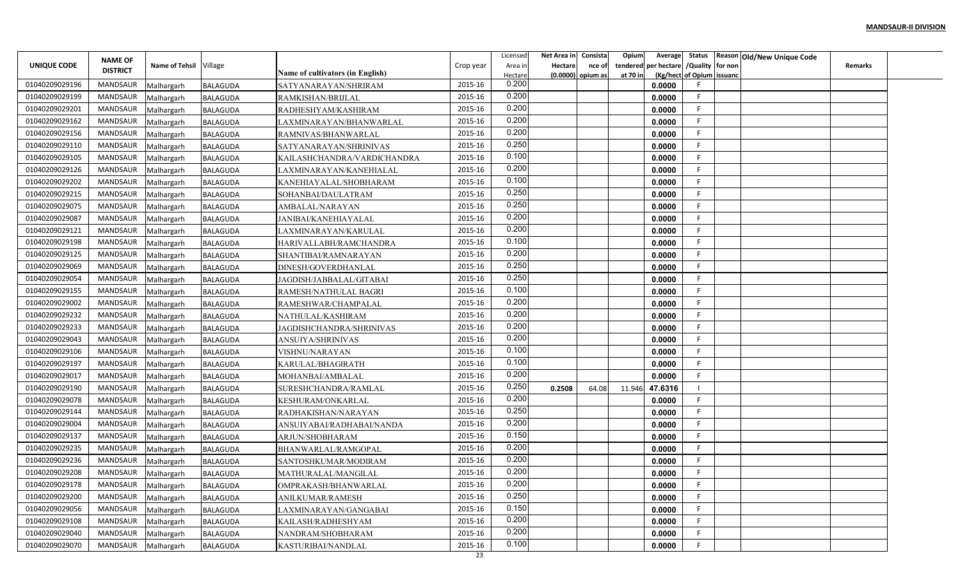|                |                                   |                        |                 |                                  |               | Licensed         | Net Area in    | Consista          | Opium    |                                        |                           | Average Status Reason Old/New Unique Code |                |  |
|----------------|-----------------------------------|------------------------|-----------------|----------------------------------|---------------|------------------|----------------|-------------------|----------|----------------------------------------|---------------------------|-------------------------------------------|----------------|--|
| UNIQUE CODE    | <b>NAME OF</b><br><b>DISTRICT</b> | Name of Tehsil Village |                 |                                  | Crop year     | Area in          | <b>Hectare</b> | nce of            |          | tendered per hectare / Quality for non |                           |                                           | <b>Remarks</b> |  |
|                |                                   |                        |                 | Name of cultivators (in English) |               | Hectare<br>0.200 |                | (0.0000) opium as | at 70 in |                                        | (Kg/hect of Opium issuanc |                                           |                |  |
| 01040209029196 | MANDSAUR                          | Malhargarh             | <b>BALAGUDA</b> | SATYANARAYAN/SHRIRAM             | 2015-16       | 0.200            |                |                   |          | 0.0000                                 |                           |                                           |                |  |
| 01040209029199 | MANDSAUR                          | Malhargarh             | <b>BALAGUDA</b> | RAMKISHAN/BRIJLAL                | 2015-16       | 0.200            |                |                   |          | 0.0000                                 | F.                        |                                           |                |  |
| 01040209029201 | MANDSAUR                          | Malhargarh             | <b>BALAGUDA</b> | RADHESHYAM/KASHIRAM              | 2015-16       | 0.200            |                |                   |          | 0.0000                                 | F.                        |                                           |                |  |
| 01040209029162 | <b>MANDSAUR</b>                   | Malhargarh             | <b>BALAGUDA</b> | LAXMINARAYAN/BHANWARLAL          | 2015-16       |                  |                |                   |          | 0.0000                                 | F.                        |                                           |                |  |
| 01040209029156 | MANDSAUR                          | Malhargarh             | <b>BALAGUDA</b> | RAMNIVAS/BHANWARLAL              | 2015-16       | 0.200            |                |                   |          | 0.0000                                 | F.                        |                                           |                |  |
| 01040209029110 | MANDSAUR                          | Malhargarh             | <b>BALAGUDA</b> | SATYANARAYAN/SHRINIVAS           | 2015-16       | 0.250            |                |                   |          | 0.0000                                 | F.                        |                                           |                |  |
| 01040209029105 | MANDSAUR                          | Malhargarh             | <b>BALAGUDA</b> | KAILASHCHANDRA/VARDICHANDRA      | 2015-16       | 0.100            |                |                   |          | 0.0000                                 | F.                        |                                           |                |  |
| 01040209029126 | MANDSAUR                          | Malhargarh             | <b>BALAGUDA</b> | LAXMINARAYAN/KANEHIALAL          | 2015-16       | 0.200            |                |                   |          | 0.0000                                 | F.                        |                                           |                |  |
| 01040209029202 | MANDSAUR                          | Malhargarh             | <b>BALAGUDA</b> | KANEHIAYALAL/SHOBHARAM           | 2015-16       | 0.100            |                |                   |          | 0.0000                                 | F                         |                                           |                |  |
| 01040209029215 | MANDSAUR                          | Malhargarh             | <b>BALAGUDA</b> | SOHANBAI/DAULATRAM               | 2015-16       | 0.250            |                |                   |          | 0.0000                                 | F                         |                                           |                |  |
| 01040209029075 | MANDSAUR                          | Malhargarh             | <b>BALAGUDA</b> | AMBALAL/NARAYAN                  | 2015-16       | 0.250            |                |                   |          | 0.0000                                 | -F                        |                                           |                |  |
| 01040209029087 | MANDSAUR                          | Malhargarh             | <b>BALAGUDA</b> | JANIBAI/KANEHIAYALAL             | 2015-16       | 0.200            |                |                   |          | 0.0000                                 | -F                        |                                           |                |  |
| 01040209029121 | MANDSAUR                          | Malhargarh             | <b>BALAGUDA</b> | LAXMINARAYAN/KARULAL             | 2015-16       | 0.200            |                |                   |          | 0.0000                                 | F.                        |                                           |                |  |
| 01040209029198 | MANDSAUR                          | Malhargarh             | <b>BALAGUDA</b> | HARIVALLABH/RAMCHANDRA           | 2015-16       | 0.100            |                |                   |          | 0.0000                                 | F                         |                                           |                |  |
| 01040209029125 | MANDSAUR                          | Malhargarh             | <b>BALAGUDA</b> | SHANTIBAI/RAMNARAYAN             | 2015-16       | 0.200            |                |                   |          | 0.0000                                 | F.                        |                                           |                |  |
| 01040209029069 | MANDSAUR                          | Malhargarh             | <b>BALAGUDA</b> | DINESH/GOVERDHANLAL              | 2015-16       | 0.250            |                |                   |          | 0.0000                                 | F.                        |                                           |                |  |
| 01040209029054 | MANDSAUR                          | Malhargarh             | <b>BALAGUDA</b> | JAGDISH/JABBALAL/GITABAI         | 2015-16       | 0.250            |                |                   |          | 0.0000                                 | F                         |                                           |                |  |
| 01040209029155 | MANDSAUR                          | Malhargarh             | <b>BALAGUDA</b> | RAMESH/NATHULAL BAGRI            | 2015-16       | 0.100            |                |                   |          | 0.0000                                 | F                         |                                           |                |  |
| 01040209029002 | MANDSAUR                          | Malhargarh             | <b>BALAGUDA</b> | RAMESHWAR/CHAMPALAL              | 2015-16       | 0.200            |                |                   |          | 0.0000                                 | -F                        |                                           |                |  |
| 01040209029232 | MANDSAUR                          | Malhargarh             | <b>BALAGUDA</b> | NATHULAL/KASHIRAM                | 2015-16       | 0.200            |                |                   |          | 0.0000                                 | F.                        |                                           |                |  |
| 01040209029233 | MANDSAUR                          | Malhargarh             | <b>BALAGUDA</b> | JAGDISHCHANDRA/SHRINIVAS         | 2015-16       | 0.200            |                |                   |          | 0.0000                                 | F.                        |                                           |                |  |
| 01040209029043 | MANDSAUR                          | Malhargarh             | <b>BALAGUDA</b> | ANSUIYA/SHRINIVAS                | 2015-16       | 0.200            |                |                   |          | 0.0000                                 | F.                        |                                           |                |  |
| 01040209029106 | MANDSAUR                          | Malhargarh             | <b>BALAGUDA</b> | VISHNU/NARAYAN                   | 2015-16       | 0.100            |                |                   |          | 0.0000                                 | F.                        |                                           |                |  |
| 01040209029197 | MANDSAUR                          | Malhargarh             | <b>BALAGUDA</b> | KARULAL/BHAGIRATH                | 2015-16       | 0.100            |                |                   |          | 0.0000                                 | F                         |                                           |                |  |
| 01040209029017 | MANDSAUR                          | Malhargarh             | <b>BALAGUDA</b> | MOHANBAI/AMBALAL                 | 2015-16       | 0.200            |                |                   |          | 0.0000                                 | F.                        |                                           |                |  |
| 01040209029190 | MANDSAUR                          | Malhargarh             | <b>BALAGUDA</b> | SURESHCHANDRA/RAMLAL             | 2015-16       | 0.250            | 0.2508         | 64.08             | 11.946   | 47.6316                                |                           |                                           |                |  |
| 01040209029078 | MANDSAUR                          | Malhargarh             | <b>BALAGUDA</b> | KESHURAM/ONKARLAL                | 2015-16       | 0.200            |                |                   |          | 0.0000                                 | F.                        |                                           |                |  |
| 01040209029144 | MANDSAUR                          | Malhargarh             | <b>BALAGUDA</b> | RADHAKISHAN/NARAYAN              | 2015-16       | 0.250            |                |                   |          | 0.0000                                 | F                         |                                           |                |  |
| 01040209029004 | <b>MANDSAUR</b>                   | Malhargarh             | <b>BALAGUDA</b> | ANSUIYABAI/RADHABAI/NANDA        | 2015-16       | 0.200            |                |                   |          | 0.0000                                 | F.                        |                                           |                |  |
| 01040209029137 | MANDSAUR                          | Malhargarh             | <b>BALAGUDA</b> | ARJUN/SHOBHARAM                  | 2015-16       | 0.150            |                |                   |          | 0.0000                                 | E                         |                                           |                |  |
| 01040209029235 | MANDSAUR                          |                        | <b>BALAGUDA</b> | BHANWARLAL/RAMGOPAL              | 2015-16       | 0.200            |                |                   |          | 0.0000                                 | F.                        |                                           |                |  |
| 01040209029236 | MANDSAUR                          | Malhargarh             |                 |                                  | 2015-16       | 0.200            |                |                   |          | 0.0000                                 | F                         |                                           |                |  |
| 01040209029208 | MANDSAUR                          | Malhargarh             | <b>BALAGUDA</b> | SANTOSHKUMAR/MODIRAM             | 2015-16       | 0.200            |                |                   |          |                                        | F.                        |                                           |                |  |
| 01040209029178 | MANDSAUR                          | Malhargarh             | <b>BALAGUDA</b> | MATHURALAL/MANGILAL              | 2015-16       | 0.200            |                |                   |          | 0.0000                                 | F                         |                                           |                |  |
|                |                                   | Malhargarh             | <b>BALAGUDA</b> | OMPRAKASH/BHANWARLAL             |               | 0.250            |                |                   |          | 0.0000                                 | F                         |                                           |                |  |
| 01040209029200 | MANDSAUR                          | Malhargarh             | <b>BALAGUDA</b> | ANILKUMAR/RAMESH                 | 2015-16       | 0.150            |                |                   |          | 0.0000                                 | F.                        |                                           |                |  |
| 01040209029056 | MANDSAUR                          | Malhargarh             | <b>BALAGUDA</b> | LAXMINARAYAN/GANGABAI            | 2015-16       | 0.200            |                |                   |          | 0.0000                                 |                           |                                           |                |  |
| 01040209029108 | MANDSAUR                          | Malhargarh             | <b>BALAGUDA</b> | KAILASH/RADHESHYAM               | 2015-16       | 0.200            |                |                   |          | 0.0000                                 | F                         |                                           |                |  |
| 01040209029040 | MANDSAUR                          | Malhargarh             | <b>BALAGUDA</b> | NANDRAM/SHOBHARAM                | 2015-16       |                  |                |                   |          | 0.0000                                 | F.                        |                                           |                |  |
| 01040209029070 | MANDSAUR                          | Malhargarh             | <b>BALAGUDA</b> | KASTURIBAI/NANDLAL               | 2015-16<br>23 | 0.100            |                |                   |          | 0.0000                                 | F                         |                                           |                |  |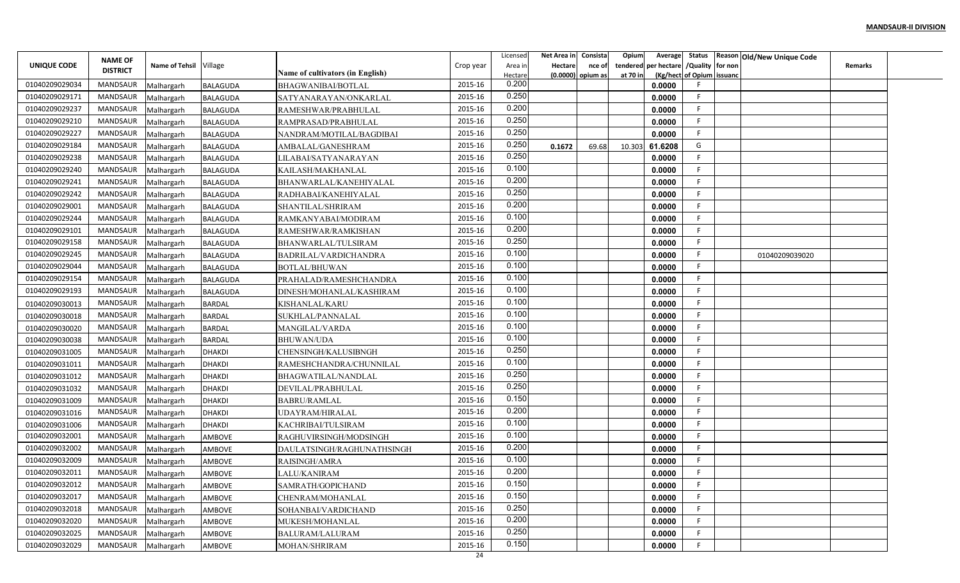|                    | <b>NAME OF</b>  |                          |                 |                                         |           | Licensed         | Net Area in    | Consista          | Opium    |                                        |                           | Average Status Reason Old/New Unique Code |                |  |
|--------------------|-----------------|--------------------------|-----------------|-----------------------------------------|-----------|------------------|----------------|-------------------|----------|----------------------------------------|---------------------------|-------------------------------------------|----------------|--|
| <b>UNIQUE CODE</b> | <b>DISTRICT</b> | Name of Tehsil Village   |                 | <b>Name of cultivators (in English)</b> | Crop year | Area in          | <b>Hectare</b> | nce of            |          | tendered per hectare / Quality for non |                           |                                           | <b>Remarks</b> |  |
| 01040209029034     | MANDSAUR        |                          | <b>BALAGUDA</b> | BHAGWANIBAI/BOTLAL                      | 2015-16   | Hectare<br>0.200 |                | (0.0000) opium as | at 70 in | 0.0000                                 | (Kg/hect of Opium issuanc |                                           |                |  |
| 01040209029171     | MANDSAUR        | Malhargarh<br>Malhargarh | <b>BALAGUDA</b> | SATYANARAYAN/ONKARLAL                   | 2015-16   | 0.250            |                |                   |          | 0.0000                                 | F.                        |                                           |                |  |
| 01040209029237     | MANDSAUR        | Malhargarh               | <b>BALAGUDA</b> | RAMESHWAR/PRABHULAL                     | 2015-16   | 0.200            |                |                   |          | 0.0000                                 | F.                        |                                           |                |  |
| 01040209029210     | <b>MANDSAUR</b> | Malhargarh               | <b>BALAGUDA</b> | RAMPRASAD/PRABHULAL                     | 2015-16   | 0.250            |                |                   |          | 0.0000                                 | F.                        |                                           |                |  |
| 01040209029227     | <b>MANDSAUR</b> | Malhargarh               | <b>BALAGUDA</b> | NANDRAM/MOTILAL/BAGDIBAI                | 2015-16   | 0.250            |                |                   |          | 0.0000                                 | F.                        |                                           |                |  |
| 01040209029184     | MANDSAUR        | Malhargarh               | <b>BALAGUDA</b> | AMBALAL/GANESHRAM                       | 2015-16   | 0.250            | 0.1672         | 69.68             | 10.303   | 61.6208                                | G                         |                                           |                |  |
| 01040209029238     | MANDSAUR        | Malhargarh               | <b>BALAGUDA</b> | LILABAI/SATYANARAYAN                    | 2015-16   | 0.250            |                |                   |          | 0.0000                                 | F                         |                                           |                |  |
| 01040209029240     | MANDSAUR        | Malhargarh               | <b>BALAGUDA</b> | KAILASH/MAKHANLAL                       | 2015-16   | 0.100            |                |                   |          | 0.0000                                 | F.                        |                                           |                |  |
| 01040209029241     | MANDSAUR        | Malhargarh               | <b>BALAGUDA</b> | BHANWARLAL/KANEHIYALAL                  | 2015-16   | 0.200            |                |                   |          | 0.0000                                 | E                         |                                           |                |  |
| 01040209029242     | MANDSAUR        | Malhargarh               | <b>BALAGUDA</b> | RADHABAI/KANEHIYALAL                    | 2015-16   | 0.250            |                |                   |          | 0.0000                                 | F                         |                                           |                |  |
| 01040209029001     | MANDSAUR        | Malhargarh               | <b>BALAGUDA</b> | SHANTILAL/SHRIRAM                       | 2015-16   | 0.200            |                |                   |          | 0.0000                                 | -F                        |                                           |                |  |
| 01040209029244     | MANDSAUR        | Malhargarh               | <b>BALAGUDA</b> | RAMKANYABAI/MODIRAM                     | 2015-16   | 0.100            |                |                   |          | 0.0000                                 | -F                        |                                           |                |  |
| 01040209029101     | MANDSAUR        | Malhargarh               | <b>BALAGUDA</b> | RAMESHWAR/RAMKISHAN                     | 2015-16   | 0.200            |                |                   |          | 0.0000                                 | F.                        |                                           |                |  |
| 01040209029158     | MANDSAUR        | Malhargarh               | <b>BALAGUDA</b> | BHANWARLAL/TULSIRAM                     | 2015-16   | 0.250            |                |                   |          | 0.0000                                 | F.                        |                                           |                |  |
| 01040209029245     | MANDSAUR        | Malhargarh               | <b>BALAGUDA</b> | BADRILAL/VARDICHANDRA                   | 2015-16   | 0.100            |                |                   |          | 0.0000                                 | F.                        | 01040209039020                            |                |  |
| 01040209029044     | MANDSAUR        | Malhargarh               | <b>BALAGUDA</b> | <b>BOTLAL/BHUWAN</b>                    | 2015-16   | 0.100            |                |                   |          | 0.0000                                 | F.                        |                                           |                |  |
| 01040209029154     | MANDSAUR        | Malhargarh               | <b>BALAGUDA</b> | PRAHALAD/RAMESHCHANDRA                  | 2015-16   | 0.100            |                |                   |          | 0.0000                                 | F                         |                                           |                |  |
| 01040209029193     | <b>MANDSAUR</b> | Malhargarh               | <b>BALAGUDA</b> | DINESH/MOHANLAL/KASHIRAM                | 2015-16   | 0.100            |                |                   |          | 0.0000                                 | F                         |                                           |                |  |
| 01040209030013     | MANDSAUR        | Malhargarh               | <b>BARDAL</b>   | KISHANLAL/KARU                          | 2015-16   | 0.100            |                |                   |          | 0.0000                                 | -F                        |                                           |                |  |
| 01040209030018     | MANDSAUR        | Malhargarh               | <b>BARDAL</b>   | SUKHLAL/PANNALAL                        | 2015-16   | 0.100            |                |                   |          | 0.0000                                 | F.                        |                                           |                |  |
| 01040209030020     | MANDSAUR        | Malhargarh               | <b>BARDAL</b>   | MANGILAL/VARDA                          | 2015-16   | 0.100            |                |                   |          | 0.0000                                 | F.                        |                                           |                |  |
| 01040209030038     | MANDSAUR        | Malhargarh               | <b>BARDAL</b>   | <b>BHUWAN/UDA</b>                       | 2015-16   | 0.100            |                |                   |          | 0.0000                                 | F.                        |                                           |                |  |
| 01040209031005     | MANDSAUR        | Malhargarh               | <b>DHAKDI</b>   | CHENSINGH/KALUSIBNGH                    | 2015-16   | 0.250            |                |                   |          | 0.0000                                 | F.                        |                                           |                |  |
| 01040209031011     | MANDSAUR        | Malhargarh               | <b>DHAKDI</b>   | RAMESHCHANDRA/CHUNNILAL                 | 2015-16   | 0.100            |                |                   |          | 0.0000                                 | F                         |                                           |                |  |
| 01040209031012     | MANDSAUR        | Malhargarh               | <b>DHAKDI</b>   | BHAGWATILAL/NANDLAL                     | 2015-16   | 0.250            |                |                   |          | 0.0000                                 | F                         |                                           |                |  |
| 01040209031032     | MANDSAUR        | Malhargarh               | <b>DHAKDI</b>   | DEVILAL/PRABHULAL                       | 2015-16   | 0.250            |                |                   |          | 0.0000                                 | F                         |                                           |                |  |
| 01040209031009     | MANDSAUR        | Malhargarh               | <b>DHAKDI</b>   | <b>BABRU/RAMLAL</b>                     | 2015-16   | 0.150            |                |                   |          | 0.0000                                 | F.                        |                                           |                |  |
| 01040209031016     | MANDSAUR        | Malhargarh               | <b>DHAKDI</b>   | UDAYRAM/HIRALAL                         | 2015-16   | 0.200            |                |                   |          | 0.0000                                 | F                         |                                           |                |  |
| 01040209031006     | MANDSAUR        | Malhargarh               | <b>DHAKDI</b>   | KACHRIBAI/TULSIRAM                      | 2015-16   | 0.100            |                |                   |          | 0.0000                                 | F.                        |                                           |                |  |
| 01040209032001     | MANDSAUR        | Malhargarh               | <b>AMBOVE</b>   | RAGHUVIRSINGH/MODSINGH                  | 2015-16   | 0.100            |                |                   |          | 0.0000                                 | E                         |                                           |                |  |
| 01040209032002     | MANDSAUR        | Malhargarh               | AMBOVE          | DAULATSINGH/RAGHUNATHSINGH              | 2015-16   | 0.200            |                |                   |          | 0.0000                                 | F.                        |                                           |                |  |
| 01040209032009     | MANDSAUR        | Malhargarh               | AMBOVE          | RAISINGH/AMRA                           | 2015-16   | 0.100            |                |                   |          | 0.0000                                 | F                         |                                           |                |  |
| 01040209032011     | MANDSAUR        | Malhargarh               | AMBOVE          | LALU/KANIRAM                            | 2015-16   | 0.200            |                |                   |          | 0.0000                                 | F.                        |                                           |                |  |
| 01040209032012     | MANDSAUR        | Malhargarh               | <b>AMBOVE</b>   | SAMRATH/GOPICHAND                       | 2015-16   | 0.150            |                |                   |          | 0.0000                                 | F                         |                                           |                |  |
| 01040209032017     | MANDSAUR        | Malhargarh               | AMBOVE          | CHENRAM/MOHANLAL                        | 2015-16   | 0.150            |                |                   |          | 0.0000                                 | F                         |                                           |                |  |
| 01040209032018     | MANDSAUR        | Malhargarh               | <b>AMBOVE</b>   | SOHANBAI/VARDICHAND                     | 2015-16   | 0.250            |                |                   |          | 0.0000                                 | F.                        |                                           |                |  |
| 01040209032020     | MANDSAUR        | Malhargarh               | AMBOVE          | MUKESH/MOHANLAL                         | 2015-16   | 0.200            |                |                   |          | 0.0000                                 | F.                        |                                           |                |  |
| 01040209032025     | MANDSAUR        | Malhargarh               | AMBOVE          | <b>BALURAM/LALURAM</b>                  | 2015-16   | 0.250            |                |                   |          | 0.0000                                 | F.                        |                                           |                |  |
| 01040209032029     | MANDSAUR        | Malhargarh               | AMBOVE          | MOHAN/SHRIRAM                           | 2015-16   | 0.150            |                |                   |          | 0.0000                                 | F                         |                                           |                |  |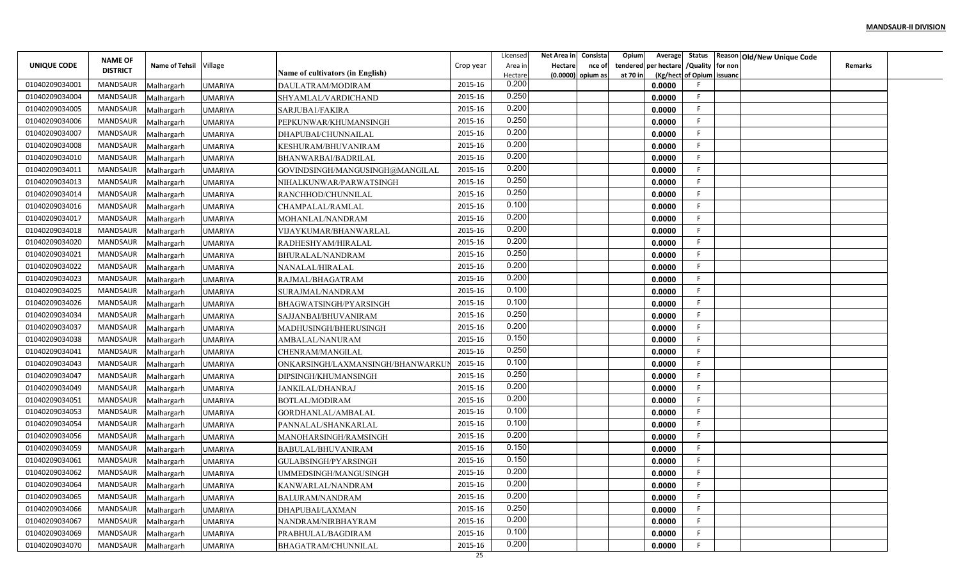|                |                 |                          |                |                                  |           | Licensed | Net Area in    | Consista          | Opium    |                                        |                           | Average Status Reason Old/New Unique Code |                |  |
|----------------|-----------------|--------------------------|----------------|----------------------------------|-----------|----------|----------------|-------------------|----------|----------------------------------------|---------------------------|-------------------------------------------|----------------|--|
| UNIQUE CODE    | <b>NAME OF</b>  | Name of Tehsil Village   |                |                                  | Crop year | Area in  | <b>Hectare</b> | nce of            |          | tendered per hectare / Quality for non |                           |                                           | <b>Remarks</b> |  |
|                | <b>DISTRICT</b> |                          |                | Name of cultivators (in English) |           | Hectare  |                | (0.0000) opium as | at 70 in |                                        | (Kg/hect of Opium issuanc |                                           |                |  |
| 01040209034001 | MANDSAUR        | Malhargarh               | <b>UMARIYA</b> | DAULATRAM/MODIRAM                | 2015-16   | 0.200    |                |                   |          | 0.0000                                 |                           |                                           |                |  |
| 01040209034004 | MANDSAUR        | Malhargarh               | <b>UMARIYA</b> | SHYAMLAL/VARDICHAND              | 2015-16   | 0.250    |                |                   |          | 0.0000                                 | F.                        |                                           |                |  |
| 01040209034005 | MANDSAUR        | Malhargarh               | <b>UMARIYA</b> | SARJUBA1/FAKIRA                  | 2015-16   | 0.200    |                |                   |          | 0.0000                                 | -F.                       |                                           |                |  |
| 01040209034006 | <b>MANDSAUR</b> | Malhargarh               | <b>UMARIYA</b> | PEPKUNWAR/KHUMANSINGH            | 2015-16   | 0.250    |                |                   |          | 0.0000                                 | F.                        |                                           |                |  |
| 01040209034007 | MANDSAUR        | Malhargarh               | <b>UMARIYA</b> | DHAPUBAI/CHUNNAILAL              | 2015-16   | 0.200    |                |                   |          | 0.0000                                 | F.                        |                                           |                |  |
| 01040209034008 | MANDSAUR        | Malhargarh               | UMARIYA        | KESHURAM/BHUVANIRAM              | 2015-16   | 0.200    |                |                   |          | 0.0000                                 | F.                        |                                           |                |  |
| 01040209034010 | MANDSAUR        | Malhargarh               | <b>UMARIYA</b> | BHANWARBAI/BADRILAL              | 2015-16   | 0.200    |                |                   |          | 0.0000                                 | F                         |                                           |                |  |
| 01040209034011 | MANDSAUR        | Malhargarh               | <b>UMARIYA</b> | GOVINDSINGH/MANGUSINGH@MANGILAL  | 2015-16   | 0.200    |                |                   |          | 0.0000                                 | F.                        |                                           |                |  |
| 01040209034013 | MANDSAUR        | Malhargarh               | <b>UMARIYA</b> | NIHALKUNWAR/PARWATSINGH          | 2015-16   | 0.250    |                |                   |          | 0.0000                                 | E                         |                                           |                |  |
| 01040209034014 | MANDSAUR        | Malhargarh               | <b>UMARIYA</b> | RANCHHOD/CHUNNILAL               | 2015-16   | 0.250    |                |                   |          | 0.0000                                 | F                         |                                           |                |  |
| 01040209034016 | MANDSAUR        | Malhargarh               | <b>UMARIYA</b> | CHAMPALAL/RAMLAL                 | 2015-16   | 0.100    |                |                   |          | 0.0000                                 | -F                        |                                           |                |  |
| 01040209034017 | MANDSAUR        | Malhargarh               | <b>UMARIYA</b> | MOHANLAL/NANDRAM                 | 2015-16   | 0.200    |                |                   |          | 0.0000                                 | -F                        |                                           |                |  |
| 01040209034018 | MANDSAUR        | Malhargarh               | <b>UMARIYA</b> | VIJAYKUMAR/BHANWARLAL            | 2015-16   | 0.200    |                |                   |          | 0.0000                                 | -F                        |                                           |                |  |
| 01040209034020 | MANDSAUR        | Malhargarh               | <b>UMARIYA</b> | RADHESHYAM/HIRALAL               | 2015-16   | 0.200    |                |                   |          | 0.0000                                 | E                         |                                           |                |  |
| 01040209034021 | MANDSAUR        | Malhargarh               | <b>UMARIYA</b> | BHURALAL/NANDRAM                 | 2015-16   | 0.250    |                |                   |          | 0.0000                                 | F.                        |                                           |                |  |
| 01040209034022 | MANDSAUR        | Malhargarh               | UMARIYA        | NANALAL/HIRALAL                  | 2015-16   | 0.200    |                |                   |          | 0.0000                                 | F.                        |                                           |                |  |
| 01040209034023 | MANDSAUR        | Malhargarh               | <b>UMARIYA</b> | RAJMAL/BHAGATRAM                 | 2015-16   | 0.200    |                |                   |          | 0.0000                                 | F                         |                                           |                |  |
| 01040209034025 | MANDSAUR        | Malhargarh               | <b>UMARIYA</b> | SURAJMAL/NANDRAM                 | 2015-16   | 0.100    |                |                   |          | 0.0000                                 | F                         |                                           |                |  |
| 01040209034026 | MANDSAUR        | Malhargarh               | <b>UMARIYA</b> | BHAGWATSINGH/PYARSINGH           | 2015-16   | 0.100    |                |                   |          | 0.0000                                 | -F                        |                                           |                |  |
| 01040209034034 | MANDSAUR        | Malhargarh               | <b>UMARIYA</b> | SAJJANBAI/BHUVANIRAM             | 2015-16   | 0.250    |                |                   |          | 0.0000                                 | F.                        |                                           |                |  |
| 01040209034037 | MANDSAUR        | Malhargarh               | <b>UMARIYA</b> | MADHUSINGH/BHERUSINGH            | 2015-16   | 0.200    |                |                   |          | 0.0000                                 | -F                        |                                           |                |  |
| 01040209034038 | MANDSAUR        | Malhargarh               | UMARIYA        | AMBALAL/NANURAM                  | 2015-16   | 0.150    |                |                   |          | 0.0000                                 | F.                        |                                           |                |  |
| 01040209034041 | MANDSAUR        | Malhargarh               | <b>UMARIYA</b> | CHENRAM/MANGILAL                 | 2015-16   | 0.250    |                |                   |          | 0.0000                                 | F.                        |                                           |                |  |
| 01040209034043 | MANDSAUR        | Malhargarh               | <b>UMARIYA</b> | ONKARSINGH/LAXMANSINGH/BHANWARKU | 2015-16   | 0.100    |                |                   |          | 0.0000                                 | F                         |                                           |                |  |
| 01040209034047 | MANDSAUR        | Malhargarh               | <b>UMARIYA</b> | DIPSINGH/KHUMANSINGH             | 2015-16   | 0.250    |                |                   |          | 0.0000                                 | F                         |                                           |                |  |
| 01040209034049 | MANDSAUR        | Malhargarh               | <b>UMARIYA</b> | JANKILAL/DHANRAJ                 | 2015-16   | 0.200    |                |                   |          | 0.0000                                 | E                         |                                           |                |  |
| 01040209034051 | MANDSAUR        | Malhargarh               | <b>UMARIYA</b> | BOTLAL/MODIRAM                   | 2015-16   | 0.200    |                |                   |          | 0.0000                                 | F.                        |                                           |                |  |
| 01040209034053 | MANDSAUR        | Malhargarh               | <b>UMARIYA</b> | GORDHANLAL/AMBALAL               | 2015-16   | 0.100    |                |                   |          | 0.0000                                 | -F                        |                                           |                |  |
| 01040209034054 | <b>MANDSAUR</b> | Malhargarh               | <b>UMARIYA</b> | PANNALAL/SHANKARLAL              | 2015-16   | 0.100    |                |                   |          | 0.0000                                 | F.                        |                                           |                |  |
| 01040209034056 | MANDSAUR        | Malhargarh               | <b>UMARIYA</b> | MANOHARSINGH/RAMSINGH            | 2015-16   | 0.200    |                |                   |          | 0.0000                                 | E                         |                                           |                |  |
| 01040209034059 | MANDSAUR        | Malhargarh               | <b>UMARIYA</b> | BABULAL/BHUVANIRAM               | 2015-16   | 0.150    |                |                   |          | 0.0000                                 | F                         |                                           |                |  |
| 01040209034061 | MANDSAUR        | Malhargarh               | UMARIYA        | GULABSINGH/PYARSINGH             | 2015-16   | 0.150    |                |                   |          | 0.0000                                 | F                         |                                           |                |  |
| 01040209034062 | MANDSAUR        |                          | <b>UMARIYA</b> |                                  | 2015-16   | 0.200    |                |                   |          | 0.0000                                 | F.                        |                                           |                |  |
| 01040209034064 | MANDSAUR        | Malhargarh<br>Malhargarh | <b>UMARIYA</b> | UMMEDSINGH/MANGUSINGH            | 2015-16   | 0.200    |                |                   |          | 0.0000                                 | F                         |                                           |                |  |
| 01040209034065 | MANDSAUR        |                          | <b>UMARIYA</b> | KANWARLAL/NANDRAM                | 2015-16   | 0.200    |                |                   |          | 0.0000                                 | F                         |                                           |                |  |
| 01040209034066 | MANDSAUR        | Malhargarh               |                | BALURAM/NANDRAM                  | 2015-16   | 0.250    |                |                   |          | 0.0000                                 | F.                        |                                           |                |  |
| 01040209034067 | MANDSAUR        | Malhargarh               | <b>UMARIYA</b> | DHAPUBAI/LAXMAN                  | 2015-16   | 0.200    |                |                   |          | 0.0000                                 | F.                        |                                           |                |  |
| 01040209034069 | MANDSAUR        | Malhargarh               | <b>UMARIYA</b> | NANDRAM/NIRBHAYRAM               | 2015-16   | 0.100    |                |                   |          |                                        | F.                        |                                           |                |  |
| 01040209034070 | MANDSAUR        | Malhargarh               | <b>UMARIYA</b> | PRABHULAL/BAGDIRAM               | 2015-16   | 0.200    |                |                   |          | 0.0000                                 | F                         |                                           |                |  |
|                |                 | Malhargarh               | <b>UMARIYA</b> | BHAGATRAM/CHUNNILAL              | 25        |          |                |                   |          | 0.0000                                 |                           |                                           |                |  |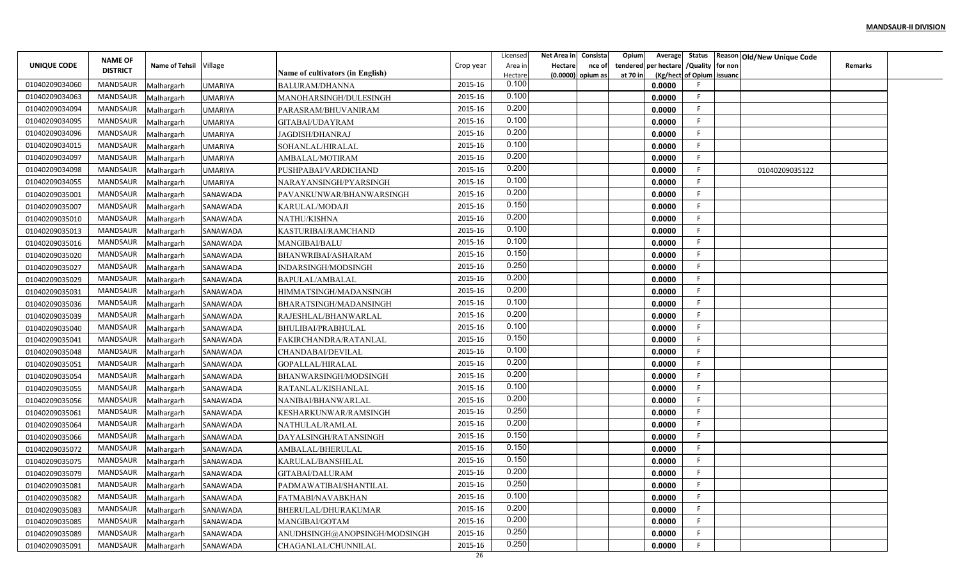|                | <b>NAME OF</b>  |                          |                |                                                 |           | Licensed         | Net Area in | Consista            | Opium    |        |                                        | Average Status Reason Old/New Unique Code |                |  |
|----------------|-----------------|--------------------------|----------------|-------------------------------------------------|-----------|------------------|-------------|---------------------|----------|--------|----------------------------------------|-------------------------------------------|----------------|--|
| UNIQUE CODE    | <b>DISTRICT</b> | Name of Tehsil Village   |                |                                                 | Crop year | Area ir          | Hectare     | nce of              |          |        | tendered per hectare / Quality for non |                                           | <b>Remarks</b> |  |
| 01040209034060 | <b>MANDSAUR</b> |                          | <b>UMARIYA</b> | Name of cultivators (in English)                | 2015-16   | Hectare<br>0.100 |             | $(0.0000)$ opium as | at 70 in | 0.0000 | (Kg/hect of Opium issuanc              |                                           |                |  |
| 01040209034063 | MANDSAUR        | Malhargarh<br>Malhargarh | <b>UMARIYA</b> | <b>BALURAM/DHANNA</b><br>MANOHARSINGH/DULESINGH | 2015-16   | 0.100            |             |                     |          | 0.0000 | E                                      |                                           |                |  |
| 01040209034094 | MANDSAUR        | Malhargarh               | UMARIYA        | PARASRAM/BHUVANIRAM                             | 2015-16   | 0.200            |             |                     |          | 0.0000 | -F                                     |                                           |                |  |
| 01040209034095 | MANDSAUR        | Malhargarh               | <b>UMARIYA</b> | GITABAI/UDAYRAM                                 | 2015-16   | 0.100            |             |                     |          | 0.0000 | -F                                     |                                           |                |  |
| 01040209034096 | MANDSAUR        | Malhargarh               | UMARIYA        | JAGDISH/DHANRAJ                                 | 2015-16   | 0.200            |             |                     |          | 0.0000 | F                                      |                                           |                |  |
| 01040209034015 | MANDSAUR        | Malhargarh               | UMARIYA        | SOHANLAL/HIRALAL                                | 2015-16   | 0.100            |             |                     |          | 0.0000 | E.                                     |                                           |                |  |
| 01040209034097 | MANDSAUR        | Malhargarh               | UMARIYA        | AMBALAL/MOTIRAM                                 | 2015-16   | 0.200            |             |                     |          | 0.0000 | F                                      |                                           |                |  |
| 01040209034098 | MANDSAUR        | Malhargarh               | <b>UMARIYA</b> | PUSHPABAI/VARDICHAND                            | 2015-16   | 0.200            |             |                     |          | 0.0000 | F.                                     | 01040209035122                            |                |  |
| 01040209034055 | MANDSAUR        | Malhargarh               | <b>UMARIYA</b> | NARAYANSINGH/PYARSINGH                          | 2015-16   | 0.100            |             |                     |          | 0.0000 | F                                      |                                           |                |  |
| 01040209035001 | MANDSAUR        | Malhargarh               | SANAWADA       | PAVANKUNWAR/BHANWARSINGH                        | 2015-16   | 0.200            |             |                     |          | 0.0000 | E                                      |                                           |                |  |
| 01040209035007 | MANDSAUR        | Malhargarh               | SANAWADA       | KARULAL/MODAJI                                  | 2015-16   | 0.150            |             |                     |          | 0.0000 | F                                      |                                           |                |  |
| 01040209035010 | MANDSAUR        | Malhargarh               | SANAWADA       | NATHU/KISHNA                                    | 2015-16   | 0.200            |             |                     |          | 0.0000 | E                                      |                                           |                |  |
| 01040209035013 | MANDSAUR        | Malhargarh               | SANAWADA       | KASTURIBAI/RAMCHAND                             | 2015-16   | 0.100            |             |                     |          | 0.0000 | -F                                     |                                           |                |  |
| 01040209035016 | <b>MANDSAUR</b> | Malhargarh               | SANAWADA       | <b>MANGIBAI/BALU</b>                            | 2015-16   | 0.100            |             |                     |          | 0.0000 | F                                      |                                           |                |  |
| 01040209035020 | <b>MANDSAUR</b> | Malhargarh               | SANAWADA       | BHANWRIBAI/ASHARAM                              | 2015-16   | 0.150            |             |                     |          | 0.0000 | E                                      |                                           |                |  |
| 01040209035027 | MANDSAUR        | Malhargarh               | SANAWADA       | INDARSINGH/MODSINGH                             | 2015-16   | 0.250            |             |                     |          | 0.0000 | -F                                     |                                           |                |  |
| 01040209035029 | MANDSAUR        | Malhargarh               | SANAWADA       | BAPULAL/AMBALAI                                 | 2015-16   | 0.200            |             |                     |          | 0.0000 | F                                      |                                           |                |  |
| 01040209035031 | <b>MANDSAUR</b> | Malhargarh               | SANAWADA       | HIMMATSINGH/MADANSINGH                          | 2015-16   | 0.200            |             |                     |          | 0.0000 |                                        |                                           |                |  |
| 01040209035036 | MANDSAUR        | Malhargarh               | SANAWADA       | BHARATSINGH/MADANSINGH                          | 2015-16   | 0.100            |             |                     |          | 0.0000 | F                                      |                                           |                |  |
| 01040209035039 | MANDSAUR        | Malhargarh               | SANAWADA       | RAJESHLAL/BHANWARLAL                            | 2015-16   | 0.200            |             |                     |          | 0.0000 | -F                                     |                                           |                |  |
| 01040209035040 | MANDSAUR        | Malhargarh               | SANAWADA       | BHULIBAI/PRABHULAL                              | 2015-16   | 0.100            |             |                     |          | 0.0000 | E                                      |                                           |                |  |
| 01040209035041 | <b>MANDSAUR</b> | Malhargarh               | SANAWADA       | FAKIRCHANDRA/RATANLAL                           | 2015-16   | 0.150            |             |                     |          | 0.0000 | -F                                     |                                           |                |  |
| 01040209035048 | MANDSAUR        | Malhargarh               | SANAWADA       | CHANDABAI/DEVILAL                               | 2015-16   | 0.100            |             |                     |          | 0.0000 | -F                                     |                                           |                |  |
| 01040209035051 | MANDSAUR        | Malhargarh               | SANAWADA       | GOPALLAL/HIRALAL                                | 2015-16   | 0.200            |             |                     |          | 0.0000 | F                                      |                                           |                |  |
| 01040209035054 | MANDSAUR        | Malhargarh               | SANAWADA       | BHANWARSINGH/MODSINGH                           | 2015-16   | 0.200            |             |                     |          | 0.0000 | E                                      |                                           |                |  |
| 01040209035055 | MANDSAUR        | Malhargarh               | SANAWADA       | RATANLAL/KISHANLAI                              | 2015-16   | 0.100            |             |                     |          | 0.0000 |                                        |                                           |                |  |
| 01040209035056 | MANDSAUR        | Malhargarh               | SANAWADA       | NANIBAI/BHANWARLAL                              | 2015-16   | 0.200            |             |                     |          | 0.0000 | -F                                     |                                           |                |  |
| 01040209035061 | MANDSAUR        | Malhargarh               | SANAWADA       | KESHARKUNWAR/RAMSINGH                           | 2015-16   | 0.250            |             |                     |          | 0.0000 |                                        |                                           |                |  |
| 01040209035064 | MANDSAUR        | Malhargarh               | SANAWADA       | NATHULAL/RAMLAL                                 | 2015-16   | 0.200            |             |                     |          | 0.0000 | -F                                     |                                           |                |  |
| 01040209035066 | MANDSAUR        | Malhargarh               | SANAWADA       | DAYALSINGH/RATANSINGH                           | 2015-16   | 0.150            |             |                     |          | 0.0000 | F                                      |                                           |                |  |
| 01040209035072 | MANDSAUR        | Malhargarh               | SANAWADA       | AMBALAL/BHERULAL                                | 2015-16   | 0.150            |             |                     |          | 0.0000 | F                                      |                                           |                |  |
| 01040209035075 | <b>MANDSAUR</b> | Malhargarh               | SANAWADA       | KARULAL/BANSHILAL                               | 2015-16   | 0.150            |             |                     |          | 0.0000 |                                        |                                           |                |  |
| 01040209035079 | MANDSAUR        | Malhargarh               | SANAWADA       | GITABAI/DALURAM                                 | 2015-16   | 0.200            |             |                     |          | 0.0000 | F.                                     |                                           |                |  |
| 01040209035081 | MANDSAUR        | Malhargarh               | SANAWADA       | PADMAWATIBAI/SHANTILAL                          | 2015-16   | 0.250            |             |                     |          | 0.0000 | F.                                     |                                           |                |  |
| 01040209035082 | MANDSAUR        | Malhargarh               | SANAWADA       | FATMABI/NAVABKHAN                               | 2015-16   | 0.100            |             |                     |          | 0.0000 | F                                      |                                           |                |  |
| 01040209035083 | MANDSAUR        | Malhargarh               | SANAWADA       | BHERULAL/DHURAKUMAR                             | 2015-16   | 0.200            |             |                     |          | 0.0000 | F.                                     |                                           |                |  |
| 01040209035085 | MANDSAUR        | Malhargarh               | SANAWADA       | MANGIBAI/GOTAM                                  | 2015-16   | 0.200            |             |                     |          | 0.0000 | F.                                     |                                           |                |  |
| 01040209035089 | MANDSAUR        | Malhargarh               | SANAWADA       | ANUDHSINGH@ANOPSINGH/MODSINGH                   | 2015-16   | 0.250            |             |                     |          | 0.0000 | -F.                                    |                                           |                |  |
| 01040209035091 | MANDSAUR        | Malhargarh               | SANAWADA       | CHAGANLAL/CHUNNILAL                             | 2015-16   | 0.250            |             |                     |          | 0.0000 | F.                                     |                                           |                |  |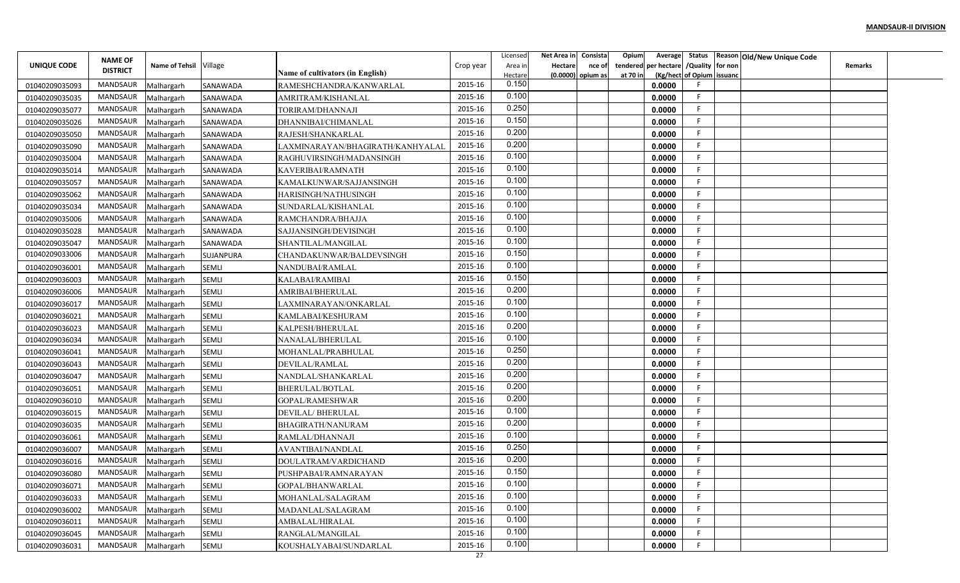|                |                                   |                        |                  |                                  |                            | Licensed         | Net Area in | Consista            | Opium<br>Average        |                           | Status Reason Old/New Unique Code |                |  |
|----------------|-----------------------------------|------------------------|------------------|----------------------------------|----------------------------|------------------|-------------|---------------------|-------------------------|---------------------------|-----------------------------------|----------------|--|
| UNIQUE CODE    | <b>NAME OF</b><br><b>DISTRICT</b> | Name of Tehsil Village |                  |                                  | Crop year                  | Area in          | Hectare     | nce of              | per hectare<br>tendered | /Quality for non          |                                   | <b>Remarks</b> |  |
|                |                                   |                        |                  | Name of cultivators (in English) | 2015-16                    | Hectare<br>0.150 |             | $(0.0000)$ opium as | at 70 in                | (Kg/hect of Opium issuanc |                                   |                |  |
| 01040209035093 | <b>MANDSAUR</b>                   | Malhargarh             | SANAWADA         | RAMESHCHANDRA/KANWARLAL          |                            | 0.100            |             |                     | 0.0000                  | -F                        |                                   |                |  |
| 01040209035035 | <b>MANDSAUR</b>                   | Malhargarh             | <b>SANAWADA</b>  | AMRITRAM/KISHANLAL               | 2015-16                    | 0.250            |             |                     | 0.0000                  | -F                        |                                   |                |  |
| 01040209035077 | MANDSAUR                          | Malhargarh             | SANAWADA         | TORIRAM/DHANNAJI                 | 2015-16                    | 0.150            |             |                     | 0.0000                  | F                         |                                   |                |  |
| 01040209035026 | <b>MANDSAUR</b>                   | Malhargarh             | SANAWADA         | DHANNIBAI/CHIMANLAL              | 2015-16                    | 0.200            |             |                     | 0.0000                  |                           |                                   |                |  |
| 01040209035050 | MANDSAUR                          | Malhargarh             | SANAWADA         | RAJESH/SHANKARLAL                | 2015-16                    | 0.200            |             |                     | 0.0000                  |                           |                                   |                |  |
| 01040209035090 | <b>MANDSAUR</b>                   | Malhargarh             | SANAWADA         | LAXMINARAYAN/BHAGIRATH/KANHYALAI | 2015-16                    |                  |             |                     | 0.0000                  |                           |                                   |                |  |
| 01040209035004 | MANDSAUR                          | Malhargarh             | SANAWADA         | RAGHUVIRSINGH/MADANSINGH         | 2015-16                    | 0.100            |             |                     | 0.0000                  | -F                        |                                   |                |  |
| 01040209035014 | <b>MANDSAUR</b>                   | Malhargarh             | <b>SANAWADA</b>  | KAVERIBAI/RAMNATH                | 2015-16                    | 0.100            |             |                     | 0.0000                  |                           |                                   |                |  |
| 01040209035057 | <b>MANDSAUR</b>                   | Malhargarh             | SANAWADA         | KAMALKUNWAR/SAJJANSINGH          | 2015-16                    | 0.100            |             |                     | 0.0000                  |                           |                                   |                |  |
| 01040209035062 | <b>MANDSAUR</b>                   | Malhargarh             | SANAWADA         | HARISINGH/NATHUSINGH             | 2015-16                    | 0.100            |             |                     | 0.0000                  | F                         |                                   |                |  |
| 01040209035034 | MANDSAUR                          | Malhargarh             | SANAWADA         | SUNDARLAL/KISHANLAL              | 2015-16                    | 0.100            |             |                     | 0.0000                  | -F                        |                                   |                |  |
| 01040209035006 | <b>MANDSAUR</b>                   | Malhargarh             | SANAWADA         | RAMCHANDRA/BHAJJA                | 2015-16                    | 0.100            |             |                     | 0.0000                  | -F                        |                                   |                |  |
| 01040209035028 | <b>MANDSAUR</b>                   | Malhargarh             | SANAWADA         | SAJJANSINGH/DEVISINGH            | 2015-16                    | 0.100            |             |                     | 0.0000                  |                           |                                   |                |  |
| 01040209035047 | <b>MANDSAUR</b>                   | Malhargarh             | SANAWADA         | SHANTILAL/MANGILAL               | 2015-16                    | 0.100            |             |                     | 0.0000                  |                           |                                   |                |  |
| 01040209033006 | <b>MANDSAUR</b>                   | Malhargarh             | <b>SUJANPURA</b> | CHANDAKUNWAR/BALDEVSINGH         | 2015-16                    | 0.150            |             |                     | 0.0000                  |                           |                                   |                |  |
| 01040209036001 | <b>MANDSAUR</b>                   | Malhargarh             | <b>SEMLI</b>     | NANDUBAI/RAMLAL                  | 2015-16                    | 0.100            |             |                     | 0.0000                  |                           |                                   |                |  |
| 01040209036003 | <b>MANDSAUR</b>                   | Malhargarh             | <b>SEMLI</b>     | KALABAI/RAMIBAI                  | 2015-16                    | 0.150            |             |                     | 0.0000                  |                           |                                   |                |  |
| 01040209036006 | <b>MANDSAUR</b>                   | Malhargarh             | <b>SEMLI</b>     | AMRIBAI/BHERULAL                 | 2015-16                    | 0.200            |             |                     | 0.0000                  | -F                        |                                   |                |  |
| 01040209036017 | MANDSAUR                          | Malhargarh             | <b>SEMLI</b>     | LAXMINARAYAN/ONKARLAL            | 2015-16                    | 0.100            |             |                     | 0.0000                  |                           |                                   |                |  |
| 01040209036021 | MANDSAUR                          | Malhargarh             | SEMLI            | KAMLABAI/KESHURAM                | 2015-16                    | 0.100            |             |                     | 0.0000                  | -F                        |                                   |                |  |
| 01040209036023 | <b>MANDSAUR</b>                   | Malhargarh             | <b>SEMLI</b>     | KALPESH/BHERULAL                 | 2015-16                    | 0.200            |             |                     | 0.0000                  | -F                        |                                   |                |  |
| 01040209036034 | <b>MANDSAUR</b>                   | Malhargarh             | <b>SEMLI</b>     | NANALAL/BHERULAL                 | 2015-16                    | 0.100            |             |                     | 0.0000                  |                           |                                   |                |  |
| 01040209036041 | <b>MANDSAUR</b>                   | Malhargarh             | <b>SEMLI</b>     | MOHANLAL/PRABHULAL               | 2015-16                    | 0.250            |             |                     | 0.0000                  | -F                        |                                   |                |  |
| 01040209036043 | MANDSAUR                          | Malhargarh             | <b>SEMLI</b>     | DEVILAL/RAMLAL                   | 2015-16                    | 0.200            |             |                     | 0.0000                  | -F                        |                                   |                |  |
| 01040209036047 | <b>MANDSAUR</b>                   | Malhargarh             | <b>SEMLI</b>     | NANDLAL/SHANKARLAL               | 2015-16                    | 0.200            |             |                     | 0.0000                  |                           |                                   |                |  |
| 01040209036051 | <b>MANDSAUR</b>                   | Malhargarh             | <b>SEMLI</b>     | BHERULAL/BOTLAL                  | 2015-16                    | 0.200            |             |                     | 0.0000                  |                           |                                   |                |  |
|                | <b>MANDSAUR</b>                   |                        | SEMLI            |                                  | 2015-16                    | 0.200            |             |                     | 0.0000                  | -F                        |                                   |                |  |
| 01040209036010 | MANDSAUR                          | Malhargarh             |                  | GOPAL/RAMESHWAR                  | 2015-16                    | 0.100            |             |                     |                         | F                         |                                   |                |  |
| 01040209036015 | <b>MANDSAUR</b>                   | Malhargarh             | <b>SEMLI</b>     | <b>DEVILAL/BHERULAL</b>          | 2015-16                    | 0.200            |             |                     | 0.0000                  | -F                        |                                   |                |  |
| 01040209036035 |                                   | Malhargarh             | <b>SEMLI</b>     | BHAGIRATH/NANURAM                |                            | 0.100            |             |                     | 0.0000                  |                           |                                   |                |  |
| 01040209036061 | <b>MANDSAUR</b>                   | Malhargarh             | <b>SEMLI</b>     | RAMLAL/DHANNAJI                  | 2015-16                    | 0.250            |             |                     | 0.0000                  |                           |                                   |                |  |
| 01040209036007 | <b>MANDSAUR</b>                   | Malhargarh             | <b>SEMLI</b>     | AVANTIBAI/NANDLAL                | 2015-16                    | 0.200            |             |                     | 0.0000                  |                           |                                   |                |  |
| 01040209036016 | MANDSAUR                          | Malhargarh             | <b>SEMLI</b>     | DOULATRAM/VARDICHAND             | 2015-16                    |                  |             |                     | 0.0000                  |                           |                                   |                |  |
| 01040209036080 | MANDSAUR                          | Malhargarh             | SEMLI            | PUSHPABAI/RAMNARAYAN             | 2015-16                    | 0.150            |             |                     | 0.0000                  |                           |                                   |                |  |
| 01040209036071 | MANDSAUR                          | Malhargarh             | SEMLI            | GOPAL/BHANWARLAL                 | 2015-16                    | 0.100            |             |                     | 0.0000                  |                           |                                   |                |  |
| 01040209036033 | MANDSAUR                          | Malhargarh             | SEMLI            | MOHANLAL/SALAGRAM                | 2015-16                    | 0.100            |             |                     | 0.0000                  | -F                        |                                   |                |  |
| 01040209036002 | MANDSAUR                          | Malhargarh             | SEMLI            | MADANLAL/SALAGRAM                | 2015-16                    | 0.100            |             |                     | 0.0000                  | -F                        |                                   |                |  |
| 01040209036011 | MANDSAUR                          | Malhargarh             | SEMLI            | AMBALAL/HIRALAL                  | 2015-16                    | 0.100            |             |                     | 0.0000                  | F.                        |                                   |                |  |
| 01040209036045 | MANDSAUR                          | Malhargarh             | SEMLI            | RANGLAL/MANGILAL                 | 2015-16                    | 0.100            |             |                     | 0.0000                  | -F                        |                                   |                |  |
| 01040209036031 | MANDSAUR                          | Malhargarh             | SEMLI            | KOUSHALYABAI/SUNDARLAL           | 2015-16<br>$\overline{27}$ | 0.100            |             |                     | 0.0000                  |                           |                                   |                |  |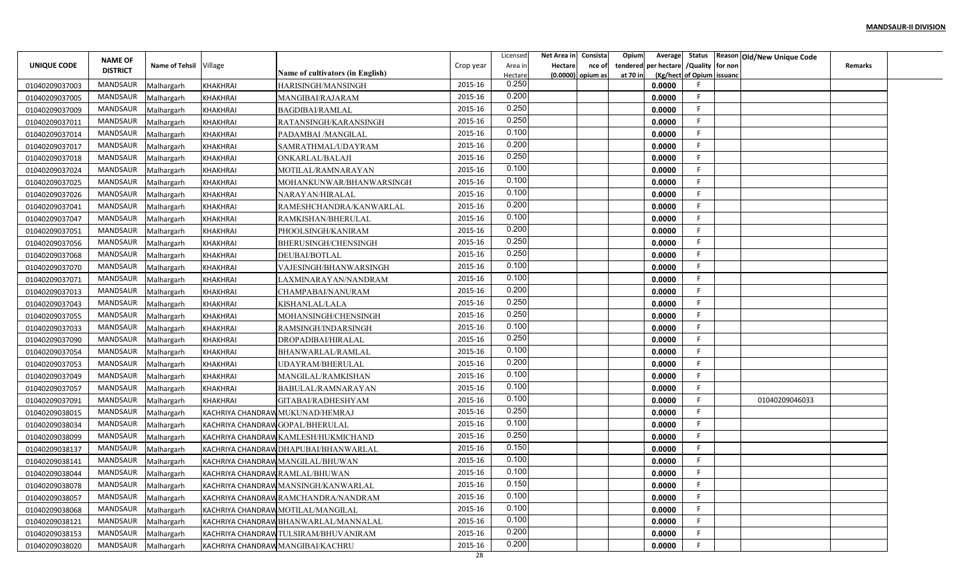|                |                                   |                        |                                  |                                         |           | Licensed       | Net Area in    | Consista            | Opium    |                                        |                           | Average Status Reason Old/New Unique Code |                |  |
|----------------|-----------------------------------|------------------------|----------------------------------|-----------------------------------------|-----------|----------------|----------------|---------------------|----------|----------------------------------------|---------------------------|-------------------------------------------|----------------|--|
| UNIQUE CODE    | <b>NAME OF</b><br><b>DISTRICT</b> | Name of Tehsil Village |                                  |                                         | Crop year | Area in        | <b>Hectare</b> | nce of              |          | tendered per hectare / Quality for non |                           |                                           | <b>Remarks</b> |  |
|                |                                   |                        |                                  | <b>Name of cultivators (in English)</b> |           | Hectare        |                | $(0.0000)$ opium as | at 70 in |                                        | (Kg/hect of Opium issuanc |                                           |                |  |
| 01040209037003 | MANDSAUR                          | Malhargarh             | <b>KHAKHRAI</b>                  | HARISINGH/MANSINGH                      | 2015-16   | 0.250          |                |                     |          | 0.0000                                 |                           |                                           |                |  |
| 01040209037005 | MANDSAUR                          | Malhargarh             | <b>KHAKHRAI</b>                  | MANGIBAI/RAJARAM                        | 2015-16   | 0.200<br>0.250 |                |                     |          | 0.0000                                 | F.                        |                                           |                |  |
| 01040209037009 | MANDSAUR                          | Malhargarh             | <b>KHAKHRAI</b>                  | BAGDIBAI/RAMLAL                         | 2015-16   | 0.250          |                |                     |          | 0.0000                                 | F.                        |                                           |                |  |
| 01040209037011 | <b>MANDSAUR</b>                   | Malhargarh             | <b>KHAKHRAI</b>                  | RATANSINGH/KARANSINGH                   | 2015-16   |                |                |                     |          | 0.0000                                 | F.                        |                                           |                |  |
| 01040209037014 | MANDSAUR                          | Malhargarh             | KHAKHRAI                         | PADAMBAI /MANGILAL                      | 2015-16   | 0.100          |                |                     |          | 0.0000                                 | F.                        |                                           |                |  |
| 01040209037017 | MANDSAUR                          | Malhargarh             | <b>KHAKHRAI</b>                  | SAMRATHMAL/UDAYRAM                      | 2015-16   | 0.200          |                |                     |          | 0.0000                                 | F.                        |                                           |                |  |
| 01040209037018 | MANDSAUR                          | Malhargarh             | <b>KHAKHRAI</b>                  | ONKARLAL/BALAJI                         | 2015-16   | 0.250          |                |                     |          | 0.0000                                 | F                         |                                           |                |  |
| 01040209037024 | MANDSAUR                          | Malhargarh             | <b>KHAKHRAI</b>                  | MOTILAL/RAMNARAYAN                      | 2015-16   | 0.100          |                |                     |          | 0.0000                                 | F.                        |                                           |                |  |
| 01040209037025 | MANDSAUR                          | Malhargarh             | <b>KHAKHRAI</b>                  | MOHANKUNWAR/BHANWARSINGH                | 2015-16   | 0.100          |                |                     |          | 0.0000                                 | E                         |                                           |                |  |
| 01040209037026 | MANDSAUR                          | Malhargarh             | <b>KHAKHRAI</b>                  | NARAYAN/HIRALAL                         | 2015-16   | 0.100          |                |                     |          | 0.0000                                 | F                         |                                           |                |  |
| 01040209037041 | MANDSAUR                          | Malhargarh             | <b>KHAKHRAI</b>                  | RAMESHCHANDRA/KANWARLAL                 | 2015-16   | 0.200          |                |                     |          | 0.0000                                 | -F                        |                                           |                |  |
| 01040209037047 | <b>MANDSAUR</b>                   | Malhargarh             | <b>KHAKHRAI</b>                  | RAMKISHAN/BHERULAL                      | 2015-16   | 0.100          |                |                     |          | 0.0000                                 | -F                        |                                           |                |  |
| 01040209037051 | MANDSAUR                          | Malhargarh             | <b>KHAKHRAI</b>                  | PHOOLSINGH/KANIRAM                      | 2015-16   | 0.200          |                |                     |          | 0.0000                                 | F.                        |                                           |                |  |
| 01040209037056 | MANDSAUR                          | Malhargarh             | <b>KHAKHRAI</b>                  | BHERUSINGH/CHENSINGH                    | 2015-16   | 0.250          |                |                     |          | 0.0000                                 | E                         |                                           |                |  |
| 01040209037068 | MANDSAUR                          | Malhargarh             | <b>KHAKHRAI</b>                  | DEUBAI/BOTLAL                           | 2015-16   | 0.250          |                |                     |          | 0.0000                                 | F.                        |                                           |                |  |
| 01040209037070 | <b>MANDSAUR</b>                   | Malhargarh             | KHAKHRAI                         | VAJESINGH/BHANWARSINGH                  | 2015-16   | 0.100          |                |                     |          | 0.0000                                 | F.                        |                                           |                |  |
| 01040209037071 | MANDSAUR                          | Malhargarh             | <b>KHAKHRAI</b>                  | LAXMINARAYAN/NANDRAM                    | 2015-16   | 0.100          |                |                     |          | 0.0000                                 | F                         |                                           |                |  |
| 01040209037013 | MANDSAUR                          | Malhargarh             | <b>KHAKHRAI</b>                  | CHAMPABAI/NANURAM                       | 2015-16   | 0.200          |                |                     |          | 0.0000                                 | F                         |                                           |                |  |
| 01040209037043 | MANDSAUR                          | Malhargarh             | <b>KHAKHRAI</b>                  | KISHANLAL/LALA                          | 2015-16   | 0.250          |                |                     |          | 0.0000                                 | -F                        |                                           |                |  |
| 01040209037055 | MANDSAUR                          | Malhargarh             | <b>KHAKHRAI</b>                  | MOHANSINGH/CHENSINGH                    | 2015-16   | 0.250          |                |                     |          | 0.0000                                 | F.                        |                                           |                |  |
| 01040209037033 | MANDSAUR                          | Malhargarh             | <b>KHAKHRAI</b>                  | RAMSINGH/INDARSINGH                     | 2015-16   | 0.100          |                |                     |          | 0.0000                                 | -F                        |                                           |                |  |
| 01040209037090 | MANDSAUR                          | Malhargarh             | <b>KHAKHRAI</b>                  | DROPADIBAI/HIRALAL                      | 2015-16   | 0.250          |                |                     |          | 0.0000                                 | F.                        |                                           |                |  |
| 01040209037054 | MANDSAUR                          | Malhargarh             | KHAKHRAI                         | BHANWARLAL/RAMLAL                       | 2015-16   | 0.100          |                |                     |          | 0.0000                                 | F.                        |                                           |                |  |
| 01040209037053 | MANDSAUR                          | Malhargarh             | <b>KHAKHRAI</b>                  | UDAYRAM/BHERULAL                        | 2015-16   | 0.200          |                |                     |          | 0.0000                                 | F                         |                                           |                |  |
| 01040209037049 | MANDSAUR                          | Malhargarh             | <b>KHAKHRAI</b>                  | MANGILAL/RAMKISHAN                      | 2015-16   | 0.100          |                |                     |          | 0.0000                                 | F                         |                                           |                |  |
| 01040209037057 | MANDSAUR                          | Malhargarh             | <b>KHAKHRAI</b>                  | BABULAL/RAMNARAYAN                      | 2015-16   | 0.100          |                |                     |          | 0.0000                                 | F                         |                                           |                |  |
| 01040209037091 | MANDSAUR                          | Malhargarh             | <b>KHAKHRAI</b>                  | GITABAI/RADHESHYAM                      | 2015-16   | 0.100          |                |                     |          | 0.0000                                 | F                         | 01040209046033                            |                |  |
| 01040209038015 | MANDSAUR                          | Malhargarh             |                                  | KACHRIYA CHANDRAW MUKUNAD/HEMRAJ        | 2015-16   | 0.250          |                |                     |          | 0.0000                                 | F                         |                                           |                |  |
| 01040209038034 | MANDSAUR                          | Malhargarh             | KACHRIYA CHANDRAW GOPAL/BHERULAL |                                         | 2015-16   | 0.100          |                |                     |          | 0.0000                                 | F.                        |                                           |                |  |
| 01040209038099 | MANDSAUR                          | Malhargarh             |                                  | KACHRIYA CHANDRAW KAMLESH/HUKMICHAND    | 2015-16   | 0.250          |                |                     |          | 0.0000                                 | E                         |                                           |                |  |
| 01040209038137 | MANDSAUR                          | Malhargarh             |                                  | KACHRIYA CHANDRAW DHAPUBAI/BHANWARLAL   | 2015-16   | 0.150          |                |                     |          | 0.0000                                 | F.                        |                                           |                |  |
| 01040209038141 | MANDSAUR                          | Malhargarh             |                                  | KACHRIYA CHANDRAW MANGILAL/BHUWAN       | 2015-16   | 0.100          |                |                     |          | 0.0000                                 | F                         |                                           |                |  |
| 01040209038044 | MANDSAUR                          | Malhargarh             | KACHRIYA CHANDRAW RAMLAL/BHUWAN  |                                         | 2015-16   | 0.100          |                |                     |          | 0.0000                                 | F.                        |                                           |                |  |
| 01040209038078 | MANDSAUR                          | Malhargarh             |                                  | KACHRIYA CHANDRAW MANSINGH/KANWARLAL    | 2015-16   | 0.150          |                |                     |          | 0.0000                                 | F                         |                                           |                |  |
| 01040209038057 | MANDSAUR                          | Malhargarh             |                                  | KACHRIYA CHANDRAW RAMCHANDRA/NANDRAM    | 2015-16   | 0.100          |                |                     |          | 0.0000                                 | F                         |                                           |                |  |
| 01040209038068 | MANDSAUR                          | Malhargarh             |                                  | KACHRIYA CHANDRAW MOTILAL/MANGILAL      | 2015-16   | 0.100          |                |                     |          | 0.0000                                 | F.                        |                                           |                |  |
| 01040209038121 | MANDSAUR                          | Malhargarh             |                                  | KACHRIYA CHANDRAW BHANWARLAL/MANNALAL   | 2015-16   | 0.100          |                |                     |          | 0.0000                                 | F                         |                                           |                |  |
| 01040209038153 | MANDSAUR                          | Malhargarh             |                                  | KACHRIYA CHANDRAW TULSIRAM/BHUVANIRAM   | 2015-16   | 0.200          |                |                     |          | 0.0000                                 | F.                        |                                           |                |  |
| 01040209038020 | MANDSAUR                          | Malhargarh             |                                  | KACHRIYA CHANDRAW MANGIBAI/KACHRU       | 2015-16   | 0.200          |                |                     |          | 0.0000                                 | F                         |                                           |                |  |
|                |                                   |                        |                                  |                                         | 28        |                |                |                     |          |                                        |                           |                                           |                |  |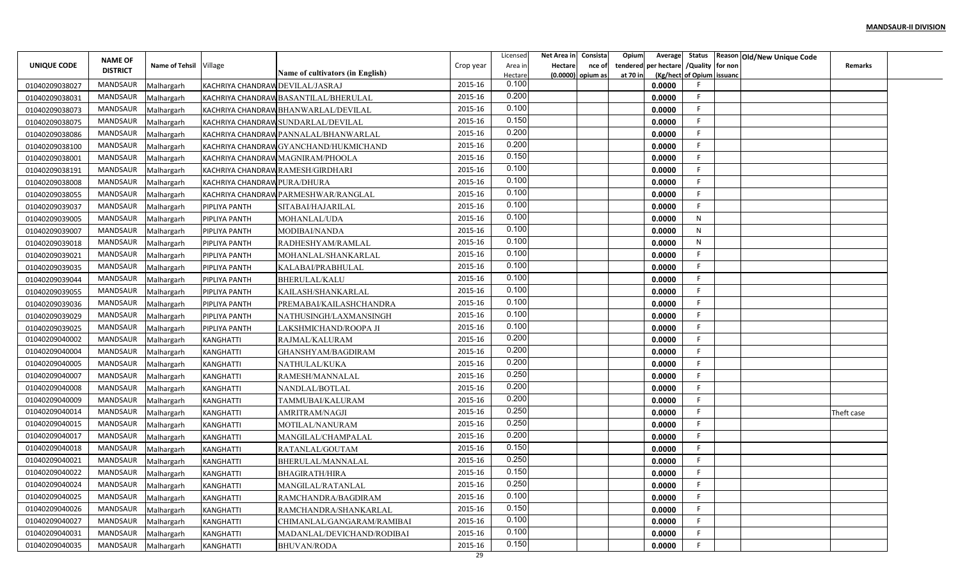| Status Reason Old/New Unique Code<br><b>NAME OF</b><br>Name of Tehsil Village<br>/Quality for non<br>UNIQUE CODE<br>per hectare<br>Crop year<br>Area in<br>Hectare<br>tendered<br>nce of<br><b>DISTRICT</b><br><b>Name of cultivators (in English)</b><br>(Kg/hect of Opium issuand<br>Hectare<br>$(0.0000)$ opium as<br>at 70 ir<br>0.100<br>2015-16<br>MANDSAUR<br>0.0000<br>Malhargarh<br>KACHRIYA CHANDRAW DEVILAL/JASRAJ<br>01040209038027<br>0.200<br>2015-16<br>MANDSAUR<br>KACHRIYA CHANDRAW BASANTILAL/BHERULAL<br>0.0000<br>01040209038031<br>Malhargarh | <b>Remarks</b> |
|--------------------------------------------------------------------------------------------------------------------------------------------------------------------------------------------------------------------------------------------------------------------------------------------------------------------------------------------------------------------------------------------------------------------------------------------------------------------------------------------------------------------------------------------------------------------|----------------|
|                                                                                                                                                                                                                                                                                                                                                                                                                                                                                                                                                                    |                |
|                                                                                                                                                                                                                                                                                                                                                                                                                                                                                                                                                                    |                |
|                                                                                                                                                                                                                                                                                                                                                                                                                                                                                                                                                                    |                |
| 0.100                                                                                                                                                                                                                                                                                                                                                                                                                                                                                                                                                              |                |
| 2015-16<br>MANDSAUR<br>KACHRIYA CHANDRAW BHANWARLAL/DEVILAL<br>0.0000<br>01040209038073<br>Malhargarh<br>0.150                                                                                                                                                                                                                                                                                                                                                                                                                                                     |                |
| 2015-16<br><b>MANDSAUR</b><br>KACHRIYA CHANDRAW SUNDARLAL/DEVILAL<br>0.0000<br>01040209038075<br>Malhargarh<br>0.200                                                                                                                                                                                                                                                                                                                                                                                                                                               |                |
| 2015-16<br>MANDSAUR<br>0.0000<br>01040209038086<br>Malhargarh<br>KACHRIYA CHANDRAW PANNALAL/BHANWARLAL<br>0.200                                                                                                                                                                                                                                                                                                                                                                                                                                                    |                |
| 2015-16<br>MANDSAUR<br>0.0000<br>01040209038100<br>Malhargarh<br>KACHRIYA CHANDRAWGYANCHAND/HUKMICHAND<br>0.150                                                                                                                                                                                                                                                                                                                                                                                                                                                    |                |
| 2015-16<br>MANDSAUR<br>KACHRIYA CHANDRAW MAGNIRAM/PHOOLA<br>0.0000<br>01040209038001<br>Malhargarh<br>0.100                                                                                                                                                                                                                                                                                                                                                                                                                                                        |                |
| 2015-16<br>MANDSAUR<br>01040209038191<br>KACHRIYA CHANDRAW RAMESH/GIRDHARI<br>0.0000<br>Malhargarh<br>0.100                                                                                                                                                                                                                                                                                                                                                                                                                                                        |                |
| 2015-16<br>MANDSAUR<br>01040209038008<br>KACHRIYA CHANDRAW PURA/DHURA<br>0.0000<br>Malhargarh<br>0.100                                                                                                                                                                                                                                                                                                                                                                                                                                                             |                |
| 2015-16<br>MANDSAUR<br>KACHRIYA CHANDRAW PARMESHWAR/RANGLAL<br>0.0000<br>01040209038055<br>Malhargarh<br>0.100                                                                                                                                                                                                                                                                                                                                                                                                                                                     |                |
| 2015-16<br>MANDSAUR<br>0.0000<br>01040209039037<br>Malhargarh<br>PIPLIYA PANTH<br>SITABAI/HAJARILAL                                                                                                                                                                                                                                                                                                                                                                                                                                                                |                |
| 0.100<br>MANDSAUR<br>2015-16<br>N<br>MOHANLAL/UDA<br>0.0000<br>01040209039005<br>Malhargarh<br>PIPLIYA PANTH                                                                                                                                                                                                                                                                                                                                                                                                                                                       |                |
| 0.100<br>MANDSAUR<br>2015-16<br>N<br>MODIBAI/NANDA<br>0.0000<br>01040209039007<br>Malhargarh<br>PIPLIYA PANTH                                                                                                                                                                                                                                                                                                                                                                                                                                                      |                |
| 0.100<br>MANDSAUR<br>2015-16<br>N<br>0.0000<br>01040209039018<br>Malhargarh<br>PIPLIYA PANTH<br>RADHESHYAM/RAMLAL                                                                                                                                                                                                                                                                                                                                                                                                                                                  |                |
| 0.100<br>MANDSAUR<br>2015-16<br>0.0000<br>01040209039021<br>Malhargarh<br>PIPLIYA PANTH<br>MOHANLAL/SHANKARLAL<br>0.100                                                                                                                                                                                                                                                                                                                                                                                                                                            |                |
| MANDSAUR<br>2015-16<br>01040209039035<br>KALABAI/PRABHULAL<br>0.0000<br>Malhargarh<br>PIPLIYA PANTH                                                                                                                                                                                                                                                                                                                                                                                                                                                                |                |
| 0.100<br>MANDSAUR<br>2015-16<br>PIPLIYA PANTH<br><b>BHERULAL/KALU</b><br>0.0000<br>01040209039044<br>Malhargarh                                                                                                                                                                                                                                                                                                                                                                                                                                                    |                |
| 0.100<br>2015-16<br>MANDSAUR<br>KAILASH/SHANKARLAL<br>0.0000<br>01040209039055<br>Malhargarh<br>PIPLIYA PANTH                                                                                                                                                                                                                                                                                                                                                                                                                                                      |                |
| 0.100<br>2015-16<br>MANDSAUR<br>0.0000<br>01040209039036<br>Malhargarh<br>PIPLIYA PANTH<br>PREMABAI/KAILASHCHANDRA                                                                                                                                                                                                                                                                                                                                                                                                                                                 |                |
| 0.100<br>MANDSAUR<br>2015-16<br>0.0000<br>01040209039029<br>Malhargarh<br>PIPLIYA PANTH<br>NATHUSINGH/LAXMANSINGH                                                                                                                                                                                                                                                                                                                                                                                                                                                  |                |
| 0.100<br>2015-16<br>MANDSAUR<br>AKSHMICHAND/ROOPA JI<br>0.0000<br>01040209039025<br>Malhargarh<br>PIPLIYA PANTH                                                                                                                                                                                                                                                                                                                                                                                                                                                    |                |
| 0.200<br>2015-16<br>01040209040002<br>MANDSAUR<br>KANGHATTI<br>RAJMAL/KALURAM<br>0.0000<br>Malhargarh                                                                                                                                                                                                                                                                                                                                                                                                                                                              |                |
| 0.200<br>01040209040004<br>MANDSAUR<br>2015-16<br>0.0000<br>Malhargarh<br><b>KANGHATTI</b><br>GHANSHYAM/BAGDIRAM                                                                                                                                                                                                                                                                                                                                                                                                                                                   |                |
| 0.200<br>01040209040005<br>2015-16<br>MANDSAUR<br>0.0000<br>Malhargarh<br><b>KANGHATTI</b><br>NATHULAL/KUKA                                                                                                                                                                                                                                                                                                                                                                                                                                                        |                |
| 0.250<br>2015-16<br>01040209040007<br>MANDSAUR<br>KANGHATTI<br>RAMESH/MANNALAL<br>0.0000<br>Malhargarh                                                                                                                                                                                                                                                                                                                                                                                                                                                             |                |
| 0.200<br>01040209040008<br>2015-16<br>MANDSAUR<br>KANGHATTI<br>NANDLAL/BOTLAL<br>0.0000<br>Malhargarh                                                                                                                                                                                                                                                                                                                                                                                                                                                              |                |
| 0.200<br>2015-16<br>01040209040009<br>MANDSAUR<br>Malhargarh<br><b>KANGHATTI</b><br>TAMMUBAI/KALURAM<br>0.0000                                                                                                                                                                                                                                                                                                                                                                                                                                                     |                |
| 0.250<br>01040209040014<br>MANDSAUR<br>2015-16<br>AMRITRAM/NAGJI<br>0.0000<br>Malhargarh<br><b>KANGHATTI</b>                                                                                                                                                                                                                                                                                                                                                                                                                                                       | Theft case     |
| 0.250<br>2015-16<br>01040209040015<br><b>MANDSAUR</b><br>MOTILAL/NANURAM<br>0.0000<br>Malhargarh<br><b>KANGHATTI</b>                                                                                                                                                                                                                                                                                                                                                                                                                                               |                |
| 0.200<br>2015-16<br>01040209040017<br>MANDSAUR<br>KANGHATTI<br>MANGILAL/CHAMPALAL<br>0.0000<br>Malhargarh                                                                                                                                                                                                                                                                                                                                                                                                                                                          |                |
| 0.150<br>01040209040018<br>MANDSAUR<br>2015-16<br>0.0000<br>Malhargarh<br><b>KANGHATTI</b><br>RATANLAL/GOUTAM                                                                                                                                                                                                                                                                                                                                                                                                                                                      |                |
| 0.250<br>01040209040021<br>2015-16<br>MANDSAUR<br>0.0000<br>Malhargarh<br><b>KANGHATTI</b><br>BHERULAL/MANNALAL                                                                                                                                                                                                                                                                                                                                                                                                                                                    |                |
| 0.150<br>2015-16<br>01040209040022<br>MANDSAUR<br>0.0000<br>BHAGIRATH/HIRA<br>Malhargarh<br>KANGHATTI                                                                                                                                                                                                                                                                                                                                                                                                                                                              |                |
| 0.250<br>2015-16<br>01040209040024<br>MANDSAUR<br>0.0000<br>Malhargarh<br><b>KANGHATTI</b><br>MANGILAL/RATANLAL                                                                                                                                                                                                                                                                                                                                                                                                                                                    |                |
| 0.100<br>2015-16<br>01040209040025<br>MANDSAUR<br>Malhargarh<br>KANGHATTI<br>0.0000<br>RAMCHANDRA/BAGDIRAM                                                                                                                                                                                                                                                                                                                                                                                                                                                         |                |
| 0.150<br>2015-16<br>01040209040026<br>MANDSAUR<br>0.0000<br>Malhargarh<br>KANGHATTI<br>RAMCHANDRA/SHANKARLAL                                                                                                                                                                                                                                                                                                                                                                                                                                                       |                |
| 0.100<br>01040209040027<br>MANDSAUR<br>2015-16<br>KANGHATTI<br>0.0000<br>Malhargarh<br>CHIMANLAL/GANGARAM/RAMIBAI                                                                                                                                                                                                                                                                                                                                                                                                                                                  |                |
| 0.100<br>2015-16<br>01040209040031<br>MANDSAUR<br>KANGHATTI<br>0.0000<br>Malhargarh<br>MADANLAL/DEVICHAND/RODIBAI                                                                                                                                                                                                                                                                                                                                                                                                                                                  |                |
| 0.150<br>2015-16<br>01040209040035<br>MANDSAUR<br>0.0000<br>Malhargarh<br><b>KANGHATTI</b><br><b>BHUVAN/RODA</b>                                                                                                                                                                                                                                                                                                                                                                                                                                                   |                |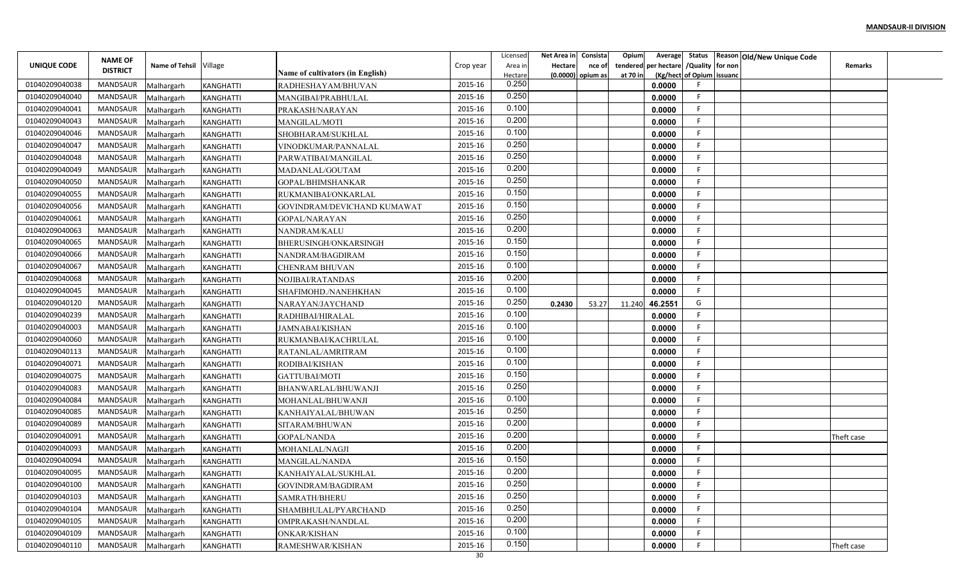| Net Area in<br>Consista<br>Opium<br>Licensed<br>Average                                                                                                                           | Status Reason Old/New Unique Code |
|-----------------------------------------------------------------------------------------------------------------------------------------------------------------------------------|-----------------------------------|
| <b>NAME OF</b><br>/Quality for non<br>UNIQUE CODE<br>Name of Tehsil Village<br>per hectare<br>Crop year<br>Area in<br>Hectare<br>tendered<br>nce of<br><b>DISTRICT</b>            | <b>Remarks</b>                    |
| Name of cultivators (in English)<br>(Kg/hect of Opium issuanc<br>Hectare<br>$(0.0000)$ opium as<br>at 70 in<br>0.250                                                              |                                   |
| 01040209040038<br><b>MANDSAUR</b><br>2015-16<br>0.0000<br>Malhargarh<br>KANGHATTI<br>RADHESHAYAM/BHUVAN<br>0.250<br>-F                                                            |                                   |
| 01040209040040<br><b>MANDSAUR</b><br>2015-16<br>0.0000<br>KANGHATTI<br>Malhargarh<br>MANGIBAI/PRABHULAL<br>0.100<br>-F                                                            |                                   |
| 01040209040041<br>MANDSAUR<br>2015-16<br>0.0000<br>Malhargarh<br><b>KANGHATTI</b><br>PRAKASH/NARAYAN<br>0.200<br>01040209040043<br><b>MANDSAUR</b><br>2015-16<br>E                |                                   |
| MANGILAL/MOTI<br>0.0000<br>Malhargarh<br><b>KANGHATTI</b><br>0.100<br><b>MANDSAUR</b><br>2015-16<br>- 6                                                                           |                                   |
| 01040209040046<br>0.0000<br><b>KANGHATTI</b><br>Malhargarh<br>SHOBHARAM/SUKHLAL<br>0.250<br><b>MANDSAUR</b><br>2015-16<br>-F                                                      |                                   |
| 01040209040047<br>0.0000<br>Malhargarh<br><b>KANGHATTI</b><br>VINODKUMAR/PANNALAL<br>0.250<br>2015-16<br>-F                                                                       |                                   |
| 01040209040048<br>MANDSAUR<br>PARWATIBAI/MANGILAL<br>0.0000<br>Malhargarh<br><b>KANGHATTI</b><br>0.200<br>01040209040049<br><b>MANDSAUR</b><br>2015-16<br>-F                      |                                   |
| 0.0000<br>KANGHATTI<br>MADANLAL/GOUTAM<br>Malhargarh<br>0.250<br>01040209040050<br>2015-16<br><b>MANDSAUR</b>                                                                     |                                   |
| <b>KANGHATTI</b><br>GOPAL/BHIMSHANKAR<br>0.0000<br>Malhargarh<br>0.150<br>2015-16<br>01040209040055<br><b>MANDSAUR</b><br>E                                                       |                                   |
| 0.0000<br>RUKMANIBAI/ONKARLAL<br>Malhargarh<br><b>KANGHATTI</b><br>0.150<br>01040209040056<br>MANDSAUR<br>2015-16<br>-F                                                           |                                   |
| 0.0000<br>Malhargarh<br><b>KANGHATTI</b><br>GOVINDRAM/DEVICHAND KUMAWAT<br>0.250<br>01040209040061<br><b>MANDSAUR</b><br>2015-16<br>-F<br>0.0000                                  |                                   |
| Malhargarh<br><b>KANGHATTI</b><br><b>GOPAL/NARAYAN</b><br>0.200<br>01040209040063<br><b>MANDSAUR</b><br>2015-16<br>NANDRAM/KALU<br>0.0000<br>-F<br>Malhargarh<br><b>KANGHATTI</b> |                                   |
| 0.150<br>01040209040065<br><b>MANDSAUR</b><br>2015-16<br>BHERUSINGH/ONKARSINGH<br>0.0000                                                                                          |                                   |
| Malhargarh<br><b>KANGHATTI</b><br>0.150<br>01040209040066<br><b>MANDSAUR</b><br>2015-16<br>0.0000<br>-F                                                                           |                                   |
| Malhargarh<br><b>KANGHATTI</b><br>NANDRAM/BAGDIRAM<br>0.100<br>01040209040067<br><b>MANDSAUR</b><br>2015-16<br>0.0000<br><b>CHENRAM BHUVAN</b><br>Malhargarh<br><b>KANGHATTI</b>  |                                   |
| 0.200<br>01040209040068<br><b>MANDSAUR</b><br>2015-16<br><b>KANGHATTI</b><br>NOJIBAI/RATANDAS<br>0.0000                                                                           |                                   |
| Malhargarh<br>0.100<br>01040209040045<br><b>MANDSAUR</b><br>2015-16<br>0.0000<br>-F<br><b>KANGHATTI</b><br>SHAFIMOHD./NANEHKHAN                                                   |                                   |
| Malhargarh<br>0.250<br>G<br>01040209040120<br><b>MANDSAUR</b><br>2015-16<br>46.2551<br>0.2430<br>Malhargarh<br><b>KANGHATTI</b><br>NARAYAN/JAYCHAND<br>53.27<br>11.240            |                                   |
| 0.100<br>01040209040239<br>MANDSAUR<br>2015-16<br>0.0000<br>-F<br>RADHIBAI/HIRALAL<br>Malhargarh<br><b>KANGHATTI</b>                                                              |                                   |
| 0.100<br>01040209040003<br><b>MANDSAUR</b><br>2015-16<br><b>KANGHATTI</b><br>JAMNABAI/KISHAN<br>0.0000<br>-F<br>Malhargarh                                                        |                                   |
| 0.100<br>2015-16<br>01040209040060<br><b>MANDSAUR</b><br>0.0000<br>Malhargarh<br><b>KANGHATTI</b><br>RUKMANBAI/KACHRULAL                                                          |                                   |
| 0.100<br>01040209040113<br><b>MANDSAUR</b><br>2015-16<br>0.0000<br>-F<br>Malhargarh<br><b>KANGHATTI</b><br>RATANLAL/AMRITRAM                                                      |                                   |
| 0.100<br>01040209040071<br><b>MANDSAUR</b><br>2015-16<br>F<br><b>KANGHATTI</b><br>RODIBAI/KISHAN<br>0.0000<br>Malhargarh                                                          |                                   |
| 0.150<br>01040209040075<br><b>MANDSAUR</b><br>2015-16<br>0.0000<br>-F<br><b>GATTUBAI/MOTI</b><br>Malhargarh<br><b>KANGHATTI</b>                                                   |                                   |
| 0.250<br>01040209040083<br>MANDSAUR<br>2015-16<br>0.0000<br>BHANWARLAL/BHUWANJI<br>Malhargarh<br><b>KANGHATTI</b>                                                                 |                                   |
| 0.100<br>01040209040084<br><b>MANDSAUR</b><br>2015-16<br>E<br>0.0000<br>Malhargarh<br><b>KANGHATTI</b><br>MOHANLAL/BHUWANJI                                                       |                                   |
| 0.250<br>01040209040085<br>MANDSAUR<br>F<br>2015-16<br>0.0000<br>Malhargarh<br><b>KANGHATTI</b><br>KANHAIYALAL/BHUWAN                                                             |                                   |
| 0.200<br>01040209040089<br><b>MANDSAUR</b><br>2015-16<br>F<br>SITARAM/BHUWAN<br>0.0000<br>Malhargarh<br><b>KANGHATTI</b>                                                          |                                   |
| 0.200<br><b>MANDSAUR</b><br>2015-16<br>01040209040091<br><b>KANGHATTI</b><br><b>GOPAL/NANDA</b><br>0.0000<br>Malhargarh                                                           | Theft case                        |
| 0.200<br>01040209040093<br><b>MANDSAUR</b><br>2015-16<br>0.0000<br>Malhargarh<br><b>KANGHATTI</b><br>MOHANLAL/NAGJI                                                               |                                   |
| 0.150<br>01040209040094<br>MANDSAUR<br>2015-16<br>0.0000<br>Malhargarh<br><b>KANGHATTI</b><br>MANGILAL/NANDA                                                                      |                                   |
| 0.200<br>2015-16<br>01040209040095<br>MANDSAUR<br>0.0000<br>Malhargarh<br><b>KANGHATTI</b><br>KANHAIYALAL/SUKHLAL                                                                 |                                   |
| 0.250<br>01040209040100<br>2015-16<br>MANDSAUR<br>0.0000<br>Malhargarh<br>KANGHATTI<br>GOVINDRAM/BAGDIRAM                                                                         |                                   |
| 0.250<br>2015-16<br>01040209040103<br>MANDSAUR<br>-F<br>Malhargarh<br>KANGHATTI<br>0.0000<br>SAMRATH/BHERU                                                                        |                                   |
| 0.250<br>01040209040104<br>MANDSAUR<br>2015-16<br>0.0000<br>-F.<br>Malhargarh<br>KANGHATTI<br>SHAMBHULAL/PYARCHAND                                                                |                                   |
| 0.200<br>01040209040105<br>MANDSAUR<br>2015-16<br>-F<br><b>KANGHATTI</b><br>0.0000<br>Malhargarh<br>OMPRAKASH/NANDLAL                                                             |                                   |
| 0.100<br>MANDSAUR<br>2015-16<br>01040209040109<br>-F<br><b>KANGHATTI</b><br>ONKAR/KISHAN<br>0.0000<br>Malhargarh                                                                  |                                   |
| 0.150<br>01040209040110<br>MANDSAUR<br>2015-16<br>0.0000<br>Malhargarh<br>KANGHATTI<br>RAMESHWAR/KISHAN                                                                           | Theft case                        |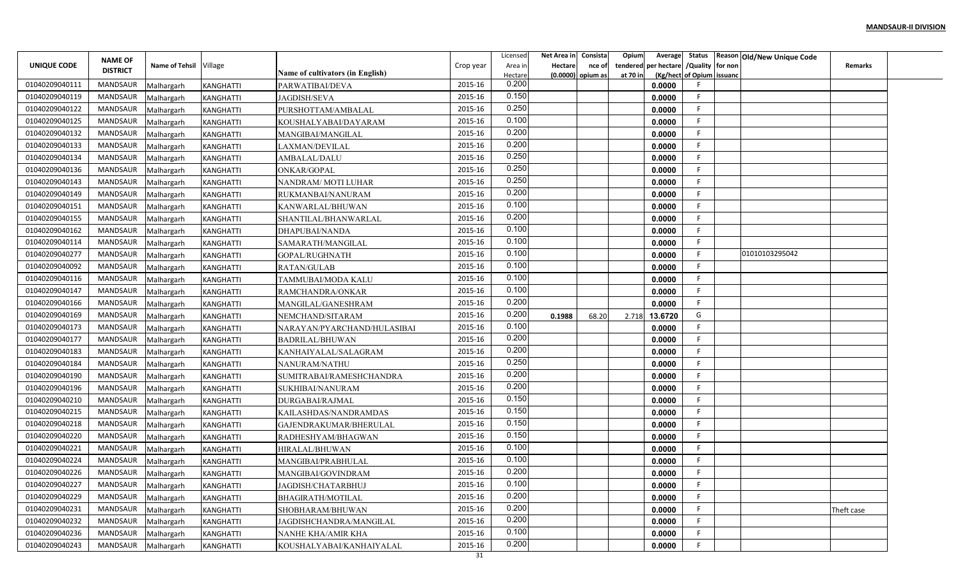|                |                                   |                        |                  |                                  |           | Licensed | Net Area in | Consista            | Opium<br>Average        |                           | Status Reason Old/New Unique Code |                |  |
|----------------|-----------------------------------|------------------------|------------------|----------------------------------|-----------|----------|-------------|---------------------|-------------------------|---------------------------|-----------------------------------|----------------|--|
| UNIQUE CODE    | <b>NAME OF</b><br><b>DISTRICT</b> | Name of Tehsil Village |                  |                                  | Crop year | Area in  | Hectare     | nce of              | per hectare<br>tendered | /Quality for non          |                                   | <b>Remarks</b> |  |
|                |                                   |                        |                  | Name of cultivators (in English) |           | Hectare  |             | $(0.0000)$ opium as | at 70 in                | (Kg/hect of Opium issuanc |                                   |                |  |
| 01040209040111 | <b>MANDSAUR</b>                   | Malhargarh             | KANGHATTI        | PARWATIBAI/DEVA                  | 2015-16   | 0.200    |             |                     | 0.0000                  |                           |                                   |                |  |
| 01040209040119 | <b>MANDSAUR</b>                   | Malhargarh             | KANGHATTI        | <b>JAGDISH/SEVA</b>              | 2015-16   | 0.150    |             |                     | 0.0000                  | -F                        |                                   |                |  |
| 01040209040122 | MANDSAUR                          | Malhargarh             | <b>KANGHATTI</b> | PURSHOTTAM/AMBALAL               | 2015-16   | 0.250    |             |                     | 0.0000                  | -F                        |                                   |                |  |
| 01040209040125 | <b>MANDSAUR</b>                   | Malhargarh             | <b>KANGHATTI</b> | KOUSHALYABAI/DAYARAM             | 2015-16   | 0.100    |             |                     | 0.0000                  | F                         |                                   |                |  |
| 01040209040132 | MANDSAUR                          | Malhargarh             | <b>KANGHATTI</b> | MANGIBAI/MANGILAL                | 2015-16   | 0.200    |             |                     | 0.0000                  | - 6                       |                                   |                |  |
| 01040209040133 | MANDSAUR                          | Malhargarh             | <b>KANGHATTI</b> | LAXMAN/DEVILAL                   | 2015-16   | 0.200    |             |                     | 0.0000                  | -F                        |                                   |                |  |
| 01040209040134 | MANDSAUR                          | Malhargarh             | <b>KANGHATTI</b> | AMBALAL/DALU                     | 2015-16   | 0.250    |             |                     | 0.0000                  | -F                        |                                   |                |  |
| 01040209040136 | MANDSAUR                          | Malhargarh             | KANGHATTI        | ONKAR/GOPAL                      | 2015-16   | 0.250    |             |                     | 0.0000                  | -F                        |                                   |                |  |
| 01040209040143 | MANDSAUR                          | Malhargarh             | <b>KANGHATTI</b> | NANDRAM/MOTI LUHAR               | 2015-16   | 0.250    |             |                     | 0.0000                  |                           |                                   |                |  |
| 01040209040149 | MANDSAUR                          | Malhargarh             | <b>KANGHATTI</b> | RUKMANBAI/NANURAM                | 2015-16   | 0.200    |             |                     | 0.0000                  | F.                        |                                   |                |  |
| 01040209040151 | MANDSAUR                          | Malhargarh             | <b>KANGHATTI</b> | KANWARLAL/BHUWAN                 | 2015-16   | 0.100    |             |                     | 0.0000                  | -F                        |                                   |                |  |
| 01040209040155 | MANDSAUR                          | Malhargarh             | <b>KANGHATTI</b> | SHANTILAL/BHANWARLAL             | 2015-16   | 0.200    |             |                     | 0.0000                  | -F                        |                                   |                |  |
| 01040209040162 | MANDSAUR                          | Malhargarh             | <b>KANGHATTI</b> | DHAPUBAI/NANDA                   | 2015-16   | 0.100    |             |                     | 0.0000                  | -F                        |                                   |                |  |
| 01040209040114 | MANDSAUR                          | Malhargarh             | <b>KANGHATTI</b> | SAMARATH/MANGILAL                | 2015-16   | 0.100    |             |                     | 0.0000                  | -F                        |                                   |                |  |
| 01040209040277 | MANDSAUR                          | Malhargarh             | <b>KANGHATTI</b> | GOPAL/RUGHNATH                   | 2015-16   | 0.100    |             |                     | 0.0000                  | -F                        | 01010103295042                    |                |  |
| 01040209040092 | MANDSAUR                          | Malhargarh             | <b>KANGHATTI</b> | <b>RATAN/GULAB</b>               | 2015-16   | 0.100    |             |                     | 0.0000                  |                           |                                   |                |  |
| 01040209040116 | MANDSAUR                          | Malhargarh             | <b>KANGHATTI</b> | TAMMUBAI/MODA KALU               | 2015-16   | 0.100    |             |                     | 0.0000                  |                           |                                   |                |  |
| 01040209040147 | MANDSAUR                          | Malhargarh             | <b>KANGHATTI</b> | RAMCHANDRA/ONKAR                 | 2015-16   | 0.100    |             |                     | 0.0000                  | -F                        |                                   |                |  |
| 01040209040166 | MANDSAUR                          | Malhargarh             | <b>KANGHATTI</b> | MANGILAL/GANESHRAM               | 2015-16   | 0.200    |             |                     | 0.0000                  | -F                        |                                   |                |  |
| 01040209040169 | MANDSAUR                          | Malhargarh             | <b>KANGHATTI</b> | NEMCHAND/SITARAM                 | 2015-16   | 0.200    | 0.1988      | 68.20               | 13.6720<br>2.718        | G                         |                                   |                |  |
| 01040209040173 | MANDSAUR                          | Malhargarh             | <b>KANGHATTI</b> | NARAYAN/PYARCHAND/HULASIBAI      | 2015-16   | 0.100    |             |                     | 0.0000                  | -F                        |                                   |                |  |
| 01040209040177 | MANDSAUR                          | Malhargarh             | <b>KANGHATTI</b> | <b>BADRILAL/BHUWAN</b>           | 2015-16   | 0.200    |             |                     | 0.0000                  |                           |                                   |                |  |
| 01040209040183 | MANDSAUR                          | Malhargarh             | <b>KANGHATTI</b> | KANHAIYALAL/SALAGRAM             | 2015-16   | 0.200    |             |                     | 0.0000                  | -F                        |                                   |                |  |
| 01040209040184 | MANDSAUR                          | Malhargarh             | <b>KANGHATTI</b> | NANURAM/NATHU                    | 2015-16   | 0.250    |             |                     | 0.0000                  | -F                        |                                   |                |  |
| 01040209040190 | MANDSAUR                          | Malhargarh             | <b>KANGHATTI</b> | SUMITRABAI/RAMESHCHANDRA         | 2015-16   | 0.200    |             |                     | 0.0000                  |                           |                                   |                |  |
| 01040209040196 | MANDSAUR                          | Malhargarh             | <b>KANGHATTI</b> | SUKHIBAI/NANURAM                 | 2015-16   | 0.200    |             |                     | 0.0000                  |                           |                                   |                |  |
| 01040209040210 | MANDSAUR                          | Malhargarh             | <b>KANGHATTI</b> | DURGABAI/RAJMAL                  | 2015-16   | 0.150    |             |                     | 0.0000                  | F                         |                                   |                |  |
| 01040209040215 | MANDSAUR                          | Malhargarh             | <b>KANGHATTI</b> | KAILASHDAS/NANDRAMDAS            | 2015-16   | 0.150    |             |                     | 0.0000                  | F                         |                                   |                |  |
| 01040209040218 | <b>MANDSAUR</b>                   | Malhargarh             | <b>KANGHATTI</b> | GAJENDRAKUMAR/BHERULAL           | 2015-16   | 0.150    |             |                     | 0.0000                  | -F                        |                                   |                |  |
| 01040209040220 | MANDSAUR                          | Malhargarh             | <b>KANGHATTI</b> | RADHESHYAM/BHAGWAN               | 2015-16   | 0.150    |             |                     | 0.0000                  |                           |                                   |                |  |
| 01040209040221 | MANDSAUR                          | Malhargarh             | <b>KANGHATTI</b> | HIRALAL/BHUWAN                   | 2015-16   | 0.100    |             |                     | 0.0000                  |                           |                                   |                |  |
| 01040209040224 | MANDSAUR                          | Malhargarh             | <b>KANGHATTI</b> | MANGIBAI/PRABHULAL               | 2015-16   | 0.100    |             |                     | 0.0000                  |                           |                                   |                |  |
| 01040209040226 | MANDSAUR                          | Malhargarh             | <b>KANGHATTI</b> | MANGIBAI/GOVINDRAM               | 2015-16   | 0.200    |             |                     | 0.0000                  |                           |                                   |                |  |
| 01040209040227 | MANDSAUR                          | Malhargarh             | KANGHATTI        | JAGDISH/CHATARBHUJ               | 2015-16   | 0.100    |             |                     | 0.0000                  |                           |                                   |                |  |
| 01040209040229 | MANDSAUR                          | Malhargarh             | KANGHATTI        | BHAGIRATH/MOTILAL                | 2015-16   | 0.200    |             |                     | 0.0000                  | -F                        |                                   |                |  |
| 01040209040231 | MANDSAUR                          | Malhargarh             | KANGHATTI        | SHOBHARAM/BHUWAN                 | 2015-16   | 0.200    |             |                     | 0.0000                  | -F.                       |                                   | Theft case     |  |
| 01040209040232 | MANDSAUR                          | Malhargarh             | <b>KANGHATTI</b> | JAGDISHCHANDRA/MANGILAL          | 2015-16   | 0.200    |             |                     | 0.0000                  | -F                        |                                   |                |  |
| 01040209040236 | MANDSAUR                          |                        |                  |                                  | 2015-16   | 0.100    |             |                     |                         | -F                        |                                   |                |  |
|                |                                   | Malhargarh             | <b>KANGHATTI</b> | NANHE KHA/AMIR KHA               |           | 0.200    |             |                     | 0.0000                  |                           |                                   |                |  |
| 01040209040243 | <b>MANDSAUR</b>                   | Malhargarh             | KANGHATTI        | KOUSHALYABAI/KANHAIYALAL         | 2015-16   |          |             |                     | 0.0000                  |                           |                                   |                |  |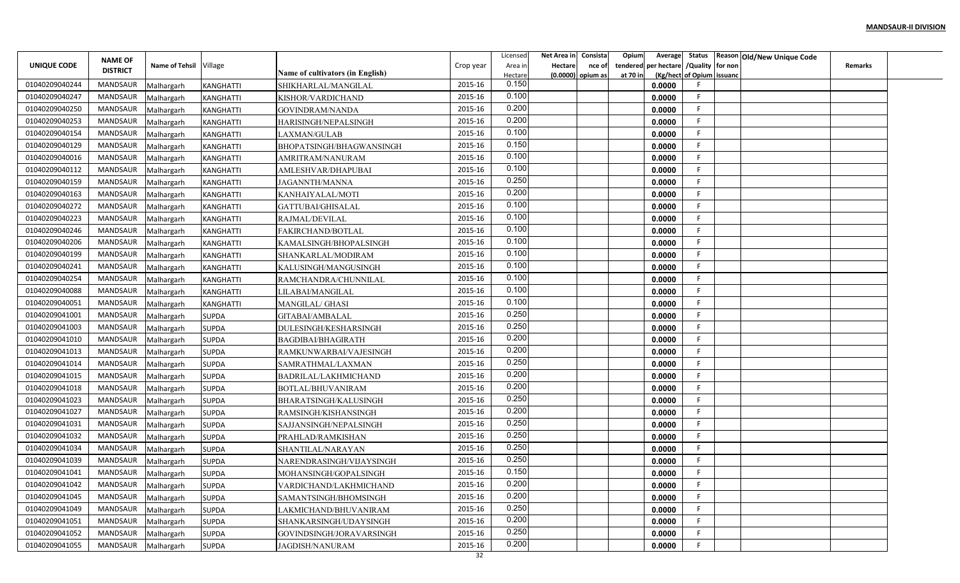|                    |                 |                        |                  |                                         |           | Licensed | Net Area in    | Consista            | Opium    |                                        |                           | Average Status Reason Old/New Unique Code |                |  |
|--------------------|-----------------|------------------------|------------------|-----------------------------------------|-----------|----------|----------------|---------------------|----------|----------------------------------------|---------------------------|-------------------------------------------|----------------|--|
| <b>UNIQUE CODE</b> | <b>NAME OF</b>  | Name of Tehsil Village |                  |                                         | Crop year | Area in  | <b>Hectare</b> | nce of              |          | tendered per hectare / Quality for non |                           |                                           | <b>Remarks</b> |  |
|                    | <b>DISTRICT</b> |                        |                  | <b>Name of cultivators (in English)</b> |           | Hectare  |                | $(0.0000)$ opium as | at 70 in |                                        | (Kg/hect of Opium issuanc |                                           |                |  |
| 01040209040244     | MANDSAUR        | Malhargarh             | KANGHATTI        | SHIKHARLAL/MANGILAL                     | 2015-16   | 0.150    |                |                     |          | 0.0000                                 |                           |                                           |                |  |
| 01040209040247     | MANDSAUR        | Malhargarh             | KANGHATTI        | KISHOR/VARDICHAND                       | 2015-16   | 0.100    |                |                     |          | 0.0000                                 | F.                        |                                           |                |  |
| 01040209040250     | MANDSAUR        | Malhargarh             | <b>KANGHATTI</b> | <b>GOVINDRAM/NANDA</b>                  | 2015-16   | 0.200    |                |                     |          | 0.0000                                 | -F.                       |                                           |                |  |
| 01040209040253     | <b>MANDSAUR</b> | Malhargarh             | <b>KANGHATTI</b> | HARISINGH/NEPALSINGH                    | 2015-16   | 0.200    |                |                     |          | 0.0000                                 | F.                        |                                           |                |  |
| 01040209040154     | MANDSAUR        | Malhargarh             | KANGHATTI        | LAXMAN/GULAB                            | 2015-16   | 0.100    |                |                     |          | 0.0000                                 | F.                        |                                           |                |  |
| 01040209040129     | MANDSAUR        | Malhargarh             | <b>KANGHATTI</b> | BHOPATSINGH/BHAGWANSINGH                | 2015-16   | 0.150    |                |                     |          | 0.0000                                 | F.                        |                                           |                |  |
| 01040209040016     | MANDSAUR        | Malhargarh             | <b>KANGHATTI</b> | AMRITRAM/NANURAM                        | 2015-16   | 0.100    |                |                     |          | 0.0000                                 | F                         |                                           |                |  |
| 01040209040112     | MANDSAUR        | Malhargarh             | KANGHATTI        | AMLESHVAR/DHAPUBAI                      | 2015-16   | 0.100    |                |                     |          | 0.0000                                 | F.                        |                                           |                |  |
| 01040209040159     | MANDSAUR        | Malhargarh             | <b>KANGHATTI</b> | <b>JAGANNTH/MANNA</b>                   | 2015-16   | 0.250    |                |                     |          | 0.0000                                 | F                         |                                           |                |  |
| 01040209040163     | MANDSAUR        | Malhargarh             | KANGHATTI        | KANHAIYALAL/MOTI                        | 2015-16   | 0.200    |                |                     |          | 0.0000                                 | F                         |                                           |                |  |
| 01040209040272     | MANDSAUR        | Malhargarh             | <b>KANGHATTI</b> | GATTUBAI/GHISALAL                       | 2015-16   | 0.100    |                |                     |          | 0.0000                                 | -F                        |                                           |                |  |
| 01040209040223     | MANDSAUR        | Malhargarh             | <b>KANGHATTI</b> | RAJMAL/DEVILAL                          | 2015-16   | 0.100    |                |                     |          | 0.0000                                 | -F                        |                                           |                |  |
| 01040209040246     | MANDSAUR        | Malhargarh             | <b>KANGHATTI</b> | FAKIRCHAND/BOTLAL                       | 2015-16   | 0.100    |                |                     |          | 0.0000                                 | -F.                       |                                           |                |  |
| 01040209040206     | MANDSAUR        | Malhargarh             | <b>KANGHATTI</b> | KAMALSINGH/BHOPALSINGH                  | 2015-16   | 0.100    |                |                     |          | 0.0000                                 | E                         |                                           |                |  |
| 01040209040199     | MANDSAUR        | Malhargarh             | <b>KANGHATTI</b> | SHANKARLAL/MODIRAM                      | 2015-16   | 0.100    |                |                     |          | 0.0000                                 | F.                        |                                           |                |  |
| 01040209040241     | MANDSAUR        | Malhargarh             | <b>KANGHATTI</b> | KALUSINGH/MANGUSINGH                    | 2015-16   | 0.100    |                |                     |          | 0.0000                                 | F.                        |                                           |                |  |
| 01040209040254     | MANDSAUR        | Malhargarh             | KANGHATTI        | RAMCHANDRA/CHUNNILAL                    | 2015-16   | 0.100    |                |                     |          | 0.0000                                 | F                         |                                           |                |  |
| 01040209040088     | MANDSAUR        | Malhargarh             | <b>KANGHATTI</b> | LILABAI/MANGILAI                        | 2015-16   | 0.100    |                |                     |          | 0.0000                                 | F                         |                                           |                |  |
| 01040209040051     | MANDSAUR        | Malhargarh             | <b>KANGHATTI</b> | MANGILAL/ GHASI                         | 2015-16   | 0.100    |                |                     |          | 0.0000                                 | -F                        |                                           |                |  |
| 01040209041001     | MANDSAUR        | Malhargarh             | <b>SUPDA</b>     | GITABAI/AMBALAL                         | 2015-16   | 0.250    |                |                     |          | 0.0000                                 | F.                        |                                           |                |  |
| 01040209041003     | MANDSAUR        | Malhargarh             | <b>SUPDA</b>     | DULESINGH/KESHARSINGH                   | 2015-16   | 0.250    |                |                     |          | 0.0000                                 | -F                        |                                           |                |  |
| 01040209041010     | MANDSAUR        | Malhargarh             | <b>SUPDA</b>     | BAGDIBAI/BHAGIRATH                      | 2015-16   | 0.200    |                |                     |          | 0.0000                                 | F.                        |                                           |                |  |
| 01040209041013     | MANDSAUR        | Malhargarh             | <b>SUPDA</b>     | RAMKUNWARBAI/VAJESINGH                  | 2015-16   | 0.200    |                |                     |          | 0.0000                                 | F.                        |                                           |                |  |
| 01040209041014     | MANDSAUR        | Malhargarh             | <b>SUPDA</b>     | SAMRATHMAL/LAXMAN                       | 2015-16   | 0.250    |                |                     |          | 0.0000                                 | F                         |                                           |                |  |
| 01040209041015     | MANDSAUR        | Malhargarh             | <b>SUPDA</b>     | BADRILAL/LAKHMICHAND                    | 2015-16   | 0.200    |                |                     |          | 0.0000                                 | F                         |                                           |                |  |
| 01040209041018     | MANDSAUR        | Malhargarh             | <b>SUPDA</b>     | BOTLAL/BHUVANIRAM                       | 2015-16   | 0.200    |                |                     |          | 0.0000                                 | E                         |                                           |                |  |
| 01040209041023     | MANDSAUR        | Malhargarh             | <b>SUPDA</b>     | BHARATSINGH/KALUSINGH                   | 2015-16   | 0.250    |                |                     |          | 0.0000                                 | F.                        |                                           |                |  |
| 01040209041027     | MANDSAUR        | Malhargarh             | <b>SUPDA</b>     | RAMSINGH/KISHANSINGH                    | 2015-16   | 0.200    |                |                     |          | 0.0000                                 | F                         |                                           |                |  |
| 01040209041031     | <b>MANDSAUR</b> | Malhargarh             | <b>SUPDA</b>     | SAJJANSINGH/NEPALSINGH                  | 2015-16   | 0.250    |                |                     |          | 0.0000                                 | F.                        |                                           |                |  |
| 01040209041032     | MANDSAUR        | Malhargarh             | <b>SUPDA</b>     | PRAHLAD/RAMKISHAN                       | 2015-16   | 0.250    |                |                     |          | 0.0000                                 | E                         |                                           |                |  |
| 01040209041034     | MANDSAUR        | Malhargarh             | <b>SUPDA</b>     | SHANTILAL/NARAYAN                       | 2015-16   | 0.250    |                |                     |          | 0.0000                                 | F.                        |                                           |                |  |
| 01040209041039     | MANDSAUR        | Malhargarh             | <b>SUPDA</b>     | NARENDRASINGH/VIJAYSINGH                | 2015-16   | 0.250    |                |                     |          | 0.0000                                 | F                         |                                           |                |  |
| 01040209041041     | MANDSAUR        | Malhargarh             | <b>SUPDA</b>     | MOHANSINGH/GOPALSINGH                   | 2015-16   | 0.150    |                |                     |          | 0.0000                                 | F.                        |                                           |                |  |
| 01040209041042     | MANDSAUR        | Malhargarh             | <b>SUPDA</b>     | VARDICHAND/LAKHMICHAND                  | 2015-16   | 0.200    |                |                     |          | 0.0000                                 | F                         |                                           |                |  |
| 01040209041045     | MANDSAUR        | Malhargarh             | <b>SUPDA</b>     | SAMANTSINGH/BHOMSINGH                   | 2015-16   | 0.200    |                |                     |          | 0.0000                                 | F                         |                                           |                |  |
| 01040209041049     | MANDSAUR        | Malhargarh             | <b>SUPDA</b>     | LAKMICHAND/BHUVANIRAM                   | 2015-16   | 0.250    |                |                     |          | 0.0000                                 | F.                        |                                           |                |  |
| 01040209041051     | MANDSAUR        | Malhargarh             | <b>SUPDA</b>     | SHANKARSINGH/UDAYSINGH                  | 2015-16   | 0.200    |                |                     |          | 0.0000                                 | F.                        |                                           |                |  |
| 01040209041052     | MANDSAUR        | Malhargarh             | <b>SUPDA</b>     | GOVINDSINGH/JORAVARSINGH                | 2015-16   | 0.250    |                |                     |          | 0.0000                                 | F.                        |                                           |                |  |
| 01040209041055     | MANDSAUR        | Malhargarh             | <b>SUPDA</b>     | <b>JAGDISH/NANURAM</b>                  | 2015-16   | 0.200    |                |                     |          | 0.0000                                 | F                         |                                           |                |  |
|                    |                 |                        |                  |                                         | 32        |          |                |                     |          |                                        |                           |                                           |                |  |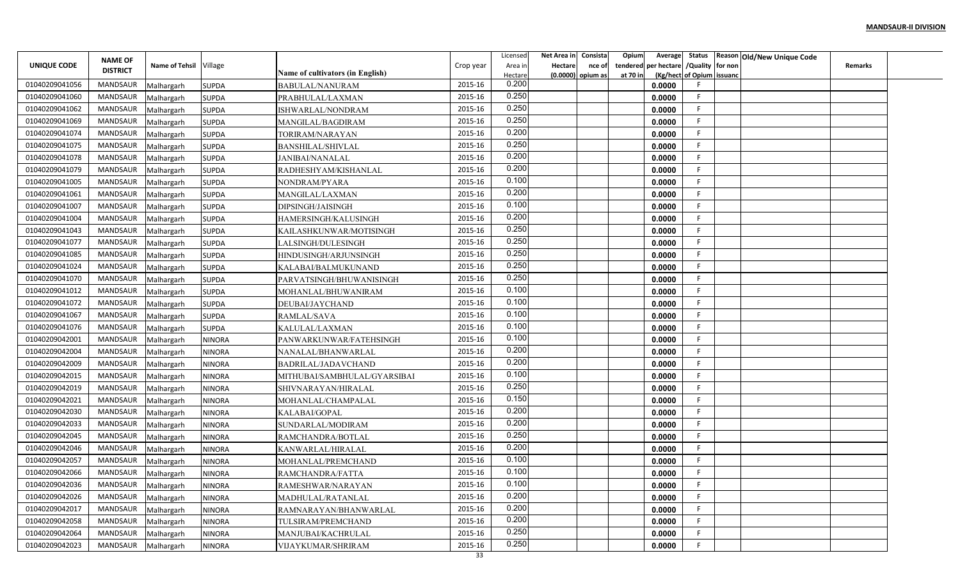|                    |                 |                        |               |                                  |           | Licensed | Net Area in    | Consista          | Opium    |                                        |                           | Average Status Reason Old/New Unique Code |                |  |
|--------------------|-----------------|------------------------|---------------|----------------------------------|-----------|----------|----------------|-------------------|----------|----------------------------------------|---------------------------|-------------------------------------------|----------------|--|
| <b>UNIQUE CODE</b> | <b>NAME OF</b>  | Name of Tehsil Village |               |                                  | Crop year | Area in  | <b>Hectare</b> | nce of            |          | tendered per hectare / Quality for non |                           |                                           | <b>Remarks</b> |  |
|                    | <b>DISTRICT</b> |                        |               | Name of cultivators (in English) |           | Hectare  |                | (0.0000) opium as | at 70 in |                                        | (Kg/hect of Opium issuanc |                                           |                |  |
| 01040209041056     | MANDSAUR        | Malhargarh             | <b>SUPDA</b>  | BABULAL/NANURAM                  | 2015-16   | 0.200    |                |                   |          | 0.0000                                 |                           |                                           |                |  |
| 01040209041060     | MANDSAUR        | Malhargarh             | <b>SUPDA</b>  | PRABHULAL/LAXMAN                 | 2015-16   | 0.250    |                |                   |          | 0.0000                                 | F.                        |                                           |                |  |
| 01040209041062     | MANDSAUR        | Malhargarh             | <b>SUPDA</b>  | ISHWARLAL/NONDRAM                | 2015-16   | 0.250    |                |                   |          | 0.0000                                 | -F.                       |                                           |                |  |
| 01040209041069     | <b>MANDSAUR</b> | Malhargarh             | <b>SUPDA</b>  | MANGILAL/BAGDIRAM                | 2015-16   | 0.250    |                |                   |          | 0.0000                                 | F.                        |                                           |                |  |
| 01040209041074     | MANDSAUR        | Malhargarh             | <b>SUPDA</b>  | TORIRAM/NARAYAN                  | 2015-16   | 0.200    |                |                   |          | 0.0000                                 | F.                        |                                           |                |  |
| 01040209041075     | MANDSAUR        | Malhargarh             | <b>SUPDA</b>  | BANSHILAL/SHIVLAL                | 2015-16   | 0.250    |                |                   |          | 0.0000                                 | F.                        |                                           |                |  |
| 01040209041078     | MANDSAUR        | Malhargarh             | <b>SUPDA</b>  | <b>JANIBAI/NANALAL</b>           | 2015-16   | 0.200    |                |                   |          | 0.0000                                 | F                         |                                           |                |  |
| 01040209041079     | MANDSAUR        | Malhargarh             | <b>SUPDA</b>  | RADHESHYAM/KISHANLAL             | 2015-16   | 0.200    |                |                   |          | 0.0000                                 | F.                        |                                           |                |  |
| 01040209041005     | MANDSAUR        | Malhargarh             | <b>SUPDA</b>  | NONDRAM/PYARA                    | 2015-16   | 0.100    |                |                   |          | 0.0000                                 | E                         |                                           |                |  |
| 01040209041061     | MANDSAUR        | Malhargarh             | <b>SUPDA</b>  | MANGILAL/LAXMAN                  | 2015-16   | 0.200    |                |                   |          | 0.0000                                 | F                         |                                           |                |  |
| 01040209041007     | MANDSAUR        | Malhargarh             | <b>SUPDA</b>  | DIPSINGH/JAISINGH                | 2015-16   | 0.100    |                |                   |          | 0.0000                                 | -F                        |                                           |                |  |
| 01040209041004     | MANDSAUR        | Malhargarh             | <b>SUPDA</b>  | <b>HAMERSINGH/KALUSINGH</b>      | 2015-16   | 0.200    |                |                   |          | 0.0000                                 | -F                        |                                           |                |  |
| 01040209041043     | MANDSAUR        | Malhargarh             | <b>SUPDA</b>  | KAILASHKUNWAR/MOTISINGH          | 2015-16   | 0.250    |                |                   |          | 0.0000                                 | -F.                       |                                           |                |  |
| 01040209041077     | MANDSAUR        | Malhargarh             | <b>SUPDA</b>  | LALSINGH/DULESINGH               | 2015-16   | 0.250    |                |                   |          | 0.0000                                 | E                         |                                           |                |  |
| 01040209041085     | MANDSAUR        | Malhargarh             | <b>SUPDA</b>  | HINDUSINGH/ARJUNSINGH            | 2015-16   | 0.250    |                |                   |          | 0.0000                                 | F.                        |                                           |                |  |
| 01040209041024     | MANDSAUR        | Malhargarh             | <b>SUPDA</b>  | KALABAI/BALMUKUNAND              | 2015-16   | 0.250    |                |                   |          | 0.0000                                 | F.                        |                                           |                |  |
| 01040209041070     | MANDSAUR        | Malhargarh             | <b>SUPDA</b>  | PARVATSINGH/BHUWANISINGH         | 2015-16   | 0.250    |                |                   |          | 0.0000                                 | F                         |                                           |                |  |
| 01040209041012     | MANDSAUR        | Malhargarh             | <b>SUPDA</b>  | MOHANLAL/BHUWANIRAM              | 2015-16   | 0.100    |                |                   |          | 0.0000                                 | F                         |                                           |                |  |
| 01040209041072     | MANDSAUR        | Malhargarh             | <b>SUPDA</b>  | DEUBAI/JAYCHAND                  | 2015-16   | 0.100    |                |                   |          | 0.0000                                 | -F                        |                                           |                |  |
| 01040209041067     | MANDSAUR        | Malhargarh             | <b>SUPDA</b>  | RAMLAL/SAVA                      | 2015-16   | 0.100    |                |                   |          | 0.0000                                 | F.                        |                                           |                |  |
| 01040209041076     | MANDSAUR        | Malhargarh             | <b>SUPDA</b>  | KALULAL/LAXMAN                   | 2015-16   | 0.100    |                |                   |          | 0.0000                                 | -F                        |                                           |                |  |
| 01040209042001     | MANDSAUR        | Malhargarh             | <b>NINORA</b> | PANWARKUNWAR/FATEHSINGH          | 2015-16   | 0.100    |                |                   |          | 0.0000                                 | F.                        |                                           |                |  |
| 01040209042004     | MANDSAUR        | Malhargarh             | <b>NINORA</b> | NANALAL/BHANWARLAL               | 2015-16   | 0.200    |                |                   |          | 0.0000                                 | F.                        |                                           |                |  |
| 01040209042009     | MANDSAUR        | Malhargarh             | <b>NINORA</b> | BADRILAL/JADAVCHAND              | 2015-16   | 0.200    |                |                   |          | 0.0000                                 | F                         |                                           |                |  |
| 01040209042015     | MANDSAUR        | Malhargarh             | <b>NINORA</b> | MITHUBAI/SAMBHULAL/GYARSIBAI     | 2015-16   | 0.100    |                |                   |          | 0.0000                                 | F                         |                                           |                |  |
| 01040209042019     | MANDSAUR        | Malhargarh             | <b>NINORA</b> | SHIVNARAYAN/HIRALAL              | 2015-16   | 0.250    |                |                   |          | 0.0000                                 | E                         |                                           |                |  |
| 01040209042021     | MANDSAUR        | Malhargarh             | <b>NINORA</b> | MOHANLAL/CHAMPALAL               | 2015-16   | 0.150    |                |                   |          | 0.0000                                 | F.                        |                                           |                |  |
| 01040209042030     | MANDSAUR        | Malhargarh             | <b>NINORA</b> | KALABAI/GOPAL                    | 2015-16   | 0.200    |                |                   |          | 0.0000                                 | -F                        |                                           |                |  |
| 01040209042033     | <b>MANDSAUR</b> | Malhargarh             | <b>NINORA</b> | SUNDARLAL/MODIRAM                | 2015-16   | 0.200    |                |                   |          | 0.0000                                 | F.                        |                                           |                |  |
| 01040209042045     | MANDSAUR        | Malhargarh             | <b>NINORA</b> | RAMCHANDRA/BOTLAL                | 2015-16   | 0.250    |                |                   |          | 0.0000                                 | E                         |                                           |                |  |
| 01040209042046     | MANDSAUR        | Malhargarh             | <b>NINORA</b> | KANWARLAL/HIRALAL                | 2015-16   | 0.200    |                |                   |          | 0.0000                                 | F                         |                                           |                |  |
| 01040209042057     | MANDSAUR        | Malhargarh             | <b>NINORA</b> | MOHANLAL/PREMCHAND               | 2015-16   | 0.100    |                |                   |          | 0.0000                                 | F                         |                                           |                |  |
| 01040209042066     | MANDSAUR        | Malhargarh             | <b>NINORA</b> | RAMCHANDRA/FATTA                 | 2015-16   | 0.100    |                |                   |          | 0.0000                                 | F.                        |                                           |                |  |
| 01040209042036     | MANDSAUR        | Malhargarh             | <b>NINORA</b> | RAMESHWAR/NARAYAN                | 2015-16   | 0.100    |                |                   |          | 0.0000                                 | F                         |                                           |                |  |
| 01040209042026     | MANDSAUR        | Malhargarh             | <b>NINORA</b> | MADHULAL/RATANLAL                | 2015-16   | 0.200    |                |                   |          | 0.0000                                 | F                         |                                           |                |  |
| 01040209042017     | MANDSAUR        | Malhargarh             | <b>NINORA</b> | RAMNARAYAN/BHANWARLAL            | 2015-16   | 0.200    |                |                   |          | 0.0000                                 | F.                        |                                           |                |  |
| 01040209042058     | MANDSAUR        | Malhargarh             | <b>NINORA</b> | TULSIRAM/PREMCHAND               | 2015-16   | 0.200    |                |                   |          | 0.0000                                 | F.                        |                                           |                |  |
| 01040209042064     | MANDSAUR        | Malhargarh             | <b>NINORA</b> | MANJUBAI/KACHRULAL               | 2015-16   | 0.250    |                |                   |          | 0.0000                                 | F.                        |                                           |                |  |
| 01040209042023     | MANDSAUR        | Malhargarh             | <b>NINORA</b> | VIJAYKUMAR/SHRIRAM               | 2015-16   | 0.250    |                |                   |          | 0.0000                                 | F                         |                                           |                |  |
|                    |                 |                        |               |                                  | 33        |          |                |                   |          |                                        |                           |                                           |                |  |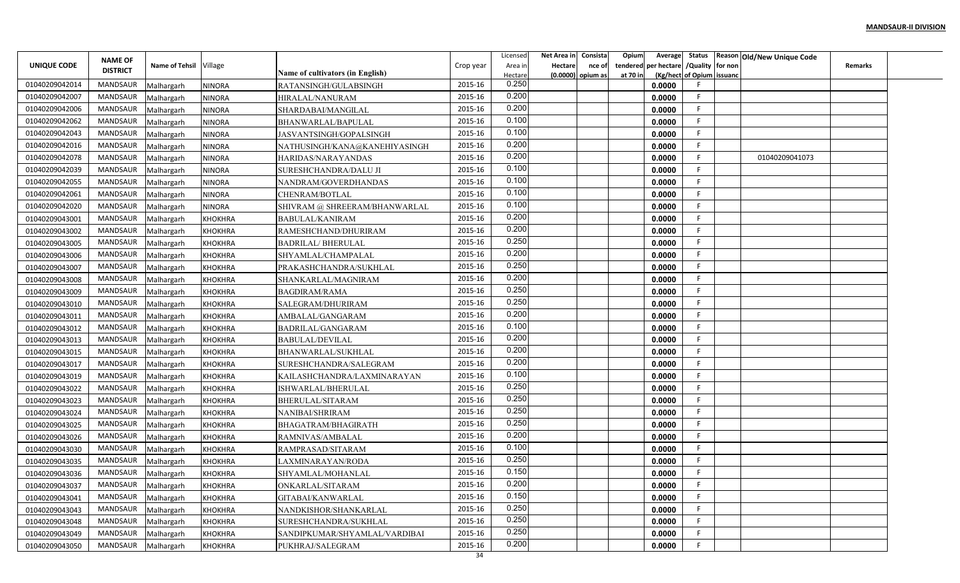| Average Status Reason Old/New Unique Code<br><b>NAME OF</b><br>Name of Tehsil Village<br>tendered per hectare / Quality for non<br><b>UNIQUE CODE</b><br>Crop year<br><b>Hectare</b><br><b>Remarks</b><br>Area in<br>nce of<br><b>DISTRICT</b><br>Name of cultivators (in English)<br>(Kg/hect of Opium issuanc<br>(0.0000) opium as<br>at 70 in<br>Hectare<br>0.250<br>2015-16<br>01040209042014<br>MANDSAUR<br>0.0000<br><b>NINORA</b><br>RATANSINGH/GULABSINGH<br>Malhargarh<br>0.200<br>2015-16<br>01040209042007<br>MANDSAUR<br>F.<br><b>NINORA</b><br>0.0000<br>Malhargarh<br>HIRALAL/NANURAM<br>0.200<br>F.<br>01040209042006<br>MANDSAUR<br>2015-16<br><b>NINORA</b><br>0.0000<br>Malhargarh<br>SHARDABAI/MANGILAL<br>0.100<br>01040209042062<br><b>MANDSAUR</b><br>2015-16<br>F.<br>0.0000<br>Malhargarh<br><b>NINORA</b><br>BHANWARLAL/BAPULAL<br>0.100<br>MANDSAUR<br>2015-16<br>F.<br>01040209042043<br>0.0000 |
|----------------------------------------------------------------------------------------------------------------------------------------------------------------------------------------------------------------------------------------------------------------------------------------------------------------------------------------------------------------------------------------------------------------------------------------------------------------------------------------------------------------------------------------------------------------------------------------------------------------------------------------------------------------------------------------------------------------------------------------------------------------------------------------------------------------------------------------------------------------------------------------------------------------------------|
|                                                                                                                                                                                                                                                                                                                                                                                                                                                                                                                                                                                                                                                                                                                                                                                                                                                                                                                            |
|                                                                                                                                                                                                                                                                                                                                                                                                                                                                                                                                                                                                                                                                                                                                                                                                                                                                                                                            |
|                                                                                                                                                                                                                                                                                                                                                                                                                                                                                                                                                                                                                                                                                                                                                                                                                                                                                                                            |
|                                                                                                                                                                                                                                                                                                                                                                                                                                                                                                                                                                                                                                                                                                                                                                                                                                                                                                                            |
|                                                                                                                                                                                                                                                                                                                                                                                                                                                                                                                                                                                                                                                                                                                                                                                                                                                                                                                            |
|                                                                                                                                                                                                                                                                                                                                                                                                                                                                                                                                                                                                                                                                                                                                                                                                                                                                                                                            |
| <b>NINORA</b><br>JASVANTSINGH/GOPALSINGH<br>Malhargarh<br>0.200<br>01040209042016<br>MANDSAUR<br>2015-16<br>F.<br><b>NINORA</b><br>0.0000                                                                                                                                                                                                                                                                                                                                                                                                                                                                                                                                                                                                                                                                                                                                                                                  |
| Malhargarh<br>NATHUSINGH/KANA@KANEHIYASINGH<br>0.200<br>01040209042078<br>2015-16<br>F.<br>01040209041073<br>MANDSAUR<br>0.0000                                                                                                                                                                                                                                                                                                                                                                                                                                                                                                                                                                                                                                                                                                                                                                                            |
| Malhargarh<br><b>NINORA</b><br>HARIDAS/NARAYANDAS<br>0.100<br>01040209042039<br>MANDSAUR<br>2015-16<br>F.<br><b>NINORA</b><br>0.0000                                                                                                                                                                                                                                                                                                                                                                                                                                                                                                                                                                                                                                                                                                                                                                                       |
| SURESHCHANDRA/DALU JI<br>Malhargarh<br>0.100<br>01040209042055<br>MANDSAUR<br>2015-16<br>F<br><b>NINORA</b><br>0.0000<br>Malhargarh<br>NANDRAM/GOVERDHANDAS                                                                                                                                                                                                                                                                                                                                                                                                                                                                                                                                                                                                                                                                                                                                                                |
| 0.100<br>2015-16<br>01040209042061<br>MANDSAUR<br>F<br><b>NINORA</b><br>CHENRAM/BOTLAL<br>0.0000<br>Malhargarh                                                                                                                                                                                                                                                                                                                                                                                                                                                                                                                                                                                                                                                                                                                                                                                                             |
| 0.100<br>01040209042020<br>-F<br>MANDSAUR<br>2015-16<br><b>NINORA</b><br>0.0000<br>Malhargarh<br>SHIVRAM @ SHREERAM/BHANWARLAL                                                                                                                                                                                                                                                                                                                                                                                                                                                                                                                                                                                                                                                                                                                                                                                             |
| 0.200<br>MANDSAUR<br>2015-16<br>-F<br>0.0000<br>Malhargarh<br><b>KHOKHRA</b><br><b>BABULAL/KANIRAM</b><br>01040209043001                                                                                                                                                                                                                                                                                                                                                                                                                                                                                                                                                                                                                                                                                                                                                                                                   |
| 0.200<br>MANDSAUR<br>2015-16<br>F.<br><b>KHOKHRA</b><br>0.0000<br>01040209043002<br>Malhargarh<br>RAMESHCHAND/DHURIRAM                                                                                                                                                                                                                                                                                                                                                                                                                                                                                                                                                                                                                                                                                                                                                                                                     |
| 0.250<br>MANDSAUR<br>2015-16<br>F<br>0.0000<br>01040209043005<br><b>KHOKHRA</b><br><b>BADRILAL/BHERULAL</b><br>Malhargarh                                                                                                                                                                                                                                                                                                                                                                                                                                                                                                                                                                                                                                                                                                                                                                                                  |
| 0.200<br>2015-16<br>F.<br>MANDSAUR<br>0.0000<br>01040209043006<br>Malhargarh<br><b>KHOKHRA</b><br>SHYAMLAL/CHAMPALAL                                                                                                                                                                                                                                                                                                                                                                                                                                                                                                                                                                                                                                                                                                                                                                                                       |
| 0.250<br>2015-16<br>F.<br><b>MANDSAUR</b><br>01040209043007<br>0.0000<br><b>KHOKHRA</b><br>PRAKASHCHANDRA/SUKHLAL<br>Malhargarh                                                                                                                                                                                                                                                                                                                                                                                                                                                                                                                                                                                                                                                                                                                                                                                            |
| 0.200<br>MANDSAUR<br>2015-16<br>F<br><b>KHOKHRA</b><br>0.0000<br>01040209043008<br>Malhargarh<br>SHANKARLAL/MAGNIRAM                                                                                                                                                                                                                                                                                                                                                                                                                                                                                                                                                                                                                                                                                                                                                                                                       |
| 0.250<br>2015-16<br>MANDSAUR<br>F<br><b>BAGDIRAM/RAMA</b><br>0.0000<br>01040209043009<br>Malhargarh<br><b>KHOKHRA</b>                                                                                                                                                                                                                                                                                                                                                                                                                                                                                                                                                                                                                                                                                                                                                                                                      |
| 0.250<br>MANDSAUR<br>2015-16<br>-F<br>0.0000<br>01040209043010<br>Malhargarh<br><b>KHOKHRA</b><br>SALEGRAM/DHURIRAM                                                                                                                                                                                                                                                                                                                                                                                                                                                                                                                                                                                                                                                                                                                                                                                                        |
| 0.200<br>MANDSAUR<br>2015-16<br>F.<br>0.0000<br>01040209043011<br><b>KHOKHRA</b><br>AMBALAL/GANGARAM<br>Malhargarh                                                                                                                                                                                                                                                                                                                                                                                                                                                                                                                                                                                                                                                                                                                                                                                                         |
| 0.100<br>2015-16<br>MANDSAUR<br>F.<br>BADRILAL/GANGARAM<br>0.0000<br>01040209043012<br>Malhargarh<br><b>KHOKHRA</b>                                                                                                                                                                                                                                                                                                                                                                                                                                                                                                                                                                                                                                                                                                                                                                                                        |
| 0.200<br>MANDSAUR<br>2015-16<br>F.<br>0.0000<br><b>KHOKHRA</b><br>01040209043013<br>Malhargarh<br><b>BABULAL/DEVILAL</b>                                                                                                                                                                                                                                                                                                                                                                                                                                                                                                                                                                                                                                                                                                                                                                                                   |
| 0.200<br>MANDSAUR<br>2015-16<br>F.<br>0.0000<br>01040209043015<br>Malhargarh<br><b>KHOKHRA</b><br>BHANWARLAL/SUKHLAL                                                                                                                                                                                                                                                                                                                                                                                                                                                                                                                                                                                                                                                                                                                                                                                                       |
| 0.200<br>F<br>MANDSAUR<br>2015-16<br>01040209043017<br>0.0000<br>Malhargarh<br><b>KHOKHRA</b><br>SURESHCHANDRA/SALEGRAM                                                                                                                                                                                                                                                                                                                                                                                                                                                                                                                                                                                                                                                                                                                                                                                                    |
| 0.100<br>MANDSAUR<br>2015-16<br>F<br>KAILASHCHANDRA/LAXMINARAYAN<br>0.0000<br>01040209043019<br>Malhargarh<br><b>KHOKHRA</b>                                                                                                                                                                                                                                                                                                                                                                                                                                                                                                                                                                                                                                                                                                                                                                                               |
| 0.250<br>2015-16<br>MANDSAUR<br>F<br><b>KHOKHRA</b><br>ISHWARLAL/BHERULAL<br>0.0000<br>01040209043022<br>Malhargarh                                                                                                                                                                                                                                                                                                                                                                                                                                                                                                                                                                                                                                                                                                                                                                                                        |
| 0.250<br>MANDSAUR<br>2015-16<br>F.<br>01040209043023<br>Malhargarh<br><b>KHOKHRA</b><br>BHERULAL/SITARAM<br>0.0000                                                                                                                                                                                                                                                                                                                                                                                                                                                                                                                                                                                                                                                                                                                                                                                                         |
| 0.250<br>F<br>MANDSAUR<br>2015-16<br>0.0000<br>01040209043024<br>Malhargarh<br><b>KHOKHRA</b><br>NANIBAI/SHRIRAM                                                                                                                                                                                                                                                                                                                                                                                                                                                                                                                                                                                                                                                                                                                                                                                                           |
| 0.250<br>MANDSAUR<br>2015-16<br>F.<br>0.0000<br>01040209043025<br>Malhargarh<br><b>KHOKHRA</b><br>BHAGATRAM/BHAGIRATH                                                                                                                                                                                                                                                                                                                                                                                                                                                                                                                                                                                                                                                                                                                                                                                                      |
| 0.200<br>2015-16<br><b>MANDSAUR</b><br>E<br><b>KHOKHRA</b><br>0.0000<br>01040209043026<br>Malhargarh<br>RAMNIVAS/AMBALAL                                                                                                                                                                                                                                                                                                                                                                                                                                                                                                                                                                                                                                                                                                                                                                                                   |
| 0.100<br>MANDSAUR<br>2015-16<br>F.<br>0.0000<br>01040209043030<br><b>KHOKHRA</b><br>RAMPRASAD/SITARAM<br>Malhargarh                                                                                                                                                                                                                                                                                                                                                                                                                                                                                                                                                                                                                                                                                                                                                                                                        |
| 0.250<br>F<br>MANDSAUR<br>2015-16<br>0.0000<br>01040209043035<br>Malhargarh<br><b>KHOKHRA</b><br>LAXMINARAYAN/RODA                                                                                                                                                                                                                                                                                                                                                                                                                                                                                                                                                                                                                                                                                                                                                                                                         |
| 0.150<br>MANDSAUR<br>2015-16<br>F.<br>0.0000<br>01040209043036<br>Malhargarh<br><b>KHOKHRA</b><br>SHYAMLAL/MOHANLAL                                                                                                                                                                                                                                                                                                                                                                                                                                                                                                                                                                                                                                                                                                                                                                                                        |
| 0.200<br>2015-16<br>F<br>MANDSAUR<br>0.0000<br>01040209043037<br>Malhargarh<br><b>KHOKHRA</b><br>ONKARLAL/SITARAM                                                                                                                                                                                                                                                                                                                                                                                                                                                                                                                                                                                                                                                                                                                                                                                                          |
| 0.150<br>2015-16<br>MANDSAUR<br>F<br>Malhargarh<br><b>KHOKHRA</b><br>0.0000<br>01040209043041<br>GITABAI/KANWARLAL                                                                                                                                                                                                                                                                                                                                                                                                                                                                                                                                                                                                                                                                                                                                                                                                         |
| 0.250<br>F.<br>2015-16<br>MANDSAUR<br>0.0000<br>01040209043043<br>Malhargarh<br><b>KHOKHRA</b><br>NANDKISHOR/SHANKARLAL                                                                                                                                                                                                                                                                                                                                                                                                                                                                                                                                                                                                                                                                                                                                                                                                    |
| 0.250<br>F.<br>MANDSAUR<br>2015-16<br><b>KHOKHRA</b><br>0.0000<br>01040209043048<br>Malhargarh<br>SURESHCHANDRA/SUKHLAL                                                                                                                                                                                                                                                                                                                                                                                                                                                                                                                                                                                                                                                                                                                                                                                                    |
| 0.250<br>2015-16<br>F.<br>MANDSAUR<br><b>KHOKHRA</b><br>0.0000<br>01040209043049<br>Malhargarh<br>SANDIPKUMAR/SHYAMLAL/VARDIBAI                                                                                                                                                                                                                                                                                                                                                                                                                                                                                                                                                                                                                                                                                                                                                                                            |
| 0.200<br>2015-16<br>F<br><b>MANDSAUR</b><br>0.0000<br>01040209043050<br>Malhargarh<br><b>KHOKHRA</b><br>PUKHRAJ/SALEGRAM                                                                                                                                                                                                                                                                                                                                                                                                                                                                                                                                                                                                                                                                                                                                                                                                   |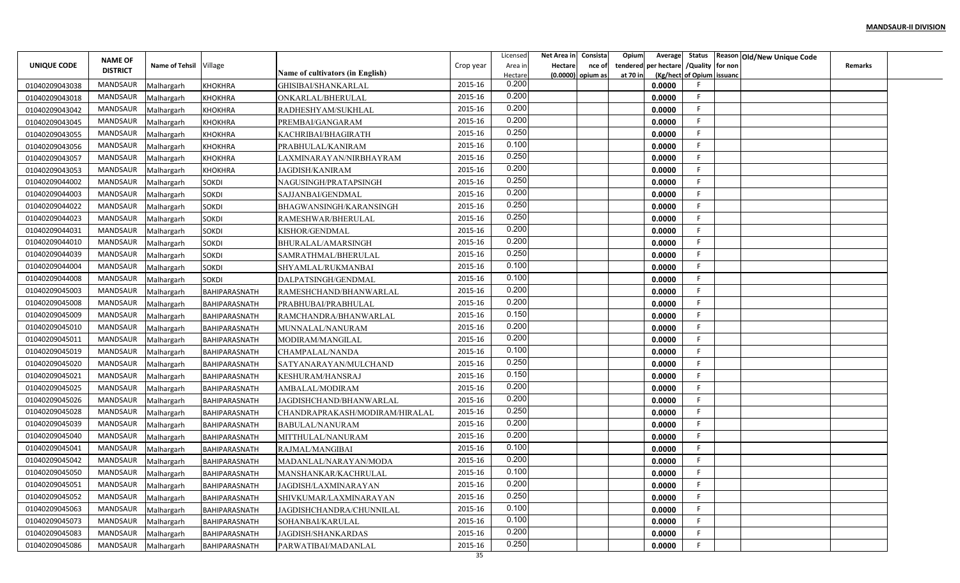|                |                 |                        |                      |                                  |           | Licensed | Net Area in Consista |                     | Opium    | Average                       | Status Reason Old/New Unique Code |                |  |
|----------------|-----------------|------------------------|----------------------|----------------------------------|-----------|----------|----------------------|---------------------|----------|-------------------------------|-----------------------------------|----------------|--|
| UNIQUE CODE    | <b>NAME OF</b>  | Name of Tehsil Village |                      |                                  | Crop year | Area in  | <b>Hectare</b>       | nce of              | tendered | per hectare / Quality for non |                                   | <b>Remarks</b> |  |
|                | <b>DISTRICT</b> |                        |                      | Name of cultivators (in English) |           | Hectare  |                      | $(0.0000)$ opium as | at 70 in | (Kg/hect of Opium issuanc     |                                   |                |  |
| 01040209043038 | MANDSAUR        | Malhargarh             | <b>KHOKHRA</b>       | GHISIBAI/SHANKARLAL              | 2015-16   | 0.200    |                      |                     |          | 0.0000<br>-F                  |                                   |                |  |
| 01040209043018 | MANDSAUR        | Malhargarh             | <b>KHOKHRA</b>       | ONKARLAL/BHERULAL                | 2015-16   | 0.200    |                      |                     |          | F.<br>0.0000                  |                                   |                |  |
| 01040209043042 | MANDSAUR        | Malhargarh             | <b>KHOKHRA</b>       | RADHESHYAM/SUKHLAL               | 2015-16   | 0.200    |                      |                     |          | F.<br>0.0000                  |                                   |                |  |
| 01040209043045 | MANDSAUR        | Malhargarh             | <b>KHOKHRA</b>       | PREMBAI/GANGARAM                 | 2015-16   | 0.200    |                      |                     |          | F.<br>0.0000                  |                                   |                |  |
| 01040209043055 | MANDSAUR        | Malhargarh             | <b>KHOKHRA</b>       | KACHRIBAI/BHAGIRATH              | 2015-16   | 0.250    |                      |                     |          | F.<br>0.0000                  |                                   |                |  |
| 01040209043056 | MANDSAUR        | Malhargarh             | <b>KHOKHRA</b>       | PRABHULAL/KANIRAM                | 2015-16   | 0.100    |                      |                     |          | F.<br>0.0000                  |                                   |                |  |
| 01040209043057 | MANDSAUR        | Malhargarh             | <b>KHOKHRA</b>       | LAXMINARAYAN/NIRBHAYRAM          | 2015-16   | 0.250    |                      |                     |          | F.<br>0.0000                  |                                   |                |  |
| 01040209043053 | MANDSAUR        | Malhargarh             | <b>KHOKHRA</b>       | <b>JAGDISH/KANIRAM</b>           | 2015-16   | 0.200    |                      |                     |          | F.<br>0.0000                  |                                   |                |  |
| 01040209044002 | MANDSAUR        | Malhargarh             | <b>SOKDI</b>         | NAGUSINGH/PRATAPSINGH            | 2015-16   | 0.250    |                      |                     |          | F<br>0.0000                   |                                   |                |  |
| 01040209044003 | MANDSAUR        | Malhargarh             | <b>SOKDI</b>         | SAJJANBAI/GENDMAL                | 2015-16   | 0.200    |                      |                     |          | F.<br>0.0000                  |                                   |                |  |
| 01040209044022 | MANDSAUR        | Malhargarh             | <b>SOKDI</b>         | BHAGWANSINGH/KARANSINGH          | 2015-16   | 0.250    |                      |                     |          | F.<br>0.0000                  |                                   |                |  |
| 01040209044023 | MANDSAUR        | Malhargarh             | <b>SOKDI</b>         | RAMESHWAR/BHERULAL               | 2015-16   | 0.250    |                      |                     |          | F.<br>0.0000                  |                                   |                |  |
| 01040209044031 | MANDSAUR        | Malhargarh             | SOKDI                | KISHOR/GENDMAL                   | 2015-16   | 0.200    |                      |                     |          | F.<br>0.0000                  |                                   |                |  |
| 01040209044010 | <b>MANDSAUR</b> | Malhargarh             | <b>SOKDI</b>         | BHURALAL/AMARSINGH               | 2015-16   | 0.200    |                      |                     |          | F.<br>0.0000                  |                                   |                |  |
| 01040209044039 | <b>MANDSAUR</b> | Malhargarh             | <b>SOKDI</b>         | SAMRATHMAL/BHERULAL              | 2015-16   | 0.250    |                      |                     |          | F.<br>0.0000                  |                                   |                |  |
| 01040209044004 | MANDSAUR        | Malhargarh             | <b>SOKDI</b>         | SHYAMLAL/RUKMANBAI               | 2015-16   | 0.100    |                      |                     |          | E<br>0.0000                   |                                   |                |  |
| 01040209044008 | MANDSAUR        | Malhargarh             | <b>SOKDI</b>         | DALPATSINGH/GENDMAL              | 2015-16   | 0.100    |                      |                     |          | F<br>0.0000                   |                                   |                |  |
| 01040209045003 | MANDSAUR        | Malhargarh             | BAHIPARASNATH        | RAMESHCHAND/BHANWARLAL           | 2015-16   | 0.200    |                      |                     |          | E<br>0.0000                   |                                   |                |  |
| 01040209045008 | MANDSAUR        | Malhargarh             | BAHIPARASNATH        | PRABHUBAI/PRABHULAI              | 2015-16   | 0.200    |                      |                     |          | E<br>0.0000                   |                                   |                |  |
| 01040209045009 | MANDSAUR        | Malhargarh             | BAHIPARASNATH        | RAMCHANDRA/BHANWARLAL            | 2015-16   | 0.150    |                      |                     |          | F.<br>0.0000                  |                                   |                |  |
| 01040209045010 | MANDSAUR        | Malhargarh             | BAHIPARASNATH        | MUNNALAL/NANURAM                 | 2015-16   | 0.200    |                      |                     |          | E<br>0.0000                   |                                   |                |  |
| 01040209045011 | <b>MANDSAUR</b> | Malhargarh             | BAHIPARASNATH        | MODIRAM/MANGILAL                 | 2015-16   | 0.200    |                      |                     |          | E<br>0.0000                   |                                   |                |  |
| 01040209045019 | MANDSAUR        | Malhargarh             | BAHIPARASNATH        | CHAMPALAL/NANDA                  | 2015-16   | 0.100    |                      |                     |          | F.<br>0.0000                  |                                   |                |  |
| 01040209045020 | MANDSAUR        | Malhargarh             | BAHIPARASNATH        | SATYANARAYAN/MULCHAND            | 2015-16   | 0.250    |                      |                     |          | F.<br>0.0000                  |                                   |                |  |
| 01040209045021 | MANDSAUR        | Malhargarh             | BAHIPARASNATH        | KESHURAM/HANSRAJ                 | 2015-16   | 0.150    |                      |                     |          | E<br>0.0000                   |                                   |                |  |
| 01040209045025 | MANDSAUR        | Malhargarh             | BAHIPARASNATH        | AMBALAL/MODIRAM                  | 2015-16   | 0.200    |                      |                     |          | F<br>0.0000                   |                                   |                |  |
| 01040209045026 | MANDSAUR        | Malhargarh             | BAHIPARASNATH        | JAGDISHCHAND/BHANWARLAL          | 2015-16   | 0.200    |                      |                     |          | F.<br>0.0000                  |                                   |                |  |
| 01040209045028 | MANDSAUR        | Malhargarh             | BAHIPARASNATH        | CHANDRAPRAKASH/MODIRAM/HIRALAL   | 2015-16   | 0.250    |                      |                     |          | E<br>0.0000                   |                                   |                |  |
| 01040209045039 | <b>MANDSAUR</b> | Malhargarh             | BAHIPARASNATH        | BABULAL/NANURAM                  | 2015-16   | 0.200    |                      |                     |          | F.<br>0.0000                  |                                   |                |  |
| 01040209045040 | MANDSAUR        | Malhargarh             | BAHIPARASNATH        | MITTHULAL/NANURAM                | 2015-16   | 0.200    |                      |                     |          | F.<br>0.0000                  |                                   |                |  |
| 01040209045041 | MANDSAUR        | Malhargarh             | BAHIPARASNATH        | RAJMAL/MANGIBAI                  | 2015-16   | 0.100    |                      |                     |          | F.<br>0.0000                  |                                   |                |  |
| 01040209045042 | <b>MANDSAUR</b> | Malhargarh             | BAHIPARASNATH        | MADANLAL/NARAYAN/MODA            | 2015-16   | 0.200    |                      |                     |          | F<br>0.0000                   |                                   |                |  |
| 01040209045050 | MANDSAUR        | Malhargarh             | BAHIPARASNATH        | MANSHANKAR/KACHRULAL             | 2015-16   | 0.100    |                      |                     |          | F.<br>0.0000                  |                                   |                |  |
| 01040209045051 | MANDSAUR        | Malhargarh             | BAHIPARASNATH        | JAGDISH/LAXMINARAYAN             | 2015-16   | 0.200    |                      |                     |          | F<br>0.0000                   |                                   |                |  |
| 01040209045052 | MANDSAUR        | Malhargarh             | BAHIPARASNATH        | SHIVKUMAR/LAXMINARAYAN           | 2015-16   | 0.250    |                      |                     |          | F.<br>0.0000                  |                                   |                |  |
| 01040209045063 | MANDSAUR        | Malhargarh             | BAHIPARASNATH        | JAGDISHCHANDRA/CHUNNILAL         | 2015-16   | 0.100    |                      |                     |          | F.<br>0.0000                  |                                   |                |  |
| 01040209045073 | MANDSAUR        | Malhargarh             | BAHIPARASNATH        | SOHANBAI/KARULAL                 | 2015-16   | 0.100    |                      |                     |          | F<br>0.0000                   |                                   |                |  |
| 01040209045083 | MANDSAUR        | Malhargarh             | BAHIPARASNATH        | <b>JAGDISH/SHANKARDAS</b>        | 2015-16   | 0.200    |                      |                     |          | F.<br>0.0000                  |                                   |                |  |
| 01040209045086 | MANDSAUR        | Malhargarh             | <b>BAHIPARASNATH</b> | PARWATIBAI/MADANLAL              | 2015-16   | 0.250    |                      |                     |          | F.<br>0.0000                  |                                   |                |  |
|                |                 |                        |                      |                                  | 35        |          |                      |                     |          |                               |                                   |                |  |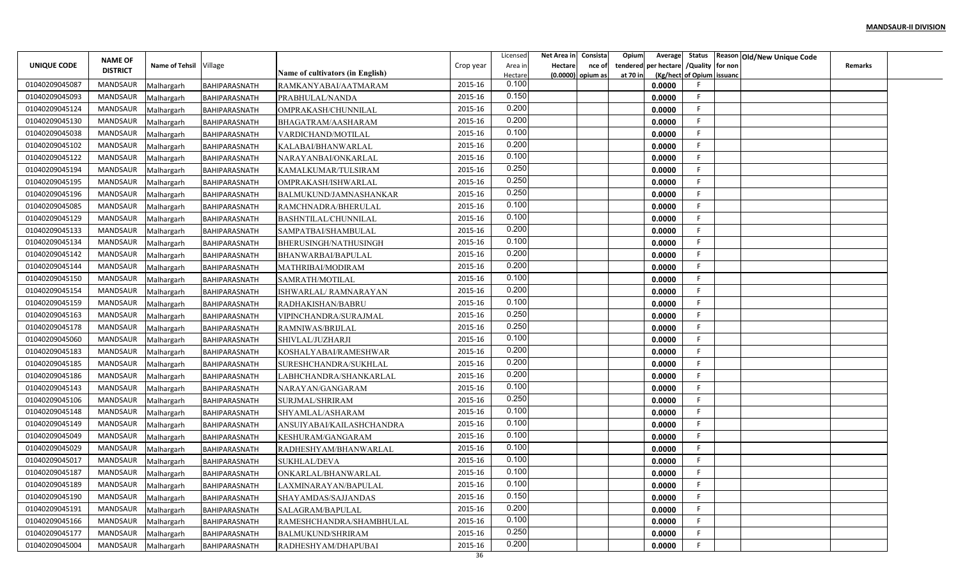|                | <b>NAME OF</b>  |                          |                                       |                                         |           | Licensed         | Net Area in    | Consista            | Opium    |                                        |                           | Average Status Reason Old/New Unique Code |                |  |
|----------------|-----------------|--------------------------|---------------------------------------|-----------------------------------------|-----------|------------------|----------------|---------------------|----------|----------------------------------------|---------------------------|-------------------------------------------|----------------|--|
| UNIQUE CODE    | <b>DISTRICT</b> | Name of Tehsil Village   |                                       |                                         | Crop year | Area in          | <b>Hectare</b> | nce of              |          | tendered per hectare / Quality for non |                           |                                           | <b>Remarks</b> |  |
| 01040209045087 | MANDSAUR        |                          |                                       | Name of cultivators (in English)        | 2015-16   | Hectare<br>0.100 |                | $(0.0000)$ opium as | at 70 in | 0.0000                                 | (Kg/hect of Opium issuanc |                                           |                |  |
| 01040209045093 | MANDSAUR        | Malhargarh<br>Malhargarh | BAHIPARASNATH<br><b>BAHIPARASNATH</b> | RAMKANYABAI/AATMARAM<br>PRABHULAL/NANDA | 2015-16   | 0.150            |                |                     |          | 0.0000                                 | F.                        |                                           |                |  |
| 01040209045124 | MANDSAUR        | Malhargarh               | BAHIPARASNATH                         | OMPRAKASH/CHUNNILAL                     | 2015-16   | 0.200            |                |                     |          | 0.0000                                 | -F.                       |                                           |                |  |
| 01040209045130 | <b>MANDSAUR</b> | Malhargarh               | BAHIPARASNATH                         | BHAGATRAM/AASHARAM                      | 2015-16   | 0.200            |                |                     |          | 0.0000                                 | F.                        |                                           |                |  |
| 01040209045038 | MANDSAUR        | Malhargarh               | BAHIPARASNATH                         | VARDICHAND/MOTILAL                      | 2015-16   | 0.100            |                |                     |          | 0.0000                                 | F.                        |                                           |                |  |
| 01040209045102 | MANDSAUR        | Malhargarh               | BAHIPARASNATH                         | KALABAI/BHANWARLAL                      | 2015-16   | 0.200            |                |                     |          | 0.0000                                 | F.                        |                                           |                |  |
| 01040209045122 | MANDSAUR        | Malhargarh               | BAHIPARASNATH                         | NARAYANBAI/ONKARLAL                     | 2015-16   | 0.100            |                |                     |          | 0.0000                                 | F.                        |                                           |                |  |
| 01040209045194 | MANDSAUR        | Malhargarh               | BAHIPARASNATH                         | KAMALKUMAR/TULSIRAM                     | 2015-16   | 0.250            |                |                     |          | 0.0000                                 | F.                        |                                           |                |  |
| 01040209045195 | MANDSAUR        | Malhargarh               | BAHIPARASNATH                         | OMPRAKASH/ISHWARLAL                     | 2015-16   | 0.250            |                |                     |          | 0.0000                                 | F                         |                                           |                |  |
| 01040209045196 | MANDSAUR        | Malhargarh               | BAHIPARASNATH                         | BALMUKUND/JAMNASHANKAR                  | 2015-16   | 0.250            |                |                     |          | 0.0000                                 | F                         |                                           |                |  |
| 01040209045085 | MANDSAUR        | Malhargarh               | BAHIPARASNATH                         | RAMCHNADRA/BHERULAL                     | 2015-16   | 0.100            |                |                     |          | 0.0000                                 | -F                        |                                           |                |  |
| 01040209045129 | MANDSAUR        | Malhargarh               | BAHIPARASNATH                         | BASHNTILAL/CHUNNILAL                    | 2015-16   | 0.100            |                |                     |          | 0.0000                                 | -F                        |                                           |                |  |
| 01040209045133 | MANDSAUR        | Malhargarh               | BAHIPARASNATH                         | SAMPATBAI/SHAMBULAL                     | 2015-16   | 0.200            |                |                     |          | 0.0000                                 | -F.                       |                                           |                |  |
| 01040209045134 | MANDSAUR        | Malhargarh               | BAHIPARASNATH                         | BHERUSINGH/NATHUSINGH                   | 2015-16   | 0.100            |                |                     |          | 0.0000                                 | F                         |                                           |                |  |
| 01040209045142 | MANDSAUR        | Malhargarh               | BAHIPARASNATH                         | BHANWARBAI/BAPULAL                      | 2015-16   | 0.200            |                |                     |          | 0.0000                                 | F.                        |                                           |                |  |
| 01040209045144 | MANDSAUR        | Malhargarh               | BAHIPARASNATH                         | MATHRIBAI/MODIRAM                       | 2015-16   | 0.200            |                |                     |          | 0.0000                                 | F.                        |                                           |                |  |
| 01040209045150 | MANDSAUR        | Malhargarh               | BAHIPARASNATH                         | SAMRATH/MOTILAL                         | 2015-16   | 0.100            |                |                     |          | 0.0000                                 | F                         |                                           |                |  |
| 01040209045154 | MANDSAUR        | Malhargarh               | BAHIPARASNATH                         | ISHWARLAL/RAMNARAYAN                    | 2015-16   | 0.200            |                |                     |          | 0.0000                                 | F                         |                                           |                |  |
| 01040209045159 | MANDSAUR        | Malhargarh               | BAHIPARASNATH                         | RADHAKISHAN/BABRU                       | 2015-16   | 0.100            |                |                     |          | 0.0000                                 | -F                        |                                           |                |  |
| 01040209045163 | MANDSAUR        | Malhargarh               | BAHIPARASNATH                         | VIPINCHANDRA/SURAJMAL                   | 2015-16   | 0.250            |                |                     |          | 0.0000                                 | F.                        |                                           |                |  |
| 01040209045178 | MANDSAUR        | Malhargarh               | BAHIPARASNATH                         | RAMNIWAS/BRIJLAL                        | 2015-16   | 0.250            |                |                     |          | 0.0000                                 | F.                        |                                           |                |  |
| 01040209045060 | MANDSAUR        | Malhargarh               | BAHIPARASNATH                         | SHIVLAL/JUZHARJI                        | 2015-16   | 0.100            |                |                     |          | 0.0000                                 | F.                        |                                           |                |  |
| 01040209045183 | MANDSAUR        | Malhargarh               | BAHIPARASNATH                         | KOSHALYABAI/RAMESHWAR                   | 2015-16   | 0.200            |                |                     |          | 0.0000                                 | F.                        |                                           |                |  |
| 01040209045185 | MANDSAUR        | Malhargarh               | BAHIPARASNATH                         | SURESHCHANDRA/SUKHLAL                   | 2015-16   | 0.200            |                |                     |          | 0.0000                                 | F                         |                                           |                |  |
| 01040209045186 | MANDSAUR        | Malhargarh               | BAHIPARASNATH                         | LABHCHANDRA/SHANKARLAL                  | 2015-16   | 0.200            |                |                     |          | 0.0000                                 | F                         |                                           |                |  |
| 01040209045143 | MANDSAUR        | Malhargarh               | BAHIPARASNATH                         | NARAYAN/GANGARAM                        | 2015-16   | 0.100            |                |                     |          | 0.0000                                 | E                         |                                           |                |  |
| 01040209045106 | MANDSAUR        | Malhargarh               | BAHIPARASNATH                         | SURJMAL/SHRIRAM                         | 2015-16   | 0.250            |                |                     |          | 0.0000                                 | F.                        |                                           |                |  |
| 01040209045148 | MANDSAUR        | Malhargarh               | BAHIPARASNATH                         | SHYAMLAL/ASHARAM                        | 2015-16   | 0.100            |                |                     |          | 0.0000                                 | E                         |                                           |                |  |
| 01040209045149 | MANDSAUR        | Malhargarh               | BAHIPARASNATH                         | ANSUIYABAI/KAILASHCHANDRA               | 2015-16   | 0.100            |                |                     |          | 0.0000                                 | F.                        |                                           |                |  |
| 01040209045049 | <b>MANDSAUR</b> | Malhargarh               | BAHIPARASNATH                         | KESHURAM/GANGARAM                       | 2015-16   | 0.100            |                |                     |          | 0.0000                                 | F                         |                                           |                |  |
| 01040209045029 | MANDSAUR        | Malhargarh               | BAHIPARASNATH                         | RADHESHYAM/BHANWARLAL                   | 2015-16   | 0.100            |                |                     |          | 0.0000                                 | F.                        |                                           |                |  |
| 01040209045017 | MANDSAUR        | Malhargarh               | BAHIPARASNATH                         | <b>SUKHLAL/DEVA</b>                     | 2015-16   | 0.100            |                |                     |          | 0.0000                                 | F                         |                                           |                |  |
| 01040209045187 | MANDSAUR        | Malhargarh               | BAHIPARASNATH                         | ONKARLAL/BHANWARLAL                     | 2015-16   | 0.100            |                |                     |          | 0.0000                                 | F.                        |                                           |                |  |
| 01040209045189 | MANDSAUR        | Malhargarh               | BAHIPARASNATH                         | LAXMINARAYAN/BAPULAL                    | 2015-16   | 0.100            |                |                     |          | 0.0000                                 | F                         |                                           |                |  |
| 01040209045190 | MANDSAUR        | Malhargarh               | BAHIPARASNATH                         | SHAYAMDAS/SAJJANDAS                     | 2015-16   | 0.150            |                |                     |          | 0.0000                                 | F                         |                                           |                |  |
| 01040209045191 | MANDSAUR        | Malhargarh               | BAHIPARASNATH                         | SALAGRAM/BAPULAL                        | 2015-16   | 0.200            |                |                     |          | 0.0000                                 | F.                        |                                           |                |  |
| 01040209045166 | MANDSAUR        | Malhargarh               | BAHIPARASNATH                         | RAMESHCHANDRA/SHAMBHULAL                | 2015-16   | 0.100            |                |                     |          | 0.0000                                 | F.                        |                                           |                |  |
| 01040209045177 | MANDSAUR        | Malhargarh               | BAHIPARASNATH                         | <b>BALMUKUND/SHRIRAM</b>                | 2015-16   | 0.250            |                |                     |          | 0.0000                                 | F.                        |                                           |                |  |
| 01040209045004 | MANDSAUR        | Malhargarh               | BAHIPARASNATH                         | RADHESHYAM/DHAPUBAI                     | 2015-16   | 0.200            |                |                     |          | 0.0000                                 | F                         |                                           |                |  |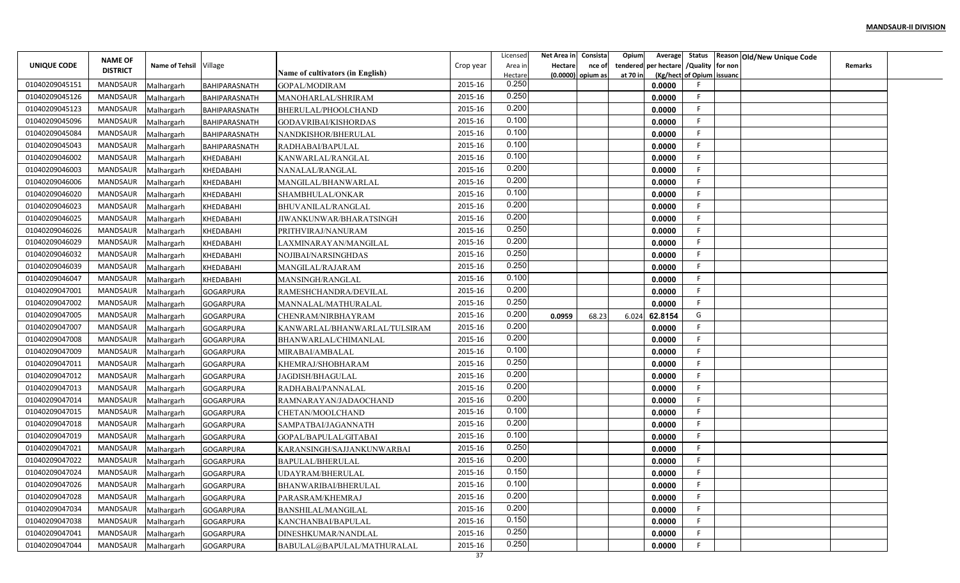|                |                                   |                          |                                      |                                          |               | Licensed       | Net Area in | Consista            | Opium<br>Average        |                           | Status Reason Old/New Unique Code |                |  |
|----------------|-----------------------------------|--------------------------|--------------------------------------|------------------------------------------|---------------|----------------|-------------|---------------------|-------------------------|---------------------------|-----------------------------------|----------------|--|
| UNIQUE CODE    | <b>NAME OF</b><br><b>DISTRICT</b> | Name of Tehsil Village   |                                      |                                          | Crop year     | Area in        | Hectare     | nce of              | per hectare<br>tendered | /Quality for non          |                                   | <b>Remarks</b> |  |
|                |                                   |                          |                                      | Name of cultivators (in English)         |               | Hectare        |             | $(0.0000)$ opium as | at 70 in                | (Kg/hect of Opium issuanc |                                   |                |  |
| 01040209045151 | <b>MANDSAUR</b>                   | Malhargarh               | BAHIPARASNATH                        | GOPAL/MODIRAM                            | 2015-16       | 0.250          |             |                     | 0.0000                  |                           |                                   |                |  |
| 01040209045126 | <b>MANDSAUR</b>                   | Malhargarh               | BAHIPARASNATH                        | MANOHARLAL/SHRIRAM                       | 2015-16       | 0.250<br>0.200 |             |                     | 0.0000                  | -F                        |                                   |                |  |
| 01040209045123 | MANDSAUR                          | Malhargarh               | BAHIPARASNATH                        | BHERULAL/PHOOLCHAND                      | 2015-16       |                |             |                     | 0.0000                  | -F                        |                                   |                |  |
| 01040209045096 | <b>MANDSAUR</b>                   | Malhargarh               | BAHIPARASNATH                        | GODAVRIBAI/KISHORDAS                     | 2015-16       | 0.100          |             |                     | 0.0000                  | F                         |                                   |                |  |
| 01040209045084 | <b>MANDSAUR</b>                   | Malhargarh               | BAHIPARASNATH                        | NANDKISHOR/BHERULAL                      | 2015-16       | 0.100          |             |                     | 0.0000                  |                           |                                   |                |  |
| 01040209045043 | <b>MANDSAUR</b>                   | Malhargarh               | BAHIPARASNATH                        | RADHABAI/BAPULAL                         | 2015-16       | 0.100          |             |                     | 0.0000                  | -F                        |                                   |                |  |
| 01040209046002 | MANDSAUR                          | Malhargarh               | KHEDABAHI                            | KANWARLAL/RANGLAL                        | 2015-16       | 0.100          |             |                     | 0.0000                  | -F                        |                                   |                |  |
| 01040209046003 | <b>MANDSAUR</b>                   | Malhargarh               | KHEDABAHI                            | NANALAL/RANGLAL                          | 2015-16       | 0.200          |             |                     | 0.0000                  | -F                        |                                   |                |  |
| 01040209046006 | <b>MANDSAUR</b>                   | Malhargarh               | KHEDABAHI                            | MANGILAL/BHANWARLAL                      | 2015-16       | 0.200          |             |                     | 0.0000                  |                           |                                   |                |  |
| 01040209046020 | <b>MANDSAUR</b>                   | Malhargarh               | KHEDABAHI                            | SHAMBHULAL/ONKAR                         | 2015-16       | 0.100          |             |                     | 0.0000                  | F                         |                                   |                |  |
| 01040209046023 | MANDSAUR                          | Malhargarh               | KHEDABAHI                            | BHUVANILAL/RANGLAL                       | 2015-16       | 0.200          |             |                     | 0.0000                  | -F                        |                                   |                |  |
| 01040209046025 | <b>MANDSAUR</b>                   | Malhargarh               | KHEDABAHI                            | JIWANKUNWAR/BHARATSINGH                  | 2015-16       | 0.200          |             |                     | 0.0000                  | -F                        |                                   |                |  |
| 01040209046026 | <b>MANDSAUR</b>                   | Malhargarh               | KHEDABAHI                            | PRITHVIRAJ/NANURAM                       | 2015-16       | 0.250          |             |                     | 0.0000                  | -F                        |                                   |                |  |
| 01040209046029 | <b>MANDSAUR</b>                   | Malhargarh               | KHEDABAHI                            | LAXMINARAYAN/MANGILAL                    | 2015-16       | 0.200          |             |                     | 0.0000                  |                           |                                   |                |  |
| 01040209046032 | <b>MANDSAUR</b>                   | Malhargarh               | KHEDABAHI                            | NOJIBAI/NARSINGHDAS                      | 2015-16       | 0.250          |             |                     | 0.0000                  | -F                        |                                   |                |  |
| 01040209046039 | <b>MANDSAUR</b>                   | Malhargarh               | KHEDABAHI                            | MANGILAL/RAJARAM                         | 2015-16       | 0.250          |             |                     | 0.0000                  |                           |                                   |                |  |
| 01040209046047 | <b>MANDSAUR</b>                   | Malhargarh               | KHEDABAHI                            | MANSINGH/RANGLAL                         | 2015-16       | 0.100          |             |                     | 0.0000                  |                           |                                   |                |  |
| 01040209047001 | <b>MANDSAUR</b>                   | Malhargarh               | <b>GOGARPURA</b>                     | RAMESHCHANDRA/DEVILAL                    | 2015-16       | 0.200          |             |                     | 0.0000                  | -F                        |                                   |                |  |
| 01040209047002 | MANDSAUR                          | Malhargarh               | <b>GOGARPURA</b>                     | MANNALAL/MATHURALAI                      | 2015-16       | 0.250          |             |                     | 0.0000                  |                           |                                   |                |  |
| 01040209047005 | MANDSAUR                          | Malhargarh               | <b>GOGARPURA</b>                     | CHENRAM/NIRBHAYRAM                       | 2015-16       | 0.200          | 0.0959      | 68.23               | 6.024<br>62.8154        | G                         |                                   |                |  |
| 01040209047007 | MANDSAUR                          | Malhargarh               | <b>GOGARPURA</b>                     | KANWARLAL/BHANWARLAL/TULSIRAM            | 2015-16       | 0.200          |             |                     | 0.0000                  | -F                        |                                   |                |  |
| 01040209047008 | <b>MANDSAUR</b>                   | Malhargarh               | <b>GOGARPURA</b>                     | BHANWARLAL/CHIMANLAL                     | 2015-16       | 0.200          |             |                     | 0.0000                  |                           |                                   |                |  |
| 01040209047009 | <b>MANDSAUR</b>                   | Malhargarh               | <b>GOGARPURA</b>                     | MIRABAI/AMBALAL                          | 2015-16       | 0.100          |             |                     | 0.0000                  | -F                        |                                   |                |  |
| 01040209047011 | <b>MANDSAUR</b>                   | Malhargarh               | <b>GOGARPURA</b>                     | KHEMRAJ/SHOBHARAM                        | 2015-16       | 0.250          |             |                     | 0.0000                  | -F                        |                                   |                |  |
| 01040209047012 | <b>MANDSAUR</b>                   | Malhargarh               | <b>GOGARPURA</b>                     | JAGDISH/BHAGULAL                         | 2015-16       | 0.200          |             |                     | 0.0000                  |                           |                                   |                |  |
| 01040209047013 | MANDSAUR                          | Malhargarh               | <b>GOGARPURA</b>                     | RADHABAI/PANNALAI                        | 2015-16       | 0.200          |             |                     | 0.0000                  |                           |                                   |                |  |
| 01040209047014 | <b>MANDSAUR</b>                   | Malhargarh               | <b>GOGARPURA</b>                     | RAMNARAYAN/JADAOCHAND                    | 2015-16       | 0.200          |             |                     | 0.0000                  | -F                        |                                   |                |  |
| 01040209047015 | MANDSAUR                          | Malhargarh               | <b>GOGARPURA</b>                     | CHETAN/MOOLCHAND                         | 2015-16       | 0.100          |             |                     | 0.0000                  | F                         |                                   |                |  |
| 01040209047018 | <b>MANDSAUR</b>                   | Malhargarh               | <b>GOGARPURA</b>                     | SAMPATBAI/JAGANNATH                      | 2015-16       | 0.200          |             |                     | 0.0000                  | -F                        |                                   |                |  |
| 01040209047019 | <b>MANDSAUR</b>                   | Malhargarh               | <b>GOGARPURA</b>                     | GOPAL/BAPULAL/GITABAI                    | 2015-16       | 0.100          |             |                     | 0.0000                  |                           |                                   |                |  |
| 01040209047021 | <b>MANDSAUR</b>                   | Malhargarh               | <b>GOGARPURA</b>                     | KARANSINGH/SAJJANKUNWARBAI               | 2015-16       | 0.250          |             |                     | 0.0000                  |                           |                                   |                |  |
| 01040209047022 | MANDSAUR                          | Malhargarh               | <b>GOGARPURA</b>                     | BAPULAL/BHERULAL                         | 2015-16       | 0.200          |             |                     | 0.0000                  |                           |                                   |                |  |
| 01040209047024 | MANDSAUR                          |                          |                                      | UDAYRAM/BHERULAL                         | 2015-16       | 0.150          |             |                     | 0.0000                  |                           |                                   |                |  |
| 01040209047026 | MANDSAUR                          | Malhargarh<br>Malhargarh | <b>GOGARPURA</b><br><b>GOGARPURA</b> |                                          | 2015-16       | 0.100          |             |                     | 0.0000                  |                           |                                   |                |  |
| 01040209047028 | MANDSAUR                          |                          | <b>GOGARPURA</b>                     | BHANWARIBAI/BHERULAL<br>PARASRAM/KHEMRAJ | 2015-16       | 0.200          |             |                     | 0.0000                  | -F                        |                                   |                |  |
| 01040209047034 | MANDSAUR                          | Malhargarh               | <b>GOGARPURA</b>                     |                                          | 2015-16       | 0.200          |             |                     | 0.0000                  | -F.                       |                                   |                |  |
| 01040209047038 | MANDSAUR                          | Malhargarh               |                                      | BANSHILAL/MANGILAL                       | 2015-16       | 0.150          |             |                     |                         | -F                        |                                   |                |  |
|                |                                   | Malhargarh               | <b>GOGARPURA</b>                     | KANCHANBAI/BAPULAL                       |               | 0.250          |             |                     | 0.0000                  | -F                        |                                   |                |  |
| 01040209047041 | MANDSAUR                          | Malhargarh               | <b>GOGARPURA</b>                     | DINESHKUMAR/NANDLAL                      | 2015-16       | 0.250          |             |                     | 0.0000                  |                           |                                   |                |  |
| 01040209047044 | MANDSAUR                          | Malhargarh               | <b>GOGARPURA</b>                     | BABULAL@BAPULAL/MATHURALAL               | 2015-16<br>37 |                |             |                     | 0.0000                  |                           |                                   |                |  |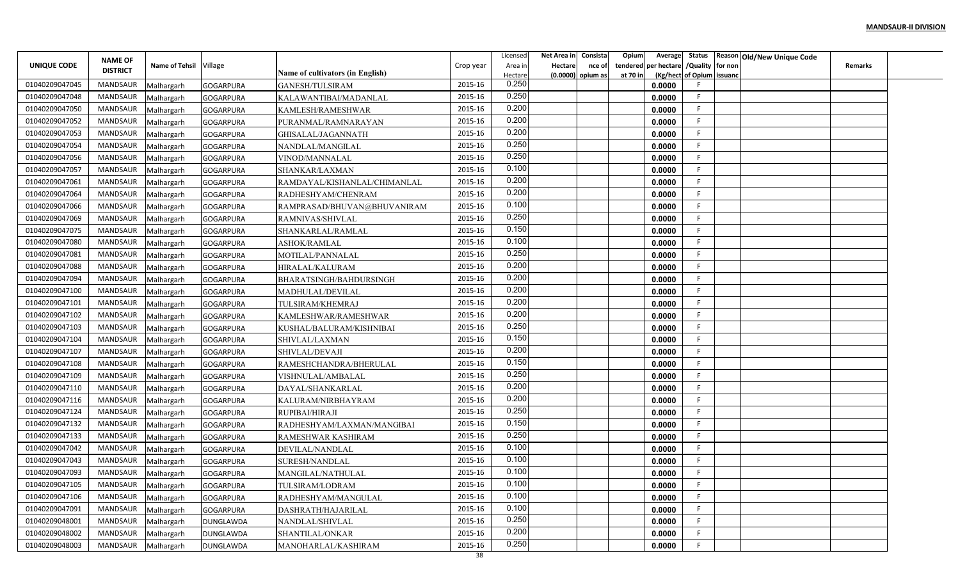|                | <b>NAME OF</b>  |                        |                  |                                  |           | Licensec           | Net Area in                  | Consista | Opium                | Average                       |                           | Status   Reason   Old/New Unique Code |  |
|----------------|-----------------|------------------------|------------------|----------------------------------|-----------|--------------------|------------------------------|----------|----------------------|-------------------------------|---------------------------|---------------------------------------|--|
| UNIQUE CODE    | <b>DISTRICT</b> | Name of Tehsil Village |                  | Name of cultivators (in English) | Crop year | Area ir<br>Hectare | Hectare<br>(0.0000) opium as | nce of   | tendered<br>at 70 in | per hectare / Quality for non | (Kg/hect of Opium issuanc | Remarks                               |  |
| 01040209047045 | MANDSAUR        | Malhargarh             | <b>GOGARPURA</b> | <b>GANESH/TULSIRAM</b>           | 2015-16   | 0.250              |                              |          |                      | 0.0000                        |                           |                                       |  |
| 01040209047048 | MANDSAUR        | Malhargarh             | <b>GOGARPURA</b> | KALAWANTIBAI/MADANLAL            | 2015-16   | 0.250              |                              |          |                      | 0.0000                        |                           |                                       |  |
| 01040209047050 | <b>MANDSAUR</b> | Malhargarh             | <b>GOGARPURA</b> | KAMLESH/RAMESHWAR                | 2015-16   | 0.200              |                              |          |                      | 0.0000                        |                           |                                       |  |
| 01040209047052 | MANDSAUR        | Malhargarh             | <b>GOGARPURA</b> | PURANMAL/RAMNARAYAN              | 2015-16   | 0.200              |                              |          |                      | 0.0000                        | F                         |                                       |  |
| 01040209047053 | MANDSAUR        | Malhargarh             | <b>GOGARPURA</b> | GHISALAL/JAGANNATH               | 2015-16   | 0.200              |                              |          |                      | 0.0000                        | F                         |                                       |  |
| 01040209047054 | MANDSAUR        | Malhargarh             | <b>GOGARPURA</b> | NANDLAL/MANGILAL                 | 2015-16   | 0.250              |                              |          |                      | 0.0000                        | F.                        |                                       |  |
| 01040209047056 | MANDSAUR        | Malhargarh             | <b>GOGARPURA</b> | VINOD/MANNALAL                   | 2015-16   | 0.250              |                              |          |                      | 0.0000                        |                           |                                       |  |
| 01040209047057 | <b>MANDSAUR</b> | Malhargarh             | <b>GOGARPURA</b> | SHANKAR/LAXMAN                   | 2015-16   | 0.100              |                              |          |                      | 0.0000                        |                           |                                       |  |
| 01040209047061 | <b>MANDSAUR</b> | Malhargarh             | <b>GOGARPURA</b> | RAMDAYAL/KISHANLAL/CHIMANLAL     | 2015-16   | 0.200              |                              |          |                      | 0.0000                        |                           |                                       |  |
| 01040209047064 | MANDSAUR        | Malhargarh             | <b>GOGARPURA</b> | RADHESHYAM/CHENRAM               | 2015-16   | 0.200              |                              |          |                      | 0.0000                        | F.                        |                                       |  |
| 01040209047066 | MANDSAUR        | Malhargarh             | <b>GOGARPURA</b> | RAMPRASAD/BHUVAN@BHUVANIRAM      | 2015-16   | 0.100              |                              |          |                      | 0.0000                        | F                         |                                       |  |
| 01040209047069 | MANDSAUR        | Malhargarh             | <b>GOGARPURA</b> | RAMNIVAS/SHIVLAL                 | 2015-16   | 0.250              |                              |          |                      | 0.0000                        | F.                        |                                       |  |
| 01040209047075 | MANDSAUR        | Malhargarh             | <b>GOGARPURA</b> | SHANKARLAL/RAMLAL                | 2015-16   | 0.150              |                              |          |                      | 0.0000                        | F.                        |                                       |  |
| 01040209047080 | MANDSAUR        | Malhargarh             | <b>GOGARPURA</b> | <b>ASHOK/RAMLAL</b>              | 2015-16   | 0.100              |                              |          |                      | 0.0000                        | F.                        |                                       |  |
| 01040209047081 | MANDSAUR        | Malhargarh             | <b>GOGARPURA</b> | MOTILAL/PANNALAL                 | 2015-16   | 0.250              |                              |          |                      | 0.0000                        | F.                        |                                       |  |
| 01040209047088 | MANDSAUR        | Malhargarh             | <b>GOGARPURA</b> | <b>HIRALAL/KALURAM</b>           | 2015-16   | 0.200              |                              |          |                      | 0.0000                        |                           |                                       |  |
| 01040209047094 | MANDSAUR        | Malhargarh             | <b>GOGARPURA</b> | <b>BHARATSINGH/BAHDURSINGH</b>   | 2015-16   | 0.200              |                              |          |                      | 0.0000                        |                           |                                       |  |
| 01040209047100 | MANDSAUR        | Malhargarh             | <b>GOGARPURA</b> | MADHULAL/DEVILAL                 | 2015-16   | 0.200              |                              |          |                      | 0.0000                        |                           |                                       |  |
| 01040209047101 | MANDSAUR        | Malhargarh             | <b>GOGARPURA</b> | TULSIRAM/KHEMRAJ                 | 2015-16   | 0.200              |                              |          |                      | 0.0000                        | F.                        |                                       |  |
| 01040209047102 | MANDSAUR        | Malhargarh             | <b>GOGARPURA</b> | KAMLESHWAR/RAMESHWAR             | 2015-16   | 0.200              |                              |          |                      | 0.0000                        | F                         |                                       |  |
| 01040209047103 | MANDSAUR        | Malhargarh             | <b>GOGARPURA</b> | KUSHAL/BALURAM/KISHNIBAI         | 2015-16   | 0.250              |                              |          |                      | 0.0000                        | F.                        |                                       |  |
| 01040209047104 | MANDSAUR        | Malhargarh             | GOGARPURA        | SHIVLAL/LAXMAN                   | 2015-16   | 0.150              |                              |          |                      | 0.0000                        | F.                        |                                       |  |
| 01040209047107 | MANDSAUR        | Malhargarh             | <b>GOGARPURA</b> | SHIVLAL/DEVAJI                   | 2015-16   | 0.200              |                              |          |                      | 0.0000                        | F                         |                                       |  |
| 01040209047108 | MANDSAUR        | Malhargarh             | <b>GOGARPURA</b> | RAMESHCHANDRA/BHERULAL           | 2015-16   | 0.150              |                              |          |                      | 0.0000                        | F.                        |                                       |  |
| 01040209047109 | MANDSAUR        | Malhargarh             | <b>GOGARPURA</b> | VISHNULAL/AMBALAL                | 2015-16   | 0.250              |                              |          |                      | 0.0000                        | F                         |                                       |  |
| 01040209047110 | MANDSAUR        | Malhargarh             | <b>GOGARPURA</b> | DAYAL/SHANKARLAL                 | 2015-16   | 0.200              |                              |          |                      | 0.0000                        | F.                        |                                       |  |
| 01040209047116 | MANDSAUR        | Malhargarh             | <b>GOGARPURA</b> | KALURAM/NIRBHAYRAM               | 2015-16   | 0.200              |                              |          |                      | 0.0000                        | F.                        |                                       |  |
| 01040209047124 | MANDSAUR        | Malhargarh             | <b>GOGARPURA</b> | RUPIBAI/HIRAJI                   | 2015-16   | 0.250              |                              |          |                      | 0.0000                        | F                         |                                       |  |
| 01040209047132 | MANDSAUR        | Malhargarh             | <b>GOGARPURA</b> | RADHESHYAM/LAXMAN/MANGIBAI       | 2015-16   | 0.150              |                              |          |                      | 0.0000                        | F.                        |                                       |  |
| 01040209047133 | MANDSAUR        | Malhargarh             | <b>GOGARPURA</b> | RAMESHWAR KASHIRAM               | 2015-16   | 0.250              |                              |          |                      | 0.0000                        | F                         |                                       |  |
| 01040209047042 | MANDSAUR        | Malhargarh             | <b>GOGARPURA</b> | DEVILAL/NANDLAL                  | 2015-16   | 0.100              |                              |          |                      | 0.0000                        | F                         |                                       |  |
| 01040209047043 | MANDSAUR        | Malhargarh             | <b>GOGARPURA</b> | SURESH/NANDLAL                   | 2015-16   | 0.100              |                              |          |                      | 0.0000                        |                           |                                       |  |
| 01040209047093 | MANDSAUR        | Malhargarh             | <b>GOGARPURA</b> | MANGILAL/NATHULAL                | 2015-16   | 0.100              |                              |          |                      | 0.0000                        |                           |                                       |  |
| 01040209047105 | MANDSAUR        | Malhargarh             | <b>GOGARPURA</b> | TULSIRAM/LODRAM                  | 2015-16   | 0.100              |                              |          |                      | 0.0000                        | F.                        |                                       |  |
| 01040209047106 | MANDSAUR        | Malhargarh             | <b>GOGARPURA</b> | RADHESHYAM/MANGULAL              | 2015-16   | 0.100              |                              |          |                      | 0.0000                        | F.                        |                                       |  |
| 01040209047091 | MANDSAUR        | Malhargarh             | <b>GOGARPURA</b> | DASHRATH/HAJARILAL               | 2015-16   | 0.100              |                              |          |                      | 0.0000                        | F.                        |                                       |  |
| 01040209048001 | MANDSAUR        | Malhargarh             | DUNGLAWDA        | NANDLAL/SHIVLAL                  | 2015-16   | 0.250              |                              |          |                      | 0.0000                        | F.                        |                                       |  |
| 01040209048002 | MANDSAUR        | Malhargarh             | <b>DUNGLAWDA</b> | SHANTILAL/ONKAR                  | 2015-16   | 0.200              |                              |          |                      | 0.0000                        | F.                        |                                       |  |
| 01040209048003 | MANDSAUR        | Malhargarh             | <b>DUNGLAWDA</b> | MANOHARLAL/KASHIRAM              | 2015-16   | 0.250              |                              |          |                      | 0.0000                        | F.                        |                                       |  |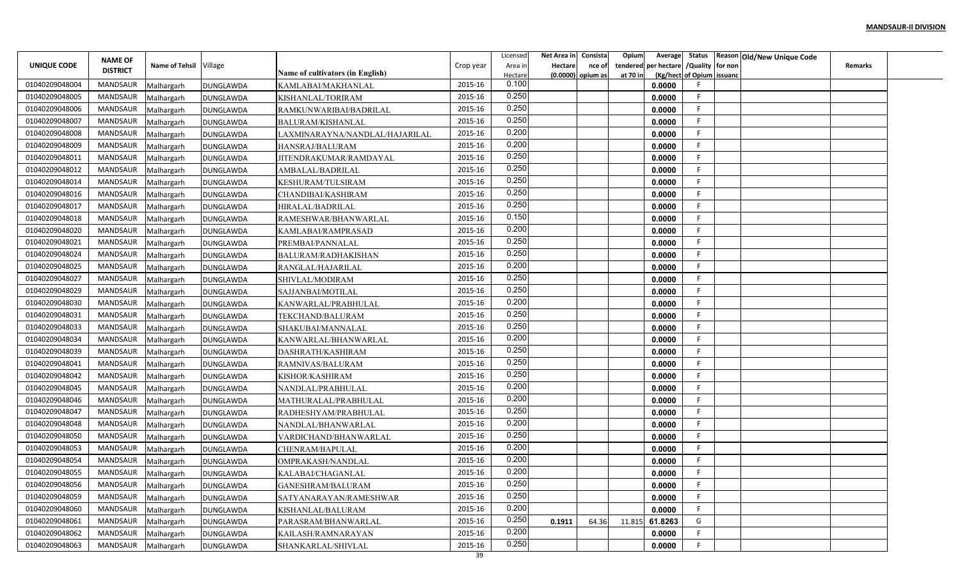|                | <b>NAME OF</b>  |                          |                                      |                                           |           | Licensed         | Net Area in    | Consista          | Opium    |                                        |                           | Average Status Reason Old/New Unique Code |                |  |
|----------------|-----------------|--------------------------|--------------------------------------|-------------------------------------------|-----------|------------------|----------------|-------------------|----------|----------------------------------------|---------------------------|-------------------------------------------|----------------|--|
| UNIQUE CODE    | <b>DISTRICT</b> | Name of Tehsil Village   |                                      |                                           | Crop year | Area in          | <b>Hectare</b> | nce of            |          | tendered per hectare / Quality for non |                           |                                           | <b>Remarks</b> |  |
| 01040209048004 | MANDSAUR        |                          |                                      | <b>Name of cultivators (in English)</b>   | 2015-16   | Hectare<br>0.100 |                | (0.0000) opium as | at 70 in | 0.0000                                 | (Kg/hect of Opium issuanc |                                           |                |  |
| 01040209048005 | MANDSAUR        | Malhargarh               | <b>DUNGLAWDA</b>                     | KAMLABAI/MAKHANLAL                        | 2015-16   | 0.250            |                |                   |          | 0.0000                                 | F.                        |                                           |                |  |
| 01040209048006 | MANDSAUR        | Malhargarh               | <b>DUNGLAWDA</b>                     | KISHANLAL/TORIRAM                         | 2015-16   | 0.250            |                |                   |          | 0.0000                                 | -F.                       |                                           |                |  |
| 01040209048007 | <b>MANDSAUR</b> | Malhargarh               | <b>DUNGLAWDA</b>                     | RAMKUNWARIBAI/BADRILAL                    | 2015-16   | 0.250            |                |                   |          | 0.0000                                 | F.                        |                                           |                |  |
| 01040209048008 | MANDSAUR        | Malhargarh               | <b>DUNGLAWDA</b>                     | BALURAM/KISHANLAL                         | 2015-16   | 0.200            |                |                   |          | 0.0000                                 | F.                        |                                           |                |  |
| 01040209048009 | MANDSAUR        | Malhargarh               | <b>DUNGLAWDA</b>                     | LAXMINARAYNA/NANDLAL/HAJARILAL            | 2015-16   | 0.200            |                |                   |          | 0.0000                                 | F.                        |                                           |                |  |
| 01040209048011 | MANDSAUR        | Malhargarh               | <b>DUNGLAWDA</b><br>DUNGLAWDA        | HANSRAJ/BALURAM<br>JITENDRAKUMAR/RAMDAYAL | 2015-16   | 0.250            |                |                   |          | 0.0000                                 | F                         |                                           |                |  |
| 01040209048012 | MANDSAUR        | Malhargarh               |                                      | AMBALAL/BADRILAL                          | 2015-16   | 0.250            |                |                   |          | 0.0000                                 | F.                        |                                           |                |  |
| 01040209048014 | MANDSAUR        | Malhargarh<br>Malhargarh | <b>DUNGLAWDA</b><br><b>DUNGLAWDA</b> | KESHURAM/TULSIRAM                         | 2015-16   | 0.250            |                |                   |          | 0.0000                                 | F                         |                                           |                |  |
| 01040209048016 | MANDSAUR        |                          |                                      |                                           | 2015-16   | 0.250            |                |                   |          | 0.0000                                 | F                         |                                           |                |  |
| 01040209048017 | MANDSAUR        | Malhargarh<br>Malhargarh | <b>DUNGLAWDA</b>                     | CHANDIBAI/KASHIRAM<br>HIRALAL/BADRILAL    | 2015-16   | 0.250            |                |                   |          | 0.0000                                 | -F                        |                                           |                |  |
| 01040209048018 | MANDSAUR        | Malhargarh               | <b>DUNGLAWDA</b><br><b>DUNGLAWDA</b> | RAMESHWAR/BHANWARLAL                      | 2015-16   | 0.150            |                |                   |          | 0.0000                                 | -F                        |                                           |                |  |
| 01040209048020 | MANDSAUR        | Malhargarh               | <b>DUNGLAWDA</b>                     | KAMLABAI/RAMPRASAD                        | 2015-16   | 0.200            |                |                   |          | 0.0000                                 | F.                        |                                           |                |  |
| 01040209048021 | MANDSAUR        |                          |                                      | PREMBAI/PANNALAL                          | 2015-16   | 0.250            |                |                   |          | 0.0000                                 | F                         |                                           |                |  |
| 01040209048024 | MANDSAUR        | Malhargarh               | <b>DUNGLAWDA</b>                     |                                           | 2015-16   | 0.250            |                |                   |          | 0.0000                                 | F.                        |                                           |                |  |
| 01040209048025 | MANDSAUR        | Malhargarh               | <b>DUNGLAWDA</b><br><b>DUNGLAWDA</b> | BALURAM/RADHAKISHAN<br>RANGLAL/HAJARILAL  | 2015-16   | 0.200            |                |                   |          | 0.0000                                 | F.                        |                                           |                |  |
| 01040209048027 | MANDSAUR        | Malhargarh               | DUNGLAWDA                            | SHIVLAL/MODIRAM                           | 2015-16   | 0.250            |                |                   |          | 0.0000                                 | F                         |                                           |                |  |
| 01040209048029 | MANDSAUR        | Malhargarh               | DUNGLAWDA                            | SAJJANBAI/MOTILAL                         | 2015-16   | 0.250            |                |                   |          | 0.0000                                 | F                         |                                           |                |  |
| 01040209048030 | MANDSAUR        | Malhargarh<br>Malhargarh | <b>DUNGLAWDA</b>                     | KANWARLAL/PRABHULAL                       | 2015-16   | 0.200            |                |                   |          | 0.0000                                 | -F                        |                                           |                |  |
| 01040209048031 | MANDSAUR        |                          |                                      |                                           | 2015-16   | 0.250            |                |                   |          | 0.0000                                 | F.                        |                                           |                |  |
| 01040209048033 | MANDSAUR        | Malhargarh<br>Malhargarh | <b>DUNGLAWDA</b><br><b>DUNGLAWDA</b> | TEKCHAND/BALURAM<br>SHAKUBAI/MANNALAL     | 2015-16   | 0.250            |                |                   |          | 0.0000                                 | F.                        |                                           |                |  |
| 01040209048034 | MANDSAUR        | Malhargarh               | <b>DUNGLAWDA</b>                     | KANWARLAL/BHANWARLAL                      | 2015-16   | 0.200            |                |                   |          | 0.0000                                 | F.                        |                                           |                |  |
| 01040209048039 | MANDSAUR        | Malhargarh               | <b>DUNGLAWDA</b>                     | DASHRATH/KASHIRAM                         | 2015-16   | 0.250            |                |                   |          | 0.0000                                 | F.                        |                                           |                |  |
| 01040209048041 | MANDSAUR        | Malhargarh               | <b>DUNGLAWDA</b>                     | RAMNIVAS/BALURAM                          | 2015-16   | 0.250            |                |                   |          | 0.0000                                 | F                         |                                           |                |  |
| 01040209048042 | MANDSAUR        | Malhargarh               | <b>DUNGLAWDA</b>                     | KISHOR/KASHIRAM                           | 2015-16   | 0.250            |                |                   |          | 0.0000                                 | F                         |                                           |                |  |
| 01040209048045 | MANDSAUR        | Malhargarh               | <b>DUNGLAWDA</b>                     | NANDLAL/PRABHULAL                         | 2015-16   | 0.200            |                |                   |          | 0.0000                                 | E                         |                                           |                |  |
| 01040209048046 | MANDSAUR        |                          | <b>DUNGLAWDA</b>                     | MATHURALAL/PRABHULAL                      | 2015-16   | 0.200            |                |                   |          | 0.0000                                 | F.                        |                                           |                |  |
| 01040209048047 | MANDSAUR        | Malhargarh<br>Malhargarh | <b>DUNGLAWDA</b>                     | RADHESHYAM/PRABHULAL                      | 2015-16   | 0.250            |                |                   |          | 0.0000                                 | F                         |                                           |                |  |
| 01040209048048 | <b>MANDSAUR</b> | Malhargarh               | <b>DUNGLAWDA</b>                     | NANDLAL/BHANWARLAL                        | 2015-16   | 0.200            |                |                   |          | 0.0000                                 | F.                        |                                           |                |  |
| 01040209048050 | MANDSAUR        | Malhargarh               | <b>DUNGLAWDA</b>                     | VARDICHAND/BHANWARLAL                     | 2015-16   | 0.250            |                |                   |          | 0.0000                                 | F                         |                                           |                |  |
| 01040209048053 | MANDSAUR        | Malhargarh               | <b>DUNGLAWDA</b>                     | CHENRAM/BAPULAL                           | 2015-16   | 0.200            |                |                   |          | 0.0000                                 | F.                        |                                           |                |  |
| 01040209048054 | MANDSAUR        | Malhargarh               | <b>DUNGLAWDA</b>                     | OMPRAKASH/NANDLAL                         | 2015-16   | 0.200            |                |                   |          | 0.0000                                 | F                         |                                           |                |  |
| 01040209048055 | MANDSAUR        | Malhargarh               | <b>DUNGLAWDA</b>                     | KALABAI/CHAGANLAL                         | 2015-16   | 0.200            |                |                   |          | 0.0000                                 | F.                        |                                           |                |  |
| 01040209048056 | MANDSAUR        | Malhargarh               |                                      | GANESHRAM/BALURAM                         | 2015-16   | 0.250            |                |                   |          | 0.0000                                 | F                         |                                           |                |  |
| 01040209048059 | MANDSAUR        | Malhargarh               | <b>DUNGLAWDA</b><br><b>DUNGLAWDA</b> | SATYANARAYAN/RAMESHWAR                    | 2015-16   | 0.250            |                |                   |          | 0.0000                                 | F                         |                                           |                |  |
| 01040209048060 | MANDSAUR        | Malhargarh               | <b>DUNGLAWDA</b>                     | KISHANLAL/BALURAM                         | 2015-16   | 0.200            |                |                   |          | 0.0000                                 | F.                        |                                           |                |  |
| 01040209048061 | MANDSAUR        | Malhargarh               | <b>DUNGLAWDA</b>                     | PARASRAM/BHANWARLAL                       | 2015-16   | 0.250            | 0.1911         | 64.36             | 11.815   | 61.8263                                | G                         |                                           |                |  |
| 01040209048062 | MANDSAUR        | Malhargarh               | <b>DUNGLAWDA</b>                     | KAILASH/RAMNARAYAN                        | 2015-16   | 0.200            |                |                   |          | 0.0000                                 | F.                        |                                           |                |  |
| 01040209048063 | MANDSAUR        | Malhargarh               |                                      | SHANKARLAL/SHIVLAL                        | 2015-16   | 0.250            |                |                   |          | 0.0000                                 | F.                        |                                           |                |  |
|                |                 |                          | DUNGLAWDA                            |                                           |           |                  |                |                   |          |                                        |                           |                                           |                |  |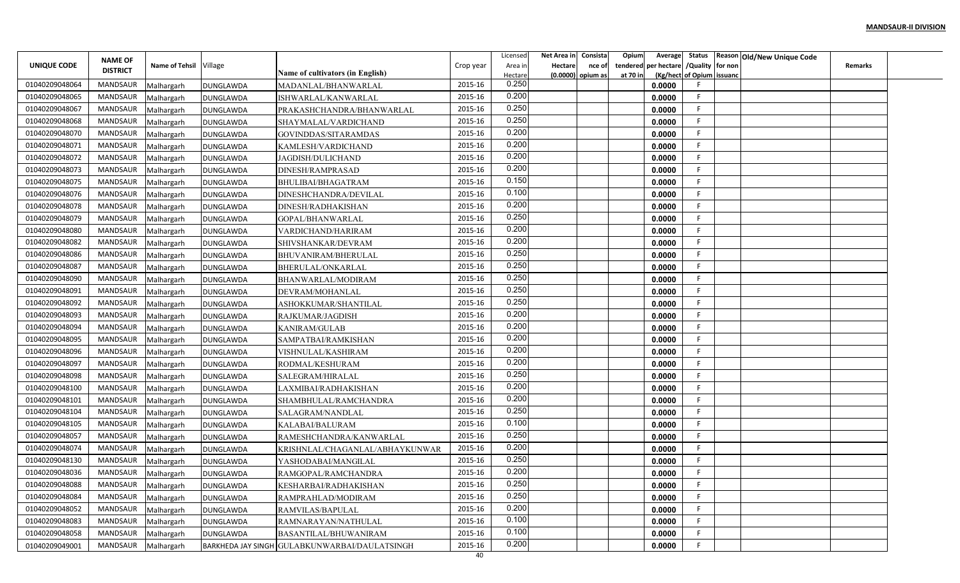|                |                                   |                        |                  |                                               |           | Licensed | Net Area in | Consista            | Opium<br>Average        |                           | Status Reason Old/New Unique Code |                |  |
|----------------|-----------------------------------|------------------------|------------------|-----------------------------------------------|-----------|----------|-------------|---------------------|-------------------------|---------------------------|-----------------------------------|----------------|--|
| UNIQUE CODE    | <b>NAME OF</b><br><b>DISTRICT</b> | Name of Tehsil Village |                  |                                               | Crop year | Area in  | Hectare     | nce of              | per hectare<br>tendered | /Quality for non          |                                   | <b>Remarks</b> |  |
|                |                                   |                        |                  | Name of cultivators (in English)              |           | Hectare  |             | $(0.0000)$ opium as | at 70 in                | (Kg/hect of Opium issuanc |                                   |                |  |
| 01040209048064 | <b>MANDSAUR</b>                   | Malhargarh             | DUNGLAWDA        | MADANLAL/BHANWARLAL                           | 2015-16   | 0.250    |             |                     | 0.0000                  |                           |                                   |                |  |
| 01040209048065 | <b>MANDSAUR</b>                   | Malhargarh             | DUNGLAWDA        | ISHWARLAL/KANWARLAL                           | 2015-16   | 0.200    |             |                     | 0.0000                  | -F                        |                                   |                |  |
| 01040209048067 | MANDSAUR                          | Malhargarh             | <b>DUNGLAWDA</b> | PRAKASHCHANDRA/BHANWARLAL                     | 2015-16   | 0.250    |             |                     | 0.0000                  | -F                        |                                   |                |  |
| 01040209048068 | <b>MANDSAUR</b>                   | Malhargarh             | <b>DUNGLAWDA</b> | SHAYMALAL/VARDICHAND                          | 2015-16   | 0.250    |             |                     | 0.0000                  | F                         |                                   |                |  |
| 01040209048070 | <b>MANDSAUR</b>                   | Malhargarh             | <b>DUNGLAWDA</b> | GOVINDDAS/SITARAMDAS                          | 2015-16   | 0.200    |             |                     | 0.0000                  |                           |                                   |                |  |
| 01040209048071 | <b>MANDSAUR</b>                   | Malhargarh             | <b>DUNGLAWDA</b> | KAMLESH/VARDICHAND                            | 2015-16   | 0.200    |             |                     | 0.0000                  | -F                        |                                   |                |  |
| 01040209048072 | MANDSAUR                          | Malhargarh             | DUNGLAWDA        | JAGDISH/DULICHAND                             | 2015-16   | 0.200    |             |                     | 0.0000                  | -F                        |                                   |                |  |
| 01040209048073 | <b>MANDSAUR</b>                   | Malhargarh             | <b>DUNGLAWDA</b> | DINESH/RAMPRASAD                              | 2015-16   | 0.200    |             |                     | 0.0000                  | -F                        |                                   |                |  |
| 01040209048075 | <b>MANDSAUR</b>                   | Malhargarh             | <b>DUNGLAWDA</b> | BHULIBAI/BHAGATRAM                            | 2015-16   | 0.150    |             |                     | 0.0000                  |                           |                                   |                |  |
| 01040209048076 | <b>MANDSAUR</b>                   | Malhargarh             | <b>DUNGLAWDA</b> | DINESHCHANDRA/DEVILAL                         | 2015-16   | 0.100    |             |                     | 0.0000                  | -F                        |                                   |                |  |
| 01040209048078 | MANDSAUR                          | Malhargarh             | <b>DUNGLAWDA</b> | DINESH/RADHAKISHAN                            | 2015-16   | 0.200    |             |                     | 0.0000                  | -F                        |                                   |                |  |
| 01040209048079 | <b>MANDSAUR</b>                   | Malhargarh             | <b>DUNGLAWDA</b> | GOPAL/BHANWARLAL                              | 2015-16   | 0.250    |             |                     | 0.0000                  | -F                        |                                   |                |  |
| 01040209048080 | <b>MANDSAUR</b>                   | Malhargarh             | DUNGLAWDA        | VARDICHAND/HARIRAM                            | 2015-16   | 0.200    |             |                     | 0.0000                  |                           |                                   |                |  |
| 01040209048082 | <b>MANDSAUR</b>                   | Malhargarh             | <b>DUNGLAWDA</b> | SHIVSHANKAR/DEVRAM                            | 2015-16   | 0.200    |             |                     | 0.0000                  |                           |                                   |                |  |
| 01040209048086 | <b>MANDSAUR</b>                   | Malhargarh             | <b>DUNGLAWDA</b> | BHUVANIRAM/BHERULAL                           | 2015-16   | 0.250    |             |                     | 0.0000                  | -F                        |                                   |                |  |
| 01040209048087 | <b>MANDSAUR</b>                   | Malhargarh             | <b>DUNGLAWDA</b> | BHERULAL/ONKARLAL                             | 2015-16   | 0.250    |             |                     | 0.0000                  |                           |                                   |                |  |
| 01040209048090 | <b>MANDSAUR</b>                   | Malhargarh             | <b>DUNGLAWDA</b> | BHANWARLAL/MODIRAM                            | 2015-16   | 0.250    |             |                     | 0.0000                  |                           |                                   |                |  |
| 01040209048091 | <b>MANDSAUR</b>                   | Malhargarh             | DUNGLAWDA        | DEVRAM/MOHANLAL                               | 2015-16   | 0.250    |             |                     | 0.0000                  | -F                        |                                   |                |  |
| 01040209048092 | MANDSAUR                          | Malhargarh             | <b>DUNGLAWDA</b> | ASHOKKUMAR/SHANTILAI                          | 2015-16   | 0.250    |             |                     | 0.0000                  |                           |                                   |                |  |
| 01040209048093 | MANDSAUR                          | Malhargarh             | <b>DUNGLAWDA</b> | RAJKUMAR/JAGDISH                              | 2015-16   | 0.200    |             |                     | 0.0000                  | -F                        |                                   |                |  |
| 01040209048094 | <b>MANDSAUR</b>                   | Malhargarh             | DUNGLAWDA        | KANIRAM/GULAB                                 | 2015-16   | 0.200    |             |                     | 0.0000                  | -F                        |                                   |                |  |
| 01040209048095 | <b>MANDSAUR</b>                   | Malhargarh             | <b>DUNGLAWDA</b> | SAMPATBAI/RAMKISHAN                           | 2015-16   | 0.200    |             |                     | 0.0000                  |                           |                                   |                |  |
| 01040209048096 | <b>MANDSAUR</b>                   | Malhargarh             | <b>DUNGLAWDA</b> | VISHNULAL/KASHIRAM                            | 2015-16   | 0.200    |             |                     | 0.0000                  | -F                        |                                   |                |  |
| 01040209048097 | <b>MANDSAUR</b>                   | Malhargarh             | <b>DUNGLAWDA</b> | RODMAL/KESHURAM                               | 2015-16   | 0.200    |             |                     | 0.0000                  | F                         |                                   |                |  |
| 01040209048098 | <b>MANDSAUR</b>                   | Malhargarh             | <b>DUNGLAWDA</b> | SALEGRAM/HIRALAL                              | 2015-16   | 0.250    |             |                     | 0.0000                  |                           |                                   |                |  |
| 01040209048100 | MANDSAUR                          | Malhargarh             | <b>DUNGLAWDA</b> | LAXMIBAI/RADHAKISHAN                          | 2015-16   | 0.200    |             |                     | 0.0000                  |                           |                                   |                |  |
| 01040209048101 | <b>MANDSAUR</b>                   | Malhargarh             | <b>DUNGLAWDA</b> | SHAMBHULAL/RAMCHANDRA                         | 2015-16   | 0.200    |             |                     | 0.0000                  | -F                        |                                   |                |  |
| 01040209048104 | MANDSAUR                          | Malhargarh             | <b>DUNGLAWDA</b> | SALAGRAM/NANDLAL                              | 2015-16   | 0.250    |             |                     | 0.0000                  | F                         |                                   |                |  |
| 01040209048105 | <b>MANDSAUR</b>                   | Malhargarh             | <b>DUNGLAWDA</b> | KALABAI/BALURAM                               | 2015-16   | 0.100    |             |                     | 0.0000                  | -F                        |                                   |                |  |
| 01040209048057 | <b>MANDSAUR</b>                   | Malhargarh             | <b>DUNGLAWDA</b> | RAMESHCHANDRA/KANWARLAL                       | 2015-16   | 0.250    |             |                     | 0.0000                  |                           |                                   |                |  |
| 01040209048074 | <b>MANDSAUR</b>                   | Malhargarh             | <b>DUNGLAWDA</b> | KRISHNLAL/CHAGANLAL/ABHAYKUNWAR               | 2015-16   | 0.200    |             |                     | 0.0000                  |                           |                                   |                |  |
| 01040209048130 | MANDSAUR                          | Malhargarh             | <b>DUNGLAWDA</b> | YASHODABAI/MANGILAL                           | 2015-16   | 0.250    |             |                     | 0.0000                  |                           |                                   |                |  |
| 01040209048036 | MANDSAUR                          | Malhargarh             | <b>DUNGLAWDA</b> | RAMGOPAL/RAMCHANDRA                           | 2015-16   | 0.200    |             |                     | 0.0000                  |                           |                                   |                |  |
| 01040209048088 | MANDSAUR                          | Malhargarh             | <b>DUNGLAWDA</b> | KESHARBAI/RADHAKISHAN                         | 2015-16   | 0.250    |             |                     | 0.0000                  |                           |                                   |                |  |
| 01040209048084 | MANDSAUR                          | Malhargarh             | <b>DUNGLAWDA</b> | RAMPRAHLAD/MODIRAM                            | 2015-16   | 0.250    |             |                     | 0.0000                  | -F                        |                                   |                |  |
| 01040209048052 | MANDSAUR                          | Malhargarh             | <b>DUNGLAWDA</b> | RAMVILAS/BAPULAL                              | 2015-16   | 0.200    |             |                     | 0.0000                  | -F.                       |                                   |                |  |
| 01040209048083 | MANDSAUR                          | Malhargarh             | <b>DUNGLAWDA</b> | RAMNARAYAN/NATHULAL                           | 2015-16   | 0.100    |             |                     | 0.0000                  | -F                        |                                   |                |  |
| 01040209048058 | MANDSAUR                          |                        |                  | BASANTILAL/BHUWANIRAM                         | 2015-16   | 0.100    |             |                     | 0.0000                  | -F                        |                                   |                |  |
|                | <b>MANDSAUR</b>                   | Malhargarh             | <b>DUNGLAWDA</b> |                                               | 2015-16   | 0.200    |             |                     |                         |                           |                                   |                |  |
| 01040209049001 |                                   | Malhargarh             |                  | BARKHEDA JAY SINGH GULABKUNWARBAI/DAULATSINGH |           |          |             |                     | 0.0000                  |                           |                                   |                |  |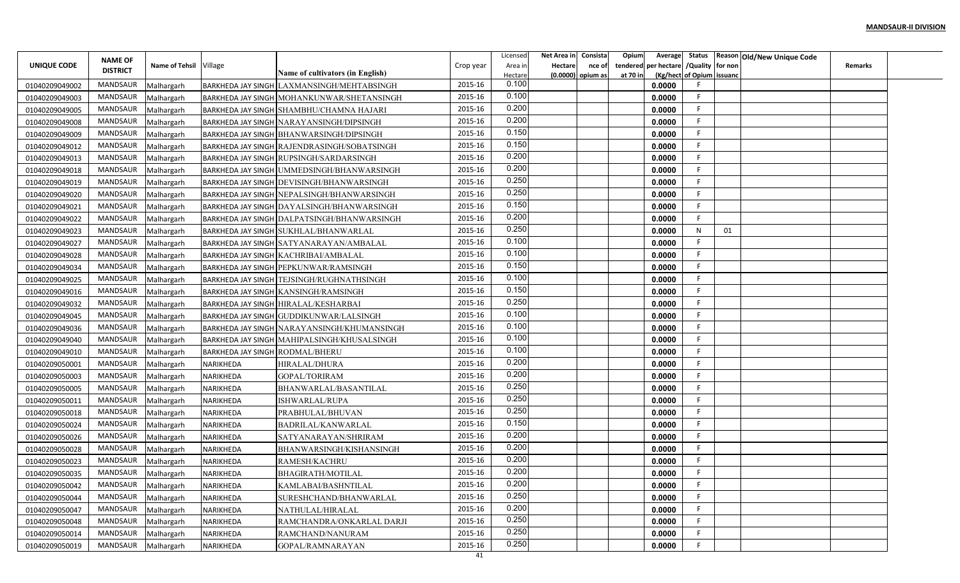|                | <b>NAME OF</b>      |                        |                                 |                                                   |           | Licensed         | Net Area in Consista |                             | Opium    | Average              |                           | Status   Reason   Old/New Unique Code |         |  |
|----------------|---------------------|------------------------|---------------------------------|---------------------------------------------------|-----------|------------------|----------------------|-----------------------------|----------|----------------------|---------------------------|---------------------------------------|---------|--|
| UNIQUE CODE    | <b>DISTRICT</b>     | Name of Tehsil Village |                                 | Name of cultivators (in English)                  | Crop year | Area in          | Hectare              | nce of<br>(0.0000) opium as |          | tendered per hectare | /Quality for non          |                                       | Remarks |  |
| 01040209049002 | MANDSAUR            | Malhargarh             |                                 | <b>BARKHEDA JAY SINGH LAXMANSINGH/MEHTABSINGH</b> | 2015-16   | Hectare<br>0.100 |                      |                             | at 70 in | 0.0000               | (Kg/hect of Opium issuanc |                                       |         |  |
| 01040209049003 | MANDSAUR            | Malhargarh             |                                 | BARKHEDA JAY SINGH MOHANKUNWAR/SHETANSINGH        | 2015-16   | 0.100            |                      |                             |          | 0.0000               |                           |                                       |         |  |
| 01040209049005 | MANDSAUR            | Malhargarh             |                                 | BARKHEDA JAY SINGH SHAMBHU/CHAMNA HAJARI          | 2015-16   | 0.200            |                      |                             |          | 0.0000               | F                         |                                       |         |  |
| 01040209049008 | MANDSAUR            | Malhargarh             |                                 | BARKHEDA JAY SINGH NARAYANSINGH/DIPSINGH          | 2015-16   | 0.200            |                      |                             |          | 0.0000               |                           |                                       |         |  |
| 01040209049009 | MANDSAUR            | Malhargarh             |                                 | BARKHEDA JAY SINGH BHANWARSINGH/DIPSINGH          | 2015-16   | 0.150            |                      |                             |          | 0.0000               |                           |                                       |         |  |
| 01040209049012 | MANDSAUR            | Malhargarh             |                                 | BARKHEDA JAY SINGH RAJENDRASINGH/SOBATSINGH       | 2015-16   | 0.150            |                      |                             |          | 0.0000               |                           |                                       |         |  |
| 01040209049013 | MANDSAUR            | Malhargarh             |                                 | BARKHEDA JAY SINGH RUPSINGH/SARDARSINGH           | 2015-16   | 0.200            |                      |                             |          | 0.0000               |                           |                                       |         |  |
| 01040209049018 | MANDSAUR            | Malhargarh             |                                 | BARKHEDA JAY SINGH UMMEDSINGH/BHANWARSINGH        | 2015-16   | 0.200            |                      |                             |          | 0.0000               |                           |                                       |         |  |
| 01040209049019 | MANDSAUR            | Malhargarh             |                                 | BARKHEDA JAY SINGH DEVISINGH/BHANWARSINGH         | 2015-16   | 0.250            |                      |                             |          | 0.0000               | F                         |                                       |         |  |
| 01040209049020 | MANDSAUR            | Malhargarh             |                                 | BARKHEDA JAY SINGH NEPALSINGH/BHANWARSINGH        | 2015-16   | 0.250            |                      |                             |          | 0.0000               | F                         |                                       |         |  |
| 01040209049021 | MANDSAUR            | Malhargarh             |                                 | <b>BARKHEDA JAY SINGH DAYALSINGH/BHANWARSINGH</b> | 2015-16   | 0.150            |                      |                             |          | 0.0000               | F                         |                                       |         |  |
| 01040209049022 | MANDSAUR            | Malhargarh             |                                 | BARKHEDA JAY SINGH DALPATSINGH/BHANWARSINGH       | 2015-16   | 0.200            |                      |                             |          | 0.0000               | F                         |                                       |         |  |
| 01040209049023 | MANDSAUR            | Malhargarh             |                                 | BARKHEDA JAY SINGH SUKHLAL/BHANWARLAL             | 2015-16   | 0.250            |                      |                             |          | 0.0000               | N<br>01                   |                                       |         |  |
| 01040209049027 | MANDSAUR            | Malhargarh             |                                 | BARKHEDA JAY SINGH SATYANARAYAN/AMBALAL           | 2015-16   | 0.100            |                      |                             |          | 0.0000               | F                         |                                       |         |  |
| 01040209049028 | MANDSAUR            | Malhargarh             |                                 | <b>BARKHEDA JAY SINGH KACHRIBAI/AMBALAL</b>       | 2015-16   | 0.100            |                      |                             |          | 0.0000               |                           |                                       |         |  |
| 01040209049034 | MANDSAUR            | Malhargarh             |                                 | BARKHEDA JAY SINGH PEPKUNWAR/RAMSINGH             | 2015-16   | 0.150            |                      |                             |          | 0.0000               |                           |                                       |         |  |
| 01040209049025 | MANDSAUR            | Malhargarh             |                                 | BARKHEDA JAY SINGH TEJSINGH/RUGHNATHSINGH         | 2015-16   | 0.100            |                      |                             |          | 0.0000               |                           |                                       |         |  |
| 01040209049016 | MANDSAUR            | Malhargarh             |                                 | <b>BARKHEDA JAY SINGH KANSINGH/RAMSINGH</b>       | 2015-16   | 0.150            |                      |                             |          | 0.0000               | F                         |                                       |         |  |
| 01040209049032 | MANDSAUR            | Malhargarh             |                                 | BARKHEDA JAY SINGH HIRALAL/KESHARBAI              | 2015-16   | 0.250            |                      |                             |          | 0.0000               |                           |                                       |         |  |
| 01040209049045 | MANDSAUR            | Malhargarh             |                                 | BARKHEDA JAY SINGH GUDDIKUNWAR/LALSINGH           | 2015-16   | 0.100            |                      |                             |          | 0.0000               |                           |                                       |         |  |
| 01040209049036 | MANDSAUR            | Malhargarh             |                                 | BARKHEDA JAY SINGH NARAYANSINGH/KHUMANSINGH       | 2015-16   | 0.100            |                      |                             |          | 0.0000               |                           |                                       |         |  |
| 01040209049040 | MANDSAUR            | Malhargarh             |                                 | BARKHEDA JAY SINGH MAHIPALSINGH/KHUSALSINGH       | 2015-16   | 0.100            |                      |                             |          | 0.0000               |                           |                                       |         |  |
| 01040209049010 | MANDSAUR            | Malhargarh             | BARKHEDA JAY SINGH RODMAL/BHERU |                                                   | 2015-16   | 0.100            |                      |                             |          | 0.0000               |                           |                                       |         |  |
| 01040209050001 | MANDSAUR            | Malhargarh             | NARIKHEDA                       | HIRALAL/DHURA                                     | 2015-16   | 0.200            |                      |                             |          | 0.0000               |                           |                                       |         |  |
| 01040209050003 | MANDSAUR            | Malhargarh             | NARIKHEDA                       | <b>GOPAL/TORIRAM</b>                              | 2015-16   | 0.200            |                      |                             |          | 0.0000               | F                         |                                       |         |  |
| 01040209050005 | MANDSAUR            | Malhargarh             | NARIKHEDA                       | BHANWARLAL/BASANTILAL                             | 2015-16   | 0.250            |                      |                             |          | 0.0000               | F                         |                                       |         |  |
| 01040209050011 | MANDSAUR            | Malhargarh             | NARIKHEDA                       | ISHWARLAL/RUPA                                    | 2015-16   | 0.250            |                      |                             |          | 0.0000               |                           |                                       |         |  |
| 01040209050018 | MANDSAUR            | Malhargarh             | NARIKHEDA                       | PRABHULAL/BHUVAN                                  | 2015-16   | 0.250            |                      |                             |          | 0.0000               | F                         |                                       |         |  |
| 01040209050024 | MANDSAUR            | Malhargarh             | NARIKHEDA                       | BADRILAL/KANWARLAL                                | 2015-16   | 0.150            |                      |                             |          | 0.0000               |                           |                                       |         |  |
| 01040209050026 | MANDSAUR            | Malhargarh             | NARIKHEDA                       | SATYANARAYAN/SHRIRAM                              | 2015-16   | 0.200            |                      |                             |          | 0.0000               |                           |                                       |         |  |
| 01040209050028 | MANDSAUR            | Malhargarh             | NARIKHEDA                       | BHANWARSINGH/KISHANSINGH                          | 2015-16   | 0.200            |                      |                             |          | 0.0000               |                           |                                       |         |  |
| 01040209050023 | MANDSAUR            | Malhargarh             | NARIKHEDA                       | RAMESH/KACHRU                                     | 2015-16   | 0.200            |                      |                             |          | 0.0000               |                           |                                       |         |  |
| 01040209050035 | MANDSAUR            | Malhargarh             | NARIKHEDA                       | BHAGIRATH/MOTILAL                                 | 2015-16   | 0.200            |                      |                             |          | 0.0000               |                           |                                       |         |  |
| 01040209050042 | MANDSAUR Malhargarh |                        | NARIKHEDA                       | KAMLABAI/BASHNTILAL                               | 2015-16   | 0.200            |                      |                             |          | 0.0000               | F.                        |                                       |         |  |
| 01040209050044 | MANDSAUR            | Malhargarh             | NARIKHEDA                       | SURESHCHAND/BHANWARLAL                            | 2015-16   | 0.250            |                      |                             |          | 0.0000               | E.                        |                                       |         |  |
| 01040209050047 | MANDSAUR            | Malhargarh             | NARIKHEDA                       | NATHULAL/HIRALAL                                  | 2015-16   | 0.200            |                      |                             |          | 0.0000               | F.                        |                                       |         |  |
| 01040209050048 | MANDSAUR            | Malhargarh             | NARIKHEDA                       | RAMCHANDRA/ONKARLAL DARJI                         | 2015-16   | 0.250            |                      |                             |          | 0.0000               | F.                        |                                       |         |  |
| 01040209050014 | MANDSAUR            | Malhargarh             | NARIKHEDA                       | RAMCHAND/NANURAM                                  | 2015-16   | 0.250            |                      |                             |          | 0.0000               |                           |                                       |         |  |
| 01040209050019 | MANDSAUR            | Malhargarh             | NARIKHEDA                       | GOPAL/RAMNARAYAN                                  | 2015-16   | 0.250            |                      |                             |          | 0.0000               |                           |                                       |         |  |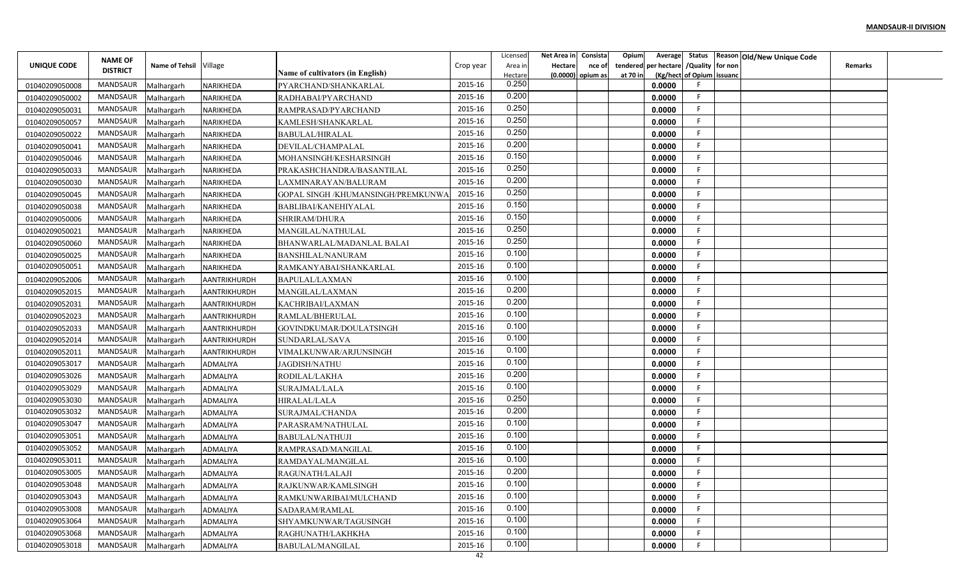|                                  | <b>NAME OF</b>  |                          |                        |                                              |           | Licensed         | Net Area in    | Consista            | Opium    |                                        |                           | Average Status Reason Old/New Unique Code |                |  |
|----------------------------------|-----------------|--------------------------|------------------------|----------------------------------------------|-----------|------------------|----------------|---------------------|----------|----------------------------------------|---------------------------|-------------------------------------------|----------------|--|
| UNIQUE CODE                      | <b>DISTRICT</b> | Name of Tehsil Village   |                        |                                              | Crop year | Area in          | <b>Hectare</b> | nce of              |          | tendered per hectare / Quality for non |                           |                                           | <b>Remarks</b> |  |
|                                  | MANDSAUR        |                          | NARIKHEDA              | Name of cultivators (in English)             | 2015-16   | Hectare<br>0.250 |                | $(0.0000)$ opium as | at 70 in | 0.0000                                 | (Kg/hect of Opium issuanc |                                           |                |  |
| 01040209050008                   | MANDSAUR        | Malhargarh               | NARIKHEDA              | PYARCHAND/SHANKARLAL                         | 2015-16   | 0.200            |                |                     |          | 0.0000                                 | F.                        |                                           |                |  |
| 01040209050002                   | MANDSAUR        | Malhargarh               |                        | RADHABAI/PYARCHAND                           | 2015-16   | 0.250            |                |                     |          | 0.0000                                 | F.                        |                                           |                |  |
| 01040209050031                   | <b>MANDSAUR</b> | Malhargarh               | NARIKHEDA              | RAMPRASAD/PYARCHAND                          | 2015-16   | 0.250            |                |                     |          | 0.0000                                 | F.                        |                                           |                |  |
| 01040209050057<br>01040209050022 | MANDSAUR        | Malhargarh<br>Malhargarh | NARIKHEDA<br>NARIKHEDA | KAMLESH/SHANKARLAL<br><b>BABULAL/HIRALAL</b> | 2015-16   | 0.250            |                |                     |          | 0.0000                                 | F.                        |                                           |                |  |
| 01040209050041                   | MANDSAUR        | Malhargarh               | NARIKHEDA              | DEVILAL/CHAMPALAL                            | 2015-16   | 0.200            |                |                     |          | 0.0000                                 | F.                        |                                           |                |  |
| 01040209050046                   | MANDSAUR        | Malhargarh               | NARIKHEDA              | MOHANSINGH/KESHARSINGH                       | 2015-16   | 0.150            |                |                     |          | 0.0000                                 | F.                        |                                           |                |  |
| 01040209050033                   | MANDSAUR        | Malhargarh               | NARIKHEDA              | PRAKASHCHANDRA/BASANTILAL                    | 2015-16   | 0.250            |                |                     |          | 0.0000                                 | F.                        |                                           |                |  |
| 01040209050030                   | MANDSAUR        | Malhargarh               | NARIKHEDA              | LAXMINARAYAN/BALURAM                         | 2015-16   | 0.200            |                |                     |          | 0.0000                                 | F                         |                                           |                |  |
| 01040209050045                   | MANDSAUR        | Malhargarh               | NARIKHEDA              | GOPAL SINGH /KHUMANSINGH/PREMKUNW            | 2015-16   | 0.250            |                |                     |          | 0.0000                                 | F                         |                                           |                |  |
| 01040209050038                   | MANDSAUR        | Malhargarh               | NARIKHEDA              | BABLIBAI/KANEHIYALAL                         | 2015-16   | 0.150            |                |                     |          | 0.0000                                 | -F                        |                                           |                |  |
| 01040209050006                   | MANDSAUR        | Malhargarh               | NARIKHEDA              | SHRIRAM/DHURA                                | 2015-16   | 0.150            |                |                     |          | 0.0000                                 | -F                        |                                           |                |  |
| 01040209050021                   | MANDSAUR        | Malhargarh               | NARIKHEDA              | MANGILAL/NATHULAL                            | 2015-16   | 0.250            |                |                     |          | 0.0000                                 | F.                        |                                           |                |  |
| 01040209050060                   | MANDSAUR        | Malhargarh               | NARIKHEDA              | BHANWARLAL/MADANLAL BALAI                    | 2015-16   | 0.250            |                |                     |          | 0.0000                                 | F                         |                                           |                |  |
| 01040209050025                   | MANDSAUR        | Malhargarh               | NARIKHEDA              | <b>BANSHILAL/NANURAM</b>                     | 2015-16   | 0.100            |                |                     |          | 0.0000                                 | F.                        |                                           |                |  |
| 01040209050051                   | MANDSAUR        | Malhargarh               | NARIKHEDA              | RAMKANYABAI/SHANKARLAL                       | 2015-16   | 0.100            |                |                     |          | 0.0000                                 | F.                        |                                           |                |  |
| 01040209052006                   | MANDSAUR        | Malhargarh               | AANTRIKHURDH           | BAPULAL/LAXMAN                               | 2015-16   | 0.100            |                |                     |          | 0.0000                                 | F                         |                                           |                |  |
| 01040209052015                   | MANDSAUR        | Malhargarh               | AANTRIKHURDH           | MANGILAL/LAXMAN                              | 2015-16   | 0.200            |                |                     |          | 0.0000                                 | F                         |                                           |                |  |
| 01040209052031                   | MANDSAUR        | Malhargarh               | <b>AANTRIKHURDH</b>    | KACHRIBAI/LAXMAN                             | 2015-16   | 0.200            |                |                     |          | 0.0000                                 | -F                        |                                           |                |  |
| 01040209052023                   | MANDSAUR        | Malhargarh               | AANTRIKHURDH           | RAMLAL/BHERULAL                              | 2015-16   | 0.100            |                |                     |          | 0.0000                                 | F.                        |                                           |                |  |
| 01040209052033                   | MANDSAUR        | Malhargarh               | AANTRIKHURDH           | GOVINDKUMAR/DOULATSINGH                      | 2015-16   | 0.100            |                |                     |          | 0.0000                                 | F.                        |                                           |                |  |
| 01040209052014                   | MANDSAUR        | Malhargarh               | AANTRIKHURDH           | SUNDARLAL/SAVA                               | 2015-16   | 0.100            |                |                     |          | 0.0000                                 | F.                        |                                           |                |  |
| 01040209052011                   | MANDSAUR        | Malhargarh               | <b>AANTRIKHURDH</b>    | VIMALKUNWAR/ARJUNSINGH                       | 2015-16   | 0.100            |                |                     |          | 0.0000                                 | F.                        |                                           |                |  |
| 01040209053017                   | MANDSAUR        | Malhargarh               | ADMALIYA               | JAGDISH/NATHU                                | 2015-16   | 0.100            |                |                     |          | 0.0000                                 | F                         |                                           |                |  |
| 01040209053026                   | MANDSAUR        | Malhargarh               | ADMALIYA               | RODILAL/LAKHA                                | 2015-16   | 0.200            |                |                     |          | 0.0000                                 | F                         |                                           |                |  |
| 01040209053029                   | MANDSAUR        | Malhargarh               | ADMALIYA               | SURAJMAL/LALA                                | 2015-16   | 0.100            |                |                     |          | 0.0000                                 | F                         |                                           |                |  |
| 01040209053030                   | MANDSAUR        | Malhargarh               | ADMALIYA               | HIRALAL/LALA                                 | 2015-16   | 0.250            |                |                     |          | 0.0000                                 | F.                        |                                           |                |  |
| 01040209053032                   | MANDSAUR        | Malhargarh               | ADMALIYA               | SURAJMAL/CHANDA                              | 2015-16   | 0.200            |                |                     |          | 0.0000                                 | F                         |                                           |                |  |
| 01040209053047                   | <b>MANDSAUR</b> | Malhargarh               | ADMALIYA               | PARASRAM/NATHULAL                            | 2015-16   | 0.100            |                |                     |          | 0.0000                                 | F.                        |                                           |                |  |
| 01040209053051                   | MANDSAUR        | Malhargarh               | ADMALIYA               | <b>BABULAL/NATHUJI</b>                       | 2015-16   | 0.100            |                |                     |          | 0.0000                                 | E                         |                                           |                |  |
| 01040209053052                   | MANDSAUR        | Malhargarh               | ADMALIYA               | RAMPRASAD/MANGILAL                           | 2015-16   | 0.100            |                |                     |          | 0.0000                                 | F.                        |                                           |                |  |
| 01040209053011                   | MANDSAUR        | Malhargarh               | ADMALIYA               | RAMDAYAL/MANGILAL                            | 2015-16   | 0.100            |                |                     |          | 0.0000                                 | F                         |                                           |                |  |
| 01040209053005                   | MANDSAUR        | Malhargarh               | ADMALIYA               | RAGUNATH/LALAJI                              | 2015-16   | 0.200            |                |                     |          | 0.0000                                 | F.                        |                                           |                |  |
| 01040209053048                   | MANDSAUR        | Malhargarh               | ADMALIYA               | RAJKUNWAR/KAMLSINGH                          | 2015-16   | 0.100            |                |                     |          | 0.0000                                 | F                         |                                           |                |  |
| 01040209053043                   | MANDSAUR        | Malhargarh               | ADMALIYA               | RAMKUNWARIBAI/MULCHAND                       | 2015-16   | 0.100            |                |                     |          | 0.0000                                 | F                         |                                           |                |  |
| 01040209053008                   | MANDSAUR        | Malhargarh               | ADMALIYA               | SADARAM/RAMLAL                               | 2015-16   | 0.100            |                |                     |          | 0.0000                                 | F.                        |                                           |                |  |
| 01040209053064                   | MANDSAUR        | Malhargarh               | ADMALIYA               | SHYAMKUNWAR/TAGUSINGH                        | 2015-16   | 0.100            |                |                     |          | 0.0000                                 | F.                        |                                           |                |  |
| 01040209053068                   | MANDSAUR        | Malhargarh               | ADMALIYA               | RAGHUNATH/LAKHKHA                            | 2015-16   | 0.100            |                |                     |          | 0.0000                                 | F.                        |                                           |                |  |
| 01040209053018                   | MANDSAUR        | Malhargarh               | ADMALIYA               | <b>BABULAL/MANGILAL</b>                      | 2015-16   | 0.100            |                |                     |          | 0.0000                                 | F                         |                                           |                |  |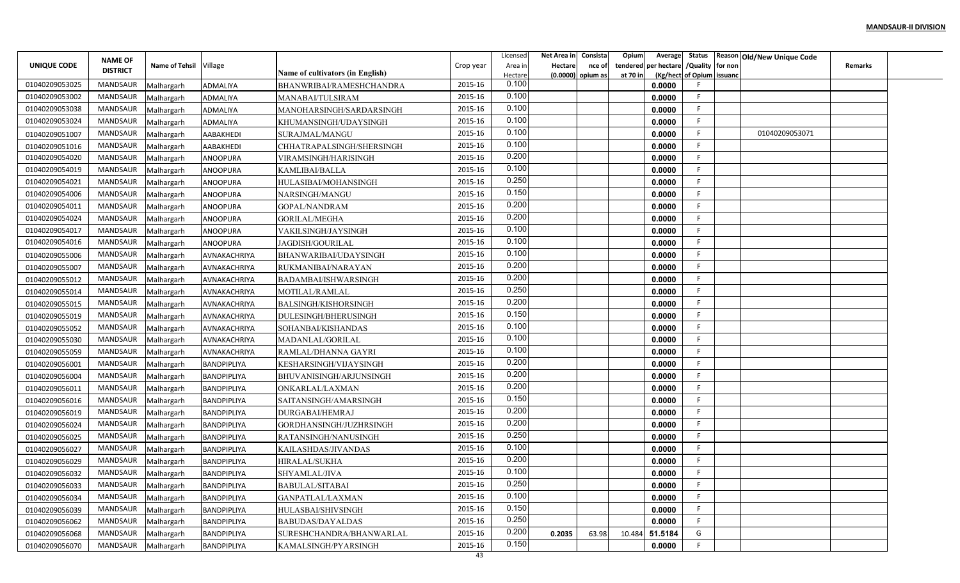|                | <b>NAME OF</b>  |                        |                    |                                  |           | Licensed         | Net Area in | Consista          | Opium    |         |                                        | Average Status Reason Old/New Unique Code |                |  |
|----------------|-----------------|------------------------|--------------------|----------------------------------|-----------|------------------|-------------|-------------------|----------|---------|----------------------------------------|-------------------------------------------|----------------|--|
| UNIQUE CODE    | <b>DISTRICT</b> | Name of Tehsil Village |                    | Name of cultivators (in English) | Crop year | Area ir          | Hectare     | nce of            |          |         | tendered per hectare / Quality for non |                                           | <b>Remarks</b> |  |
| 01040209053025 | <b>MANDSAUR</b> | Malhargarh             | ADMALIYA           | BHANWRIBAI/RAMESHCHANDRA         | 2015-16   | Hectare<br>0.100 |             | (0.0000) opium as | at 70 in | 0.0000  | (Kg/hect of Opium issuanc              |                                           |                |  |
| 01040209053002 | MANDSAUR        | Malhargarh             | ADMALIYA           | MANABAI/TULSIRAM                 | 2015-16   | 0.100            |             |                   |          | 0.0000  | E                                      |                                           |                |  |
| 01040209053038 | MANDSAUR        | Malhargarh             | ADMALIYA           | MANOHARSINGH/SARDARSINGH         | 2015-16   | 0.100            |             |                   |          | 0.0000  | -F                                     |                                           |                |  |
| 01040209053024 | MANDSAUR        | Malhargarh             | ADMALIYA           | KHUMANSINGH/UDAYSINGH            | 2015-16   | 0.100            |             |                   |          | 0.0000  | F.                                     |                                           |                |  |
| 01040209051007 | MANDSAUR        | Malhargarh             | AABAKHEDI          | SURAJMAL/MANGU                   | 2015-16   | 0.100            |             |                   |          | 0.0000  | F                                      | 01040209053071                            |                |  |
| 01040209051016 | MANDSAUR        | Malhargarh             | AABAKHEDI          | CHHATRAPALSINGH/SHERSINGH        | 2015-16   | 0.100            |             |                   |          | 0.0000  | F.                                     |                                           |                |  |
| 01040209054020 | MANDSAUR        | Malhargarh             | ANOOPURA           | VIRAMSINGH/HARISINGH             | 2015-16   | 0.200            |             |                   |          | 0.0000  | F                                      |                                           |                |  |
| 01040209054019 | MANDSAUR        | Malhargarh             | ANOOPURA           | KAMLIBAI/BALLA                   | 2015-16   | 0.100            |             |                   |          | 0.0000  | F.                                     |                                           |                |  |
| 01040209054021 | MANDSAUR        | Malhargarh             | ANOOPURA           | HULASIBAI/MOHANSINGH             | 2015-16   | 0.250            |             |                   |          | 0.0000  | F                                      |                                           |                |  |
| 01040209054006 | MANDSAUR        | Malhargarh             | ANOOPURA           | NARSINGH/MANGU                   | 2015-16   | 0.150            |             |                   |          | 0.0000  | E                                      |                                           |                |  |
| 01040209054011 | MANDSAUR        | Malhargarh             | ANOOPURA           | <b>GOPAL/NANDRAM</b>             | 2015-16   | 0.200            |             |                   |          | 0.0000  | F                                      |                                           |                |  |
| 01040209054024 | MANDSAUR        | Malhargarh             | ANOOPURA           | <b>GORILAL/MEGHA</b>             | 2015-16   | 0.200            |             |                   |          | 0.0000  | F                                      |                                           |                |  |
| 01040209054017 | MANDSAUR        | Malhargarh             | ANOOPURA           | VAKILSINGH/JAYSINGH              | 2015-16   | 0.100            |             |                   |          | 0.0000  | -F                                     |                                           |                |  |
| 01040209054016 | <b>MANDSAUR</b> | Malhargarh             | ANOOPURA           | JAGDISH/GOURILAL                 | 2015-16   | 0.100            |             |                   |          | 0.0000  | F                                      |                                           |                |  |
| 01040209055006 | <b>MANDSAUR</b> | Malhargarh             | AVNAKACHRIYA       | BHANWARIBAI/UDAYSINGH            | 2015-16   | 0.100            |             |                   |          | 0.0000  | E                                      |                                           |                |  |
| 01040209055007 | <b>MANDSAUR</b> | Malhargarh             | AVNAKACHRIYA       | RUKMANIBAI/NARAYAN               | 2015-16   | 0.200            |             |                   |          | 0.0000  | -F                                     |                                           |                |  |
| 01040209055012 | MANDSAUR        | Malhargarh             | AVNAKACHRIYA       | BADAMBAI/ISHWARSINGH             | 2015-16   | 0.200            |             |                   |          | 0.0000  | E                                      |                                           |                |  |
| 01040209055014 | MANDSAUR        | Malhargarh             | AVNAKACHRIYA       | MOTILAL/RAMLAL                   | 2015-16   | 0.250            |             |                   |          | 0.0000  |                                        |                                           |                |  |
| 01040209055015 | MANDSAUR        | Malhargarh             | AVNAKACHRIYA       | BALSINGH/KISHORSINGH             | 2015-16   | 0.200            |             |                   |          | 0.0000  | F                                      |                                           |                |  |
| 01040209055019 | MANDSAUR        | Malhargarh             | AVNAKACHRIYA       | <b>DULESINGH/BHERUSINGH</b>      | 2015-16   | 0.150            |             |                   |          | 0.0000  | -F                                     |                                           |                |  |
| 01040209055052 | MANDSAUR        | Malhargarh             | AVNAKACHRIYA       | SOHANBAI/KISHANDAS               | 2015-16   | 0.100            |             |                   |          | 0.0000  | E                                      |                                           |                |  |
| 01040209055030 | <b>MANDSAUR</b> | Malhargarh             | AVNAKACHRIYA       | MADANLAL/GORILAL                 | 2015-16   | 0.100            |             |                   |          | 0.0000  | -F                                     |                                           |                |  |
| 01040209055059 | MANDSAUR        | Malhargarh             | AVNAKACHRIYA       | RAMLAL/DHANNA GAYRI              | 2015-16   | 0.100            |             |                   |          | 0.0000  | -F                                     |                                           |                |  |
| 01040209056001 | MANDSAUR        | Malhargarh             | BANDPIPLIYA        | KESHARSINGH/VIJAYSINGH           | 2015-16   | 0.200            |             |                   |          | 0.0000  | F                                      |                                           |                |  |
| 01040209056004 | MANDSAUR        | Malhargarh             | BANDPIPLIYA        | BHUVANISINGH/ARJUNSINGH          | 2015-16   | 0.200            |             |                   |          | 0.0000  | E                                      |                                           |                |  |
| 01040209056011 | MANDSAUR        | Malhargarh             | BANDPIPLIYA        | ONKARLAL/LAXMAN                  | 2015-16   | 0.200            |             |                   |          | 0.0000  |                                        |                                           |                |  |
| 01040209056016 | MANDSAUR        | Malhargarh             | <b>BANDPIPLIYA</b> | SAITANSINGH/AMARSINGH            | 2015-16   | 0.150            |             |                   |          | 0.0000  | -F                                     |                                           |                |  |
| 01040209056019 | MANDSAUR        | Malhargarh             | <b>BANDPIPLIYA</b> | DURGABAI/HEMRAJ                  | 2015-16   | 0.200            |             |                   |          | 0.0000  |                                        |                                           |                |  |
| 01040209056024 | MANDSAUR        | Malhargarh             | <b>BANDPIPLIYA</b> | GORDHANSINGH/JUZHRSINGH          | 2015-16   | 0.200            |             |                   |          | 0.0000  | -F                                     |                                           |                |  |
| 01040209056025 | <b>MANDSAUR</b> | Malhargarh             | BANDPIPLIYA        | RATANSINGH/NANUSINGH             | 2015-16   | 0.250            |             |                   |          | 0.0000  | F                                      |                                           |                |  |
| 01040209056027 | MANDSAUR        | Malhargarh             | BANDPIPLIYA        | KAILASHDAS/JIVANDAS              | 2015-16   | 0.100            |             |                   |          | 0.0000  | F                                      |                                           |                |  |
| 01040209056029 | <b>MANDSAUR</b> | Malhargarh             | BANDPIPLIYA        | HIRALAL/SUKHA                    | 2015-16   | 0.200            |             |                   |          | 0.0000  |                                        |                                           |                |  |
| 01040209056032 | MANDSAUR        | Malhargarh             | BANDPIPLIYA        | SHYAMLAL/JIVA                    | 2015-16   | 0.100            |             |                   |          | 0.0000  | F.                                     |                                           |                |  |
| 01040209056033 | MANDSAUR        | Malhargarh             | BANDPIPLIYA        | BABULAL/SITABAI                  | 2015-16   | 0.250            |             |                   |          | 0.0000  | F.                                     |                                           |                |  |
| 01040209056034 | MANDSAUR        | Malhargarh             | BANDPIPLIYA        | GANPATLAL/LAXMAN                 | 2015-16   | 0.100            |             |                   |          | 0.0000  | F                                      |                                           |                |  |
| 01040209056039 | MANDSAUR        | Malhargarh             | BANDPIPLIYA        | HULASBAI/SHIVSINGH               | 2015-16   | 0.150            |             |                   |          | 0.0000  | F.                                     |                                           |                |  |
| 01040209056062 | MANDSAUR        | Malhargarh             | BANDPIPLIYA        | <b>BABUDAS/DAYALDAS</b>          | 2015-16   | 0.250            |             |                   |          | 0.0000  | F.                                     |                                           |                |  |
| 01040209056068 | MANDSAUR        | Malhargarh             | BANDPIPLIYA        | SURESHCHANDRA/BHANWARLAL         | 2015-16   | 0.200            | 0.2035      | 63.98             | 10.484   | 51.5184 | G                                      |                                           |                |  |
| 01040209056070 | MANDSAUR        | Malhargarh             | BANDPIPLIYA        | KAMALSINGH/PYARSINGH             | 2015-16   | 0.150            |             |                   |          | 0.0000  | F.                                     |                                           |                |  |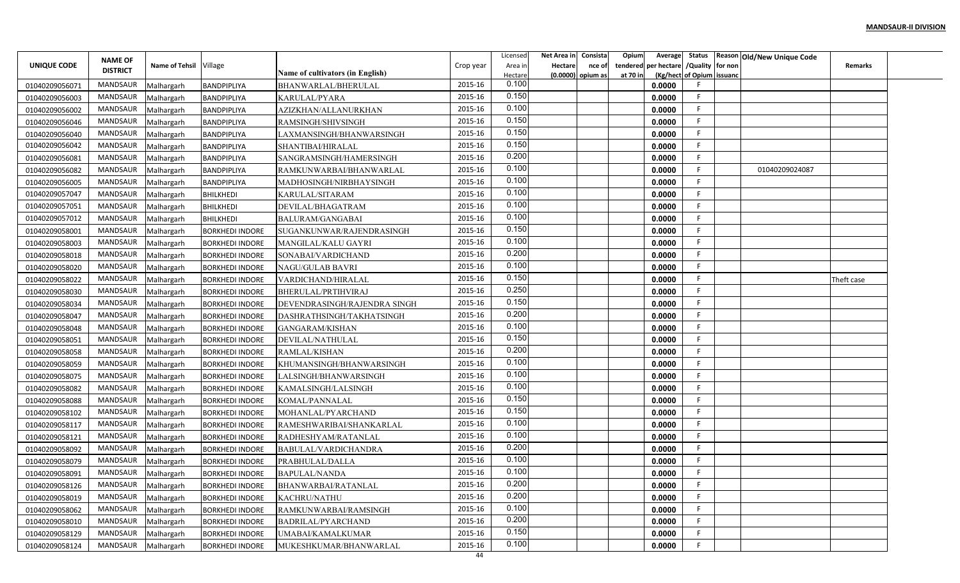|                                  | <b>NAME OF</b>  |                          |                                          |                                              |           | Licensed         | Net Area in | Consista          | Opium    | Average                             |                  | Status Reason Old/New Unique Code |                |  |
|----------------------------------|-----------------|--------------------------|------------------------------------------|----------------------------------------------|-----------|------------------|-------------|-------------------|----------|-------------------------------------|------------------|-----------------------------------|----------------|--|
| UNIQUE CODE                      | <b>DISTRICT</b> | Name of Tehsil Village   |                                          |                                              | Crop year | Area in          | Hectare     | nce of            | tendered | per hectare                         | /Quality for non |                                   | <b>Remarks</b> |  |
|                                  | <b>MANDSAUR</b> |                          | <b>BANDPIPLIYA</b>                       | Name of cultivators (in English)             | 2015-16   | Hectare<br>0.100 |             | (0.0000) opium as | at 70 in | (Kg/hect of Opium issuanc<br>0.0000 |                  |                                   |                |  |
| 01040209056071                   | MANDSAUR        | Malhargarh               | BANDPIPLIYA                              | BHANWARLAL/BHERULAL                          | 2015-16   | 0.150            |             |                   |          | 0.0000                              |                  |                                   |                |  |
| 01040209056003                   | MANDSAUR        | Malhargarh<br>Malhargarh |                                          | KARULAL/PYARA<br>AZIZKHAN/ALLANURKHAN        | 2015-16   | 0.100            |             |                   |          | 0.0000                              | F                |                                   |                |  |
| 01040209056002                   | MANDSAUR        |                          | <b>BANDPIPLIYA</b>                       |                                              | 2015-16   | 0.150            |             |                   |          | 0.0000                              |                  |                                   |                |  |
| 01040209056046                   | MANDSAUR        | Malhargarh               | <b>BANDPIPLIYA</b>                       | RAMSINGH/SHIVSINGH                           | 2015-16   | 0.150            |             |                   |          | 0.0000                              |                  |                                   |                |  |
| 01040209056040<br>01040209056042 | <b>MANDSAUR</b> | Malhargarh               | <b>BANDPIPLIYA</b>                       | LAXMANSINGH/BHANWARSINGH                     | 2015-16   | 0.150            |             |                   |          | 0.0000                              |                  |                                   |                |  |
| 01040209056081                   | MANDSAUR        | Malhargarh<br>Malhargarh | <b>BANDPIPLIYA</b><br><b>BANDPIPLIYA</b> | SHANTIBAI/HIRALAL<br>SANGRAMSINGH/HAMERSINGH | 2015-16   | 0.200            |             |                   |          | 0.0000                              |                  |                                   |                |  |
| 01040209056082                   | MANDSAUR        | Malhargarh               | <b>BANDPIPLIYA</b>                       | RAMKUNWARBAI/BHANWARLAL                      | 2015-16   | 0.100            |             |                   |          | 0.0000                              |                  | 01040209024087                    |                |  |
| 01040209056005                   | MANDSAUR        | Malhargarh               | <b>BANDPIPLIYA</b>                       | MADHOSINGH/NIRBHAYSINGH                      | 2015-16   | 0.100            |             |                   |          | 0.0000                              |                  |                                   |                |  |
| 01040209057047                   | MANDSAUR        | Malhargarh               | <b>BHILKHEDI</b>                         | KARULAL/SITARAM                              | 2015-16   | 0.100            |             |                   |          | 0.0000                              |                  |                                   |                |  |
| 01040209057051                   | MANDSAUR        | Malhargarh               | <b>BHILKHEDI</b>                         | DEVILAL/BHAGATRAM                            | 2015-16   | 0.100            |             |                   |          | 0.0000                              | F                |                                   |                |  |
| 01040209057012                   | MANDSAUR        | Malhargarh               | <b>BHILKHEDI</b>                         | <b>BALURAM/GANGABAI</b>                      | 2015-16   | 0.100            |             |                   |          | 0.0000                              |                  |                                   |                |  |
| 01040209058001                   | <b>MANDSAUR</b> | Malhargarh               | <b>BORKHEDI INDORE</b>                   | SUGANKUNWAR/RAJENDRASINGH                    | 2015-16   | 0.150            |             |                   |          | 0.0000                              |                  |                                   |                |  |
| 01040209058003                   | <b>MANDSAUR</b> | Malhargarh               | <b>BORKHEDI INDORE</b>                   | MANGILAL/KALU GAYRI                          | 2015-16   | 0.100            |             |                   |          | 0.0000                              |                  |                                   |                |  |
| 01040209058018                   | <b>MANDSAUR</b> | Malhargarh               | <b>BORKHEDI INDORE</b>                   | SONABAI/VARDICHAND                           | 2015-16   | 0.200            |             |                   |          | 0.0000                              |                  |                                   |                |  |
| 01040209058020                   | <b>MANDSAUR</b> | Malhargarh               | <b>BORKHEDI INDORE</b>                   | NAGU/GULAB BAVRI                             | 2015-16   | 0.100            |             |                   |          | 0.0000                              |                  |                                   |                |  |
| 01040209058022                   | MANDSAUR        | Malhargarh               | <b>BORKHEDI INDORE</b>                   | VARDICHAND/HIRALAL                           | 2015-16   | 0.150            |             |                   |          | 0.0000                              |                  |                                   | Theft case     |  |
| 01040209058030                   | <b>MANDSAUR</b> | Malhargarh               | <b>BORKHEDI INDORE</b>                   | BHERULAL/PRTIHVIRAJ                          | 2015-16   | 0.250            |             |                   |          | 0.0000                              |                  |                                   |                |  |
| 01040209058034                   | MANDSAUR        | Malhargarh               | <b>BORKHEDI INDORE</b>                   | DEVENDRASINGH/RAJENDRA SINGH                 | 2015-16   | 0.150            |             |                   |          | 0.0000                              |                  |                                   |                |  |
| 01040209058047                   | MANDSAUR        | Malhargarh               | <b>BORKHEDI INDORE</b>                   | DASHRATHSINGH/TAKHATSINGH                    | 2015-16   | 0.200            |             |                   |          | 0.0000                              | F                |                                   |                |  |
| 01040209058048                   | MANDSAUR        | Malhargarh               | <b>BORKHEDI INDORE</b>                   | GANGARAM/KISHAN                              | 2015-16   | 0.100            |             |                   |          | 0.0000                              |                  |                                   |                |  |
| 01040209058051                   | MANDSAUR        | Malhargarh               | <b>BORKHEDI INDORE</b>                   | DEVILAL/NATHULAL                             | 2015-16   | 0.150            |             |                   |          | 0.0000                              |                  |                                   |                |  |
| 01040209058058                   | <b>MANDSAUR</b> | Malhargarh               | <b>BORKHEDI INDORE</b>                   | RAMLAL/KISHAN                                | 2015-16   | 0.200            |             |                   |          | 0.0000                              |                  |                                   |                |  |
| 01040209058059                   | MANDSAUR        | Malhargarh               | <b>BORKHEDI INDORE</b>                   | KHUMANSINGH/BHANWARSINGH                     | 2015-16   | 0.100            |             |                   |          | 0.0000                              |                  |                                   |                |  |
| 01040209058075                   | MANDSAUR        | Malhargarh               | <b>BORKHEDI INDORE</b>                   | LALSINGH/BHANWARSINGH                        | 2015-16   | 0.100            |             |                   |          | 0.0000                              |                  |                                   |                |  |
| 01040209058082                   | MANDSAUR        | Malhargarh               | <b>BORKHEDI INDORE</b>                   | KAMALSINGH/LALSINGH                          | 2015-16   | 0.100            |             |                   |          | 0.0000                              |                  |                                   |                |  |
| 01040209058088                   | MANDSAUR        | Malhargarh               | <b>BORKHEDI INDORE</b>                   | KOMAL/PANNALAL                               | 2015-16   | 0.150            |             |                   |          | 0.0000                              |                  |                                   |                |  |
| 01040209058102                   | MANDSAUR        | Malhargarh               | <b>BORKHEDI INDORE</b>                   | MOHANLAL/PYARCHAND                           | 2015-16   | 0.150            |             |                   |          | 0.0000                              |                  |                                   |                |  |
| 01040209058117                   | MANDSAUR        | Malhargarh               | <b>BORKHEDI INDORE</b>                   | RAMESHWARIBAI/SHANKARLAL                     | 2015-16   | 0.100            |             |                   |          | 0.0000                              |                  |                                   |                |  |
| 01040209058121                   | <b>MANDSAUR</b> | Malhargarh               | <b>BORKHEDI INDORE</b>                   | RADHESHYAM/RATANLAL                          | 2015-16   | 0.100            |             |                   |          | 0.0000                              |                  |                                   |                |  |
| 01040209058092                   | <b>MANDSAUR</b> | Malhargarh               | <b>BORKHEDI INDORE</b>                   | BABULAL/VARDICHANDRA                         | 2015-16   | 0.200            |             |                   |          | 0.0000                              |                  |                                   |                |  |
| 01040209058079                   | MANDSAUR        | Malhargarh               | <b>BORKHEDI INDORE</b>                   | PRABHULAL/DALLA                              | 2015-16   | 0.100            |             |                   |          | 0.0000                              |                  |                                   |                |  |
| 01040209058091                   | MANDSAUR        | Malhargarh               | <b>BORKHEDI INDORE</b>                   | BAPULAL/NANDA                                | 2015-16   | 0.100            |             |                   |          | 0.0000                              |                  |                                   |                |  |
| 01040209058126                   | MANDSAUR        | Malhargarh               | <b>BORKHEDI INDORE</b>                   | BHANWARBAI/RATANLAL                          | 2015-16   | 0.200            |             |                   |          | 0.0000                              |                  |                                   |                |  |
| 01040209058019                   | MANDSAUR        | Malhargarh               | <b>BORKHEDI INDORE</b>                   | <b>KACHRU/NATHU</b>                          | 2015-16   | 0.200            |             |                   |          | 0.0000                              |                  |                                   |                |  |
| 01040209058062                   | MANDSAUR        | Malhargarh               | <b>BORKHEDI INDORE</b>                   | RAMKUNWARBAI/RAMSINGH                        | 2015-16   | 0.100            |             |                   |          | 0.0000                              | -F               |                                   |                |  |
| 01040209058010                   | MANDSAUR        | Malhargarh               | <b>BORKHEDI INDORE</b>                   | BADRILAL/PYARCHAND                           | 2015-16   | 0.200            |             |                   |          | 0.0000                              | F                |                                   |                |  |
| 01040209058129                   | MANDSAUR        | Malhargarh               | <b>BORKHEDI INDORE</b>                   | UMABAI/KAMALKUMAR                            | 2015-16   | 0.150            |             |                   |          | 0.0000                              |                  |                                   |                |  |
| 01040209058124                   | MANDSAUR        | Malhargarh               | <b>BORKHEDI INDORE</b>                   | MUKESHKUMAR/BHANWARLAL                       | 2015-16   | 0.100            |             |                   |          | 0.0000                              |                  |                                   |                |  |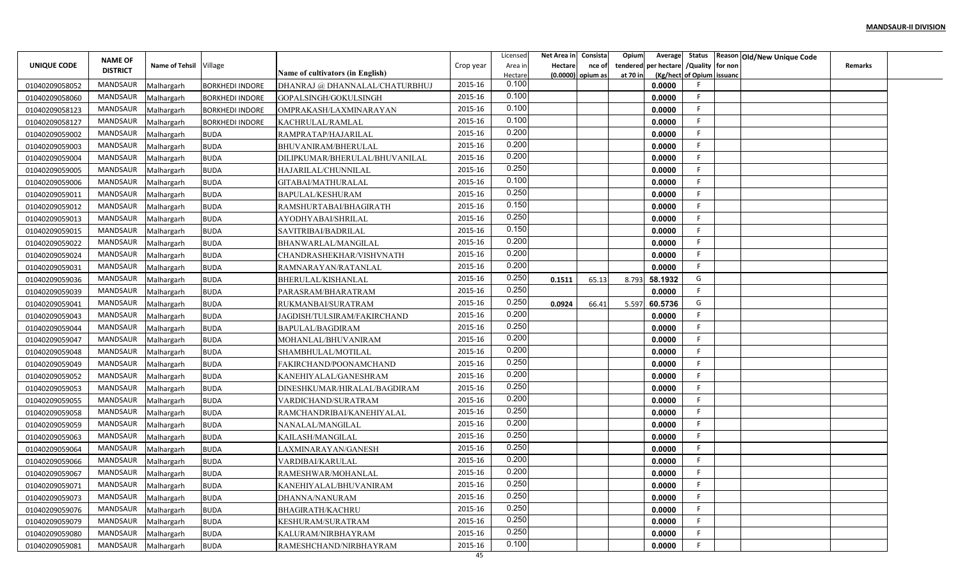|                                  | <b>NAME OF</b>  |                        |                                                  |                                                         |           | Licensed         | Net Area in | Consista | Opium<br>Average        |                           | Status Reason Old/New Unique Code |                |  |
|----------------------------------|-----------------|------------------------|--------------------------------------------------|---------------------------------------------------------|-----------|------------------|-------------|----------|-------------------------|---------------------------|-----------------------------------|----------------|--|
| UNIQUE CODE                      | <b>DISTRICT</b> | Name of Tehsil Village |                                                  |                                                         | Crop year | Area ir          | Hectare     | nce of   | per hectare<br>tendered | /Quality for non          |                                   | <b>Remarks</b> |  |
|                                  | <b>MANDSAUR</b> | Malhargarh             |                                                  | Name of cultivators (in English)                        | 2015-16   | Hectare<br>0.100 | (0.0000)    | opium as | at 70 in<br>0.0000      | (Kg/hect of Opium issuanc |                                   |                |  |
| 01040209058052<br>01040209058060 | MANDSAUR        | Malhargarh             | <b>BORKHEDI INDORE</b><br><b>BORKHEDI INDORE</b> | DHANRAJ @ DHANNALAL/CHATURBHUJ<br>GOPALSINGH/GOKULSINGH | 2015-16   | 0.100            |             |          | 0.0000                  | -F                        |                                   |                |  |
| 01040209058123                   | MANDSAUR        | Malhargarh             | <b>BORKHEDI INDORE</b>                           | OMPRAKASH/LAXMINARAYAN                                  | 2015-16   | 0.100            |             |          | 0.0000                  | -F                        |                                   |                |  |
| 01040209058127                   | MANDSAUR        | Malhargarh             | <b>BORKHEDI INDORE</b>                           | KACHRULAL/RAMLAL                                        | 2015-16   | 0.100            |             |          | 0.0000                  | F                         |                                   |                |  |
| 01040209059002                   | MANDSAUR        | Malhargarh             | <b>BUDA</b>                                      | RAMPRATAP/HAJARILAL                                     | 2015-16   | 0.200            |             |          | 0.0000                  |                           |                                   |                |  |
| 01040209059003                   | <b>MANDSAUR</b> | Malhargarh             | <b>BUDA</b>                                      | BHUVANIRAM/BHERULAL                                     | 2015-16   | 0.200            |             |          | 0.0000                  |                           |                                   |                |  |
| 01040209059004                   | MANDSAUR        | Malhargarh             | <b>BUDA</b>                                      | DILIPKUMAR/BHERULAL/BHUVANILAL                          | 2015-16   | 0.200            |             |          | 0.0000                  |                           |                                   |                |  |
| 01040209059005                   | MANDSAUR        | Malhargarh             | <b>BUDA</b>                                      | HAJARILAL/CHUNNILAL                                     | 2015-16   | 0.250            |             |          | 0.0000                  |                           |                                   |                |  |
| 01040209059006                   | MANDSAUR        | Malhargarh             | <b>BUDA</b>                                      | GITABAI/MATHURALAL                                      | 2015-16   | 0.100            |             |          | 0.0000                  |                           |                                   |                |  |
| 01040209059011                   | MANDSAUR        | Malhargarh             | <b>BUDA</b>                                      | BAPULAL/KESHURAM                                        | 2015-16   | 0.250            |             |          | 0.0000                  | E                         |                                   |                |  |
| 01040209059012                   | MANDSAUR        | Malhargarh             | <b>BUDA</b>                                      | RAMSHURTABAI/BHAGIRATH                                  | 2015-16   | 0.150            |             |          | 0.0000                  | -F                        |                                   |                |  |
| 01040209059013                   | MANDSAUR        | Malhargarh             | <b>BUDA</b>                                      | AYODHYABAI/SHRILAL                                      | 2015-16   | 0.250            |             |          | 0.0000                  | -F                        |                                   |                |  |
| 01040209059015                   | MANDSAUR        | Malhargarh             | <b>BUDA</b>                                      | SAVITRIBAI/BADRILAL                                     | 2015-16   | 0.150            |             |          | 0.0000                  |                           |                                   |                |  |
| 01040209059022                   | MANDSAUR        | Malhargarh             | <b>BUDA</b>                                      | BHANWARLAL/MANGILAL                                     | 2015-16   | 0.200            |             |          | 0.0000                  |                           |                                   |                |  |
| 01040209059024                   | <b>MANDSAUR</b> | Malhargarh             | <b>BUDA</b>                                      | CHANDRASHEKHAR/VISHVNATH                                | 2015-16   | 0.200            |             |          | 0.0000                  |                           |                                   |                |  |
| 01040209059031                   | MANDSAUR        | Malhargarh             | <b>BUDA</b>                                      | RAMNARAYAN/RATANLAI                                     | 2015-16   | 0.200            |             |          | 0.0000                  |                           |                                   |                |  |
| 01040209059036                   | MANDSAUR        | Malhargarh             | <b>BUDA</b>                                      | BHERULAL/KISHANLAL                                      | 2015-16   | 0.250            | 0.1511      | 65.13    | 58.1932<br>8.793        | G                         |                                   |                |  |
| 01040209059039                   | MANDSAUR        | Malhargarh             | <b>BUDA</b>                                      | PARASRAM/BHARATRAM                                      | 2015-16   | 0.250            |             |          | 0.0000                  | -F                        |                                   |                |  |
| 01040209059041                   | MANDSAUR        | Malhargarh             | <b>BUDA</b>                                      | RUKMANBAI/SURATRAM                                      | 2015-16   | 0.250            | 0.0924      | 66.41    | 60.5736<br>5.597        | G                         |                                   |                |  |
| 01040209059043                   | MANDSAUR        | Malhargarh             | <b>BUDA</b>                                      | JAGDISH/TULSIRAM/FAKIRCHAND                             | 2015-16   | 0.200            |             |          | 0.0000                  | -F                        |                                   |                |  |
| 01040209059044                   | MANDSAUR        | Malhargarh             | <b>BUDA</b>                                      | BAPULAL/BAGDIRAM                                        | 2015-16   | 0.250            |             |          | 0.0000                  |                           |                                   |                |  |
| 01040209059047                   | MANDSAUR        | Malhargarh             | <b>BUDA</b>                                      | MOHANLAL/BHUVANIRAM                                     | 2015-16   | 0.200            |             |          | 0.0000                  |                           |                                   |                |  |
| 01040209059048                   | MANDSAUR        | Malhargarh             | <b>BUDA</b>                                      | SHAMBHULAL/MOTILAL                                      | 2015-16   | 0.200            |             |          | 0.0000                  | -F                        |                                   |                |  |
| 01040209059049                   | MANDSAUR        | Malhargarh             | <b>BUDA</b>                                      | FAKIRCHAND/POONAMCHAND                                  | 2015-16   | 0.250            |             |          | 0.0000                  | -F                        |                                   |                |  |
| 01040209059052                   | MANDSAUR        | Malhargarh             | <b>BUDA</b>                                      | KANEHIYALAL/GANESHRAM                                   | 2015-16   | 0.200            |             |          | 0.0000                  |                           |                                   |                |  |
| 01040209059053                   | MANDSAUR        | Malhargarh             | <b>BUDA</b>                                      | DINESHKUMAR/HIRALAL/BAGDIRAM                            | 2015-16   | 0.250            |             |          | 0.0000                  |                           |                                   |                |  |
| 01040209059055                   | MANDSAUR        | Malhargarh             | <b>BUDA</b>                                      | VARDICHAND/SURATRAM                                     | 2015-16   | 0.200            |             |          | 0.0000                  | -F                        |                                   |                |  |
| 01040209059058                   | MANDSAUR        | Malhargarh             | <b>BUDA</b>                                      | RAMCHANDRIBAI/KANEHIYALAL                               | 2015-16   | 0.250            |             |          | 0.0000                  | F                         |                                   |                |  |
| 01040209059059                   | <b>MANDSAUR</b> | Malhargarh             | <b>BUDA</b>                                      | NANALAL/MANGILAL                                        | 2015-16   | 0.200            |             |          | 0.0000                  | -F                        |                                   |                |  |
| 01040209059063                   | MANDSAUR        | Malhargarh             | <b>BUDA</b>                                      | KAILASH/MANGILAL                                        | 2015-16   | 0.250            |             |          | 0.0000                  |                           |                                   |                |  |
| 01040209059064                   | <b>MANDSAUR</b> | Malhargarh             | <b>BUDA</b>                                      | LAXMINARAYAN/GANESH                                     | 2015-16   | 0.250            |             |          | 0.0000                  |                           |                                   |                |  |
| 01040209059066                   | MANDSAUR        | Malhargarh             | <b>BUDA</b>                                      | VARDIBAI/KARULAL                                        | 2015-16   | 0.200            |             |          | 0.0000                  |                           |                                   |                |  |
| 01040209059067                   | MANDSAUR        | Malhargarh             | <b>BUDA</b>                                      | RAMESHWAR/MOHANLAL                                      | 2015-16   | 0.200            |             |          | 0.0000                  |                           |                                   |                |  |
| 01040209059071                   | MANDSAUR        | Malhargarh             | <b>BUDA</b>                                      | KANEHIYALAL/BHUVANIRAM                                  | 2015-16   | 0.250            |             |          | 0.0000                  |                           |                                   |                |  |
| 01040209059073                   | MANDSAUR        | Malhargarh             | <b>BUDA</b>                                      | DHANNA/NANURAM                                          | 2015-16   | 0.250            |             |          | 0.0000                  |                           |                                   |                |  |
| 01040209059076                   | MANDSAUR        | Malhargarh             | <b>BUDA</b>                                      | BHAGIRATH/KACHRU                                        | 2015-16   | 0.250            |             |          | 0.0000                  | -F                        |                                   |                |  |
| 01040209059079                   | MANDSAUR        | Malhargarh             | <b>BUDA</b>                                      | KESHURAM/SURATRAM                                       | 2015-16   | 0.250            |             |          | 0.0000                  | -F                        |                                   |                |  |
| 01040209059080                   | MANDSAUR        | Malhargarh             | <b>BUDA</b>                                      | KALURAM/NIRBHAYRAM                                      | 2015-16   | 0.250            |             |          | 0.0000                  | -F                        |                                   |                |  |
| 01040209059081                   | MANDSAUR        | Malhargarh             | <b>BUDA</b>                                      | RAMESHCHAND/NIRBHAYRAM                                  | 2015-16   | 0.100            |             |          | 0.0000                  |                           |                                   |                |  |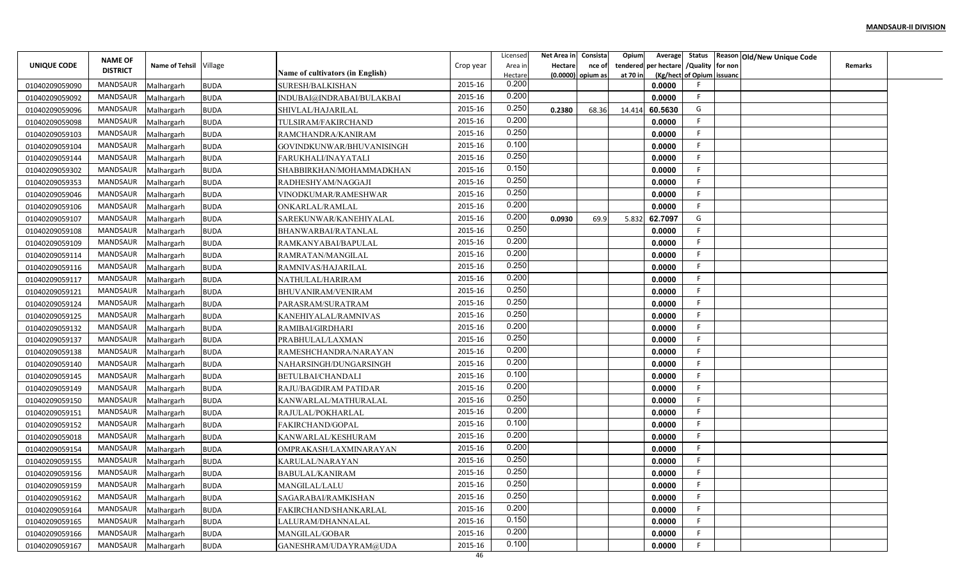|                                  |                                   |                          |                            |                                                 |           | Licensed         | Net Area in | Consista | Opium<br>Average        |                           | Status Reason Old/New Unique Code |                |  |
|----------------------------------|-----------------------------------|--------------------------|----------------------------|-------------------------------------------------|-----------|------------------|-------------|----------|-------------------------|---------------------------|-----------------------------------|----------------|--|
| UNIQUE CODE                      | <b>NAME OF</b><br><b>DISTRICT</b> | Name of Tehsil Village   |                            |                                                 | Crop year | Area ir          | Hectare     | nce of   | per hectare<br>tendered | /Quality for non          |                                   | <b>Remarks</b> |  |
|                                  | <b>MANDSAUR</b>                   |                          |                            | Name of cultivators (in English)                | 2015-16   | Hectare<br>0.200 | (0.0000)    | opium as | at 70 in                | (Kg/hect of Opium issuanc |                                   |                |  |
| 01040209059090                   | MANDSAUR                          | Malhargarh               | <b>BUDA</b>                | SURESH/BALKISHAN                                | 2015-16   | 0.200            |             |          | 0.0000<br>0.0000        | -F                        |                                   |                |  |
| 01040209059092                   | MANDSAUR                          | Malhargarh               | <b>BUDA</b>                | INDUBAI@INDRABAI/BULAKBAI                       | 2015-16   | 0.250            |             |          |                         | G                         |                                   |                |  |
| 01040209059096                   | MANDSAUR                          | Malhargarh               | <b>BUDA</b>                | SHIVLAL/HAJARILAL                               | 2015-16   | 0.200            | 0.2380      | 68.36    | 60.5630<br>14.414       | F                         |                                   |                |  |
| 01040209059098                   | MANDSAUR                          | Malhargarh               | <b>BUDA</b>                | TULSIRAM/FAKIRCHAND                             | 2015-16   | 0.250            |             |          | 0.0000                  |                           |                                   |                |  |
| 01040209059103                   | <b>MANDSAUR</b>                   | Malhargarh               | <b>BUDA</b>                | RAMCHANDRA/KANIRAM                              | 2015-16   | 0.100            |             |          | 0.0000<br>0.0000        |                           |                                   |                |  |
| 01040209059104                   | MANDSAUR                          | Malhargarh               | <b>BUDA</b>                | GOVINDKUNWAR/BHUVANISINGH                       | 2015-16   | 0.250            |             |          | 0.0000                  |                           |                                   |                |  |
| 01040209059144<br>01040209059302 | MANDSAUR                          | Malhargarh<br>Malhargarh | <b>BUDA</b><br><b>BUDA</b> | FARUKHALI/INAYATALI<br>SHABBIRKHAN/MOHAMMADKHAN | 2015-16   | 0.150            |             |          | 0.0000                  |                           |                                   |                |  |
| 01040209059353                   | MANDSAUR                          | Malhargarh               | <b>BUDA</b>                | RADHESHYAM/NAGGAJI                              | 2015-16   | 0.250            |             |          | 0.0000                  |                           |                                   |                |  |
| 01040209059046                   | MANDSAUR                          | Malhargarh               | <b>BUDA</b>                | VINODKUMAR/RAMESHWAR                            | 2015-16   | 0.250            |             |          | 0.0000                  | E                         |                                   |                |  |
|                                  | MANDSAUR                          | Malhargarh               | <b>BUDA</b>                |                                                 | 2015-16   | 0.200            |             |          | 0.0000                  | F                         |                                   |                |  |
| 01040209059106<br>01040209059107 | MANDSAUR                          | Malhargarh               | <b>BUDA</b>                | ONKARLAL/RAMLAL<br>SAREKUNWAR/KANEHIYALAL       | 2015-16   | 0.200            | 0.0930      | 69.9     | 5.832<br>62.7097        | G                         |                                   |                |  |
| 01040209059108                   | MANDSAUR                          | Malhargarh               | <b>BUDA</b>                | BHANWARBAI/RATANLAL                             | 2015-16   | 0.250            |             |          | 0.0000                  |                           |                                   |                |  |
| 01040209059109                   | MANDSAUR                          | Malhargarh               | <b>BUDA</b>                | RAMKANYABAI/BAPULAL                             | 2015-16   | 0.200            |             |          | 0.0000                  |                           |                                   |                |  |
| 01040209059114                   | MANDSAUR                          | Malhargarh               | <b>BUDA</b>                | RAMRATAN/MANGILAL                               | 2015-16   | 0.200            |             |          | 0.0000                  |                           |                                   |                |  |
| 01040209059116                   | MANDSAUR                          | Malhargarh               | <b>BUDA</b>                | RAMNIVAS/HAJARILAL                              | 2015-16   | 0.250            |             |          | 0.0000                  |                           |                                   |                |  |
| 01040209059117                   | MANDSAUR                          | Malhargarh               | <b>BUDA</b>                | NATHULAL/HARIRAM                                | 2015-16   | 0.200            |             |          | 0.0000                  |                           |                                   |                |  |
| 01040209059121                   | MANDSAUR                          | Malhargarh               | <b>BUDA</b>                | <b>BHUVANIRAM/VENIRAM</b>                       | 2015-16   | 0.250            |             |          | 0.0000                  | -F                        |                                   |                |  |
| 01040209059124                   | MANDSAUR                          | Malhargarh               | <b>BUDA</b>                | PARASRAM/SURATRAM                               | 2015-16   | 0.250            |             |          | 0.0000                  |                           |                                   |                |  |
| 01040209059125                   | MANDSAUR                          | Malhargarh               | <b>BUDA</b>                | KANEHIYALAL/RAMNIVAS                            | 2015-16   | 0.250            |             |          | 0.0000                  | -F                        |                                   |                |  |
| 01040209059132                   | MANDSAUR                          | Malhargarh               | <b>BUDA</b>                | RAMIBAI/GIRDHARI                                | 2015-16   | 0.200            |             |          | 0.0000                  |                           |                                   |                |  |
| 01040209059137                   | MANDSAUR                          | Malhargarh               | <b>BUDA</b>                | PRABHULAL/LAXMAN                                | 2015-16   | 0.250            |             |          | 0.0000                  |                           |                                   |                |  |
| 01040209059138                   | MANDSAUR                          | Malhargarh               | <b>BUDA</b>                | RAMESHCHANDRA/NARAYAN                           | 2015-16   | 0.200            |             |          | 0.0000                  | -F                        |                                   |                |  |
| 01040209059140                   | MANDSAUR                          | Malhargarh               | <b>BUDA</b>                | NAHARSINGH/DUNGARSINGH                          | 2015-16   | 0.200            |             |          | 0.0000                  | -F                        |                                   |                |  |
| 01040209059145                   | MANDSAUR                          | Malhargarh               | <b>BUDA</b>                | BETULBAI/CHANDALI                               | 2015-16   | 0.100            |             |          | 0.0000                  |                           |                                   |                |  |
| 01040209059149                   | MANDSAUR                          | Malhargarh               | <b>BUDA</b>                | RAJU/BAGDIRAM PATIDAR                           | 2015-16   | 0.200            |             |          | 0.0000                  |                           |                                   |                |  |
| 01040209059150                   | MANDSAUR                          | Malhargarh               | <b>BUDA</b>                | KANWARLAL/MATHURALAL                            | 2015-16   | 0.250            |             |          | 0.0000                  | -F                        |                                   |                |  |
| 01040209059151                   | MANDSAUR                          | Malhargarh               | <b>BUDA</b>                | RAJULAL/POKHARLAL                               | 2015-16   | 0.200            |             |          | 0.0000                  | F                         |                                   |                |  |
| 01040209059152                   | MANDSAUR                          | Malhargarh               | <b>BUDA</b>                | FAKIRCHAND/GOPAL                                | 2015-16   | 0.100            |             |          | 0.0000                  | -F                        |                                   |                |  |
| 01040209059018                   | MANDSAUR                          | Malhargarh               | <b>BUDA</b>                | KANWARLAL/KESHURAM                              | 2015-16   | 0.200            |             |          | 0.0000                  |                           |                                   |                |  |
| 01040209059154                   | <b>MANDSAUR</b>                   | Malhargarh               | <b>BUDA</b>                | OMPRAKASH/LAXMINARAYAN                          | 2015-16   | 0.200            |             |          | 0.0000                  |                           |                                   |                |  |
| 01040209059155                   | MANDSAUR                          | Malhargarh               | <b>BUDA</b>                | KARULAL/NARAYAN                                 | 2015-16   | 0.250            |             |          | 0.0000                  |                           |                                   |                |  |
| 01040209059156                   | MANDSAUR                          | Malhargarh               | <b>BUDA</b>                | <b>BABULAL/KANIRAM</b>                          | 2015-16   | 0.250            |             |          | 0.0000                  |                           |                                   |                |  |
| 01040209059159                   | MANDSAUR                          | Malhargarh               | <b>BUDA</b>                | MANGILAL/LALU                                   | 2015-16   | 0.250            |             |          | 0.0000                  |                           |                                   |                |  |
| 01040209059162                   | MANDSAUR                          | Malhargarh               | <b>BUDA</b>                | SAGARABAI/RAMKISHAN                             | 2015-16   | 0.250            |             |          | 0.0000                  |                           |                                   |                |  |
| 01040209059164                   | MANDSAUR                          | Malhargarh               | <b>BUDA</b>                | FAKIRCHAND/SHANKARLAL                           | 2015-16   | 0.200            |             |          | 0.0000                  | -F                        |                                   |                |  |
| 01040209059165                   | MANDSAUR                          | Malhargarh               | <b>BUDA</b>                | LALURAM/DHANNALAL                               | 2015-16   | 0.150            |             |          | 0.0000                  | -F                        |                                   |                |  |
| 01040209059166                   | MANDSAUR                          | Malhargarh               | <b>BUDA</b>                | MANGILAL/GOBAR                                  | 2015-16   | 0.200            |             |          | 0.0000                  | -F                        |                                   |                |  |
| 01040209059167                   | MANDSAUR                          | Malhargarh               | <b>BUDA</b>                | GANESHRAM/UDAYRAM@UDA                           | 2015-16   | 0.100            |             |          | 0.0000                  |                           |                                   |                |  |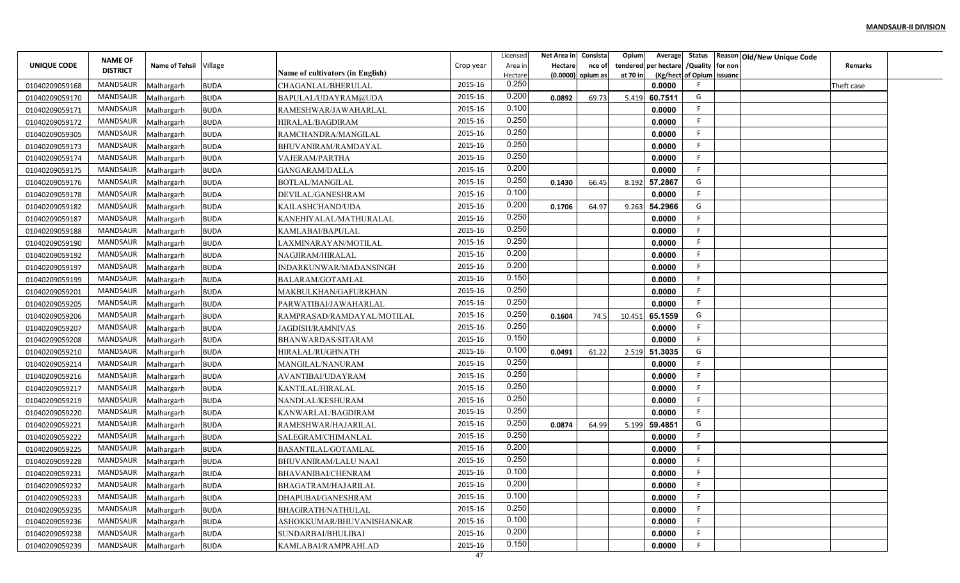|                                  | <b>NAME OF</b>  |                          |             |                                           |           | Licensed         | Net Area in | Consista | Opium    | Average                             |                  | Status   Reason   Old/New Unique Code |                |  |
|----------------------------------|-----------------|--------------------------|-------------|-------------------------------------------|-----------|------------------|-------------|----------|----------|-------------------------------------|------------------|---------------------------------------|----------------|--|
| UNIQUE CODE                      | <b>DISTRICT</b> | Name of Tehsil Village   |             |                                           | Crop year | Area in          | Hectare     | nce of   | tendered | per hectare                         | /Quality for non |                                       | <b>Remarks</b> |  |
|                                  | MANDSAUR        |                          | <b>BUDA</b> | <b>Name of cultivators (in English)</b>   | 2015-16   | Hectare<br>0.250 | (0.0000)    | opium as | at 70 ir | (Kg/hect of Opium issuand<br>0.0000 |                  |                                       |                |  |
| 01040209059168<br>01040209059170 | MANDSAUR        | Malhargarh<br>Malhargarh | <b>BUDA</b> | CHAGANLAL/BHERULAL<br>BAPULAL/UDAYRAM@UDA | 2015-16   | 0.200            | 0.0892      | 69.73    | 5.419    | 60.7511                             | G                |                                       | Theft case     |  |
|                                  | MANDSAUR        | Malhargarh               | <b>BUDA</b> | RAMESHWAR/JAWAHARLAL                      | 2015-16   | 0.100            |             |          |          | 0.0000                              |                  |                                       |                |  |
| 01040209059171<br>01040209059172 | <b>MANDSAUR</b> | Malhargarh               | <b>BUDA</b> | HIRALAL/BAGDIRAM                          | 2015-16   | 0.250            |             |          |          | 0.0000                              |                  |                                       |                |  |
| 01040209059305                   | MANDSAUR        | Malhargarh               | <b>BUDA</b> | RAMCHANDRA/MANGILAL                       | 2015-16   | 0.250            |             |          |          | 0.0000                              |                  |                                       |                |  |
| 01040209059173                   | MANDSAUR        | Malhargarh               | <b>BUDA</b> | BHUVANIRAM/RAMDAYAL                       | 2015-16   | 0.250            |             |          |          | 0.0000                              |                  |                                       |                |  |
| 01040209059174                   | MANDSAUR        | Malhargarh               | <b>BUDA</b> | VAJERAM/PARTHA                            | 2015-16   | 0.250            |             |          |          | 0.0000                              |                  |                                       |                |  |
| 01040209059175                   | MANDSAUR        | Malhargarh               | <b>BUDA</b> | GANGARAM/DALLA                            | 2015-16   | 0.200            |             |          |          | 0.0000                              |                  |                                       |                |  |
| 01040209059176                   | MANDSAUR        | Malhargarh               | <b>BUDA</b> | BOTLAL/MANGILAL                           | 2015-16   | 0.250            | 0.1430      | 66.45    | 8.192    | 57.2867                             | G                |                                       |                |  |
| 01040209059178                   | MANDSAUR        | Malhargarh               | <b>BUDA</b> | DEVILAL/GANESHRAM                         | 2015-16   | 0.100            |             |          |          | 0.0000                              |                  |                                       |                |  |
| 01040209059182                   | MANDSAUR        | Malhargarh               | <b>BUDA</b> | KAILASHCHAND/UDA                          | 2015-16   | 0.200            | 0.1706      | 64.97    | 9.263    | 54.2966                             | G                |                                       |                |  |
| 01040209059187                   | MANDSAUR        | Malhargarh               | <b>BUDA</b> | KANEHIYALAL/MATHURALAL                    | 2015-16   | 0.250            |             |          |          | 0.0000                              |                  |                                       |                |  |
| 01040209059188                   | MANDSAUR        | Malhargarh               | <b>BUDA</b> | KAMLABAI/BAPULAL                          | 2015-16   | 0.250            |             |          |          | 0.0000                              |                  |                                       |                |  |
| 01040209059190                   | MANDSAUR        | Malhargarh               | <b>BUDA</b> | AXMINARAYAN/MOTILAL                       | 2015-16   | 0.250            |             |          |          | 0.0000                              |                  |                                       |                |  |
| 01040209059192                   | MANDSAUR        | Malhargarh               | <b>BUDA</b> | NAGJIRAM/HIRALAL                          | 2015-16   | 0.200            |             |          |          | 0.0000                              |                  |                                       |                |  |
| 01040209059197                   | MANDSAUR        | Malhargarh               | <b>BUDA</b> | INDARKUNWAR/MADANSINGH                    | 2015-16   | 0.200            |             |          |          | 0.0000                              |                  |                                       |                |  |
| 01040209059199                   | MANDSAUR        | Malhargarh               | <b>BUDA</b> | BALARAM/GOTAMLAL                          | 2015-16   | 0.150            |             |          |          | 0.0000                              |                  |                                       |                |  |
| 01040209059201                   | MANDSAUR        | Malhargarh               | <b>BUDA</b> | MAKBULKHAN/GAFURKHAN                      | 2015-16   | 0.250            |             |          |          | 0.0000                              |                  |                                       |                |  |
| 01040209059205                   | MANDSAUR        | Malhargarh               | <b>BUDA</b> | PARWATIBAI/JAWAHARLAL                     | 2015-16   | 0.250            |             |          |          | 0.0000                              |                  |                                       |                |  |
| 01040209059206                   | MANDSAUR        | Malhargarh               | <b>BUDA</b> | RAMPRASAD/RAMDAYAL/MOTILAL                | 2015-16   | 0.250            | 0.1604      | 74.5     | 10.451   | 65.1559                             | G                |                                       |                |  |
| 01040209059207                   | MANDSAUR        | Malhargarh               | <b>BUDA</b> | <b>JAGDISH/RAMNIVAS</b>                   | 2015-16   | 0.250            |             |          |          | 0.0000                              |                  |                                       |                |  |
| 01040209059208                   | MANDSAUR        | Malhargarh               | <b>BUDA</b> | BHANWARDAS/SITARAM                        | 2015-16   | 0.150            |             |          |          | 0.0000                              |                  |                                       |                |  |
| 01040209059210                   | MANDSAUR        | Malhargarh               | <b>BUDA</b> | HIRALAL/RUGHNATH                          | 2015-16   | 0.100            | 0.0491      | 61.22    | 2.519    | 51.3035                             | G                |                                       |                |  |
| 01040209059214                   | MANDSAUR        | Malhargarh               | <b>BUDA</b> | MANGILAL/NANURAM                          | 2015-16   | 0.250            |             |          |          | 0.0000                              |                  |                                       |                |  |
| 01040209059216                   | MANDSAUR        | Malhargarh               | <b>BUDA</b> | AVANTIBAI/UDAYRAM                         | 2015-16   | 0.250            |             |          |          | 0.0000                              |                  |                                       |                |  |
| 01040209059217                   | MANDSAUR        | Malhargarh               | <b>BUDA</b> | KANTILAL/HIRALAL                          | 2015-16   | 0.250            |             |          |          | 0.0000                              |                  |                                       |                |  |
| 01040209059219                   | MANDSAUR        | Malhargarh               | <b>BUDA</b> | NANDLAL/KESHURAM                          | 2015-16   | 0.250            |             |          |          | 0.0000                              |                  |                                       |                |  |
| 01040209059220                   | MANDSAUR        | Malhargarh               | <b>BUDA</b> | KANWARLAL/BAGDIRAM                        | 2015-16   | 0.250            |             |          |          | 0.0000                              |                  |                                       |                |  |
| 01040209059221                   | MANDSAUR        | Malhargarh               | <b>BUDA</b> | RAMESHWAR/HAJARILAL                       | 2015-16   | 0.250            | 0.0874      | 64.99    | 5.199    | 59.4851                             | G                |                                       |                |  |
| 01040209059222                   | MANDSAUR        | Malhargarh               | <b>BUDA</b> | SALEGRAM/CHIMANLAL                        | 2015-16   | 0.250            |             |          |          | 0.0000                              |                  |                                       |                |  |
| 01040209059225                   | MANDSAUR        | Malhargarh               | <b>BUDA</b> | BASANTILAL/GOTAMLAL                       | 2015-16   | 0.200            |             |          |          | 0.0000                              |                  |                                       |                |  |
| 01040209059228                   | MANDSAUR        | Malhargarh               | <b>BUDA</b> | BHUVANIRAM/LALU NAAI                      | 2015-16   | 0.250            |             |          |          | 0.0000                              |                  |                                       |                |  |
| 01040209059231                   | MANDSAUR        | Malhargarh               | <b>BUDA</b> | BHAVANIBAI/CHENRAM                        | 2015-16   | 0.100            |             |          |          | 0.0000                              |                  |                                       |                |  |
| 01040209059232                   | MANDSAUR        | Malhargarh               | <b>BUDA</b> | BHAGATRAM/HAJARILAL                       | 2015-16   | 0.200            |             |          |          | 0.0000                              |                  |                                       |                |  |
| 01040209059233                   | MANDSAUR        | Malhargarh               | <b>BUDA</b> | DHAPUBAI/GANESHRAM                        | 2015-16   | 0.100            |             |          |          | 0.0000                              |                  |                                       |                |  |
| 01040209059235                   | MANDSAUR        | Malhargarh               | <b>BUDA</b> | BHAGIRATH/NATHULAL                        | 2015-16   | 0.250            |             |          |          | 0.0000                              |                  |                                       |                |  |
| 01040209059236                   | MANDSAUR        | Malhargarh               | <b>BUDA</b> | ASHOKKUMAR/BHUVANISHANKAR                 | 2015-16   | 0.100            |             |          |          | 0.0000                              |                  |                                       |                |  |
| 01040209059238                   | MANDSAUR        | Malhargarh               | <b>BUDA</b> | SUNDARBAI/BHULIBAI                        | 2015-16   | 0.200            |             |          |          | 0.0000                              |                  |                                       |                |  |
| 01040209059239                   | MANDSAUR        | Malhargarh               | <b>BUDA</b> | KAMLABAI/RAMPRAHLAD                       | 2015-16   | 0.150            |             |          |          | 0.0000                              |                  |                                       |                |  |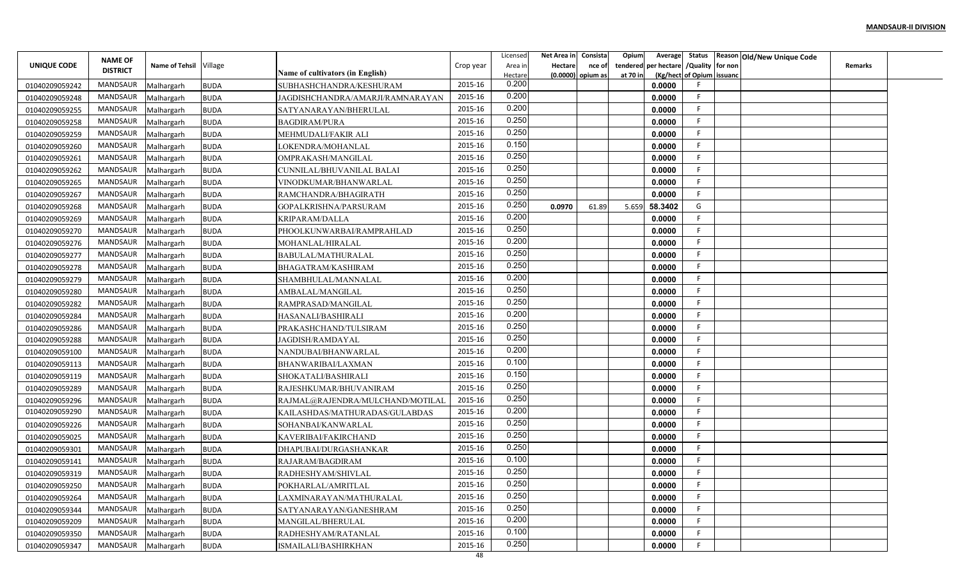|                    |                                   |                          |                            |                                          |               | Licensed | Net Area in | Consista            | Opium<br>Average        |                           | Status Reason Old/New Unique Code |                |  |
|--------------------|-----------------------------------|--------------------------|----------------------------|------------------------------------------|---------------|----------|-------------|---------------------|-------------------------|---------------------------|-----------------------------------|----------------|--|
| <b>UNIQUE CODE</b> | <b>NAME OF</b><br><b>DISTRICT</b> | Name of Tehsil Village   |                            |                                          | Crop year     | Area in  | Hectare     | nce of              | per hectare<br>tendered | /Quality for non          |                                   | <b>Remarks</b> |  |
|                    |                                   |                          |                            | Name of cultivators (in English)         |               | Hectare  |             | $(0.0000)$ opium as | at 70 in                | (Kg/hect of Opium issuanc |                                   |                |  |
| 01040209059242     | <b>MANDSAUR</b>                   | Malhargarh               | <b>BUDA</b>                | SUBHASHCHANDRA/KESHURAM                  | 2015-16       | 0.200    |             |                     | 0.0000                  |                           |                                   |                |  |
| 01040209059248     | <b>MANDSAUR</b>                   | Malhargarh               | <b>BUDA</b>                | JAGDISHCHANDRA/AMARJI/RAMNARAYAN         | 2015-16       | 0.200    |             |                     | 0.0000                  | -F                        |                                   |                |  |
| 01040209059255     | MANDSAUR                          | Malhargarh               | <b>BUDA</b>                | SATYANARAYAN/BHERULAL                    | 2015-16       | 0.200    |             |                     | 0.0000                  | -F                        |                                   |                |  |
| 01040209059258     | <b>MANDSAUR</b>                   | Malhargarh               | <b>BUDA</b>                | <b>BAGDIRAM/PURA</b>                     | 2015-16       | 0.250    |             |                     | 0.0000                  | F                         |                                   |                |  |
| 01040209059259     | MANDSAUR                          | Malhargarh               | <b>BUDA</b>                | MEHMUDALI/FAKIR ALI                      | 2015-16       | 0.250    |             |                     | 0.0000                  |                           |                                   |                |  |
| 01040209059260     | <b>MANDSAUR</b>                   | Malhargarh               | <b>BUDA</b>                | LOKENDRA/MOHANLAL                        | 2015-16       | 0.150    |             |                     | 0.0000                  |                           |                                   |                |  |
| 01040209059261     | MANDSAUR                          | Malhargarh               | <b>BUDA</b>                | OMPRAKASH/MANGILAL                       | 2015-16       | 0.250    |             |                     | 0.0000                  | -F                        |                                   |                |  |
| 01040209059262     | <b>MANDSAUR</b>                   | Malhargarh               | <b>BUDA</b>                | CUNNILAL/BHUVANILAL BALAI                | 2015-16       | 0.250    |             |                     | 0.0000                  |                           |                                   |                |  |
| 01040209059265     | MANDSAUR                          | Malhargarh               | <b>BUDA</b>                | VINODKUMAR/BHANWARLAL                    | 2015-16       | 0.250    |             |                     | 0.0000                  |                           |                                   |                |  |
| 01040209059267     | <b>MANDSAUR</b>                   | Malhargarh               | <b>BUDA</b>                | RAMCHANDRA/BHAGIRATH                     | 2015-16       | 0.250    |             |                     | 0.0000                  | F.                        |                                   |                |  |
| 01040209059268     | MANDSAUR                          | Malhargarh               | <b>BUDA</b>                | GOPALKRISHNA/PARSURAM                    | 2015-16       | 0.250    | 0.0970      | 61.89               | 58.3402<br>5.659        | G                         |                                   |                |  |
| 01040209059269     | <b>MANDSAUR</b>                   | Malhargarh               | <b>BUDA</b>                | KRIPARAM/DALLA                           | 2015-16       | 0.200    |             |                     | 0.0000                  | -F                        |                                   |                |  |
| 01040209059270     | <b>MANDSAUR</b>                   | Malhargarh               | <b>BUDA</b>                | PHOOLKUNWARBAI/RAMPRAHLAD                | 2015-16       | 0.250    |             |                     | 0.0000                  |                           |                                   |                |  |
| 01040209059276     | <b>MANDSAUR</b>                   | Malhargarh               | BUDA                       | MOHANLAL/HIRALAL                         | 2015-16       | 0.200    |             |                     | 0.0000                  |                           |                                   |                |  |
| 01040209059277     | <b>MANDSAUR</b>                   | Malhargarh               | <b>BUDA</b>                | BABULAL/MATHURALAL                       | 2015-16       | 0.250    |             |                     | 0.0000                  |                           |                                   |                |  |
| 01040209059278     | <b>MANDSAUR</b>                   | Malhargarh               | <b>BUDA</b>                | BHAGATRAM/KASHIRAM                       | 2015-16       | 0.250    |             |                     | 0.0000                  |                           |                                   |                |  |
| 01040209059279     | <b>MANDSAUR</b>                   | Malhargarh               | <b>BUDA</b>                | SHAMBHULAL/MANNALAL                      | 2015-16       | 0.200    |             |                     | 0.0000                  |                           |                                   |                |  |
| 01040209059280     | <b>MANDSAUR</b>                   | Malhargarh               | <b>BUDA</b>                | AMBALAL/MANGILAL                         | 2015-16       | 0.250    |             |                     | 0.0000                  | -F                        |                                   |                |  |
| 01040209059282     | MANDSAUR                          | Malhargarh               | <b>BUDA</b>                | RAMPRASAD/MANGILAI                       | 2015-16       | 0.250    |             |                     | 0.0000                  |                           |                                   |                |  |
| 01040209059284     | MANDSAUR                          | Malhargarh               | <b>BUDA</b>                | HASANALI/BASHIRALI                       | 2015-16       | 0.200    |             |                     | 0.0000                  | -F                        |                                   |                |  |
| 01040209059286     | <b>MANDSAUR</b>                   | Malhargarh               | <b>BUDA</b>                | PRAKASHCHAND/TULSIRAM                    | 2015-16       | 0.250    |             |                     | 0.0000                  | - 6                       |                                   |                |  |
| 01040209059288     | <b>MANDSAUR</b>                   | Malhargarh               | <b>BUDA</b>                | JAGDISH/RAMDAYAL                         | 2015-16       | 0.250    |             |                     | 0.0000                  |                           |                                   |                |  |
| 01040209059100     | <b>MANDSAUR</b>                   | Malhargarh               | <b>BUDA</b>                | NANDUBAI/BHANWARLAL                      | 2015-16       | 0.200    |             |                     | 0.0000                  | -F                        |                                   |                |  |
| 01040209059113     | MANDSAUR                          | Malhargarh               | <b>BUDA</b>                | BHANWARIBAI/LAXMAN                       | 2015-16       | 0.100    |             |                     | 0.0000                  | -F                        |                                   |                |  |
| 01040209059119     | <b>MANDSAUR</b>                   | Malhargarh               | <b>BUDA</b>                | SHOKATALI/BASHIRALI                      | 2015-16       | 0.150    |             |                     | 0.0000                  |                           |                                   |                |  |
| 01040209059289     | <b>MANDSAUR</b>                   | Malhargarh               | <b>BUDA</b>                | RAJESHKUMAR/BHUVANIRAM                   | 2015-16       | 0.250    |             |                     | 0.0000                  |                           |                                   |                |  |
| 01040209059296     | <b>MANDSAUR</b>                   | Malhargarh               | <b>BUDA</b>                | RAJMAL@RAJENDRA/MULCHAND/MOTILAI         | 2015-16       | 0.250    |             |                     | 0.0000                  | F                         |                                   |                |  |
| 01040209059290     | MANDSAUR                          | Malhargarh               | <b>BUDA</b>                | KAILASHDAS/MATHURADAS/GULABDAS           | 2015-16       | 0.200    |             |                     | 0.0000                  | F                         |                                   |                |  |
| 01040209059226     | <b>MANDSAUR</b>                   | Malhargarh               | <b>BUDA</b>                | SOHANBAI/KANWARLAL                       | 2015-16       | 0.250    |             |                     | 0.0000                  | -F                        |                                   |                |  |
| 01040209059025     | <b>MANDSAUR</b>                   | Malhargarh               | <b>BUDA</b>                | KAVERIBAI/FAKIRCHAND                     | 2015-16       | 0.250    |             |                     | 0.0000                  |                           |                                   |                |  |
| 01040209059301     | <b>MANDSAUR</b>                   | Malhargarh               | <b>BUDA</b>                | DHAPUBAI/DURGASHANKAR                    | 2015-16       | 0.250    |             |                     | 0.0000                  |                           |                                   |                |  |
| 01040209059141     | MANDSAUR                          | Malhargarh               | BUDA                       | RAJARAM/BAGDIRAM                         | 2015-16       | 0.100    |             |                     | 0.0000                  |                           |                                   |                |  |
| 01040209059319     | MANDSAUR                          |                          |                            |                                          | 2015-16       | 0.250    |             |                     | 0.0000                  |                           |                                   |                |  |
|                    | MANDSAUR                          | Malhargarh<br>Malhargarh | <b>BUDA</b><br><b>BUDA</b> | RADHESHYAM/SHIVLAL<br>POKHARLAL/AMRITLAL | 2015-16       | 0.250    |             |                     | 0.0000                  |                           |                                   |                |  |
| 01040209059250     | MANDSAUR                          |                          |                            |                                          | 2015-16       | 0.250    |             |                     | 0.0000                  | -F                        |                                   |                |  |
| 01040209059264     | MANDSAUR                          | Malhargarh               | <b>BUDA</b>                | LAXMINARAYAN/MATHURALAL                  | 2015-16       | 0.250    |             |                     | 0.0000                  | -F                        |                                   |                |  |
| 01040209059344     | MANDSAUR                          | Malhargarh               | <b>BUDA</b>                | SATYANARAYAN/GANESHRAM                   | 2015-16       | 0.200    |             |                     |                         | F.                        |                                   |                |  |
| 01040209059209     |                                   | Malhargarh               | <b>BUDA</b>                | MANGILAL/BHERULAL                        |               | 0.100    |             |                     | 0.0000                  | -F                        |                                   |                |  |
| 01040209059350     | MANDSAUR                          | Malhargarh               | <b>BUDA</b>                | RADHESHYAM/RATANLAL                      | 2015-16       | 0.250    |             |                     | 0.0000                  |                           |                                   |                |  |
| 01040209059347     | <b>MANDSAUR</b>                   | Malhargarh               | <b>BUDA</b>                | ISMAILALI/BASHIRKHAN                     | 2015-16<br>48 |          |             |                     | 0.0000                  |                           |                                   |                |  |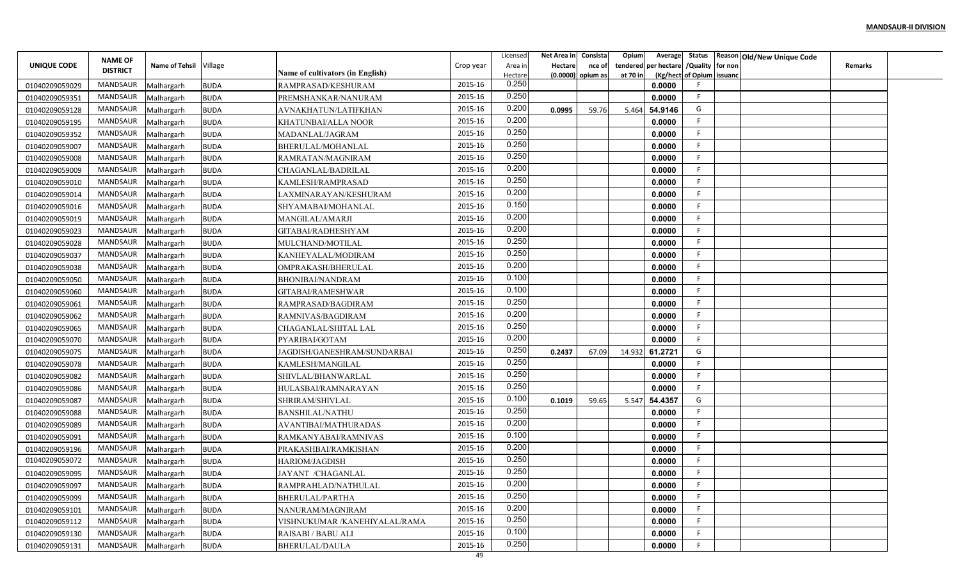|                |                 |                          |             |                                                   |           | Licensed | Net Area in | Consista | Opium<br>Average        |                           | Status Reason Old/New Unique Code |                |  |
|----------------|-----------------|--------------------------|-------------|---------------------------------------------------|-----------|----------|-------------|----------|-------------------------|---------------------------|-----------------------------------|----------------|--|
| UNIQUE CODE    | <b>NAME OF</b>  | Name of Tehsil Village   |             |                                                   | Crop year | Area in  | Hectare     | nce of   | per hectare<br>tendered | /Quality for non          |                                   | <b>Remarks</b> |  |
|                | <b>DISTRICT</b> |                          |             | Name of cultivators (in English)                  |           | Hectare  | (0.0000)    | opium as | at 70 in                | (Kg/hect of Opium issuanc |                                   |                |  |
| 01040209059029 | <b>MANDSAUR</b> | Malhargarh               | <b>BUDA</b> | RAMPRASAD/KESHURAM                                | 2015-16   | 0.250    |             |          | 0.0000                  |                           |                                   |                |  |
| 01040209059351 | <b>MANDSAUR</b> | Malhargarh               | <b>BUDA</b> | PREMSHANKAR/NANURAM                               | 2015-16   | 0.250    |             |          | 0.0000                  | -F                        |                                   |                |  |
| 01040209059128 | MANDSAUR        | Malhargarh               | <b>BUDA</b> | AVNAKHATUN/LATIFKHAN                              | 2015-16   | 0.200    | 0.0995      | 59.76    | 54.9146<br>5.464        | G                         |                                   |                |  |
| 01040209059195 | <b>MANDSAUR</b> | Malhargarh               | <b>BUDA</b> | KHATUNBAI/ALLA NOOR                               | 2015-16   | 0.200    |             |          | 0.0000                  | F                         |                                   |                |  |
| 01040209059352 | MANDSAUR        | Malhargarh               | <b>BUDA</b> | MADANLAL/JAGRAM                                   | 2015-16   | 0.250    |             |          | 0.0000                  |                           |                                   |                |  |
| 01040209059007 | <b>MANDSAUR</b> | Malhargarh               | <b>BUDA</b> | BHERULAL/MOHANLAI                                 | 2015-16   | 0.250    |             |          | 0.0000                  |                           |                                   |                |  |
| 01040209059008 | MANDSAUR        | Malhargarh               | BUDA        | RAMRATAN/MAGNIRAM                                 | 2015-16   | 0.250    |             |          | 0.0000                  | -F                        |                                   |                |  |
| 01040209059009 | <b>MANDSAUR</b> | Malhargarh               | <b>BUDA</b> | CHAGANLAL/BADRILAL                                | 2015-16   | 0.200    |             |          | 0.0000                  |                           |                                   |                |  |
| 01040209059010 | <b>MANDSAUR</b> | Malhargarh               | <b>BUDA</b> | KAMLESH/RAMPRASAD                                 | 2015-16   | 0.250    |             |          | 0.0000                  |                           |                                   |                |  |
| 01040209059014 | <b>MANDSAUR</b> | Malhargarh               | <b>BUDA</b> | LAXMINARAYAN/KESHURAM                             | 2015-16   | 0.200    |             |          | 0.0000                  | F.                        |                                   |                |  |
| 01040209059016 | MANDSAUR        | Malhargarh               | <b>BUDA</b> | SHYAMABAI/MOHANLAL                                | 2015-16   | 0.150    |             |          | 0.0000                  | -F                        |                                   |                |  |
| 01040209059019 | <b>MANDSAUR</b> | Malhargarh               | <b>BUDA</b> | MANGILAL/AMARJI                                   | 2015-16   | 0.200    |             |          | 0.0000                  | -F                        |                                   |                |  |
| 01040209059023 | <b>MANDSAUR</b> | Malhargarh               | <b>BUDA</b> | GITABAI/RADHESHYAM                                | 2015-16   | 0.200    |             |          | 0.0000                  |                           |                                   |                |  |
| 01040209059028 | <b>MANDSAUR</b> | Malhargarh               | BUDA        | MULCHAND/MOTILAL                                  | 2015-16   | 0.250    |             |          | 0.0000                  |                           |                                   |                |  |
| 01040209059037 | <b>MANDSAUR</b> | Malhargarh               | <b>BUDA</b> | KANHEYALAL/MODIRAM                                | 2015-16   | 0.250    |             |          | 0.0000                  |                           |                                   |                |  |
| 01040209059038 | <b>MANDSAUR</b> | Malhargarh               | <b>BUDA</b> | OMPRAKASH/BHERULAL                                | 2015-16   | 0.200    |             |          | 0.0000                  |                           |                                   |                |  |
| 01040209059050 | <b>MANDSAUR</b> | Malhargarh               | <b>BUDA</b> | BHONIBAI/NANDRAM                                  | 2015-16   | 0.100    |             |          | 0.0000                  |                           |                                   |                |  |
| 01040209059060 | <b>MANDSAUR</b> | Malhargarh               | <b>BUDA</b> | GITABAI/RAMESHWAR                                 | 2015-16   | 0.100    |             |          | 0.0000                  | -F                        |                                   |                |  |
| 01040209059061 | MANDSAUR        | Malhargarh               | <b>BUDA</b> | RAMPRASAD/BAGDIRAM                                | 2015-16   | 0.250    |             |          | 0.0000                  |                           |                                   |                |  |
| 01040209059062 | MANDSAUR        | Malhargarh               | <b>BUDA</b> | RAMNIVAS/BAGDIRAM                                 | 2015-16   | 0.200    |             |          | 0.0000                  | -F                        |                                   |                |  |
| 01040209059065 | <b>MANDSAUR</b> | Malhargarh               | <b>BUDA</b> | CHAGANLAL/SHITAL LAL                              | 2015-16   | 0.250    |             |          | 0.0000                  | -F                        |                                   |                |  |
| 01040209059070 | <b>MANDSAUR</b> | Malhargarh               | <b>BUDA</b> | PYARIBAI/GOTAM                                    | 2015-16   | 0.200    |             |          | 0.0000                  |                           |                                   |                |  |
| 01040209059075 | <b>MANDSAUR</b> | Malhargarh               | <b>BUDA</b> | JAGDISH/GANESHRAM/SUNDARBAI                       | 2015-16   | 0.250    | 0.2437      | 67.09    | 61.2721<br>14.932       | G                         |                                   |                |  |
| 01040209059078 | MANDSAUR        | Malhargarh               | <b>BUDA</b> | KAMLESH/MANGILAL                                  | 2015-16   | 0.250    |             |          | 0.0000                  | -F                        |                                   |                |  |
| 01040209059082 | <b>MANDSAUR</b> | Malhargarh               | <b>BUDA</b> | SHIVLAL/BHANWARLAL                                | 2015-16   | 0.250    |             |          | 0.0000                  |                           |                                   |                |  |
| 01040209059086 | <b>MANDSAUR</b> | Malhargarh               | BUDA        | HULASBAI/RAMNARAYAN                               | 2015-16   | 0.250    |             |          | 0.0000                  |                           |                                   |                |  |
| 01040209059087 | <b>MANDSAUR</b> | Malhargarh               | <b>BUDA</b> | SHRIRAM/SHIVLAL                                   | 2015-16   | 0.100    | 0.1019      | 59.65    | 54.4357<br>5.547        | G                         |                                   |                |  |
| 01040209059088 | MANDSAUR        | Malhargarh               | <b>BUDA</b> | <b>BANSHILAL/NATHU</b>                            | 2015-16   | 0.250    |             |          | 0.0000                  | -F                        |                                   |                |  |
| 01040209059089 | <b>MANDSAUR</b> | Malhargarh               | <b>BUDA</b> | AVANTIBAI/MATHURADAS                              | 2015-16   | 0.200    |             |          | 0.0000                  | -F                        |                                   |                |  |
| 01040209059091 | <b>MANDSAUR</b> | Malhargarh               | <b>BUDA</b> | RAMKANYABAI/RAMNIVAS                              | 2015-16   | 0.100    |             |          | 0.0000                  |                           |                                   |                |  |
| 01040209059196 | <b>MANDSAUR</b> | Malhargarh               | <b>BUDA</b> | PRAKASHBAI/RAMKISHAN                              | 2015-16   | 0.200    |             |          | 0.0000                  |                           |                                   |                |  |
| 01040209059072 | MANDSAUR        | Malhargarh               | BUDA        | HARIOM/JAGDISH                                    | 2015-16   | 0.250    |             |          | 0.0000                  |                           |                                   |                |  |
| 01040209059095 | MANDSAUR        | Malhargarh               | <b>BUDA</b> | JAYANT /CHAGANLAL                                 | 2015-16   | 0.250    |             |          | 0.0000                  |                           |                                   |                |  |
| 01040209059097 | MANDSAUR        | Malhargarh               | <b>BUDA</b> | RAMPRAHLAD/NATHULAL                               | 2015-16   | 0.200    |             |          | 0.0000                  |                           |                                   |                |  |
|                | MANDSAUR        |                          |             | BHERULAL/PARTHA                                   | 2015-16   | 0.250    |             |          | 0.0000                  | -F                        |                                   |                |  |
| 01040209059099 | MANDSAUR        | Malhargarh               | <b>BUDA</b> |                                                   | 2015-16   | 0.200    |             |          | 0.0000                  | -F                        |                                   |                |  |
| 01040209059101 | MANDSAUR        | Malhargarh<br>Malhargarh | <b>BUDA</b> | NANURAM/MAGNIRAM<br>VISHNUKUMAR /KANEHIYALAL/RAMA | 2015-16   | 0.250    |             |          | 0.0000                  | F.                        |                                   |                |  |
| 01040209059112 | MANDSAUR        |                          | <b>BUDA</b> |                                                   | 2015-16   | 0.100    |             |          |                         | -F                        |                                   |                |  |
| 01040209059130 |                 | Malhargarh               | <b>BUDA</b> | RAISABI / BABU ALI                                | 2015-16   | 0.250    |             |          | 0.0000                  |                           |                                   |                |  |
| 01040209059131 | MANDSAUR        | Malhargarh               | <b>BUDA</b> | BHERULAL/DAULA                                    | 49        |          |             |          | 0.0000                  |                           |                                   |                |  |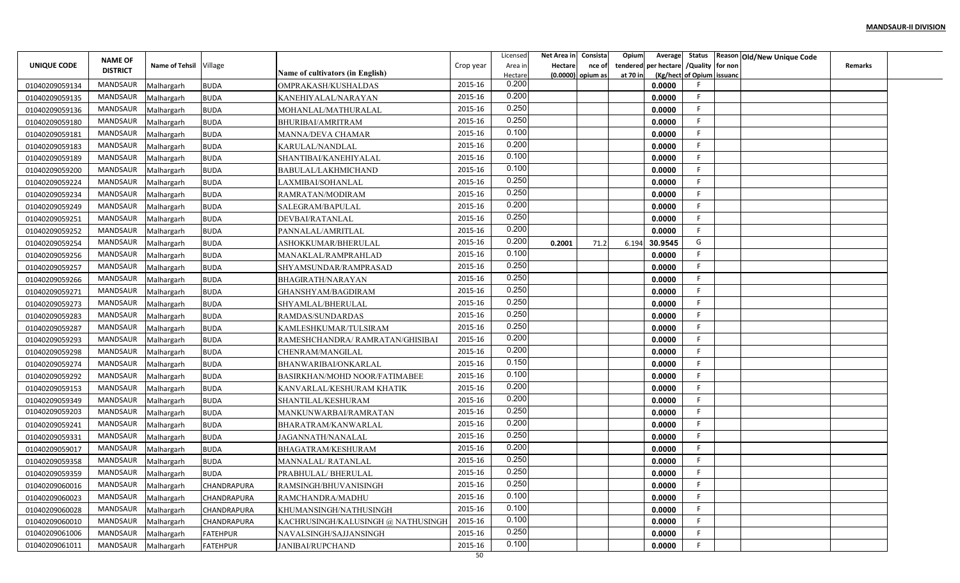|                |                                   |                        |                    |                                    |           | Licensed         | Net Area in | Consista            | Opium<br>Average        |                           | Status Reason Old/New Unique Code |                |  |
|----------------|-----------------------------------|------------------------|--------------------|------------------------------------|-----------|------------------|-------------|---------------------|-------------------------|---------------------------|-----------------------------------|----------------|--|
| UNIQUE CODE    | <b>NAME OF</b><br><b>DISTRICT</b> | Name of Tehsil Village |                    |                                    | Crop year | Area in          | Hectare     | nce of              | per hectare<br>tendered | /Quality for non          |                                   | <b>Remarks</b> |  |
|                |                                   |                        |                    | Name of cultivators (in English)   |           | Hectare<br>0.200 |             | $(0.0000)$ opium as | at 70 in                | (Kg/hect of Opium issuanc |                                   |                |  |
| 01040209059134 | <b>MANDSAUR</b>                   | Malhargarh             | <b>BUDA</b>        | OMPRAKASH/KUSHALDAS                | 2015-16   | 0.200            |             |                     | 0.0000                  | -F                        |                                   |                |  |
| 01040209059135 | <b>MANDSAUR</b>                   | Malhargarh             | <b>BUDA</b>        | KANEHIYALAL/NARAYAN                | 2015-16   | 0.250            |             |                     | 0.0000                  | -F                        |                                   |                |  |
| 01040209059136 | MANDSAUR                          | Malhargarh             | <b>BUDA</b>        | MOHANLAL/MATHURALAL                | 2015-16   | 0.250            |             |                     | 0.0000                  |                           |                                   |                |  |
| 01040209059180 | <b>MANDSAUR</b>                   | Malhargarh             | <b>BUDA</b>        | BHURIBAI/AMRITRAM                  | 2015-16   | 0.100            |             |                     | 0.0000                  | F                         |                                   |                |  |
| 01040209059181 | MANDSAUR                          | Malhargarh             | <b>BUDA</b>        | MANNA/DEVA CHAMAR                  | 2015-16   | 0.200            |             |                     | 0.0000                  |                           |                                   |                |  |
| 01040209059183 | <b>MANDSAUR</b>                   | Malhargarh             | <b>BUDA</b>        | KARULAL/NANDLAL                    | 2015-16   |                  |             |                     | 0.0000                  |                           |                                   |                |  |
| 01040209059189 | MANDSAUR                          | Malhargarh             | <b>BUDA</b>        | SHANTIBAI/KANEHIYALAL              | 2015-16   | 0.100            |             |                     | 0.0000                  | -F                        |                                   |                |  |
| 01040209059200 | <b>MANDSAUR</b>                   | Malhargarh             | <b>BUDA</b>        | BABULAL/LAKHMICHAND                | 2015-16   | 0.100            |             |                     | 0.0000                  |                           |                                   |                |  |
| 01040209059224 | MANDSAUR                          | Malhargarh             | <b>BUDA</b>        | LAXMIBAI/SOHANLAL                  | 2015-16   | 0.250            |             |                     | 0.0000                  |                           |                                   |                |  |
| 01040209059234 | <b>MANDSAUR</b>                   | Malhargarh             | <b>BUDA</b>        | RAMRATAN/MODIRAM                   | 2015-16   | 0.250            |             |                     | 0.0000                  | F                         |                                   |                |  |
| 01040209059249 | MANDSAUR                          | Malhargarh             | <b>BUDA</b>        | SALEGRAM/BAPULAL                   | 2015-16   | 0.200            |             |                     | 0.0000                  | -F                        |                                   |                |  |
| 01040209059251 | <b>MANDSAUR</b>                   | Malhargarh             | <b>BUDA</b>        | DEVBAI/RATANLAL                    | 2015-16   | 0.250            |             |                     | 0.0000                  | -F                        |                                   |                |  |
| 01040209059252 | <b>MANDSAUR</b>                   | Malhargarh             | <b>BUDA</b>        | PANNALAL/AMRITLAL                  | 2015-16   | 0.200            |             |                     | 0.0000                  | -F                        |                                   |                |  |
| 01040209059254 | <b>MANDSAUR</b>                   | Malhargarh             | <b>BUDA</b>        | ASHOKKUMAR/BHERULAL                | 2015-16   | 0.200            | 0.2001      | 71.2                | 30.9545<br>6.194        | G                         |                                   |                |  |
| 01040209059256 | <b>MANDSAUR</b>                   | Malhargarh             | <b>BUDA</b>        | MANAKLAL/RAMPRAHLAD                | 2015-16   | 0.100            |             |                     | 0.0000                  |                           |                                   |                |  |
| 01040209059257 | <b>MANDSAUR</b>                   | Malhargarh             | <b>BUDA</b>        | SHYAMSUNDAR/RAMPRASAD              | 2015-16   | 0.250            |             |                     | 0.0000                  |                           |                                   |                |  |
| 01040209059266 | <b>MANDSAUR</b>                   | Malhargarh             | <b>BUDA</b>        | <b>BHAGIRATH/NARAYAN</b>           | 2015-16   | 0.250            |             |                     | 0.0000                  |                           |                                   |                |  |
| 01040209059271 | <b>MANDSAUR</b>                   | Malhargarh             | <b>BUDA</b>        | <b>GHANSHYAM/BAGDIRAM</b>          | 2015-16   | 0.250            |             |                     | 0.0000                  | -F                        |                                   |                |  |
| 01040209059273 | MANDSAUR                          | Malhargarh             | <b>BUDA</b>        | SHYAMLAL/BHERULAL                  | 2015-16   | 0.250            |             |                     | 0.0000                  |                           |                                   |                |  |
| 01040209059283 | MANDSAUR                          | Malhargarh             | <b>BUDA</b>        | RAMDAS/SUNDARDAS                   | 2015-16   | 0.250            |             |                     | 0.0000                  | -F                        |                                   |                |  |
| 01040209059287 | <b>MANDSAUR</b>                   | Malhargarh             | <b>BUDA</b>        | KAMLESHKUMAR/TULSIRAM              | 2015-16   | 0.250            |             |                     | 0.0000                  | - 6                       |                                   |                |  |
| 01040209059293 | <b>MANDSAUR</b>                   | Malhargarh             | <b>BUDA</b>        | RAMESHCHANDRA/RAMRATAN/GHISIBAI    | 2015-16   | 0.200            |             |                     | 0.0000                  |                           |                                   |                |  |
| 01040209059298 | <b>MANDSAUR</b>                   | Malhargarh             | <b>BUDA</b>        | CHENRAM/MANGILAL                   | 2015-16   | 0.200            |             |                     | 0.0000                  | -F                        |                                   |                |  |
| 01040209059274 | MANDSAUR                          | Malhargarh             | <b>BUDA</b>        | BHANWARIBAI/ONKARLAL               | 2015-16   | 0.150            |             |                     | 0.0000                  | -F                        |                                   |                |  |
| 01040209059292 | <b>MANDSAUR</b>                   | Malhargarh             | <b>BUDA</b>        | BASIRKHAN/MOHD NOOR/FATIMABEE      | 2015-16   | 0.100            |             |                     | 0.0000                  |                           |                                   |                |  |
| 01040209059153 | <b>MANDSAUR</b>                   | Malhargarh             | <b>BUDA</b>        | KANVARLAL/KESHURAM KHATIK          | 2015-16   | 0.200            |             |                     | 0.0000                  |                           |                                   |                |  |
| 01040209059349 | <b>MANDSAUR</b>                   | Malhargarh             | <b>BUDA</b>        | SHANTILAL/KESHURAM                 | 2015-16   | 0.200            |             |                     | 0.0000                  | F                         |                                   |                |  |
| 01040209059203 | MANDSAUR                          | Malhargarh             | <b>BUDA</b>        | MANKUNWARBAI/RAMRATAN              | 2015-16   | 0.250            |             |                     | 0.0000                  | F                         |                                   |                |  |
| 01040209059241 | <b>MANDSAUR</b>                   | Malhargarh             | <b>BUDA</b>        | BHARATRAM/KANWARLAI                | 2015-16   | 0.200            |             |                     | 0.0000                  | F                         |                                   |                |  |
| 01040209059331 | <b>MANDSAUR</b>                   | Malhargarh             | <b>BUDA</b>        | JAGANNATH/NANALAL                  | 2015-16   | 0.250            |             |                     | 0.0000                  |                           |                                   |                |  |
| 01040209059017 | <b>MANDSAUR</b>                   | Malhargarh             | <b>BUDA</b>        | BHAGATRAM/KESHURAM                 | 2015-16   | 0.200            |             |                     | 0.0000                  |                           |                                   |                |  |
| 01040209059358 | MANDSAUR                          | Malhargarh             | <b>BUDA</b>        | MANNALAL/RATANLAL                  | 2015-16   | 0.250            |             |                     | 0.0000                  |                           |                                   |                |  |
| 01040209059359 | MANDSAUR                          | Malhargarh             | <b>BUDA</b>        | PRABHULAL/ BHERULAL                | 2015-16   | 0.250            |             |                     | 0.0000                  |                           |                                   |                |  |
| 01040209060016 | MANDSAUR                          | Malhargarh             | <b>CHANDRAPURA</b> | RAMSINGH/BHUVANISINGH              | 2015-16   | 0.250            |             |                     | 0.0000                  |                           |                                   |                |  |
| 01040209060023 | MANDSAUR                          | Malhargarh             | <b>CHANDRAPURA</b> | RAMCHANDRA/MADHU                   | 2015-16   | 0.100            |             |                     | 0.0000                  | -F                        |                                   |                |  |
| 01040209060028 | MANDSAUR                          | Malhargarh             | <b>CHANDRAPURA</b> | KHUMANSINGH/NATHUSINGH             | 2015-16   | 0.100            |             |                     | 0.0000                  | -F.                       |                                   |                |  |
| 01040209060010 | MANDSAUR                          | Malhargarh             | <b>CHANDRAPURA</b> | KACHRUSINGH/KALUSINGH @ NATHUSINGH | 2015-16   | 0.100            |             |                     | 0.0000                  | -F                        |                                   |                |  |
| 01040209061006 | MANDSAUR                          | Malhargarh             | <b>FATEHPUR</b>    | NAVALSINGH/SAJJANSINGH             | 2015-16   | 0.250            |             |                     | 0.0000                  | -F                        |                                   |                |  |
| 01040209061011 | MANDSAUR                          | Malhargarh             | <b>FATEHPUR</b>    | <b>JANIBAI/RUPCHAND</b>            | 2015-16   | 0.100            |             |                     | 0.0000                  |                           |                                   |                |  |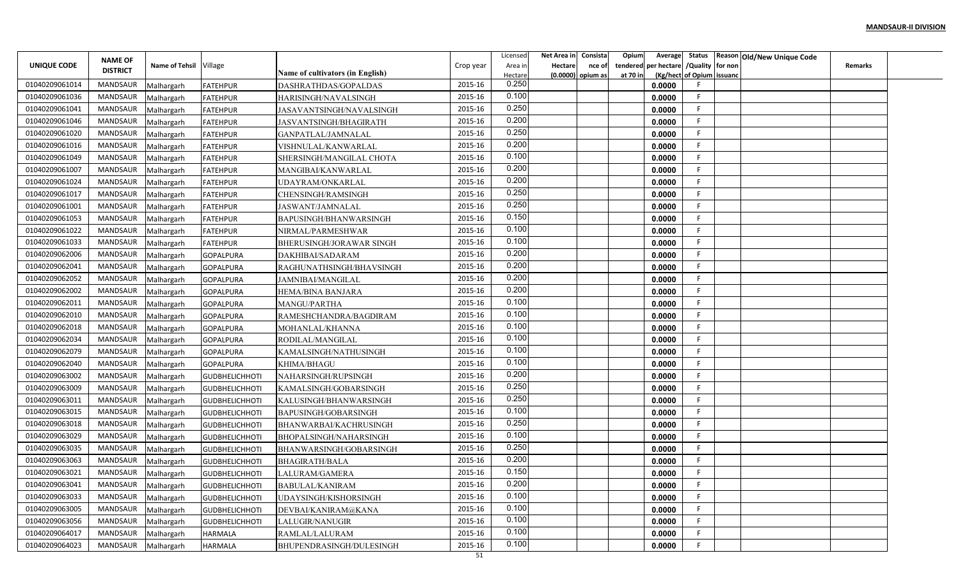|                | <b>NAME OF</b>  |                        |                       |                                                                 |           | Licensed         | Net Area in Consista     | Opium    | Average                       |                           | Status Reason Old/New Unique Code |                |  |
|----------------|-----------------|------------------------|-----------------------|-----------------------------------------------------------------|-----------|------------------|--------------------------|----------|-------------------------------|---------------------------|-----------------------------------|----------------|--|
| UNIQUE CODE    | <b>DISTRICT</b> | Name of Tehsil Village |                       |                                                                 | Crop year | Area in          | <b>Hectare</b><br>nce of | tendered | per hectare / Quality for non |                           |                                   | <b>Remarks</b> |  |
| 01040209061014 | MANDSAUR        | Malhargarh             | FATEHPUR              | <b>Name of cultivators (in English)</b><br>DASHRATHDAS/GOPALDAS | 2015-16   | Hectare<br>0.250 | (0.0000) opium as        | at 70 in | 0.0000                        | (Kg/hect of Opium issuanc |                                   |                |  |
| 01040209061036 | MANDSAUR        | Malhargarh             | FATEHPUR              | HARISINGH/NAVALSINGH                                            | 2015-16   | 0.100            |                          |          | 0.0000                        | F                         |                                   |                |  |
| 01040209061041 | MANDSAUR        | Malhargarh             | <b>FATEHPUR</b>       | JASAVANTSINGH/NAVALSINGH                                        | 2015-16   | 0.250            |                          |          | 0.0000                        | -F.                       |                                   |                |  |
| 01040209061046 | MANDSAUR        | Malhargarh             | FATEHPUR              | JASVANTSINGH/BHAGIRATH                                          | 2015-16   | 0.200            |                          |          | 0.0000                        | F.                        |                                   |                |  |
| 01040209061020 | MANDSAUR        | Malhargarh             | FATEHPUR              | GANPATLAL/JAMNALAL                                              | 2015-16   | 0.250            |                          |          | 0.0000                        |                           |                                   |                |  |
| 01040209061016 | MANDSAUR        | Malhargarh             | <b>FATEHPUR</b>       | VISHNULAL/KANWARLAL                                             | 2015-16   | 0.200            |                          |          | 0.0000                        |                           |                                   |                |  |
| 01040209061049 | MANDSAUR        | Malhargarh             | <b>FATEHPUR</b>       | SHERSINGH/MANGILAL CHOTA                                        | 2015-16   | 0.100            |                          |          | 0.0000                        |                           |                                   |                |  |
| 01040209061007 | MANDSAUR        | Malhargarh             | FATEHPUR              | MANGIBAI/KANWARLAL                                              | 2015-16   | 0.200            |                          |          | 0.0000                        |                           |                                   |                |  |
| 01040209061024 | MANDSAUR        | Malhargarh             | FATEHPUR              | UDAYRAM/ONKARLAL                                                | 2015-16   | 0.200            |                          |          | 0.0000                        |                           |                                   |                |  |
| 01040209061017 | MANDSAUR        | Malhargarh             | FATEHPUR              | CHENSINGH/RAMSINGH                                              | 2015-16   | 0.250            |                          |          | 0.0000                        |                           |                                   |                |  |
| 01040209061001 | MANDSAUR        | Malhargarh             | <b>FATEHPUR</b>       | JASWANT/JAMNALAL                                                | 2015-16   | 0.250            |                          |          | 0.0000                        | F                         |                                   |                |  |
| 01040209061053 | MANDSAUR        | Malhargarh             | <b>FATEHPUR</b>       | BAPUSINGH/BHANWARSINGH                                          | 2015-16   | 0.150            |                          |          | 0.0000                        | F                         |                                   |                |  |
| 01040209061022 | MANDSAUR        | Malhargarh             | FATEHPUR              | NIRMAL/PARMESHWAR                                               | 2015-16   | 0.100            |                          |          | 0.0000                        | F                         |                                   |                |  |
| 01040209061033 | MANDSAUR        | Malhargarh             | <b>FATEHPUR</b>       | BHERUSINGH/JORAWAR SINGH                                        | 2015-16   | 0.100            |                          |          | 0.0000                        |                           |                                   |                |  |
| 01040209062006 | MANDSAUR        | Malhargarh             | <b>GOPALPURA</b>      | DAKHIBAI/SADARAM                                                | 2015-16   | 0.200            |                          |          | 0.0000                        |                           |                                   |                |  |
| 01040209062041 | MANDSAUR        | Malhargarh             | <b>GOPALPURA</b>      | RAGHUNATHSINGH/BHAVSINGH                                        | 2015-16   | 0.200            |                          |          | 0.0000                        |                           |                                   |                |  |
| 01040209062052 | MANDSAUR        | Malhargarh             | GOPALPURA             | <b>JAMNIBAI/MANGILAL</b>                                        | 2015-16   | 0.200            |                          |          | 0.0000                        |                           |                                   |                |  |
| 01040209062002 | MANDSAUR        | Malhargarh             | <b>GOPALPURA</b>      | HEMA/BINA BANJARA                                               | 2015-16   | 0.200            |                          |          | 0.0000                        |                           |                                   |                |  |
| 01040209062011 | MANDSAUR        | Malhargarh             | <b>GOPALPURA</b>      | MANGU/PARTHA                                                    | 2015-16   | 0.100            |                          |          | 0.0000                        | F                         |                                   |                |  |
| 01040209062010 | MANDSAUR        | Malhargarh             | <b>GOPALPURA</b>      | RAMESHCHANDRA/BAGDIRAM                                          | 2015-16   | 0.100            |                          |          | 0.0000                        | F.                        |                                   |                |  |
| 01040209062018 | MANDSAUR        | Malhargarh             | <b>GOPALPURA</b>      | MOHANLAL/KHANNA                                                 | 2015-16   | 0.100            |                          |          | 0.0000                        |                           |                                   |                |  |
| 01040209062034 | MANDSAUR        | Malhargarh             | GOPALPURA             | RODILAL/MANGILAL                                                | 2015-16   | 0.100            |                          |          | 0.0000                        | F                         |                                   |                |  |
| 01040209062079 | MANDSAUR        | Malhargarh             | <b>GOPALPURA</b>      | KAMALSINGH/NATHUSINGH                                           | 2015-16   | 0.100            |                          |          | 0.0000                        | -F                        |                                   |                |  |
| 01040209062040 | MANDSAUR        | Malhargarh             | <b>GOPALPURA</b>      | KHIMA/BHAGU                                                     | 2015-16   | 0.100            |                          |          | 0.0000                        | F                         |                                   |                |  |
| 01040209063002 | MANDSAUR        | Malhargarh             | GUDBHELICHHOTI        | NAHARSINGH/RUPSINGH                                             | 2015-16   | 0.200            |                          |          | 0.0000                        |                           |                                   |                |  |
| 01040209063009 | MANDSAUR        | Malhargarh             | GUDBHELICHHOTI        | KAMALSINGH/GOBARSINGH                                           | 2015-16   | 0.250            |                          |          | 0.0000                        |                           |                                   |                |  |
| 01040209063011 | MANDSAUR        | Malhargarh             | GUDBHELICHHOTI        | KALUSINGH/BHANWARSINGH                                          | 2015-16   | 0.250            |                          |          | 0.0000                        | F                         |                                   |                |  |
| 01040209063015 | MANDSAUR        | Malhargarh             | <b>GUDBHELICHHOTI</b> | <b>BAPUSINGH/GOBARSINGH</b>                                     | 2015-16   | 0.100            |                          |          | 0.0000                        | F                         |                                   |                |  |
| 01040209063018 | MANDSAUR        | Malhargarh             | <b>GUDBHELICHHOTI</b> | <b>BHANWARBAI/KACHRUSINGH</b>                                   | 2015-16   | 0.250            |                          |          | 0.0000                        | F                         |                                   |                |  |
| 01040209063029 | MANDSAUR        | Malhargarh             | GUDBHELICHHOTI        | BHOPALSINGH/NAHARSINGH                                          | 2015-16   | 0.100            |                          |          | 0.0000                        |                           |                                   |                |  |
| 01040209063035 | MANDSAUR        | Malhargarh             | <b>GUDBHELICHHOTI</b> | BHANWARSINGH/GOBARSINGH                                         | 2015-16   | 0.250            |                          |          | 0.0000                        |                           |                                   |                |  |
| 01040209063063 | MANDSAUR        | Malhargarh             | <b>GUDBHELICHHOTI</b> | <b>BHAGIRATH/BALA</b>                                           | 2015-16   | 0.200            |                          |          | 0.0000                        |                           |                                   |                |  |
| 01040209063021 | MANDSAUR        | Malhargarh             | GUDBHELICHHOTI        | LALURAM/GAMERA                                                  | 2015-16   | 0.150            |                          |          | 0.0000                        | F.                        |                                   |                |  |
| 01040209063041 | MANDSAUR        | Malhargarh             | <b>GUDBHELICHHOTI</b> | <b>BABULAL/KANIRAM</b>                                          | 2015-16   | 0.200            |                          |          | 0.0000                        |                           |                                   |                |  |
| 01040209063033 | MANDSAUR        | Malhargarh             | GUDBHELICHHOTI        | UDAYSINGH/KISHORSINGH                                           | 2015-16   | 0.100            |                          |          | 0.0000                        |                           |                                   |                |  |
| 01040209063005 | MANDSAUR        | Malhargarh             | <b>GUDBHELICHHOTI</b> | DEVBAI/KANIRAM@KANA                                             | 2015-16   | 0.100            |                          |          | 0.0000                        | F.                        |                                   |                |  |
| 01040209063056 | MANDSAUR        | Malhargarh             | <b>GUDBHELICHHOTI</b> | LALUGIR/NANUGIR                                                 | 2015-16   | 0.100            |                          |          | 0.0000                        | F                         |                                   |                |  |
| 01040209064017 | MANDSAUR        | Malhargarh             | <b>HARMALA</b>        | RAMLAL/LALURAM                                                  | 2015-16   | 0.100            |                          |          | 0.0000                        | F.                        |                                   |                |  |
| 01040209064023 | MANDSAUR        | Malhargarh             | <b>HARMALA</b>        | BHUPENDRASINGH/DULESINGH                                        | 2015-16   | 0.100            |                          |          | 0.0000                        |                           |                                   |                |  |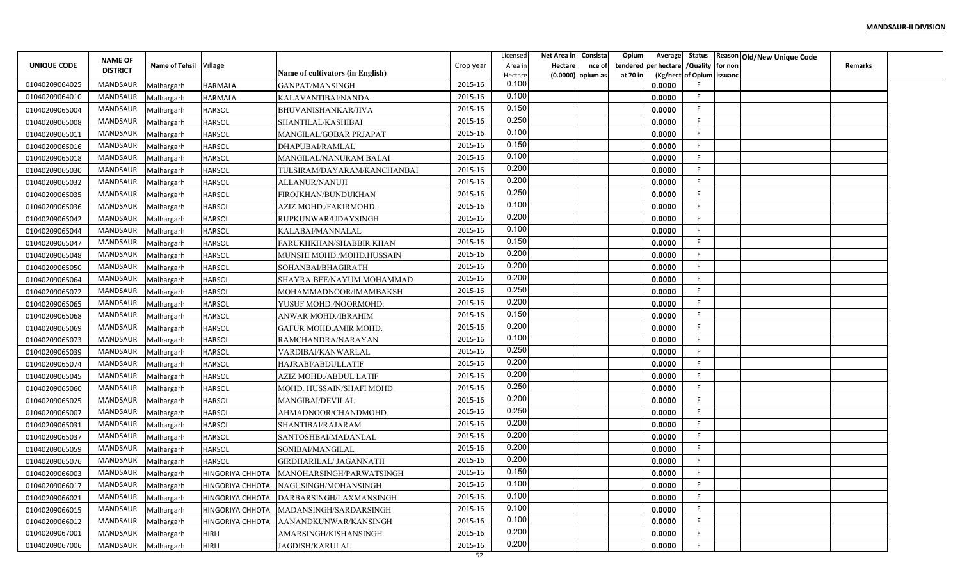|                |                 |                        |                         |                                  |           | Licensed | Net Area in    | Consista            | Opium    |                                        |                           | Average Status Reason Old/New Unique Code |                |  |
|----------------|-----------------|------------------------|-------------------------|----------------------------------|-----------|----------|----------------|---------------------|----------|----------------------------------------|---------------------------|-------------------------------------------|----------------|--|
| UNIQUE CODE    | <b>NAME OF</b>  | Name of Tehsil Village |                         |                                  | Crop year | Area in  | <b>Hectare</b> | nce of              |          | tendered per hectare / Quality for non |                           |                                           | <b>Remarks</b> |  |
|                | <b>DISTRICT</b> |                        |                         | Name of cultivators (in English) |           | Hectare  |                | $(0.0000)$ opium as | at 70 in |                                        | (Kg/hect of Opium issuanc |                                           |                |  |
| 01040209064025 | MANDSAUR        | Malhargarh             | <b>HARMALA</b>          | GANPAT/MANSINGH                  | 2015-16   | 0.100    |                |                     |          | 0.0000                                 |                           |                                           |                |  |
| 01040209064010 | MANDSAUR        | Malhargarh             | <b>HARMALA</b>          | KALAVANTIBAI/NANDA               | 2015-16   | 0.100    |                |                     |          | 0.0000                                 | F.                        |                                           |                |  |
| 01040209065004 | MANDSAUR        | Malhargarh             | <b>HARSOL</b>           | <b>BHUVANISHANKAR/JIVA</b>       | 2015-16   | 0.150    |                |                     |          | 0.0000                                 | -F                        |                                           |                |  |
| 01040209065008 | <b>MANDSAUR</b> | Malhargarh             | <b>HARSOL</b>           | SHANTILAL/KASHIBAI               | 2015-16   | 0.250    |                |                     |          | 0.0000                                 | F.                        |                                           |                |  |
| 01040209065011 | MANDSAUR        | Malhargarh             | <b>HARSOL</b>           | MANGILAL/GOBAR PRJAPAT           | 2015-16   | 0.100    |                |                     |          | 0.0000                                 | F.                        |                                           |                |  |
| 01040209065016 | MANDSAUR        | Malhargarh             | <b>HARSOL</b>           | DHAPUBAI/RAMLAL                  | 2015-16   | 0.150    |                |                     |          | 0.0000                                 | F.                        |                                           |                |  |
| 01040209065018 | MANDSAUR        | Malhargarh             | <b>HARSOL</b>           | MANGILAL/NANURAM BALAI           | 2015-16   | 0.100    |                |                     |          | 0.0000                                 | F                         |                                           |                |  |
| 01040209065030 | MANDSAUR        | Malhargarh             | <b>HARSOL</b>           | TULSIRAM/DAYARAM/KANCHANBAI      | 2015-16   | 0.200    |                |                     |          | 0.0000                                 | F.                        |                                           |                |  |
| 01040209065032 | MANDSAUR        | Malhargarh             | <b>HARSOL</b>           | ALLANUR/NANUJI                   | 2015-16   | 0.200    |                |                     |          | 0.0000                                 | E                         |                                           |                |  |
| 01040209065035 | MANDSAUR        | Malhargarh             | <b>HARSOL</b>           | FIROJKHAN/BUNDUKHAN              | 2015-16   | 0.250    |                |                     |          | 0.0000                                 | F                         |                                           |                |  |
| 01040209065036 | MANDSAUR        | Malhargarh             | <b>HARSOL</b>           | AZIZ MOHD./FAKIRMOHD.            | 2015-16   | 0.100    |                |                     |          | 0.0000                                 | -F                        |                                           |                |  |
| 01040209065042 | <b>MANDSAUR</b> | Malhargarh             | <b>HARSOL</b>           | RUPKUNWAR/UDAYSINGH              | 2015-16   | 0.200    |                |                     |          | 0.0000                                 | F                         |                                           |                |  |
| 01040209065044 | MANDSAUR        | Malhargarh             | <b>HARSOL</b>           | KALABAI/MANNALAL                 | 2015-16   | 0.100    |                |                     |          | 0.0000                                 | -F                        |                                           |                |  |
| 01040209065047 | MANDSAUR        | Malhargarh             | <b>HARSOL</b>           | FARUKHKHAN/SHABBIR KHAN          | 2015-16   | 0.150    |                |                     |          | 0.0000                                 | E                         |                                           |                |  |
| 01040209065048 | MANDSAUR        | Malhargarh             | <b>HARSOL</b>           | MUNSHI MOHD./MOHD.HUSSAIN        | 2015-16   | 0.200    |                |                     |          | 0.0000                                 | -F                        |                                           |                |  |
| 01040209065050 | MANDSAUR        | Malhargarh             | <b>HARSOL</b>           | SOHANBAI/BHAGIRATH               | 2015-16   | 0.200    |                |                     |          | 0.0000                                 | F.                        |                                           |                |  |
| 01040209065064 | MANDSAUR        | Malhargarh             | <b>HARSOL</b>           | SHAYRA BEE/NAYUM MOHAMMAD        | 2015-16   | 0.200    |                |                     |          | 0.0000                                 | F                         |                                           |                |  |
| 01040209065072 | MANDSAUR        | Malhargarh             | <b>HARSOL</b>           | MOHAMMADNOOR/IMAMBAKSH           | 2015-16   | 0.250    |                |                     |          | 0.0000                                 | F                         |                                           |                |  |
| 01040209065065 | MANDSAUR        | Malhargarh             | <b>HARSOL</b>           | YUSUF MOHD./NOORMOHD             | 2015-16   | 0.200    |                |                     |          | 0.0000                                 | -F                        |                                           |                |  |
| 01040209065068 | MANDSAUR        | Malhargarh             | <b>HARSOL</b>           | ANWAR MOHD./IBRAHIM              | 2015-16   | 0.150    |                |                     |          | 0.0000                                 | F.                        |                                           |                |  |
| 01040209065069 | MANDSAUR        | Malhargarh             | <b>HARSOL</b>           | <b>GAFUR MOHD.AMIR MOHD.</b>     | 2015-16   | 0.200    |                |                     |          | 0.0000                                 | -F                        |                                           |                |  |
| 01040209065073 | MANDSAUR        | Malhargarh             | <b>HARSOL</b>           | RAMCHANDRA/NARAYAN               | 2015-16   | 0.100    |                |                     |          | 0.0000                                 | F.                        |                                           |                |  |
| 01040209065039 | MANDSAUR        | Malhargarh             | <b>HARSOL</b>           | VARDIBAI/KANWARLAL               | 2015-16   | 0.250    |                |                     |          | 0.0000                                 | F.                        |                                           |                |  |
| 01040209065074 | MANDSAUR        | Malhargarh             | <b>HARSOL</b>           | HAJRABI/ABDULLATIF               | 2015-16   | 0.200    |                |                     |          | 0.0000                                 | F                         |                                           |                |  |
| 01040209065045 | MANDSAUR        | Malhargarh             | <b>HARSOL</b>           | AZIZ MOHD./ABDUL LATIF           | 2015-16   | 0.200    |                |                     |          | 0.0000                                 | E                         |                                           |                |  |
| 01040209065060 | MANDSAUR        | Malhargarh             | <b>HARSOL</b>           | MOHD. HUSSAIN/SHAFI MOHD.        | 2015-16   | 0.250    |                |                     |          | 0.0000                                 | F                         |                                           |                |  |
| 01040209065025 | MANDSAUR        | Malhargarh             | <b>HARSOL</b>           | MANGIBAI/DEVILAL                 | 2015-16   | 0.200    |                |                     |          | 0.0000                                 | F                         |                                           |                |  |
| 01040209065007 | MANDSAUR        | Malhargarh             | <b>HARSOL</b>           | AHMADNOOR/CHANDMOHD.             | 2015-16   | 0.250    |                |                     |          | 0.0000                                 | -F                        |                                           |                |  |
| 01040209065031 | MANDSAUR        | Malhargarh             | <b>HARSOL</b>           | SHANTIBAI/RAJARAM                | 2015-16   | 0.200    |                |                     |          | 0.0000                                 | F.                        |                                           |                |  |
| 01040209065037 | <b>MANDSAUR</b> | Malhargarh             | <b>HARSOL</b>           | SANTOSHBAI/MADANLAL              | 2015-16   | 0.200    |                |                     |          | 0.0000                                 | E                         |                                           |                |  |
| 01040209065059 | MANDSAUR        | Malhargarh             | <b>HARSOL</b>           | SONIBAI/MANGILAL                 | 2015-16   | 0.200    |                |                     |          | 0.0000                                 | F                         |                                           |                |  |
| 01040209065076 | MANDSAUR        | Malhargarh             | <b>HARSOL</b>           | GIRDHARILAL/ JAGANNATH           | 2015-16   | 0.200    |                |                     |          | 0.0000                                 | F                         |                                           |                |  |
| 01040209066003 | MANDSAUR        | Malhargarh             | HINGORIYA CHHOTA        | MANOHARSINGH/PARWATSINGH         | 2015-16   | 0.150    |                |                     |          | 0.0000                                 | F.                        |                                           |                |  |
| 01040209066017 | MANDSAUR        | Malhargarh             | HINGORIYA CHHOTA        | NAGUSINGH/MOHANSINGH             | 2015-16   | 0.100    |                |                     |          | 0.0000                                 | F                         |                                           |                |  |
| 01040209066021 | MANDSAUR        | Malhargarh             | <b>HINGORIYA CHHOTA</b> | DARBARSINGH/LAXMANSINGH          | 2015-16   | 0.100    |                |                     |          | 0.0000                                 | F                         |                                           |                |  |
| 01040209066015 | MANDSAUR        | Malhargarh             | <b>HINGORIYA CHHOTA</b> | MADANSINGH/SARDARSINGH           | 2015-16   | 0.100    |                |                     |          | 0.0000                                 | F.                        |                                           |                |  |
| 01040209066012 | MANDSAUR        | Malhargarh             | <b>HINGORIYA CHHOTA</b> | AANANDKUNWAR/KANSINGH            | 2015-16   | 0.100    |                |                     |          | 0.0000                                 | F.                        |                                           |                |  |
| 01040209067001 | MANDSAUR        | Malhargarh             | <b>HIRLI</b>            | AMARSINGH/KISHANSINGH            | 2015-16   | 0.200    |                |                     |          | 0.0000                                 | F.                        |                                           |                |  |
| 01040209067006 | MANDSAUR        | Malhargarh             | <b>HIRLI</b>            | <b>JAGDISH/KARULAL</b>           | 2015-16   | 0.200    |                |                     |          | 0.0000                                 | F                         |                                           |                |  |
|                |                 |                        |                         |                                  | 52        |          |                |                     |          |                                        |                           |                                           |                |  |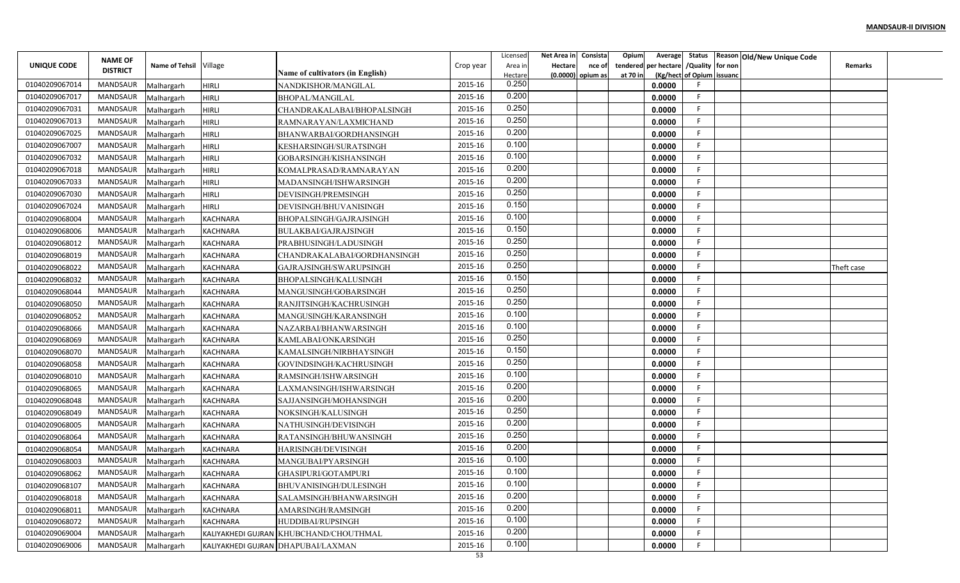|                | <b>NAME OF</b>  |                        |                 |                                        |           | Licensed         | Net Area in    | Consista            | Opium    | Average              |                           | Status Reason Old/New Unique Code |                |  |
|----------------|-----------------|------------------------|-----------------|----------------------------------------|-----------|------------------|----------------|---------------------|----------|----------------------|---------------------------|-----------------------------------|----------------|--|
| UNIQUE CODE    | <b>DISTRICT</b> | Name of Tehsil Village |                 | Name of cultivators (in English)       | Crop year | Area in          | <b>Hectare</b> | nce of              |          | tendered per hectare | /Quality for non          |                                   | <b>Remarks</b> |  |
| 01040209067014 | <b>MANDSAUR</b> | Malhargarh             | <b>HIRLI</b>    | NANDKISHOR/MANGILAL                    | 2015-16   | Hectare<br>0.250 |                | $(0.0000)$ opium as | at 70 in | 0.0000               | (Kg/hect of Opium issuanc |                                   |                |  |
| 01040209067017 | MANDSAUR        | Malhargarh             | <b>HIRLI</b>    | <b>BHOPAL/MANGILAL</b>                 | 2015-16   | 0.200            |                |                     |          | 0.0000               | F                         |                                   |                |  |
| 01040209067031 | MANDSAUR        | Malhargarh             | <b>HIRLI</b>    | CHANDRAKALABAI/BHOPALSINGH             | 2015-16   | 0.250            |                |                     |          | 0.0000               | F                         |                                   |                |  |
| 01040209067013 | MANDSAUR        | Malhargarh             | <b>HIRLI</b>    | RAMNARAYAN/LAXMICHAND                  | 2015-16   | 0.250            |                |                     |          | 0.0000               | F                         |                                   |                |  |
| 01040209067025 | MANDSAUR        | Malhargarh             | <b>HIRLI</b>    | BHANWARBAI/GORDHANSINGH                | 2015-16   | 0.200            |                |                     |          | 0.0000               |                           |                                   |                |  |
| 01040209067007 | MANDSAUR        | Malhargarh             | <b>HIRLI</b>    | KESHARSINGH/SURATSINGH                 | 2015-16   | 0.100            |                |                     |          | 0.0000               | F                         |                                   |                |  |
| 01040209067032 | MANDSAUR        | Malhargarh             | HIRLI           | GOBARSINGH/KISHANSINGH                 | 2015-16   | 0.100            |                |                     |          | 0.0000               | F                         |                                   |                |  |
| 01040209067018 | MANDSAUR        | Malhargarh             | <b>HIRLI</b>    | KOMALPRASAD/RAMNARAYAN                 | 2015-16   | 0.200            |                |                     |          | 0.0000               |                           |                                   |                |  |
| 01040209067033 | MANDSAUR        | Malhargarh             | <b>HIRLI</b>    | MADANSINGH/ISHWARSINGH                 | 2015-16   | 0.200            |                |                     |          | 0.0000               |                           |                                   |                |  |
| 01040209067030 | MANDSAUR        | Malhargarh             | <b>HIRLI</b>    | DEVISINGH/PREMSINGH                    | 2015-16   | 0.250            |                |                     |          | 0.0000               | F                         |                                   |                |  |
| 01040209067024 | MANDSAUR        | Malhargarh             | HIRLI           | DEVISINGH/BHUVANISINGH                 | 2015-16   | 0.150            |                |                     |          | 0.0000               | F                         |                                   |                |  |
| 01040209068004 | MANDSAUR        | Malhargarh             | <b>KACHNARA</b> | <b>BHOPALSINGH/GAJRAJSINGH</b>         | 2015-16   | 0.100            |                |                     |          | 0.0000               | F                         |                                   |                |  |
| 01040209068006 | MANDSAUR        | Malhargarh             | KACHNARA        | <b>BULAKBAI/GAJRAJSINGH</b>            | 2015-16   | 0.150            |                |                     |          | 0.0000               |                           |                                   |                |  |
| 01040209068012 | <b>MANDSAUR</b> | Malhargarh             | <b>KACHNARA</b> | PRABHUSINGH/LADUSINGH                  | 2015-16   | 0.250            |                |                     |          | 0.0000               |                           |                                   |                |  |
| 01040209068019 | <b>MANDSAUR</b> | Malhargarh             | <b>KACHNARA</b> | CHANDRAKALABAI/GORDHANSINGH            | 2015-16   | 0.250            |                |                     |          | 0.0000               | F                         |                                   |                |  |
| 01040209068022 | MANDSAUR        | Malhargarh             | <b>KACHNARA</b> | GAJRAJSINGH/SWARUPSINGH                | 2015-16   | 0.250            |                |                     |          | 0.0000               |                           |                                   | Theft case     |  |
| 01040209068032 | MANDSAUR        | Malhargarh             | KACHNARA        | BHOPALSINGH/KALUSINGH                  | 2015-16   | 0.150            |                |                     |          | 0.0000               |                           |                                   |                |  |
| 01040209068044 | MANDSAUR        | Malhargarh             | <b>KACHNARA</b> | MANGUSINGH/GOBARSINGH                  | 2015-16   | 0.250            |                |                     |          | 0.0000               | F                         |                                   |                |  |
| 01040209068050 | MANDSAUR        | Malhargarh             | <b>KACHNARA</b> | RANJITSINGH/KACHRUSINGH                | 2015-16   | 0.250            |                |                     |          | 0.0000               |                           |                                   |                |  |
| 01040209068052 | MANDSAUR        | Malhargarh             | <b>KACHNARA</b> | MANGUSINGH/KARANSINGH                  | 2015-16   | 0.100            |                |                     |          | 0.0000               | F                         |                                   |                |  |
| 01040209068066 | MANDSAUR        | Malhargarh             | <b>KACHNARA</b> | NAZARBAI/BHANWARSINGH                  | 2015-16   | 0.100            |                |                     |          | 0.0000               | -F                        |                                   |                |  |
| 01040209068069 | <b>MANDSAUR</b> | Malhargarh             | KACHNARA        | KAMLABAI/ONKARSINGH                    | 2015-16   | 0.250            |                |                     |          | 0.0000               |                           |                                   |                |  |
| 01040209068070 | MANDSAUR        | Malhargarh             | <b>KACHNARA</b> | KAMALSINGH/NIRBHAYSINGH                | 2015-16   | 0.150            |                |                     |          | 0.0000               | F                         |                                   |                |  |
| 01040209068058 | MANDSAUR        | Malhargarh             | <b>KACHNARA</b> | GOVINDSINGH/KACHRUSINGH                | 2015-16   | 0.250            |                |                     |          | 0.0000               | F                         |                                   |                |  |
| 01040209068010 | MANDSAUR        | Malhargarh             | <b>KACHNARA</b> | RAMSINGH/ISHWARSINGH                   | 2015-16   | 0.100            |                |                     |          | 0.0000               |                           |                                   |                |  |
| 01040209068065 | MANDSAUR        | Malhargarh             | <b>KACHNARA</b> | LAXMANSINGH/ISHWARSINGH                | 2015-16   | 0.200            |                |                     |          | 0.0000               |                           |                                   |                |  |
| 01040209068048 | MANDSAUR        | Malhargarh             | <b>KACHNARA</b> | SAJJANSINGH/MOHANSINGH                 | 2015-16   | 0.200            |                |                     |          | 0.0000               | F                         |                                   |                |  |
| 01040209068049 | MANDSAUR        | Malhargarh             | <b>KACHNARA</b> | NOKSINGH/KALUSINGH                     | 2015-16   | 0.250            |                |                     |          | 0.0000               | F                         |                                   |                |  |
| 01040209068005 | MANDSAUR        | Malhargarh             | <b>KACHNARA</b> | NATHUSINGH/DEVISINGH                   | 2015-16   | 0.200            |                |                     |          | 0.0000               | F                         |                                   |                |  |
| 01040209068064 | <b>MANDSAUR</b> | Malhargarh             | <b>KACHNARA</b> | RATANSINGH/BHUWANSINGH                 | 2015-16   | 0.250            |                |                     |          | 0.0000               |                           |                                   |                |  |
| 01040209068054 | <b>MANDSAUR</b> | Malhargarh             | KACHNARA        | <b>HARISINGH/DEVISINGH</b>             | 2015-16   | 0.200            |                |                     |          | 0.0000               |                           |                                   |                |  |
| 01040209068003 | <b>MANDSAUR</b> | Malhargarh             | <b>KACHNARA</b> | MANGUBAI/PYARSINGH                     | 2015-16   | 0.100            |                |                     |          | 0.0000               |                           |                                   |                |  |
| 01040209068062 | MANDSAUR        | Malhargarh             | <b>KACHNARA</b> | GHASIPURI/GOTAMPURI                    | 2015-16   | 0.100            |                |                     |          | 0.0000               | E.                        |                                   |                |  |
| 01040209068107 | MANDSAUR        | Malhargarh             | <b>KACHNARA</b> | BHUVANISINGH/DULESINGH                 | 2015-16   | 0.100            |                |                     |          | 0.0000               |                           |                                   |                |  |
| 01040209068018 | MANDSAUR        | Malhargarh             | <b>KACHNARA</b> | SALAMSINGH/BHANWARSINGH                | 2015-16   | 0.200            |                |                     |          | 0.0000               |                           |                                   |                |  |
| 01040209068011 | MANDSAUR        | Malhargarh             | <b>KACHNARA</b> | AMARSINGH/RAMSINGH                     | 2015-16   | 0.200            |                |                     |          | 0.0000               | F                         |                                   |                |  |
| 01040209068072 | MANDSAUR        | Malhargarh             | <b>KACHNARA</b> | HUDDIBAI/RUPSINGH                      | 2015-16   | 0.100            |                |                     |          | 0.0000               | F.                        |                                   |                |  |
| 01040209069004 | MANDSAUR        | Malhargarh             |                 | KALIYAKHEDI GUJRAN KHUBCHAND/CHOUTHMAL | 2015-16   | 0.200            |                |                     |          | 0.0000               | -F                        |                                   |                |  |
| 01040209069006 | MANDSAUR        | Malhargarh             |                 | KALIYAKHEDI GUJRAN DHAPUBAI/LAXMAN     | 2015-16   | 0.100            |                |                     |          | 0.0000               |                           |                                   |                |  |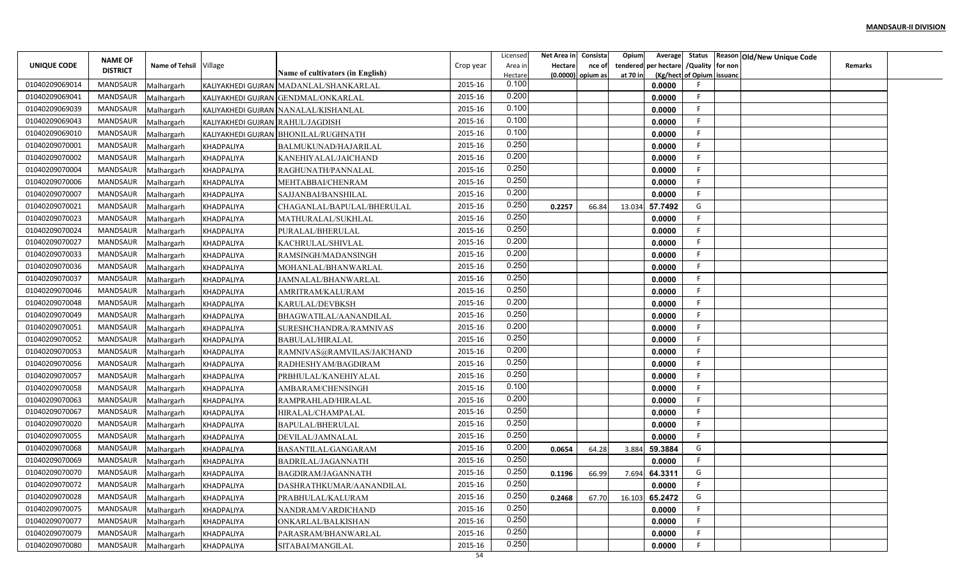|                |                                   |                        |                                  |                                         |               | Licensed | Net Area in | Consista | Opium<br>Average        |                           | Status Reason Old/New Unique Code |                |  |
|----------------|-----------------------------------|------------------------|----------------------------------|-----------------------------------------|---------------|----------|-------------|----------|-------------------------|---------------------------|-----------------------------------|----------------|--|
| UNIQUE CODE    | <b>NAME OF</b><br><b>DISTRICT</b> | Name of Tehsil Village |                                  |                                         | Crop year     | Area ir  | Hectare     | nce of   | per hectare<br>tendered | /Quality for non          |                                   | <b>Remarks</b> |  |
|                |                                   |                        |                                  | <b>Name of cultivators (in English)</b> |               | Hectare  | (0.0000)    | opium as | at 70 in                | (Kg/hect of Opium issuanc |                                   |                |  |
| 01040209069014 | <b>MANDSAUR</b>                   | Malhargarh             |                                  | KALIYAKHEDI GUJRAN MADANLAL/SHANKARLAL  | 2015-16       | 0.100    |             |          | 0.0000                  |                           |                                   |                |  |
| 01040209069041 | MANDSAUR                          | Malhargarh             |                                  | KALIYAKHEDI GUJRAN GENDMAL/ONKARLAL     | 2015-16       | 0.200    |             |          | 0.0000                  | -F                        |                                   |                |  |
| 01040209069039 | MANDSAUR                          | Malhargarh             |                                  | KALIYAKHEDI GUJRAN NANALAL/KISHANLAL    | 2015-16       | 0.100    |             |          | 0.0000                  | -F                        |                                   |                |  |
| 01040209069043 | <b>MANDSAUR</b>                   | Malhargarh             | KALIYAKHEDI GUJRAN RAHUL/JAGDISH |                                         | 2015-16       | 0.100    |             |          | 0.0000                  | F                         |                                   |                |  |
| 01040209069010 | MANDSAUR                          | Malhargarh             |                                  | KALIYAKHEDI GUJRAN BHONILAL/RUGHNATH    | 2015-16       | 0.100    |             |          | 0.0000                  |                           |                                   |                |  |
| 01040209070001 | MANDSAUR                          | Malhargarh             | KHADPALIYA                       | BALMUKUNAD/HAJARILAI                    | 2015-16       | 0.250    |             |          | 0.0000                  |                           |                                   |                |  |
| 01040209070002 | MANDSAUR                          | Malhargarh             | KHADPALIYA                       | KANEHIYALAL/JAICHAND                    | 2015-16       | 0.200    |             |          | 0.0000                  | -F                        |                                   |                |  |
| 01040209070004 | MANDSAUR                          | Malhargarh             | KHADPALIYA                       | RAGHUNATH/PANNALAL                      | 2015-16       | 0.250    |             |          | 0.0000                  |                           |                                   |                |  |
| 01040209070006 | MANDSAUR                          | Malhargarh             | <b>KHADPALIYA</b>                | MEHTABBAI/CHENRAM                       | 2015-16       | 0.250    |             |          | 0.0000                  |                           |                                   |                |  |
| 01040209070007 | MANDSAUR                          | Malhargarh             | KHADPALIYA                       | SAJJANBAI/BANSHILAL                     | 2015-16       | 0.200    |             |          | 0.0000                  | E                         |                                   |                |  |
| 01040209070021 | MANDSAUR                          | Malhargarh             | <b>KHADPALIYA</b>                | CHAGANLAL/BAPULAL/BHERULAL              | 2015-16       | 0.250    | 0.2257      | 66.84    | 57.7492<br>13.034       | G                         |                                   |                |  |
| 01040209070023 | MANDSAUR                          | Malhargarh             | <b>KHADPALIYA</b>                | MATHURALAL/SUKHLAL                      | 2015-16       | 0.250    |             |          | 0.0000                  | -F.                       |                                   |                |  |
| 01040209070024 | MANDSAUR                          | Malhargarh             | KHADPALIYA                       | PURALAL/BHERULAL                        | 2015-16       | 0.250    |             |          | 0.0000                  |                           |                                   |                |  |
| 01040209070027 | MANDSAUR                          | Malhargarh             | KHADPALIYA                       | KACHRULAL/SHIVLAL                       | 2015-16       | 0.200    |             |          | 0.0000                  |                           |                                   |                |  |
| 01040209070033 | <b>MANDSAUR</b>                   | Malhargarh             | KHADPALIYA                       | RAMSINGH/MADANSINGH                     | 2015-16       | 0.200    |             |          | 0.0000                  |                           |                                   |                |  |
| 01040209070036 | MANDSAUR                          | Malhargarh             | KHADPALIYA                       | MOHANLAL/BHANWARLAL                     | 2015-16       | 0.250    |             |          | 0.0000                  |                           |                                   |                |  |
| 01040209070037 | MANDSAUR                          | Malhargarh             | <b>KHADPALIYA</b>                | JAMNALAL/BHANWARLAL                     | 2015-16       | 0.250    |             |          | 0.0000                  |                           |                                   |                |  |
| 01040209070046 | MANDSAUR                          | Malhargarh             | KHADPALIYA                       | AMRITRAM/KALURAM                        | 2015-16       | 0.250    |             |          | 0.0000                  | -F                        |                                   |                |  |
| 01040209070048 | MANDSAUR                          | Malhargarh             | KHADPALIYA                       | KARULAL/DEVBKSH                         | 2015-16       | 0.200    |             |          | 0.0000                  |                           |                                   |                |  |
| 01040209070049 | MANDSAUR                          | Malhargarh             | KHADPALIYA                       | BHAGWATILAL/AANANDILAL                  | 2015-16       | 0.250    |             |          | 0.0000                  | -F                        |                                   |                |  |
| 01040209070051 | MANDSAUR                          | Malhargarh             | KHADPALIYA                       | SURESHCHANDRA/RAMNIVAS                  | 2015-16       | 0.200    |             |          | 0.0000                  | -F                        |                                   |                |  |
| 01040209070052 | <b>MANDSAUR</b>                   | Malhargarh             | KHADPALIYA                       | <b>BABULAL/HIRALAL</b>                  | 2015-16       | 0.250    |             |          | 0.0000                  |                           |                                   |                |  |
| 01040209070053 | MANDSAUR                          | Malhargarh             | <b>KHADPALIYA</b>                | RAMNIVAS@RAMVILAS/JAICHAND              | 2015-16       | 0.200    |             |          | 0.0000                  | -F                        |                                   |                |  |
| 01040209070056 | MANDSAUR                          | Malhargarh             | KHADPALIYA                       | RADHESHYAM/BAGDIRAM                     | 2015-16       | 0.250    |             |          | 0.0000                  | F                         |                                   |                |  |
| 01040209070057 | MANDSAUR                          | Malhargarh             | KHADPALIYA                       | PRBHULAL/KANEHIYALAL                    | 2015-16       | 0.250    |             |          | 0.0000                  |                           |                                   |                |  |
| 01040209070058 | MANDSAUR                          | Malhargarh             | KHADPALIYA                       | AMBARAM/CHENSINGH                       | 2015-16       | 0.100    |             |          | 0.0000                  |                           |                                   |                |  |
| 01040209070063 | MANDSAUR                          | Malhargarh             | <b>KHADPALIYA</b>                | RAMPRAHLAD/HIRALAL                      | 2015-16       | 0.200    |             |          | 0.0000                  | -F                        |                                   |                |  |
| 01040209070067 | MANDSAUR                          | Malhargarh             | KHADPALIYA                       | HIRALAL/CHAMPALAL                       | 2015-16       | 0.250    |             |          | 0.0000                  | F                         |                                   |                |  |
| 01040209070020 | <b>MANDSAUR</b>                   | Malhargarh             | <b>KHADPALIYA</b>                | BAPULAL/BHERULAL                        | 2015-16       | 0.250    |             |          | 0.0000                  | -F                        |                                   |                |  |
| 01040209070055 | MANDSAUR                          | Malhargarh             | KHADPALIYA                       | DEVILAL/JAMNALAL                        | 2015-16       | 0.250    |             |          | 0.0000                  |                           |                                   |                |  |
| 01040209070068 | MANDSAUR                          | Malhargarh             | KHADPALIYA                       | BASANTILAL/GANGARAM                     | 2015-16       | 0.200    | 0.0654      | 64.28    | 59.3884<br>3.884        | G                         |                                   |                |  |
| 01040209070069 | MANDSAUR                          | Malhargarh             | KHADPALIYA                       | BADRILAL/JAGANNATH                      | 2015-16       | 0.250    |             |          | 0.0000                  |                           |                                   |                |  |
| 01040209070070 | MANDSAUR                          |                        |                                  |                                         | 2015-16       | 0.250    |             |          | 64.3311                 | G                         |                                   |                |  |
| 01040209070072 | MANDSAUR                          | Malhargarh             | KHADPALIYA                       | <b>BAGDIRAM/JAGANNATH</b>               | 2015-16       | 0.250    | 0.1196      | 66.99    | 7.694                   |                           |                                   |                |  |
| 01040209070028 | MANDSAUR                          | Malhargarh             | KHADPALIYA                       | DASHRATHKUMAR/AANANDILAL                | 2015-16       | 0.250    |             |          | 0.0000                  | G                         |                                   |                |  |
|                |                                   | Malhargarh             | KHADPALIYA                       | PRABHULAL/KALURAM                       |               | 0.250    | 0.2468      | 67.70    | 65.2472<br>16.103       | -F.                       |                                   |                |  |
| 01040209070075 | MANDSAUR                          | Malhargarh             | <b>KHADPALIYA</b>                | NANDRAM/VARDICHAND                      | 2015-16       | 0.250    |             |          | 0.0000                  | -F                        |                                   |                |  |
| 01040209070077 | MANDSAUR                          | Malhargarh             | KHADPALIYA                       | ONKARLAL/BALKISHAN                      | 2015-16       | 0.250    |             |          | 0.0000                  |                           |                                   |                |  |
| 01040209070079 | MANDSAUR                          | Malhargarh             | <b>KHADPALIYA</b>                | PARASRAM/BHANWARLAL                     | 2015-16       | 0.250    |             |          | 0.0000                  | -F                        |                                   |                |  |
| 01040209070080 | MANDSAUR                          | Malhargarh             | KHADPALIYA                       | SITABAI/MANGILAL                        | 2015-16<br>54 |          |             |          | 0.0000                  |                           |                                   |                |  |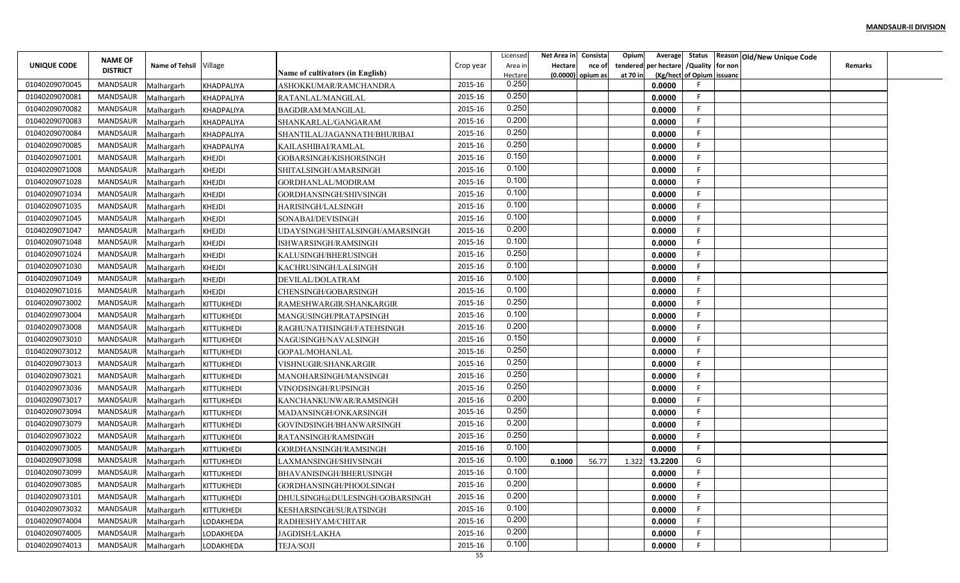|                | <b>NAME OF</b>  |                        |                   |                                  |           | Licensed         | Net Area in    | Consista            | Opium    | Average              |                           | Status Reason Old/New Unique Code |                |  |
|----------------|-----------------|------------------------|-------------------|----------------------------------|-----------|------------------|----------------|---------------------|----------|----------------------|---------------------------|-----------------------------------|----------------|--|
| UNIQUE CODE    | <b>DISTRICT</b> | Name of Tehsil Village |                   | Name of cultivators (in English) | Crop year | Area in          | <b>Hectare</b> | nce of              |          | tendered per hectare | /Quality for non          |                                   | <b>Remarks</b> |  |
| 01040209070045 | <b>MANDSAUR</b> | Malhargarh             | KHADPALIYA        | ASHOKKUMAR/RAMCHANDRA            | 2015-16   | Hectare<br>0.250 |                | $(0.0000)$ opium as | at 70 in | 0.0000               | (Kg/hect of Opium issuanc |                                   |                |  |
| 01040209070081 | MANDSAUR        | Malhargarh             | <b>KHADPALIYA</b> | RATANLAL/MANGILAL                | 2015-16   | 0.250            |                |                     |          | 0.0000               | F                         |                                   |                |  |
| 01040209070082 | MANDSAUR        | Malhargarh             | KHADPALIYA        | <b>BAGDIRAM/MANGILAL</b>         | 2015-16   | 0.250            |                |                     |          | 0.0000               | F                         |                                   |                |  |
| 01040209070083 | MANDSAUR        | Malhargarh             | KHADPALIYA        | SHANKARLAL/GANGARAM              | 2015-16   | 0.200            |                |                     |          | 0.0000               | F                         |                                   |                |  |
| 01040209070084 | MANDSAUR        | Malhargarh             | KHADPALIYA        | SHANTILAL/JAGANNATH/BHURIBAI     | 2015-16   | 0.250            |                |                     |          | 0.0000               |                           |                                   |                |  |
| 01040209070085 | MANDSAUR        | Malhargarh             | KHADPALIYA        | KAILASHIBAI/RAMLAL               | 2015-16   | 0.250            |                |                     |          | 0.0000               | F                         |                                   |                |  |
| 01040209071001 | <b>MANDSAUR</b> | Malhargarh             | <b>KHEJDI</b>     | GOBARSINGH/KISHORSINGH           | 2015-16   | 0.150            |                |                     |          | 0.0000               | F                         |                                   |                |  |
| 01040209071008 | MANDSAUR        | Malhargarh             | <b>KHEJDI</b>     | SHITALSINGH/AMARSINGH            | 2015-16   | 0.100            |                |                     |          | 0.0000               |                           |                                   |                |  |
| 01040209071028 | MANDSAUR        | Malhargarh             | <b>KHEJDI</b>     | GORDHANLAL/MODIRAM               | 2015-16   | 0.100            |                |                     |          | 0.0000               |                           |                                   |                |  |
| 01040209071034 | MANDSAUR        | Malhargarh             | <b>KHEJDI</b>     | GORDHANSINGH/SHIVSINGH           | 2015-16   | 0.100            |                |                     |          | 0.0000               | F                         |                                   |                |  |
| 01040209071035 | MANDSAUR        | Malhargarh             | <b>KHEJDI</b>     | HARISINGH/LALSINGH               | 2015-16   | 0.100            |                |                     |          | 0.0000               | F                         |                                   |                |  |
| 01040209071045 | MANDSAUR        | Malhargarh             | <b>KHEJDI</b>     | SONABAI/DEVISINGH                | 2015-16   | 0.100            |                |                     |          | 0.0000               | F                         |                                   |                |  |
| 01040209071047 | MANDSAUR        | Malhargarh             | <b>KHEJDI</b>     | UDAYSINGH/SHITALSINGH/AMARSINGH  | 2015-16   | 0.200            |                |                     |          | 0.0000               |                           |                                   |                |  |
| 01040209071048 | <b>MANDSAUR</b> | Malhargarh             | KHEJDI            | ISHWARSINGH/RAMSINGH             | 2015-16   | 0.100            |                |                     |          | 0.0000               |                           |                                   |                |  |
| 01040209071024 | <b>MANDSAUR</b> | Malhargarh             | KHEJDI            | KALUSINGH/BHERUSINGH             | 2015-16   | 0.250            |                |                     |          | 0.0000               |                           |                                   |                |  |
| 01040209071030 | MANDSAUR        | Malhargarh             | <b>KHEJDI</b>     | KACHRUSINGH/LALSINGH             | 2015-16   | 0.100            |                |                     |          | 0.0000               |                           |                                   |                |  |
| 01040209071049 | MANDSAUR        | Malhargarh             | <b>KHEJDI</b>     | DEVILAL/DOLATRAM                 | 2015-16   | 0.100            |                |                     |          | 0.0000               |                           |                                   |                |  |
| 01040209071016 | MANDSAUR        | Malhargarh             | <b>KHEJDI</b>     | CHENSINGH/GOBARSINGH             | 2015-16   | 0.100            |                |                     |          | 0.0000               | -F                        |                                   |                |  |
| 01040209073002 | MANDSAUR        | Malhargarh             | KITTUKHEDI        | RAMESHWARGIR/SHANKARGIR          | 2015-16   | 0.250            |                |                     |          | 0.0000               |                           |                                   |                |  |
| 01040209073004 | MANDSAUR        | Malhargarh             | KITTUKHEDI        | MANGUSINGH/PRATAPSINGH           | 2015-16   | 0.100            |                |                     |          | 0.0000               | F                         |                                   |                |  |
| 01040209073008 | MANDSAUR        | Malhargarh             | KITTUKHEDI        | RAGHUNATHSINGH/FATEHSINGH        | 2015-16   | 0.200            |                |                     |          | 0.0000               |                           |                                   |                |  |
| 01040209073010 | MANDSAUR        | Malhargarh             | KITTUKHEDI        | NAGUSINGH/NAVALSINGH             | 2015-16   | 0.150            |                |                     |          | 0.0000               |                           |                                   |                |  |
| 01040209073012 | MANDSAUR        | Malhargarh             | KITTUKHEDI        | GOPAL/MOHANLAL                   | 2015-16   | 0.250            |                |                     |          | 0.0000               | F                         |                                   |                |  |
| 01040209073013 | MANDSAUR        | Malhargarh             | KITTUKHEDI        | VISHNUGIR/SHANKARGIR             | 2015-16   | 0.250            |                |                     |          | 0.0000               | F                         |                                   |                |  |
| 01040209073021 | MANDSAUR        | Malhargarh             | KITTUKHEDI        | MANOHARSINGH/MANSINGH            | 2015-16   | 0.250            |                |                     |          | 0.0000               |                           |                                   |                |  |
| 01040209073036 | MANDSAUR        | Malhargarh             | KITTUKHEDI        | VINODSINGH/RUPSINGH              | 2015-16   | 0.250            |                |                     |          | 0.0000               |                           |                                   |                |  |
| 01040209073017 | MANDSAUR        | Malhargarh             | KITTUKHEDI        | KANCHANKUNWAR/RAMSINGH           | 2015-16   | 0.200            |                |                     |          | 0.0000               | F                         |                                   |                |  |
| 01040209073094 | MANDSAUR        | Malhargarh             | <b>KITTUKHEDI</b> | MADANSINGH/ONKARSINGH            | 2015-16   | 0.250            |                |                     |          | 0.0000               | F                         |                                   |                |  |
| 01040209073079 | MANDSAUR        | Malhargarh             | KITTUKHEDI        | GOVINDSINGH/BHANWARSINGH         | 2015-16   | 0.200            |                |                     |          | 0.0000               | F                         |                                   |                |  |
| 01040209073022 | MANDSAUR        | Malhargarh             | KITTUKHEDI        | RATANSINGH/RAMSINGH              | 2015-16   | 0.250            |                |                     |          | 0.0000               |                           |                                   |                |  |
| 01040209073005 | <b>MANDSAUR</b> | Malhargarh             | KITTUKHEDI        | GORDHANSINGH/RAMSINGH            | 2015-16   | 0.100            |                |                     |          | 0.0000               |                           |                                   |                |  |
| 01040209073098 | <b>MANDSAUR</b> | Malhargarh             | KITTUKHEDI        | LAXMANSINGH/SHIVSINGH            | 2015-16   | 0.100            | 0.1000         | 56.77               | 1.322    | 13.2200              | G                         |                                   |                |  |
| 01040209073099 | MANDSAUR        | Malhargarh             | KITTUKHEDI        | <b>BHAVANISINGH/BHERUSINGH</b>   | 2015-16   | 0.100            |                |                     |          | 0.0000               | F                         |                                   |                |  |
| 01040209073085 | MANDSAUR        | Malhargarh             | KITTUKHEDI        | GORDHANSINGH/PHOOLSINGH          | 2015-16   | 0.200            |                |                     |          | 0.0000               |                           |                                   |                |  |
| 01040209073101 | MANDSAUR        | Malhargarh             | KITTUKHEDI        | DHULSINGH@DULESINGH/GOBARSINGH   | 2015-16   | 0.200            |                |                     |          | 0.0000               | F                         |                                   |                |  |
| 01040209073032 | <b>MANDSAUR</b> | Malhargarh             | KITTUKHEDI        | KESHARSINGH/SURATSINGH           | 2015-16   | 0.100            |                |                     |          | 0.0000               | F                         |                                   |                |  |
| 01040209074004 | MANDSAUR        | Malhargarh             | LODAKHEDA         | RADHESHYAM/CHITAR                | 2015-16   | 0.200            |                |                     |          | 0.0000               | F.                        |                                   |                |  |
| 01040209074005 | MANDSAUR        | Malhargarh             | LODAKHEDA         | JAGDISH/LAKHA                    | 2015-16   | 0.200            |                |                     |          | 0.0000               | -F                        |                                   |                |  |
| 01040209074013 | MANDSAUR        | Malhargarh             | LODAKHEDA         | <b>TEJA/SOJI</b>                 | 2015-16   | 0.100            |                |                     |          | 0.0000               |                           |                                   |                |  |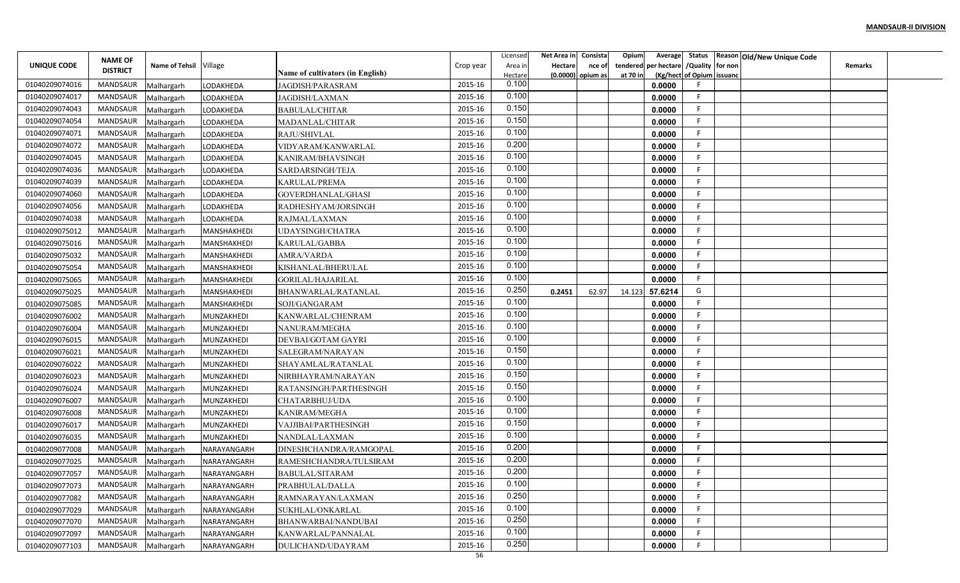|                | <b>NAME OF</b>  |                        |             |                                  |           | Licensed         | Net Area in | Consista | Opium    | Average     |                           | Status Reason Old/New Unique Code |                |  |
|----------------|-----------------|------------------------|-------------|----------------------------------|-----------|------------------|-------------|----------|----------|-------------|---------------------------|-----------------------------------|----------------|--|
| UNIQUE CODE    | <b>DISTRICT</b> | Name of Tehsil Village |             | Name of cultivators (in English) | Crop year | Area in          | Hectare     | nce of   | tendered | per hectare | /Quality for non          |                                   | <b>Remarks</b> |  |
| 01040209074016 | MANDSAUR        | Malhargarh             | LODAKHEDA   | <b>JAGDISH/PARASRAM</b>          | 2015-16   | Hectare<br>0.100 | (0.0000)    | opium as | at 70 in | 0.0000      | (Kg/hect of Opium issuanc |                                   |                |  |
| 01040209074017 | MANDSAUR        | Malhargarh             | LODAKHEDA   | JAGDISH/LAXMAN                   | 2015-16   | 0.100            |             |          |          | 0.0000      | E                         |                                   |                |  |
| 01040209074043 | MANDSAUR        | Malhargarh             | LODAKHEDA   | <b>BABULAL/CHITAR</b>            | 2015-16   | 0.150            |             |          |          | 0.0000      |                           |                                   |                |  |
| 01040209074054 | <b>MANDSAUR</b> | Malhargarh             | LODAKHEDA   | MADANLAL/CHITAR                  | 2015-16   | 0.150            |             |          |          | 0.0000      | F                         |                                   |                |  |
| 01040209074071 | MANDSAUR        | Malhargarh             | LODAKHEDA   | RAJU/SHIVLAL                     | 2015-16   | 0.100            |             |          |          | 0.0000      |                           |                                   |                |  |
| 01040209074072 | MANDSAUR        | Malhargarh             | LODAKHEDA   | VIDYARAM/KANWARLAL               | 2015-16   | 0.200            |             |          |          | 0.0000      |                           |                                   |                |  |
| 01040209074045 | MANDSAUR        | Malhargarh             | LODAKHEDA   | KANIRAM/BHAVSINGH                | 2015-16   | 0.100            |             |          |          | 0.0000      |                           |                                   |                |  |
| 01040209074036 | MANDSAUR        | Malhargarh             | LODAKHEDA   | <b>SARDARSINGH/TEJA</b>          | 2015-16   | 0.100            |             |          |          | 0.0000      | E                         |                                   |                |  |
| 01040209074039 | MANDSAUR        | Malhargarh             | LODAKHEDA   | KARULAL/PREMA                    | 2015-16   | 0.100            |             |          |          | 0.0000      |                           |                                   |                |  |
| 01040209074060 | MANDSAUR        | Malhargarh             | LODAKHEDA   | <b>GOVERDHANLAL/GHASI</b>        | 2015-16   | 0.100            |             |          |          | 0.0000      |                           |                                   |                |  |
| 01040209074056 | MANDSAUR        | Malhargarh             | LODAKHEDA   | RADHESHYAM/JORSINGH              | 2015-16   | 0.100            |             |          |          | 0.0000      |                           |                                   |                |  |
| 01040209074038 | MANDSAUR        | Malhargarh             | LODAKHEDA   | RAJMAL/LAXMAN                    | 2015-16   | 0.100            |             |          |          | 0.0000      |                           |                                   |                |  |
| 01040209075012 | MANDSAUR        | Malhargarh             | MANSHAKHEDI | UDAYSINGH/CHATRA                 | 2015-16   | 0.100            |             |          |          | 0.0000      | E                         |                                   |                |  |
| 01040209075016 | MANDSAUR        | Malhargarh             | MANSHAKHEDI | KARULAL/GABBA                    | 2015-16   | 0.100            |             |          |          | 0.0000      |                           |                                   |                |  |
| 01040209075032 | MANDSAUR        | Malhargarh             | MANSHAKHEDI | <b>AMRA/VARDA</b>                | 2015-16   | 0.100            |             |          |          | 0.0000      |                           |                                   |                |  |
| 01040209075054 | MANDSAUR        | Malhargarh             | MANSHAKHEDI | KISHANLAL/BHERULAL               | 2015-16   | 0.100            |             |          |          | 0.0000      |                           |                                   |                |  |
| 01040209075065 | MANDSAUR        | Malhargarh             | MANSHAKHEDI | GORILAL/HAJARILAL                | 2015-16   | 0.100            |             |          |          | 0.0000      |                           |                                   |                |  |
| 01040209075025 | <b>MANDSAUR</b> | Malhargarh             | MANSHAKHEDI | BHANWARLAL/RATANLAL              | 2015-16   | 0.250            | 0.2451      | 62.97    | 14.123   | 57.6214     | G                         |                                   |                |  |
| 01040209075085 | MANDSAUR        | Malhargarh             | MANSHAKHEDI | SOJI/GANGARAM                    | 2015-16   | 0.100            |             |          |          | 0.0000      |                           |                                   |                |  |
| 01040209076002 | MANDSAUR        | Malhargarh             | MUNZAKHEDI  | KANWARLAL/CHENRAM                | 2015-16   | 0.100            |             |          |          | 0.0000      |                           |                                   |                |  |
| 01040209076004 | MANDSAUR        | Malhargarh             | MUNZAKHEDI  | NANURAM/MEGHA                    | 2015-16   | 0.100            |             |          |          | 0.0000      |                           |                                   |                |  |
| 01040209076015 | MANDSAUR        | Malhargarh             | MUNZAKHEDI  | DEVBAI/GOTAM GAYRI               | 2015-16   | 0.100            |             |          |          | 0.0000      |                           |                                   |                |  |
| 01040209076021 | MANDSAUR        | Malhargarh             | MUNZAKHEDI  | SALEGRAM/NARAYAN                 | 2015-16   | 0.150            |             |          |          | 0.0000      |                           |                                   |                |  |
| 01040209076022 | MANDSAUR        | Malhargarh             | MUNZAKHEDI  | SHAYAMLAL/RATANLAL               | 2015-16   | 0.100            |             |          |          | 0.0000      |                           |                                   |                |  |
| 01040209076023 | MANDSAUR        | Malhargarh             | MUNZAKHEDI  | NIRBHAYRAM/NARAYAN               | 2015-16   | 0.150            |             |          |          | 0.0000      |                           |                                   |                |  |
| 01040209076024 | MANDSAUR        | Malhargarh             | MUNZAKHEDI  | RATANSINGH/PARTHESINGH           | 2015-16   | 0.150            |             |          |          | 0.0000      |                           |                                   |                |  |
| 01040209076007 | MANDSAUR        | Malhargarh             | MUNZAKHEDI  | <b>CHATARBHUJ/UDA</b>            | 2015-16   | 0.100            |             |          |          | 0.0000      | E                         |                                   |                |  |
| 01040209076008 | MANDSAUR        | Malhargarh             | MUNZAKHEDI  | KANIRAM/MEGHA                    | 2015-16   | 0.100            |             |          |          | 0.0000      |                           |                                   |                |  |
| 01040209076017 | MANDSAUR        | Malhargarh             | MUNZAKHEDI  | VAJJIBAI/PARTHESINGH             | 2015-16   | 0.150            |             |          |          | 0.0000      |                           |                                   |                |  |
| 01040209076035 | MANDSAUR        | Malhargarh             | MUNZAKHEDI  | NANDLAL/LAXMAN                   | 2015-16   | 0.100            |             |          |          | 0.0000      |                           |                                   |                |  |
| 01040209077008 | MANDSAUR        | Malhargarh             | NARAYANGARH | DINESHCHANDRA/RAMGOPAL           | 2015-16   | 0.200            |             |          |          | 0.0000      |                           |                                   |                |  |
| 01040209077025 | MANDSAUR        | Malhargarh             | NARAYANGARH | RAMESHCHANDRA/TULSIRAM           | 2015-16   | 0.200            |             |          |          | 0.0000      |                           |                                   |                |  |
| 01040209077057 | MANDSAUR        | Malhargarh             | NARAYANGARH | <b>BABULAL/SITARAM</b>           | 2015-16   | 0.200            |             |          |          | 0.0000      |                           |                                   |                |  |
| 01040209077073 | MANDSAUR        | Malhargarh             | NARAYANGARH | PRABHULAL/DALLA                  | 2015-16   | 0.100            |             |          |          | 0.0000      | F                         |                                   |                |  |
| 01040209077082 | MANDSAUR        | Malhargarh             | NARAYANGARH | RAMNARAYAN/LAXMAN                | 2015-16   | 0.250            |             |          |          | 0.0000      |                           |                                   |                |  |
| 01040209077029 | MANDSAUR        | Malhargarh             | NARAYANGARH | SUKHLAL/ONKARLAL                 | 2015-16   | 0.100            |             |          |          | 0.0000      | F                         |                                   |                |  |
| 01040209077070 | MANDSAUR        | Malhargarh             | NARAYANGARH | BHANWARBAI/NANDUBAI              | 2015-16   | 0.250            |             |          |          | 0.0000      | E                         |                                   |                |  |
| 01040209077097 | MANDSAUR        | Malhargarh             | NARAYANGARH | KANWARLAL/PANNALAL               | 2015-16   | 0.100            |             |          |          | 0.0000      | -F                        |                                   |                |  |
| 01040209077103 | MANDSAUR        | Malhargarh             | NARAYANGARH | DULICHAND/UDAYRAM                | 2015-16   | 0.250            |             |          |          | 0.0000      |                           |                                   |                |  |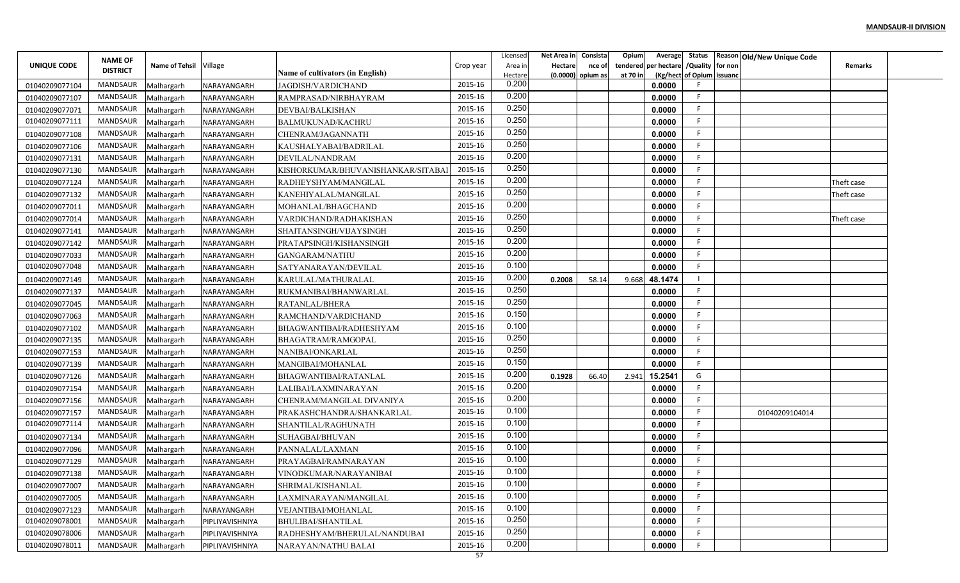|                                  | <b>NAME OF</b>  |                          |                                |                                                   |           | Licensed         | Net Area in Consista |        | Opium    | Average                       |                           | Status Reason Old/New Unique Code |                |  |
|----------------------------------|-----------------|--------------------------|--------------------------------|---------------------------------------------------|-----------|------------------|----------------------|--------|----------|-------------------------------|---------------------------|-----------------------------------|----------------|--|
| UNIQUE CODE                      | <b>DISTRICT</b> | Name of Tehsil Village   |                                |                                                   | Crop year | Area in          | <b>Hectare</b>       | nce of | tendered | per hectare / Quality for non |                           |                                   | <b>Remarks</b> |  |
|                                  | MANDSAUR        |                          |                                | <b>Name of cultivators (in English)</b>           | 2015-16   | Hectare<br>0.200 | (0.0000) opium as    |        | at 70 in | 0.0000                        | (Kg/hect of Opium issuanc |                                   |                |  |
| 01040209077104                   | MANDSAUR        | Malhargarh               | NARAYANGARH                    | JAGDISH/VARDICHAND<br>RAMPRASAD/NIRBHAYRAM        | 2015-16   | 0.200            |                      |        |          | 0.0000                        | F                         |                                   |                |  |
| 01040209077107                   | MANDSAUR        | Malhargarh               | NARAYANGARH                    | DEVBAI/BALKISHAN                                  | 2015-16   | 0.250            |                      |        |          | 0.0000                        | F                         |                                   |                |  |
| 01040209077071<br>01040209077111 | <b>MANDSAUR</b> | Malhargarh               | NARAYANGARH                    |                                                   | 2015-16   | 0.250            |                      |        |          | 0.0000                        | F.                        |                                   |                |  |
|                                  | MANDSAUR        | Malhargarh               | NARAYANGARH                    | BALMUKUNAD/KACHRU                                 | 2015-16   | 0.250            |                      |        |          | 0.0000                        |                           |                                   |                |  |
| 01040209077108                   | MANDSAUR        | Malhargarh               | NARAYANGARH                    | CHENRAM/JAGANNATH                                 | 2015-16   | 0.250            |                      |        |          | 0.0000                        |                           |                                   |                |  |
| 01040209077106<br>01040209077131 | MANDSAUR        | Malhargarh               | NARAYANGARH<br>NARAYANGARH     | KAUSHALYABAI/BADRILAL<br>DEVILAL/NANDRAM          | 2015-16   | 0.200            |                      |        |          | 0.0000                        |                           |                                   |                |  |
|                                  | MANDSAUR        | Malhargarh               |                                | KISHORKUMAR/BHUVANISHANKAR/SITABA                 | 2015-16   | 0.250            |                      |        |          | 0.0000                        |                           |                                   |                |  |
| 01040209077130<br>01040209077124 | MANDSAUR        | Malhargarh<br>Malhargarh | NARAYANGARH<br>NARAYANGARH     | RADHEYSHYAM/MANGILAL                              | 2015-16   | 0.200            |                      |        |          | 0.0000                        |                           |                                   | Theft case     |  |
|                                  | MANDSAUR        |                          |                                |                                                   | 2015-16   | 0.250            |                      |        |          | 0.0000                        |                           |                                   |                |  |
| 01040209077132                   | MANDSAUR        | Malhargarh<br>Malhargarh | NARAYANGARH<br>NARAYANGARH     | KANEHIYALAL/MANGILAL<br>MOHANLAL/BHAGCHAND        | 2015-16   | 0.200            |                      |        |          | 0.0000                        | F                         |                                   | Theft case     |  |
| 01040209077011                   | MANDSAUR        |                          |                                |                                                   | 2015-16   | 0.250            |                      |        |          | 0.0000                        | F                         |                                   |                |  |
| 01040209077014                   | MANDSAUR        | Malhargarh<br>Malhargarh | NARAYANGARH<br>NARAYANGARH     | VARDICHAND/RADHAKISHAN<br>SHAITANSINGH/VIJAYSINGH | 2015-16   | 0.250            |                      |        |          | 0.0000                        | -F                        |                                   | Theft case     |  |
| 01040209077141                   | MANDSAUR        |                          |                                |                                                   | 2015-16   | 0.200            |                      |        |          | 0.0000                        |                           |                                   |                |  |
| 01040209077142                   | MANDSAUR        | Malhargarh               | NARAYANGARH                    | PRATAPSINGH/KISHANSINGH                           | 2015-16   | 0.200            |                      |        |          | 0.0000                        |                           |                                   |                |  |
| 01040209077033<br>01040209077048 | MANDSAUR        | Malhargarh               | NARAYANGARH<br>NARAYANGARH     | GANGARAM/NATHU                                    | 2015-16   | 0.100            |                      |        |          | 0.0000                        | F                         |                                   |                |  |
|                                  | MANDSAUR        | Malhargarh               |                                | SATYANARAYAN/DEVILAL                              | 2015-16   | 0.200            | 0.2008               |        |          | 48.1474                       |                           |                                   |                |  |
| 01040209077149                   | MANDSAUR        | Malhargarh               | NARAYANGARH                    | KARULAL/MATHURALAL                                | 2015-16   | 0.250            |                      | 58.14  | 9.668    | 0.0000                        |                           |                                   |                |  |
| 01040209077137                   | MANDSAUR        | Malhargarh               | NARAYANGARH                    | RUKMANIBAI/BHANWARLAL                             | 2015-16   | 0.250            |                      |        |          | 0.0000                        | F                         |                                   |                |  |
| 01040209077045                   | MANDSAUR        | Malhargarh               | NARAYANGARH                    | RATANLAL/BHERA                                    | 2015-16   | 0.150            |                      |        |          | 0.0000                        | F                         |                                   |                |  |
| 01040209077063                   | MANDSAUR        | Malhargarh               | NARAYANGARH                    | RAMCHAND/VARDICHAND                               | 2015-16   | 0.100            |                      |        |          | 0.0000                        |                           |                                   |                |  |
| 01040209077102                   | MANDSAUR        | Malhargarh               | NARAYANGARH                    | BHAGWANTIBAI/RADHESHYAM                           | 2015-16   | 0.250            |                      |        |          | 0.0000                        | F                         |                                   |                |  |
| 01040209077135                   | MANDSAUR        | Malhargarh               | NARAYANGARH                    | BHAGATRAM/RAMGOPAL                                | 2015-16   | 0.250            |                      |        |          | 0.0000                        | F                         |                                   |                |  |
| 01040209077153                   | MANDSAUR        | Malhargarh               | NARAYANGARH                    | NANIBAI/ONKARLAL<br>MANGIBAI/MOHANLAL             | 2015-16   | 0.150            |                      |        |          | 0.0000                        | F                         |                                   |                |  |
| 01040209077139                   | MANDSAUR        | Malhargarh               | NARAYANGARH                    |                                                   | 2015-16   | 0.200            | 0.1928               |        |          | 15.2541                       | G                         |                                   |                |  |
| 01040209077126                   | MANDSAUR        | Malhargarh               | NARAYANGARH                    | BHAGWANTIBAI/RATANLAL                             | 2015-16   | 0.200            |                      | 66.40  | 2.941    | 0.0000                        |                           |                                   |                |  |
| 01040209077154                   | MANDSAUR        | Malhargarh               | NARAYANGARH                    | LALIBAI/LAXMINARAYAN                              | 2015-16   | 0.200            |                      |        |          | 0.0000                        | F                         |                                   |                |  |
| 01040209077156                   | MANDSAUR        | Malhargarh               | NARAYANGARH                    | CHENRAM/MANGILAL DIVANIYA                         | 2015-16   | 0.100            |                      |        |          | 0.0000                        | F                         |                                   |                |  |
| 01040209077157<br>01040209077114 | MANDSAUR        | Malhargarh               | NARAYANGARH                    | PRAKASHCHANDRA/SHANKARLAL                         | 2015-16   | 0.100            |                      |        |          | 0.0000                        | F.                        | 01040209104014                    |                |  |
|                                  | MANDSAUR        | Malhargarh<br>Malhargarh | NARAYANGARH<br>NARAYANGARH     | SHANTILAL/RAGHUNATH<br>SUHAGBAI/BHUVAN            | 2015-16   | 0.100            |                      |        |          | 0.0000                        |                           |                                   |                |  |
| 01040209077134<br>01040209077096 | MANDSAUR        | Malhargarh               | NARAYANGARH                    | PANNALAL/LAXMAN                                   | 2015-16   | 0.100            |                      |        |          | 0.0000                        |                           |                                   |                |  |
| 01040209077129                   | MANDSAUR        | Malhargarh               | NARAYANGARH                    | PRAYAGBAI/RAMNARAYAN                              | 2015-16   | 0.100            |                      |        |          | 0.0000                        |                           |                                   |                |  |
|                                  | MANDSAUR        |                          | NARAYANGARH                    |                                                   | 2015-16   | 0.100            |                      |        |          | 0.0000                        | F.                        |                                   |                |  |
| 01040209077138                   | MANDSAUR        | Malhargarh<br>Malhargarh |                                | VINODKUMAR/NARAYANIBAI                            | 2015-16   | 0.100            |                      |        |          | 0.0000                        |                           |                                   |                |  |
| 01040209077007                   | MANDSAUR        |                          | NARAYANGARH<br>NARAYANGARH     | SHRIMAL/KISHANLAL<br>LAXMINARAYAN/MANGILAL        | 2015-16   | 0.100            |                      |        |          | 0.0000                        |                           |                                   |                |  |
| 01040209077005                   | MANDSAUR        | Malhargarh<br>Malhargarh |                                |                                                   | 2015-16   | 0.100            |                      |        |          | 0.0000                        | F.                        |                                   |                |  |
| 01040209077123<br>01040209078001 | MANDSAUR        | Malhargarh               | NARAYANGARH<br>PIPLIYAVISHNIYA | VEJANTIBAI/MOHANLAL<br><b>BHULIBAI/SHANTILAL</b>  | 2015-16   | 0.250            |                      |        |          | 0.0000                        | F                         |                                   |                |  |
| 01040209078006                   | MANDSAUR        |                          |                                | RADHESHYAM/BHERULAL/NANDUBAI                      | 2015-16   | 0.250            |                      |        |          |                               | F.                        |                                   |                |  |
| 01040209078011                   | MANDSAUR        | Malhargarh               | PIPLIYAVISHNIYA                |                                                   | 2015-16   | 0.200            |                      |        |          | 0.0000                        |                           |                                   |                |  |
|                                  |                 | Malhargarh               | PIPLIYAVISHNIYA                | NARAYAN/NATHU BALAI                               |           |                  |                      |        |          | 0.0000                        |                           |                                   |                |  |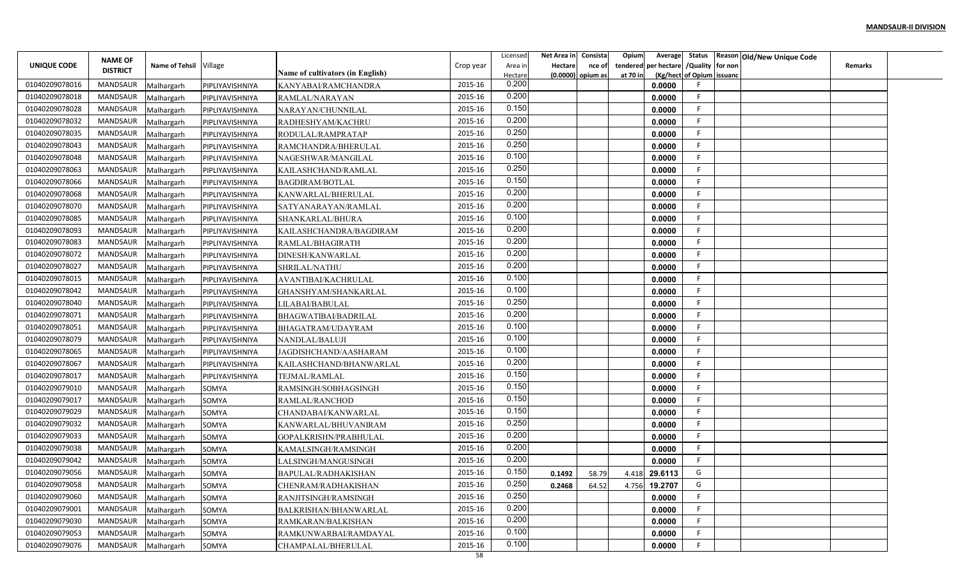|                                  |                                   |                        |                 |                                  |                    | Licensed         | Net Area in    | Consista            | Opium    |                                        |                           | Average Status Reason Old/New Unique Code |                |  |
|----------------------------------|-----------------------------------|------------------------|-----------------|----------------------------------|--------------------|------------------|----------------|---------------------|----------|----------------------------------------|---------------------------|-------------------------------------------|----------------|--|
| UNIQUE CODE                      | <b>NAME OF</b><br><b>DISTRICT</b> | Name of Tehsil Village |                 |                                  | Crop year          | Area in          | <b>Hectare</b> | nce of              |          | tendered per hectare / Quality for non |                           |                                           | <b>Remarks</b> |  |
|                                  |                                   |                        |                 | Name of cultivators (in English) | 2015-16            | Hectare<br>0.200 |                | $(0.0000)$ opium as | at 70 in |                                        | (Kg/hect of Opium issuanc |                                           |                |  |
| 01040209078016<br>01040209078018 | MANDSAUR<br>MANDSAUR              | Malhargarh             | PIPLIYAVISHNIYA | KANYABAI/RAMCHANDRA              | 2015-16            | 0.200            |                |                     |          | 0.0000                                 | F.                        |                                           |                |  |
|                                  |                                   | Malhargarh             | PIPLIYAVISHNIYA | RAMLAL/NARAYAN                   |                    | 0.150            |                |                     |          | 0.0000                                 | -F                        |                                           |                |  |
| 01040209078028<br>01040209078032 | MANDSAUR<br><b>MANDSAUR</b>       | Malhargarh             | PIPLIYAVISHNIYA | NARAYAN/CHUNNILAL                | 2015-16<br>2015-16 | 0.200            |                |                     |          | 0.0000                                 | F.                        |                                           |                |  |
|                                  | MANDSAUR                          | Malhargarh             | PIPLIYAVISHNIYA | RADHESHYAM/KACHRU                | 2015-16            | 0.250            |                |                     |          | 0.0000                                 | F.                        |                                           |                |  |
| 01040209078035                   |                                   | Malhargarh             | PIPLIYAVISHNIYA | RODULAL/RAMPRATAP                |                    | 0.250            |                |                     |          | 0.0000                                 | F.                        |                                           |                |  |
| 01040209078043                   | MANDSAUR                          | Malhargarh             | PIPLIYAVISHNIYA | RAMCHANDRA/BHERULAL              | 2015-16            | 0.100            |                |                     |          | 0.0000                                 | F.                        |                                           |                |  |
| 01040209078048                   | MANDSAUR                          | Malhargarh             | PIPLIYAVISHNIYA | NAGESHWAR/MANGILAL               | 2015-16            | 0.250            |                |                     |          | 0.0000                                 | F.                        |                                           |                |  |
| 01040209078063                   | MANDSAUR                          | Malhargarh             | PIPLIYAVISHNIYA | KAILASHCHAND/RAMLAL              | 2015-16            | 0.150            |                |                     |          | 0.0000                                 | F                         |                                           |                |  |
| 01040209078066                   | MANDSAUR                          | Malhargarh             | PIPLIYAVISHNIYA | <b>BAGDIRAM/BOTLAL</b>           | 2015-16            | 0.200            |                |                     |          | 0.0000                                 | F                         |                                           |                |  |
| 01040209078068                   | MANDSAUR                          | Malhargarh             | PIPLIYAVISHNIYA | KANWARLAL/BHERULAL               | 2015-16            | 0.200            |                |                     |          | 0.0000                                 | -F                        |                                           |                |  |
| 01040209078070                   | MANDSAUR                          | Malhargarh             | PIPLIYAVISHNIYA | SATYANARAYAN/RAMLAL              | 2015-16            | 0.100            |                |                     |          | 0.0000                                 | -F                        |                                           |                |  |
| 01040209078085                   | MANDSAUR                          | Malhargarh             | PIPLIYAVISHNIYA | SHANKARLAL/BHURA                 | 2015-16            | 0.200            |                |                     |          | 0.0000                                 |                           |                                           |                |  |
| 01040209078093                   | MANDSAUR                          | Malhargarh             | PIPLIYAVISHNIYA | KAILASHCHANDRA/BAGDIRAM          | 2015-16            | 0.200            |                |                     |          | 0.0000                                 | F.<br>F                   |                                           |                |  |
| 01040209078083                   | MANDSAUR                          | Malhargarh             | PIPLIYAVISHNIYA | RAMLAL/BHAGIRATH                 | 2015-16            | 0.200            |                |                     |          | 0.0000                                 |                           |                                           |                |  |
| 01040209078072                   | MANDSAUR                          | Malhargarh             | PIPLIYAVISHNIYA | DINESH/KANWARLAL                 | 2015-16            | 0.200            |                |                     |          | 0.0000                                 | F.                        |                                           |                |  |
| 01040209078027                   | MANDSAUR                          | Malhargarh             | PIPLIYAVISHNIYA | SHRILAL/NATHU                    | 2015-16            | 0.100            |                |                     |          | 0.0000                                 | F.                        |                                           |                |  |
| 01040209078015                   | MANDSAUR                          | Malhargarh             | PIPLIYAVISHNIYA | AVANTIBAI/KACHRULAL              | 2015-16            | 0.100            |                |                     |          | 0.0000                                 | F                         |                                           |                |  |
| 01040209078042                   | MANDSAUR                          | Malhargarh             | PIPLIYAVISHNIYA | GHANSHYAM/SHANKARLAL             | 2015-16            | 0.250            |                |                     |          | 0.0000                                 | F                         |                                           |                |  |
| 01040209078040                   | MANDSAUR                          | Malhargarh             | PIPLIYAVISHNIYA | LILABAI/BABULAL                  | 2015-16            |                  |                |                     |          | 0.0000                                 | -F                        |                                           |                |  |
| 01040209078071                   | MANDSAUR                          | Malhargarh             | PIPLIYAVISHNIYA | BHAGWATIBAI/BADRILAL             | 2015-16            | 0.200            |                |                     |          | 0.0000                                 | F.                        |                                           |                |  |
| 01040209078051                   | MANDSAUR                          | Malhargarh             | PIPLIYAVISHNIYA | BHAGATRAM/UDAYRAM                | 2015-16            | 0.100            |                |                     |          | 0.0000                                 | F.                        |                                           |                |  |
| 01040209078079                   | MANDSAUR                          | Malhargarh             | PIPLIYAVISHNIYA | NANDLAL/BALUJI                   | 2015-16            | 0.100            |                |                     |          | 0.0000                                 | F.                        |                                           |                |  |
| 01040209078065                   | MANDSAUR                          | Malhargarh             | PIPLIYAVISHNIYA | JAGDISHCHAND/AASHARAM            | 2015-16            | 0.100            |                |                     |          | 0.0000                                 | F.                        |                                           |                |  |
| 01040209078067                   | MANDSAUR                          | Malhargarh             | PIPLIYAVISHNIYA | KAILASHCHAND/BHANWARLAL          | 2015-16            | 0.200            |                |                     |          | 0.0000                                 | F                         |                                           |                |  |
| 01040209078017                   | MANDSAUR                          | Malhargarh             | PIPLIYAVISHNIYA | TEJMAL/RAMLAL                    | 2015-16            | 0.150            |                |                     |          | 0.0000                                 | F                         |                                           |                |  |
| 01040209079010                   | MANDSAUR                          | Malhargarh             | SOMYA           | RAMSINGH/SOBHAGSINGH             | 2015-16            | 0.150            |                |                     |          | 0.0000                                 | E                         |                                           |                |  |
| 01040209079017                   | MANDSAUR                          | Malhargarh             | SOMYA           | RAMLAL/RANCHOD                   | 2015-16            | 0.150            |                |                     |          | 0.0000                                 | F.                        |                                           |                |  |
| 01040209079029                   | MANDSAUR                          | Malhargarh             | SOMYA           | CHANDABAI/KANWARLAL              | 2015-16            | 0.150            |                |                     |          | 0.0000                                 | F                         |                                           |                |  |
| 01040209079032                   | MANDSAUR                          | Malhargarh             | SOMYA           | KANWARLAL/BHUVANIRAM             | 2015-16            | 0.250            |                |                     |          | 0.0000                                 | F.                        |                                           |                |  |
| 01040209079033                   | MANDSAUR                          | Malhargarh             | SOMYA           | GOPALKRISHN/PRABHULAL            | 2015-16            | 0.200            |                |                     |          | 0.0000                                 | F                         |                                           |                |  |
| 01040209079038                   | MANDSAUR                          | Malhargarh             | SOMYA           | KAMALSINGH/RAMSINGH              | 2015-16            | 0.200            |                |                     |          | 0.0000                                 | F.                        |                                           |                |  |
| 01040209079042                   | MANDSAUR                          | Malhargarh             | SOMYA           | LALSINGH/MANGUSINGH              | 2015-16            | 0.200            |                |                     |          | 0.0000                                 | F                         |                                           |                |  |
| 01040209079056                   | MANDSAUR                          | Malhargarh             | SOMYA           | BAPULAL/RADHAKISHAN              | 2015-16            | 0.150            | 0.1492         | 58.79               | 4.418    | 29.6113                                | G                         |                                           |                |  |
| 01040209079058                   | MANDSAUR                          | Malhargarh             | SOMYA           | CHENRAM/RADHAKISHAN              | 2015-16            | 0.250            | 0.2468         | 64.52               | 4.756    | 19.2707                                | G                         |                                           |                |  |
| 01040209079060                   | MANDSAUR                          | Malhargarh             | SOMYA           | RANJITSINGH/RAMSINGH             | 2015-16            | 0.250            |                |                     |          | 0.0000                                 | F                         |                                           |                |  |
| 01040209079001                   | MANDSAUR                          | Malhargarh             | SOMYA           | BALKRISHAN/BHANWARLAL            | 2015-16            | 0.200            |                |                     |          | 0.0000                                 | F.                        |                                           |                |  |
| 01040209079030                   | MANDSAUR                          | Malhargarh             | SOMYA           | RAMKARAN/BALKISHAN               | 2015-16            | 0.200            |                |                     |          | 0.0000                                 | F.                        |                                           |                |  |
| 01040209079053                   | MANDSAUR                          | Malhargarh             | SOMYA           | RAMKUNWARBAI/RAMDAYAL            | 2015-16            | 0.100            |                |                     |          | 0.0000                                 | F.                        |                                           |                |  |
| 01040209079076                   | MANDSAUR                          | Malhargarh             | SOMYA           | CHAMPALAL/BHERULAL               | 2015-16            | 0.100            |                |                     |          | 0.0000                                 | F                         |                                           |                |  |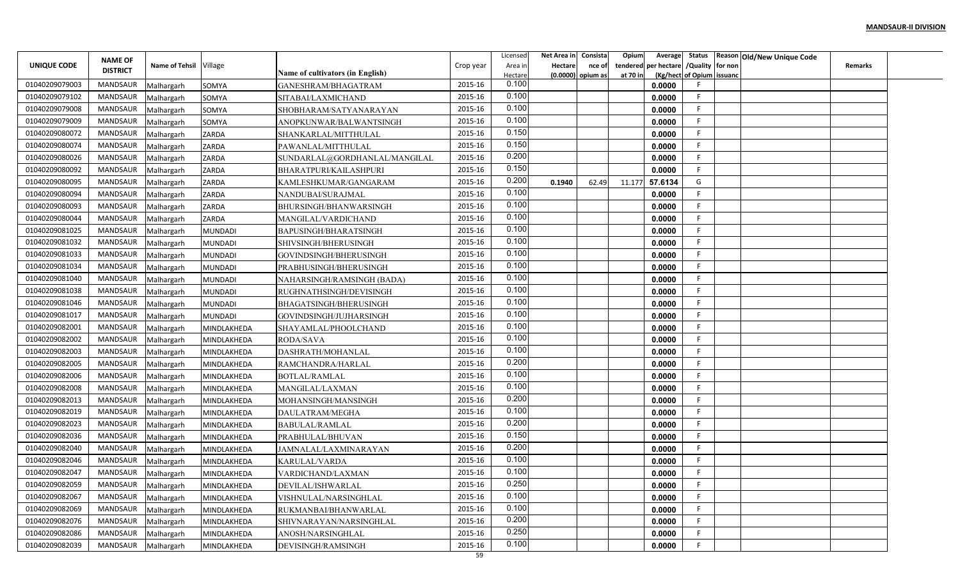|                | <b>NAME OF</b>  |                          |                |                                            |           | Licensed         | Net Area in    | Consista            | Opium    | Average                             |                  | Status Reason Old/New Unique Code |                |  |
|----------------|-----------------|--------------------------|----------------|--------------------------------------------|-----------|------------------|----------------|---------------------|----------|-------------------------------------|------------------|-----------------------------------|----------------|--|
| UNIQUE CODE    | <b>DISTRICT</b> | Name of Tehsil Village   |                | Name of cultivators (in English)           | Crop year | Area in          | <b>Hectare</b> | nce of              |          | tendered per hectare                | /Quality for non |                                   | <b>Remarks</b> |  |
| 01040209079003 | <b>MANDSAUR</b> |                          |                |                                            | 2015-16   | Hectare<br>0.100 |                | $(0.0000)$ opium as | at 70 in | (Kg/hect of Opium issuanc<br>0.0000 |                  |                                   |                |  |
| 01040209079102 | MANDSAUR        | Malhargarh               | SOMYA<br>SOMYA | GANESHRAM/BHAGATRAM<br>SITABAI/LAXMICHAND  | 2015-16   | 0.100            |                |                     |          | 0.0000                              | F                |                                   |                |  |
| 01040209079008 | MANDSAUR        | Malhargarh               |                |                                            | 2015-16   | 0.100            |                |                     |          | 0.0000                              | F                |                                   |                |  |
| 01040209079009 | MANDSAUR        | Malhargarh               | SOMYA          | SHOBHARAM/SATYANARAYAN                     | 2015-16   | 0.100            |                |                     |          | 0.0000                              | F                |                                   |                |  |
| 01040209080072 | MANDSAUR        | Malhargarh               | SOMYA<br>ZARDA | ANOPKUNWAR/BALWANTSINGH                    | 2015-16   | 0.150            |                |                     |          | 0.0000                              |                  |                                   |                |  |
| 01040209080074 | MANDSAUR        | Malhargarh<br>Malhargarh | ZARDA          | SHANKARLAL/MITTHULAL<br>PAWANLAL/MITTHULAL | 2015-16   | 0.150            |                |                     |          | 0.0000                              | F                |                                   |                |  |
| 01040209080026 | MANDSAUR        | Malhargarh               | ZARDA          | SUNDARLAL@GORDHANLAL/MANGILAL              | 2015-16   | 0.200            |                |                     |          | 0.0000                              | F                |                                   |                |  |
| 01040209080092 | MANDSAUR        | Malhargarh               | ZARDA          | BHARATPURI/KAILASHPURI                     | 2015-16   | 0.150            |                |                     |          | 0.0000                              | F                |                                   |                |  |
| 01040209080095 | MANDSAUR        | Malhargarh               | ZARDA          | KAMLESHKUMAR/GANGARAM                      | 2015-16   | 0.200            | 0.1940         | 62.49               | 11.177   | 57.6134                             | G                |                                   |                |  |
| 01040209080094 | MANDSAUR        | Malhargarh               | ZARDA          | NANDUBAI/SURAJMAL                          | 2015-16   | 0.100            |                |                     |          | 0.0000                              | F                |                                   |                |  |
| 01040209080093 | MANDSAUR        | Malhargarh               | ZARDA          | BHURSINGH/BHANWARSINGH                     | 2015-16   | 0.100            |                |                     |          | 0.0000                              | F                |                                   |                |  |
| 01040209080044 | MANDSAUR        | Malhargarh               | ZARDA          | MANGILAL/VARDICHAND                        | 2015-16   | 0.100            |                |                     |          | 0.0000                              | F                |                                   |                |  |
| 01040209081025 | MANDSAUR        | Malhargarh               | <b>MUNDADI</b> | BAPUSINGH/BHARATSINGH                      | 2015-16   | 0.100            |                |                     |          | 0.0000                              |                  |                                   |                |  |
| 01040209081032 | <b>MANDSAUR</b> | Malhargarh               | <b>MUNDADI</b> | SHIVSINGH/BHERUSINGH                       | 2015-16   | 0.100            |                |                     |          | 0.0000                              |                  |                                   |                |  |
| 01040209081033 | <b>MANDSAUR</b> | Malhargarh               | <b>MUNDADI</b> | GOVINDSINGH/BHERUSINGH                     | 2015-16   | 0.100            |                |                     |          | 0.0000                              |                  |                                   |                |  |
| 01040209081034 | MANDSAUR        | Malhargarh               | <b>MUNDADI</b> | PRABHUSINGH/BHERUSINGH                     | 2015-16   | 0.100            |                |                     |          | 0.0000                              |                  |                                   |                |  |
| 01040209081040 | MANDSAUR        | Malhargarh               | <b>MUNDADI</b> | NAHARSINGH/RAMSINGH (BADA)                 | 2015-16   | 0.100            |                |                     |          | 0.0000                              |                  |                                   |                |  |
| 01040209081038 | MANDSAUR        | Malhargarh               | <b>MUNDADI</b> | RUGHNATHSINGH/DEVISINGH                    | 2015-16   | 0.100            |                |                     |          | 0.0000                              | F                |                                   |                |  |
| 01040209081046 | MANDSAUR        | Malhargarh               | <b>MUNDADI</b> | BHAGATSINGH/BHERUSINGH                     | 2015-16   | 0.100            |                |                     |          | 0.0000                              |                  |                                   |                |  |
| 01040209081017 | MANDSAUR        | Malhargarh               | <b>MUNDADI</b> | GOVINDSINGH/JUJHARSINGH                    | 2015-16   | 0.100            |                |                     |          | 0.0000                              | F                |                                   |                |  |
| 01040209082001 | MANDSAUR        | Malhargarh               | MINDLAKHEDA    | SHAYAMLAL/PHOOLCHAND                       | 2015-16   | 0.100            |                |                     |          | 0.0000                              | -F               |                                   |                |  |
| 01040209082002 | MANDSAUR        | Malhargarh               | MINDLAKHEDA    | <b>RODA/SAVA</b>                           | 2015-16   | 0.100            |                |                     |          | 0.0000                              |                  |                                   |                |  |
| 01040209082003 | MANDSAUR        | Malhargarh               | MINDLAKHEDA    | DASHRATH/MOHANLAI                          | 2015-16   | 0.100            |                |                     |          | 0.0000                              | F                |                                   |                |  |
| 01040209082005 | MANDSAUR        | Malhargarh               | MINDLAKHEDA    | RAMCHANDRA/HARLAL                          | 2015-16   | 0.200            |                |                     |          | 0.0000                              | F                |                                   |                |  |
| 01040209082006 | MANDSAUR        | Malhargarh               | MINDLAKHEDA    | <b>BOTLAL/RAMLAL</b>                       | 2015-16   | 0.100            |                |                     |          | 0.0000                              |                  |                                   |                |  |
| 01040209082008 | MANDSAUR        | Malhargarh               | MINDLAKHEDA    | MANGILAL/LAXMAN                            | 2015-16   | 0.100            |                |                     |          | 0.0000                              |                  |                                   |                |  |
| 01040209082013 | MANDSAUR        | Malhargarh               | MINDLAKHEDA    | MOHANSINGH/MANSINGH                        | 2015-16   | 0.200            |                |                     |          | 0.0000                              | F                |                                   |                |  |
| 01040209082019 | MANDSAUR        | Malhargarh               | MINDLAKHEDA    | DAULATRAM/MEGHA                            | 2015-16   | 0.100            |                |                     |          | 0.0000                              | F                |                                   |                |  |
| 01040209082023 | MANDSAUR        | Malhargarh               | MINDLAKHEDA    | <b>BABULAL/RAMLAL</b>                      | 2015-16   | 0.200            |                |                     |          | 0.0000                              | F                |                                   |                |  |
| 01040209082036 | <b>MANDSAUR</b> | Malhargarh               | MINDLAKHEDA    | PRABHULAL/BHUVAN                           | 2015-16   | 0.150            |                |                     |          | 0.0000                              |                  |                                   |                |  |
| 01040209082040 | <b>MANDSAUR</b> | Malhargarh               | MINDLAKHEDA    | JAMNALAL/LAXMINARAYAN                      | 2015-16   | 0.200            |                |                     |          | 0.0000                              |                  |                                   |                |  |
| 01040209082046 | <b>MANDSAUR</b> | Malhargarh               | MINDLAKHEDA    | KARULAL/VARDA                              | 2015-16   | 0.100            |                |                     |          | 0.0000                              |                  |                                   |                |  |
| 01040209082047 | MANDSAUR        | Malhargarh               | MINDLAKHEDA    | VARDICHAND/LAXMAN                          | 2015-16   | 0.100            |                |                     |          | 0.0000                              | E.               |                                   |                |  |
| 01040209082059 | MANDSAUR        | Malhargarh               | MINDLAKHEDA    | DEVILAL/ISHWARLAL                          | 2015-16   | 0.250            |                |                     |          | 0.0000                              |                  |                                   |                |  |
| 01040209082067 | MANDSAUR        | Malhargarh               | MINDLAKHEDA    | VISHNULAL/NARSINGHLAL                      | 2015-16   | 0.100            |                |                     |          | 0.0000                              |                  |                                   |                |  |
| 01040209082069 | MANDSAUR        | Malhargarh               | MINDLAKHEDA    | RUKMANBAI/BHANWARLAL                       | 2015-16   | 0.100            |                |                     |          | 0.0000                              | F                |                                   |                |  |
| 01040209082076 | MANDSAUR        | Malhargarh               | MINDLAKHEDA    | SHIVNARAYAN/NARSINGHLAL                    | 2015-16   | 0.200            |                |                     |          | 0.0000                              | F.               |                                   |                |  |
| 01040209082086 | MANDSAUR        | Malhargarh               | MINDLAKHEDA    | ANOSH/NARSINGHLAL                          | 2015-16   | 0.250            |                |                     |          | 0.0000                              | F                |                                   |                |  |
| 01040209082039 | MANDSAUR        | Malhargarh               | MINDLAKHEDA    | DEVISINGH/RAMSINGH                         | 2015-16   | 0.100            |                |                     |          | 0.0000                              |                  |                                   |                |  |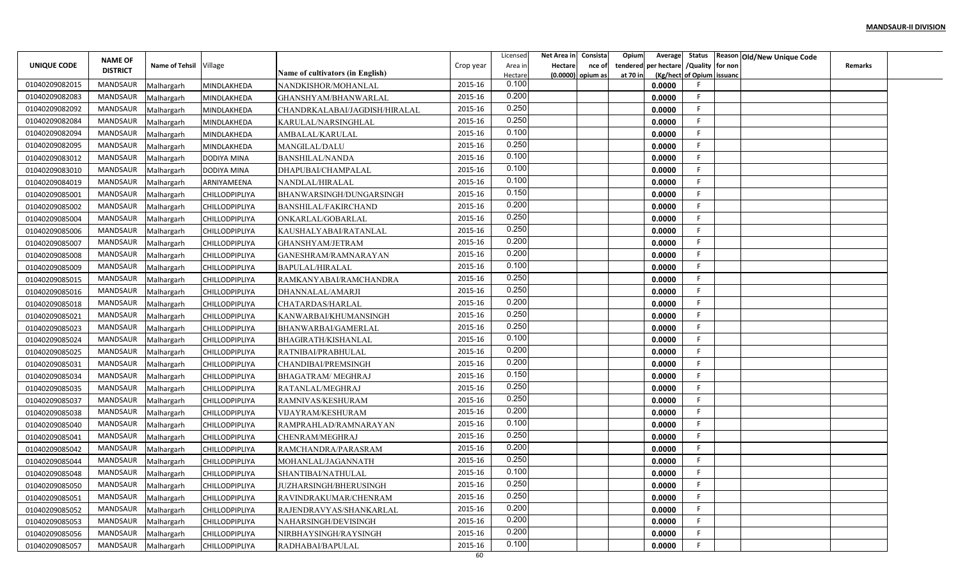|                | <b>NAME OF</b>  |                          |                            |                                             |           | Licensed         | Net Area in | Consista | Opium    | Average     |                           | Status Reason Old/New Unique Code |                |  |
|----------------|-----------------|--------------------------|----------------------------|---------------------------------------------|-----------|------------------|-------------|----------|----------|-------------|---------------------------|-----------------------------------|----------------|--|
| UNIQUE CODE    | <b>DISTRICT</b> | Name of Tehsil Village   |                            | Name of cultivators (in English)            | Crop year | Area in          | Hectare     | nce of   | tendered | per hectare | /Quality for non          |                                   | <b>Remarks</b> |  |
| 01040209082015 | MANDSAUR        |                          |                            |                                             | 2015-16   | Hectare<br>0.100 | (0.0000)    | opium as | at 70 in | 0.0000      | (Kg/hect of Opium issuanc |                                   |                |  |
| 01040209082083 | MANDSAUR        | Malhargarh<br>Malhargarh | MINDLAKHEDA<br>MINDLAKHEDA | NANDKISHOR/MOHANLAL<br>GHANSHYAM/BHANWARLAL | 2015-16   | 0.200            |             |          |          | 0.0000      | E                         |                                   |                |  |
| 01040209082092 | MANDSAUR        | Malhargarh               |                            | CHANDRKALABAI/JAGDISH/HIRALAL               | 2015-16   | 0.250            |             |          |          | 0.0000      |                           |                                   |                |  |
| 01040209082084 | <b>MANDSAUR</b> | Malhargarh               | MINDLAKHEDA<br>MINDLAKHEDA | KARULAL/NARSINGHLAL                         | 2015-16   | 0.250            |             |          |          | 0.0000      |                           |                                   |                |  |
| 01040209082094 | MANDSAUR        | Malhargarh               | MINDLAKHEDA                | AMBALAL/KARULAL                             | 2015-16   | 0.100            |             |          |          | 0.0000      |                           |                                   |                |  |
| 01040209082095 | MANDSAUR        | Malhargarh               | MINDLAKHEDA                | <b>MANGILAL/DALU</b>                        | 2015-16   | 0.250            |             |          |          | 0.0000      |                           |                                   |                |  |
| 01040209083012 | MANDSAUR        | Malhargarh               | <b>DODIYA MINA</b>         | <b>BANSHILAL/NANDA</b>                      | 2015-16   | 0.100            |             |          |          | 0.0000      |                           |                                   |                |  |
| 01040209083010 | MANDSAUR        | Malhargarh               | <b>DODIYA MINA</b>         | DHAPUBAI/CHAMPALAL                          | 2015-16   | 0.100            |             |          |          | 0.0000      | E                         |                                   |                |  |
| 01040209084019 | MANDSAUR        | Malhargarh               | ARNIYAMEENA                | NANDLAL/HIRALAL                             | 2015-16   | 0.100            |             |          |          | 0.0000      |                           |                                   |                |  |
| 01040209085001 | MANDSAUR        | Malhargarh               | <b>CHILLODPIPLIYA</b>      | BHANWARSINGH/DUNGARSINGH                    | 2015-16   | 0.150            |             |          |          | 0.0000      |                           |                                   |                |  |
| 01040209085002 | MANDSAUR        | Malhargarh               | CHILLODPIPLIYA             | <b>BANSHILAL/FAKIRCHAND</b>                 | 2015-16   | 0.200            |             |          |          | 0.0000      |                           |                                   |                |  |
| 01040209085004 | MANDSAUR        | Malhargarh               | <b>CHILLODPIPLIYA</b>      | ONKARLAL/GOBARLAL                           | 2015-16   | 0.250            |             |          |          | 0.0000      |                           |                                   |                |  |
| 01040209085006 | MANDSAUR        | Malhargarh               | <b>CHILLODPIPLIYA</b>      | KAUSHALYABAI/RATANLAL                       | 2015-16   | 0.250            |             |          |          | 0.0000      | E                         |                                   |                |  |
| 01040209085007 | <b>MANDSAUR</b> | Malhargarh               | <b>CHILLODPIPLIYA</b>      | GHANSHYAM/JETRAM                            | 2015-16   | 0.200            |             |          |          | 0.0000      |                           |                                   |                |  |
| 01040209085008 | MANDSAUR        | Malhargarh               | <b>CHILLODPIPLIYA</b>      | GANESHRAM/RAMNARAYAN                        | 2015-16   | 0.200            |             |          |          | 0.0000      |                           |                                   |                |  |
| 01040209085009 | MANDSAUR        | Malhargarh               | <b>CHILLODPIPLIYA</b>      | <b>BAPULAL/HIRALAL</b>                      | 2015-16   | 0.100            |             |          |          | 0.0000      |                           |                                   |                |  |
| 01040209085015 | MANDSAUR        | Malhargarh               | <b>CHILLODPIPLIYA</b>      | RAMKANYABAI/RAMCHANDRA                      | 2015-16   | 0.250            |             |          |          | 0.0000      |                           |                                   |                |  |
| 01040209085016 | MANDSAUR        | Malhargarh               | <b>CHILLODPIPLIYA</b>      | DHANNALAL/AMARJI                            | 2015-16   | 0.250            |             |          |          | 0.0000      |                           |                                   |                |  |
| 01040209085018 | MANDSAUR        | Malhargarh               | <b>CHILLODPIPLIYA</b>      | CHATARDAS/HARLAL                            | 2015-16   | 0.200            |             |          |          | 0.0000      |                           |                                   |                |  |
| 01040209085021 | MANDSAUR        | Malhargarh               | CHILLODPIPLIYA             | KANWARBAI/KHUMANSINGH                       | 2015-16   | 0.250            |             |          |          | 0.0000      |                           |                                   |                |  |
| 01040209085023 | MANDSAUR        | Malhargarh               | <b>CHILLODPIPLIYA</b>      | BHANWARBAI/GAMERLAL                         | 2015-16   | 0.250            |             |          |          | 0.0000      |                           |                                   |                |  |
| 01040209085024 | MANDSAUR        | Malhargarh               | <b>CHILLODPIPLIYA</b>      | BHAGIRATH/KISHANLAL                         | 2015-16   | 0.100            |             |          |          | 0.0000      |                           |                                   |                |  |
| 01040209085025 | MANDSAUR        | Malhargarh               | <b>CHILLODPIPLIYA</b>      | RATNIBAI/PRABHULAL                          | 2015-16   | 0.200            |             |          |          | 0.0000      |                           |                                   |                |  |
| 01040209085031 | MANDSAUR        | Malhargarh               | <b>CHILLODPIPLIYA</b>      | CHANDIBAI/PREMSINGH                         | 2015-16   | 0.200            |             |          |          | 0.0000      |                           |                                   |                |  |
| 01040209085034 | MANDSAUR        | Malhargarh               | <b>CHILLODPIPLIYA</b>      | <b>BHAGATRAM/ MEGHRAJ</b>                   | 2015-16   | 0.150            |             |          |          | 0.0000      |                           |                                   |                |  |
| 01040209085035 | MANDSAUR        | Malhargarh               | <b>CHILLODPIPLIYA</b>      | RATANLAL/MEGHRAJ                            | 2015-16   | 0.250            |             |          |          | 0.0000      |                           |                                   |                |  |
| 01040209085037 | MANDSAUR        | Malhargarh               | <b>CHILLODPIPLIYA</b>      | RAMNIVAS/KESHURAM                           | 2015-16   | 0.250            |             |          |          | 0.0000      |                           |                                   |                |  |
| 01040209085038 | MANDSAUR        | Malhargarh               | CHILLODPIPLIYA             | VIJAYRAM/KESHURAM                           | 2015-16   | 0.200            |             |          |          | 0.0000      |                           |                                   |                |  |
| 01040209085040 | MANDSAUR        | Malhargarh               | <b>CHILLODPIPLIYA</b>      | RAMPRAHLAD/RAMNARAYAN                       | 2015-16   | 0.100            |             |          |          | 0.0000      |                           |                                   |                |  |
| 01040209085041 | <b>MANDSAUR</b> | Malhargarh               | <b>CHILLODPIPLIYA</b>      | CHENRAM/MEGHRAJ                             | 2015-16   | 0.250            |             |          |          | 0.0000      |                           |                                   |                |  |
| 01040209085042 | MANDSAUR        | Malhargarh               | <b>CHILLODPIPLIYA</b>      | RAMCHANDRA/PARASRAM                         | 2015-16   | 0.200            |             |          |          | 0.0000      |                           |                                   |                |  |
| 01040209085044 | MANDSAUR        | Malhargarh               | <b>CHILLODPIPLIYA</b>      | MOHANLAL/JAGANNATH                          | 2015-16   | 0.250            |             |          |          | 0.0000      |                           |                                   |                |  |
| 01040209085048 | MANDSAUR        | Malhargarh               | <b>CHILLODPIPLIYA</b>      | SHANTIBAI/NATHULAL                          | 2015-16   | 0.100            |             |          |          | 0.0000      |                           |                                   |                |  |
| 01040209085050 | MANDSAUR        | Malhargarh               | CHILLODPIPLIYA             | <b>JUZHARSINGH/BHERUSINGH</b>               | 2015-16   | 0.250            |             |          |          | 0.0000      | F                         |                                   |                |  |
| 01040209085051 | MANDSAUR        | Malhargarh               | CHILLODPIPLIYA             | RAVINDRAKUMAR/CHENRAM                       | 2015-16   | 0.250            |             |          |          | 0.0000      |                           |                                   |                |  |
| 01040209085052 | MANDSAUR        | Malhargarh               | CHILLODPIPLIYA             | RAJENDRAVYAS/SHANKARLAL                     | 2015-16   | 0.200            |             |          |          | 0.0000      | F                         |                                   |                |  |
| 01040209085053 | MANDSAUR        | Malhargarh               | CHILLODPIPLIYA             | NAHARSINGH/DEVISINGH                        | 2015-16   | 0.200            |             |          |          | 0.0000      | E                         |                                   |                |  |
| 01040209085056 | MANDSAUR        | Malhargarh               | CHILLODPIPLIYA             | NIRBHAYSINGH/RAYSINGH                       | 2015-16   | 0.200            |             |          |          | 0.0000      | -F                        |                                   |                |  |
| 01040209085057 | MANDSAUR        | Malhargarh               | <b>CHILLODPIPLIYA</b>      | RADHABAI/BAPULAL                            | 2015-16   | 0.100            |             |          |          | 0.0000      |                           |                                   |                |  |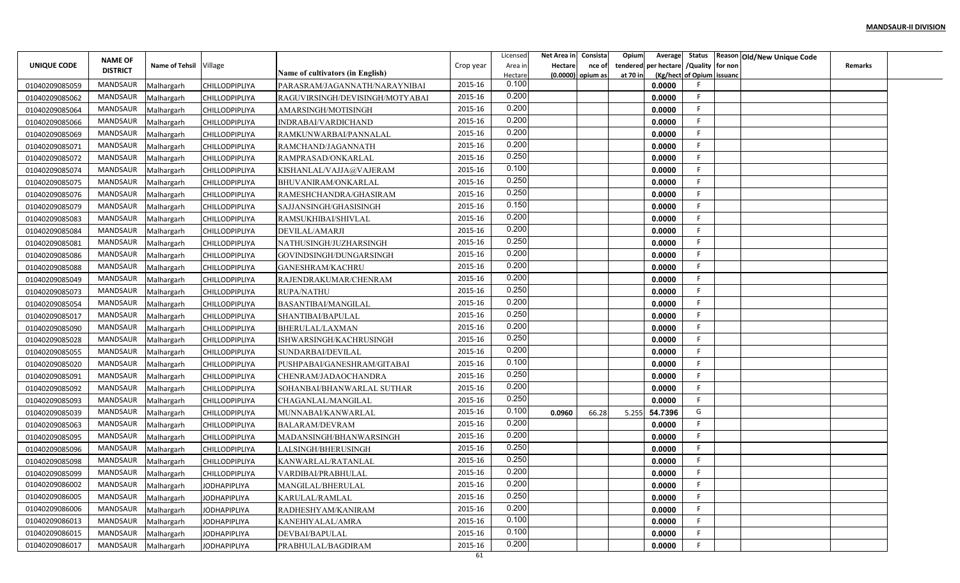|                                  | <b>NAME OF</b>  |                          |                                                |                                                                  |           | Licensed         | Net Area in    | Consista            | Opium    |                                        |                           | Average Status Reason Old/New Unique Code |                |  |
|----------------------------------|-----------------|--------------------------|------------------------------------------------|------------------------------------------------------------------|-----------|------------------|----------------|---------------------|----------|----------------------------------------|---------------------------|-------------------------------------------|----------------|--|
| UNIQUE CODE                      | <b>DISTRICT</b> | Name of Tehsil Village   |                                                |                                                                  | Crop year | Area in          | <b>Hectare</b> | nce of              |          | tendered per hectare / Quality for non |                           |                                           | <b>Remarks</b> |  |
|                                  | MANDSAUR        |                          |                                                | Name of cultivators (in English)                                 | 2015-16   | Hectare<br>0.100 |                | $(0.0000)$ opium as | at 70 in | 0.0000                                 | (Kg/hect of Opium issuanc |                                           |                |  |
| 01040209085059                   | MANDSAUR        | Malhargarh               | <b>CHILLODPIPLIYA</b><br><b>CHILLODPIPLIYA</b> | PARASRAM/JAGANNATH/NARAYNIBAI<br>RAGUVIRSINGH/DEVISINGH/MOTYABAI | 2015-16   | 0.200            |                |                     |          | 0.0000                                 | F.                        |                                           |                |  |
| 01040209085062                   | MANDSAUR        | Malhargarh               |                                                |                                                                  | 2015-16   | 0.200            |                |                     |          | 0.0000                                 | F.                        |                                           |                |  |
| 01040209085064                   | <b>MANDSAUR</b> | Malhargarh               | CHILLODPIPLIYA                                 | AMARSINGH/MOTISINGH                                              | 2015-16   | 0.200            |                |                     |          | 0.0000                                 | F.                        |                                           |                |  |
| 01040209085066                   | MANDSAUR        | Malhargarh               | <b>CHILLODPIPLIYA</b>                          | INDRABAI/VARDICHAND                                              | 2015-16   | 0.200            |                |                     |          | 0.0000                                 | F.                        |                                           |                |  |
| 01040209085069<br>01040209085071 | MANDSAUR        | Malhargarh               | <b>CHILLODPIPLIYA</b>                          | RAMKUNWARBAI/PANNALAL<br>RAMCHAND/JAGANNATH                      | 2015-16   | 0.200            |                |                     |          | 0.0000                                 | F.                        |                                           |                |  |
| 01040209085072                   | MANDSAUR        | Malhargarh<br>Malhargarh | <b>CHILLODPIPLIYA</b><br><b>CHILLODPIPLIYA</b> | RAMPRASAD/ONKARLAL                                               | 2015-16   | 0.250            |                |                     |          | 0.0000                                 | F                         |                                           |                |  |
| 01040209085074                   | MANDSAUR        | Malhargarh               | <b>CHILLODPIPLIYA</b>                          | KISHANLAL/VAJJA@VAJERAM                                          | 2015-16   | 0.100            |                |                     |          | 0.0000                                 | F.                        |                                           |                |  |
| 01040209085075                   | MANDSAUR        | Malhargarh               | <b>CHILLODPIPLIYA</b>                          | BHUVANIRAM/ONKARLAL                                              | 2015-16   | 0.250            |                |                     |          | 0.0000                                 | E                         |                                           |                |  |
| 01040209085076                   | MANDSAUR        | Malhargarh               | <b>CHILLODPIPLIYA</b>                          | RAMESHCHANDRA/GHASIRAM                                           | 2015-16   | 0.250            |                |                     |          | 0.0000                                 | F                         |                                           |                |  |
| 01040209085079                   | MANDSAUR        | Malhargarh               | <b>CHILLODPIPLIYA</b>                          | SAJJANSINGH/GHASISINGH                                           | 2015-16   | 0.150            |                |                     |          | 0.0000                                 | -F                        |                                           |                |  |
| 01040209085083                   | MANDSAUR        | Malhargarh               | <b>CHILLODPIPLIYA</b>                          | RAMSUKHIBAI/SHIVLAL                                              | 2015-16   | 0.200            |                |                     |          | 0.0000                                 | -F                        |                                           |                |  |
| 01040209085084                   | MANDSAUR        | Malhargarh               | <b>CHILLODPIPLIYA</b>                          | DEVILAL/AMARJI                                                   | 2015-16   | 0.200            |                |                     |          | 0.0000                                 | F.                        |                                           |                |  |
| 01040209085081                   | MANDSAUR        | Malhargarh               | <b>CHILLODPIPLIYA</b>                          | NATHUSINGH/JUZHARSINGH                                           | 2015-16   | 0.250            |                |                     |          | 0.0000                                 | F                         |                                           |                |  |
| 01040209085086                   | MANDSAUR        | Malhargarh               | <b>CHILLODPIPLIYA</b>                          | GOVINDSINGH/DUNGARSINGH                                          | 2015-16   | 0.200            |                |                     |          | 0.0000                                 | F.                        |                                           |                |  |
| 01040209085088                   | <b>MANDSAUR</b> | Malhargarh               | <b>CHILLODPIPLIYA</b>                          | <b>GANESHRAM/KACHRU</b>                                          | 2015-16   | 0.200            |                |                     |          | 0.0000                                 | F.                        |                                           |                |  |
| 01040209085049                   | MANDSAUR        | Malhargarh               | CHILLODPIPLIYA                                 | RAJENDRAKUMAR/CHENRAM                                            | 2015-16   | 0.200            |                |                     |          | 0.0000                                 | F                         |                                           |                |  |
| 01040209085073                   | MANDSAUR        | Malhargarh               | <b>CHILLODPIPLIYA</b>                          | <b>RUPA/NATHU</b>                                                | 2015-16   | 0.250            |                |                     |          | 0.0000                                 | F                         |                                           |                |  |
| 01040209085054                   | MANDSAUR        | Malhargarh               | <b>CHILLODPIPLIYA</b>                          | BASANTIBAI/MANGILAL                                              | 2015-16   | 0.200            |                |                     |          | 0.0000                                 | -F                        |                                           |                |  |
| 01040209085017                   | MANDSAUR        | Malhargarh               | <b>CHILLODPIPLIYA</b>                          | SHANTIBAI/BAPULAL                                                | 2015-16   | 0.250            |                |                     |          | 0.0000                                 | F.                        |                                           |                |  |
| 01040209085090                   | MANDSAUR        | Malhargarh               | <b>CHILLODPIPLIYA</b>                          | BHERULAL/LAXMAN                                                  | 2015-16   | 0.200            |                |                     |          | 0.0000                                 | F.                        |                                           |                |  |
| 01040209085028                   | MANDSAUR        | Malhargarh               | <b>CHILLODPIPLIYA</b>                          | ISHWARSINGH/KACHRUSINGH                                          | 2015-16   | 0.250            |                |                     |          | 0.0000                                 | F.                        |                                           |                |  |
| 01040209085055                   | MANDSAUR        | Malhargarh               | <b>CHILLODPIPLIYA</b>                          | SUNDARBAI/DEVILAL                                                | 2015-16   | 0.200            |                |                     |          | 0.0000                                 | F.                        |                                           |                |  |
| 01040209085020                   | MANDSAUR        | Malhargarh               | <b>CHILLODPIPLIYA</b>                          | PUSHPABAI/GANESHRAM/GITABAI                                      | 2015-16   | 0.100            |                |                     |          | 0.0000                                 | F                         |                                           |                |  |
| 01040209085091                   | MANDSAUR        | Malhargarh               | <b>CHILLODPIPLIYA</b>                          | CHENRAM/JADAOCHANDRA                                             | 2015-16   | 0.250            |                |                     |          | 0.0000                                 | F                         |                                           |                |  |
| 01040209085092                   | MANDSAUR        | Malhargarh               | <b>CHILLODPIPLIYA</b>                          | SOHANBAI/BHANWARLAL SUTHAR                                       | 2015-16   | 0.200            |                |                     |          | 0.0000                                 | F                         |                                           |                |  |
| 01040209085093                   | MANDSAUR        | Malhargarh               | <b>CHILLODPIPLIYA</b>                          | CHAGANLAL/MANGILAL                                               | 2015-16   | 0.250            |                |                     |          | 0.0000                                 | F.                        |                                           |                |  |
| 01040209085039                   | MANDSAUR        | Malhargarh               | <b>CHILLODPIPLIYA</b>                          | MUNNABAI/KANWARLAI                                               | 2015-16   | 0.100            | 0.0960         | 66.28               | 5.255    | 54.7396                                | G                         |                                           |                |  |
| 01040209085063                   | MANDSAUR        | Malhargarh               | <b>CHILLODPIPLIYA</b>                          | <b>BALARAM/DEVRAM</b>                                            | 2015-16   | 0.200            |                |                     |          | 0.0000                                 | F.                        |                                           |                |  |
| 01040209085095                   | <b>MANDSAUR</b> | Malhargarh               | <b>CHILLODPIPLIYA</b>                          | MADANSINGH/BHANWARSINGH                                          | 2015-16   | 0.200            |                |                     |          | 0.0000                                 | E                         |                                           |                |  |
| 01040209085096                   | MANDSAUR        | Malhargarh               | <b>CHILLODPIPLIYA</b>                          | LALSINGH/BHERUSINGH                                              | 2015-16   | 0.250            |                |                     |          | 0.0000                                 | F.                        |                                           |                |  |
| 01040209085098                   | MANDSAUR        | Malhargarh               | <b>CHILLODPIPLIYA</b>                          | KANWARLAL/RATANLAL                                               | 2015-16   | 0.250            |                |                     |          | 0.0000                                 | F                         |                                           |                |  |
| 01040209085099                   | MANDSAUR        | Malhargarh               | CHILLODPIPLIYA                                 | VARDIBAI/PRABHULAL                                               | 2015-16   | 0.200            |                |                     |          | 0.0000                                 | F.                        |                                           |                |  |
| 01040209086002                   | MANDSAUR        | Malhargarh               | <b>JODHAPIPLIYA</b>                            | MANGILAL/BHERULAL                                                | 2015-16   | 0.200            |                |                     |          | 0.0000                                 | F                         |                                           |                |  |
| 01040209086005                   | MANDSAUR        | Malhargarh               | <b>JODHAPIPLIYA</b>                            | KARULAL/RAMLAL                                                   | 2015-16   | 0.250            |                |                     |          | 0.0000                                 | F                         |                                           |                |  |
| 01040209086006                   | MANDSAUR        | Malhargarh               | <b>JODHAPIPLIYA</b>                            | RADHESHYAM/KANIRAM                                               | 2015-16   | 0.200            |                |                     |          | 0.0000                                 | F                         |                                           |                |  |
| 01040209086013                   | MANDSAUR        | Malhargarh               | <b>JODHAPIPLIYA</b>                            | KANEHIYALAL/AMRA                                                 | 2015-16   | 0.100            |                |                     |          | 0.0000                                 | F                         |                                           |                |  |
| 01040209086015                   | MANDSAUR        | Malhargarh               | <b>JODHAPIPLIYA</b>                            | DEVBAI/BAPULAL                                                   | 2015-16   | 0.100            |                |                     |          | 0.0000                                 | F.                        |                                           |                |  |
| 01040209086017                   | MANDSAUR        | Malhargarh               | <b>JODHAPIPLIYA</b>                            | PRABHULAL/BAGDIRAM                                               | 2015-16   | 0.200            |                |                     |          | 0.0000                                 | F.                        |                                           |                |  |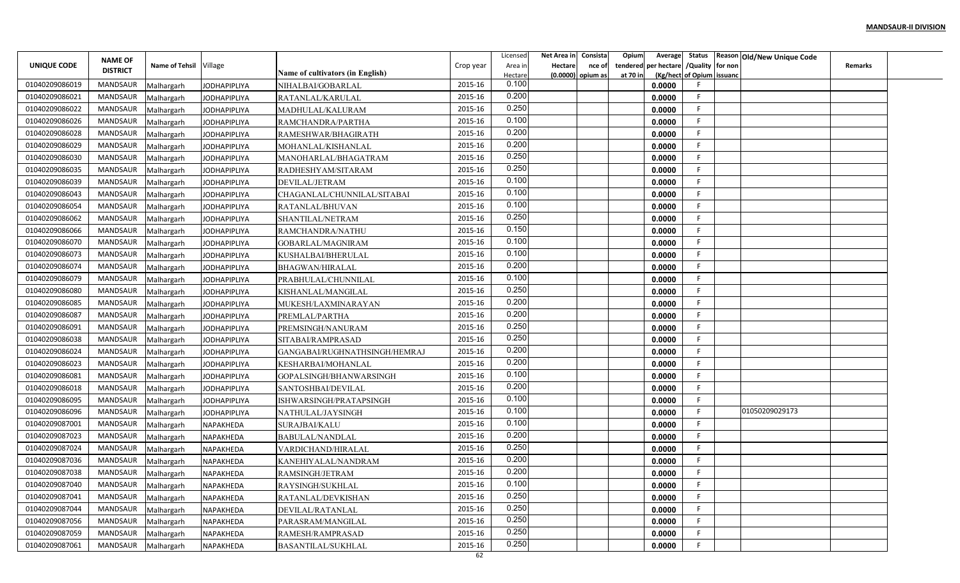|                |                                   |                        |                     |                                         |           | Licensed | Net Area in    | Consista          | Opium    |                                        |                           | Average Status Reason Old/New Unique Code |                |  |
|----------------|-----------------------------------|------------------------|---------------------|-----------------------------------------|-----------|----------|----------------|-------------------|----------|----------------------------------------|---------------------------|-------------------------------------------|----------------|--|
| UNIQUE CODE    | <b>NAME OF</b><br><b>DISTRICT</b> | Name of Tehsil Village |                     |                                         | Crop year | Area in  | <b>Hectare</b> | nce of            |          | tendered per hectare / Quality for non |                           |                                           | <b>Remarks</b> |  |
|                |                                   |                        |                     | <b>Name of cultivators (in English)</b> |           | Hectare  |                | (0.0000) opium as | at 70 in |                                        | (Kg/hect of Opium issuanc |                                           |                |  |
| 01040209086019 | MANDSAUR                          | Malhargarh             | <b>JODHAPIPLIYA</b> | NIHALBAI/GOBARLAL                       | 2015-16   | 0.100    |                |                   |          | 0.0000                                 |                           |                                           |                |  |
| 01040209086021 | MANDSAUR                          | Malhargarh             | <b>JODHAPIPLIYA</b> | RATANLAL/KARULAL                        | 2015-16   | 0.200    |                |                   |          | 0.0000                                 | F.                        |                                           |                |  |
| 01040209086022 | MANDSAUR                          | Malhargarh             | <b>JODHAPIPLIYA</b> | MADHULAL/KALURAM                        | 2015-16   | 0.250    |                |                   |          | 0.0000                                 | -F                        |                                           |                |  |
| 01040209086026 | <b>MANDSAUR</b>                   | Malhargarh             | <b>JODHAPIPLIYA</b> | RAMCHANDRA/PARTHA                       | 2015-16   | 0.100    |                |                   |          | 0.0000                                 | F.                        |                                           |                |  |
| 01040209086028 | MANDSAUR                          | Malhargarh             | <b>JODHAPIPLIYA</b> | RAMESHWAR/BHAGIRATH                     | 2015-16   | 0.200    |                |                   |          | 0.0000                                 | F.                        |                                           |                |  |
| 01040209086029 | MANDSAUR                          | Malhargarh             | <b>JODHAPIPLIYA</b> | MOHANLAL/KISHANLAL                      | 2015-16   | 0.200    |                |                   |          | 0.0000                                 | F.                        |                                           |                |  |
| 01040209086030 | MANDSAUR                          | Malhargarh             | <b>JODHAPIPLIYA</b> | MANOHARLAL/BHAGATRAM                    | 2015-16   | 0.250    |                |                   |          | 0.0000                                 | F.                        |                                           |                |  |
| 01040209086035 | MANDSAUR                          | Malhargarh             | <b>JODHAPIPLIYA</b> | RADHESHYAM/SITARAM                      | 2015-16   | 0.250    |                |                   |          | 0.0000                                 | F.                        |                                           |                |  |
| 01040209086039 | MANDSAUR                          | Malhargarh             | <b>JODHAPIPLIYA</b> | DEVILAL/JETRAM                          | 2015-16   | 0.100    |                |                   |          | 0.0000                                 | F                         |                                           |                |  |
| 01040209086043 | MANDSAUR                          | Malhargarh             | JODHAPIPLIYA        | CHAGANLAL/CHUNNILAL/SITABAI             | 2015-16   | 0.100    |                |                   |          | 0.0000                                 | F                         |                                           |                |  |
| 01040209086054 | MANDSAUR                          | Malhargarh             | <b>JODHAPIPLIYA</b> | RATANLAL/BHUVAN                         | 2015-16   | 0.100    |                |                   |          | 0.0000                                 | -F                        |                                           |                |  |
| 01040209086062 | MANDSAUR                          | Malhargarh             | <b>JODHAPIPLIYA</b> | SHANTILAL/NETRAM                        | 2015-16   | 0.250    |                |                   |          | 0.0000                                 | -F                        |                                           |                |  |
| 01040209086066 | MANDSAUR                          | Malhargarh             | <b>JODHAPIPLIYA</b> | RAMCHANDRA/NATHU                        | 2015-16   | 0.150    |                |                   |          | 0.0000                                 | F.                        |                                           |                |  |
| 01040209086070 | MANDSAUR                          | Malhargarh             | <b>JODHAPIPLIYA</b> | GOBARLAL/MAGNIRAM                       | 2015-16   | 0.100    |                |                   |          | 0.0000                                 | F.                        |                                           |                |  |
| 01040209086073 | MANDSAUR                          | Malhargarh             | <b>JODHAPIPLIYA</b> | KUSHALBAI/BHERULAL                      | 2015-16   | 0.100    |                |                   |          | 0.0000                                 | F.                        |                                           |                |  |
| 01040209086074 | MANDSAUR                          | Malhargarh             | <b>JODHAPIPLIYA</b> | <b>BHAGWAN/HIRALAL</b>                  | 2015-16   | 0.200    |                |                   |          | 0.0000                                 | F.                        |                                           |                |  |
| 01040209086079 | MANDSAUR                          | Malhargarh             | <b>JODHAPIPLIYA</b> | PRABHULAL/CHUNNILAI                     | 2015-16   | 0.100    |                |                   |          | 0.0000                                 | F                         |                                           |                |  |
| 01040209086080 | MANDSAUR                          | Malhargarh             | <b>JODHAPIPLIYA</b> | KISHANLAL/MANGILAL                      | 2015-16   | 0.250    |                |                   |          | 0.0000                                 | F                         |                                           |                |  |
| 01040209086085 | MANDSAUR                          | Malhargarh             | <b>JODHAPIPLIYA</b> | MUKESH/LAXMINARAYAN                     | 2015-16   | 0.200    |                |                   |          | 0.0000                                 | -F                        |                                           |                |  |
| 01040209086087 | MANDSAUR                          | Malhargarh             | <b>JODHAPIPLIYA</b> | PREMLAL/PARTHA                          | 2015-16   | 0.200    |                |                   |          | 0.0000                                 | F.                        |                                           |                |  |
| 01040209086091 | MANDSAUR                          | Malhargarh             | <b>JODHAPIPLIYA</b> | PREMSINGH/NANURAM                       | 2015-16   | 0.250    |                |                   |          | 0.0000                                 | F.                        |                                           |                |  |
| 01040209086038 | MANDSAUR                          | Malhargarh             | <b>JODHAPIPLIYA</b> | SITABAI/RAMPRASAD                       | 2015-16   | 0.250    |                |                   |          | 0.0000                                 | F.                        |                                           |                |  |
| 01040209086024 | MANDSAUR                          | Malhargarh             | <b>JODHAPIPLIYA</b> | GANGABAI/RUGHNATHSINGH/HEMRAJ           | 2015-16   | 0.200    |                |                   |          | 0.0000                                 | F.                        |                                           |                |  |
| 01040209086023 | MANDSAUR                          | Malhargarh             | JODHAPIPLIYA        | KESHARBAI/MOHANLAL                      | 2015-16   | 0.200    |                |                   |          | 0.0000                                 | F.                        |                                           |                |  |
| 01040209086081 | MANDSAUR                          | Malhargarh             | <b>JODHAPIPLIYA</b> | GOPALSINGH/BHANWARSINGH                 | 2015-16   | 0.100    |                |                   |          | 0.0000                                 | F                         |                                           |                |  |
| 01040209086018 | MANDSAUR                          | Malhargarh             | <b>JODHAPIPLIYA</b> | SANTOSHBAI/DEVILAL                      | 2015-16   | 0.200    |                |                   |          | 0.0000                                 | E                         |                                           |                |  |
| 01040209086095 | MANDSAUR                          | Malhargarh             | <b>JODHAPIPLIYA</b> | ISHWARSINGH/PRATAPSINGH                 | 2015-16   | 0.100    |                |                   |          | 0.0000                                 | F.                        |                                           |                |  |
| 01040209086096 | MANDSAUR                          | Malhargarh             | <b>JODHAPIPLIYA</b> | NATHULAL/JAYSINGH                       | 2015-16   | 0.100    |                |                   |          | 0.0000                                 | F.                        | 01050209029173                            |                |  |
| 01040209087001 | <b>MANDSAUR</b>                   | Malhargarh             | NAPAKHEDA           | SURAJBAI/KALU                           | 2015-16   | 0.100    |                |                   |          | 0.0000                                 | F.                        |                                           |                |  |
| 01040209087023 | MANDSAUR                          | Malhargarh             | NAPAKHEDA           | <b>BABULAL/NANDLAL</b>                  | 2015-16   | 0.200    |                |                   |          | 0.0000                                 | -F.                       |                                           |                |  |
| 01040209087024 | MANDSAUR                          | Malhargarh             | <b>NAPAKHEDA</b>    | VARDICHAND/HIRALAL                      | 2015-16   | 0.250    |                |                   |          | 0.0000                                 | F.                        |                                           |                |  |
| 01040209087036 | MANDSAUR                          | Malhargarh             | NAPAKHEDA           | KANEHIYALAL/NANDRAM                     | 2015-16   | 0.200    |                |                   |          | 0.0000                                 | F                         |                                           |                |  |
| 01040209087038 | MANDSAUR                          | Malhargarh             | NAPAKHEDA           | RAMSINGH/JETRAM                         | 2015-16   | 0.200    |                |                   |          | 0.0000                                 | F.                        |                                           |                |  |
| 01040209087040 | MANDSAUR                          | Malhargarh             | NAPAKHEDA           | RAYSINGH/SUKHLAL                        | 2015-16   | 0.100    |                |                   |          | 0.0000                                 | F                         |                                           |                |  |
| 01040209087041 | MANDSAUR                          | Malhargarh             | NAPAKHEDA           | RATANLAL/DEVKISHAN                      | 2015-16   | 0.250    |                |                   |          | 0.0000                                 | F                         |                                           |                |  |
| 01040209087044 | MANDSAUR                          | Malhargarh             | NAPAKHEDA           | DEVILAL/RATANLAL                        | 2015-16   | 0.250    |                |                   |          | 0.0000                                 | F.                        |                                           |                |  |
| 01040209087056 | MANDSAUR                          | Malhargarh             | NAPAKHEDA           | PARASRAM/MANGILAL                       | 2015-16   | 0.250    |                |                   |          | 0.0000                                 | F                         |                                           |                |  |
| 01040209087059 | MANDSAUR                          | Malhargarh             | NAPAKHEDA           | RAMESH/RAMPRASAD                        | 2015-16   | 0.250    |                |                   |          | 0.0000                                 | F.                        |                                           |                |  |
| 01040209087061 | MANDSAUR                          | Malhargarh             | NAPAKHEDA           | <b>BASANTILAL/SUKHLAL</b>               | 2015-16   | 0.250    |                |                   |          | 0.0000                                 | F                         |                                           |                |  |
|                |                                   |                        |                     |                                         | 62        |          |                |                   |          |                                        |                           |                                           |                |  |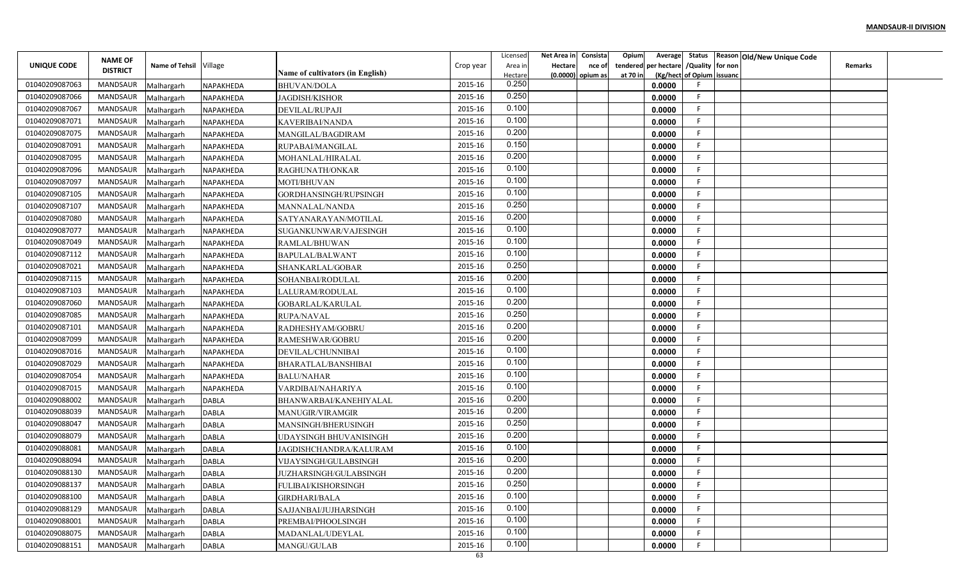|                | <b>NAME OF</b>  |                          |                  |                                             |           | Licensed         | Net Area in    | Consista          | Opium    |                                        |                           | Average Status Reason Old/New Unique Code |                |  |
|----------------|-----------------|--------------------------|------------------|---------------------------------------------|-----------|------------------|----------------|-------------------|----------|----------------------------------------|---------------------------|-------------------------------------------|----------------|--|
| UNIQUE CODE    | <b>DISTRICT</b> | Name of Tehsil Village   |                  |                                             | Crop year | Area in          | <b>Hectare</b> | nce of            |          | tendered per hectare / Quality for non |                           |                                           | <b>Remarks</b> |  |
| 01040209087063 | MANDSAUR        |                          | NAPAKHEDA        | <b>Name of cultivators (in English)</b>     | 2015-16   | Hectare<br>0.250 |                | (0.0000) opium as | at 70 in | 0.0000                                 | (Kg/hect of Opium issuanc |                                           |                |  |
| 01040209087066 | MANDSAUR        | Malhargarh<br>Malhargarh | NAPAKHEDA        | <b>BHUVAN/DOLA</b><br><b>JAGDISH/KISHOR</b> | 2015-16   | 0.250            |                |                   |          | 0.0000                                 | F.                        |                                           |                |  |
| 01040209087067 | MANDSAUR        | Malhargarh               | NAPAKHEDA        | DEVILAL/RUPAJI                              | 2015-16   | 0.100            |                |                   |          | 0.0000                                 | -F                        |                                           |                |  |
| 01040209087071 | <b>MANDSAUR</b> | Malhargarh               | NAPAKHEDA        | KAVERIBAI/NANDA                             | 2015-16   | 0.100            |                |                   |          | 0.0000                                 | F.                        |                                           |                |  |
| 01040209087075 | MANDSAUR        | Malhargarh               | NAPAKHEDA        | MANGILAL/BAGDIRAM                           | 2015-16   | 0.200            |                |                   |          | 0.0000                                 | F.                        |                                           |                |  |
| 01040209087091 | MANDSAUR        | Malhargarh               | <b>NAPAKHEDA</b> | RUPABAI/MANGILAL                            | 2015-16   | 0.150            |                |                   |          | 0.0000                                 | F.                        |                                           |                |  |
| 01040209087095 | MANDSAUR        | Malhargarh               | NAPAKHEDA        | MOHANLAL/HIRALAL                            | 2015-16   | 0.200            |                |                   |          | 0.0000                                 | F.                        |                                           |                |  |
| 01040209087096 | MANDSAUR        | Malhargarh               | <b>NAPAKHEDA</b> | RAGHUNATH/ONKAR                             | 2015-16   | 0.100            |                |                   |          | 0.0000                                 | F.                        |                                           |                |  |
| 01040209087097 | MANDSAUR        | Malhargarh               | NAPAKHEDA        | MOTI/BHUVAN                                 | 2015-16   | 0.100            |                |                   |          | 0.0000                                 | F                         |                                           |                |  |
| 01040209087105 | MANDSAUR        | Malhargarh               | NAPAKHEDA        | GORDHANSINGH/RUPSINGH                       | 2015-16   | 0.100            |                |                   |          | 0.0000                                 | F                         |                                           |                |  |
| 01040209087107 | MANDSAUR        | Malhargarh               | NAPAKHEDA        | MANNALAL/NANDA                              | 2015-16   | 0.250            |                |                   |          | 0.0000                                 | -F                        |                                           |                |  |
| 01040209087080 | MANDSAUR        | Malhargarh               | NAPAKHEDA        | SATYANARAYAN/MOTILAL                        | 2015-16   | 0.200            |                |                   |          | 0.0000                                 | -F                        |                                           |                |  |
| 01040209087077 | MANDSAUR        | Malhargarh               | NAPAKHEDA        | SUGANKUNWAR/VAJESINGH                       | 2015-16   | 0.100            |                |                   |          | 0.0000                                 | -F.                       |                                           |                |  |
| 01040209087049 | MANDSAUR        | Malhargarh               | NAPAKHEDA        | RAMLAL/BHUWAN                               | 2015-16   | 0.100            |                |                   |          | 0.0000                                 | F                         |                                           |                |  |
| 01040209087112 | MANDSAUR        | Malhargarh               | <b>NAPAKHEDA</b> | BAPULAL/BALWANT                             | 2015-16   | 0.100            |                |                   |          | 0.0000                                 | F.                        |                                           |                |  |
| 01040209087021 | MANDSAUR        | Malhargarh               | NAPAKHEDA        | SHANKARLAL/GOBAR                            | 2015-16   | 0.250            |                |                   |          | 0.0000                                 | F.                        |                                           |                |  |
| 01040209087115 | MANDSAUR        | Malhargarh               | <b>NAPAKHEDA</b> | SOHANBAI/RODULAL                            | 2015-16   | 0.200            |                |                   |          | 0.0000                                 | F                         |                                           |                |  |
| 01040209087103 | MANDSAUR        | Malhargarh               | NAPAKHEDA        | LALURAM/RODULAL                             | 2015-16   | 0.100            |                |                   |          | 0.0000                                 | F                         |                                           |                |  |
| 01040209087060 | MANDSAUR        | Malhargarh               | NAPAKHEDA        | GOBARLAL/KARULAL                            | 2015-16   | 0.200            |                |                   |          | 0.0000                                 | -F                        |                                           |                |  |
| 01040209087085 | MANDSAUR        | Malhargarh               | NAPAKHEDA        | <b>RUPA/NAVAL</b>                           | 2015-16   | 0.250            |                |                   |          | 0.0000                                 | F.                        |                                           |                |  |
| 01040209087101 | MANDSAUR        | Malhargarh               | NAPAKHEDA        | RADHESHYAM/GOBRU                            | 2015-16   | 0.200            |                |                   |          | 0.0000                                 | F.                        |                                           |                |  |
| 01040209087099 | MANDSAUR        | Malhargarh               | NAPAKHEDA        | RAMESHWAR/GOBRU                             | 2015-16   | 0.200            |                |                   |          | 0.0000                                 | F.                        |                                           |                |  |
| 01040209087016 | MANDSAUR        | Malhargarh               | NAPAKHEDA        | DEVILAL/CHUNNIBAI                           | 2015-16   | 0.100            |                |                   |          | 0.0000                                 | F.                        |                                           |                |  |
| 01040209087029 | MANDSAUR        | Malhargarh               | NAPAKHEDA        | BHARATLAL/BANSHIBAI                         | 2015-16   | 0.100            |                |                   |          | 0.0000                                 | F                         |                                           |                |  |
| 01040209087054 | MANDSAUR        | Malhargarh               | NAPAKHEDA        | <b>BALU/NAHAR</b>                           | 2015-16   | 0.100            |                |                   |          | 0.0000                                 | F                         |                                           |                |  |
| 01040209087015 | MANDSAUR        | Malhargarh               | NAPAKHEDA        | VARDIBAI/NAHARIYA                           | 2015-16   | 0.100            |                |                   |          | 0.0000                                 | E                         |                                           |                |  |
| 01040209088002 | MANDSAUR        | Malhargarh               | <b>DABLA</b>     | BHANWARBAI/KANEHIYALAL                      | 2015-16   | 0.200            |                |                   |          | 0.0000                                 | F.                        |                                           |                |  |
| 01040209088039 | MANDSAUR        | Malhargarh               | <b>DABLA</b>     | <b>MANUGIR/VIRAMGIR</b>                     | 2015-16   | 0.200            |                |                   |          | 0.0000                                 | F                         |                                           |                |  |
| 01040209088047 | <b>MANDSAUR</b> | Malhargarh               | <b>DABLA</b>     | MANSINGH/BHERUSINGH                         | 2015-16   | 0.250            |                |                   |          | 0.0000                                 | F.                        |                                           |                |  |
| 01040209088079 | MANDSAUR        | Malhargarh               | <b>DABLA</b>     | UDAYSINGH BHUVANISINGH                      | 2015-16   | 0.200            |                |                   |          | 0.0000                                 | E                         |                                           |                |  |
| 01040209088081 | MANDSAUR        | Malhargarh               | <b>DABLA</b>     | JAGDISHCHANDRA/KALURAM                      | 2015-16   | 0.100            |                |                   |          | 0.0000                                 | F.                        |                                           |                |  |
| 01040209088094 | MANDSAUR        | Malhargarh               | <b>DABLA</b>     | VIJAYSINGH/GULABSINGH                       | 2015-16   | 0.200            |                |                   |          | 0.0000                                 | F                         |                                           |                |  |
| 01040209088130 | MANDSAUR        | Malhargarh               | <b>DABLA</b>     | JUZHARSINGH/GULABSINGH                      | 2015-16   | 0.200            |                |                   |          | 0.0000                                 | F.                        |                                           |                |  |
| 01040209088137 | MANDSAUR        | Malhargarh               | <b>DABLA</b>     | FULIBAI/KISHORSINGH                         | 2015-16   | 0.250            |                |                   |          | 0.0000                                 | F                         |                                           |                |  |
| 01040209088100 | MANDSAUR        | Malhargarh               | <b>DABLA</b>     | <b>GIRDHARI/BALA</b>                        | 2015-16   | 0.100            |                |                   |          | 0.0000                                 | F                         |                                           |                |  |
| 01040209088129 | MANDSAUR        | Malhargarh               | <b>DABLA</b>     | SAJJANBAI/JUJHARSINGH                       | 2015-16   | 0.100            |                |                   |          | 0.0000                                 | F.                        |                                           |                |  |
| 01040209088001 | MANDSAUR        | Malhargarh               | <b>DABLA</b>     | PREMBAI/PHOOLSINGH                          | 2015-16   | 0.100            |                |                   |          | 0.0000                                 | F                         |                                           |                |  |
| 01040209088075 | MANDSAUR        | Malhargarh               | <b>DABLA</b>     | MADANLAL/UDEYLAL                            | 2015-16   | 0.100            |                |                   |          | 0.0000                                 | F.                        |                                           |                |  |
| 01040209088151 | MANDSAUR        | Malhargarh               | <b>DABLA</b>     | MANGU/GULAB                                 | 2015-16   | 0.100            |                |                   |          | 0.0000                                 | F                         |                                           |                |  |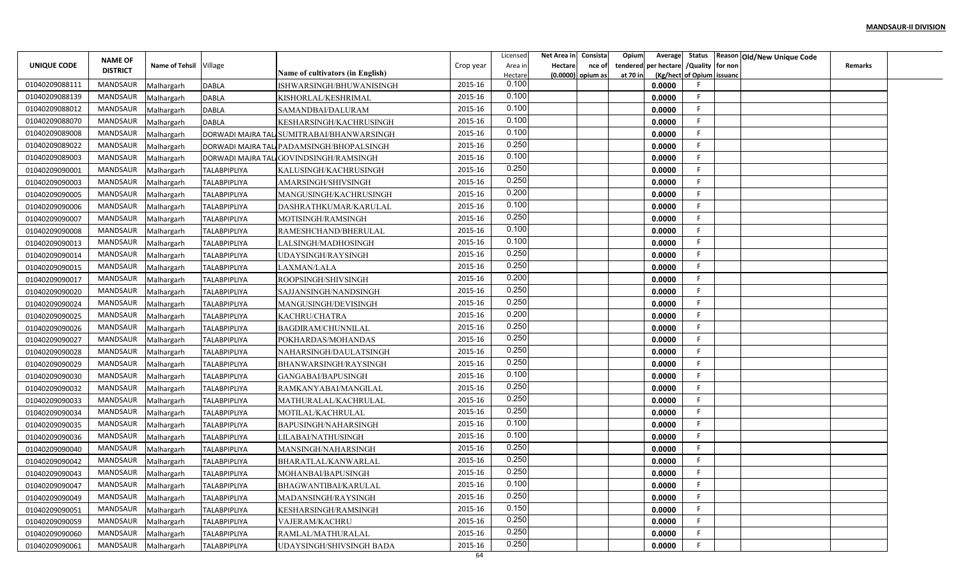|                | <b>NAME OF</b>  |                        |                     |                                                                     |           | Licensed         | Net Area in Consista     | Opium    | Average                       |                           | Status Reason Old/New Unique Code |                |  |
|----------------|-----------------|------------------------|---------------------|---------------------------------------------------------------------|-----------|------------------|--------------------------|----------|-------------------------------|---------------------------|-----------------------------------|----------------|--|
| UNIQUE CODE    | <b>DISTRICT</b> | Name of Tehsil Village |                     |                                                                     | Crop year | Area in          | <b>Hectare</b><br>nce of | tendered | per hectare / Quality for non |                           |                                   | <b>Remarks</b> |  |
| 01040209088111 | MANDSAUR        | Malhargarh             | <b>DABLA</b>        | <b>Name of cultivators (in English)</b><br>ISHWARSINGH/BHUWANISINGH | 2015-16   | Hectare<br>0.100 | (0.0000) opium as        | at 70 in | 0.0000                        | (Kg/hect of Opium issuanc |                                   |                |  |
| 01040209088139 | MANDSAUR        | Malhargarh             | <b>DABLA</b>        | KISHORLAL/KESHRIMAL                                                 | 2015-16   | 0.100            |                          |          | 0.0000                        | F                         |                                   |                |  |
| 01040209088012 | MANDSAUR        | Malhargarh             | <b>DABLA</b>        | SAMANDBAI/DALURAM                                                   | 2015-16   | 0.100            |                          |          | 0.0000                        | F                         |                                   |                |  |
| 01040209088070 | MANDSAUR        | Malhargarh             | <b>DABLA</b>        | KESHARSINGH/KACHRUSINGH                                             | 2015-16   | 0.100            |                          |          | 0.0000                        | F.                        |                                   |                |  |
| 01040209089008 | MANDSAUR        | Malhargarh             |                     | DORWADI MAJRA TALI SUMITRABAI/BHANWARSINGH                          | 2015-16   | 0.100            |                          |          | 0.0000                        |                           |                                   |                |  |
| 01040209089022 | MANDSAUR        | Malhargarh             |                     | DORWADI MAJRA TALI PADAMSINGH/BHOPALSINGH                           | 2015-16   | 0.250            |                          |          | 0.0000                        |                           |                                   |                |  |
| 01040209089003 | MANDSAUR        | Malhargarh             |                     | DORWADI MAJRA TALI GOVINDSINGH/RAMSINGH                             | 2015-16   | 0.100            |                          |          | 0.0000                        |                           |                                   |                |  |
| 01040209090001 | MANDSAUR        | Malhargarh             | <b>TALABPIPLIYA</b> | KALUSINGH/KACHRUSINGH                                               | 2015-16   | 0.250            |                          |          | 0.0000                        |                           |                                   |                |  |
| 01040209090003 | MANDSAUR        | Malhargarh             | <b>TALABPIPLIYA</b> | AMARSINGH/SHIVSINGH                                                 | 2015-16   | 0.250            |                          |          | 0.0000                        |                           |                                   |                |  |
| 01040209090005 | MANDSAUR        | Malhargarh             | <b>TALABPIPLIYA</b> | MANGUSINGH/KACHRUSINGH                                              | 2015-16   | 0.200            |                          |          | 0.0000                        |                           |                                   |                |  |
| 01040209090006 | MANDSAUR        | Malhargarh             | <b>TALABPIPLIYA</b> | DASHRATHKUMAR/KARULAL                                               | 2015-16   | 0.100            |                          |          | 0.0000                        | F                         |                                   |                |  |
| 01040209090007 | MANDSAUR        | Malhargarh             | <b>TALABPIPLIYA</b> | MOTISINGH/RAMSINGH                                                  | 2015-16   | 0.250            |                          |          | 0.0000                        | F                         |                                   |                |  |
| 01040209090008 | MANDSAUR        | Malhargarh             | <b>TALABPIPLIYA</b> | RAMESHCHAND/BHERULAL                                                | 2015-16   | 0.100            |                          |          | 0.0000                        | F                         |                                   |                |  |
| 01040209090013 | MANDSAUR        | Malhargarh             | <b>TALABPIPLIYA</b> | LALSINGH/MADHOSINGH                                                 | 2015-16   | 0.100            |                          |          | 0.0000                        |                           |                                   |                |  |
| 01040209090014 | MANDSAUR        | Malhargarh             | <b>TALABPIPLIYA</b> | <b>JDAYSINGH/RAYSINGH</b>                                           | 2015-16   | 0.250            |                          |          | 0.0000                        |                           |                                   |                |  |
| 01040209090015 | MANDSAUR        | Malhargarh             | <b>TALABPIPLIYA</b> | LAXMAN/LALA                                                         | 2015-16   | 0.250            |                          |          | 0.0000                        |                           |                                   |                |  |
| 01040209090017 | MANDSAUR        | Malhargarh             | <b>TALABPIPLIYA</b> | ROOPSINGH/SHIVSINGH                                                 | 2015-16   | 0.200            |                          |          | 0.0000                        |                           |                                   |                |  |
| 01040209090020 | MANDSAUR        | Malhargarh             | <b>TALABPIPLIYA</b> | SAJJANSINGH/NANDSINGH                                               | 2015-16   | 0.250            |                          |          | 0.0000                        |                           |                                   |                |  |
| 01040209090024 | MANDSAUR        | Malhargarh             | <b>TALABPIPLIYA</b> | MANGUSINGH/DEVISINGH                                                | 2015-16   | 0.250            |                          |          | 0.0000                        | F                         |                                   |                |  |
| 01040209090025 | MANDSAUR        | Malhargarh             | <b>TALABPIPLIYA</b> | KACHRU/CHATRA                                                       | 2015-16   | 0.200            |                          |          | 0.0000                        | F                         |                                   |                |  |
| 01040209090026 | MANDSAUR        | Malhargarh             | <b>TALABPIPLIYA</b> | <b>BAGDIRAM/CHUNNILAL</b>                                           | 2015-16   | 0.250            |                          |          | 0.0000                        |                           |                                   |                |  |
| 01040209090027 | MANDSAUR        | Malhargarh             | <b>TALABPIPLIYA</b> | POKHARDAS/MOHANDAS                                                  | 2015-16   | 0.250            |                          |          | 0.0000                        | F                         |                                   |                |  |
| 01040209090028 | MANDSAUR        | Malhargarh             | <b>TALABPIPLIYA</b> | NAHARSINGH/DAULATSINGH                                              | 2015-16   | 0.250            |                          |          | 0.0000                        |                           |                                   |                |  |
| 01040209090029 | MANDSAUR        | Malhargarh             | <b>TALABPIPLIYA</b> | BHANWARSINGH/RAYSINGH                                               | 2015-16   | 0.250            |                          |          | 0.0000                        | F                         |                                   |                |  |
| 01040209090030 | MANDSAUR        | Malhargarh             | <b>TALABPIPLIYA</b> | GANGABAI/BAPUSINGH                                                  | 2015-16   | 0.100            |                          |          | 0.0000                        |                           |                                   |                |  |
| 01040209090032 | MANDSAUR        | Malhargarh             | <b>TALABPIPLIYA</b> | RAMKANYABAI/MANGILAL                                                | 2015-16   | 0.250            |                          |          | 0.0000                        |                           |                                   |                |  |
| 01040209090033 | MANDSAUR        | Malhargarh             | <b>TALABPIPLIYA</b> | MATHURALAL/KACHRULAL                                                | 2015-16   | 0.250            |                          |          | 0.0000                        | F                         |                                   |                |  |
| 01040209090034 | MANDSAUR        | Malhargarh             | <b>TALABPIPLIYA</b> | MOTILAL/KACHRULAL                                                   | 2015-16   | 0.250            |                          |          | 0.0000                        | F                         |                                   |                |  |
| 01040209090035 | MANDSAUR        | Malhargarh             | <b>TALABPIPLIYA</b> | BAPUSINGH/NAHARSINGH                                                | 2015-16   | 0.100            |                          |          | 0.0000                        | F                         |                                   |                |  |
| 01040209090036 | MANDSAUR        | Malhargarh             | <b>TALABPIPLIYA</b> | <b>JILABAI/NATHUSINGH</b>                                           | 2015-16   | 0.100            |                          |          | 0.0000                        |                           |                                   |                |  |
| 01040209090040 | MANDSAUR        | Malhargarh             | <b>TALABPIPLIYA</b> | MANSINGH/NAHARSINGH                                                 | 2015-16   | 0.250            |                          |          | 0.0000                        |                           |                                   |                |  |
| 01040209090042 | MANDSAUR        | Malhargarh             | <b>TALABPIPLIYA</b> | BHARATLAL/KANWARLAL                                                 | 2015-16   | 0.250            |                          |          | 0.0000                        |                           |                                   |                |  |
| 01040209090043 | MANDSAUR        | Malhargarh             | <b>TALABPIPLIYA</b> | MOHANBAI/BAPUSINGH                                                  | 2015-16   | 0.250            |                          |          | 0.0000                        | F.                        |                                   |                |  |
| 01040209090047 | MANDSAUR        | Malhargarh             | <b>TALABPIPLIYA</b> | <b>BHAGWANTIBAI/KARULAL</b>                                         | 2015-16   | 0.100            |                          |          | 0.0000                        |                           |                                   |                |  |
| 01040209090049 | MANDSAUR        | Malhargarh             | <b>TALABPIPLIYA</b> | MADANSINGH/RAYSINGH                                                 | 2015-16   | 0.250            |                          |          | 0.0000                        |                           |                                   |                |  |
| 01040209090051 | MANDSAUR        | Malhargarh             | <b>TALABPIPLIYA</b> | KESHARSINGH/RAMSINGH                                                | 2015-16   | 0.150            |                          |          | 0.0000                        | F.                        |                                   |                |  |
| 01040209090059 | MANDSAUR        | Malhargarh             | <b>TALABPIPLIYA</b> | VAJERAM/KACHRU                                                      | 2015-16   | 0.250            |                          |          | 0.0000                        | F                         |                                   |                |  |
| 01040209090060 | MANDSAUR        | Malhargarh             | <b>TALABPIPLIYA</b> | RAMLAL/MATHURALAL                                                   | 2015-16   | 0.250            |                          |          | 0.0000                        | F.                        |                                   |                |  |
| 01040209090061 | MANDSAUR        | Malhargarh             | <b>TALABPIPLIYA</b> | UDAYSINGH/SHIVSINGH BADA                                            | 2015-16   | 0.250            |                          |          | 0.0000                        |                           |                                   |                |  |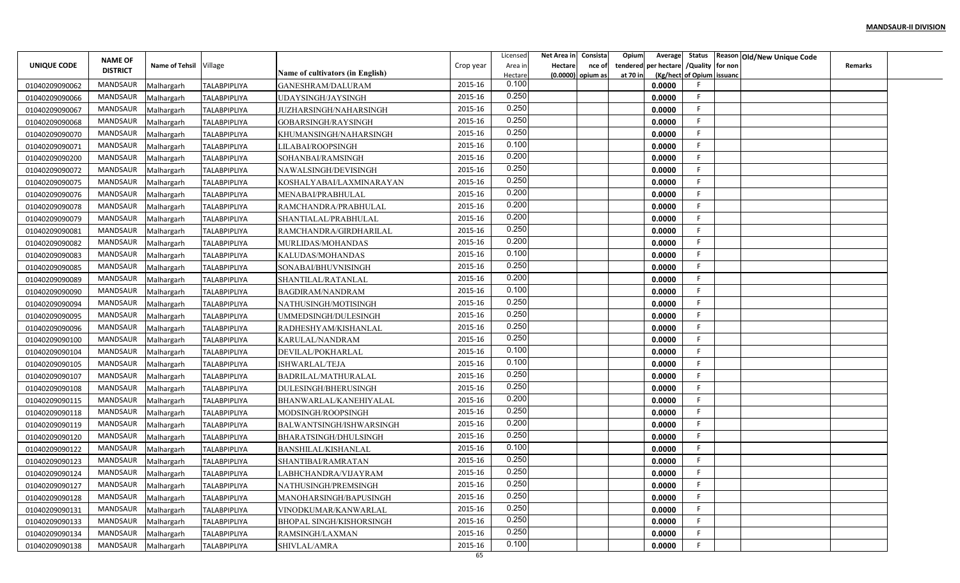|                |                                   |                        |                     |                                  |               | Licensed         | Net Area in | Consista            | Opium<br>Average        |                           | Status Reason Old/New Unique Code |                |  |
|----------------|-----------------------------------|------------------------|---------------------|----------------------------------|---------------|------------------|-------------|---------------------|-------------------------|---------------------------|-----------------------------------|----------------|--|
| UNIQUE CODE    | <b>NAME OF</b><br><b>DISTRICT</b> | Name of Tehsil Village |                     |                                  | Crop year     | Area in          | Hectare     | nce of              | per hectare<br>tendered | /Quality for non          |                                   | <b>Remarks</b> |  |
|                |                                   |                        |                     | Name of cultivators (in English) |               | Hectare<br>0.100 |             | $(0.0000)$ opium as | at 70 in                | (Kg/hect of Opium issuanc |                                   |                |  |
| 01040209090062 | MANDSAUR                          | Malhargarh             | <b>TALABPIPLIYA</b> | GANESHRAM/DALURAM                | 2015-16       | 0.250            |             |                     | 0.0000                  | -F                        |                                   |                |  |
| 01040209090066 | MANDSAUR                          | Malhargarh             | <b>TALABPIPLIYA</b> | UDAYSINGH/JAYSINGH               | 2015-16       | 0.250            |             |                     | 0.0000                  | -F                        |                                   |                |  |
| 01040209090067 | MANDSAUR                          | Malhargarh             | <b>TALABPIPLIYA</b> | JUZHARSINGH/NAHARSINGH           | 2015-16       | 0.250            |             |                     | 0.0000                  |                           |                                   |                |  |
| 01040209090068 | MANDSAUR                          | Malhargarh             | <b>TALABPIPLIYA</b> | GOBARSINGH/RAYSINGH              | 2015-16       | 0.250            |             |                     | 0.0000                  | F                         |                                   |                |  |
| 01040209090070 | MANDSAUR                          | Malhargarh             | TALABPIPLIYA        | KHUMANSINGH/NAHARSINGH           | 2015-16       | 0.100            |             |                     | 0.0000                  |                           |                                   |                |  |
| 01040209090071 | <b>MANDSAUR</b>                   | Malhargarh             | <b>TALABPIPLIYA</b> | LILABAI/ROOPSINGH                | 2015-16       |                  |             |                     | 0.0000                  | -F                        |                                   |                |  |
| 01040209090200 | MANDSAUR                          | Malhargarh             | <b>TALABPIPLIYA</b> | SOHANBAI/RAMSINGH                | 2015-16       | 0.200            |             |                     | 0.0000                  | -F                        |                                   |                |  |
| 01040209090072 | <b>MANDSAUR</b>                   | Malhargarh             | <b>TALABPIPLIYA</b> | NAWALSINGH/DEVISINGH             | 2015-16       | 0.250            |             |                     | 0.0000                  |                           |                                   |                |  |
| 01040209090075 | MANDSAUR                          | Malhargarh             | <b>TALABPIPLIYA</b> | KOSHALYABAI/LAXMINARAYAN         | 2015-16       | 0.250            |             |                     | 0.0000                  |                           |                                   |                |  |
| 01040209090076 | <b>MANDSAUR</b>                   | Malhargarh             | <b>TALABPIPLIYA</b> | MENABAI/PRABHULAL                | 2015-16       | 0.200            |             |                     | 0.0000                  | F                         |                                   |                |  |
| 01040209090078 | MANDSAUR                          | Malhargarh             | <b>TALABPIPLIYA</b> | RAMCHANDRA/PRABHULAL             | 2015-16       | 0.200            |             |                     | 0.0000                  | -F                        |                                   |                |  |
| 01040209090079 | <b>MANDSAUR</b>                   | Malhargarh             | <b>TALABPIPLIYA</b> | SHANTIALAL/PRABHULAL             | 2015-16       | 0.200            |             |                     | 0.0000                  | -F                        |                                   |                |  |
| 01040209090081 | <b>MANDSAUR</b>                   | Malhargarh             | <b>TALABPIPLIYA</b> | RAMCHANDRA/GIRDHARILAL           | 2015-16       | 0.250            |             |                     | 0.0000                  |                           |                                   |                |  |
| 01040209090082 | <b>MANDSAUR</b>                   | Malhargarh             | <b>TALABPIPLIYA</b> | MURLIDAS/MOHANDAS                | 2015-16       | 0.200            |             |                     | 0.0000                  |                           |                                   |                |  |
| 01040209090083 | <b>MANDSAUR</b>                   | Malhargarh             | <b>TALABPIPLIYA</b> | KALUDAS/MOHANDAS                 | 2015-16       | 0.100            |             |                     | 0.0000                  | -F                        |                                   |                |  |
| 01040209090085 | <b>MANDSAUR</b>                   | Malhargarh             | <b>TALABPIPLIYA</b> | SONABAI/BHUVNISINGH              | 2015-16       | 0.250            |             |                     | 0.0000                  |                           |                                   |                |  |
| 01040209090089 | <b>MANDSAUR</b>                   | Malhargarh             | <b>TALABPIPLIYA</b> | SHANTILAL/RATANLAL               | 2015-16       | 0.200            |             |                     | 0.0000                  |                           |                                   |                |  |
| 01040209090090 | <b>MANDSAUR</b>                   | Malhargarh             | <b>TALABPIPLIYA</b> | BAGDIRAM/NANDRAM                 | 2015-16       | 0.100            |             |                     | 0.0000                  | -F                        |                                   |                |  |
| 01040209090094 | MANDSAUR                          | Malhargarh             | <b>TALABPIPLIYA</b> | NATHUSINGH/MOTISINGH             | 2015-16       | 0.250            |             |                     | 0.0000                  |                           |                                   |                |  |
| 01040209090095 | MANDSAUR                          | Malhargarh             | <b>TALABPIPLIYA</b> | UMMEDSINGH/DULESINGH             | 2015-16       | 0.250            |             |                     | 0.0000                  | -F                        |                                   |                |  |
| 01040209090096 | <b>MANDSAUR</b>                   | Malhargarh             | <b>TALABPIPLIYA</b> | RADHESHYAM/KISHANLAL             | 2015-16       | 0.250            |             |                     | 0.0000                  | -F                        |                                   |                |  |
| 01040209090100 | <b>MANDSAUR</b>                   | Malhargarh             | <b>TALABPIPLIYA</b> | KARULAL/NANDRAM                  | 2015-16       | 0.250            |             |                     | 0.0000                  |                           |                                   |                |  |
| 01040209090104 | <b>MANDSAUR</b>                   | Malhargarh             | <b>TALABPIPLIYA</b> | DEVILAL/POKHARLAL                | 2015-16       | 0.100            |             |                     | 0.0000                  | -F                        |                                   |                |  |
| 01040209090105 | MANDSAUR                          | Malhargarh             | <b>TALABPIPLIYA</b> | ISHWARLAL/TEJA                   | 2015-16       | 0.100            |             |                     | 0.0000                  | -F                        |                                   |                |  |
| 01040209090107 | <b>MANDSAUR</b>                   | Malhargarh             | <b>TALABPIPLIYA</b> | BADRILAL/MATHURALAL              | 2015-16       | 0.250            |             |                     | 0.0000                  |                           |                                   |                |  |
| 01040209090108 | <b>MANDSAUR</b>                   | Malhargarh             | <b>TALABPIPLIYA</b> | DULESINGH/BHERUSINGH             | 2015-16       | 0.250            |             |                     | 0.0000                  |                           |                                   |                |  |
| 01040209090115 | <b>MANDSAUR</b>                   | Malhargarh             | TALABPIPLIYA        | BHANWARLAL/KANEHIYALAL           | 2015-16       | 0.200            |             |                     | 0.0000                  | -F                        |                                   |                |  |
| 01040209090118 | MANDSAUR                          | Malhargarh             | <b>TALABPIPLIYA</b> | MODSINGH/ROOPSINGH               | 2015-16       | 0.250            |             |                     | 0.0000                  | F                         |                                   |                |  |
| 01040209090119 | <b>MANDSAUR</b>                   | Malhargarh             | <b>TALABPIPLIYA</b> | BALWANTSINGH/ISHWARSINGH         | 2015-16       | 0.200            |             |                     | 0.0000                  | F                         |                                   |                |  |
| 01040209090120 | <b>MANDSAUR</b>                   | Malhargarh             | TALABPIPLIYA        | BHARATSINGH/DHULSINGH            | 2015-16       | 0.250            |             |                     | 0.0000                  |                           |                                   |                |  |
| 01040209090122 | <b>MANDSAUR</b>                   | Malhargarh             | <b>TALABPIPLIYA</b> | BANSHILAL/KISHANLAL              | 2015-16       | 0.100            |             |                     | 0.0000                  |                           |                                   |                |  |
|                | MANDSAUR                          |                        |                     |                                  | 2015-16       | 0.250            |             |                     | 0.0000                  |                           |                                   |                |  |
| 01040209090123 | MANDSAUR                          | Malhargarh             | <b>TALABPIPLIYA</b> | SHANTIBAI/RAMRATAN               | 2015-16       | 0.250            |             |                     |                         |                           |                                   |                |  |
| 01040209090124 | MANDSAUR                          | Malhargarh             | <b>TALABPIPLIYA</b> | LABHCHANDRA/VIJAYRAM             | 2015-16       | 0.250            |             |                     | 0.0000                  |                           |                                   |                |  |
| 01040209090127 |                                   | Malhargarh             | <b>TALABPIPLIYA</b> | NATHUSINGH/PREMSINGH             |               | 0.250            |             |                     | 0.0000                  | -F                        |                                   |                |  |
| 01040209090128 | MANDSAUR                          | Malhargarh             | <b>TALABPIPLIYA</b> | MANOHARSINGH/BAPUSINGH           | 2015-16       | 0.250            |             |                     | 0.0000                  |                           |                                   |                |  |
| 01040209090131 | MANDSAUR                          | Malhargarh             | <b>TALABPIPLIYA</b> | VINODKUMAR/KANWARLAL             | 2015-16       | 0.250            |             |                     | 0.0000                  | -F                        |                                   |                |  |
| 01040209090133 | MANDSAUR                          | Malhargarh             | <b>TALABPIPLIYA</b> | <b>BHOPAL SINGH/KISHORSINGH</b>  | 2015-16       |                  |             |                     | 0.0000                  | -F                        |                                   |                |  |
| 01040209090134 | MANDSAUR                          | Malhargarh             | TALABPIPLIYA        | RAMSINGH/LAXMAN                  | 2015-16       | 0.250            |             |                     | 0.0000                  | -F                        |                                   |                |  |
| 01040209090138 | <b>MANDSAUR</b>                   | Malhargarh             | <b>TALABPIPLIYA</b> | SHIVLAL/AMRA                     | 2015-16<br>65 | 0.100            |             |                     | 0.0000                  |                           |                                   |                |  |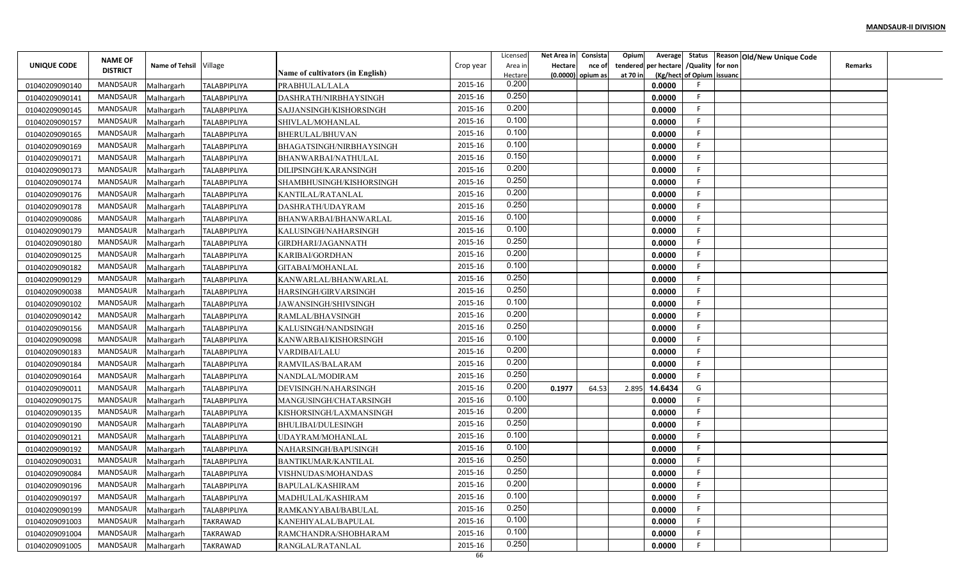|                                  |                 |                          |                     |                                        |               | Licensed | Net Area in | Consista            | Opium<br>Average        |                           | Status Reason Old/New Unique Code |                |  |
|----------------------------------|-----------------|--------------------------|---------------------|----------------------------------------|---------------|----------|-------------|---------------------|-------------------------|---------------------------|-----------------------------------|----------------|--|
| UNIQUE CODE                      | <b>NAME OF</b>  | Name of Tehsil Village   |                     |                                        | Crop year     | Area in  | Hectare     | nce of              | per hectare<br>tendered | /Quality for non          |                                   | <b>Remarks</b> |  |
|                                  | <b>DISTRICT</b> |                          |                     | Name of cultivators (in English)       |               | Hectare  |             | $(0.0000)$ opium as | at 70 in                | (Kg/hect of Opium issuanc |                                   |                |  |
| 01040209090140                   | <b>MANDSAUR</b> | Malhargarh               | <b>TALABPIPLIYA</b> | PRABHULAL/LALA                         | 2015-16       | 0.200    |             |                     | 0.0000                  |                           |                                   |                |  |
| 01040209090141                   | <b>MANDSAUR</b> | Malhargarh               | <b>TALABPIPLIYA</b> | DASHRATH/NIRBHAYSINGH                  | 2015-16       | 0.250    |             |                     | 0.0000                  | -F                        |                                   |                |  |
| 01040209090145                   | MANDSAUR        | Malhargarh               | <b>TALABPIPLIYA</b> | SAJJANSINGH/KISHORSINGH                | 2015-16       | 0.200    |             |                     | 0.0000                  | -F                        |                                   |                |  |
| 01040209090157                   | <b>MANDSAUR</b> | Malhargarh               | <b>TALABPIPLIYA</b> | SHIVLAL/MOHANLAL                       | 2015-16       | 0.100    |             |                     | 0.0000                  | F                         |                                   |                |  |
| 01040209090165                   | <b>MANDSAUR</b> | Malhargarh               | TALABPIPLIYA        | BHERULAL/BHUVAN                        | 2015-16       | 0.100    |             |                     | 0.0000                  |                           |                                   |                |  |
| 01040209090169                   | <b>MANDSAUR</b> | Malhargarh               | <b>TALABPIPLIYA</b> | BHAGATSINGH/NIRBHAYSINGH               | 2015-16       | 0.100    |             |                     | 0.0000                  | -F                        |                                   |                |  |
| 01040209090171                   | MANDSAUR        | Malhargarh               | <b>TALABPIPLIYA</b> | BHANWARBAI/NATHULAL                    | 2015-16       | 0.150    |             |                     | 0.0000                  | -F                        |                                   |                |  |
| 01040209090173                   | <b>MANDSAUR</b> | Malhargarh               | <b>TALABPIPLIYA</b> | DILIPSINGH/KARANSINGH                  | 2015-16       | 0.200    |             |                     | 0.0000                  |                           |                                   |                |  |
| 01040209090174                   | MANDSAUR        | Malhargarh               | <b>TALABPIPLIYA</b> | SHAMBHUSINGH/KISHORSINGH               | 2015-16       | 0.250    |             |                     | 0.0000                  |                           |                                   |                |  |
| 01040209090176                   | <b>MANDSAUR</b> | Malhargarh               | <b>TALABPIPLIYA</b> | KANTILAL/RATANLAL                      | 2015-16       | 0.200    |             |                     | 0.0000                  | F                         |                                   |                |  |
| 01040209090178                   | MANDSAUR        | Malhargarh               | <b>TALABPIPLIYA</b> | DASHRATH/UDAYRAM                       | 2015-16       | 0.250    |             |                     | 0.0000                  | -F                        |                                   |                |  |
| 01040209090086                   | <b>MANDSAUR</b> | Malhargarh               | <b>TALABPIPLIYA</b> | BHANWARBAI/BHANWARLAL                  | 2015-16       | 0.100    |             |                     | 0.0000                  | -F                        |                                   |                |  |
| 01040209090179                   | <b>MANDSAUR</b> | Malhargarh               | <b>TALABPIPLIYA</b> | KALUSINGH/NAHARSINGH                   | 2015-16       | 0.100    |             |                     | 0.0000                  | -F                        |                                   |                |  |
| 01040209090180                   | <b>MANDSAUR</b> | Malhargarh               | <b>TALABPIPLIYA</b> | GIRDHARI/JAGANNATH                     | 2015-16       | 0.250    |             |                     | 0.0000                  |                           |                                   |                |  |
| 01040209090125                   | <b>MANDSAUR</b> | Malhargarh               | <b>TALABPIPLIYA</b> | KARIBAI/GORDHAN                        | 2015-16       | 0.200    |             |                     | 0.0000                  | -F                        |                                   |                |  |
| 01040209090182                   | <b>MANDSAUR</b> | Malhargarh               | <b>TALABPIPLIYA</b> | GITABAI/MOHANLAL                       | 2015-16       | 0.100    |             |                     | 0.0000                  |                           |                                   |                |  |
| 01040209090129                   | <b>MANDSAUR</b> | Malhargarh               | <b>TALABPIPLIYA</b> | KANWARLAL/BHANWARLAL                   | 2015-16       | 0.250    |             |                     | 0.0000                  |                           |                                   |                |  |
| 01040209090038                   | <b>MANDSAUR</b> | Malhargarh               | <b>TALABPIPLIYA</b> | HARSINGH/GIRVARSINGH                   | 2015-16       | 0.250    |             |                     | 0.0000                  | -F                        |                                   |                |  |
| 01040209090102                   | MANDSAUR        | Malhargarh               | <b>TALABPIPLIYA</b> | JAWANSINGH/SHIVSINGH                   | 2015-16       | 0.100    |             |                     | 0.0000                  |                           |                                   |                |  |
| 01040209090142                   | MANDSAUR        | Malhargarh               | <b>TALABPIPLIYA</b> | RAMLAL/BHAVSINGH                       | 2015-16       | 0.200    |             |                     | 0.0000                  | -F                        |                                   |                |  |
| 01040209090156                   | <b>MANDSAUR</b> | Malhargarh               | <b>TALABPIPLIYA</b> | KALUSINGH/NANDSINGH                    | 2015-16       | 0.250    |             |                     | 0.0000                  | -F                        |                                   |                |  |
| 01040209090098                   | <b>MANDSAUR</b> | Malhargarh               | <b>TALABPIPLIYA</b> | KANWARBAI/KISHORSINGH                  | 2015-16       | 0.100    |             |                     | 0.0000                  |                           |                                   |                |  |
| 01040209090183                   | <b>MANDSAUR</b> | Malhargarh               | <b>TALABPIPLIYA</b> | VARDIBAI/LALU                          | 2015-16       | 0.200    |             |                     | 0.0000                  | -F                        |                                   |                |  |
| 01040209090184                   | MANDSAUR        | Malhargarh               | <b>TALABPIPLIYA</b> | RAMVILAS/BALARAM                       | 2015-16       | 0.200    |             |                     | 0.0000                  | F                         |                                   |                |  |
| 01040209090164                   | <b>MANDSAUR</b> | Malhargarh               | <b>TALABPIPLIYA</b> | NANDLAL/MODIRAM                        | 2015-16       | 0.250    |             |                     | 0.0000                  | -F                        |                                   |                |  |
| 01040209090011                   | <b>MANDSAUR</b> | Malhargarh               | <b>TALABPIPLIYA</b> | DEVISINGH/NAHARSINGH                   | 2015-16       | 0.200    | 0.1977      | 64.53               | 2.895<br>14.6434        | G                         |                                   |                |  |
| 01040209090175                   | <b>MANDSAUR</b> | Malhargarh               | TALABPIPLIYA        | MANGUSINGH/CHATARSINGH                 | 2015-16       | 0.100    |             |                     | 0.0000                  | -F                        |                                   |                |  |
| 01040209090135                   | MANDSAUR        | Malhargarh               | <b>TALABPIPLIYA</b> | KISHORSINGH/LAXMANSINGH                | 2015-16       | 0.200    |             |                     | 0.0000                  | F                         |                                   |                |  |
| 01040209090190                   | <b>MANDSAUR</b> | Malhargarh               | <b>TALABPIPLIYA</b> | BHULIBAI/DULESINGH                     | 2015-16       | 0.250    |             |                     | 0.0000                  | F                         |                                   |                |  |
| 01040209090121                   | <b>MANDSAUR</b> | Malhargarh               | TALABPIPLIYA        | UDAYRAM/MOHANLAL                       | 2015-16       | 0.100    |             |                     | 0.0000                  |                           |                                   |                |  |
| 01040209090192                   | <b>MANDSAUR</b> | Malhargarh               | <b>TALABPIPLIYA</b> | NAHARSINGH/BAPUSINGH                   | 2015-16       | 0.100    |             |                     | 0.0000                  |                           |                                   |                |  |
| 01040209090031                   | MANDSAUR        | Malhargarh               | <b>TALABPIPLIYA</b> | BANTIKUMAR/KANTILAL                    | 2015-16       | 0.250    |             |                     | 0.0000                  |                           |                                   |                |  |
| 01040209090084                   | MANDSAUR        |                          | <b>TALABPIPLIYA</b> |                                        | 2015-16       | 0.250    |             |                     | 0.0000                  |                           |                                   |                |  |
|                                  | MANDSAUR        | Malhargarh<br>Malhargarh | <b>TALABPIPLIYA</b> | VISHNUDAS/MOHANDAS<br>BAPULAL/KASHIRAM | 2015-16       | 0.200    |             |                     | 0.0000                  |                           |                                   |                |  |
| 01040209090196<br>01040209090197 | MANDSAUR        |                          | <b>TALABPIPLIYA</b> |                                        | 2015-16       | 0.100    |             |                     | 0.0000                  | -F                        |                                   |                |  |
|                                  | MANDSAUR        | Malhargarh               |                     | MADHULAL/KASHIRAM                      | 2015-16       | 0.250    |             |                     | 0.0000                  | -F                        |                                   |                |  |
| 01040209090199                   | MANDSAUR        | Malhargarh               | <b>TALABPIPLIYA</b> | RAMKANYABAI/BABULAL                    | 2015-16       | 0.100    |             |                     |                         | -F                        |                                   |                |  |
| 01040209091003                   | MANDSAUR        | Malhargarh               | TAKRAWAD            | KANEHIYALAL/BAPULAL                    | 2015-16       | 0.100    |             |                     | 0.0000                  | -F                        |                                   |                |  |
| 01040209091004                   |                 | Malhargarh               | TAKRAWAD            | RAMCHANDRA/SHOBHARAM                   |               | 0.250    |             |                     | 0.0000                  |                           |                                   |                |  |
| 01040209091005                   | MANDSAUR        | Malhargarh               | <b>TAKRAWAD</b>     | RANGLAL/RATANLAL                       | 2015-16<br>66 |          |             |                     | 0.0000                  |                           |                                   |                |  |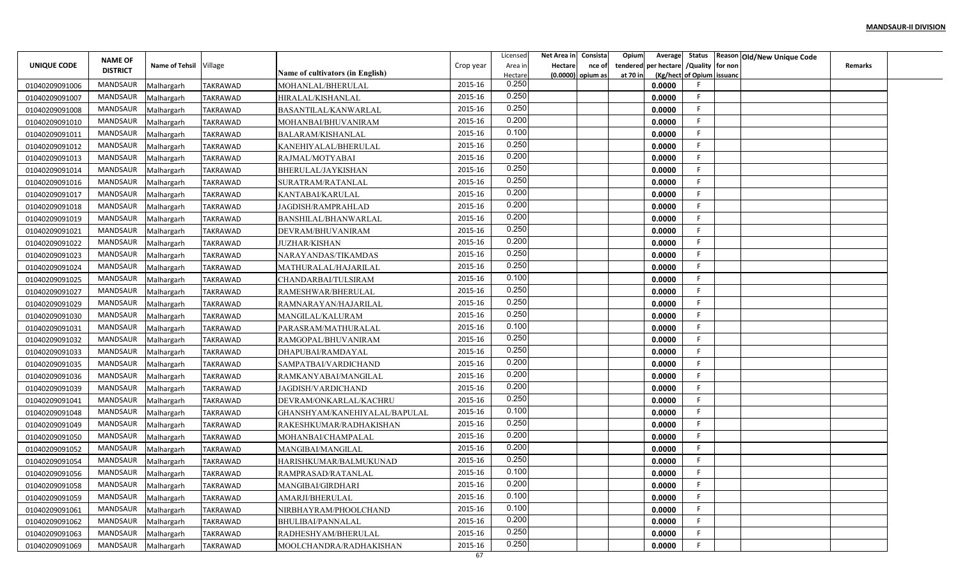|                |                 |                        |                 |                                  |           | Licensed | Net Area in | Consista            | Opium<br>Average        |                           | Status Reason Old/New Unique Code |                |  |
|----------------|-----------------|------------------------|-----------------|----------------------------------|-----------|----------|-------------|---------------------|-------------------------|---------------------------|-----------------------------------|----------------|--|
| UNIQUE CODE    | <b>NAME OF</b>  | Name of Tehsil Village |                 |                                  | Crop year | Area in  | Hectare     | nce of              | per hectare<br>tendered | /Quality for non          |                                   | <b>Remarks</b> |  |
|                | <b>DISTRICT</b> |                        |                 | Name of cultivators (in English) |           | Hectare  |             | $(0.0000)$ opium as | at 70 in                | (Kg/hect of Opium issuanc |                                   |                |  |
| 01040209091006 | <b>MANDSAUR</b> | Malhargarh             | <b>TAKRAWAD</b> | MOHANLAL/BHERULAL                | 2015-16   | 0.250    |             |                     | 0.0000                  |                           |                                   |                |  |
| 01040209091007 | <b>MANDSAUR</b> | Malhargarh             | <b>TAKRAWAD</b> | HIRALAL/KISHANLAL                | 2015-16   | 0.250    |             |                     | 0.0000                  | -F                        |                                   |                |  |
| 01040209091008 | MANDSAUR        | Malhargarh             | <b>TAKRAWAD</b> | BASANTILAL/KANWARLAL             | 2015-16   | 0.250    |             |                     | 0.0000                  | -F                        |                                   |                |  |
| 01040209091010 | <b>MANDSAUR</b> | Malhargarh             | <b>TAKRAWAD</b> | MOHANBAI/BHUVANIRAM              | 2015-16   | 0.200    |             |                     | 0.0000                  | F                         |                                   |                |  |
| 01040209091011 | <b>MANDSAUR</b> | Malhargarh             | TAKRAWAD        | BALARAM/KISHANLAL                | 2015-16   | 0.100    |             |                     | 0.0000                  | - 6                       |                                   |                |  |
| 01040209091012 | <b>MANDSAUR</b> | Malhargarh             | TAKRAWAD        | KANEHIYALAL/BHERULAL             | 2015-16   | 0.250    |             |                     | 0.0000                  | -F                        |                                   |                |  |
| 01040209091013 | MANDSAUR        | Malhargarh             | TAKRAWAD        | RAJMAL/MOTYABAI                  | 2015-16   | 0.200    |             |                     | 0.0000                  | -F                        |                                   |                |  |
| 01040209091014 | <b>MANDSAUR</b> | Malhargarh             | <b>TAKRAWAD</b> | BHERULAL/JAYKISHAN               | 2015-16   | 0.250    |             |                     | 0.0000                  |                           |                                   |                |  |
| 01040209091016 | MANDSAUR        | Malhargarh             | <b>TAKRAWAD</b> | SURATRAM/RATANLAL                | 2015-16   | 0.250    |             |                     | 0.0000                  |                           |                                   |                |  |
| 01040209091017 | <b>MANDSAUR</b> | Malhargarh             | TAKRAWAD        | KANTABAI/KARULAL                 | 2015-16   | 0.200    |             |                     | 0.0000                  | F.                        |                                   |                |  |
| 01040209091018 | MANDSAUR        | Malhargarh             | <b>TAKRAWAD</b> | JAGDISH/RAMPRAHLAD               | 2015-16   | 0.200    |             |                     | 0.0000                  | -F                        |                                   |                |  |
| 01040209091019 | <b>MANDSAUR</b> | Malhargarh             | <b>TAKRAWAD</b> | BANSHILAL/BHANWARLAL             | 2015-16   | 0.200    |             |                     | 0.0000                  | -F                        |                                   |                |  |
| 01040209091021 | <b>MANDSAUR</b> | Malhargarh             | <b>TAKRAWAD</b> | DEVRAM/BHUVANIRAM                | 2015-16   | 0.250    |             |                     | 0.0000                  |                           |                                   |                |  |
| 01040209091022 | <b>MANDSAUR</b> | Malhargarh             | TAKRAWAD        | <b>JUZHAR/KISHAN</b>             | 2015-16   | 0.200    |             |                     | 0.0000                  |                           |                                   |                |  |
| 01040209091023 | <b>MANDSAUR</b> | Malhargarh             | TAKRAWAD        | NARAYANDAS/TIKAMDAS              | 2015-16   | 0.250    |             |                     | 0.0000                  |                           |                                   |                |  |
| 01040209091024 | <b>MANDSAUR</b> | Malhargarh             | TAKRAWAD        | MATHURALAL/HAJARILAL             | 2015-16   | 0.250    |             |                     | 0.0000                  |                           |                                   |                |  |
| 01040209091025 | <b>MANDSAUR</b> | Malhargarh             | TAKRAWAD        | CHANDARBAI/TULSIRAM              | 2015-16   | 0.100    |             |                     | 0.0000                  |                           |                                   |                |  |
| 01040209091027 | <b>MANDSAUR</b> | Malhargarh             | TAKRAWAD        | RAMESHWAR/BHERULAL               | 2015-16   | 0.250    |             |                     | 0.0000                  | -F                        |                                   |                |  |
| 01040209091029 | MANDSAUR        | Malhargarh             | <b>TAKRAWAD</b> | RAMNARAYAN/HAJARILAL             | 2015-16   | 0.250    |             |                     | 0.0000                  |                           |                                   |                |  |
| 01040209091030 | MANDSAUR        | Malhargarh             | TAKRAWAD        | MANGILAL/KALURAM                 | 2015-16   | 0.250    |             |                     | 0.0000                  | -F                        |                                   |                |  |
| 01040209091031 | <b>MANDSAUR</b> | Malhargarh             | TAKRAWAD        | PARASRAM/MATHURALAL              | 2015-16   | 0.100    |             |                     | 0.0000                  | -F                        |                                   |                |  |
| 01040209091032 | <b>MANDSAUR</b> | Malhargarh             | TAKRAWAD        | RAMGOPAL/BHUVANIRAM              | 2015-16   | 0.250    |             |                     | 0.0000                  |                           |                                   |                |  |
| 01040209091033 | <b>MANDSAUR</b> | Malhargarh             | TAKRAWAD        | DHAPUBAI/RAMDAYAL                | 2015-16   | 0.250    |             |                     | 0.0000                  | -F                        |                                   |                |  |
| 01040209091035 | MANDSAUR        | Malhargarh             | <b>TAKRAWAD</b> | SAMPATBAI/VARDICHAND             | 2015-16   | 0.200    |             |                     | 0.0000                  | -F                        |                                   |                |  |
| 01040209091036 | <b>MANDSAUR</b> | Malhargarh             | <b>TAKRAWAD</b> | RAMKANYABAI/MANGILAL             | 2015-16   | 0.200    |             |                     | 0.0000                  |                           |                                   |                |  |
| 01040209091039 | <b>MANDSAUR</b> | Malhargarh             | TAKRAWAD        | JAGDISH/VARDICHAND               | 2015-16   | 0.200    |             |                     | 0.0000                  |                           |                                   |                |  |
| 01040209091041 | <b>MANDSAUR</b> | Malhargarh             | TAKRAWAD        | DEVRAM/ONKARLAL/KACHRU           | 2015-16   | 0.250    |             |                     | 0.0000                  | F                         |                                   |                |  |
| 01040209091048 | MANDSAUR        | Malhargarh             | TAKRAWAD        | GHANSHYAM/KANEHIYALAL/BAPULAL    | 2015-16   | 0.100    |             |                     | 0.0000                  | F                         |                                   |                |  |
| 01040209091049 | <b>MANDSAUR</b> | Malhargarh             | TAKRAWAD        | RAKESHKUMAR/RADHAKISHAN          | 2015-16   | 0.250    |             |                     | 0.0000                  | F                         |                                   |                |  |
| 01040209091050 | <b>MANDSAUR</b> | Malhargarh             | TAKRAWAD        | MOHANBAI/CHAMPALAL               | 2015-16   | 0.200    |             |                     | 0.0000                  |                           |                                   |                |  |
| 01040209091052 | <b>MANDSAUR</b> | Malhargarh             | TAKRAWAD        | MANGIBAI/MANGILAL                | 2015-16   | 0.200    |             |                     | 0.0000                  |                           |                                   |                |  |
| 01040209091054 | MANDSAUR        | Malhargarh             | TAKRAWAD        | HARISHKUMAR/BALMUKUNAD           | 2015-16   | 0.250    |             |                     | 0.0000                  |                           |                                   |                |  |
|                | MANDSAUR        |                        |                 |                                  | 2015-16   | 0.100    |             |                     | 0.0000                  |                           |                                   |                |  |
| 01040209091056 | MANDSAUR        | Malhargarh             | <b>TAKRAWAD</b> | RAMPRASAD/RATANLAL               | 2015-16   | 0.200    |             |                     | 0.0000                  |                           |                                   |                |  |
| 01040209091058 | MANDSAUR        | Malhargarh             | <b>TAKRAWAD</b> | MANGIBAI/GIRDHARI                | 2015-16   | 0.100    |             |                     |                         | -F                        |                                   |                |  |
| 01040209091059 | MANDSAUR        | Malhargarh             | <b>TAKRAWAD</b> | AMARJI/BHERULAL                  | 2015-16   | 0.100    |             |                     | 0.0000<br>0.0000        | -F                        |                                   |                |  |
| 01040209091061 | MANDSAUR        | Malhargarh             | <b>TAKRAWAD</b> | NIRBHAYRAM/PHOOLCHAND            | 2015-16   | 0.200    |             |                     |                         | -F                        |                                   |                |  |
| 01040209091062 | MANDSAUR        | Malhargarh             | TAKRAWAD        | BHULIBAI/PANNALAL                | 2015-16   | 0.250    |             |                     | 0.0000                  | -F                        |                                   |                |  |
| 01040209091063 | MANDSAUR        | Malhargarh             | TAKRAWAD        | RADHESHYAM/BHERULAL              | 2015-16   | 0.250    |             |                     | 0.0000                  |                           |                                   |                |  |
| 01040209091069 |                 | Malhargarh             | <b>TAKRAWAD</b> | MOOLCHANDRA/RADHAKISHAN          | 67        |          |             |                     | 0.0000                  |                           |                                   |                |  |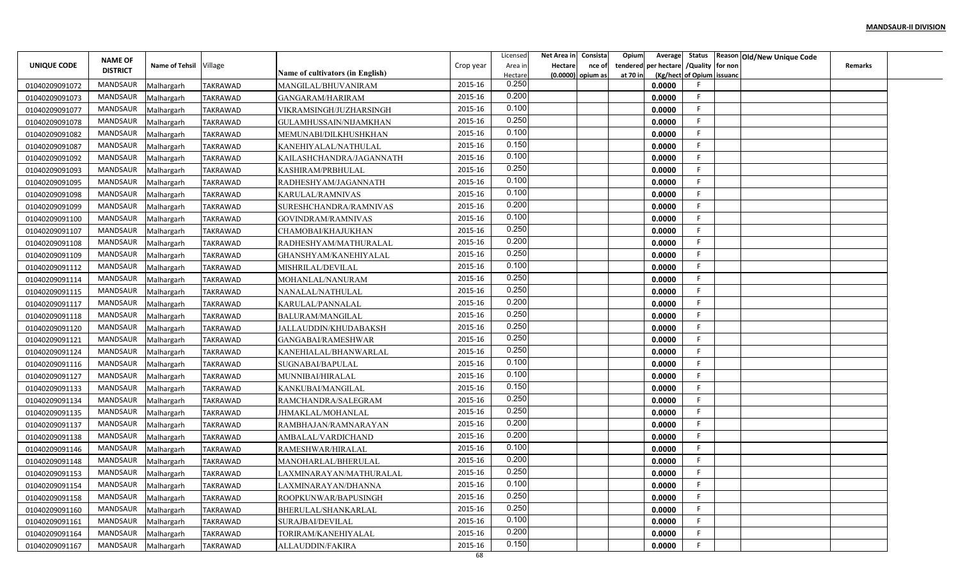|                                  | <b>NAME OF</b>  |                          |                                    |                                               |           | Licensed         | Net Area in    | Consista            | Opium    |                                        |                           | Average Status Reason Old/New Unique Code |                |  |
|----------------------------------|-----------------|--------------------------|------------------------------------|-----------------------------------------------|-----------|------------------|----------------|---------------------|----------|----------------------------------------|---------------------------|-------------------------------------------|----------------|--|
| UNIQUE CODE                      | <b>DISTRICT</b> | Name of Tehsil Village   |                                    |                                               | Crop year | Area in          | <b>Hectare</b> | nce of              |          | tendered per hectare / Quality for non |                           |                                           | <b>Remarks</b> |  |
|                                  | MANDSAUR        |                          | <b>TAKRAWAD</b>                    | <b>Name of cultivators (in English)</b>       | 2015-16   | Hectare<br>0.250 |                | $(0.0000)$ opium as | at 70 in | 0.0000                                 | (Kg/hect of Opium issuanc |                                           |                |  |
| 01040209091072<br>01040209091073 | MANDSAUR        | Malhargarh               | <b>TAKRAWAD</b>                    | MANGILAL/BHUVANIRAM                           | 2015-16   | 0.200            |                |                     |          | 0.0000                                 | F.                        |                                           |                |  |
|                                  | MANDSAUR        | Malhargarh               |                                    | GANGARAM/HARIRAM                              | 2015-16   | 0.100            |                |                     |          |                                        | F.                        |                                           |                |  |
| 01040209091077                   | <b>MANDSAUR</b> | Malhargarh               | <b>TAKRAWAD</b>                    | VIKRAMSINGH/JUZHARSINGH                       | 2015-16   | 0.250            |                |                     |          | 0.0000                                 | F.                        |                                           |                |  |
| 01040209091078                   | MANDSAUR        | Malhargarh               | TAKRAWAD                           | GULAMHUSSAIN/NIJAMKHAN                        | 2015-16   | 0.100            |                |                     |          | 0.0000                                 | F.                        |                                           |                |  |
| 01040209091082                   | MANDSAUR        | Malhargarh               | TAKRAWAD                           | MEMUNABI/DILKHUSHKHAN                         | 2015-16   | 0.150            |                |                     |          | 0.0000                                 | F.                        |                                           |                |  |
| 01040209091087                   | MANDSAUR        | Malhargarh               | TAKRAWAD                           | KANEHIYALAL/NATHULAL                          | 2015-16   | 0.100            |                |                     |          | 0.0000<br>0.0000                       | F                         |                                           |                |  |
| 01040209091092<br>01040209091093 | MANDSAUR        | Malhargarh<br>Malhargarh | <b>TAKRAWAD</b><br><b>TAKRAWAD</b> | KAILASHCHANDRA/JAGANNATH<br>KASHIRAM/PRBHULAL | 2015-16   | 0.250            |                |                     |          | 0.0000                                 | F.                        |                                           |                |  |
| 01040209091095                   | MANDSAUR        | Malhargarh               | TAKRAWAD                           | RADHESHYAM/JAGANNATH                          | 2015-16   | 0.100            |                |                     |          | 0.0000                                 | E                         |                                           |                |  |
| 01040209091098                   | MANDSAUR        | Malhargarh               | TAKRAWAD                           | KARULAL/RAMNIVAS                              | 2015-16   | 0.100            |                |                     |          | 0.0000                                 | F                         |                                           |                |  |
| 01040209091099                   | MANDSAUR        | Malhargarh               | <b>TAKRAWAD</b>                    | SURESHCHANDRA/RAMNIVAS                        | 2015-16   | 0.200            |                |                     |          | 0.0000                                 | -F                        |                                           |                |  |
| 01040209091100                   | MANDSAUR        | Malhargarh               | <b>TAKRAWAD</b>                    | GOVINDRAM/RAMNIVAS                            | 2015-16   | 0.100            |                |                     |          | 0.0000                                 | -F                        |                                           |                |  |
| 01040209091107                   | MANDSAUR        | Malhargarh               | TAKRAWAD                           | CHAMOBAI/KHAJUKHAN                            | 2015-16   | 0.250            |                |                     |          | 0.0000                                 | F.                        |                                           |                |  |
| 01040209091108                   | MANDSAUR        | Malhargarh               | TAKRAWAD                           | RADHESHYAM/MATHURALAL                         | 2015-16   | 0.200            |                |                     |          | 0.0000                                 | E                         |                                           |                |  |
| 01040209091109                   | MANDSAUR        | Malhargarh               | TAKRAWAD                           | GHANSHYAM/KANEHIYALAL                         | 2015-16   | 0.250            |                |                     |          | 0.0000                                 | F.                        |                                           |                |  |
| 01040209091112                   | <b>MANDSAUR</b> | Malhargarh               | TAKRAWAD                           | MISHRILAL/DEVILAL                             | 2015-16   | 0.100            |                |                     |          | 0.0000                                 | F.                        |                                           |                |  |
| 01040209091114                   | MANDSAUR        | Malhargarh               | TAKRAWAD                           | MOHANLAL/NANURAM                              | 2015-16   | 0.250            |                |                     |          | 0.0000                                 | F                         |                                           |                |  |
| 01040209091115                   | MANDSAUR        | Malhargarh               | TAKRAWAD                           | NANALAL/NATHULAL                              | 2015-16   | 0.250            |                |                     |          | 0.0000                                 | F                         |                                           |                |  |
| 01040209091117                   | MANDSAUR        | Malhargarh               | TAKRAWAD                           | KARULAL/PANNALAL                              | 2015-16   | 0.200            |                |                     |          | 0.0000                                 | -F                        |                                           |                |  |
| 01040209091118                   | MANDSAUR        | Malhargarh               | <b>TAKRAWAD</b>                    | <b>BALURAM/MANGILAL</b>                       | 2015-16   | 0.250            |                |                     |          | 0.0000                                 | F.                        |                                           |                |  |
| 01040209091120                   | MANDSAUR        | Malhargarh               | TAKRAWAD                           | JALLAUDDIN/KHUDABAKSH                         | 2015-16   | 0.250            |                |                     |          | 0.0000                                 | -F                        |                                           |                |  |
| 01040209091121                   | MANDSAUR        | Malhargarh               | TAKRAWAD                           | GANGABAI/RAMESHWAR                            | 2015-16   | 0.250            |                |                     |          | 0.0000                                 | F.                        |                                           |                |  |
| 01040209091124                   | MANDSAUR        | Malhargarh               | <b>TAKRAWAD</b>                    | KANEHIALAL/BHANWARLAL                         | 2015-16   | 0.250            |                |                     |          | 0.0000                                 | F.                        |                                           |                |  |
| 01040209091116                   | MANDSAUR        | Malhargarh               | <b>TAKRAWAD</b>                    | SUGNABAI/BAPULAL                              | 2015-16   | 0.100            |                |                     |          | 0.0000                                 | F                         |                                           |                |  |
| 01040209091127                   | MANDSAUR        | Malhargarh               | TAKRAWAD                           | MUNNIBAI/HIRALAL                              | 2015-16   | 0.100            |                |                     |          | 0.0000                                 | F                         |                                           |                |  |
| 01040209091133                   | MANDSAUR        | Malhargarh               | TAKRAWAD                           | KANKUBAI/MANGILAL                             | 2015-16   | 0.150            |                |                     |          | 0.0000                                 | F                         |                                           |                |  |
| 01040209091134                   | MANDSAUR        | Malhargarh               | TAKRAWAD                           | RAMCHANDRA/SALEGRAM                           | 2015-16   | 0.250            |                |                     |          | 0.0000                                 | F.                        |                                           |                |  |
| 01040209091135                   | MANDSAUR        | Malhargarh               | <b>TAKRAWAD</b>                    | JHMAKLAL/MOHANLAL                             | 2015-16   | 0.250            |                |                     |          | 0.0000                                 | F                         |                                           |                |  |
| 01040209091137                   | MANDSAUR        | Malhargarh               | TAKRAWAD                           | RAMBHAJAN/RAMNARAYAN                          | 2015-16   | 0.200            |                |                     |          | 0.0000                                 | F.                        |                                           |                |  |
| 01040209091138                   | <b>MANDSAUR</b> | Malhargarh               | TAKRAWAD                           | AMBALAL/VARDICHAND                            | 2015-16   | 0.200            |                |                     |          | 0.0000                                 | E                         |                                           |                |  |
| 01040209091146                   | MANDSAUR        | Malhargarh               | TAKRAWAD                           | RAMESHWAR/HIRALAL                             | 2015-16   | 0.100            |                |                     |          | 0.0000                                 | F.                        |                                           |                |  |
| 01040209091148                   | MANDSAUR        | Malhargarh               | <b>TAKRAWAD</b>                    | MANOHARLAL/BHERULAL                           | 2015-16   | 0.200            |                |                     |          | 0.0000                                 | F                         |                                           |                |  |
| 01040209091153                   | MANDSAUR        | Malhargarh               | <b>TAKRAWAD</b>                    | LAXMINARAYAN/MATHURALAL                       | 2015-16   | 0.250            |                |                     |          | 0.0000                                 | F.                        |                                           |                |  |
| 01040209091154                   | MANDSAUR        | Malhargarh               | <b>TAKRAWAD</b>                    | LAXMINARAYAN/DHANNA                           | 2015-16   | 0.100            |                |                     |          | 0.0000                                 | F                         |                                           |                |  |
| 01040209091158                   | MANDSAUR        | Malhargarh               | TAKRAWAD                           | ROOPKUNWAR/BAPUSINGH                          | 2015-16   | 0.250            |                |                     |          | 0.0000                                 | F                         |                                           |                |  |
| 01040209091160                   | MANDSAUR        | Malhargarh               | TAKRAWAD                           | BHERULAL/SHANKARLAL                           | 2015-16   | 0.250            |                |                     |          | 0.0000                                 | F.                        |                                           |                |  |
| 01040209091161                   | MANDSAUR        | Malhargarh               | TAKRAWAD                           | SURAJBAI/DEVILAL                              | 2015-16   | 0.100            |                |                     |          | 0.0000                                 | F                         |                                           |                |  |
| 01040209091164                   | MANDSAUR        | Malhargarh               | <b>TAKRAWAD</b>                    | TORIRAM/KANEHIYALAL                           | 2015-16   | 0.200            |                |                     |          | 0.0000                                 | F.                        |                                           |                |  |
| 01040209091167                   | MANDSAUR        | Malhargarh               | <b>TAKRAWAD</b>                    | ALLAUDDIN/FAKIRA                              | 2015-16   | 0.150            |                |                     |          | 0.0000                                 | F.                        |                                           |                |  |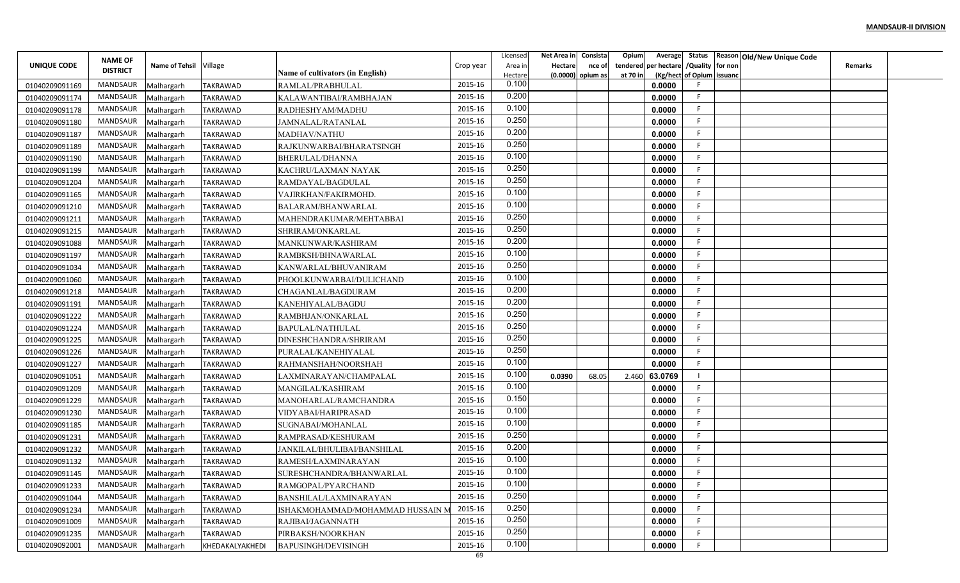|                |                                   |                        |                 |                                  |                    | Licensed         | Net Area in | Consista            | Opium<br>Average        |                           | Status Reason Old/New Unique Code |                |  |
|----------------|-----------------------------------|------------------------|-----------------|----------------------------------|--------------------|------------------|-------------|---------------------|-------------------------|---------------------------|-----------------------------------|----------------|--|
| UNIQUE CODE    | <b>NAME OF</b><br><b>DISTRICT</b> | Name of Tehsil Village |                 |                                  | Crop year          | Area in          | Hectare     | nce of              | per hectare<br>tendered | /Quality for non          |                                   | <b>Remarks</b> |  |
|                | <b>MANDSAUR</b>                   |                        |                 | Name of cultivators (in English) | 2015-16            | Hectare<br>0.100 |             | $(0.0000)$ opium as | at 70 in                | (Kg/hect of Opium issuanc |                                   |                |  |
| 01040209091169 | <b>MANDSAUR</b>                   | Malhargarh             | <b>TAKRAWAD</b> | RAMLAL/PRABHULAL                 | 2015-16            | 0.200            |             |                     | 0.0000                  | -F                        |                                   |                |  |
| 01040209091174 |                                   | Malhargarh             | <b>TAKRAWAD</b> | KALAWANTIBAI/RAMBHAJAN           |                    | 0.100            |             |                     | 0.0000                  | -F                        |                                   |                |  |
| 01040209091178 | MANDSAUR<br><b>MANDSAUR</b>       | Malhargarh             | <b>TAKRAWAD</b> | RADHESHYAM/MADHU                 | 2015-16<br>2015-16 | 0.250            |             |                     | 0.0000                  | F                         |                                   |                |  |
| 01040209091180 |                                   | Malhargarh             | <b>TAKRAWAD</b> | JAMNALAL/RATANLAL                | 2015-16            | 0.200            |             |                     | 0.0000                  |                           |                                   |                |  |
| 01040209091187 | MANDSAUR                          | Malhargarh             | TAKRAWAD        | MADHAV/NATHU                     |                    | 0.250            |             |                     | 0.0000                  |                           |                                   |                |  |
| 01040209091189 | <b>MANDSAUR</b>                   | Malhargarh             | <b>TAKRAWAD</b> | RAJKUNWARBAI/BHARATSINGH         | 2015-16            | 0.100            |             |                     | 0.0000                  | -F                        |                                   |                |  |
| 01040209091190 | MANDSAUR                          | Malhargarh             | TAKRAWAD        | BHERULAL/DHANNA                  | 2015-16            | 0.250            |             |                     | 0.0000                  |                           |                                   |                |  |
| 01040209091199 | <b>MANDSAUR</b>                   | Malhargarh             | <b>TAKRAWAD</b> | KACHRU/LAXMAN NAYAK              | 2015-16            | 0.250            |             |                     | 0.0000                  |                           |                                   |                |  |
| 01040209091204 | MANDSAUR                          | Malhargarh             | <b>TAKRAWAD</b> | RAMDAYAL/BAGDULAL                | 2015-16            | 0.100            |             |                     | 0.0000                  |                           |                                   |                |  |
| 01040209091165 | <b>MANDSAUR</b>                   | Malhargarh             | TAKRAWAD        | VAJIRKHAN/FAKIRMOHD.             | 2015-16            | 0.100            |             |                     | 0.0000                  | F                         |                                   |                |  |
| 01040209091210 | MANDSAUR                          | Malhargarh             | <b>TAKRAWAD</b> | BALARAM/BHANWARLAL               | 2015-16            | 0.250            |             |                     | 0.0000                  | -F                        |                                   |                |  |
| 01040209091211 | <b>MANDSAUR</b>                   | Malhargarh             | <b>TAKRAWAD</b> | MAHENDRAKUMAR/MEHTABBAI          | 2015-16            |                  |             |                     | 0.0000                  | -F                        |                                   |                |  |
| 01040209091215 | <b>MANDSAUR</b>                   | Malhargarh             | TAKRAWAD        | SHRIRAM/ONKARLAL                 | 2015-16            | 0.250            |             |                     | 0.0000                  |                           |                                   |                |  |
| 01040209091088 | <b>MANDSAUR</b>                   | Malhargarh             | TAKRAWAD        | MANKUNWAR/KASHIRAM               | 2015-16            | 0.200            |             |                     | 0.0000                  |                           |                                   |                |  |
| 01040209091197 | <b>MANDSAUR</b>                   | Malhargarh             | TAKRAWAD        | RAMBKSH/BHNAWARLAL               | 2015-16            | 0.100            |             |                     | 0.0000                  |                           |                                   |                |  |
| 01040209091034 | <b>MANDSAUR</b>                   | Malhargarh             | TAKRAWAD        | KANWARLAL/BHUVANIRAM             | 2015-16            | 0.250            |             |                     | 0.0000                  |                           |                                   |                |  |
| 01040209091060 | <b>MANDSAUR</b>                   | Malhargarh             | TAKRAWAD        | PHOOLKUNWARBAI/DULICHAND         | 2015-16            | 0.100            |             |                     | 0.0000                  |                           |                                   |                |  |
| 01040209091218 | <b>MANDSAUR</b>                   | Malhargarh             | TAKRAWAD        | CHAGANLAL/BAGDURAM               | 2015-16            | 0.200            |             |                     | 0.0000                  | -F                        |                                   |                |  |
| 01040209091191 | MANDSAUR                          | Malhargarh             | <b>TAKRAWAD</b> | KANEHIYALAL/BAGDU                | 2015-16            | 0.200            |             |                     | 0.0000                  |                           |                                   |                |  |
| 01040209091222 | MANDSAUR                          | Malhargarh             | TAKRAWAD        | RAMBHJAN/ONKARLAL                | 2015-16            | 0.250            |             |                     | 0.0000                  | -F                        |                                   |                |  |
| 01040209091224 | <b>MANDSAUR</b>                   | Malhargarh             | TAKRAWAD        | BAPULAL/NATHULAL                 | 2015-16            | 0.250            |             |                     | 0.0000                  | -F                        |                                   |                |  |
| 01040209091225 | <b>MANDSAUR</b>                   | Malhargarh             | TAKRAWAD        | DINESHCHANDRA/SHRIRAM            | 2015-16            | 0.250            |             |                     | 0.0000                  |                           |                                   |                |  |
| 01040209091226 | <b>MANDSAUR</b>                   | Malhargarh             | TAKRAWAD        | PURALAL/KANEHIYALAL              | 2015-16            | 0.250            |             |                     | 0.0000                  | -F                        |                                   |                |  |
| 01040209091227 | MANDSAUR                          | Malhargarh             | <b>TAKRAWAD</b> | RAHMANSHAH/NOORSHAH              | 2015-16            | 0.100            |             |                     | 0.0000                  | -F                        |                                   |                |  |
| 01040209091051 | <b>MANDSAUR</b>                   | Malhargarh             | <b>TAKRAWAD</b> | LAXMINARAYAN/CHAMPALAL           | 2015-16            | 0.100            | 0.0390      | 68.05               | 63.0769<br>2.460        |                           |                                   |                |  |
| 01040209091209 | <b>MANDSAUR</b>                   | Malhargarh             | TAKRAWAD        | MANGILAL/KASHIRAM                | 2015-16            | 0.100            |             |                     | 0.0000                  |                           |                                   |                |  |
| 01040209091229 | <b>MANDSAUR</b>                   | Malhargarh             | TAKRAWAD        | MANOHARLAL/RAMCHANDRA            | 2015-16            | 0.150            |             |                     | 0.0000                  | -F                        |                                   |                |  |
| 01040209091230 | MANDSAUR                          | Malhargarh             | TAKRAWAD        | VIDYABAI/HARIPRASAD              | 2015-16            | 0.100            |             |                     | 0.0000                  | F                         |                                   |                |  |
| 01040209091185 | <b>MANDSAUR</b>                   | Malhargarh             | TAKRAWAD        | SUGNABAI/MOHANLAL                | 2015-16            | 0.100            |             |                     | 0.0000                  | -F                        |                                   |                |  |
| 01040209091231 | <b>MANDSAUR</b>                   | Malhargarh             | TAKRAWAD        | RAMPRASAD/KESHURAM               | 2015-16            | 0.250            |             |                     | 0.0000                  |                           |                                   |                |  |
| 01040209091232 | <b>MANDSAUR</b>                   | Malhargarh             | TAKRAWAD        | IANKILAL/BHULIBAI/BANSHILAL      | 2015-16            | 0.200            |             |                     | 0.0000                  |                           |                                   |                |  |
| 01040209091132 | MANDSAUR                          | Malhargarh             | TAKRAWAD        | RAMESH/LAXMINARAYAN              | 2015-16            | 0.100            |             |                     | 0.0000                  |                           |                                   |                |  |
| 01040209091145 | MANDSAUR                          | Malhargarh             | <b>TAKRAWAD</b> | SURESHCHANDRA/BHANWARLAL         | 2015-16            | 0.100            |             |                     | 0.0000                  |                           |                                   |                |  |
| 01040209091233 | MANDSAUR                          | Malhargarh             | <b>TAKRAWAD</b> | RAMGOPAL/PYARCHAND               | 2015-16            | 0.100            |             |                     | 0.0000                  |                           |                                   |                |  |
| 01040209091044 | MANDSAUR                          | Malhargarh             | TAKRAWAD        | BANSHILAL/LAXMINARAYAN           | 2015-16            | 0.250            |             |                     | 0.0000                  | -F                        |                                   |                |  |
| 01040209091234 | MANDSAUR                          | Malhargarh             | <b>TAKRAWAD</b> | ISHAKMOHAMMAD/MOHAMMAD HUSSAIN   | 2015-16            | 0.250            |             |                     | 0.0000                  | -F                        |                                   |                |  |
| 01040209091009 | MANDSAUR                          | Malhargarh             | TAKRAWAD        | RAJIBAI/JAGANNATH                | 2015-16            | 0.250            |             |                     | 0.0000                  | -F                        |                                   |                |  |
| 01040209091235 | MANDSAUR                          | Malhargarh             | <b>TAKRAWAD</b> | PIRBAKSH/NOORKHAN                | 2015-16            | 0.250            |             |                     | 0.0000                  | -F                        |                                   |                |  |
| 01040209092001 | <b>MANDSAUR</b>                   | Malhargarh             | KHEDAKALYAKHEDI | <b>BAPUSINGH/DEVISINGH</b>       | 2015-16            | 0.100            |             |                     | 0.0000                  |                           |                                   |                |  |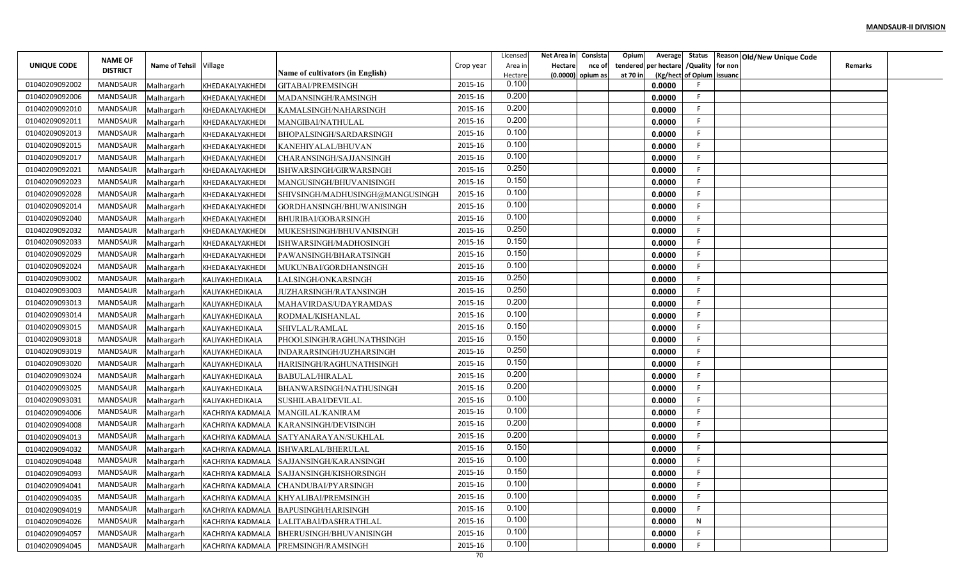|                |                                   |                        |                         |                                          |           | Licensed       | Net Area in    | Consista          | Opium    |                                        |                           | Average Status Reason Old/New Unique Code |                |  |
|----------------|-----------------------------------|------------------------|-------------------------|------------------------------------------|-----------|----------------|----------------|-------------------|----------|----------------------------------------|---------------------------|-------------------------------------------|----------------|--|
| UNIQUE CODE    | <b>NAME OF</b><br><b>DISTRICT</b> | Name of Tehsil Village |                         |                                          | Crop year | Area in        | <b>Hectare</b> | nce of            |          | tendered per hectare / Quality for non |                           |                                           | <b>Remarks</b> |  |
|                |                                   |                        |                         | Name of cultivators (in English)         |           | Hectare        |                | (0.0000) opium as | at 70 in |                                        | (Kg/hect of Opium issuanc |                                           |                |  |
| 01040209092002 | MANDSAUR                          | Malhargarh             | KHEDAKALYAKHEDI         | GITABAI/PREMSINGH                        | 2015-16   | 0.100          |                |                   |          | 0.0000                                 |                           |                                           |                |  |
| 01040209092006 | MANDSAUR                          | Malhargarh             | KHEDAKALYAKHEDI         | MADANSINGH/RAMSINGH                      | 2015-16   | 0.200<br>0.200 |                |                   |          | 0.0000                                 | F.                        |                                           |                |  |
| 01040209092010 | MANDSAUR                          | Malhargarh             | KHEDAKALYAKHEDI         | KAMALSINGH/NAHARSINGH                    | 2015-16   | 0.200          |                |                   |          | 0.0000                                 | -F.                       |                                           |                |  |
| 01040209092011 | <b>MANDSAUR</b>                   | Malhargarh             | KHEDAKALYAKHEDI         | MANGIBAI/NATHULAL                        | 2015-16   |                |                |                   |          | 0.0000                                 | F.                        |                                           |                |  |
| 01040209092013 | MANDSAUR                          | Malhargarh             | KHEDAKALYAKHEDI         | BHOPALSINGH/SARDARSINGH                  | 2015-16   | 0.100          |                |                   |          | 0.0000                                 | F.                        |                                           |                |  |
| 01040209092015 | MANDSAUR                          | Malhargarh             | KHEDAKALYAKHEDI         | KANEHIYALAL/BHUVAN                       | 2015-16   | 0.100          |                |                   |          | 0.0000                                 | F.                        |                                           |                |  |
| 01040209092017 | MANDSAUR                          | Malhargarh             | KHEDAKALYAKHEDI         | CHARANSINGH/SAJJANSINGH                  | 2015-16   | 0.100          |                |                   |          | 0.0000                                 | F.                        |                                           |                |  |
| 01040209092021 | MANDSAUR                          | Malhargarh             | KHEDAKALYAKHEDI         | ISHWARSINGH/GIRWARSINGH                  | 2015-16   | 0.250          |                |                   |          | 0.0000                                 | F.                        |                                           |                |  |
| 01040209092023 | MANDSAUR                          | Malhargarh             | KHEDAKALYAKHEDI         | MANGUSINGH/BHUVANISINGH                  | 2015-16   | 0.150          |                |                   |          | 0.0000                                 | F                         |                                           |                |  |
| 01040209092028 | <b>MANDSAUR</b>                   | Malhargarh             | KHEDAKALYAKHEDI         | SHIVSINGH/MADHUSINGH@MANGUSINGH          | 2015-16   | 0.100          |                |                   |          | 0.0000                                 | F                         |                                           |                |  |
| 01040209092014 | MANDSAUR                          | Malhargarh             | KHEDAKALYAKHEDI         | GORDHANSINGH/BHUWANISINGH                | 2015-16   | 0.100          |                |                   |          | 0.0000                                 | -F                        |                                           |                |  |
| 01040209092040 | MANDSAUR                          | Malhargarh             | KHEDAKALYAKHEDI         | BHURIBAI/GOBARSINGH                      | 2015-16   | 0.100          |                |                   |          | 0.0000                                 | -F                        |                                           |                |  |
| 01040209092032 | MANDSAUR                          | Malhargarh             | KHEDAKALYAKHEDI         | MUKESHSINGH/BHUVANISINGH                 | 2015-16   | 0.250          |                |                   |          | 0.0000                                 | F.                        |                                           |                |  |
| 01040209092033 | MANDSAUR                          | Malhargarh             | KHEDAKALYAKHEDI         | ISHWARSINGH/MADHOSINGH                   | 2015-16   | 0.150          |                |                   |          | 0.0000                                 | F.                        |                                           |                |  |
| 01040209092029 | MANDSAUR                          | Malhargarh             | KHEDAKALYAKHEDI         | PAWANSINGH/BHARATSINGH                   | 2015-16   | 0.150          |                |                   |          | 0.0000                                 | F.                        |                                           |                |  |
| 01040209092024 | MANDSAUR                          | Malhargarh             | KHEDAKALYAKHEDI         | MUKUNBAI/GORDHANSINGH                    | 2015-16   | 0.100          |                |                   |          | 0.0000                                 | F.                        |                                           |                |  |
| 01040209093002 | MANDSAUR                          | Malhargarh             | KALIYAKHEDIKALA         | LALSINGH/ONKARSINGH                      | 2015-16   | 0.250          |                |                   |          | 0.0000                                 | F                         |                                           |                |  |
| 01040209093003 | MANDSAUR                          | Malhargarh             | KALIYAKHEDIKALA         | JUZHARSINGH/RATANSINGH                   | 2015-16   | 0.250          |                |                   |          | 0.0000                                 | F                         |                                           |                |  |
| 01040209093013 | MANDSAUR                          | Malhargarh             | KALIYAKHEDIKALA         | MAHAVIRDAS/UDAYRAMDAS                    | 2015-16   | 0.200          |                |                   |          | 0.0000                                 | -F                        |                                           |                |  |
| 01040209093014 | MANDSAUR                          | Malhargarh             | KALIYAKHEDIKALA         | RODMAL/KISHANLAL                         | 2015-16   | 0.100          |                |                   |          | 0.0000                                 | F.                        |                                           |                |  |
| 01040209093015 | MANDSAUR                          | Malhargarh             | KALIYAKHEDIKALA         | SHIVLAL/RAMLAL                           | 2015-16   | 0.150          |                |                   |          | 0.0000                                 | F.                        |                                           |                |  |
| 01040209093018 | MANDSAUR                          | Malhargarh             | KALIYAKHEDIKALA         | PHOOLSINGH/RAGHUNATHSINGH                | 2015-16   | 0.150          |                |                   |          | 0.0000                                 | F.                        |                                           |                |  |
| 01040209093019 | MANDSAUR                          | Malhargarh             | KALIYAKHEDIKALA         | INDARARSINGH/JUZHARSINGH                 | 2015-16   | 0.250          |                |                   |          | 0.0000                                 | F.                        |                                           |                |  |
| 01040209093020 | MANDSAUR                          | Malhargarh             | KALIYAKHEDIKALA         | HARISINGH/RAGHUNATHSINGH                 | 2015-16   | 0.150          |                |                   |          | 0.0000                                 | F                         |                                           |                |  |
| 01040209093024 | MANDSAUR                          | Malhargarh             | KALIYAKHEDIKALA         | <b>BABULAL/HIRALAL</b>                   | 2015-16   | 0.200          |                |                   |          | 0.0000                                 | F                         |                                           |                |  |
| 01040209093025 | MANDSAUR                          | Malhargarh             | KALIYAKHEDIKALA         | BHANWARSINGH/NATHUSINGH                  | 2015-16   | 0.200          |                |                   |          | 0.0000                                 | E                         |                                           |                |  |
| 01040209093031 | MANDSAUR                          | Malhargarh             | KALIYAKHEDIKALA         | SUSHILABAI/DEVILAL                       | 2015-16   | 0.100          |                |                   |          | 0.0000                                 | F.                        |                                           |                |  |
| 01040209094006 | MANDSAUR                          | Malhargarh             | KACHRIYA KADMALA        | MANGILAL/KANIRAM                         | 2015-16   | 0.100          |                |                   |          | 0.0000                                 | F                         |                                           |                |  |
| 01040209094008 | MANDSAUR                          | Malhargarh             | <b>KACHRIYA KADMALA</b> | KARANSINGH/DEVISINGH                     | 2015-16   | 0.200          |                |                   |          | 0.0000                                 | F.                        |                                           |                |  |
| 01040209094013 | MANDSAUR                          | Malhargarh             | <b>KACHRIYA KADMALA</b> | SATYANARAYAN/SUKHLAL                     | 2015-16   | 0.200          |                |                   |          | 0.0000                                 | E                         |                                           |                |  |
| 01040209094032 | MANDSAUR                          | Malhargarh             | <b>KACHRIYA KADMALA</b> | ISHWARLAL/BHERULAL                       | 2015-16   | 0.150          |                |                   |          | 0.0000                                 | F.                        |                                           |                |  |
| 01040209094048 | MANDSAUR                          | Malhargarh             | KACHRIYA KADMALA        | SAJJANSINGH/KARANSINGH                   | 2015-16   | 0.100          |                |                   |          | 0.0000                                 | F                         |                                           |                |  |
| 01040209094093 | MANDSAUR                          | Malhargarh             |                         | KACHRIYA KADMALA SAJJANSINGH/KISHORSINGH | 2015-16   | 0.150          |                |                   |          | 0.0000                                 | F.                        |                                           |                |  |
| 01040209094041 | MANDSAUR                          | Malhargarh             | KACHRIYA KADMALA        | CHANDUBAI/PYARSINGH                      | 2015-16   | 0.100          |                |                   |          | 0.0000                                 | F                         |                                           |                |  |
| 01040209094035 | MANDSAUR                          | Malhargarh             | <b>KACHRIYA KADMALA</b> | KHYALIBAI/PREMSINGH                      | 2015-16   | 0.100          |                |                   |          | 0.0000                                 | F                         |                                           |                |  |
| 01040209094019 | MANDSAUR                          | Malhargarh             | KACHRIYA KADMALA        | <b>BAPUSINGH/HARISINGH</b>               | 2015-16   | 0.100          |                |                   |          | 0.0000                                 | F.                        |                                           |                |  |
| 01040209094026 | MANDSAUR                          | Malhargarh             | KACHRIYA KADMALA        | LALITABAI/DASHRATHLAL                    | 2015-16   | 0.100          |                |                   |          | 0.0000                                 | N                         |                                           |                |  |
| 01040209094057 | MANDSAUR                          | Malhargarh             | <b>KACHRIYA KADMALA</b> | <b>BHERUSINGH/BHUVANISINGH</b>           | 2015-16   | 0.100          |                |                   |          | 0.0000                                 | F.                        |                                           |                |  |
| 01040209094045 | MANDSAUR                          | Malhargarh             | <b>KACHRIYA KADMALA</b> | PREMSINGH/RAMSINGH                       | 2015-16   | 0.100          |                |                   |          | 0.0000                                 | F                         |                                           |                |  |
|                |                                   |                        |                         |                                          | 70        |                |                |                   |          |                                        |                           |                                           |                |  |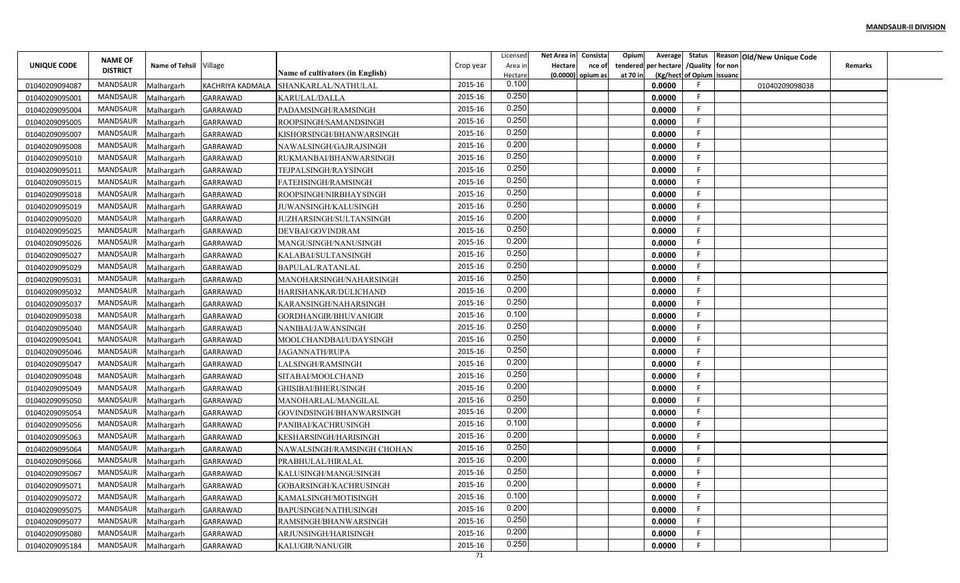|                |                                   |                        |                  |                                  |               | Licensed | Net Area in | Consista            | Opium<br>Average        |                           | Status Reason Old/New Unique Code |                |  |
|----------------|-----------------------------------|------------------------|------------------|----------------------------------|---------------|----------|-------------|---------------------|-------------------------|---------------------------|-----------------------------------|----------------|--|
| UNIQUE CODE    | <b>NAME OF</b><br><b>DISTRICT</b> | Name of Tehsil Village |                  |                                  | Crop year     | Area in  | Hectare     | nce of              | per hectare<br>tendered | /Quality for non          |                                   | <b>Remarks</b> |  |
|                |                                   |                        |                  | Name of cultivators (in English) |               | Hectare  |             | $(0.0000)$ opium as | at 70 in                | (Kg/hect of Opium issuanc |                                   |                |  |
| 01040209094087 | <b>MANDSAUR</b>                   | Malhargarh             | KACHRIYA KADMALA | SHANKARLAL/NATHULAL              | 2015-16       | 0.100    |             |                     | 0.0000                  |                           | 01040209098038                    |                |  |
| 01040209095001 | <b>MANDSAUR</b>                   | Malhargarh             | <b>GARRAWAD</b>  | KARULAL/DALLA                    | 2015-16       | 0.250    |             |                     | 0.0000                  | -F                        |                                   |                |  |
| 01040209095004 | MANDSAUR                          | Malhargarh             | <b>GARRAWAD</b>  | PADAMSINGH/RAMSINGH              | 2015-16       | 0.250    |             |                     | 0.0000                  | -F                        |                                   |                |  |
| 01040209095005 | <b>MANDSAUR</b>                   | Malhargarh             | <b>GARRAWAD</b>  | ROOPSINGH/SAMANDSINGH            | 2015-16       | 0.250    |             |                     | 0.0000                  | F                         |                                   |                |  |
| 01040209095007 | MANDSAUR                          | Malhargarh             | <b>GARRAWAD</b>  | KISHORSINGH/BHANWARSINGH         | 2015-16       | 0.250    |             |                     | 0.0000                  |                           |                                   |                |  |
| 01040209095008 | <b>MANDSAUR</b>                   | Malhargarh             | <b>GARRAWAD</b>  | NAWALSINGH/GAJRAJSINGH           | 2015-16       | 0.200    |             |                     | 0.0000                  | -F                        |                                   |                |  |
| 01040209095010 | MANDSAUR                          | Malhargarh             | <b>GARRAWAD</b>  | RUKMANBAI/BHANWARSINGH           | 2015-16       | 0.250    |             |                     | 0.0000                  | -F                        |                                   |                |  |
| 01040209095011 | <b>MANDSAUR</b>                   | Malhargarh             | <b>GARRAWAD</b>  | TEJPALSINGH/RAYSINGH             | 2015-16       | 0.250    |             |                     | 0.0000                  |                           |                                   |                |  |
| 01040209095015 | <b>MANDSAUR</b>                   | Malhargarh             | <b>GARRAWAD</b>  | FATEHSINGH/RAMSINGH              | 2015-16       | 0.250    |             |                     | 0.0000                  |                           |                                   |                |  |
| 01040209095018 | <b>MANDSAUR</b>                   | Malhargarh             | <b>GARRAWAD</b>  | ROOPSINGH/NIRBHAYSINGH           | 2015-16       | 0.250    |             |                     | 0.0000                  | F                         |                                   |                |  |
| 01040209095019 | MANDSAUR                          | Malhargarh             | <b>GARRAWAD</b>  | JUWANSINGH/KALUSINGH             | 2015-16       | 0.250    |             |                     | 0.0000                  | -F                        |                                   |                |  |
| 01040209095020 | <b>MANDSAUR</b>                   | Malhargarh             | <b>GARRAWAD</b>  | JUZHARSINGH/SULTANSINGH          | 2015-16       | 0.200    |             |                     | 0.0000                  | -F                        |                                   |                |  |
| 01040209095025 | <b>MANDSAUR</b>                   | Malhargarh             | GARRAWAD         | DEVBAI/GOVINDRAM                 | 2015-16       | 0.250    |             |                     | 0.0000                  |                           |                                   |                |  |
| 01040209095026 | <b>MANDSAUR</b>                   | Malhargarh             | GARRAWAD         | MANGUSINGH/NANUSINGH             | 2015-16       | 0.200    |             |                     | 0.0000                  |                           |                                   |                |  |
| 01040209095027 | <b>MANDSAUR</b>                   | Malhargarh             | <b>GARRAWAD</b>  | KALABAI/SULTANSINGH              | 2015-16       | 0.250    |             |                     | 0.0000                  | - 6                       |                                   |                |  |
| 01040209095029 | <b>MANDSAUR</b>                   | Malhargarh             | <b>GARRAWAD</b>  | BAPULAL/RATANLAL                 | 2015-16       | 0.250    |             |                     | 0.0000                  |                           |                                   |                |  |
| 01040209095031 | <b>MANDSAUR</b>                   | Malhargarh             | <b>GARRAWAD</b>  | MANOHARSINGH/NAHARSINGH          | 2015-16       | 0.250    |             |                     | 0.0000                  |                           |                                   |                |  |
| 01040209095032 | <b>MANDSAUR</b>                   | Malhargarh             | <b>GARRAWAD</b>  | HARISHANKAR/DULICHAND            | 2015-16       | 0.200    |             |                     | 0.0000                  | -F                        |                                   |                |  |
| 01040209095037 | MANDSAUR                          | Malhargarh             | <b>GARRAWAD</b>  | KARANSINGH/NAHARSINGH            | 2015-16       | 0.250    |             |                     | 0.0000                  |                           |                                   |                |  |
| 01040209095038 | MANDSAUR                          | Malhargarh             | <b>GARRAWAD</b>  | GORDHANGIR/BHUVANIGIR            | 2015-16       | 0.100    |             |                     | 0.0000                  | -F                        |                                   |                |  |
| 01040209095040 | <b>MANDSAUR</b>                   | Malhargarh             | <b>GARRAWAD</b>  | NANIBAI/JAWANSINGH               | 2015-16       | 0.250    |             |                     | 0.0000                  | -F                        |                                   |                |  |
| 01040209095041 | <b>MANDSAUR</b>                   | Malhargarh             | <b>GARRAWAD</b>  | MOOLCHANDBAI/UDAYSINGH           | 2015-16       | 0.250    |             |                     | 0.0000                  |                           |                                   |                |  |
| 01040209095046 | <b>MANDSAUR</b>                   | Malhargarh             | <b>GARRAWAD</b>  | JAGANNATH/RUPA                   | 2015-16       | 0.250    |             |                     | 0.0000                  | -F                        |                                   |                |  |
| 01040209095047 | MANDSAUR                          | Malhargarh             | <b>GARRAWAD</b>  | LALSINGH/RAMSINGH                | 2015-16       | 0.200    |             |                     | 0.0000                  | -F                        |                                   |                |  |
| 01040209095048 | <b>MANDSAUR</b>                   | Malhargarh             | <b>GARRAWAD</b>  | SITABAI/MOOLCHAND                | 2015-16       | 0.250    |             |                     | 0.0000                  |                           |                                   |                |  |
|                | <b>MANDSAUR</b>                   |                        |                  |                                  | 2015-16       | 0.200    |             |                     | 0.0000                  |                           |                                   |                |  |
| 01040209095049 | <b>MANDSAUR</b>                   | Malhargarh             | <b>GARRAWAD</b>  | GHISIBAI/BHERUSINGH              | 2015-16       | 0.250    |             |                     | 0.0000                  | F                         |                                   |                |  |
| 01040209095050 | MANDSAUR                          | Malhargarh             | <b>GARRAWAD</b>  | MANOHARLAL/MANGILAL              | 2015-16       | 0.200    |             |                     |                         | F                         |                                   |                |  |
| 01040209095054 |                                   | Malhargarh             | GARRAWAD         | GOVINDSINGH/BHANWARSINGH         |               | 0.100    |             |                     | 0.0000                  | F                         |                                   |                |  |
| 01040209095056 | <b>MANDSAUR</b>                   | Malhargarh             | <b>GARRAWAD</b>  | PANIBAI/KACHRUSINGH              | 2015-16       | 0.200    |             |                     | 0.0000                  |                           |                                   |                |  |
| 01040209095063 | <b>MANDSAUR</b>                   | Malhargarh             | GARRAWAD         | KESHARSINGH/HARISINGH            | 2015-16       | 0.250    |             |                     | 0.0000                  |                           |                                   |                |  |
| 01040209095064 | <b>MANDSAUR</b>                   | Malhargarh             | <b>GARRAWAD</b>  | NAWALSINGH/RAMSINGH CHOHAN       | 2015-16       | 0.200    |             |                     | 0.0000                  |                           |                                   |                |  |
| 01040209095066 | MANDSAUR                          | Malhargarh             | <b>GARRAWAD</b>  | PRABHULAL/HIRALAL                | 2015-16       |          |             |                     | 0.0000                  |                           |                                   |                |  |
| 01040209095067 | MANDSAUR                          | Malhargarh             | GARRAWAD         | KALUSINGH/MANGUSINGH             | 2015-16       | 0.250    |             |                     | 0.0000                  |                           |                                   |                |  |
| 01040209095071 | MANDSAUR                          | Malhargarh             | GARRAWAD         | GOBARSINGH/KACHRUSINGH           | 2015-16       | 0.200    |             |                     | 0.0000                  |                           |                                   |                |  |
| 01040209095072 | MANDSAUR                          | Malhargarh             | GARRAWAD         | KAMALSINGH/MOTISINGH             | 2015-16       | 0.100    |             |                     | 0.0000                  | -F                        |                                   |                |  |
| 01040209095075 | MANDSAUR                          | Malhargarh             | GARRAWAD         | BAPUSINGH/NATHUSINGH             | 2015-16       | 0.200    |             |                     | 0.0000                  | -F                        |                                   |                |  |
| 01040209095077 | MANDSAUR                          | Malhargarh             | GARRAWAD         | RAMSINGH/BHANWARSINGH            | 2015-16       | 0.250    |             |                     | 0.0000                  | -F                        |                                   |                |  |
| 01040209095080 | MANDSAUR                          | Malhargarh             | <b>GARRAWAD</b>  | ARJUNSINGH/HARISINGH             | 2015-16       | 0.200    |             |                     | 0.0000                  | -F                        |                                   |                |  |
| 01040209095184 | MANDSAUR                          | Malhargarh             | <b>GARRAWAD</b>  | KALUGIR/NANUGIR                  | 2015-16<br>71 | 0.250    |             |                     | 0.0000                  |                           |                                   |                |  |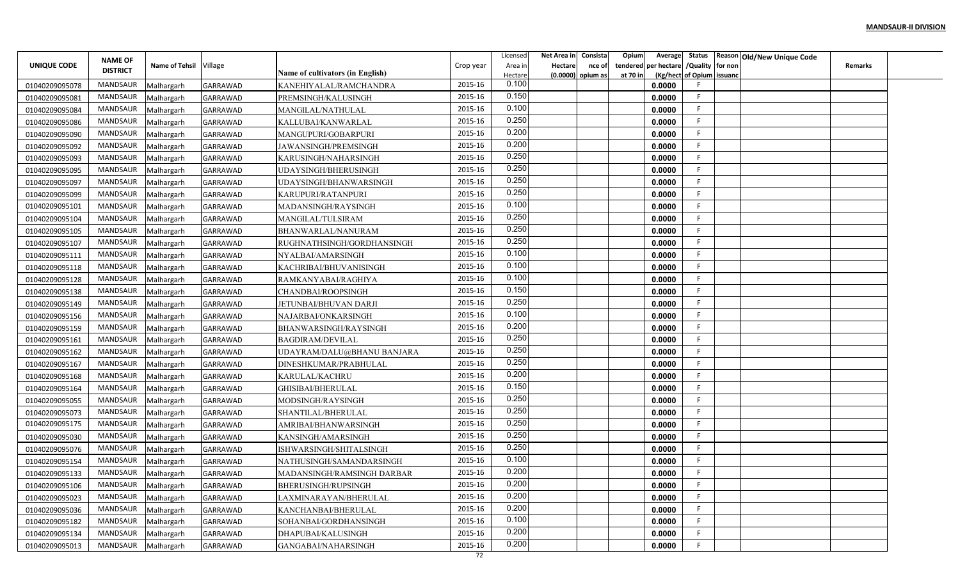|                |                                   |                        |                 |                                  |           | Licensed | Net Area in    | Consista          | Opium    |                                        |                           | Average Status Reason Old/New Unique Code |                |  |
|----------------|-----------------------------------|------------------------|-----------------|----------------------------------|-----------|----------|----------------|-------------------|----------|----------------------------------------|---------------------------|-------------------------------------------|----------------|--|
| UNIQUE CODE    | <b>NAME OF</b><br><b>DISTRICT</b> | Name of Tehsil Village |                 |                                  | Crop year | Area in  | <b>Hectare</b> | nce of            |          | tendered per hectare / Quality for non |                           |                                           | <b>Remarks</b> |  |
|                |                                   |                        |                 | Name of cultivators (in English) |           | Hectare  |                | (0.0000) opium as | at 70 in |                                        | (Kg/hect of Opium issuanc |                                           |                |  |
| 01040209095078 | MANDSAUR                          | Malhargarh             | <b>GARRAWAD</b> | KANEHIYALAL/RAMCHANDRA           | 2015-16   | 0.100    |                |                   |          | 0.0000                                 |                           |                                           |                |  |
| 01040209095081 | MANDSAUR                          | Malhargarh             | <b>GARRAWAD</b> | PREMSINGH/KALUSINGH              | 2015-16   | 0.150    |                |                   |          | 0.0000                                 | F.                        |                                           |                |  |
| 01040209095084 | MANDSAUR                          | Malhargarh             | <b>GARRAWAD</b> | MANGILAL/NATHULAL                | 2015-16   | 0.100    |                |                   |          | 0.0000                                 | -F                        |                                           |                |  |
| 01040209095086 | <b>MANDSAUR</b>                   | Malhargarh             | <b>GARRAWAD</b> | KALLUBAI/KANWARLAL               | 2015-16   | 0.250    |                |                   |          | 0.0000                                 | F.                        |                                           |                |  |
| 01040209095090 | MANDSAUR                          | Malhargarh             | <b>GARRAWAD</b> | MANGUPURI/GOBARPURI              | 2015-16   | 0.200    |                |                   |          | 0.0000                                 | F.                        |                                           |                |  |
| 01040209095092 | MANDSAUR                          | Malhargarh             | <b>GARRAWAD</b> | JAWANSINGH/PREMSINGH             | 2015-16   | 0.200    |                |                   |          | 0.0000                                 | F.                        |                                           |                |  |
| 01040209095093 | MANDSAUR                          | Malhargarh             | <b>GARRAWAD</b> | KARUSINGH/NAHARSINGH             | 2015-16   | 0.250    |                |                   |          | 0.0000                                 | F                         |                                           |                |  |
| 01040209095095 | MANDSAUR                          | Malhargarh             | <b>GARRAWAD</b> | UDAYSINGH/BHERUSINGH             | 2015-16   | 0.250    |                |                   |          | 0.0000                                 | F.                        |                                           |                |  |
| 01040209095097 | MANDSAUR                          | Malhargarh             | <b>GARRAWAD</b> | UDAYSINGH/BHANWARSINGH           | 2015-16   | 0.250    |                |                   |          | 0.0000                                 | E                         |                                           |                |  |
| 01040209095099 | MANDSAUR                          | Malhargarh             | <b>GARRAWAD</b> | KARUPURI/RATANPURI               | 2015-16   | 0.250    |                |                   |          | 0.0000                                 | F                         |                                           |                |  |
| 01040209095101 | MANDSAUR                          | Malhargarh             | <b>GARRAWAD</b> | MADANSINGH/RAYSINGH              | 2015-16   | 0.100    |                |                   |          | 0.0000                                 | -F                        |                                           |                |  |
| 01040209095104 | MANDSAUR                          | Malhargarh             | <b>GARRAWAD</b> | MANGILAL/TULSIRAM                | 2015-16   | 0.250    |                |                   |          | 0.0000                                 | -F                        |                                           |                |  |
| 01040209095105 | MANDSAUR                          | Malhargarh             | <b>GARRAWAD</b> | BHANWARLAL/NANURAM               | 2015-16   | 0.250    |                |                   |          | 0.0000                                 | -F                        |                                           |                |  |
| 01040209095107 | MANDSAUR                          | Malhargarh             | <b>GARRAWAD</b> | RUGHNATHSINGH/GORDHANSINGH       | 2015-16   | 0.250    |                |                   |          | 0.0000                                 | E                         |                                           |                |  |
| 01040209095111 | MANDSAUR                          | Malhargarh             | <b>GARRAWAD</b> | NYALBAI/AMARSINGH                | 2015-16   | 0.100    |                |                   |          | 0.0000                                 | F.                        |                                           |                |  |
| 01040209095118 | <b>MANDSAUR</b>                   | Malhargarh             | <b>GARRAWAD</b> | KACHRIBAI/BHUVANISINGH           | 2015-16   | 0.100    |                |                   |          | 0.0000                                 | F.                        |                                           |                |  |
| 01040209095128 | MANDSAUR                          | Malhargarh             | <b>GARRAWAD</b> | RAMKANYABAI/RAGHIYA              | 2015-16   | 0.100    |                |                   |          | 0.0000                                 | F                         |                                           |                |  |
| 01040209095138 | MANDSAUR                          | Malhargarh             | <b>GARRAWAD</b> | CHANDBAI/ROOPSINGH               | 2015-16   | 0.150    |                |                   |          | 0.0000                                 | F                         |                                           |                |  |
| 01040209095149 | MANDSAUR                          | Malhargarh             | <b>GARRAWAD</b> | JETUNBAI/BHUVAN DARJI            | 2015-16   | 0.250    |                |                   |          | 0.0000                                 | -F                        |                                           |                |  |
| 01040209095156 | MANDSAUR                          | Malhargarh             | <b>GARRAWAD</b> | NAJARBAI/ONKARSINGH              | 2015-16   | 0.100    |                |                   |          | 0.0000                                 | F.                        |                                           |                |  |
| 01040209095159 | MANDSAUR                          | Malhargarh             | <b>GARRAWAD</b> | BHANWARSINGH/RAYSINGH            | 2015-16   | 0.200    |                |                   |          | 0.0000                                 | -F                        |                                           |                |  |
| 01040209095161 | MANDSAUR                          | Malhargarh             | <b>GARRAWAD</b> | <b>BAGDIRAM/DEVILAL</b>          | 2015-16   | 0.250    |                |                   |          | 0.0000                                 | F.                        |                                           |                |  |
| 01040209095162 | MANDSAUR                          | Malhargarh             | <b>GARRAWAD</b> | UDAYRAM/DALU@BHANU BANJARA       | 2015-16   | 0.250    |                |                   |          | 0.0000                                 | F.                        |                                           |                |  |
| 01040209095167 | MANDSAUR                          | Malhargarh             | GARRAWAD        | DINESHKUMAR/PRABHULAL            | 2015-16   | 0.250    |                |                   |          | 0.0000                                 | F                         |                                           |                |  |
| 01040209095168 | MANDSAUR                          | Malhargarh             | <b>GARRAWAD</b> | KARULAL/KACHRU                   | 2015-16   | 0.200    |                |                   |          | 0.0000                                 | F                         |                                           |                |  |
| 01040209095164 | MANDSAUR                          | Malhargarh             | <b>GARRAWAD</b> | GHISIBAI/BHERULAL                | 2015-16   | 0.150    |                |                   |          | 0.0000                                 | E                         |                                           |                |  |
| 01040209095055 | MANDSAUR                          | Malhargarh             | <b>GARRAWAD</b> | MODSINGH/RAYSINGH                | 2015-16   | 0.250    |                |                   |          | 0.0000                                 | F.                        |                                           |                |  |
| 01040209095073 | MANDSAUR                          | Malhargarh             | <b>GARRAWAD</b> | SHANTILAL/BHERULAL               | 2015-16   | 0.250    |                |                   |          | 0.0000                                 | -F                        |                                           |                |  |
| 01040209095175 | <b>MANDSAUR</b>                   | Malhargarh             | <b>GARRAWAD</b> | AMRIBAI/BHANWARSINGH             | 2015-16   | 0.250    |                |                   |          | 0.0000                                 | F.                        |                                           |                |  |
| 01040209095030 | <b>MANDSAUR</b>                   | Malhargarh             | <b>GARRAWAD</b> | KANSINGH/AMARSINGH               | 2015-16   | 0.250    |                |                   |          | 0.0000                                 | E                         |                                           |                |  |
| 01040209095076 | MANDSAUR                          | Malhargarh             | <b>GARRAWAD</b> | ISHWARSINGH/SHITALSINGH          | 2015-16   | 0.250    |                |                   |          | 0.0000                                 | F.                        |                                           |                |  |
| 01040209095154 | MANDSAUR                          | Malhargarh             | <b>GARRAWAD</b> | NATHUSINGH/SAMANDARSINGH         | 2015-16   | 0.100    |                |                   |          | 0.0000                                 | F                         |                                           |                |  |
| 01040209095133 | MANDSAUR                          | Malhargarh             | GARRAWAD        | MADANSINGH/RAMSINGH DARBAR       | 2015-16   | 0.200    |                |                   |          | 0.0000                                 | F.                        |                                           |                |  |
| 01040209095106 | MANDSAUR                          | Malhargarh             | GARRAWAD        | BHERUSINGH/RUPSINGH              | 2015-16   | 0.200    |                |                   |          | 0.0000                                 | F                         |                                           |                |  |
| 01040209095023 | MANDSAUR                          | Malhargarh             | <b>GARRAWAD</b> | LAXMINARAYAN/BHERULAL            | 2015-16   | 0.200    |                |                   |          | 0.0000                                 | F                         |                                           |                |  |
| 01040209095036 | MANDSAUR                          | Malhargarh             | GARRAWAD        | KANCHANBAI/BHERULAL              | 2015-16   | 0.200    |                |                   |          | 0.0000                                 | F.                        |                                           |                |  |
| 01040209095182 | MANDSAUR                          | Malhargarh             | GARRAWAD        | SOHANBAI/GORDHANSINGH            | 2015-16   | 0.100    |                |                   |          | 0.0000                                 | F                         |                                           |                |  |
|                | MANDSAUR                          |                        |                 |                                  | 2015-16   | 0.200    |                |                   |          |                                        | F.                        |                                           |                |  |
| 01040209095134 | MANDSAUR                          | Malhargarh             | GARRAWAD        | DHAPUBAI/KALUSINGH               | 2015-16   | 0.200    |                |                   |          | 0.0000                                 | F                         |                                           |                |  |
| 01040209095013 |                                   | Malhargarh             | <b>GARRAWAD</b> | GANGABAI/NAHARSINGH              | 72        |          |                |                   |          | 0.0000                                 |                           |                                           |                |  |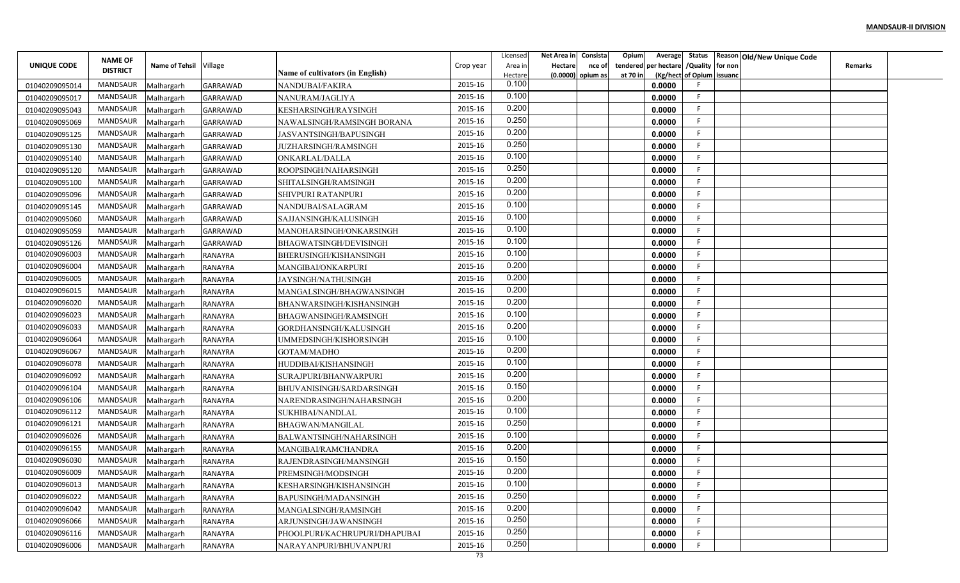|                |                 |                        |                 |                                  |           | Licensed | Net Area in    | Consista          | Opium    |                                        |                           | Average Status Reason Old/New Unique Code |                |  |
|----------------|-----------------|------------------------|-----------------|----------------------------------|-----------|----------|----------------|-------------------|----------|----------------------------------------|---------------------------|-------------------------------------------|----------------|--|
| UNIQUE CODE    | <b>NAME OF</b>  | Name of Tehsil Village |                 |                                  | Crop year | Area in  | <b>Hectare</b> | nce of            |          | tendered per hectare / Quality for non |                           |                                           | <b>Remarks</b> |  |
|                | <b>DISTRICT</b> |                        |                 | Name of cultivators (in English) |           | Hectare  |                | (0.0000) opium as | at 70 in |                                        | (Kg/hect of Opium issuanc |                                           |                |  |
| 01040209095014 | MANDSAUR        | Malhargarh             | <b>GARRAWAD</b> | NANDUBAI/FAKIRA                  | 2015-16   | 0.100    |                |                   |          | 0.0000                                 |                           |                                           |                |  |
| 01040209095017 | MANDSAUR        | Malhargarh             | <b>GARRAWAD</b> | NANURAM/JAGLIYA                  | 2015-16   | 0.100    |                |                   |          | 0.0000                                 | F.                        |                                           |                |  |
| 01040209095043 | MANDSAUR        | Malhargarh             | <b>GARRAWAD</b> | KESHARSINGH/RAYSINGH             | 2015-16   | 0.200    |                |                   |          | 0.0000                                 | -F                        |                                           |                |  |
| 01040209095069 | <b>MANDSAUR</b> | Malhargarh             | <b>GARRAWAD</b> | NAWALSINGH/RAMSINGH BORANA       | 2015-16   | 0.250    |                |                   |          | 0.0000                                 | F.                        |                                           |                |  |
| 01040209095125 | MANDSAUR        | Malhargarh             | <b>GARRAWAD</b> | JASVANTSINGH/BAPUSINGH           | 2015-16   | 0.200    |                |                   |          | 0.0000                                 | F.                        |                                           |                |  |
| 01040209095130 | MANDSAUR        | Malhargarh             | <b>GARRAWAD</b> | JUZHARSINGH/RAMSINGH             | 2015-16   | 0.250    |                |                   |          | 0.0000                                 | F.                        |                                           |                |  |
| 01040209095140 | MANDSAUR        | Malhargarh             | <b>GARRAWAD</b> | ONKARLAL/DALLA                   | 2015-16   | 0.100    |                |                   |          | 0.0000                                 | F                         |                                           |                |  |
| 01040209095120 | MANDSAUR        | Malhargarh             | <b>GARRAWAD</b> | ROOPSINGH/NAHARSINGH             | 2015-16   | 0.250    |                |                   |          | 0.0000                                 | F.                        |                                           |                |  |
| 01040209095100 | MANDSAUR        | Malhargarh             | <b>GARRAWAD</b> | SHITALSINGH/RAMSINGH             | 2015-16   | 0.200    |                |                   |          | 0.0000                                 | E                         |                                           |                |  |
| 01040209095096 | MANDSAUR        | Malhargarh             | <b>GARRAWAD</b> | SHIVPURI RATANPURI               | 2015-16   | 0.200    |                |                   |          | 0.0000                                 | F                         |                                           |                |  |
| 01040209095145 | MANDSAUR        | Malhargarh             | <b>GARRAWAD</b> | NANDUBAI/SALAGRAM                | 2015-16   | 0.100    |                |                   |          | 0.0000                                 | -F                        |                                           |                |  |
| 01040209095060 | MANDSAUR        | Malhargarh             | <b>GARRAWAD</b> | SAJJANSINGH/KALUSINGH            | 2015-16   | 0.100    |                |                   |          | 0.0000                                 | -F                        |                                           |                |  |
| 01040209095059 | MANDSAUR        | Malhargarh             | <b>GARRAWAD</b> | MANOHARSINGH/ONKARSINGH          | 2015-16   | 0.100    |                |                   |          | 0.0000                                 | -F.                       |                                           |                |  |
| 01040209095126 | MANDSAUR        | Malhargarh             | <b>GARRAWAD</b> | BHAGWATSINGH/DEVISINGH           | 2015-16   | 0.100    |                |                   |          | 0.0000                                 | E                         |                                           |                |  |
| 01040209096003 | MANDSAUR        | Malhargarh             | <b>RANAYRA</b>  | BHERUSINGH/KISHANSINGH           | 2015-16   | 0.100    |                |                   |          | 0.0000                                 | F.                        |                                           |                |  |
| 01040209096004 | MANDSAUR        | Malhargarh             | RANAYRA         | <b>MANGIBAI/ONKARPURI</b>        | 2015-16   | 0.200    |                |                   |          | 0.0000                                 | F.                        |                                           |                |  |
| 01040209096005 | MANDSAUR        | Malhargarh             | <b>RANAYRA</b>  | JAYSINGH/NATHUSINGH              | 2015-16   | 0.200    |                |                   |          | 0.0000                                 | F                         |                                           |                |  |
| 01040209096015 | MANDSAUR        | Malhargarh             | RANAYRA         | MANGALSINGH/BHAGWANSINGH         | 2015-16   | 0.200    |                |                   |          | 0.0000                                 | F                         |                                           |                |  |
| 01040209096020 | MANDSAUR        | Malhargarh             | <b>RANAYRA</b>  | BHANWARSINGH/KISHANSINGH         | 2015-16   | 0.200    |                |                   |          | 0.0000                                 | -F                        |                                           |                |  |
| 01040209096023 | MANDSAUR        | Malhargarh             | <b>RANAYRA</b>  | BHAGWANSINGH/RAMSINGH            | 2015-16   | 0.100    |                |                   |          | 0.0000                                 | F.                        |                                           |                |  |
| 01040209096033 | MANDSAUR        | Malhargarh             | RANAYRA         | GORDHANSINGH/KALUSINGH           | 2015-16   | 0.200    |                |                   |          | 0.0000                                 | -F                        |                                           |                |  |
| 01040209096064 | MANDSAUR        | Malhargarh             | RANAYRA         | UMMEDSINGH/KISHORSINGH           | 2015-16   | 0.100    |                |                   |          | 0.0000                                 | F.                        |                                           |                |  |
| 01040209096067 | MANDSAUR        | Malhargarh             | RANAYRA         | GOTAM/MADHO                      | 2015-16   | 0.200    |                |                   |          | 0.0000                                 | F.                        |                                           |                |  |
| 01040209096078 | MANDSAUR        | Malhargarh             | <b>RANAYRA</b>  | HUDDIBAI/KISHANSINGH             | 2015-16   | 0.100    |                |                   |          | 0.0000                                 | F                         |                                           |                |  |
| 01040209096092 | MANDSAUR        | Malhargarh             | RANAYRA         | SURAJPURI/BHANWARPURI            | 2015-16   | 0.200    |                |                   |          | 0.0000                                 | F                         |                                           |                |  |
| 01040209096104 | MANDSAUR        | Malhargarh             | <b>RANAYRA</b>  | BHUVANISINGH/SARDARSINGH         | 2015-16   | 0.150    |                |                   |          | 0.0000                                 | E                         |                                           |                |  |
| 01040209096106 | MANDSAUR        | Malhargarh             | <b>RANAYRA</b>  | NARENDRASINGH/NAHARSINGH         | 2015-16   | 0.200    |                |                   |          | 0.0000                                 | F.                        |                                           |                |  |
| 01040209096112 | MANDSAUR        | Malhargarh             | <b>RANAYRA</b>  | SUKHIBAI/NANDLAL                 | 2015-16   | 0.100    |                |                   |          | 0.0000                                 | -F                        |                                           |                |  |
| 01040209096121 | <b>MANDSAUR</b> | Malhargarh             | RANAYRA         | <b>BHAGWAN/MANGILAL</b>          | 2015-16   | 0.250    |                |                   |          | 0.0000                                 | F.                        |                                           |                |  |
| 01040209096026 | MANDSAUR        | Malhargarh             | RANAYRA         | BALWANTSINGH/NAHARSINGH          | 2015-16   | 0.100    |                |                   |          | 0.0000                                 | E                         |                                           |                |  |
| 01040209096155 | MANDSAUR        | Malhargarh             | RANAYRA         | MANGIBAI/RAMCHANDRA              | 2015-16   | 0.200    |                |                   |          | 0.0000                                 | F                         |                                           |                |  |
| 01040209096030 | MANDSAUR        | Malhargarh             | RANAYRA         | RAJENDRASINGH/MANSINGH           | 2015-16   | 0.150    |                |                   |          | 0.0000                                 | F                         |                                           |                |  |
| 01040209096009 | MANDSAUR        | Malhargarh             | <b>RANAYRA</b>  | PREMSINGH/MODSINGH               | 2015-16   | 0.200    |                |                   |          | 0.0000                                 | F.                        |                                           |                |  |
| 01040209096013 | MANDSAUR        | Malhargarh             | RANAYRA         | KESHARSINGH/KISHANSINGH          | 2015-16   | 0.100    |                |                   |          | 0.0000                                 | F                         |                                           |                |  |
| 01040209096022 | MANDSAUR        | Malhargarh             | RANAYRA         | BAPUSINGH/MADANSINGH             | 2015-16   | 0.250    |                |                   |          | 0.0000                                 | F                         |                                           |                |  |
| 01040209096042 | MANDSAUR        | Malhargarh             | RANAYRA         | MANGALSINGH/RAMSINGH             | 2015-16   | 0.200    |                |                   |          | 0.0000                                 | F.                        |                                           |                |  |
| 01040209096066 | MANDSAUR        | Malhargarh             | RANAYRA         | ARJUNSINGH/JAWANSINGH            | 2015-16   | 0.250    |                |                   |          | 0.0000                                 | F.                        |                                           |                |  |
| 01040209096116 | MANDSAUR        | Malhargarh             | RANAYRA         | PHOOLPURI/KACHRUPURI/DHAPUBAI    | 2015-16   | 0.250    |                |                   |          | 0.0000                                 | F.                        |                                           |                |  |
| 01040209096006 | MANDSAUR        | Malhargarh             | RANAYRA         | NARAYANPURI/BHUVANPURI           | 2015-16   | 0.250    |                |                   |          | 0.0000                                 | F                         |                                           |                |  |
|                |                 |                        |                 |                                  | 73        |          |                |                   |          |                                        |                           |                                           |                |  |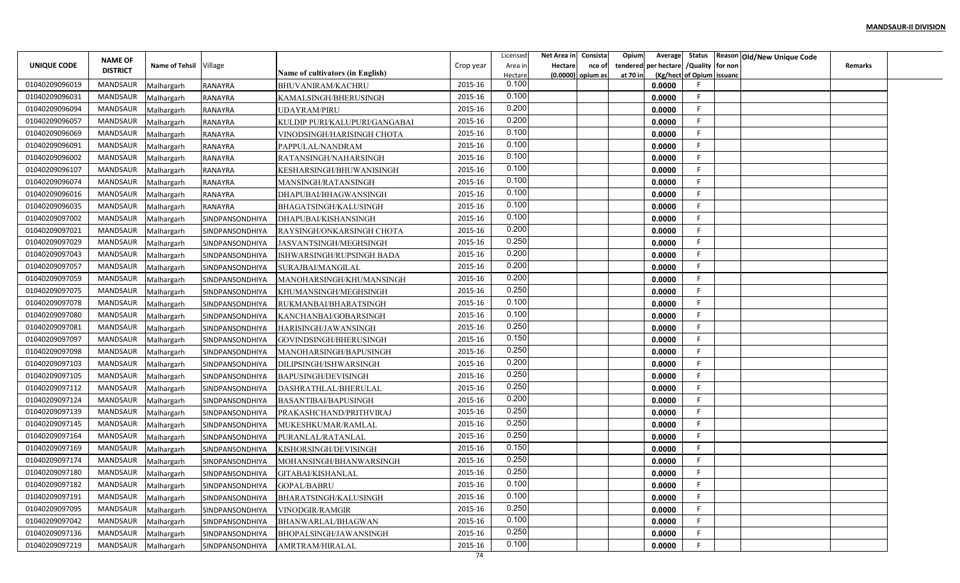|                |                 |                        |                 |                                  |           | Licensed | Net Area in    | Consista          | Opium    |                                        |                           | Average Status Reason Old/New Unique Code |                |  |
|----------------|-----------------|------------------------|-----------------|----------------------------------|-----------|----------|----------------|-------------------|----------|----------------------------------------|---------------------------|-------------------------------------------|----------------|--|
| UNIQUE CODE    | <b>NAME OF</b>  | Name of Tehsil Village |                 |                                  | Crop year | Area in  | <b>Hectare</b> | nce of            |          | tendered per hectare / Quality for non |                           |                                           | <b>Remarks</b> |  |
|                | <b>DISTRICT</b> |                        |                 | Name of cultivators (in English) |           | Hectare  |                | (0.0000) opium as | at 70 in |                                        | (Kg/hect of Opium issuanc |                                           |                |  |
| 01040209096019 | MANDSAUR        | Malhargarh             | <b>RANAYRA</b>  | BHUVANIRAM/KACHRU                | 2015-16   | 0.100    |                |                   |          | 0.0000                                 |                           |                                           |                |  |
| 01040209096031 | MANDSAUR        | Malhargarh             | <b>RANAYRA</b>  | KAMALSINGH/BHERUSINGH            | 2015-16   | 0.100    |                |                   |          | 0.0000                                 | F.                        |                                           |                |  |
| 01040209096094 | MANDSAUR        | Malhargarh             | RANAYRA         | UDAYRAM/PIRU                     | 2015-16   | 0.200    |                |                   |          | 0.0000                                 | -F                        |                                           |                |  |
| 01040209096057 | <b>MANDSAUR</b> | Malhargarh             | RANAYRA         | KULDIP PURI/KALUPURI/GANGABAI    | 2015-16   | 0.200    |                |                   |          | 0.0000                                 | F.                        |                                           |                |  |
| 01040209096069 | MANDSAUR        | Malhargarh             | RANAYRA         | VINODSINGH/HARISINGH CHOTA       | 2015-16   | 0.100    |                |                   |          | 0.0000                                 | F.                        |                                           |                |  |
| 01040209096091 | MANDSAUR        | Malhargarh             | RANAYRA         | PAPPULAL/NANDRAM                 | 2015-16   | 0.100    |                |                   |          | 0.0000                                 | F.                        |                                           |                |  |
| 01040209096002 | MANDSAUR        | Malhargarh             | RANAYRA         | RATANSINGH/NAHARSINGH            | 2015-16   | 0.100    |                |                   |          | 0.0000                                 | F.                        |                                           |                |  |
| 01040209096107 | MANDSAUR        | Malhargarh             | RANAYRA         | KESHARSINGH/BHUWANISINGH         | 2015-16   | 0.100    |                |                   |          | 0.0000                                 | F.                        |                                           |                |  |
| 01040209096074 | MANDSAUR        | Malhargarh             | <b>RANAYRA</b>  | MANSINGH/RATANSINGH              | 2015-16   | 0.100    |                |                   |          | 0.0000                                 | E                         |                                           |                |  |
| 01040209096016 | MANDSAUR        | Malhargarh             | <b>RANAYRA</b>  | DHAPUBAI/BHAGWANSINGH            | 2015-16   | 0.100    |                |                   |          | 0.0000                                 | F                         |                                           |                |  |
| 01040209096035 | MANDSAUR        | Malhargarh             | <b>RANAYRA</b>  | BHAGATSINGH/KALUSINGH            | 2015-16   | 0.100    |                |                   |          | 0.0000                                 | -F                        |                                           |                |  |
| 01040209097002 | MANDSAUR        | Malhargarh             | SINDPANSONDHIYA | DHAPUBAI/KISHANSINGH             | 2015-16   | 0.100    |                |                   |          | 0.0000                                 | -F                        |                                           |                |  |
| 01040209097021 | MANDSAUR        | Malhargarh             | SINDPANSONDHIYA | RAYSINGH/ONKARSINGH CHOTA        | 2015-16   | 0.200    |                |                   |          | 0.0000                                 | -F.                       |                                           |                |  |
| 01040209097029 | MANDSAUR        | Malhargarh             | SINDPANSONDHIYA | JASVANTSINGH/MEGHSINGH           | 2015-16   | 0.250    |                |                   |          | 0.0000                                 | E                         |                                           |                |  |
| 01040209097043 | MANDSAUR        | Malhargarh             | SINDPANSONDHIYA | ISHWARSINGH/RUPSINGH BADA        | 2015-16   | 0.200    |                |                   |          | 0.0000                                 | F.                        |                                           |                |  |
| 01040209097057 | MANDSAUR        | Malhargarh             | SINDPANSONDHIYA | SURAJBAI/MANGILAL                | 2015-16   | 0.200    |                |                   |          | 0.0000                                 | F.                        |                                           |                |  |
| 01040209097059 | MANDSAUR        | Malhargarh             | SINDPANSONDHIYA | MANOHARSINGH/KHUMANSINGH         | 2015-16   | 0.200    |                |                   |          | 0.0000                                 | F                         |                                           |                |  |
| 01040209097075 | MANDSAUR        | Malhargarh             | SINDPANSONDHIYA | KHUMANSINGH/MEGHSINGH            | 2015-16   | 0.250    |                |                   |          | 0.0000                                 | F                         |                                           |                |  |
| 01040209097078 | MANDSAUR        | Malhargarh             | SINDPANSONDHIYA | RUKMANBAI/BHARATSINGH            | 2015-16   | 0.100    |                |                   |          | 0.0000                                 | -F                        |                                           |                |  |
| 01040209097080 | MANDSAUR        | Malhargarh             | SINDPANSONDHIYA | KANCHANBAI/GOBARSINGH            | 2015-16   | 0.100    |                |                   |          | 0.0000                                 | F.                        |                                           |                |  |
| 01040209097081 | MANDSAUR        | Malhargarh             | SINDPANSONDHIYA | HARISINGH/JAWANSINGH             | 2015-16   | 0.250    |                |                   |          | 0.0000                                 | -F                        |                                           |                |  |
| 01040209097097 | MANDSAUR        | Malhargarh             | SINDPANSONDHIYA | GOVINDSINGH/BHERUSINGH           | 2015-16   | 0.150    |                |                   |          | 0.0000                                 | F.                        |                                           |                |  |
| 01040209097098 | MANDSAUR        | Malhargarh             | SINDPANSONDHIYA | MANOHARSINGH/BAPUSINGH           | 2015-16   | 0.250    |                |                   |          | 0.0000                                 | F.                        |                                           |                |  |
| 01040209097103 | MANDSAUR        | Malhargarh             | SINDPANSONDHIYA | DILIPSINGH/ISHWARSINGH           | 2015-16   | 0.200    |                |                   |          | 0.0000                                 | F                         |                                           |                |  |
| 01040209097105 | MANDSAUR        | Malhargarh             | SINDPANSONDHIYA | BAPUSINGH/DEVISINGH              | 2015-16   | 0.250    |                |                   |          | 0.0000                                 | F                         |                                           |                |  |
| 01040209097112 | MANDSAUR        | Malhargarh             | SINDPANSONDHIYA | DASHRATHLAL/BHERULAL             | 2015-16   | 0.250    |                |                   |          | 0.0000                                 | F                         |                                           |                |  |
| 01040209097124 | MANDSAUR        | Malhargarh             | SINDPANSONDHIYA | <b>BASANTIBAI/BAPUSINGH</b>      | 2015-16   | 0.200    |                |                   |          | 0.0000                                 | F.                        |                                           |                |  |
| 01040209097139 | MANDSAUR        | Malhargarh             | SINDPANSONDHIYA | PRAKASHCHAND/PRITHVIRAJ          | 2015-16   | 0.250    |                |                   |          | 0.0000                                 | F                         |                                           |                |  |
| 01040209097145 | <b>MANDSAUR</b> | Malhargarh             | SINDPANSONDHIYA | MUKESHKUMAR/RAMLAL               | 2015-16   | 0.250    |                |                   |          | 0.0000                                 | F.                        |                                           |                |  |
| 01040209097164 | MANDSAUR        | Malhargarh             | SINDPANSONDHIYA | PURANLAL/RATANLAL                | 2015-16   | 0.250    |                |                   |          | 0.0000                                 | E                         |                                           |                |  |
| 01040209097169 | MANDSAUR        | Malhargarh             | SINDPANSONDHIYA | KISHORSINGH/DEVISINGH            | 2015-16   | 0.150    |                |                   |          | 0.0000                                 | F.                        |                                           |                |  |
| 01040209097174 | MANDSAUR        | Malhargarh             | SINDPANSONDHIYA | MOHANSINGH/BHANWARSINGH          | 2015-16   | 0.250    |                |                   |          | 0.0000                                 | F                         |                                           |                |  |
| 01040209097180 | MANDSAUR        | Malhargarh             | SINDPANSONDHIYA | GITABAI/KISHANLAL                | 2015-16   | 0.250    |                |                   |          | 0.0000                                 | F.                        |                                           |                |  |
| 01040209097182 | MANDSAUR        | Malhargarh             | SINDPANSONDHIYA | <b>GOPAL/BABRU</b>               | 2015-16   | 0.100    |                |                   |          | 0.0000                                 | F                         |                                           |                |  |
| 01040209097191 | MANDSAUR        | Malhargarh             | SINDPANSONDHIYA | BHARATSINGH/KALUSINGH            | 2015-16   | 0.100    |                |                   |          | 0.0000                                 | F                         |                                           |                |  |
| 01040209097095 | MANDSAUR        | Malhargarh             | SINDPANSONDHIYA | VINODGIR/RAMGIR                  | 2015-16   | 0.250    |                |                   |          | 0.0000                                 | F.                        |                                           |                |  |
| 01040209097042 | MANDSAUR        | Malhargarh             | SINDPANSONDHIYA | BHANWARLAL/BHAGWAN               | 2015-16   | 0.100    |                |                   |          | 0.0000                                 | F                         |                                           |                |  |
| 01040209097136 | MANDSAUR        | Malhargarh             | SINDPANSONDHIYA | BHOPALSINGH/JAWANSINGH           | 2015-16   | 0.250    |                |                   |          | 0.0000                                 | F.                        |                                           |                |  |
| 01040209097219 | MANDSAUR        | Malhargarh             | SINDPANSONDHIYA | AMRTRAM/HIRALAL                  | 2015-16   | 0.100    |                |                   |          | 0.0000                                 | F                         |                                           |                |  |
|                |                 |                        |                 |                                  | 74        |          |                |                   |          |                                        |                           |                                           |                |  |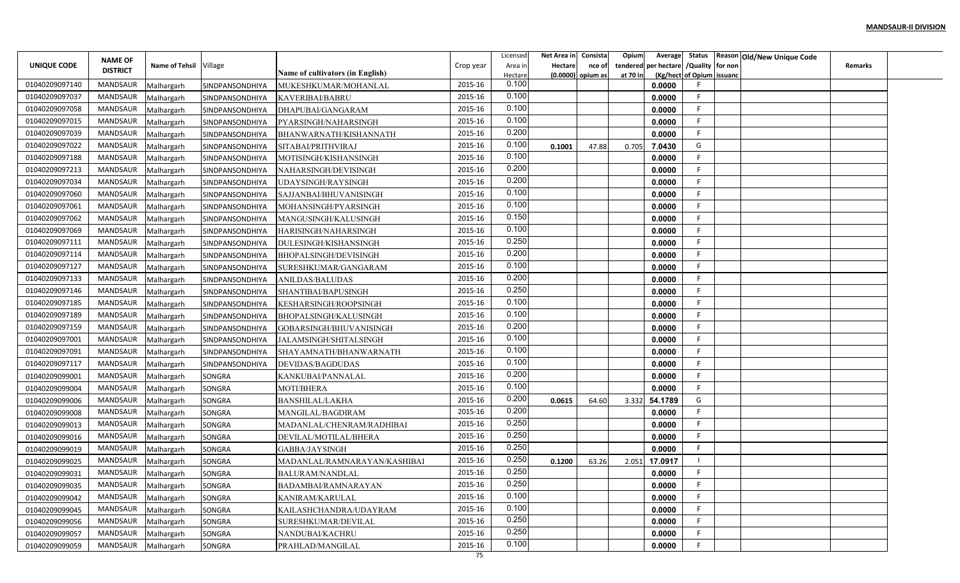|                |                                   |                        |                 |                                  |           | Licensed         | Net Area in | Consista            | Opium    | Average                   |                  | Status Reason Old/New Unique Code |                |  |
|----------------|-----------------------------------|------------------------|-----------------|----------------------------------|-----------|------------------|-------------|---------------------|----------|---------------------------|------------------|-----------------------------------|----------------|--|
| UNIQUE CODE    | <b>NAME OF</b><br><b>DISTRICT</b> | Name of Tehsil Village |                 |                                  | Crop year | Area in          | Hectare     | nce of              | tendered | per hectare               | /Quality for non |                                   | <b>Remarks</b> |  |
|                |                                   |                        |                 | Name of cultivators (in English) |           | Hectare<br>0.100 |             | $(0.0000)$ opium as | at 70 in | (Kg/hect of Opium issuanc |                  |                                   |                |  |
| 01040209097140 | MANDSAUR                          | Malhargarh             | SINDPANSONDHIYA | MUKESHKUMAR/MOHANLAL             | 2015-16   | 0.100            |             |                     |          | 0.0000                    | -F               |                                   |                |  |
| 01040209097037 | MANDSAUR                          | Malhargarh             | SINDPANSONDHIYA | <b>KAVERIBAI/BABRU</b>           | 2015-16   | 0.100            |             |                     |          | 0.0000                    | -F               |                                   |                |  |
| 01040209097058 | MANDSAUR                          | Malhargarh             | SINDPANSONDHIYA | DHAPUBAI/GANGARAM                | 2015-16   | 0.100            |             |                     |          | 0.0000                    | F                |                                   |                |  |
| 01040209097015 | <b>MANDSAUR</b>                   | Malhargarh             | SINDPANSONDHIYA | PYARSINGH/NAHARSINGH             | 2015-16   | 0.200            |             |                     |          | 0.0000                    |                  |                                   |                |  |
| 01040209097039 | MANDSAUR                          | Malhargarh             | SINDPANSONDHIYA | BHANWARNATH/KISHANNATH           | 2015-16   | 0.100            |             |                     |          | 0.0000                    | -F               |                                   |                |  |
| 01040209097022 | MANDSAUR                          | Malhargarh             | SINDPANSONDHIYA | SITABAI/PRITHVIRAJ               | 2015-16   | 0.100            | 0.1001      | 47.88               | 0.705    | 7.0430                    | G                |                                   |                |  |
| 01040209097188 | MANDSAUR                          | Malhargarh             | SINDPANSONDHIYA | MOTISINGH/KISHANSINGH            | 2015-16   | 0.200            |             |                     |          | 0.0000                    |                  |                                   |                |  |
| 01040209097213 | MANDSAUR                          | Malhargarh             | SINDPANSONDHIYA | NAHARSINGH/DEVISINGH             | 2015-16   |                  |             |                     |          | 0.0000                    |                  |                                   |                |  |
| 01040209097034 | MANDSAUR                          | Malhargarh             | SINDPANSONDHIYA | UDAYSINGH/RAYSINGH               | 2015-16   | 0.200            |             |                     |          | 0.0000                    |                  |                                   |                |  |
| 01040209097060 | MANDSAUR                          | Malhargarh             | SINDPANSONDHIYA | SAJJANBAI/BHUVANISINGH           | 2015-16   | 0.100            |             |                     |          | 0.0000                    | F                |                                   |                |  |
| 01040209097061 | MANDSAUR                          | Malhargarh             | SINDPANSONDHIYA | MOHANSINGH/PYARSINGH             | 2015-16   | 0.100            |             |                     |          | 0.0000                    | -F               |                                   |                |  |
| 01040209097062 | MANDSAUR                          | Malhargarh             | SINDPANSONDHIYA | MANGUSINGH/KALUSINGH             | 2015-16   | 0.150            |             |                     |          | 0.0000                    | -F               |                                   |                |  |
| 01040209097069 | MANDSAUR                          | Malhargarh             | SINDPANSONDHIYA | HARISINGH/NAHARSINGH             | 2015-16   | 0.100            |             |                     |          | 0.0000                    |                  |                                   |                |  |
| 01040209097111 | MANDSAUR                          | Malhargarh             | SINDPANSONDHIYA | DULESINGH/KISHANSINGH            | 2015-16   | 0.250            |             |                     |          | 0.0000                    |                  |                                   |                |  |
| 01040209097114 | MANDSAUR                          | Malhargarh             | SINDPANSONDHIYA | BHOPALSINGH/DEVISINGH            | 2015-16   | 0.200            |             |                     |          | 0.0000                    |                  |                                   |                |  |
| 01040209097127 | <b>MANDSAUR</b>                   | Malhargarh             | SINDPANSONDHIYA | SURESHKUMAR/GANGARAM             | 2015-16   | 0.100            |             |                     |          | 0.0000                    |                  |                                   |                |  |
| 01040209097133 | <b>MANDSAUR</b>                   | Malhargarh             | SINDPANSONDHIYA | ANILDAS/BALUDAS                  | 2015-16   | 0.200            |             |                     |          | 0.0000                    |                  |                                   |                |  |
| 01040209097146 | <b>MANDSAUR</b>                   | Malhargarh             | SINDPANSONDHIYA | SHANTIBAI/BAPUSINGH              | 2015-16   | 0.250            |             |                     |          | 0.0000                    | -F               |                                   |                |  |
| 01040209097185 | MANDSAUR                          | Malhargarh             | SINDPANSONDHIYA | KESHARSINGH/ROOPSINGH            | 2015-16   | 0.100            |             |                     |          | 0.0000                    |                  |                                   |                |  |
| 01040209097189 | MANDSAUR                          | Malhargarh             | SINDPANSONDHIYA | BHOPALSINGH/KALUSINGH            | 2015-16   | 0.100            |             |                     |          | 0.0000                    | -F               |                                   |                |  |
| 01040209097159 | <b>MANDSAUR</b>                   | Malhargarh             | SINDPANSONDHIYA | GOBARSINGH/BHUVANISINGH          | 2015-16   | 0.200            |             |                     |          | 0.0000                    | -F               |                                   |                |  |
| 01040209097001 | <b>MANDSAUR</b>                   | Malhargarh             | SINDPANSONDHIYA | JALAMSINGH/SHITALSINGH           | 2015-16   | 0.100            |             |                     |          | 0.0000                    |                  |                                   |                |  |
| 01040209097091 | <b>MANDSAUR</b>                   | Malhargarh             | SINDPANSONDHIYA | SHAYAMNATH/BHANWARNATH           | 2015-16   | 0.100            |             |                     |          | 0.0000                    | -F               |                                   |                |  |
| 01040209097117 | <b>MANDSAUR</b>                   | Malhargarh             | SINDPANSONDHIYA | DEVIDAS/BAGDUDAS                 | 2015-16   | 0.100            |             |                     |          | 0.0000                    | -F               |                                   |                |  |
| 01040209099001 | <b>MANDSAUR</b>                   | Malhargarh             | SONGRA          | KANKUBAI/PANNALAL                | 2015-16   | 0.200            |             |                     |          | 0.0000                    |                  |                                   |                |  |
| 01040209099004 | <b>MANDSAUR</b>                   | Malhargarh             | SONGRA          | <b>MOTI/BHERA</b>                | 2015-16   | 0.100            |             |                     |          | 0.0000                    |                  |                                   |                |  |
| 01040209099006 | <b>MANDSAUR</b>                   | Malhargarh             | <b>SONGRA</b>   | <b>BANSHILAL/LAKHA</b>           | 2015-16   | 0.200            | 0.0615      | 64.60               | 3.332    | 54.1789                   | G                |                                   |                |  |
| 01040209099008 | MANDSAUR                          | Malhargarh             | SONGRA          | MANGILAL/BAGDIRAM                | 2015-16   | 0.200            |             |                     |          | 0.0000                    | -F               |                                   |                |  |
| 01040209099013 | <b>MANDSAUR</b>                   | Malhargarh             | SONGRA          | MADANLAL/CHENRAM/RADHIBAI        | 2015-16   | 0.250            |             |                     |          | 0.0000                    | -F               |                                   |                |  |
| 01040209099016 | <b>MANDSAUR</b>                   | Malhargarh             | <b>SONGRA</b>   | DEVILAL/MOTILAL/BHERA            | 2015-16   | 0.250            |             |                     |          | 0.0000                    |                  |                                   |                |  |
| 01040209099019 | <b>MANDSAUR</b>                   | Malhargarh             | SONGRA          | GABBA/JAYSINGH                   | 2015-16   | 0.250            |             |                     |          | 0.0000                    |                  |                                   |                |  |
| 01040209099025 | MANDSAUR                          | Malhargarh             | SONGRA          | MADANLAL/RAMNARAYAN/KASHIBAI     | 2015-16   | 0.250            | 0.1200      | 63.26               | 2.051    | 17.0917                   |                  |                                   |                |  |
| 01040209099031 | MANDSAUR                          | Malhargarh             | SONGRA          | BALURAM/NANDLAL                  | 2015-16   | 0.250            |             |                     |          | 0.0000                    |                  |                                   |                |  |
| 01040209099035 | MANDSAUR                          | Malhargarh             | SONGRA          | BADAMBAI/RAMNARAYAN              | 2015-16   | 0.250            |             |                     |          | 0.0000                    |                  |                                   |                |  |
| 01040209099042 | MANDSAUR                          | Malhargarh             | <b>SONGRA</b>   | KANIRAM/KARULAL                  | 2015-16   | 0.100            |             |                     |          | 0.0000                    | -F               |                                   |                |  |
| 01040209099045 | MANDSAUR                          | Malhargarh             | SONGRA          | KAILASHCHANDRA/UDAYRAM           | 2015-16   | 0.100            |             |                     |          | 0.0000                    | -F               |                                   |                |  |
| 01040209099056 | MANDSAUR                          | Malhargarh             | SONGRA          | SURESHKUMAR/DEVILAL              | 2015-16   | 0.250            |             |                     |          | 0.0000                    | -F               |                                   |                |  |
| 01040209099057 | MANDSAUR                          | Malhargarh             | SONGRA          | NANDUBAI/KACHRU                  | 2015-16   | 0.250            |             |                     |          | 0.0000                    | -F               |                                   |                |  |
| 01040209099059 | <b>MANDSAUR</b>                   | Malhargarh             | SONGRA          | PRAHLAD/MANGILAL                 | 2015-16   | 0.100            |             |                     |          | 0.0000                    |                  |                                   |                |  |
|                |                                   |                        |                 |                                  |           |                  |             |                     |          |                           |                  |                                   |                |  |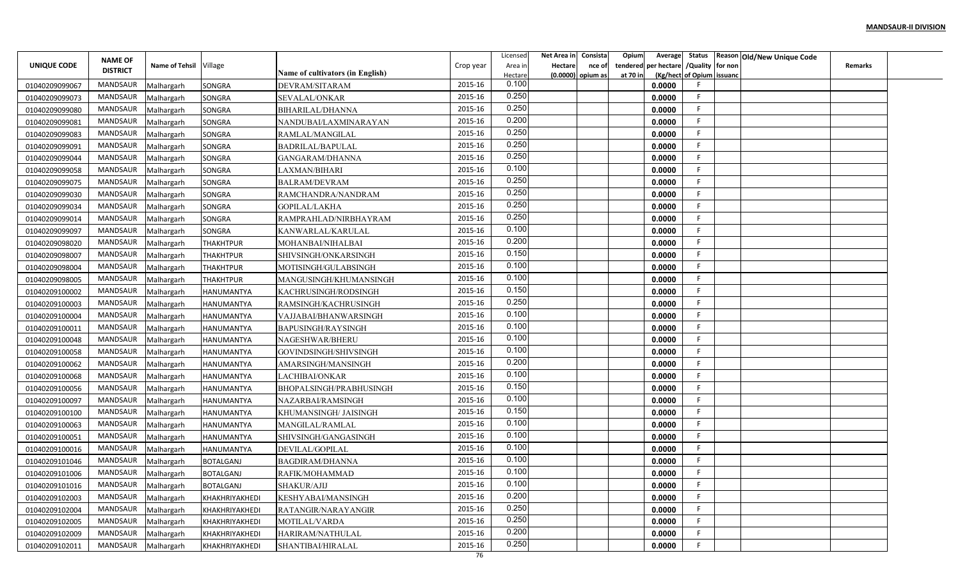|                    |                                   |                        |                       |                                         |           | Licensed | Net Area in    | Consista          | Opium    |                                        |                           | Average Status Reason Old/New Unique Code |                |  |
|--------------------|-----------------------------------|------------------------|-----------------------|-----------------------------------------|-----------|----------|----------------|-------------------|----------|----------------------------------------|---------------------------|-------------------------------------------|----------------|--|
| <b>UNIQUE CODE</b> | <b>NAME OF</b><br><b>DISTRICT</b> | Name of Tehsil Village |                       |                                         | Crop year | Area in  | <b>Hectare</b> | nce of            |          | tendered per hectare / Quality for non |                           |                                           | <b>Remarks</b> |  |
|                    |                                   |                        |                       | <b>Name of cultivators (in English)</b> |           | Hectare  |                | (0.0000) opium as | at 70 in |                                        | (Kg/hect of Opium issuanc |                                           |                |  |
| 01040209099067     | MANDSAUR                          | Malhargarh             | <b>SONGRA</b>         | DEVRAM/SITARAM                          | 2015-16   | 0.100    |                |                   |          | 0.0000                                 |                           |                                           |                |  |
| 01040209099073     | MANDSAUR                          | Malhargarh             | <b>SONGRA</b>         | <b>SEVALAL/ONKAR</b>                    | 2015-16   | 0.250    |                |                   |          | 0.0000                                 | F.                        |                                           |                |  |
| 01040209099080     | MANDSAUR                          | Malhargarh             | SONGRA                | <b>BIHARILAL/DHANNA</b>                 | 2015-16   | 0.250    |                |                   |          | 0.0000                                 | F.                        |                                           |                |  |
| 01040209099081     | <b>MANDSAUR</b>                   | Malhargarh             | <b>SONGRA</b>         | NANDUBAI/LAXMINARAYAN                   | 2015-16   | 0.200    |                |                   |          | 0.0000                                 | F.                        |                                           |                |  |
| 01040209099083     | MANDSAUR                          | Malhargarh             | SONGRA                | RAMLAL/MANGILAL                         | 2015-16   | 0.250    |                |                   |          | 0.0000                                 | F.                        |                                           |                |  |
| 01040209099091     | MANDSAUR                          | Malhargarh             | <b>SONGRA</b>         | BADRILAL/BAPULAL                        | 2015-16   | 0.250    |                |                   |          | 0.0000                                 | F.                        |                                           |                |  |
| 01040209099044     | MANDSAUR                          | Malhargarh             | SONGRA                | GANGARAM/DHANNA                         | 2015-16   | 0.250    |                |                   |          | 0.0000                                 | F                         |                                           |                |  |
| 01040209099058     | MANDSAUR                          | Malhargarh             | <b>SONGRA</b>         | LAXMAN/BIHARI                           | 2015-16   | 0.100    |                |                   |          | 0.0000                                 | F.                        |                                           |                |  |
| 01040209099075     | MANDSAUR                          | Malhargarh             | SONGRA                | <b>BALRAM/DEVRAM</b>                    | 2015-16   | 0.250    |                |                   |          | 0.0000                                 | F                         |                                           |                |  |
| 01040209099030     | MANDSAUR                          | Malhargarh             | <b>SONGRA</b>         | RAMCHANDRA/NANDRAM                      | 2015-16   | 0.250    |                |                   |          | 0.0000                                 | F                         |                                           |                |  |
| 01040209099034     | MANDSAUR                          | Malhargarh             | SONGRA                | GOPILAL/LAKHA                           | 2015-16   | 0.250    |                |                   |          | 0.0000                                 | -F                        |                                           |                |  |
| 01040209099014     | MANDSAUR                          | Malhargarh             | <b>SONGRA</b>         | RAMPRAHLAD/NIRBHAYRAM                   | 2015-16   | 0.250    |                |                   |          | 0.0000                                 | -F                        |                                           |                |  |
| 01040209099097     | MANDSAUR                          | Malhargarh             | <b>SONGRA</b>         | KANWARLAL/KARULAL                       | 2015-16   | 0.100    |                |                   |          | 0.0000                                 | F.                        |                                           |                |  |
| 01040209098020     | MANDSAUR                          | Malhargarh             | THAKHTPUR             | MOHANBAI/NIHALBAI                       | 2015-16   | 0.200    |                |                   |          | 0.0000                                 | F                         |                                           |                |  |
| 01040209098007     | MANDSAUR                          | Malhargarh             | <b>THAKHTPUR</b>      | SHIVSINGH/ONKARSINGH                    | 2015-16   | 0.150    |                |                   |          | 0.0000                                 | F.                        |                                           |                |  |
| 01040209098004     | MANDSAUR                          | Malhargarh             | <b>THAKHTPUR</b>      | MOTISINGH/GULABSINGH                    | 2015-16   | 0.100    |                |                   |          | 0.0000                                 | F.                        |                                           |                |  |
| 01040209098005     | MANDSAUR                          | Malhargarh             | <b>THAKHTPUR</b>      | MANGUSINGH/KHUMANSINGH                  | 2015-16   | 0.100    |                |                   |          | 0.0000                                 | F                         |                                           |                |  |
| 01040209100002     | MANDSAUR                          | Malhargarh             | <b>HANUMANTYA</b>     | KACHRUSINGH/RODSINGH                    | 2015-16   | 0.150    |                |                   |          | 0.0000                                 | F                         |                                           |                |  |
| 01040209100003     | MANDSAUR                          | Malhargarh             | <b>HANUMANTYA</b>     | RAMSINGH/KACHRUSINGH                    | 2015-16   | 0.250    |                |                   |          | 0.0000                                 | -F                        |                                           |                |  |
| 01040209100004     | MANDSAUR                          | Malhargarh             | <b>HANUMANTYA</b>     | VAJJABAI/BHANWARSINGH                   | 2015-16   | 0.100    |                |                   |          | 0.0000                                 | F.                        |                                           |                |  |
| 01040209100011     | MANDSAUR                          | Malhargarh             | <b>HANUMANTYA</b>     | <b>BAPUSINGH/RAYSINGH</b>               | 2015-16   | 0.100    |                |                   |          | 0.0000                                 | F.                        |                                           |                |  |
| 01040209100048     | MANDSAUR                          | Malhargarh             | <b>HANUMANTYA</b>     | NAGESHWAR/BHERU                         | 2015-16   | 0.100    |                |                   |          | 0.0000                                 | F.                        |                                           |                |  |
| 01040209100058     | MANDSAUR                          | Malhargarh             | <b>HANUMANTYA</b>     | GOVINDSINGH/SHIVSINGH                   | 2015-16   | 0.100    |                |                   |          | 0.0000                                 | F.                        |                                           |                |  |
| 01040209100062     | MANDSAUR                          | Malhargarh             | <b>HANUMANTYA</b>     | AMARSINGH/MANSINGH                      | 2015-16   | 0.200    |                |                   |          | 0.0000                                 | F                         |                                           |                |  |
| 01040209100068     | MANDSAUR                          | Malhargarh             | <b>HANUMANTYA</b>     | LACHIBAI/ONKAR                          | 2015-16   | 0.100    |                |                   |          | 0.0000                                 | F                         |                                           |                |  |
| 01040209100056     | MANDSAUR                          | Malhargarh             | <b>HANUMANTYA</b>     | BHOPALSINGH/PRABHUSINGH                 | 2015-16   | 0.150    |                |                   |          | 0.0000                                 | E                         |                                           |                |  |
| 01040209100097     | MANDSAUR                          | Malhargarh             | <b>HANUMANTYA</b>     | NAZARBAI/RAMSINGH                       | 2015-16   | 0.100    |                |                   |          | 0.0000                                 | F.                        |                                           |                |  |
| 01040209100100     | MANDSAUR                          | Malhargarh             | <b>HANUMANTYA</b>     | KHUMANSINGH/ JAISINGH                   | 2015-16   | 0.150    |                |                   |          | 0.0000                                 | F                         |                                           |                |  |
| 01040209100063     | MANDSAUR                          | Malhargarh             | HANUMANTYA            | MANGILAL/RAMLAI                         | 2015-16   | 0.100    |                |                   |          | 0.0000                                 | F.                        |                                           |                |  |
| 01040209100051     | MANDSAUR                          | Malhargarh             | <b>HANUMANTYA</b>     | SHIVSINGH/GANGASINGH                    | 2015-16   | 0.100    |                |                   |          | 0.0000                                 | E                         |                                           |                |  |
| 01040209100016     | MANDSAUR                          | Malhargarh             | <b>HANUMANTYA</b>     | DEVILAL/GOPILAL                         | 2015-16   | 0.100    |                |                   |          | 0.0000                                 | F.                        |                                           |                |  |
| 01040209101046     | MANDSAUR                          | Malhargarh             | <b>BOTALGANJ</b>      | <b>BAGDIRAM/DHANNA</b>                  | 2015-16   | 0.100    |                |                   |          | 0.0000                                 | F                         |                                           |                |  |
| 01040209101006     | MANDSAUR                          | Malhargarh             | <b>BOTALGANJ</b>      | RAFIK/MOHAMMAD                          | 2015-16   | 0.100    |                |                   |          | 0.0000                                 | F.                        |                                           |                |  |
| 01040209101016     | MANDSAUR                          | Malhargarh             | <b>BOTALGANJ</b>      | SHAKUR/AJIJ                             | 2015-16   | 0.100    |                |                   |          | 0.0000                                 | F                         |                                           |                |  |
| 01040209102003     | MANDSAUR                          | Malhargarh             | KHAKHRIYAKHEDI        | KESHYABAI/MANSINGH                      | 2015-16   | 0.200    |                |                   |          | 0.0000                                 | F                         |                                           |                |  |
| 01040209102004     | MANDSAUR                          | Malhargarh             | KHAKHRIYAKHEDI        | RATANGIR/NARAYANGIR                     | 2015-16   | 0.250    |                |                   |          | 0.0000                                 | F.                        |                                           |                |  |
| 01040209102005     | MANDSAUR                          | Malhargarh             | KHAKHRIYAKHEDI        | MOTILAL/VARDA                           | 2015-16   | 0.250    |                |                   |          | 0.0000                                 | F                         |                                           |                |  |
| 01040209102009     | MANDSAUR                          | Malhargarh             | KHAKHRIYAKHEDI        | HARIRAM/NATHULAL                        | 2015-16   | 0.200    |                |                   |          | 0.0000                                 | F.                        |                                           |                |  |
| 01040209102011     | MANDSAUR                          | Malhargarh             | <b>KHAKHRIYAKHEDI</b> | SHANTIBAI/HIRALAL                       | 2015-16   | 0.250    |                |                   |          | 0.0000                                 | F                         |                                           |                |  |
|                    |                                   |                        |                       |                                         | 76        |          |                |                   |          |                                        |                           |                                           |                |  |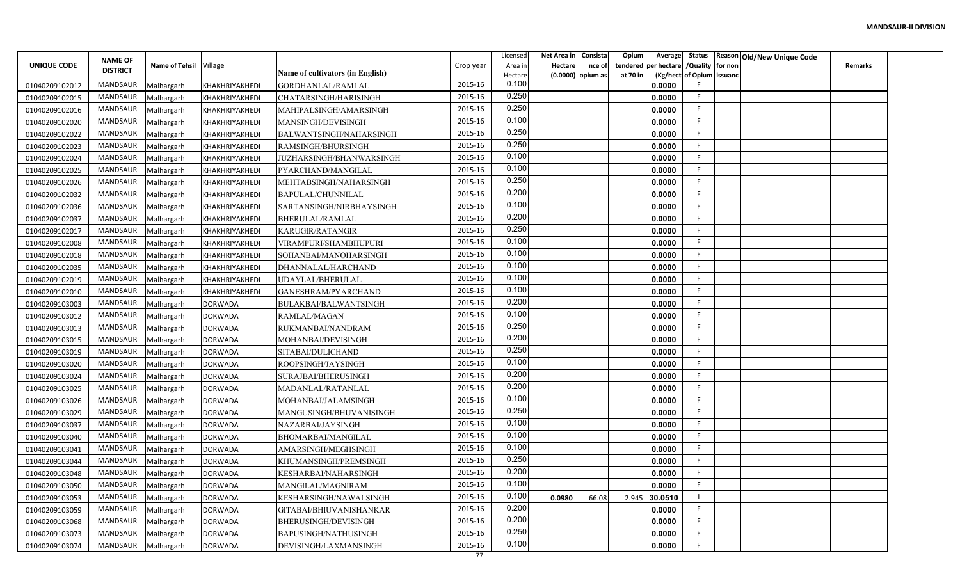|                                  |                                   |                        |                |                                         |           | Licensed | Net Area in Consista |                     | Opium    | Average                       |    | Status   Reason   Old / New Unique Code |                |  |
|----------------------------------|-----------------------------------|------------------------|----------------|-----------------------------------------|-----------|----------|----------------------|---------------------|----------|-------------------------------|----|-----------------------------------------|----------------|--|
| UNIQUE CODE                      | <b>NAME OF</b><br><b>DISTRICT</b> | Name of Tehsil Village |                |                                         | Crop year | Area in  | <b>Hectare</b>       | nce of              | tendered | per hectare / Quality for non |    |                                         | <b>Remarks</b> |  |
|                                  |                                   |                        |                | <b>Name of cultivators (in English)</b> |           | Hectare  |                      | $(0.0000)$ opium as | at 70 in | (Kg/hect of Opium issuanc     |    |                                         |                |  |
| 01040209102012                   | <b>MANDSAUR</b>                   | Malhargarh             | KHAKHRIYAKHEDI | GORDHANLAL/RAMLAL                       | 2015-16   | 0.100    |                      |                     |          | 0.0000                        |    |                                         |                |  |
| 01040209102015                   | <b>MANDSAUR</b>                   | Malhargarh             | KHAKHRIYAKHEDI | CHATARSINGH/HARISINGH                   | 2015-16   | 0.250    |                      |                     |          | 0.0000                        |    |                                         |                |  |
| 01040209102016                   | MANDSAUR                          | Malhargarh             | KHAKHRIYAKHEDI | MAHIPALSINGH/AMARSINGH                  | 2015-16   | 0.250    |                      |                     |          | 0.0000                        | F  |                                         |                |  |
| 01040209102020                   | MANDSAUR                          | Malhargarh             | KHAKHRIYAKHEDI | MANSINGH/DEVISINGH                      | 2015-16   | 0.100    |                      |                     |          | 0.0000                        | E  |                                         |                |  |
| 01040209102022                   | <b>MANDSAUR</b>                   | Malhargarh             | KHAKHRIYAKHEDI | BALWANTSINGH/NAHARSINGH                 | 2015-16   | 0.250    |                      |                     |          | 0.0000                        |    |                                         |                |  |
| 01040209102023                   | <b>MANDSAUR</b>                   | Malhargarh             | KHAKHRIYAKHEDI | RAMSINGH/BHURSINGH                      | 2015-16   | 0.250    |                      |                     |          | 0.0000                        |    |                                         |                |  |
| 01040209102024                   | MANDSAUR                          | Malhargarh             | KHAKHRIYAKHEDI | JUZHARSINGH/BHANWARSINGH                | 2015-16   | 0.100    |                      |                     |          | 0.0000                        |    |                                         |                |  |
| 01040209102025                   | <b>MANDSAUR</b>                   | Malhargarh             | KHAKHRIYAKHEDI | PYARCHAND/MANGILAL                      | 2015-16   | 0.100    |                      |                     |          | 0.0000                        |    |                                         |                |  |
| 01040209102026                   | MANDSAUR                          | Malhargarh             | KHAKHRIYAKHEDI | MEHTABSINGH/NAHARSINGH                  | 2015-16   | 0.250    |                      |                     |          | 0.0000                        |    |                                         |                |  |
| 01040209102032                   | MANDSAUR                          | Malhargarh             | KHAKHRIYAKHEDI | BAPULAL/CHUNNILAL                       | 2015-16   | 0.200    |                      |                     |          | 0.0000                        | F  |                                         |                |  |
| 01040209102036                   | MANDSAUR                          | Malhargarh             | KHAKHRIYAKHEDI | SARTANSINGH/NIRBHAYSINGH                | 2015-16   | 0.100    |                      |                     |          | 0.0000                        | F  |                                         |                |  |
| 01040209102037                   | <b>MANDSAUR</b>                   | Malhargarh             | KHAKHRIYAKHEDI | <b>BHERULAL/RAMLAL</b>                  | 2015-16   | 0.200    |                      |                     |          | 0.0000                        | F  |                                         |                |  |
| 01040209102017                   | <b>MANDSAUR</b>                   | Malhargarh             | KHAKHRIYAKHEDI | KARUGIR/RATANGIR                        | 2015-16   | 0.250    |                      |                     |          | 0.0000                        |    |                                         |                |  |
| 01040209102008                   | <b>MANDSAUR</b>                   | Malhargarh             | KHAKHRIYAKHEDI | VIRAMPURI/SHAMBHUPURI                   | 2015-16   | 0.100    |                      |                     |          | 0.0000                        |    |                                         |                |  |
| 01040209102018                   | <b>MANDSAUR</b>                   | Malhargarh             | KHAKHRIYAKHEDI | SOHANBAI/MANOHARSINGH                   | 2015-16   | 0.100    |                      |                     |          | 0.0000                        |    |                                         |                |  |
| 01040209102035                   | <b>MANDSAUR</b>                   | Malhargarh             | KHAKHRIYAKHEDI | DHANNALAL/HARCHAND                      | 2015-16   | 0.100    |                      |                     |          | 0.0000                        |    |                                         |                |  |
| 01040209102019                   | MANDSAUR                          | Malhargarh             | KHAKHRIYAKHEDI | UDAYLAL/BHERULAL                        | 2015-16   | 0.100    |                      |                     |          | 0.0000                        |    |                                         |                |  |
| 01040209102010                   | <b>MANDSAUR</b>                   | Malhargarh             | KHAKHRIYAKHEDI | GANESHRAM/PYARCHAND                     | 2015-16   | 0.100    |                      |                     |          | 0.0000                        |    |                                         |                |  |
| 01040209103003                   | MANDSAUR                          | Malhargarh             | <b>DORWADA</b> | BULAKBAI/BALWANTSINGH                   | 2015-16   | 0.200    |                      |                     |          | 0.0000                        |    |                                         |                |  |
| 01040209103012                   | MANDSAUR                          | Malhargarh             | <b>DORWADA</b> | RAMLAL/MAGAN                            | 2015-16   | 0.100    |                      |                     |          | 0.0000                        | F  |                                         |                |  |
| 01040209103013                   | MANDSAUR                          | Malhargarh             | <b>DORWADA</b> | RUKMANBAI/NANDRAM                       | 2015-16   | 0.250    |                      |                     |          | 0.0000                        |    |                                         |                |  |
| 01040209103015                   | <b>MANDSAUR</b>                   | Malhargarh             | <b>DORWADA</b> | MOHANBAI/DEVISINGH                      | 2015-16   | 0.200    |                      |                     |          | 0.0000                        |    |                                         |                |  |
| 01040209103019                   | <b>MANDSAUR</b>                   | Malhargarh             | <b>DORWADA</b> | SITABAI/DULICHAND                       | 2015-16   | 0.250    |                      |                     |          | 0.0000                        |    |                                         |                |  |
| 01040209103020                   | MANDSAUR                          | Malhargarh             | <b>DORWADA</b> | ROOPSINGH/JAYSINGH                      | 2015-16   | 0.100    |                      |                     |          | 0.0000                        | F  |                                         |                |  |
| 01040209103024                   | <b>MANDSAUR</b>                   | Malhargarh             | <b>DORWADA</b> | SURAJBAI/BHERUSINGH                     | 2015-16   | 0.200    |                      |                     |          | 0.0000                        |    |                                         |                |  |
| 01040209103025                   | MANDSAUR                          | Malhargarh             | <b>DORWADA</b> | MADANLAL/RATANLAI                       | 2015-16   | 0.200    |                      |                     |          | 0.0000                        |    |                                         |                |  |
| 01040209103026                   | MANDSAUR                          | Malhargarh             | <b>DORWADA</b> | MOHANBAI/JALAMSINGH                     | 2015-16   | 0.100    |                      |                     |          | 0.0000                        | F  |                                         |                |  |
| 01040209103029                   | MANDSAUR                          | Malhargarh             | <b>DORWADA</b> | MANGUSINGH/BHUVANISINGH                 | 2015-16   | 0.250    |                      |                     |          | 0.0000                        |    |                                         |                |  |
| 01040209103037                   | <b>MANDSAUR</b>                   | Malhargarh             | <b>DORWADA</b> | NAZARBAI/JAYSINGH                       | 2015-16   | 0.100    |                      |                     |          | 0.0000                        | F  |                                         |                |  |
| 01040209103040                   | <b>MANDSAUR</b>                   | Malhargarh             | <b>DORWADA</b> | BHOMARBAI/MANGILAL                      | 2015-16   | 0.100    |                      |                     |          | 0.0000                        |    |                                         |                |  |
| 01040209103041                   | <b>MANDSAUR</b>                   | Malhargarh             | <b>DORWADA</b> | AMARSINGH/MEGHSINGH                     | 2015-16   | 0.100    |                      |                     |          | 0.0000                        |    |                                         |                |  |
| 01040209103044                   | MANDSAUR                          | Malhargarh             | <b>DORWADA</b> | KHUMANSINGH/PREMSINGH                   | 2015-16   | 0.250    |                      |                     |          | 0.0000                        |    |                                         |                |  |
| 01040209103048                   | MANDSAUR                          | Malhargarh             | DORWADA        | KESHARBAI/NAHARSINGH                    | 2015-16   | 0.200    |                      |                     |          | 0.0000                        |    |                                         |                |  |
| 01040209103050                   | MANDSAUR                          | Malhargarh             | <b>DORWADA</b> | MANGILAL/MAGNIRAM                       | 2015-16   | 0.100    |                      |                     |          | 0.0000                        |    |                                         |                |  |
| 01040209103053                   | MANDSAUR                          | Malhargarh             | <b>DORWADA</b> | KESHARSINGH/NAWALSINGH                  | 2015-16   | 0.100    | 0.0980               | 66.08               | 2.945    | 30.0510                       |    |                                         |                |  |
|                                  | MANDSAUR                          | Malhargarh             |                | GITABAI/BHIUVANISHANKAR                 | 2015-16   | 0.200    |                      |                     |          | 0.0000                        | F. |                                         |                |  |
| 01040209103059<br>01040209103068 | MANDSAUR                          | Malhargarh             | <b>DORWADA</b> |                                         | 2015-16   | 0.200    |                      |                     |          | 0.0000                        | F  |                                         |                |  |
|                                  | MANDSAUR                          |                        | <b>DORWADA</b> | <b>BHERUSINGH/DEVISINGH</b>             | 2015-16   | 0.250    |                      |                     |          |                               |    |                                         |                |  |
| 01040209103073                   |                                   | Malhargarh             | <b>DORWADA</b> | BAPUSINGH/NATHUSINGH                    | 2015-16   | 0.100    |                      |                     |          | 0.0000                        |    |                                         |                |  |
| 01040209103074                   | MANDSAUR                          | Malhargarh             | <b>DORWADA</b> | DEVISINGH/LAXMANSINGH                   | 77        |          |                      |                     |          | 0.0000                        |    |                                         |                |  |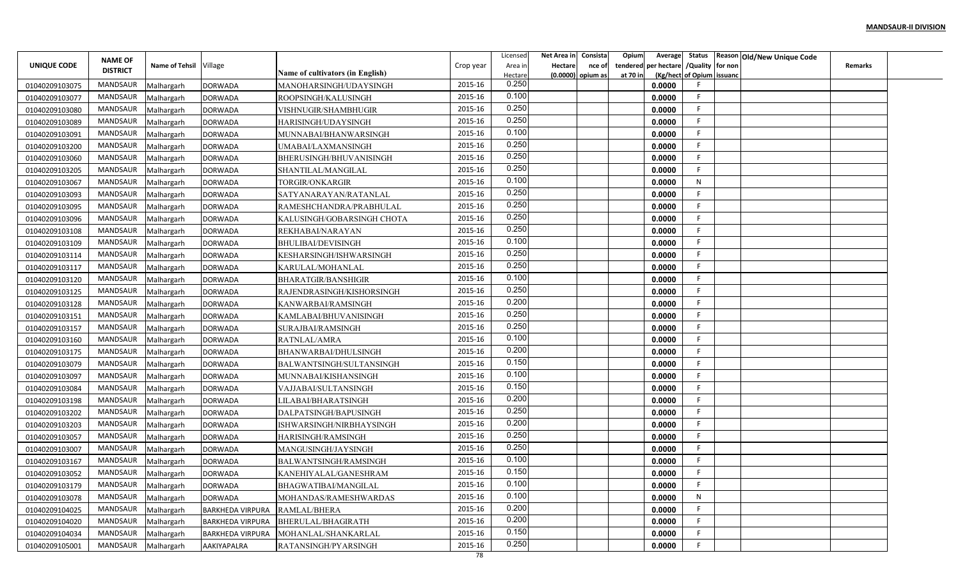|                    |                 |                        |                         |                                         |           | Licensed | Net Area in Consista |                     | Opium    | Average                       | Status Reason Old/New Unique Code |                |  |
|--------------------|-----------------|------------------------|-------------------------|-----------------------------------------|-----------|----------|----------------------|---------------------|----------|-------------------------------|-----------------------------------|----------------|--|
| <b>UNIQUE CODE</b> | <b>NAME OF</b>  | Name of Tehsil Village |                         |                                         | Crop year | Area in  | <b>Hectare</b>       | nce of              | tendered | per hectare / Quality for non |                                   | <b>Remarks</b> |  |
|                    | <b>DISTRICT</b> |                        |                         | <b>Name of cultivators (in English)</b> |           | Hectare  |                      | $(0.0000)$ opium as | at 70 in | (Kg/hect of Opium issuanc     |                                   |                |  |
| 01040209103075     | MANDSAUR        | Malhargarh             | <b>DORWADA</b>          | MANOHARSINGH/UDAYSINGH                  | 2015-16   | 0.250    |                      |                     |          | 0.0000<br>-F                  |                                   |                |  |
| 01040209103077     | MANDSAUR        | Malhargarh             | <b>DORWADA</b>          | ROOPSINGH/KALUSINGH                     | 2015-16   | 0.100    |                      |                     |          | F.<br>0.0000                  |                                   |                |  |
| 01040209103080     | MANDSAUR        | Malhargarh             | <b>DORWADA</b>          | VISHNUGIR/SHAMBHUGIR                    | 2015-16   | 0.250    |                      |                     |          | F.<br>0.0000                  |                                   |                |  |
| 01040209103089     | MANDSAUR        | Malhargarh             | <b>DORWADA</b>          | HARISINGH/UDAYSINGH                     | 2015-16   | 0.250    |                      |                     |          | F.<br>0.0000                  |                                   |                |  |
| 01040209103091     | MANDSAUR        | Malhargarh             | <b>DORWADA</b>          | MUNNABAI/BHANWARSINGH                   | 2015-16   | 0.100    |                      |                     |          | F.<br>0.0000                  |                                   |                |  |
| 01040209103200     | MANDSAUR        | Malhargarh             | <b>DORWADA</b>          | UMABAI/LAXMANSINGH                      | 2015-16   | 0.250    |                      |                     |          | F.<br>0.0000                  |                                   |                |  |
| 01040209103060     | MANDSAUR        | Malhargarh             | <b>DORWADA</b>          | BHERUSINGH/BHUVANISINGH                 | 2015-16   | 0.250    |                      |                     |          | F.<br>0.0000                  |                                   |                |  |
| 01040209103205     | MANDSAUR        | Malhargarh             | <b>DORWADA</b>          | SHANTILAL/MANGILAL                      | 2015-16   | 0.250    |                      |                     |          | F.<br>0.0000                  |                                   |                |  |
| 01040209103067     | MANDSAUR        | Malhargarh             | <b>DORWADA</b>          | TORGIR/ONKARGIR                         | 2015-16   | 0.100    |                      |                     |          | N<br>0.0000                   |                                   |                |  |
| 01040209103093     | MANDSAUR        | Malhargarh             | <b>DORWADA</b>          | SATYANARAYAN/RATANLAL                   | 2015-16   | 0.250    |                      |                     |          | 0.0000<br>F.                  |                                   |                |  |
| 01040209103095     | MANDSAUR        | Malhargarh             | <b>DORWADA</b>          | RAMESHCHANDRA/PRABHULAL                 | 2015-16   | 0.250    |                      |                     |          | F.<br>0.0000                  |                                   |                |  |
| 01040209103096     | MANDSAUR        | Malhargarh             | <b>DORWADA</b>          | KALUSINGH/GOBARSINGH CHOTA              | 2015-16   | 0.250    |                      |                     |          | F.<br>0.0000                  |                                   |                |  |
| 01040209103108     | MANDSAUR        | Malhargarh             | <b>DORWADA</b>          | REKHABAI/NARAYAN                        | 2015-16   | 0.250    |                      |                     |          | F.<br>0.0000                  |                                   |                |  |
| 01040209103109     | MANDSAUR        | Malhargarh             | <b>DORWADA</b>          | <b>BHULIBAI/DEVISINGH</b>               | 2015-16   | 0.100    |                      |                     |          | F.<br>0.0000                  |                                   |                |  |
| 01040209103114     | MANDSAUR        | Malhargarh             | <b>DORWADA</b>          | KESHARSINGH/ISHWARSINGH                 | 2015-16   | 0.250    |                      |                     |          | F.<br>0.0000                  |                                   |                |  |
| 01040209103117     | MANDSAUR        | Malhargarh             | <b>DORWADA</b>          | KARULAL/MOHANLAL                        | 2015-16   | 0.250    |                      |                     |          | E<br>0.0000                   |                                   |                |  |
| 01040209103120     | MANDSAUR        | Malhargarh             | <b>DORWADA</b>          | <b>BHARATGIR/BANSHIGIR</b>              | 2015-16   | 0.100    |                      |                     |          | F<br>0.0000                   |                                   |                |  |
| 01040209103125     | MANDSAUR        | Malhargarh             | <b>DORWADA</b>          | RAJENDRASINGH/KISHORSINGH               | 2015-16   | 0.250    |                      |                     |          | E<br>0.0000                   |                                   |                |  |
| 01040209103128     | MANDSAUR        | Malhargarh             | <b>DORWADA</b>          | KANWARBAI/RAMSINGH                      | 2015-16   | 0.200    |                      |                     |          | E<br>0.0000                   |                                   |                |  |
| 01040209103151     | MANDSAUR        | Malhargarh             | <b>DORWADA</b>          | KAMLABAI/BHUVANISINGH                   | 2015-16   | 0.250    |                      |                     |          | F.<br>0.0000                  |                                   |                |  |
| 01040209103157     | MANDSAUR        | Malhargarh             | <b>DORWADA</b>          | SURAJBAI/RAMSINGH                       | 2015-16   | 0.250    |                      |                     |          | E<br>0.0000                   |                                   |                |  |
| 01040209103160     | MANDSAUR        | Malhargarh             | <b>DORWADA</b>          | RATNLAL/AMRA                            | 2015-16   | 0.100    |                      |                     |          | E<br>0.0000                   |                                   |                |  |
| 01040209103175     | MANDSAUR        | Malhargarh             | <b>DORWADA</b>          | BHANWARBAI/DHULSINGH                    | 2015-16   | 0.200    |                      |                     |          | F.<br>0.0000                  |                                   |                |  |
| 01040209103079     | MANDSAUR        | Malhargarh             | <b>DORWADA</b>          | BALWANTSINGH/SULTANSINGH                | 2015-16   | 0.150    |                      |                     |          | F.<br>0.0000                  |                                   |                |  |
| 01040209103097     | MANDSAUR        | Malhargarh             | <b>DORWADA</b>          | MUNNABAI/KISHANSINGH                    | 2015-16   | 0.100    |                      |                     |          | E<br>0.0000                   |                                   |                |  |
| 01040209103084     | MANDSAUR        | Malhargarh             | <b>DORWADA</b>          | VAJJABAI/SULTANSINGH                    | 2015-16   | 0.150    |                      |                     |          | F<br>0.0000                   |                                   |                |  |
| 01040209103198     | MANDSAUR        | Malhargarh             | <b>DORWADA</b>          | LILABAI/BHARATSINGH                     | 2015-16   | 0.200    |                      |                     |          | F.<br>0.0000                  |                                   |                |  |
| 01040209103202     | MANDSAUR        | Malhargarh             | <b>DORWADA</b>          | DALPATSINGH/BAPUSINGH                   | 2015-16   | 0.250    |                      |                     |          | E<br>0.0000                   |                                   |                |  |
| 01040209103203     | MANDSAUR        | Malhargarh             | <b>DORWADA</b>          | ISHWARSINGH/NIRBHAYSINGH                | 2015-16   | 0.200    |                      |                     |          | F.<br>0.0000                  |                                   |                |  |
| 01040209103057     | MANDSAUR        | Malhargarh             | <b>DORWADA</b>          | HARISINGH/RAMSINGH                      | 2015-16   | 0.250    |                      |                     |          | E<br>0.0000                   |                                   |                |  |
| 01040209103007     | MANDSAUR        | Malhargarh             | <b>DORWADA</b>          | MANGUSINGH/JAYSINGH                     | 2015-16   | 0.250    |                      |                     |          | F.<br>0.0000                  |                                   |                |  |
| 01040209103167     | MANDSAUR        | Malhargarh             | <b>DORWADA</b>          | BALWANTSINGH/RAMSINGH                   | 2015-16   | 0.100    |                      |                     |          | F<br>0.0000                   |                                   |                |  |
| 01040209103052     | MANDSAUR        | Malhargarh             | <b>DORWADA</b>          | KANEHIYALAL/GANESHRAM                   | 2015-16   | 0.150    |                      |                     |          | F.<br>0.0000                  |                                   |                |  |
| 01040209103179     | MANDSAUR        | Malhargarh             | <b>DORWADA</b>          | BHAGWATIBAI/MANGILAL                    | 2015-16   | 0.100    |                      |                     |          | F<br>0.0000                   |                                   |                |  |
| 01040209103078     | MANDSAUR        | Malhargarh             | <b>DORWADA</b>          | MOHANDAS/RAMESHWARDAS                   | 2015-16   | 0.100    |                      |                     |          | N<br>0.0000                   |                                   |                |  |
| 01040209104025     | MANDSAUR        | Malhargarh             | <b>BARKHEDA VIRPURA</b> | RAMLAL/BHERA                            | 2015-16   | 0.200    |                      |                     |          | F.<br>0.0000                  |                                   |                |  |
| 01040209104020     | MANDSAUR        | Malhargarh             | <b>BARKHEDA VIRPURA</b> | <b>BHERULAL/BHAGIRATH</b>               | 2015-16   | 0.200    |                      |                     |          | F<br>0.0000                   |                                   |                |  |
| 01040209104034     | MANDSAUR        | Malhargarh             | <b>BARKHEDA VIRPURA</b> | MOHANLAL/SHANKARLAL                     | 2015-16   | 0.150    |                      |                     |          | F.<br>0.0000                  |                                   |                |  |
| 01040209105001     | MANDSAUR        | Malhargarh             | AAKIYAPALRA             | RATANSINGH/PYARSINGH                    | 2015-16   | 0.250    |                      |                     |          | F.<br>0.0000                  |                                   |                |  |
|                    |                 |                        |                         |                                         | 78        |          |                      |                     |          |                               |                                   |                |  |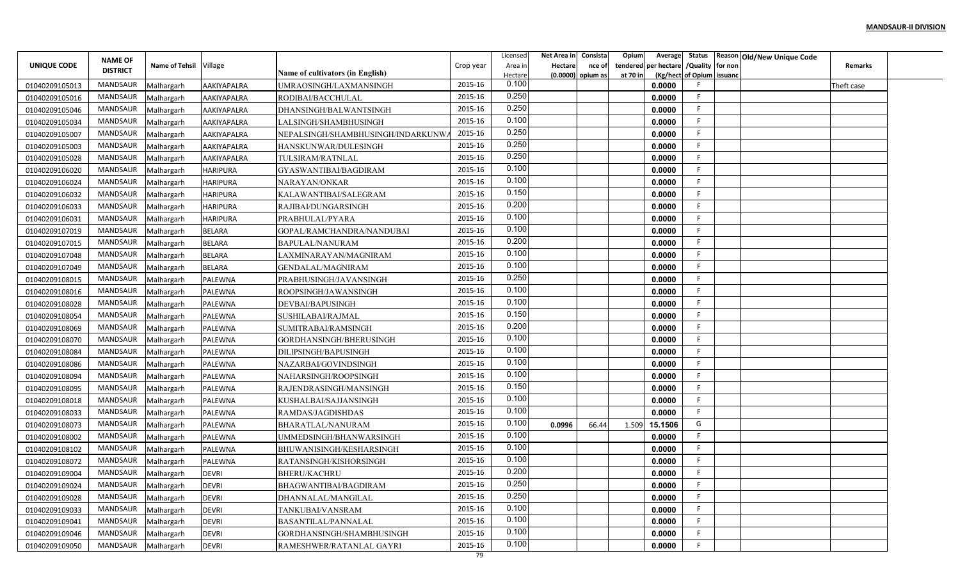| Status Reason Old/New Unique Code<br><b>NAME OF</b><br>/Quality for non<br>UNIQUE CODE<br><b>Name of Tehsil</b><br>Village<br>Hectare<br>tendered per hectare<br>Crop year<br>nce of<br>Remarks<br>Area in<br><b>DISTRICT</b><br>Name of cultivators (in English)<br>(Kg/hect of Opium issuanc<br>at 70 in<br>$(0.0000)$ opium as<br>Hectare<br>0.100<br>2015-16<br>MANDSAUR<br>0.0000<br>01040209105013<br>Malhargarh<br>AAKIYAPALRA<br>UMRAOSINGH/LAXMANSINGH<br>Theft case<br>0.250<br>E<br>MANDSAUR<br>2015-16<br>AAKIYAPALRA<br>RODIBAI/BACCHULAL<br>0.0000<br>01040209105016<br>Malhargarh<br>0.250<br>MANDSAUR<br>2015-16<br>0.0000<br>01040209105046<br>Malhargarh<br>AAKIYAPALRA<br>DHANSINGH/BALWANTSINGH<br>0.100<br>MANDSAUR<br>2015-16<br>LALSINGH/SHAMBHUSINGH<br>0.0000<br>01040209105034<br>Malhargarh<br>AAKIYAPALRA<br>0.250<br>MANDSAUR<br>2015-16<br>-F<br>0.0000<br>01040209105007<br>Malhargarh<br>AAKIYAPALRA<br>NEPALSINGH/SHAMBHUSINGH/INDARKUNW<br>0.250<br>2015-16<br>MANDSAUR<br>01040209105003<br>AAKIYAPALRA<br>HANSKUNWAR/DULESINGH<br>0.0000<br>Malhargarh<br>0.250<br>MANDSAUR<br>2015-16<br>01040209105028<br>AAKIYAPALRA<br>TULSIRAM/RATNLAL<br>0.0000<br>Malhargarh<br>0.100<br>MANDSAUR<br>2015-16<br>01040209106020<br><b>HARIPURA</b><br>GYASWANTIBAI/BAGDIRAM<br>0.0000<br>F<br>Malhargarh<br>0.100<br>MANDSAUR<br>2015-16<br><b>HARIPURA</b><br>0.0000<br>-F<br>01040209106024<br>Malhargarh<br>NARAYAN/ONKAR<br>0.150<br>MANDSAUR<br><b>HARIPURA</b><br>2015-16<br>0.0000<br>- F<br>01040209106032<br>Malhargarh<br>KALAWANTIBAI/SALEGRAM<br>0.200<br>MANDSAUR<br>2015-16<br><b>HARIPURA</b><br>0.0000<br>01040209106033<br>Malhargarh<br>RAJIBAI/DUNGARSINGH |
|---------------------------------------------------------------------------------------------------------------------------------------------------------------------------------------------------------------------------------------------------------------------------------------------------------------------------------------------------------------------------------------------------------------------------------------------------------------------------------------------------------------------------------------------------------------------------------------------------------------------------------------------------------------------------------------------------------------------------------------------------------------------------------------------------------------------------------------------------------------------------------------------------------------------------------------------------------------------------------------------------------------------------------------------------------------------------------------------------------------------------------------------------------------------------------------------------------------------------------------------------------------------------------------------------------------------------------------------------------------------------------------------------------------------------------------------------------------------------------------------------------------------------------------------------------------------------------------------------------------------------------------------------------------------------------------------------------|
|                                                                                                                                                                                                                                                                                                                                                                                                                                                                                                                                                                                                                                                                                                                                                                                                                                                                                                                                                                                                                                                                                                                                                                                                                                                                                                                                                                                                                                                                                                                                                                                                                                                                                                         |
|                                                                                                                                                                                                                                                                                                                                                                                                                                                                                                                                                                                                                                                                                                                                                                                                                                                                                                                                                                                                                                                                                                                                                                                                                                                                                                                                                                                                                                                                                                                                                                                                                                                                                                         |
|                                                                                                                                                                                                                                                                                                                                                                                                                                                                                                                                                                                                                                                                                                                                                                                                                                                                                                                                                                                                                                                                                                                                                                                                                                                                                                                                                                                                                                                                                                                                                                                                                                                                                                         |
|                                                                                                                                                                                                                                                                                                                                                                                                                                                                                                                                                                                                                                                                                                                                                                                                                                                                                                                                                                                                                                                                                                                                                                                                                                                                                                                                                                                                                                                                                                                                                                                                                                                                                                         |
|                                                                                                                                                                                                                                                                                                                                                                                                                                                                                                                                                                                                                                                                                                                                                                                                                                                                                                                                                                                                                                                                                                                                                                                                                                                                                                                                                                                                                                                                                                                                                                                                                                                                                                         |
|                                                                                                                                                                                                                                                                                                                                                                                                                                                                                                                                                                                                                                                                                                                                                                                                                                                                                                                                                                                                                                                                                                                                                                                                                                                                                                                                                                                                                                                                                                                                                                                                                                                                                                         |
|                                                                                                                                                                                                                                                                                                                                                                                                                                                                                                                                                                                                                                                                                                                                                                                                                                                                                                                                                                                                                                                                                                                                                                                                                                                                                                                                                                                                                                                                                                                                                                                                                                                                                                         |
|                                                                                                                                                                                                                                                                                                                                                                                                                                                                                                                                                                                                                                                                                                                                                                                                                                                                                                                                                                                                                                                                                                                                                                                                                                                                                                                                                                                                                                                                                                                                                                                                                                                                                                         |
|                                                                                                                                                                                                                                                                                                                                                                                                                                                                                                                                                                                                                                                                                                                                                                                                                                                                                                                                                                                                                                                                                                                                                                                                                                                                                                                                                                                                                                                                                                                                                                                                                                                                                                         |
|                                                                                                                                                                                                                                                                                                                                                                                                                                                                                                                                                                                                                                                                                                                                                                                                                                                                                                                                                                                                                                                                                                                                                                                                                                                                                                                                                                                                                                                                                                                                                                                                                                                                                                         |
|                                                                                                                                                                                                                                                                                                                                                                                                                                                                                                                                                                                                                                                                                                                                                                                                                                                                                                                                                                                                                                                                                                                                                                                                                                                                                                                                                                                                                                                                                                                                                                                                                                                                                                         |
|                                                                                                                                                                                                                                                                                                                                                                                                                                                                                                                                                                                                                                                                                                                                                                                                                                                                                                                                                                                                                                                                                                                                                                                                                                                                                                                                                                                                                                                                                                                                                                                                                                                                                                         |
| 0.100<br>MANDSAUR<br>2015-16<br><b>HARIPURA</b><br>PRABHULAL/PYARA<br>0.0000<br>Malhargarh                                                                                                                                                                                                                                                                                                                                                                                                                                                                                                                                                                                                                                                                                                                                                                                                                                                                                                                                                                                                                                                                                                                                                                                                                                                                                                                                                                                                                                                                                                                                                                                                              |
| 01040209106031<br>0.100<br>MANDSAUR<br>2015-16<br>0.0000<br><b>BELARA</b><br>01040209107019<br>Malhargarh<br>GOPAL/RAMCHANDRA/NANDUBAI                                                                                                                                                                                                                                                                                                                                                                                                                                                                                                                                                                                                                                                                                                                                                                                                                                                                                                                                                                                                                                                                                                                                                                                                                                                                                                                                                                                                                                                                                                                                                                  |
| 0.200<br>MANDSAUR<br>2015-16<br><b>BELARA</b><br>0.0000<br>01040209107015<br>Malhargarh<br>BAPULAL/NANURAM                                                                                                                                                                                                                                                                                                                                                                                                                                                                                                                                                                                                                                                                                                                                                                                                                                                                                                                                                                                                                                                                                                                                                                                                                                                                                                                                                                                                                                                                                                                                                                                              |
| 0.100<br>MANDSAUR<br>2015-16<br>01040209107048<br><b>BELARA</b><br>LAXMINARAYAN/MAGNIRAM<br>0.0000<br>Malhargarh                                                                                                                                                                                                                                                                                                                                                                                                                                                                                                                                                                                                                                                                                                                                                                                                                                                                                                                                                                                                                                                                                                                                                                                                                                                                                                                                                                                                                                                                                                                                                                                        |
| 0.100<br>MANDSAUR<br>2015-16<br>01040209107049<br><b>BELARA</b><br>GENDALAL/MAGNIRAM<br>0.0000<br>Malhargarh                                                                                                                                                                                                                                                                                                                                                                                                                                                                                                                                                                                                                                                                                                                                                                                                                                                                                                                                                                                                                                                                                                                                                                                                                                                                                                                                                                                                                                                                                                                                                                                            |
| 0.250<br>2015-16<br>MANDSAUR<br>0.0000<br>PALEWNA<br>PRABHUSINGH/JAVANSINGH<br>01040209108015<br>Malhargarh                                                                                                                                                                                                                                                                                                                                                                                                                                                                                                                                                                                                                                                                                                                                                                                                                                                                                                                                                                                                                                                                                                                                                                                                                                                                                                                                                                                                                                                                                                                                                                                             |
| 0.100<br>MANDSAUR<br>2015-16<br>- 0<br>ROOPSINGH/JAWANSINGH<br>0.0000<br>01040209108016<br>Malhargarh<br><b>PALEWNA</b>                                                                                                                                                                                                                                                                                                                                                                                                                                                                                                                                                                                                                                                                                                                                                                                                                                                                                                                                                                                                                                                                                                                                                                                                                                                                                                                                                                                                                                                                                                                                                                                 |
| 0.100<br>MANDSAUR<br>2015-16<br>PALEWNA<br>DEVBAI/BAPUSINGH<br>0.0000<br>01040209108028<br>Malhargarh                                                                                                                                                                                                                                                                                                                                                                                                                                                                                                                                                                                                                                                                                                                                                                                                                                                                                                                                                                                                                                                                                                                                                                                                                                                                                                                                                                                                                                                                                                                                                                                                   |
| 0.150<br>2015-16<br>MANDSAUR<br>PALEWNA<br>SUSHILABAI/RAJMAL<br>0.0000<br>01040209108054<br>Malhargarh                                                                                                                                                                                                                                                                                                                                                                                                                                                                                                                                                                                                                                                                                                                                                                                                                                                                                                                                                                                                                                                                                                                                                                                                                                                                                                                                                                                                                                                                                                                                                                                                  |
| 0.200<br>2015-16<br>MANDSAUR<br>0.0000<br>PALEWNA<br>SUMITRABAI/RAMSINGH<br>01040209108069<br>Malhargarh                                                                                                                                                                                                                                                                                                                                                                                                                                                                                                                                                                                                                                                                                                                                                                                                                                                                                                                                                                                                                                                                                                                                                                                                                                                                                                                                                                                                                                                                                                                                                                                                |
| 0.100<br>MANDSAUR<br>2015-16<br>F<br>01040209108070<br>PALEWNA<br>0.0000<br>Malhargarh<br>GORDHANSINGH/BHERUSINGH                                                                                                                                                                                                                                                                                                                                                                                                                                                                                                                                                                                                                                                                                                                                                                                                                                                                                                                                                                                                                                                                                                                                                                                                                                                                                                                                                                                                                                                                                                                                                                                       |
| 0.100<br>MANDSAUR<br>2015-16<br>01040209108084<br>DILIPSINGH/BAPUSINGH<br>0.0000<br>Malhargarh<br>PALEWNA                                                                                                                                                                                                                                                                                                                                                                                                                                                                                                                                                                                                                                                                                                                                                                                                                                                                                                                                                                                                                                                                                                                                                                                                                                                                                                                                                                                                                                                                                                                                                                                               |
| 0.100<br>MANDSAUR<br>2015-16<br><b>PALEWNA</b><br>NAZARBAI/GOVINDSINGH<br>0.0000<br>01040209108086<br>Malhargarh                                                                                                                                                                                                                                                                                                                                                                                                                                                                                                                                                                                                                                                                                                                                                                                                                                                                                                                                                                                                                                                                                                                                                                                                                                                                                                                                                                                                                                                                                                                                                                                        |
| 0.100<br>2015-16<br>MANDSAUR<br>Malhargarh<br>PALEWNA<br>NAHARSINGH/ROOPSINGH<br>0.0000<br>01040209108094                                                                                                                                                                                                                                                                                                                                                                                                                                                                                                                                                                                                                                                                                                                                                                                                                                                                                                                                                                                                                                                                                                                                                                                                                                                                                                                                                                                                                                                                                                                                                                                               |
| 0.150<br>2015-16<br>MANDSAUR<br>-F<br>0.0000<br>01040209108095<br>Malhargarh<br><b>PALEWNA</b><br>RAJENDRASINGH/MANSINGH                                                                                                                                                                                                                                                                                                                                                                                                                                                                                                                                                                                                                                                                                                                                                                                                                                                                                                                                                                                                                                                                                                                                                                                                                                                                                                                                                                                                                                                                                                                                                                                |
| 0.100<br>2015-16<br>F<br>MANDSAUR<br>PALEWNA<br>0.0000<br>01040209108018<br>Malhargarh<br>KUSHALBAI/SAJJANSINGH                                                                                                                                                                                                                                                                                                                                                                                                                                                                                                                                                                                                                                                                                                                                                                                                                                                                                                                                                                                                                                                                                                                                                                                                                                                                                                                                                                                                                                                                                                                                                                                         |
| 0.100<br>MANDSAUR<br>2015-16<br>RAMDAS/JAGDISHDAS<br>0.0000<br>01040209108033<br>Malhargarh<br><b>PALEWNA</b>                                                                                                                                                                                                                                                                                                                                                                                                                                                                                                                                                                                                                                                                                                                                                                                                                                                                                                                                                                                                                                                                                                                                                                                                                                                                                                                                                                                                                                                                                                                                                                                           |
| 0.100<br>MANDSAUR<br>2015-16<br>G<br>PALEWNA<br>BHARATLAL/NANURAM<br>0.0996<br>66.44<br>1.509<br>15.1506<br>01040209108073<br>Malhargarh                                                                                                                                                                                                                                                                                                                                                                                                                                                                                                                                                                                                                                                                                                                                                                                                                                                                                                                                                                                                                                                                                                                                                                                                                                                                                                                                                                                                                                                                                                                                                                |
| 0.100<br>MANDSAUR<br>2015-16<br>0.0000<br>01040209108002<br>Malhargarh<br>PALEWNA<br>JMMEDSINGH/BHANWARSINGH                                                                                                                                                                                                                                                                                                                                                                                                                                                                                                                                                                                                                                                                                                                                                                                                                                                                                                                                                                                                                                                                                                                                                                                                                                                                                                                                                                                                                                                                                                                                                                                            |
| 0.100<br>MANDSAUR<br>2015-16<br>BHUWANISINGH/KESHARSINGH<br>0.0000<br>01040209108102<br>Malhargarh<br>PALEWNA                                                                                                                                                                                                                                                                                                                                                                                                                                                                                                                                                                                                                                                                                                                                                                                                                                                                                                                                                                                                                                                                                                                                                                                                                                                                                                                                                                                                                                                                                                                                                                                           |
| 0.100<br>MANDSAUR<br>2015-16<br>01040209108072<br>RATANSINGH/KISHORSINGH<br>0.0000<br>Malhargarh<br><b>PALEWNA</b>                                                                                                                                                                                                                                                                                                                                                                                                                                                                                                                                                                                                                                                                                                                                                                                                                                                                                                                                                                                                                                                                                                                                                                                                                                                                                                                                                                                                                                                                                                                                                                                      |
| 0.200<br>MANDSAUR<br>2015-16<br><b>DEVRI</b><br>0.0000<br>E.<br>01040209109004<br>Malhargarh<br>BHERU/KACHRU                                                                                                                                                                                                                                                                                                                                                                                                                                                                                                                                                                                                                                                                                                                                                                                                                                                                                                                                                                                                                                                                                                                                                                                                                                                                                                                                                                                                                                                                                                                                                                                            |
| 0.250<br>2015-16<br>MANDSAUR<br>-F<br>0.0000<br>01040209109024<br>Malhargarh<br><b>DEVRI</b><br>BHAGWANTIBAI/BAGDIRAM                                                                                                                                                                                                                                                                                                                                                                                                                                                                                                                                                                                                                                                                                                                                                                                                                                                                                                                                                                                                                                                                                                                                                                                                                                                                                                                                                                                                                                                                                                                                                                                   |
| 0.250<br>2015-16<br>MANDSAUR<br>- F<br>Malhargarh<br><b>DEVRI</b><br>0.0000<br>01040209109028<br>DHANNALAL/MANGILAL                                                                                                                                                                                                                                                                                                                                                                                                                                                                                                                                                                                                                                                                                                                                                                                                                                                                                                                                                                                                                                                                                                                                                                                                                                                                                                                                                                                                                                                                                                                                                                                     |
| 0.100<br>2015-16<br>MANDSAUR<br>-F<br>Malhargarh<br><b>DEVRI</b><br>TANKUBAI/VANSRAM<br>0.0000<br>01040209109033                                                                                                                                                                                                                                                                                                                                                                                                                                                                                                                                                                                                                                                                                                                                                                                                                                                                                                                                                                                                                                                                                                                                                                                                                                                                                                                                                                                                                                                                                                                                                                                        |
| 0.100<br>MANDSAUR<br>2015-16<br><b>DEVRI</b><br>-F<br>Malhargarh<br>0.0000<br>01040209109041<br>BASANTILAL/PANNALAL                                                                                                                                                                                                                                                                                                                                                                                                                                                                                                                                                                                                                                                                                                                                                                                                                                                                                                                                                                                                                                                                                                                                                                                                                                                                                                                                                                                                                                                                                                                                                                                     |
| 0.100<br>2015-16<br>MANDSAUR<br>Malhargarh<br><b>DEVRI</b><br>0.0000<br>01040209109046<br>GORDHANSINGH/SHAMBHUSINGH                                                                                                                                                                                                                                                                                                                                                                                                                                                                                                                                                                                                                                                                                                                                                                                                                                                                                                                                                                                                                                                                                                                                                                                                                                                                                                                                                                                                                                                                                                                                                                                     |
| 0.100<br>2015-16<br>MANDSAUR<br>01040209109050<br>Malhargarh<br><b>DEVRI</b><br>0.0000<br>RAMESHWER/RATANLAL GAYRI                                                                                                                                                                                                                                                                                                                                                                                                                                                                                                                                                                                                                                                                                                                                                                                                                                                                                                                                                                                                                                                                                                                                                                                                                                                                                                                                                                                                                                                                                                                                                                                      |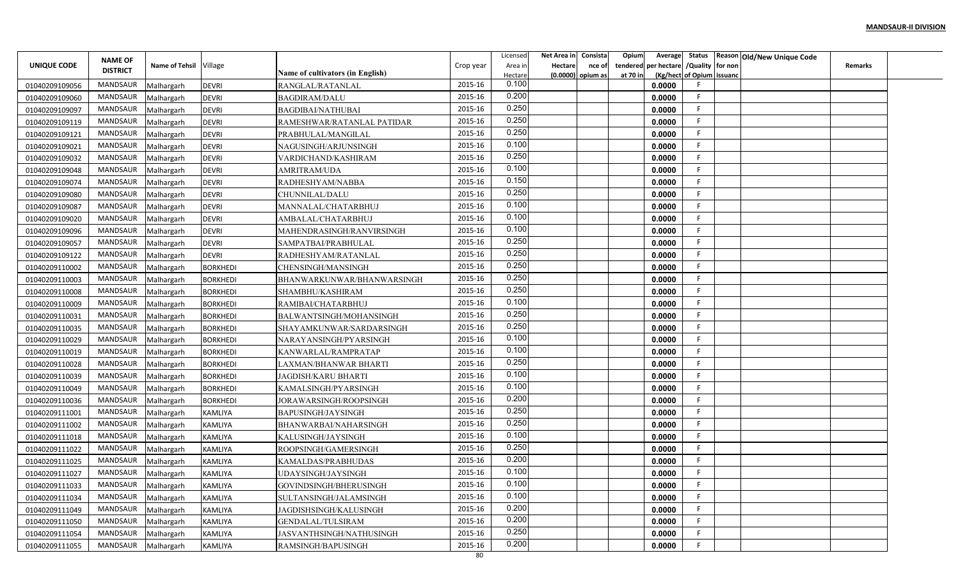|                |                 |                        |                 |                                  |           | Licensed | Net Area in Consista |                     | Opium    | Average                                | Status Reason Old/New Unique Code |                |  |
|----------------|-----------------|------------------------|-----------------|----------------------------------|-----------|----------|----------------------|---------------------|----------|----------------------------------------|-----------------------------------|----------------|--|
| UNIQUE CODE    | <b>NAME OF</b>  | Name of Tehsil Village |                 |                                  | Crop year | Area in  | <b>Hectare</b>       | nce of              |          | tendered per hectare / Quality for non |                                   | <b>Remarks</b> |  |
|                | <b>DISTRICT</b> |                        |                 | Name of cultivators (in English) |           | Hectare  |                      | $(0.0000)$ opium as | at 70 in | (Kg/hect of Opium issuanc              |                                   |                |  |
| 01040209109056 | MANDSAUR        | Malhargarh             | <b>DEVRI</b>    | RANGLAL/RATANLAL                 | 2015-16   | 0.100    |                      |                     |          | 0.0000                                 |                                   |                |  |
| 01040209109060 | MANDSAUR        | Malhargarh             | <b>DEVRI</b>    | <b>BAGDIRAM/DALU</b>             | 2015-16   | 0.200    |                      |                     |          | F.<br>0.0000                           |                                   |                |  |
| 01040209109097 | MANDSAUR        | Malhargarh             | <b>DEVRI</b>    | BAGDIBAI/NATHUBAI                | 2015-16   | 0.250    |                      |                     |          | F.<br>0.0000                           |                                   |                |  |
| 01040209109119 | MANDSAUR        | Malhargarh             | <b>DEVRI</b>    | RAMESHWAR/RATANLAL PATIDAR       | 2015-16   | 0.250    |                      |                     |          | F.<br>0.0000                           |                                   |                |  |
| 01040209109121 | MANDSAUR        | Malhargarh             | <b>DEVRI</b>    | PRABHULAL/MANGILAL               | 2015-16   | 0.250    |                      |                     |          | F.<br>0.0000                           |                                   |                |  |
| 01040209109021 | MANDSAUR        | Malhargarh             | <b>DEVRI</b>    | NAGUSINGH/ARJUNSINGH             | 2015-16   | 0.100    |                      |                     |          | F.<br>0.0000                           |                                   |                |  |
| 01040209109032 | MANDSAUR        | Malhargarh             | <b>DEVRI</b>    | VARDICHAND/KASHIRAM              | 2015-16   | 0.250    |                      |                     |          | F.<br>0.0000                           |                                   |                |  |
| 01040209109048 | MANDSAUR        | Malhargarh             | <b>DEVRI</b>    | AMRITRAM/UDA                     | 2015-16   | 0.100    |                      |                     |          | F.<br>0.0000                           |                                   |                |  |
| 01040209109074 | MANDSAUR        | Malhargarh             | <b>DEVRI</b>    | RADHESHYAM/NABBA                 | 2015-16   | 0.150    |                      |                     |          | F<br>0.0000                            |                                   |                |  |
| 01040209109080 | MANDSAUR        | Malhargarh             | <b>DEVRI</b>    | CHUNNILAL/DALU                   | 2015-16   | 0.250    |                      |                     |          | 0.0000<br>F.                           |                                   |                |  |
| 01040209109087 | MANDSAUR        | Malhargarh             | <b>DEVRI</b>    | MANNALAL/CHATARBHUJ              | 2015-16   | 0.100    |                      |                     |          | F.<br>0.0000                           |                                   |                |  |
| 01040209109020 | MANDSAUR        | Malhargarh             | <b>DEVRI</b>    | AMBALAL/CHATARBHUJ               | 2015-16   | 0.100    |                      |                     |          | F.<br>0.0000                           |                                   |                |  |
| 01040209109096 | MANDSAUR        | Malhargarh             | <b>DEVRI</b>    | MAHENDRASINGH/RANVIRSINGH        | 2015-16   | 0.100    |                      |                     |          | F.<br>0.0000                           |                                   |                |  |
| 01040209109057 | <b>MANDSAUR</b> | Malhargarh             | <b>DEVRI</b>    | SAMPATBAI/PRABHULAL              | 2015-16   | 0.250    |                      |                     |          | F.<br>0.0000                           |                                   |                |  |
| 01040209109122 | MANDSAUR        | Malhargarh             | <b>DEVRI</b>    | RADHESHYAM/RATANLAL              | 2015-16   | 0.250    |                      |                     |          | F.<br>0.0000                           |                                   |                |  |
| 01040209110002 | MANDSAUR        | Malhargarh             | <b>BORKHEDI</b> | CHENSINGH/MANSINGH               | 2015-16   | 0.250    |                      |                     |          | E<br>0.0000                            |                                   |                |  |
| 01040209110003 | MANDSAUR        | Malhargarh             | <b>BORKHEDI</b> | BHANWARKUNWAR/BHANWARSINGH       | 2015-16   | 0.250    |                      |                     |          | F<br>0.0000                            |                                   |                |  |
| 01040209110008 | MANDSAUR        | Malhargarh             | <b>BORKHEDI</b> | SHAMBHU/KASHIRAM                 | 2015-16   | 0.250    |                      |                     |          | E<br>0.0000                            |                                   |                |  |
| 01040209110009 | MANDSAUR        | Malhargarh             | <b>BORKHEDI</b> | RAMIBAI/CHATARBHUJ               | 2015-16   | 0.100    |                      |                     |          | E<br>0.0000                            |                                   |                |  |
| 01040209110031 | MANDSAUR        | Malhargarh             | <b>BORKHEDI</b> | BALWANTSINGH/MOHANSINGH          | 2015-16   | 0.250    |                      |                     |          | F.<br>0.0000                           |                                   |                |  |
| 01040209110035 | MANDSAUR        | Malhargarh             | <b>BORKHEDI</b> | SHAYAMKUNWAR/SARDARSINGH         | 2015-16   | 0.250    |                      |                     |          | E<br>0.0000                            |                                   |                |  |
| 01040209110029 | MANDSAUR        | Malhargarh             | BORKHEDI        | NARAYANSINGH/PYARSINGH           | 2015-16   | 0.100    |                      |                     |          | E<br>0.0000                            |                                   |                |  |
| 01040209110019 | MANDSAUR        | Malhargarh             | <b>BORKHEDI</b> | KANWARLAL/RAMPRATAP              | 2015-16   | 0.100    |                      |                     |          | F.<br>0.0000                           |                                   |                |  |
| 01040209110028 | MANDSAUR        | Malhargarh             | <b>BORKHEDI</b> | LAXMAN/BHANWAR BHARTI            | 2015-16   | 0.250    |                      |                     |          | F.<br>0.0000                           |                                   |                |  |
| 01040209110039 | MANDSAUR        | Malhargarh             | <b>BORKHEDI</b> | JAGDISH/KARU BHARTI              | 2015-16   | 0.100    |                      |                     |          | E<br>0.0000                            |                                   |                |  |
| 01040209110049 | MANDSAUR        | Malhargarh             | <b>BORKHEDI</b> | KAMALSINGH/PYARSINGH             | 2015-16   | 0.100    |                      |                     |          | F<br>0.0000                            |                                   |                |  |
| 01040209110036 | MANDSAUR        | Malhargarh             | <b>BORKHEDI</b> | JORAWARSINGH/ROOPSINGH           | 2015-16   | 0.200    |                      |                     |          | F.<br>0.0000                           |                                   |                |  |
| 01040209111001 | MANDSAUR        | Malhargarh             | KAMLIYA         | BAPUSINGH/JAYSINGH               | 2015-16   | 0.250    |                      |                     |          | E<br>0.0000                            |                                   |                |  |
| 01040209111002 | MANDSAUR        | Malhargarh             | <b>KAMLIYA</b>  | BHANWARBAI/NAHARSINGH            | 2015-16   | 0.250    |                      |                     |          | F.<br>0.0000                           |                                   |                |  |
| 01040209111018 | MANDSAUR        | Malhargarh             | KAMLIYA         | KALUSINGH/JAYSINGH               | 2015-16   | 0.100    |                      |                     |          | F.<br>0.0000                           |                                   |                |  |
| 01040209111022 | MANDSAUR        | Malhargarh             | KAMLIYA         | ROOPSINGH/GAMERSINGH             | 2015-16   | 0.250    |                      |                     |          | F.<br>0.0000                           |                                   |                |  |
| 01040209111025 | MANDSAUR        | Malhargarh             | KAMLIYA         | KAMALDAS/PRABHUDAS               | 2015-16   | 0.200    |                      |                     |          | F<br>0.0000                            |                                   |                |  |
| 01040209111027 | MANDSAUR        | Malhargarh             | KAMLIYA         | UDAYSINGH/JAYSINGH               | 2015-16   | 0.100    |                      |                     |          | F.<br>0.0000                           |                                   |                |  |
| 01040209111033 | MANDSAUR        | Malhargarh             | KAMLIYA         | GOVINDSINGH/BHERUSINGH           | 2015-16   | 0.100    |                      |                     |          | F<br>0.0000                            |                                   |                |  |
| 01040209111034 | MANDSAUR        | Malhargarh             | <b>KAMLIYA</b>  | SULTANSINGH/JALAMSINGH           | 2015-16   | 0.100    |                      |                     |          | F.<br>0.0000                           |                                   |                |  |
| 01040209111049 | MANDSAUR        | Malhargarh             | KAMLIYA         | JAGDISHSINGH/KALUSINGH           | 2015-16   | 0.200    |                      |                     |          | F<br>0.0000                            |                                   |                |  |
| 01040209111050 | MANDSAUR        | Malhargarh             | <b>KAMLIYA</b>  | <b>GENDALAL/TULSIRAM</b>         | 2015-16   | 0.200    |                      |                     |          | F<br>0.0000                            |                                   |                |  |
| 01040209111054 | MANDSAUR        | Malhargarh             | KAMLIYA         | JASVANTHSINGH/NATHUSINGH         | 2015-16   | 0.250    |                      |                     |          | F.<br>0.0000                           |                                   |                |  |
| 01040209111055 | MANDSAUR        | Malhargarh             | KAMLIYA         | RAMSINGH/BAPUSINGH               | 2015-16   | 0.200    |                      |                     |          | F.<br>0.0000                           |                                   |                |  |
|                |                 |                        |                 |                                  | 80        |          |                      |                     |          |                                        |                                   |                |  |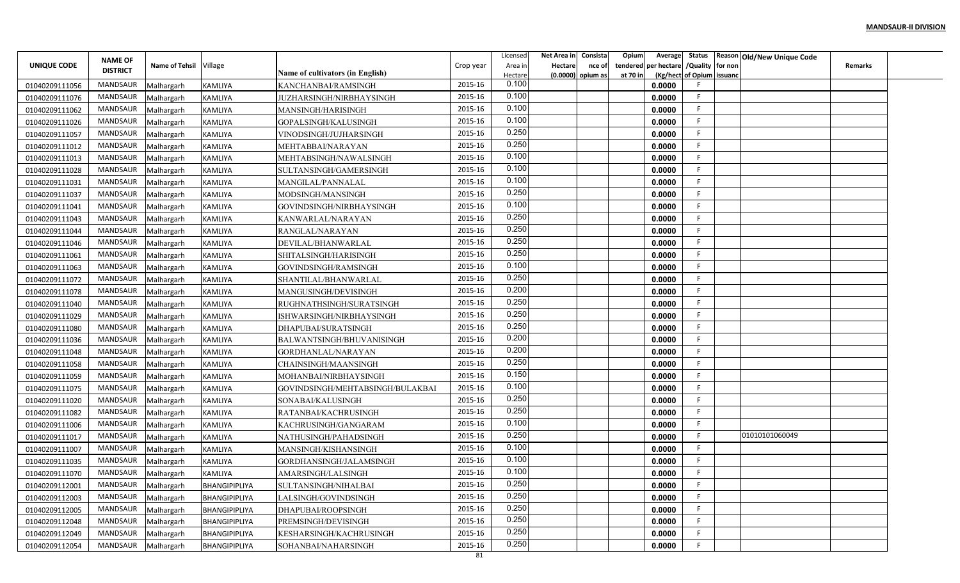|                |                 |                        |                      |                                         |           | Licensed | Net Area in    | Consista            | Opium    |                                        |                           | Average Status Reason Old/New Unique Code |                |  |
|----------------|-----------------|------------------------|----------------------|-----------------------------------------|-----------|----------|----------------|---------------------|----------|----------------------------------------|---------------------------|-------------------------------------------|----------------|--|
| UNIQUE CODE    | <b>NAME OF</b>  | Name of Tehsil Village |                      |                                         | Crop year | Area in  | <b>Hectare</b> | nce of              |          | tendered per hectare / Quality for non |                           |                                           | <b>Remarks</b> |  |
|                | <b>DISTRICT</b> |                        |                      | <b>Name of cultivators (in English)</b> |           | Hectare  |                | $(0.0000)$ opium as | at 70 in |                                        | (Kg/hect of Opium issuanc |                                           |                |  |
| 01040209111056 | MANDSAUR        | Malhargarh             | <b>KAMLIYA</b>       | KANCHANBAI/RAMSINGH                     | 2015-16   | 0.100    |                |                     |          | 0.0000                                 |                           |                                           |                |  |
| 01040209111076 | MANDSAUR        | Malhargarh             | <b>KAMLIYA</b>       | JUZHARSINGH/NIRBHAYSINGH                | 2015-16   | 0.100    |                |                     |          | 0.0000                                 | F.                        |                                           |                |  |
| 01040209111062 | MANDSAUR        | Malhargarh             | <b>KAMLIYA</b>       | MANSINGH/HARISINGH                      | 2015-16   | 0.100    |                |                     |          | 0.0000                                 | F.                        |                                           |                |  |
| 01040209111026 | <b>MANDSAUR</b> | Malhargarh             | <b>KAMLIYA</b>       | GOPALSINGH/KALUSINGH                    | 2015-16   | 0.100    |                |                     |          | 0.0000                                 | F.                        |                                           |                |  |
| 01040209111057 | MANDSAUR        | Malhargarh             | <b>KAMLIYA</b>       | VINODSINGH/JUJHARSINGH                  | 2015-16   | 0.250    |                |                     |          | 0.0000                                 | F.                        |                                           |                |  |
| 01040209111012 | MANDSAUR        | Malhargarh             | <b>KAMLIYA</b>       | MEHTABBAI/NARAYAN                       | 2015-16   | 0.250    |                |                     |          | 0.0000                                 | F.                        |                                           |                |  |
| 01040209111013 | MANDSAUR        | Malhargarh             | <b>KAMLIYA</b>       | MEHTABSINGH/NAWALSINGH                  | 2015-16   | 0.100    |                |                     |          | 0.0000                                 | F.                        |                                           |                |  |
| 01040209111028 | MANDSAUR        | Malhargarh             | <b>KAMLIYA</b>       | SULTANSINGH/GAMERSINGH                  | 2015-16   | 0.100    |                |                     |          | 0.0000                                 | F.                        |                                           |                |  |
| 01040209111031 | MANDSAUR        | Malhargarh             | <b>KAMLIYA</b>       | MANGILAL/PANNALAL                       | 2015-16   | 0.100    |                |                     |          | 0.0000                                 | E                         |                                           |                |  |
| 01040209111037 | MANDSAUR        | Malhargarh             | <b>KAMLIYA</b>       | MODSINGH/MANSINGH                       | 2015-16   | 0.250    |                |                     |          | 0.0000                                 | F                         |                                           |                |  |
| 01040209111041 | MANDSAUR        | Malhargarh             | <b>KAMLIYA</b>       | GOVINDSINGH/NIRBHAYSINGH                | 2015-16   | 0.100    |                |                     |          | 0.0000                                 | -F                        |                                           |                |  |
| 01040209111043 | <b>MANDSAUR</b> | Malhargarh             | <b>KAMLIYA</b>       | KANWARLAL/NARAYAN                       | 2015-16   | 0.250    |                |                     |          | 0.0000                                 | -F                        |                                           |                |  |
| 01040209111044 | MANDSAUR        | Malhargarh             | <b>KAMLIYA</b>       | RANGLAL/NARAYAN                         | 2015-16   | 0.250    |                |                     |          | 0.0000                                 | F.                        |                                           |                |  |
| 01040209111046 | MANDSAUR        | Malhargarh             | <b>KAMLIYA</b>       | DEVILAL/BHANWARLAL                      | 2015-16   | 0.250    |                |                     |          | 0.0000                                 | E                         |                                           |                |  |
| 01040209111061 | MANDSAUR        | Malhargarh             | KAMLIYA              | SHITALSINGH/HARISINGH                   | 2015-16   | 0.250    |                |                     |          | 0.0000                                 | F.                        |                                           |                |  |
| 01040209111063 | MANDSAUR        | Malhargarh             | <b>KAMLIYA</b>       | GOVINDSINGH/RAMSINGH                    | 2015-16   | 0.100    |                |                     |          | 0.0000                                 | F.                        |                                           |                |  |
| 01040209111072 | MANDSAUR        | Malhargarh             | <b>KAMLIYA</b>       | SHANTILAL/BHANWARLAI                    | 2015-16   | 0.250    |                |                     |          | 0.0000                                 | F                         |                                           |                |  |
| 01040209111078 | MANDSAUR        | Malhargarh             | <b>KAMLIYA</b>       | MANGUSINGH/DEVISINGH                    | 2015-16   | 0.200    |                |                     |          | 0.0000                                 | F                         |                                           |                |  |
| 01040209111040 | MANDSAUR        | Malhargarh             | <b>KAMLIYA</b>       | RUGHNATHSINGH/SURATSINGH                | 2015-16   | 0.250    |                |                     |          | 0.0000                                 | -F                        |                                           |                |  |
| 01040209111029 | MANDSAUR        | Malhargarh             | <b>KAMLIYA</b>       | ISHWARSINGH/NIRBHAYSINGH                | 2015-16   | 0.250    |                |                     |          | 0.0000                                 | F.                        |                                           |                |  |
| 01040209111080 | MANDSAUR        | Malhargarh             | <b>KAMLIYA</b>       | DHAPUBAI/SURATSINGH                     | 2015-16   | 0.250    |                |                     |          | 0.0000                                 | -F                        |                                           |                |  |
| 01040209111036 | MANDSAUR        | Malhargarh             | <b>KAMLIYA</b>       | BALWANTSINGH/BHUVANISINGH               | 2015-16   | 0.200    |                |                     |          | 0.0000                                 | F.                        |                                           |                |  |
| 01040209111048 | MANDSAUR        | Malhargarh             | <b>KAMLIYA</b>       | GORDHANLAL/NARAYAN                      | 2015-16   | 0.200    |                |                     |          | 0.0000                                 | F.                        |                                           |                |  |
| 01040209111058 | MANDSAUR        | Malhargarh             | <b>KAMLIYA</b>       | CHAINSINGH/MAANSINGH                    | 2015-16   | 0.250    |                |                     |          | 0.0000                                 | F                         |                                           |                |  |
| 01040209111059 | MANDSAUR        | Malhargarh             | <b>KAMLIYA</b>       | MOHANBAI/NIRBHAYSINGH                   | 2015-16   | 0.150    |                |                     |          | 0.0000                                 | F                         |                                           |                |  |
| 01040209111075 | MANDSAUR        | Malhargarh             | <b>KAMLIYA</b>       | GOVINDSINGH/MEHTABSINGH/BULAKBAI        | 2015-16   | 0.100    |                |                     |          | 0.0000                                 | F                         |                                           |                |  |
| 01040209111020 | MANDSAUR        | Malhargarh             | KAMLIYA              | SONABAI/KALUSINGH                       | 2015-16   | 0.250    |                |                     |          | 0.0000                                 | F.                        |                                           |                |  |
| 01040209111082 | MANDSAUR        | Malhargarh             | <b>KAMLIYA</b>       | RATANBAI/KACHRUSINGH                    | 2015-16   | 0.250    |                |                     |          | 0.0000                                 | F                         |                                           |                |  |
| 01040209111006 | MANDSAUR        | Malhargarh             | <b>KAMLIYA</b>       | KACHRUSINGH/GANGARAM                    | 2015-16   | 0.100    |                |                     |          | 0.0000                                 | F.                        |                                           |                |  |
| 01040209111017 | MANDSAUR        | Malhargarh             | <b>KAMLIYA</b>       | NATHUSINGH/PAHADSINGH                   | 2015-16   | 0.250    |                |                     |          | 0.0000                                 | F.                        | 01010101060049                            |                |  |
| 01040209111007 | MANDSAUR        | Malhargarh             | <b>KAMLIYA</b>       | MANSINGH/KISHANSINGH                    | 2015-16   | 0.100    |                |                     |          | 0.0000                                 | F.                        |                                           |                |  |
| 01040209111035 | MANDSAUR        | Malhargarh             | <b>KAMLIYA</b>       | GORDHANSINGH/JALAMSINGH                 | 2015-16   | 0.100    |                |                     |          | 0.0000                                 | F                         |                                           |                |  |
| 01040209111070 | MANDSAUR        | Malhargarh             | KAMLIYA              | AMARSINGH/LALSINGH                      | 2015-16   | 0.100    |                |                     |          | 0.0000                                 | F.                        |                                           |                |  |
| 01040209112001 | MANDSAUR        | Malhargarh             | BHANGIPIPLIYA        | SULTANSINGH/NIHALBAI                    | 2015-16   | 0.250    |                |                     |          | 0.0000                                 | F                         |                                           |                |  |
| 01040209112003 | MANDSAUR        | Malhargarh             | BHANGIPIPLIYA        | LALSINGH/GOVINDSINGH                    | 2015-16   | 0.250    |                |                     |          | 0.0000                                 | F                         |                                           |                |  |
| 01040209112005 | MANDSAUR        | Malhargarh             | BHANGIPIPLIYA        | DHAPUBAI/ROOPSINGH                      | 2015-16   | 0.250    |                |                     |          | 0.0000                                 | F.                        |                                           |                |  |
| 01040209112048 | MANDSAUR        | Malhargarh             | BHANGIPIPLIYA        | PREMSINGH/DEVISINGH                     | 2015-16   | 0.250    |                |                     |          | 0.0000                                 | F                         |                                           |                |  |
| 01040209112049 | MANDSAUR        | Malhargarh             | BHANGIPIPLIYA        | KESHARSINGH/KACHRUSINGH                 | 2015-16   | 0.250    |                |                     |          | 0.0000                                 | F.                        |                                           |                |  |
| 01040209112054 | <b>MANDSAUR</b> | Malhargarh             | <b>BHANGIPIPLIYA</b> | SOHANBAI/NAHARSINGH                     | 2015-16   | 0.250    |                |                     |          | 0.0000                                 | F                         |                                           |                |  |
|                |                 |                        |                      |                                         | 81        |          |                |                     |          |                                        |                           |                                           |                |  |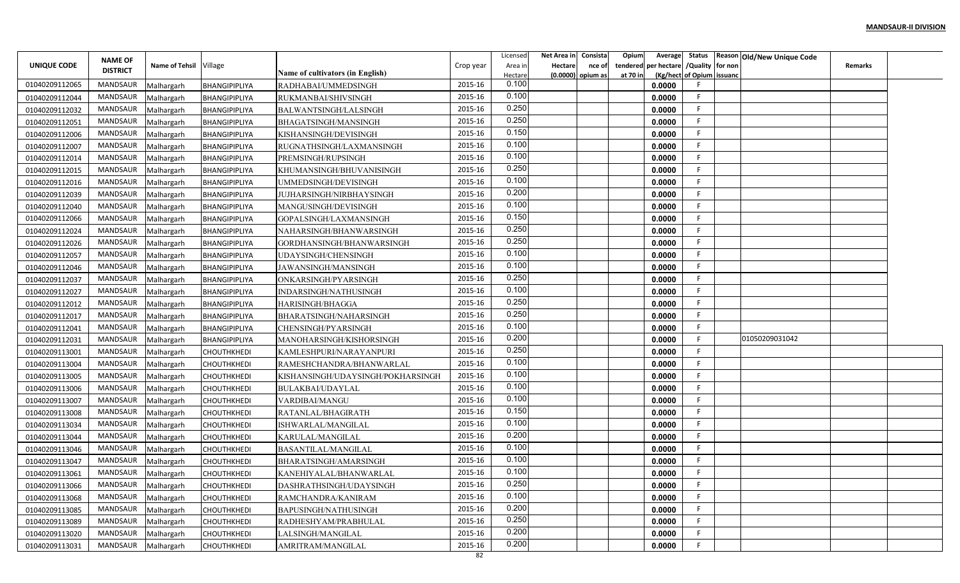|                | <b>NAME OF</b>      |                       |                      |                                   |           | Licensed           | Net Area in | Consista                    | Opium    | Average                                | Status                    | Reason Old/New Unique Code |                |  |
|----------------|---------------------|-----------------------|----------------------|-----------------------------------|-----------|--------------------|-------------|-----------------------------|----------|----------------------------------------|---------------------------|----------------------------|----------------|--|
| UNIQUE CODE    | <b>DISTRICT</b>     | <b>Name of Tehsil</b> | Village              | Name of cultivators (in English)  | Crop year | Area in<br>Hectare | Hectare     | nce of<br>(0.0000) opium as | at 70 in | tendered per hectare / Quality for non | (Kg/hect of Opium issuand |                            | <b>Remarks</b> |  |
| 01040209112065 | MANDSAUR            | Malhargarh            | BHANGIPIPLIYA        | RADHABAI/UMMEDSINGH               | 2015-16   | 0.100              |             |                             |          | 0.0000                                 |                           |                            |                |  |
| 01040209112044 | MANDSAUR            | Malhargarh            | BHANGIPIPLIYA        | RUKMANBAI/SHIVSINGH               | 2015-16   | 0.100              |             |                             |          | 0.0000                                 |                           |                            |                |  |
| 01040209112032 | MANDSAUR            | Malhargarh            | BHANGIPIPLIYA        | BALWANTSINGH/LALSINGH             | 2015-16   | 0.250              |             |                             |          | 0.0000                                 |                           |                            |                |  |
| 01040209112051 | MANDSAUR            | Malhargarh            | BHANGIPIPLIYA        | BHAGATSINGH/MANSINGH              | 2015-16   | 0.250              |             |                             |          | 0.0000                                 |                           |                            |                |  |
| 01040209112006 | MANDSAUR            | Malhargarh            | BHANGIPIPLIYA        | KISHANSINGH/DEVISINGH             | 2015-16   | 0.150              |             |                             |          | 0.0000                                 |                           |                            |                |  |
| 01040209112007 | MANDSAUR            | Malhargarh            | <b>BHANGIPIPLIYA</b> | RUGNATHSINGH/LAXMANSINGH          | 2015-16   | 0.100              |             |                             |          | 0.0000                                 |                           |                            |                |  |
| 01040209112014 | MANDSAUR            | Malhargarh            | BHANGIPIPLIYA        | PREMSINGH/RUPSINGH                | 2015-16   | 0.100              |             |                             |          | 0.0000                                 |                           |                            |                |  |
| 01040209112015 | MANDSAUR            | Malhargarh            | BHANGIPIPLIYA        | KHUMANSINGH/BHUVANISINGH          | 2015-16   | 0.250              |             |                             |          | 0.0000                                 |                           |                            |                |  |
| 01040209112016 | MANDSAUR            | Malhargarh            | BHANGIPIPLIYA        | UMMEDSINGH/DEVISINGH              | 2015-16   | 0.100              |             |                             |          | 0.0000                                 |                           |                            |                |  |
| 01040209112039 | MANDSAUR            | Malhargarh            | BHANGIPIPLIYA        | JUJHARSINGH/NIRBHAYSINGH          | 2015-16   | 0.200              |             |                             |          | 0.0000                                 |                           |                            |                |  |
| 01040209112040 | MANDSAUR            | Malhargarh            | BHANGIPIPLIYA        | MANGUSINGH/DEVISINGH              | 2015-16   | 0.100              |             |                             |          | 0.0000                                 |                           |                            |                |  |
| 01040209112066 | MANDSAUR            | Malhargarh            | BHANGIPIPLIYA        | GOPALSINGH/LAXMANSINGH            | 2015-16   | 0.150              |             |                             |          | 0.0000                                 |                           |                            |                |  |
| 01040209112024 | MANDSAUR            | Malhargarh            | BHANGIPIPLIYA        | NAHARSINGH/BHANWARSINGH           | 2015-16   | 0.250              |             |                             |          | 0.0000                                 |                           |                            |                |  |
| 01040209112026 | MANDSAUR            | Malhargarh            | BHANGIPIPLIYA        | GORDHANSINGH/BHANWARSINGH         | 2015-16   | 0.250              |             |                             |          | 0.0000                                 |                           |                            |                |  |
| 01040209112057 | MANDSAUR            | Malhargarh            | BHANGIPIPLIYA        | UDAYSINGH/CHENSINGH               | 2015-16   | 0.100              |             |                             |          | 0.0000                                 |                           |                            |                |  |
| 01040209112046 | MANDSAUR            | Malhargarh            | BHANGIPIPLIYA        | JAWANSINGH/MANSINGH               | 2015-16   | 0.100              |             |                             |          | 0.0000                                 |                           |                            |                |  |
| 01040209112037 | MANDSAUR            | Malhargarh            | <b>BHANGIPIPLIYA</b> | ONKARSINGH/PYARSINGH              | 2015-16   | 0.250              |             |                             |          | 0.0000                                 |                           |                            |                |  |
| 01040209112027 | MANDSAUR            | Malhargarh            | BHANGIPIPLIYA        | INDARSINGH/NATHUSINGH             | 2015-16   | 0.100              |             |                             |          | 0.0000                                 |                           |                            |                |  |
| 01040209112012 | MANDSAUR            | Malhargarh            | BHANGIPIPLIYA        | HARISINGH/BHAGGA                  | 2015-16   | 0.250              |             |                             |          | 0.0000                                 |                           |                            |                |  |
| 01040209112017 | <b>MANDSAUR</b>     | Malhargarh            | BHANGIPIPLIYA        | BHARATSINGH/NAHARSINGH            | 2015-16   | 0.250              |             |                             |          | 0.0000                                 |                           |                            |                |  |
| 01040209112041 | MANDSAUR            | Malhargarh            | BHANGIPIPLIYA        | CHENSINGH/PYARSINGH               | 2015-16   | 0.100              |             |                             |          | 0.0000                                 |                           |                            |                |  |
| 01040209112031 | MANDSAUR            | Malhargarh            | BHANGIPIPLIYA        | MANOHARSINGH/KISHORSINGH          | 2015-16   | 0.200              |             |                             |          | 0.0000                                 |                           | 01050209031042             |                |  |
| 01040209113001 | MANDSAUR            | Malhargarh            | CHOUTHKHEDI          | KAMLESHPURI/NARAYANPURI           | 2015-16   | 0.250              |             |                             |          | 0.0000                                 |                           |                            |                |  |
| 01040209113004 | MANDSAUR            | Malhargarh            | CHOUTHKHEDI          | RAMESHCHANDRA/BHANWARLAL          | 2015-16   | 0.100              |             |                             |          | 0.0000                                 |                           |                            |                |  |
| 01040209113005 | MANDSAUR            | Malhargarh            | <b>CHOUTHKHEDI</b>   | KISHANSINGH/UDAYSINGH/POKHARSINGH | 2015-16   | 0.100              |             |                             |          | 0.0000                                 |                           |                            |                |  |
| 01040209113006 | MANDSAUR            | Malhargarh            | <b>CHOUTHKHEDI</b>   | <b>BULAKBAI/UDAYLAL</b>           | 2015-16   | 0.100              |             |                             |          | 0.0000                                 |                           |                            |                |  |
| 01040209113007 | MANDSAUR            | Malhargarh            | <b>CHOUTHKHEDI</b>   | VARDIBAI/MANGU                    | 2015-16   | 0.100              |             |                             |          | 0.0000                                 |                           |                            |                |  |
| 01040209113008 | MANDSAUR            | Malhargarh            | CHOUTHKHEDI          | RATANLAL/BHAGIRATH                | 2015-16   | 0.150              |             |                             |          | 0.0000                                 |                           |                            |                |  |
| 01040209113034 | MANDSAUR            | Malhargarh            | CHOUTHKHEDI          | ISHWARLAL/MANGILAL                | 2015-16   | 0.100              |             |                             |          | 0.0000                                 |                           |                            |                |  |
| 01040209113044 | MANDSAUR            | Malhargarh            | <b>CHOUTHKHEDI</b>   | KARULAL/MANGILAL                  | 2015-16   | 0.200              |             |                             |          | 0.0000                                 |                           |                            |                |  |
| 01040209113046 | MANDSAUR            | Malhargarh            | <b>CHOUTHKHEDI</b>   | BASANTILAL/MANGILAL               | 2015-16   | 0.100              |             |                             |          | 0.0000                                 | F.                        |                            |                |  |
| 01040209113047 | MANDSAUR            | Malhargarh            | СНОИТНКНЕДІ          | BHARATSINGH/AMARSINGH             | 2015-16   | 0.100              |             |                             |          | 0.0000                                 |                           |                            |                |  |
| 01040209113061 | MANDSAUR            | Malhargarh            | <b>CHOUTHKHEDI</b>   | KANEHIYALAL/BHANWARLAL            | 2015-16   | 0.100              |             |                             |          | 0.0000                                 |                           |                            |                |  |
| 01040209113066 | MANDSAUR Malhargarh |                       | <b>CHOUTHKHEDI</b>   | DASHRATHSINGH/UDAYSINGH           | 2015-16   | 0.250              |             |                             |          | 0.0000                                 | F.                        |                            |                |  |
| 01040209113068 | MANDSAUR            | Malhargarh            | <b>CHOUTHKHEDI</b>   | RAMCHANDRA/KANIRAM                | 2015-16   | 0.100              |             |                             |          | 0.0000                                 | F.                        |                            |                |  |
| 01040209113085 | MANDSAUR            | Malhargarh            | CHOUTHKHEDI          | BAPUSINGH/NATHUSINGH              | 2015-16   | 0.200              |             |                             |          | 0.0000                                 | F.                        |                            |                |  |
| 01040209113089 | MANDSAUR            | Malhargarh            | <b>CHOUTHKHEDI</b>   | RADHESHYAM/PRABHULAL              | 2015-16   | 0.250              |             |                             |          | 0.0000                                 |                           |                            |                |  |
| 01040209113020 | MANDSAUR            | Malhargarh            | <b>CHOUTHKHEDI</b>   | LALSINGH/MANGILAL                 | 2015-16   | 0.200              |             |                             |          | 0.0000                                 |                           |                            |                |  |
| 01040209113031 | MANDSAUR            | Malhargarh            | <b>CHOUTHKHEDI</b>   | AMRITRAM/MANGILAL                 | 2015-16   | 0.200              |             |                             |          | 0.0000                                 |                           |                            |                |  |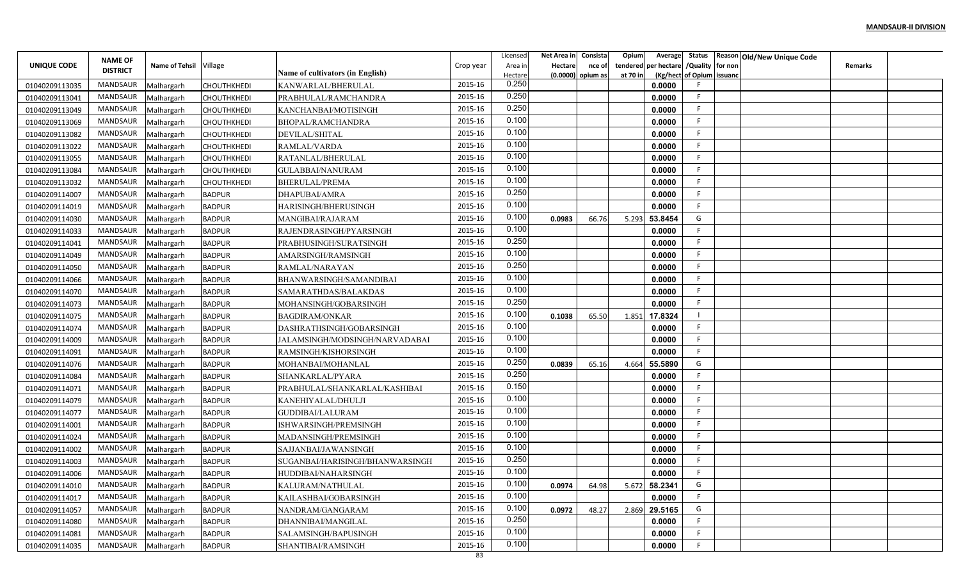|                    | <b>NAME OF</b>      |                       |                    |                                  |           | Licensed           | Net Area in | Consista                    | Opium                | Average                       |                           | Status Reason Old/New Unique Code |         |  |
|--------------------|---------------------|-----------------------|--------------------|----------------------------------|-----------|--------------------|-------------|-----------------------------|----------------------|-------------------------------|---------------------------|-----------------------------------|---------|--|
| <b>UNIQUE CODE</b> | <b>DISTRICT</b>     | <b>Name of Tehsil</b> | Village            | Name of cultivators (in English) | Crop year | Area in<br>Hectare | Hectare     | nce of<br>(0.0000) opium as | tendered<br>at 70 in | per hectare / Quality for non | (Kg/hect of Opium issuanc |                                   | Remarks |  |
| 01040209113035     | MANDSAUR            | Malhargarh            | CHOUTHKHEDI        | KANWARLAL/BHERULAI               | 2015-16   | 0.250              |             |                             |                      | 0.0000                        |                           |                                   |         |  |
| 01040209113041     | MANDSAUR            | Malhargarh            | CHOUTHKHEDI        | PRABHULAL/RAMCHANDRA             | 2015-16   | 0.250              |             |                             |                      | 0.0000                        |                           |                                   |         |  |
| 01040209113049     | MANDSAUR            | Malhargarh            | CHOUTHKHEDI        | KANCHANBAI/MOTISINGH             | 2015-16   | 0.250              |             |                             |                      | 0.0000                        |                           |                                   |         |  |
| 01040209113069     | MANDSAUR            | Malhargarh            | <b>CHOUTHKHEDI</b> | BHOPAL/RAMCHANDRA                | 2015-16   | 0.100              |             |                             |                      | 0.0000                        |                           |                                   |         |  |
| 01040209113082     | MANDSAUR            | Malhargarh            | <b>CHOUTHKHEDI</b> | DEVILAL/SHITAL                   | 2015-16   | 0.100              |             |                             |                      | 0.0000                        |                           |                                   |         |  |
| 01040209113022     | MANDSAUR            | Malhargarh            | СНОИТНКНЕДІ        | RAMLAL/VARDA                     | 2015-16   | 0.100              |             |                             |                      | 0.0000                        |                           |                                   |         |  |
| 01040209113055     | MANDSAUR            | Malhargarh            | CHOUTHKHEDI        | RATANLAL/BHERULAL                | 2015-16   | 0.100              |             |                             |                      | 0.0000                        |                           |                                   |         |  |
| 01040209113084     | MANDSAUR            | Malhargarh            | CHOUTHKHEDI        | <b>GULABBAI/NANURAM</b>          | 2015-16   | 0.100              |             |                             |                      | 0.0000                        |                           |                                   |         |  |
| 01040209113032     | MANDSAUR            | Malhargarh            | CHOUTHKHEDI        | <b>BHERULAL/PREMA</b>            | 2015-16   | 0.100              |             |                             |                      | 0.0000                        |                           |                                   |         |  |
| 01040209114007     | MANDSAUR            | Malhargarh            | <b>BADPUR</b>      | DHAPUBAI/AMRA                    | 2015-16   | 0.250              |             |                             |                      | 0.0000                        |                           |                                   |         |  |
| 01040209114019     | MANDSAUR            | Malhargarh            | <b>BADPUR</b>      | HARISINGH/BHERUSINGH             | 2015-16   | 0.100              |             |                             |                      | 0.0000                        |                           |                                   |         |  |
| 01040209114030     | MANDSAUR            | Malhargarh            | <b>BADPUR</b>      | MANGIBAI/RAJARAM                 | 2015-16   | 0.100              | 0.0983      | 66.76                       | 5.293                | 53.8454                       | G                         |                                   |         |  |
| 01040209114033     | MANDSAUR            | Malhargarh            | <b>BADPUR</b>      | RAJENDRASINGH/PYARSINGH          | 2015-16   | 0.100              |             |                             |                      | 0.0000                        |                           |                                   |         |  |
| 01040209114041     | MANDSAUR            | Malhargarh            | <b>BADPUR</b>      | PRABHUSINGH/SURATSINGH           | 2015-16   | 0.250              |             |                             |                      | 0.0000                        |                           |                                   |         |  |
| 01040209114049     | MANDSAUR            | Malhargarh            | <b>BADPUR</b>      | AMARSINGH/RAMSINGH               | 2015-16   | 0.100              |             |                             |                      | 0.0000                        |                           |                                   |         |  |
| 01040209114050     | MANDSAUR            | Malhargarh            | <b>BADPUR</b>      | RAMLAL/NARAYAN                   | 2015-16   | 0.250              |             |                             |                      | 0.0000                        |                           |                                   |         |  |
| 01040209114066     | MANDSAUR            | Malhargarh            | <b>BADPUR</b>      | BHANWARSINGH/SAMANDIBAI          | 2015-16   | 0.100              |             |                             |                      | 0.0000                        |                           |                                   |         |  |
| 01040209114070     | MANDSAUR            | Malhargarh            | <b>BADPUR</b>      | SAMARATHDAS/BALAKDAS             | 2015-16   | 0.100              |             |                             |                      | 0.0000                        |                           |                                   |         |  |
| 01040209114073     | MANDSAUR            | Malhargarh            | <b>BADPUR</b>      | MOHANSINGH/GOBARSINGH            | 2015-16   | 0.250              |             |                             |                      | 0.0000                        |                           |                                   |         |  |
| 01040209114075     | MANDSAUR            | Malhargarh            | <b>BADPUR</b>      | <b>BAGDIRAM/ONKAR</b>            | 2015-16   | 0.100              | 0.1038      | 65.50                       | 1.851                | 17.8324                       |                           |                                   |         |  |
| 01040209114074     | MANDSAUR            | Malhargarh            | <b>BADPUR</b>      | DASHRATHSINGH/GOBARSINGH         | 2015-16   | 0.100              |             |                             |                      | 0.0000                        |                           |                                   |         |  |
| 01040209114009     | MANDSAUR            | Malhargarh            | <b>BADPUR</b>      | JALAMSINGH/MODSINGH/NARVADABAI   | 2015-16   | 0.100              |             |                             |                      | 0.0000                        |                           |                                   |         |  |
| 01040209114091     | MANDSAUR            | Malhargarh            | <b>BADPUR</b>      | RAMSINGH/KISHORSINGH             | 2015-16   | 0.100              |             |                             |                      | 0.0000                        |                           |                                   |         |  |
| 01040209114076     | MANDSAUR            | Malhargarh            | <b>BADPUR</b>      | MOHANBAI/MOHANLAL                | 2015-16   | 0.250              | 0.0839      | 65.16                       | 4.664                | 55.5890                       | G                         |                                   |         |  |
| 01040209114084     | MANDSAUR            | Malhargarh            | <b>BADPUR</b>      | SHANKARLAL/PYARA                 | 2015-16   | 0.250              |             |                             |                      | 0.0000                        |                           |                                   |         |  |
| 01040209114071     | MANDSAUR            | Malhargarh            | <b>BADPUR</b>      | PRABHULAL/SHANKARLAL/KASHIBAI    | 2015-16   | 0.150              |             |                             |                      | 0.0000                        |                           |                                   |         |  |
| 01040209114079     | MANDSAUR            | Malhargarh            | <b>BADPUR</b>      | KANEHIYALAL/DHULJI               | 2015-16   | 0.100              |             |                             |                      | 0.0000                        |                           |                                   |         |  |
| 01040209114077     | MANDSAUR            | Malhargarh            | <b>BADPUR</b>      | GUDDIBAI/LALURAM                 | 2015-16   | 0.100              |             |                             |                      | 0.0000                        |                           |                                   |         |  |
| 01040209114001     | MANDSAUR            | Malhargarh            | <b>BADPUR</b>      | ISHWARSINGH/PREMSINGH            | 2015-16   | 0.100              |             |                             |                      | 0.0000                        |                           |                                   |         |  |
| 01040209114024     | MANDSAUR            | Malhargarh            | <b>BADPUR</b>      | MADANSINGH/PREMSINGH             | 2015-16   | 0.100              |             |                             |                      | 0.0000                        |                           |                                   |         |  |
| 01040209114002     | MANDSAUR            | Malhargarh            | <b>BADPUR</b>      | SAJJANBAI/JAWANSINGH             | 2015-16   | 0.100              |             |                             |                      | 0.0000                        |                           |                                   |         |  |
| 01040209114003     | MANDSAUR            | Malhargarh            | <b>BADPUR</b>      | SUGANBAI/HARISINGH/BHANWARSINGH  | 2015-16   | 0.250              |             |                             |                      | 0.0000                        |                           |                                   |         |  |
| 01040209114006     | MANDSAUR            | Malhargarh            | <b>BADPUR</b>      | HUDDIBAI/NAHARSINGH              | 2015-16   | 0.100              |             |                             |                      | 0.0000                        |                           |                                   |         |  |
| 01040209114010     | MANDSAUR Malhargarh |                       | <b>BADPUR</b>      | KALURAM/NATHULAL                 | 2015-16   | 0.100              | 0.0974      | 64.98                       |                      | 5.672 58.2341                 | G                         |                                   |         |  |
| 01040209114017     | MANDSAUR            | Malhargarh            | <b>BADPUR</b>      | KAILASHBAI/GOBARSINGH            | 2015-16   | 0.100              |             |                             |                      | 0.0000                        |                           |                                   |         |  |
| 01040209114057     | MANDSAUR            | Malhargarh            | <b>BADPUR</b>      | NANDRAM/GANGARAM                 | 2015-16   | 0.100              | 0.0972      | 48.27                       |                      | 2.869 29.5165                 | G                         |                                   |         |  |
| 01040209114080     | MANDSAUR            | Malhargarh            | <b>BADPUR</b>      | DHANNIBAI/MANGILAL               | 2015-16   | 0.250              |             |                             |                      | 0.0000                        | F.                        |                                   |         |  |
| 01040209114081     | MANDSAUR            | Malhargarh            | <b>BADPUR</b>      | SALAMSINGH/BAPUSINGH             | 2015-16   | 0.100              |             |                             |                      | 0.0000                        |                           |                                   |         |  |
| 01040209114035     | MANDSAUR Malhargarh |                       | <b>BADPUR</b>      | SHANTIBAI/RAMSINGH               | 2015-16   | 0.100              |             |                             |                      | 0.0000                        |                           |                                   |         |  |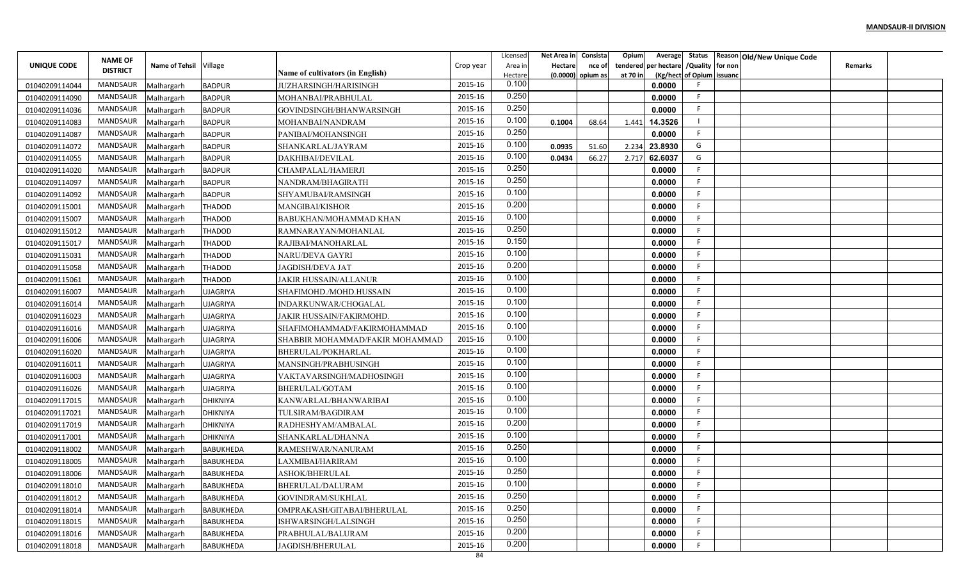|                | <b>NAME OF</b>  |                       |                  |                                  |           | Licensed         | Net Area in | Consista                    | Opium<br>Average                                      | Status                    | Reason Old/New Unique Code |  |
|----------------|-----------------|-----------------------|------------------|----------------------------------|-----------|------------------|-------------|-----------------------------|-------------------------------------------------------|---------------------------|----------------------------|--|
| UNIQUE CODE    | <b>DISTRICT</b> | <b>Name of Tehsil</b> | Village          | Name of cultivators (in English) | Crop year | Area in          | Hectare     | nce of<br>(0.0000) opium as | per hectare / Quality for non<br>tendered<br>at 70 in | (Kg/hect of Opium issuand | Remarks                    |  |
| 01040209114044 | MANDSAUR        | Malhargarh            | <b>BADPUR</b>    | <b>JUZHARSINGH/HARISINGH</b>     | 2015-16   | Hectare<br>0.100 |             |                             | 0.0000                                                |                           |                            |  |
| 01040209114090 | MANDSAUR        | Malhargarh            | <b>BADPUR</b>    | MOHANBAI/PRABHULAL               | 2015-16   | 0.250            |             |                             | 0.0000                                                |                           |                            |  |
| 01040209114036 | MANDSAUR        | Malhargarh            | <b>BADPUR</b>    | GOVINDSINGH/BHANWARSINGH         | 2015-16   | 0.250            |             |                             | 0.0000                                                |                           |                            |  |
| 01040209114083 | MANDSAUR        | Malhargarh            | <b>BADPUR</b>    | MOHANBAI/NANDRAM                 | 2015-16   | 0.100            | 0.1004      | 68.64                       | 14.3526<br>1.441                                      |                           |                            |  |
| 01040209114087 | <b>MANDSAUR</b> | Malhargarh            | <b>BADPUR</b>    | PANIBAI/MOHANSINGH               | 2015-16   | 0.250            |             |                             | 0.0000                                                |                           |                            |  |
| 01040209114072 | MANDSAUR        | Malhargarh            | <b>BADPUR</b>    | SHANKARLAL/JAYRAM                | 2015-16   | 0.100            | 0.0935      | 51.60                       | 23.8930<br>2.234                                      | G                         |                            |  |
| 01040209114055 | <b>MANDSAUR</b> | Malhargarh            | <b>BADPUR</b>    | DAKHIBAI/DEVILAL                 | 2015-16   | 0.100            | 0.0434      | 66.27                       | 62.6037<br>2.717                                      | G                         |                            |  |
| 01040209114020 | MANDSAUR        | Malhargarh            | <b>BADPUR</b>    | CHAMPALAL/HAMERJI                | 2015-16   | 0.250            |             |                             | 0.0000                                                |                           |                            |  |
| 01040209114097 | MANDSAUR        | Malhargarh            | <b>BADPUR</b>    | NANDRAM/BHAGIRATH                | 2015-16   | 0.250            |             |                             | 0.0000                                                |                           |                            |  |
| 01040209114092 | MANDSAUR        | Malhargarh            | <b>BADPUR</b>    | SHYAMUBAI/RAMSINGH               | 2015-16   | 0.100            |             |                             | 0.0000                                                |                           |                            |  |
| 01040209115001 | <b>MANDSAUR</b> | Malhargarh            | <b>THADOD</b>    | MANGIBAI/KISHOR                  | 2015-16   | 0.200            |             |                             | 0.0000                                                |                           |                            |  |
| 01040209115007 | MANDSAUR        | Malhargarh            | <b>THADOD</b>    | BABUKHAN/MOHAMMAD KHAN           | 2015-16   | 0.100            |             |                             | 0.0000                                                |                           |                            |  |
| 01040209115012 | MANDSAUR        | Malhargarh            | <b>THADOD</b>    | RAMNARAYAN/MOHANLAL              | 2015-16   | 0.250            |             |                             | 0.0000                                                |                           |                            |  |
| 01040209115017 | MANDSAUR        | Malhargarh            | <b>THADOD</b>    | RAJIBAI/MANOHARLAL               | 2015-16   | 0.150            |             |                             | 0.0000                                                |                           |                            |  |
| 01040209115031 | <b>MANDSAUR</b> | Malhargarh            | <b>THADOD</b>    | NARU/DEVA GAYRI                  | 2015-16   | 0.100            |             |                             | 0.0000                                                |                           |                            |  |
| 01040209115058 | MANDSAUR        | Malhargarh            | <b>THADOD</b>    | <b>JAGDISH/DEVA JAT</b>          | 2015-16   | 0.200            |             |                             | 0.0000                                                |                           |                            |  |
| 01040209115061 | MANDSAUR        | Malhargarh            | <b>THADOD</b>    | <b>JAKIR HUSSAIN/ALLANUR</b>     | 2015-16   | 0.100            |             |                             | 0.0000                                                |                           |                            |  |
| 01040209116007 | <b>MANDSAUR</b> | Malhargarh            | <b>UJAGRIYA</b>  | SHAFIMOHD./MOHD.HUSSAIN          | 2015-16   | 0.100            |             |                             | 0.0000                                                |                           |                            |  |
| 01040209116014 | <b>MANDSAUR</b> | Malhargarh            | <b>UJAGRIYA</b>  | INDARKUNWAR/CHOGALAL             | 2015-16   | 0.100            |             |                             | 0.0000                                                |                           |                            |  |
| 01040209116023 | <b>MANDSAUR</b> | Malhargarh            | <b>UJAGRIYA</b>  | JAKIR HUSSAIN/FAKIRMOHD.         | 2015-16   | 0.100            |             |                             | 0.0000                                                |                           |                            |  |
| 01040209116016 | MANDSAUR        | Malhargarh            | <b>UJAGRIYA</b>  | SHAFIMOHAMMAD/FAKIRMOHAMMAD      | 2015-16   | 0.100            |             |                             | 0.0000                                                |                           |                            |  |
| 01040209116006 | MANDSAUR        | Malhargarh            | <b>UJAGRIYA</b>  | SHABBIR MOHAMMAD/FAKIR MOHAMMAD  | 2015-16   | 0.100            |             |                             | 0.0000                                                |                           |                            |  |
| 01040209116020 | MANDSAUR        | Malhargarh            | <b>UJAGRIYA</b>  | <b>BHERULAL/POKHARLAI</b>        | 2015-16   | 0.100            |             |                             | 0.0000                                                |                           |                            |  |
| 01040209116011 | MANDSAUR        | Malhargarh            | <b>UJAGRIYA</b>  | MANSINGH/PRABHUSINGH             | 2015-16   | 0.100            |             |                             | 0.0000                                                |                           |                            |  |
| 01040209116003 | MANDSAUR        | Malhargarh            | <b>UJAGRIYA</b>  | VAKTAVARSINGH/MADHOSINGH         | 2015-16   | 0.100            |             |                             | 0.0000                                                |                           |                            |  |
| 01040209116026 | MANDSAUR        | Malhargarh            | <b>UJAGRIYA</b>  | BHERULAL/GOTAM                   | 2015-16   | 0.100            |             |                             | 0.0000                                                |                           |                            |  |
| 01040209117015 | MANDSAUR        | Malhargarh            | <b>DHIKNIYA</b>  | KANWARLAL/BHANWARIBAI            | 2015-16   | 0.100            |             |                             | 0.0000                                                |                           |                            |  |
| 01040209117021 | <b>MANDSAUR</b> | Malhargarh            | <b>DHIKNIYA</b>  | TULSIRAM/BAGDIRAM                | 2015-16   | 0.100            |             |                             | 0.0000                                                |                           |                            |  |
| 01040209117019 | MANDSAUR        | Malhargarh            | <b>DHIKNIYA</b>  | RADHESHYAM/AMBALAL               | 2015-16   | 0.200            |             |                             | 0.0000                                                |                           |                            |  |
| 01040209117001 | <b>MANDSAUR</b> | Malhargarh            | <b>DHIKNIYA</b>  | SHANKARLAL/DHANNA                | 2015-16   | 0.100            |             |                             | 0.0000                                                |                           |                            |  |
| 01040209118002 | MANDSAUR        | Malhargarh            | <b>BABUKHEDA</b> | RAMESHWAR/NANURAM                | 2015-16   | 0.250            |             |                             | 0.0000                                                |                           |                            |  |
| 01040209118005 | <b>MANDSAUR</b> | Malhargarh            | <b>BABUKHEDA</b> | LAXMIBAI/HARIRAM                 | 2015-16   | 0.100            |             |                             | 0.0000                                                |                           |                            |  |
| 01040209118006 | MANDSAUR        | Malhargarh            | <b>BABUKHEDA</b> | ASHOK/BHERULAL                   | 2015-16   | 0.250            |             |                             | 0.0000                                                |                           |                            |  |
| 01040209118010 | MANDSAUR        | Malhargarh            | BABUKHEDA        | BHERULAL/DALURAM                 | 2015-16   | 0.100            |             |                             | 0.0000                                                |                           |                            |  |
| 01040209118012 | MANDSAUR        | Malhargarh            | BABUKHEDA        | GOVINDRAM/SUKHLAL                | 2015-16   | 0.250            |             |                             | 0.0000                                                |                           |                            |  |
| 01040209118014 | MANDSAUR        | Malhargarh            | <b>BABUKHEDA</b> | OMPRAKASH/GITABAI/BHERULAL       | 2015-16   | 0.250            |             |                             | 0.0000                                                | F.                        |                            |  |
| 01040209118015 | MANDSAUR        | Malhargarh            | BABUKHEDA        | ISHWARSINGH/LALSINGH             | 2015-16   | 0.250            |             |                             | 0.0000                                                | F.                        |                            |  |
| 01040209118016 | MANDSAUR        | Malhargarh            | <b>BABUKHEDA</b> | PRABHULAL/BALURAM                | 2015-16   | 0.200            |             |                             | 0.0000                                                |                           |                            |  |
| 01040209118018 | MANDSAUR        | Malhargarh            | <b>BABUKHEDA</b> | JAGDISH/BHERULAL                 | 2015-16   | 0.200            |             |                             | 0.0000                                                |                           |                            |  |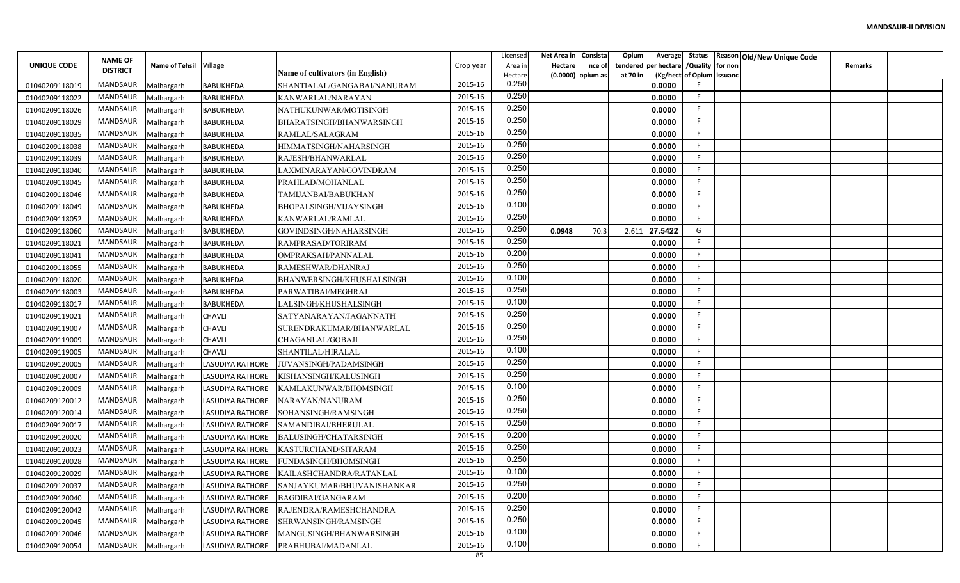|                | <b>NAME OF</b>  |                        |                         |                                         |           | Licensed           | Net Area in | Consista                    | Opium                | Average               | Status                    |         | Reason Old/New Unique Code |         |  |
|----------------|-----------------|------------------------|-------------------------|-----------------------------------------|-----------|--------------------|-------------|-----------------------------|----------------------|-----------------------|---------------------------|---------|----------------------------|---------|--|
| UNIQUE CODE    | <b>DISTRICT</b> | Name of Tehsil Village |                         | <b>Name of cultivators (in English)</b> | Crop year | Area ir<br>Hectare | Hectare     | nce of<br>(0.0000) opium as | tendered<br>at 70 in | per hectare / Quality | (Kg/hect of Opium issuanc | for non |                            | Remarks |  |
| 01040209118019 | <b>MANDSAUR</b> | Malhargarh             | <b>BABUKHEDA</b>        | SHANTIALAL/GANGABAI/NANURAM             | 2015-16   | 0.250              |             |                             |                      | 0.0000                |                           |         |                            |         |  |
| 01040209118022 | <b>MANDSAUR</b> | Malhargarh             | BABUKHEDA               | KANWARLAL/NARAYAN                       | 2015-16   | 0.250              |             |                             |                      | 0.0000                |                           |         |                            |         |  |
| 01040209118026 | <b>MANDSAUR</b> | Malhargarh             | BABUKHEDA               | NATHUKUNWAR/MOTISINGH                   | 2015-16   | 0.250              |             |                             |                      | 0.0000                |                           |         |                            |         |  |
| 01040209118029 | <b>MANDSAUR</b> | Malhargarh             | <b>BABUKHEDA</b>        | BHARATSINGH/BHANWARSINGH                | 2015-16   | 0.250              |             |                             |                      | 0.0000                |                           |         |                            |         |  |
| 01040209118035 | <b>MANDSAUR</b> | Malhargarh             | <b>BABUKHEDA</b>        | RAMLAL/SALAGRAM                         | 2015-16   | 0.250              |             |                             |                      | 0.0000                |                           |         |                            |         |  |
| 01040209118038 | MANDSAUR        | Malhargarh             | <b>BABUKHEDA</b>        | HIMMATSINGH/NAHARSINGH                  | 2015-16   | 0.250              |             |                             |                      | 0.0000                |                           |         |                            |         |  |
| 01040209118039 | MANDSAUR        | Malhargarh             | <b>BABUKHEDA</b>        | RAJESH/BHANWARLAL                       | 2015-16   | 0.250              |             |                             |                      | 0.0000                |                           |         |                            |         |  |
| 01040209118040 | <b>MANDSAUR</b> | Malhargarh             | <b>BABUKHEDA</b>        | LAXMINARAYAN/GOVINDRAM                  | 2015-16   | 0.250              |             |                             |                      | 0.0000                |                           |         |                            |         |  |
| 01040209118045 | MANDSAUR        | Malhargarh             | <b>BABUKHEDA</b>        | PRAHLAD/MOHANLAL                        | 2015-16   | 0.250              |             |                             |                      | 0.0000                |                           |         |                            |         |  |
| 01040209118046 | MANDSAUR        | Malhargarh             | <b>BABUKHEDA</b>        | TAMIJANBAI/BABUKHAN                     | 2015-16   | 0.250              |             |                             |                      | 0.0000                |                           |         |                            |         |  |
| 01040209118049 | MANDSAUR        | Malhargarh             | BABUKHEDA               | BHOPALSINGH/VIJAYSINGH                  | 2015-16   | 0.100              |             |                             |                      | 0.0000                |                           |         |                            |         |  |
| 01040209118052 | <b>MANDSAUR</b> | Malhargarh             | <b>BABUKHEDA</b>        | KANWARLAL/RAMLAL                        | 2015-16   | 0.250              |             |                             |                      | 0.0000                | F                         |         |                            |         |  |
| 01040209118060 | MANDSAUR        | Malhargarh             | <b>BABUKHEDA</b>        | GOVINDSINGH/NAHARSINGH                  | 2015-16   | 0.250              | 0.0948      | 70.3                        | 2.611                | 27.5422               | G                         |         |                            |         |  |
| 01040209118021 | <b>MANDSAUR</b> | Malhargarh             | <b>BABUKHEDA</b>        | RAMPRASAD/TORIRAM                       | 2015-16   | 0.250              |             |                             |                      | 0.0000                |                           |         |                            |         |  |
| 01040209118041 | <b>MANDSAUR</b> | Malhargarh             | <b>BABUKHEDA</b>        | OMPRAKSAH/PANNALAI                      | 2015-16   | 0.200              |             |                             |                      | 0.0000                |                           |         |                            |         |  |
| 01040209118055 | MANDSAUR        | Malhargarh             | <b>BABUKHEDA</b>        | RAMESHWAR/DHANRAJ                       | 2015-16   | 0.250              |             |                             |                      | 0.0000                |                           |         |                            |         |  |
| 01040209118020 | MANDSAUR        | Malhargarh             | BABUKHEDA               | BHANWERSINGH/KHUSHALSINGH               | 2015-16   | 0.100              |             |                             |                      | 0.0000                |                           |         |                            |         |  |
| 01040209118003 | MANDSAUR        | Malhargarh             | <b>BABUKHEDA</b>        | PARWATIBAI/MEGHRAJ                      | 2015-16   | 0.250              |             |                             |                      | 0.0000                |                           |         |                            |         |  |
| 01040209118017 | <b>MANDSAUR</b> | Malhargarh             | <b>BABUKHEDA</b>        | LALSINGH/KHUSHALSINGH                   | 2015-16   | 0.100              |             |                             |                      | 0.0000                |                           |         |                            |         |  |
| 01040209119021 | <b>MANDSAUR</b> | Malhargarh             | CHAVLI                  | SATYANARAYAN/JAGANNATH                  | 2015-16   | 0.250              |             |                             |                      | 0.0000                |                           |         |                            |         |  |
| 01040209119007 | MANDSAUR        | Malhargarh             | CHAVLI                  | SURENDRAKUMAR/BHANWARLAL                | 2015-16   | 0.250              |             |                             |                      | 0.0000                |                           |         |                            |         |  |
| 01040209119009 | <b>MANDSAUR</b> | Malhargarh             | <b>CHAVLI</b>           | CHAGANLAL/GOBAJI                        | 2015-16   | 0.250              |             |                             |                      | 0.0000                |                           |         |                            |         |  |
| 01040209119005 | MANDSAUR        | Malhargarh             | CHAVLI                  | SHANTILAL/HIRALAL                       | 2015-16   | 0.100              |             |                             |                      | 0.0000                |                           |         |                            |         |  |
| 01040209120005 | MANDSAUR        | Malhargarh             | <b>LASUDIYA RATHORE</b> | JUVANSINGH/PADAMSINGH                   | 2015-16   | 0.250              |             |                             |                      | 0.0000                |                           |         |                            |         |  |
| 01040209120007 | MANDSAUR        | Malhargarh             | LASUDIYA RATHORE        | KISHANSINGH/KALUSINGH                   | 2015-16   | 0.250              |             |                             |                      | 0.0000                | F.                        |         |                            |         |  |
| 01040209120009 | <b>MANDSAUR</b> | Malhargarh             | LASUDIYA RATHORE        | KAMLAKUNWAR/BHOMSINGH                   | 2015-16   | 0.100              |             |                             |                      | 0.0000                |                           |         |                            |         |  |
| 01040209120012 | <b>MANDSAUR</b> | Malhargarh             | LASUDIYA RATHORE        | NARAYAN/NANURAM                         | 2015-16   | 0.250              |             |                             |                      | 0.0000                |                           |         |                            |         |  |
| 01040209120014 | <b>MANDSAUR</b> | Malhargarh             | LASUDIYA RATHORE        | SOHANSINGH/RAMSINGH                     | 2015-16   | 0.250              |             |                             |                      | 0.0000                |                           |         |                            |         |  |
| 01040209120017 | <b>MANDSAUR</b> | Malhargarh             | LASUDIYA RATHORE        | SAMANDIBAI/BHERULAL                     | 2015-16   | 0.250              |             |                             |                      | 0.0000                | F                         |         |                            |         |  |
| 01040209120020 | <b>MANDSAUR</b> | Malhargarh             | LASUDIYA RATHORE        | <b>BALUSINGH/CHATARSINGH</b>            | 2015-16   | 0.200              |             |                             |                      | 0.0000                |                           |         |                            |         |  |
| 01040209120023 | MANDSAUR        | Malhargarh             | LASUDIYA RATHORE        | KASTURCHAND/SITARAM                     | 2015-16   | 0.250              |             |                             |                      | 0.0000                |                           |         |                            |         |  |
| 01040209120028 | <b>MANDSAUR</b> | Malhargarh             | <b>LASUDIYA RATHORE</b> | FUNDASINGH/BHOMSINGH                    | 2015-16   | 0.250              |             |                             |                      | 0.0000                |                           |         |                            |         |  |
| 01040209120029 | MANDSAUR        | Malhargarh             | LASUDIYA RATHORE        | KAILASHCHANDRA/RATANLAL                 | 2015-16   | 0.100              |             |                             |                      | 0.0000                |                           |         |                            |         |  |
| 01040209120037 | MANDSAUR        | Malhargarh             | LASUDIYA RATHORE        | SANJAYKUMAR/BHUVANISHANKAR              | 2015-16   | 0.250              |             |                             |                      | 0.0000                | F.                        |         |                            |         |  |
| 01040209120040 | MANDSAUR        | Malhargarh             | LASUDIYA RATHORE        | BAGDIBAI/GANGARAM                       | 2015-16   | 0.200              |             |                             |                      | 0.0000                |                           |         |                            |         |  |
| 01040209120042 | MANDSAUR        | Malhargarh             | LASUDIYA RATHORE        | RAJENDRA/RAMESHCHANDRA                  | 2015-16   | 0.250              |             |                             |                      | 0.0000                | F.                        |         |                            |         |  |
| 01040209120045 | MANDSAUR        | Malhargarh             | LASUDIYA RATHORE        | SHRWANSINGH/RAMSINGH                    | 2015-16   | 0.250              |             |                             |                      | 0.0000                | F.                        |         |                            |         |  |
| 01040209120046 | MANDSAUR        | Malhargarh             | LASUDIYA RATHORE        | MANGUSINGH/BHANWARSINGH                 | 2015-16   | 0.100              |             |                             |                      | 0.0000                | F.                        |         |                            |         |  |
| 01040209120054 | MANDSAUR        | Malhargarh             | LASUDIYA RATHORE        | PRABHUBAI/MADANLAL                      | 2015-16   | 0.100              |             |                             |                      | 0.0000                |                           |         |                            |         |  |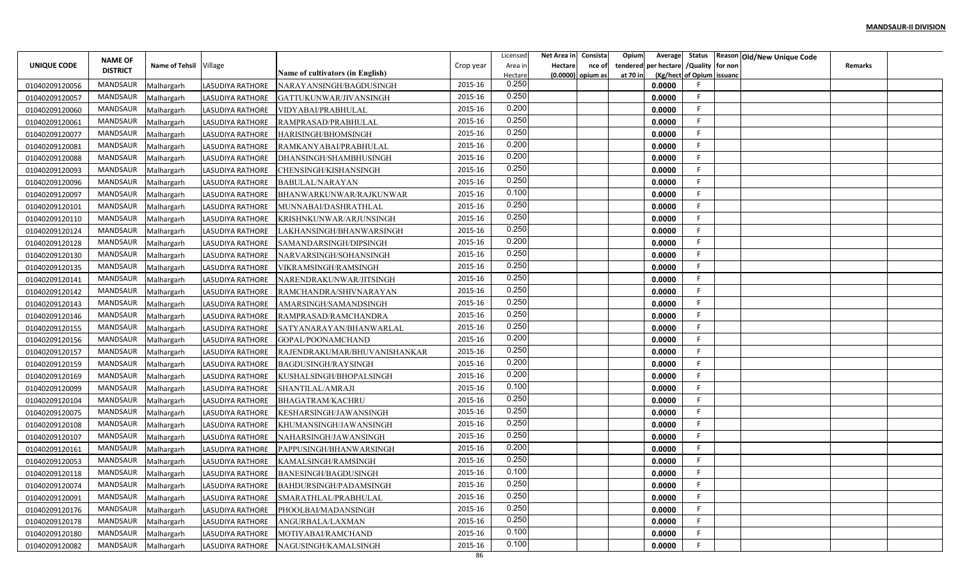|                | <b>NAME OF</b>  |                        |                         |                                         |           | Licensed           | Net Area in | Consista                    | Opium    | Average              | Status                                |         | Reason Old/New Unique Code |         |  |
|----------------|-----------------|------------------------|-------------------------|-----------------------------------------|-----------|--------------------|-------------|-----------------------------|----------|----------------------|---------------------------------------|---------|----------------------------|---------|--|
| UNIQUE CODE    | <b>DISTRICT</b> | Name of Tehsil Village |                         | <b>Name of cultivators (in English)</b> | Crop year | Area ir<br>Hectare | Hectare     | nce of<br>(0.0000) opium as | at 70 in | tendered per hectare | /Quality<br>(Kg/hect of Opium issuanc | for non |                            | Remarks |  |
| 01040209120056 | <b>MANDSAUR</b> | Malhargarh             | <b>LASUDIYA RATHORE</b> | NARAYANSINGH/BAGDUSINGH                 | 2015-16   | 0.250              |             |                             |          | 0.0000               |                                       |         |                            |         |  |
| 01040209120057 | MANDSAUR        | Malhargarh             | <b>LASUDIYA RATHORE</b> | GATTUKUNWAR/JIVANSINGH                  | 2015-16   | 0.250              |             |                             |          | 0.0000               |                                       |         |                            |         |  |
| 01040209120060 | MANDSAUR        | Malhargarh             | LASUDIYA RATHORE        | VIDYABAI/PRABHULAI                      | 2015-16   | 0.200              |             |                             |          | 0.0000               |                                       |         |                            |         |  |
| 01040209120061 | <b>MANDSAUR</b> | Malhargarh             | <b>LASUDIYA RATHORE</b> | RAMPRASAD/PRABHULAL                     | 2015-16   | 0.250              |             |                             |          | 0.0000               |                                       |         |                            |         |  |
| 01040209120077 | MANDSAUR        | Malhargarh             | LASUDIYA RATHORE        | HARISINGH/BHOMSINGH                     | 2015-16   | 0.250              |             |                             |          | 0.0000               |                                       |         |                            |         |  |
| 01040209120081 | MANDSAUR        | Malhargarh             | LASUDIYA RATHORE        | RAMKANYABAI/PRABHULAL                   | 2015-16   | 0.200              |             |                             |          | 0.0000               |                                       |         |                            |         |  |
| 01040209120088 | MANDSAUR        | Malhargarh             | LASUDIYA RATHORE        | DHANSINGH/SHAMBHUSINGH                  | 2015-16   | 0.200              |             |                             |          | 0.0000               |                                       |         |                            |         |  |
| 01040209120093 | MANDSAUR        | Malhargarh             | <b>LASUDIYA RATHORE</b> | CHENSINGH/KISHANSINGH                   | 2015-16   | 0.250              |             |                             |          | 0.0000               |                                       |         |                            |         |  |
| 01040209120096 | MANDSAUR        | Malhargarh             | <b>LASUDIYA RATHORE</b> | <b>BABULAL/NARAYAN</b>                  | 2015-16   | 0.250              |             |                             |          | 0.0000               |                                       |         |                            |         |  |
| 01040209120097 | <b>MANDSAUR</b> | Malhargarh             | LASUDIYA RATHORE        | BHANWARKUNWAR/RAJKUNWAR                 | 2015-16   | 0.100              |             |                             |          | 0.0000               |                                       |         |                            |         |  |
| 01040209120101 | MANDSAUR        | Malhargarh             | LASUDIYA RATHORE        | MUNNABAI/DASHRATHLAL                    | 2015-16   | 0.250              |             |                             |          | 0.0000               |                                       |         |                            |         |  |
| 01040209120110 | MANDSAUR        | Malhargarh             | <b>LASUDIYA RATHORE</b> | KRISHNKUNWAR/ARJUNSINGH                 | 2015-16   | 0.250              |             |                             |          | 0.0000               |                                       |         |                            |         |  |
| 01040209120124 | <b>MANDSAUR</b> | Malhargarh             | LASUDIYA RATHORE        | LAKHANSINGH/BHANWARSINGH                | 2015-16   | 0.250              |             |                             |          | 0.0000               | F.                                    |         |                            |         |  |
| 01040209120128 | <b>MANDSAUR</b> | Malhargarh             | LASUDIYA RATHORE        | SAMANDARSINGH/DIPSINGH                  | 2015-16   | 0.200              |             |                             |          | 0.0000               | F.                                    |         |                            |         |  |
| 01040209120130 | MANDSAUR        | Malhargarh             | LASUDIYA RATHORE        | NARVARSINGH/SOHANSINGH                  | 2015-16   | 0.250              |             |                             |          | 0.0000               |                                       |         |                            |         |  |
| 01040209120135 | <b>MANDSAUR</b> | Malhargarh             | LASUDIYA RATHORE        | VIKRAMSINGH/RAMSINGH                    | 2015-16   | 0.250              |             |                             |          | 0.0000               |                                       |         |                            |         |  |
| 01040209120141 | MANDSAUR        | Malhargarh             | <b>LASUDIYA RATHORE</b> | NARENDRAKUNWAR/JITSINGH                 | 2015-16   | 0.250              |             |                             |          | 0.0000               |                                       |         |                            |         |  |
| 01040209120142 | MANDSAUR        | Malhargarh             | LASUDIYA RATHORE        | RAMCHANDRA/SHIVNARAYAN                  | 2015-16   | 0.250              |             |                             |          | 0.0000               |                                       |         |                            |         |  |
| 01040209120143 | MANDSAUR        | Malhargarh             | LASUDIYA RATHORE        | AMARSINGH/SAMANDSINGH                   | 2015-16   | 0.250              |             |                             |          | 0.0000               |                                       |         |                            |         |  |
| 01040209120146 | <b>MANDSAUR</b> | Malhargarh             | <b>LASUDIYA RATHORE</b> | RAMPRASAD/RAMCHANDRA                    | 2015-16   | 0.250              |             |                             |          | 0.0000               |                                       |         |                            |         |  |
| 01040209120155 | <b>MANDSAUR</b> | Malhargarh             | LASUDIYA RATHORE        | SATYANARAYAN/BHANWARLAL                 | 2015-16   | 0.250              |             |                             |          | 0.0000               |                                       |         |                            |         |  |
| 01040209120156 | <b>MANDSAUR</b> | Malhargarh             | LASUDIYA RATHORE        | GOPAL/POONAMCHAND                       | 2015-16   | 0.200              |             |                             |          | 0.0000               |                                       |         |                            |         |  |
| 01040209120157 | MANDSAUR        | Malhargarh             | <b>LASUDIYA RATHORE</b> | RAJENDRAKUMAR/BHUVANISHANKAR            | 2015-16   | 0.250              |             |                             |          | 0.0000               |                                       |         |                            |         |  |
| 01040209120159 | MANDSAUR        | Malhargarh             | LASUDIYA RATHORE        | <b>BAGDUSINGH/RAYSINGH</b>              | 2015-16   | 0.200              |             |                             |          | 0.0000               |                                       |         |                            |         |  |
| 01040209120169 | MANDSAUR        | Malhargarh             | LASUDIYA RATHORE        | KUSHALSINGH/BHOPALSINGH                 | 2015-16   | 0.200              |             |                             |          | 0.0000               |                                       |         |                            |         |  |
| 01040209120099 | MANDSAUR        | Malhargarh             | LASUDIYA RATHORE        | SHANTILAL/AMRAJI                        | 2015-16   | 0.100              |             |                             |          | 0.0000               |                                       |         |                            |         |  |
| 01040209120104 | <b>MANDSAUR</b> | Malhargarh             | <b>LASUDIYA RATHORE</b> | <b>BHAGATRAM/KACHRU</b>                 | 2015-16   | 0.250              |             |                             |          | 0.0000               |                                       |         |                            |         |  |
| 01040209120075 | MANDSAUR        | Malhargarh             | LASUDIYA RATHORE        | KESHARSINGH/JAWANSINGH                  | 2015-16   | 0.250              |             |                             |          | 0.0000               |                                       |         |                            |         |  |
| 01040209120108 | <b>MANDSAUR</b> | Malhargarh             | <b>LASUDIYA RATHORE</b> | KHUMANSINGH/JAWANSINGH                  | 2015-16   | 0.250              |             |                             |          | 0.0000               |                                       |         |                            |         |  |
| 01040209120107 | MANDSAUR        | Malhargarh             | LASUDIYA RATHORE        | NAHARSINGH/JAWANSINGH                   | 2015-16   | 0.250              |             |                             |          | 0.0000               |                                       |         |                            |         |  |
| 01040209120161 | MANDSAUR        | Malhargarh             | <b>LASUDIYA RATHORE</b> | PAPPUSINGH/BHANWARSINGH                 | 2015-16   | 0.200              |             |                             |          | 0.0000               |                                       |         |                            |         |  |
| 01040209120053 | MANDSAUR        | Malhargarh             | LASUDIYA RATHORE        | KAMALSINGH/RAMSINGH                     | 2015-16   | 0.250              |             |                             |          | 0.0000               |                                       |         |                            |         |  |
| 01040209120118 | MANDSAUR        | Malhargarh             | LASUDIYA RATHORE        | <b>BANESINGH/BAGDUSINGH</b>             | 2015-16   | 0.100              |             |                             |          | 0.0000               |                                       |         |                            |         |  |
| 01040209120074 | MANDSAUR        | Malhargarh             |                         | LASUDIYA RATHORE BAHDURSINGH/PADAMSINGH | 2015-16   | 0.250              |             |                             |          | 0.0000               | F.                                    |         |                            |         |  |
| 01040209120091 | MANDSAUR        | Malhargarh             | LASUDIYA RATHORE        | SMARATHLAL/PRABHULAL                    | 2015-16   | 0.250              |             |                             |          | 0.0000               | E.                                    |         |                            |         |  |
| 01040209120176 | MANDSAUR        | Malhargarh             | LASUDIYA RATHORE        | PHOOLBAI/MADANSINGH                     | 2015-16   | 0.250              |             |                             |          | 0.0000               |                                       |         |                            |         |  |
| 01040209120178 | MANDSAUR        | Malhargarh             | LASUDIYA RATHORE        | ANGURBALA/LAXMAN                        | 2015-16   | 0.250              |             |                             |          | 0.0000               | F.                                    |         |                            |         |  |
| 01040209120180 | MANDSAUR        | Malhargarh             | LASUDIYA RATHORE        | MOTIYABAI/RAMCHAND                      | 2015-16   | 0.100              |             |                             |          | 0.0000               | F.                                    |         |                            |         |  |
| 01040209120082 | MANDSAUR        | Malhargarh             | LASUDIYA RATHORE        | NAGUSINGH/KAMALSINGH                    | 2015-16   | 0.100              |             |                             |          | 0.0000               |                                       |         |                            |         |  |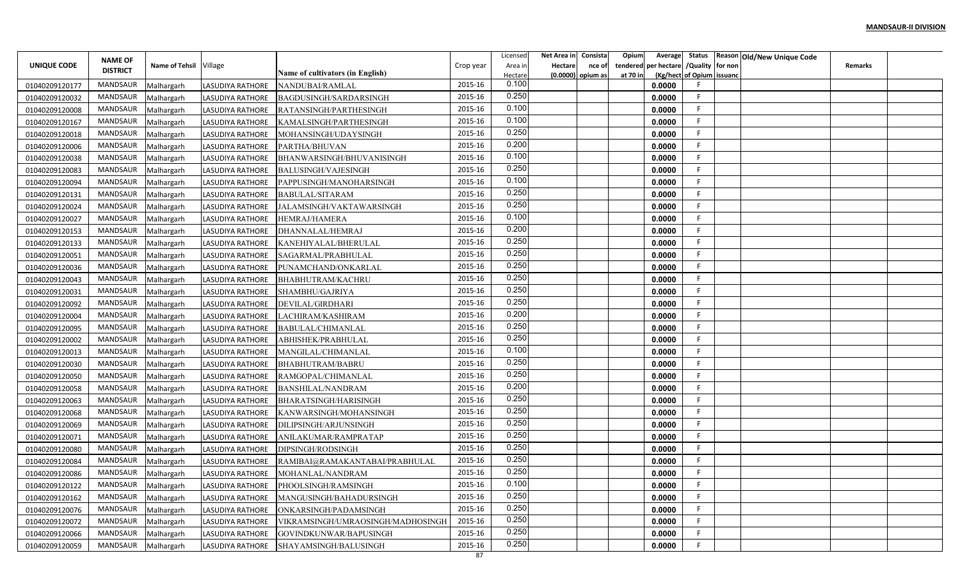|                    | <b>NAME OF</b>  |                        |                         |                                         |           | Licensed           | Net Area in | Consista                    | Opium                | Average               | Status                    |         | Reason Old/New Unique Code |         |  |
|--------------------|-----------------|------------------------|-------------------------|-----------------------------------------|-----------|--------------------|-------------|-----------------------------|----------------------|-----------------------|---------------------------|---------|----------------------------|---------|--|
| <b>UNIQUE CODE</b> | <b>DISTRICT</b> | Name of Tehsil Village |                         | <b>Name of cultivators (in English)</b> | Crop year | Area ir<br>Hectare | Hectare     | nce of<br>(0.0000) opium as | tendered<br>at 70 in | per hectare / Quality | (Kg/hect of Opium issuanc | for non |                            | Remarks |  |
| 01040209120177     | <b>MANDSAUR</b> | Malhargarh             | LASUDIYA RATHORE        | NANDUBAI/RAMLAL                         | 2015-16   | 0.100              |             |                             |                      | 0.0000                |                           |         |                            |         |  |
| 01040209120032     | <b>MANDSAUR</b> | Malhargarh             | LASUDIYA RATHORE        | <b>BAGDUSINGH/SARDARSINGH</b>           | 2015-16   | 0.250              |             |                             |                      | 0.0000                |                           |         |                            |         |  |
| 01040209120008     | <b>MANDSAUR</b> | Malhargarh             | LASUDIYA RATHORE        | RATANSINGH/PARTHESINGH                  | 2015-16   | 0.100              |             |                             |                      | 0.0000                |                           |         |                            |         |  |
| 01040209120167     | <b>MANDSAUR</b> | Malhargarh             | LASUDIYA RATHORE        | KAMALSINGH/PARTHESINGH                  | 2015-16   | 0.100              |             |                             |                      | 0.0000                |                           |         |                            |         |  |
| 01040209120018     | <b>MANDSAUR</b> | Malhargarh             | LASUDIYA RATHORE        | MOHANSINGH/UDAYSINGH                    | 2015-16   | 0.250              |             |                             |                      | 0.0000                |                           |         |                            |         |  |
| 01040209120006     | MANDSAUR        | Malhargarh             | LASUDIYA RATHORE        | PARTHA/BHUVAN                           | 2015-16   | 0.200              |             |                             |                      | 0.0000                |                           |         |                            |         |  |
| 01040209120038     | <b>MANDSAUR</b> | Malhargarh             | <b>LASUDIYA RATHORE</b> | BHANWARSINGH/BHUVANISINGH               | 2015-16   | 0.100              |             |                             |                      | 0.0000                |                           |         |                            |         |  |
| 01040209120083     | MANDSAUR        | Malhargarh             | LASUDIYA RATHORE        | <b>BALUSINGH/VAJESINGH</b>              | 2015-16   | 0.250              |             |                             |                      | 0.0000                |                           |         |                            |         |  |
| 01040209120094     | MANDSAUR        | Malhargarh             | LASUDIYA RATHORE        | PAPPUSINGH/MANOHARSINGH                 | 2015-16   | 0.100              |             |                             |                      | 0.0000                |                           |         |                            |         |  |
| 01040209120131     | MANDSAUR        | Malhargarh             | LASUDIYA RATHORE        | <b>BABULAL/SITARAM</b>                  | 2015-16   | 0.250              |             |                             |                      | 0.0000                |                           |         |                            |         |  |
| 01040209120024     | MANDSAUR        | Malhargarh             | LASUDIYA RATHORE        | JALAMSINGH/VAKTAWARSINGH                | 2015-16   | 0.250              |             |                             |                      | 0.0000                |                           |         |                            |         |  |
| 01040209120027     | <b>MANDSAUR</b> | Malhargarh             | <b>LASUDIYA RATHORE</b> | HEMRAJ/HAMERA                           | 2015-16   | 0.100              |             |                             |                      | 0.0000                | F.                        |         |                            |         |  |
| 01040209120153     | MANDSAUR        | Malhargarh             | LASUDIYA RATHORE        | DHANNALAL/HEMRAJ                        | 2015-16   | 0.200              |             |                             |                      | 0.0000                |                           |         |                            |         |  |
| 01040209120133     | <b>MANDSAUR</b> | Malhargarh             | <b>LASUDIYA RATHORE</b> | KANEHIYALAL/BHERULAL                    | 2015-16   | 0.250              |             |                             |                      | 0.0000                |                           |         |                            |         |  |
| 01040209120051     | <b>MANDSAUR</b> | Malhargarh             | LASUDIYA RATHORE        | SAGARMAL/PRABHULAI                      | 2015-16   | 0.250              |             |                             |                      | 0.0000                |                           |         |                            |         |  |
| 01040209120036     | MANDSAUR        | Malhargarh             | <b>LASUDIYA RATHORE</b> | PUNAMCHAND/ONKARLAL                     | 2015-16   | 0.250              |             |                             |                      | 0.0000                |                           |         |                            |         |  |
| 01040209120043     | MANDSAUR        | Malhargarh             | LASUDIYA RATHORE        | <b>BHABHUTRAM/KACHRU</b>                | 2015-16   | 0.250              |             |                             |                      | 0.0000                |                           |         |                            |         |  |
| 01040209120031     | MANDSAUR        | Malhargarh             | <b>LASUDIYA RATHORE</b> | SHAMBHU/GAJRIYA                         | 2015-16   | 0.250              |             |                             |                      | 0.0000                |                           |         |                            |         |  |
| 01040209120092     | <b>MANDSAUR</b> | Malhargarh             | LASUDIYA RATHORE        | <b>DEVILAL/GIRDHARI</b>                 | 2015-16   | 0.250              |             |                             |                      | 0.0000                |                           |         |                            |         |  |
| 01040209120004     | <b>MANDSAUR</b> | Malhargarh             | <b>LASUDIYA RATHORE</b> | LACHIRAM/KASHIRAM                       | 2015-16   | 0.200              |             |                             |                      | 0.0000                |                           |         |                            |         |  |
| 01040209120095     | MANDSAUR        | Malhargarh             | LASUDIYA RATHORE        | <b>BABULAL/CHIMANLAL</b>                | 2015-16   | 0.250              |             |                             |                      | 0.0000                |                           |         |                            |         |  |
| 01040209120002     | <b>MANDSAUR</b> | Malhargarh             | <b>LASUDIYA RATHORE</b> | ABHISHEK/PRABHULAI                      | 2015-16   | 0.250              |             |                             |                      | 0.0000                |                           |         |                            |         |  |
| 01040209120013     | MANDSAUR        | Malhargarh             | LASUDIYA RATHORE        | MANGILAL/CHIMANLAL                      | 2015-16   | 0.100              |             |                             |                      | 0.0000                |                           |         |                            |         |  |
| 01040209120030     | MANDSAUR        | Malhargarh             | LASUDIYA RATHORE        | <b>BHABHUTRAM/BABRU</b>                 | 2015-16   | 0.250              |             |                             |                      | 0.0000                |                           |         |                            |         |  |
| 01040209120050     | MANDSAUR        | Malhargarh             | LASUDIYA RATHORE        | RAMGOPAL/CHIMANLAL                      | 2015-16   | 0.250              |             |                             |                      | 0.0000                | F.                        |         |                            |         |  |
| 01040209120058     | <b>MANDSAUR</b> | Malhargarh             | LASUDIYA RATHORE        | <b>BANSHILAL/NANDRAM</b>                | 2015-16   | 0.200              |             |                             |                      | 0.0000                |                           |         |                            |         |  |
| 01040209120063     | <b>MANDSAUR</b> | Malhargarh             | LASUDIYA RATHORE        | <b>BHARATSINGH/HARISINGH</b>            | 2015-16   | 0.250              |             |                             |                      | 0.0000                |                           |         |                            |         |  |
| 01040209120068     | <b>MANDSAUR</b> | Malhargarh             | LASUDIYA RATHORE        | KANWARSINGH/MOHANSINGH                  | 2015-16   | 0.250              |             |                             |                      | 0.0000                |                           |         |                            |         |  |
| 01040209120069     | <b>MANDSAUR</b> | Malhargarh             | LASUDIYA RATHORE        | DILIPSINGH/ARJUNSINGH                   | 2015-16   | 0.250              |             |                             |                      | 0.0000                | F                         |         |                            |         |  |
| 01040209120071     | <b>MANDSAUR</b> | Malhargarh             | LASUDIYA RATHORE        | ANILAKUMAR/RAMPRATAP                    | 2015-16   | 0.250              |             |                             |                      | 0.0000                |                           |         |                            |         |  |
| 01040209120080     | MANDSAUR        | Malhargarh             | LASUDIYA RATHORE        | DIPSINGH/RODSINGH                       | 2015-16   | 0.250              |             |                             |                      | 0.0000                |                           |         |                            |         |  |
| 01040209120084     | <b>MANDSAUR</b> | Malhargarh             | LASUDIYA RATHORE        | RAMIBAI@RAMAKANTABAI/PRABHULAI          | 2015-16   | 0.250              |             |                             |                      | 0.0000                |                           |         |                            |         |  |
| 01040209120086     | MANDSAUR        | Malhargarh             | LASUDIYA RATHORE        | MOHANLAL/NANDRAM                        | 2015-16   | 0.250              |             |                             |                      | 0.0000                |                           |         |                            |         |  |
| 01040209120122     | MANDSAUR        | Malhargarh             | LASUDIYA RATHORE        | PHOOLSINGH/RAMSINGH                     | 2015-16   | 0.100              |             |                             |                      | 0.0000                |                           |         |                            |         |  |
| 01040209120162     | MANDSAUR        | Malhargarh             | LASUDIYA RATHORE        | MANGUSINGH/BAHADURSINGH                 | 2015-16   | 0.250              |             |                             |                      | 0.0000                |                           |         |                            |         |  |
| 01040209120076     | MANDSAUR        | Malhargarh             | LASUDIYA RATHORE        | ONKARSINGH/PADAMSINGH                   | 2015-16   | 0.250              |             |                             |                      | 0.0000                | F.                        |         |                            |         |  |
| 01040209120072     | MANDSAUR        | Malhargarh             | LASUDIYA RATHORE        | VIKRAMSINGH/UMRAOSINGH/MADHOSINGH       | 2015-16   | 0.250              |             |                             |                      | 0.0000                | F.                        |         |                            |         |  |
| 01040209120066     | MANDSAUR        | Malhargarh             | LASUDIYA RATHORE        | GOVINDKUNWAR/BAPUSINGH                  | 2015-16   | 0.250              |             |                             |                      | 0.0000                |                           |         |                            |         |  |
| 01040209120059     | MANDSAUR        | Malhargarh             | LASUDIYA RATHORE        | SHAYAMSINGH/BALUSINGH                   | 2015-16   | 0.250              |             |                             |                      | 0.0000                |                           |         |                            |         |  |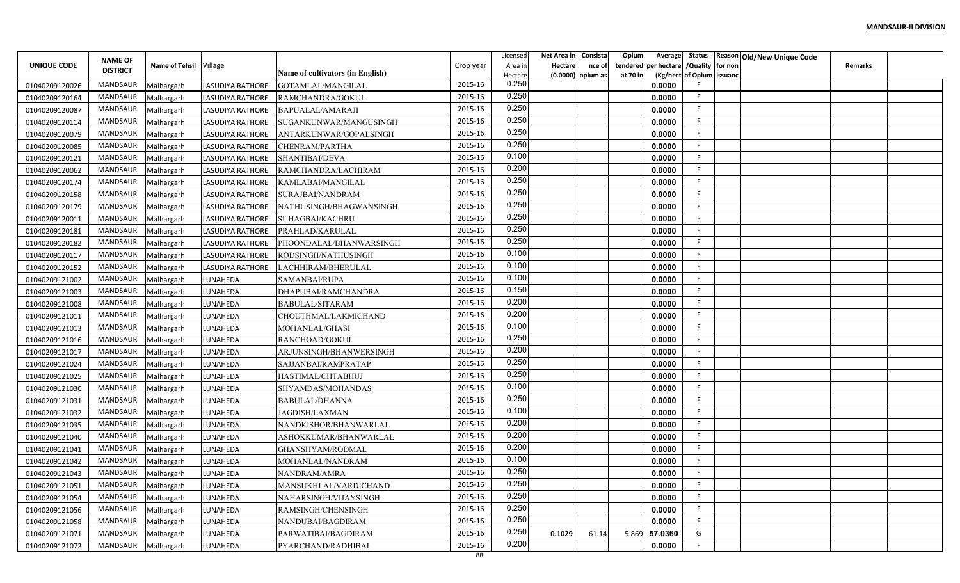|                    | <b>NAME OF</b>      |                        |                         |                                  |           | Licensed           | Net Area in | Consista                    | Opium                | Average               | Status                    |         | Reason Old/New Unique Code |         |  |
|--------------------|---------------------|------------------------|-------------------------|----------------------------------|-----------|--------------------|-------------|-----------------------------|----------------------|-----------------------|---------------------------|---------|----------------------------|---------|--|
| <b>UNIQUE CODE</b> | <b>DISTRICT</b>     | Name of Tehsil Village |                         | Name of cultivators (in English) | Crop year | Area ir<br>Hectare | Hectare     | nce of<br>(0.0000) opium as | tendered<br>at 70 in | per hectare / Quality | (Kg/hect of Opium issuanc | for non |                            | Remarks |  |
| 01040209120026     | <b>MANDSAUR</b>     | Malhargarh             | LASUDIYA RATHORE        | GOTAMLAL/MANGILAI                | 2015-16   | 0.250              |             |                             |                      | 0.0000                |                           |         |                            |         |  |
| 01040209120164     | <b>MANDSAUR</b>     | Malhargarh             | <b>LASUDIYA RATHORE</b> | RAMCHANDRA/GOKUL                 | 2015-16   | 0.250              |             |                             |                      | 0.0000                |                           |         |                            |         |  |
| 01040209120087     | <b>MANDSAUR</b>     | Malhargarh             | LASUDIYA RATHORE        | BAPUALAL/AMARAJI                 | 2015-16   | 0.250              |             |                             |                      | 0.0000                |                           |         |                            |         |  |
| 01040209120114     | <b>MANDSAUR</b>     | Malhargarh             | LASUDIYA RATHORE        | SUGANKUNWAR/MANGUSINGH           | 2015-16   | 0.250              |             |                             |                      | 0.0000                |                           |         |                            |         |  |
| 01040209120079     | <b>MANDSAUR</b>     | Malhargarh             | LASUDIYA RATHORE        | ANTARKUNWAR/GOPALSINGH           | 2015-16   | 0.250              |             |                             |                      | 0.0000                |                           |         |                            |         |  |
| 01040209120085     | MANDSAUR            | Malhargarh             | LASUDIYA RATHORE        | CHENRAM/PARTHA                   | 2015-16   | 0.250              |             |                             |                      | 0.0000                |                           |         |                            |         |  |
| 01040209120121     | MANDSAUR            | Malhargarh             | <b>LASUDIYA RATHORE</b> | <b>SHANTIBAI/DEVA</b>            | 2015-16   | 0.100              |             |                             |                      | 0.0000                |                           |         |                            |         |  |
| 01040209120062     | <b>MANDSAUR</b>     | Malhargarh             | <b>LASUDIYA RATHORE</b> | RAMCHANDRA/LACHIRAM              | 2015-16   | 0.200              |             |                             |                      | 0.0000                |                           |         |                            |         |  |
| 01040209120174     | MANDSAUR            | Malhargarh             | LASUDIYA RATHORE        | KAMLABAI/MANGILAL                | 2015-16   | 0.250              |             |                             |                      | 0.0000                |                           |         |                            |         |  |
| 01040209120158     | MANDSAUR            | Malhargarh             | LASUDIYA RATHORE        | SURAJBAI/NANDRAM                 | 2015-16   | 0.250              |             |                             |                      | 0.0000                |                           |         |                            |         |  |
| 01040209120179     | MANDSAUR            | Malhargarh             | LASUDIYA RATHORE        | NATHUSINGH/BHAGWANSINGH          | 2015-16   | 0.250              |             |                             |                      | 0.0000                |                           |         |                            |         |  |
| 01040209120011     | <b>MANDSAUR</b>     | Malhargarh             | <b>LASUDIYA RATHORE</b> | SUHAGBAI/KACHRU                  | 2015-16   | 0.250              |             |                             |                      | 0.0000                | F.                        |         |                            |         |  |
| 01040209120181     | MANDSAUR            | Malhargarh             | LASUDIYA RATHORE        | PRAHLAD/KARULAL                  | 2015-16   | 0.250              |             |                             |                      | 0.0000                |                           |         |                            |         |  |
| 01040209120182     | <b>MANDSAUR</b>     | Malhargarh             | <b>LASUDIYA RATHORE</b> | PHOONDALAL/BHANWARSINGH          | 2015-16   | 0.250              |             |                             |                      | 0.0000                |                           |         |                            |         |  |
| 01040209120117     | MANDSAUR            | Malhargarh             | <b>LASUDIYA RATHORE</b> | RODSINGH/NATHUSINGH              | 2015-16   | 0.100              |             |                             |                      | 0.0000                |                           |         |                            |         |  |
| 01040209120152     | MANDSAUR            | Malhargarh             | <b>LASUDIYA RATHORE</b> | LACHHIRAM/BHERULAL               | 2015-16   | 0.100              |             |                             |                      | 0.0000                |                           |         |                            |         |  |
| 01040209121002     | MANDSAUR            | Malhargarh             | LUNAHEDA                | SAMANBAI/RUPA                    | 2015-16   | 0.100              |             |                             |                      | 0.0000                |                           |         |                            |         |  |
| 01040209121003     | MANDSAUR            | Malhargarh             | LUNAHEDA                | DHAPUBAI/RAMCHANDRA              | 2015-16   | 0.150              |             |                             |                      | 0.0000                |                           |         |                            |         |  |
| 01040209121008     | MANDSAUR            | Malhargarh             | LUNAHEDA                | BABULAL/SITARAM                  | 2015-16   | 0.200              |             |                             |                      | 0.0000                |                           |         |                            |         |  |
| 01040209121011     | <b>MANDSAUR</b>     | Malhargarh             | LUNAHEDA                | CHOUTHMAL/LAKMICHAND             | 2015-16   | 0.200              |             |                             |                      | 0.0000                |                           |         |                            |         |  |
| 01040209121013     | MANDSAUR            | Malhargarh             | LUNAHEDA                | MOHANLAL/GHASI                   | 2015-16   | 0.100              |             |                             |                      | 0.0000                |                           |         |                            |         |  |
| 01040209121016     | <b>MANDSAUR</b>     | Malhargarh             | LUNAHEDA                | RANCHOAD/GOKUL                   | 2015-16   | 0.250              |             |                             |                      | 0.0000                |                           |         |                            |         |  |
| 01040209121017     | MANDSAUR            | Malhargarh             | LUNAHEDA                | ARJUNSINGH/BHANWERSINGH          | 2015-16   | 0.200              |             |                             |                      | 0.0000                |                           |         |                            |         |  |
| 01040209121024     | MANDSAUR            | Malhargarh             | LUNAHEDA                | SAJJANBAI/RAMPRATAP              | 2015-16   | 0.250              |             |                             |                      | 0.0000                |                           |         |                            |         |  |
| 01040209121025     | MANDSAUR            | Malhargarh             | LUNAHEDA                | HASTIMAL/CHTABHUJ                | 2015-16   | 0.250              |             |                             |                      | 0.0000                | F.                        |         |                            |         |  |
| 01040209121030     | <b>MANDSAUR</b>     | Malhargarh             | LUNAHEDA                | SHYAMDAS/MOHANDAS                | 2015-16   | 0.100              |             |                             |                      | 0.0000                |                           |         |                            |         |  |
| 01040209121031     | <b>MANDSAUR</b>     | Malhargarh             | LUNAHEDA                | BABULAL/DHANNA                   | 2015-16   | 0.250              |             |                             |                      | 0.0000                | E.                        |         |                            |         |  |
| 01040209121032     | <b>MANDSAUR</b>     | Malhargarh             | LUNAHEDA                | JAGDISH/LAXMAN                   | 2015-16   | 0.100              |             |                             |                      | 0.0000                |                           |         |                            |         |  |
| 01040209121035     | <b>MANDSAUR</b>     | Malhargarh             | LUNAHEDA                | NANDKISHOR/BHANWARLAL            | 2015-16   | 0.200              |             |                             |                      | 0.0000                | F                         |         |                            |         |  |
| 01040209121040     | <b>MANDSAUR</b>     | Malhargarh             | LUNAHEDA                | ASHOKKUMAR/BHANWARLAL            | 2015-16   | 0.200              |             |                             |                      | 0.0000                |                           |         |                            |         |  |
| 01040209121041     | MANDSAUR            | Malhargarh             | LUNAHEDA                | GHANSHYAM/RODMAI                 | 2015-16   | 0.200              |             |                             |                      | 0.0000                |                           |         |                            |         |  |
| 01040209121042     | <b>MANDSAUR</b>     | Malhargarh             | LUNAHEDA                | MOHANLAL/NANDRAM                 | 2015-16   | 0.100              |             |                             |                      | 0.0000                |                           |         |                            |         |  |
| 01040209121043     | MANDSAUR            | Malhargarh             | LUNAHEDA                | NANDRAM/AMRA                     | 2015-16   | 0.250              |             |                             |                      | 0.0000                |                           |         |                            |         |  |
| 01040209121051     | MANDSAUR Malhargarh |                        | LUNAHEDA                | MANSUKHLAL/VARDICHAND            | 2015-16   | 0.250              |             |                             |                      | 0.0000                | F.                        |         |                            |         |  |
| 01040209121054     | MANDSAUR            | Malhargarh             | LUNAHEDA                | NAHARSINGH/VIJAYSINGH            | 2015-16   | 0.250              |             |                             |                      | 0.0000                | E.                        |         |                            |         |  |
| 01040209121056     | MANDSAUR            | Malhargarh             | LUNAHEDA                | RAMSINGH/CHENSINGH               | 2015-16   | 0.250              |             |                             |                      | 0.0000                | F.                        |         |                            |         |  |
| 01040209121058     | MANDSAUR            | Malhargarh             | LUNAHEDA                | NANDUBAI/BAGDIRAM                | 2015-16   | 0.250              |             |                             |                      | 0.0000                | F.                        |         |                            |         |  |
| 01040209121071     | MANDSAUR            | Malhargarh             | LUNAHEDA                | PARWATIBAI/BAGDIRAM              | 2015-16   | 0.250              | 0.1029      | 61.14                       | 5.869                | 57.0360               | G                         |         |                            |         |  |
| 01040209121072     | MANDSAUR            | Malhargarh             | LUNAHEDA                | PYARCHAND/RADHIBAI               | 2015-16   | 0.200              |             |                             |                      | 0.0000                |                           |         |                            |         |  |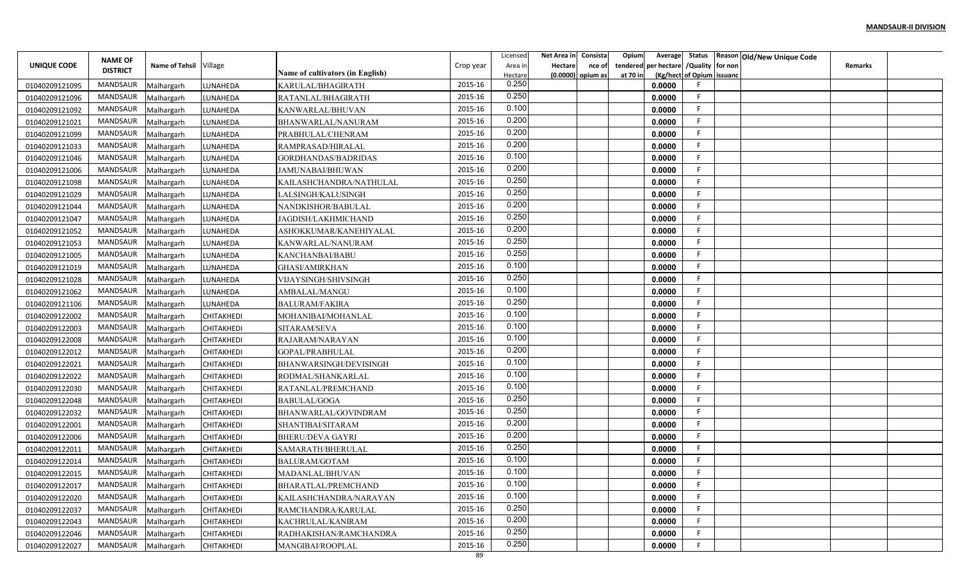|                    | <b>NAME OF</b>      |                        |                   |                                  |           | Licensed           | Net Area in | Consista                    | Opium                | Average               | Status                    |         | Reason Old/New Unique Code |         |  |
|--------------------|---------------------|------------------------|-------------------|----------------------------------|-----------|--------------------|-------------|-----------------------------|----------------------|-----------------------|---------------------------|---------|----------------------------|---------|--|
| <b>UNIQUE CODE</b> | <b>DISTRICT</b>     | Name of Tehsil Village |                   | Name of cultivators (in English) | Crop year | Area ir<br>Hectare | Hectare     | nce of<br>(0.0000) opium as | tendered<br>at 70 in | per hectare / Quality | (Kg/hect of Opium issuanc | for non |                            | Remarks |  |
| 01040209121095     | <b>MANDSAUR</b>     | Malhargarh             | LUNAHEDA          | KARULAL/BHAGIRATH                | 2015-16   | 0.250              |             |                             |                      | 0.0000                |                           |         |                            |         |  |
| 01040209121096     | <b>MANDSAUR</b>     | Malhargarh             | LUNAHEDA          | RATANLAL/BHAGIRATH               | 2015-16   | 0.250              |             |                             |                      | 0.0000                |                           |         |                            |         |  |
| 01040209121092     | <b>MANDSAUR</b>     | Malhargarh             | LUNAHEDA          | KANWARLAL/BHUVAN                 | 2015-16   | 0.100              |             |                             |                      | 0.0000                |                           |         |                            |         |  |
| 01040209121021     | <b>MANDSAUR</b>     | Malhargarh             | LUNAHEDA          | BHANWARLAL/NANURAM               | 2015-16   | 0.200              |             |                             |                      | 0.0000                |                           |         |                            |         |  |
| 01040209121099     | <b>MANDSAUR</b>     | Malhargarh             | LUNAHEDA          | PRABHULAL/CHENRAM                | 2015-16   | 0.200              |             |                             |                      | 0.0000                |                           |         |                            |         |  |
| 01040209121033     | MANDSAUR            | Malhargarh             | LUNAHEDA          | RAMPRASAD/HIRALAL                | 2015-16   | 0.200              |             |                             |                      | 0.0000                |                           |         |                            |         |  |
| 01040209121046     | <b>MANDSAUR</b>     | Malhargarh             | LUNAHEDA          | GORDHANDAS/BADRIDAS              | 2015-16   | 0.100              |             |                             |                      | 0.0000                |                           |         |                            |         |  |
| 01040209121006     | MANDSAUR            | Malhargarh             | LUNAHEDA          | JAMUNABAI/BHUWAN                 | 2015-16   | 0.200              |             |                             |                      | 0.0000                |                           |         |                            |         |  |
| 01040209121098     | MANDSAUR            | Malhargarh             | LUNAHEDA          | KAILASHCHANDRA/NATHULAL          | 2015-16   | 0.250              |             |                             |                      | 0.0000                |                           |         |                            |         |  |
| 01040209121029     | MANDSAUR            | Malhargarh             | LUNAHEDA          | LALSINGH/KALUSINGH               | 2015-16   | 0.250              |             |                             |                      | 0.0000                |                           |         |                            |         |  |
| 01040209121044     | MANDSAUR            | Malhargarh             | LUNAHEDA          | NANDKISHOR/BABULAL               | 2015-16   | 0.200              |             |                             |                      | 0.0000                |                           |         |                            |         |  |
| 01040209121047     | <b>MANDSAUR</b>     | Malhargarh             | LUNAHEDA          | JAGDISH/LAKHMICHAND              | 2015-16   | 0.250              |             |                             |                      | 0.0000                | F.                        |         |                            |         |  |
| 01040209121052     | MANDSAUR            | Malhargarh             | LUNAHEDA          | ASHOKKUMAR/KANEHIYALAL           | 2015-16   | 0.200              |             |                             |                      | 0.0000                | F.                        |         |                            |         |  |
| 01040209121053     | MANDSAUR            | Malhargarh             | LUNAHEDA          | KANWARLAL/NANURAM                | 2015-16   | 0.250              |             |                             |                      | 0.0000                |                           |         |                            |         |  |
| 01040209121005     | MANDSAUR            | Malhargarh             | LUNAHEDA          | KANCHANBAI/BABU                  | 2015-16   | 0.250              |             |                             |                      | 0.0000                |                           |         |                            |         |  |
| 01040209121019     | MANDSAUR            | Malhargarh             | LUNAHEDA          | <b>GHASI/AMIRKHAN</b>            | 2015-16   | 0.100              |             |                             |                      | 0.0000                |                           |         |                            |         |  |
| 01040209121028     | MANDSAUR            | Malhargarh             | LUNAHEDA          | VIJAYSINGH/SHIVSINGH             | 2015-16   | 0.250              |             |                             |                      | 0.0000                |                           |         |                            |         |  |
| 01040209121062     | MANDSAUR            | Malhargarh             | LUNAHEDA          | AMBALAL/MANGU                    | 2015-16   | 0.100              |             |                             |                      | 0.0000                |                           |         |                            |         |  |
| 01040209121106     | MANDSAUR            | Malhargarh             | LUNAHEDA          | <b>BALURAM/FAKIRA</b>            | 2015-16   | 0.250              |             |                             |                      | 0.0000                |                           |         |                            |         |  |
| 01040209122002     | <b>MANDSAUR</b>     | Malhargarh             | CHITAKHEDI        | MOHANIBAI/MOHANLAL               | 2015-16   | 0.100              |             |                             |                      | 0.0000                |                           |         |                            |         |  |
| 01040209122003     | MANDSAUR            | Malhargarh             | CHITAKHEDI        | SITARAM/SEVA                     | 2015-16   | 0.100              |             |                             |                      | 0.0000                |                           |         |                            |         |  |
| 01040209122008     | <b>MANDSAUR</b>     | Malhargarh             | CHITAKHEDI        | RAJARAM/NARAYAN                  | 2015-16   | 0.100              |             |                             |                      | 0.0000                |                           |         |                            |         |  |
| 01040209122012     | MANDSAUR            | Malhargarh             | CHITAKHEDI        | GOPAL/PRABHULAL                  | 2015-16   | 0.200              |             |                             |                      | 0.0000                |                           |         |                            |         |  |
| 01040209122021     | MANDSAUR            | Malhargarh             | <b>CHITAKHEDI</b> | <b>BHANWARSINGH/DEVISINGH</b>    | 2015-16   | 0.100              |             |                             |                      | 0.0000                |                           |         |                            |         |  |
| 01040209122022     | MANDSAUR            | Malhargarh             | CHITAKHEDI        | RODMAL/SHANKARLAL                | 2015-16   | 0.100              |             |                             |                      | 0.0000                | F.                        |         |                            |         |  |
| 01040209122030     | <b>MANDSAUR</b>     | Malhargarh             | <b>CHITAKHEDI</b> | RATANLAL/PREMCHAND               | 2015-16   | 0.100              |             |                             |                      | 0.0000                |                           |         |                            |         |  |
| 01040209122048     | <b>MANDSAUR</b>     | Malhargarh             | CHITAKHEDI        | <b>BABULAL/GOGA</b>              | 2015-16   | 0.250              |             |                             |                      | 0.0000                | E.                        |         |                            |         |  |
| 01040209122032     | <b>MANDSAUR</b>     | Malhargarh             | CHITAKHEDI        | BHANWARLAL/GOVINDRAM             | 2015-16   | 0.250              |             |                             |                      | 0.0000                |                           |         |                            |         |  |
| 01040209122001     | <b>MANDSAUR</b>     | Malhargarh             | CHITAKHEDI        | SHANTIBAI/SITARAM                | 2015-16   | 0.200              |             |                             |                      | 0.0000                | F                         |         |                            |         |  |
| 01040209122006     | <b>MANDSAUR</b>     | Malhargarh             | CHITAKHEDI        | <b>BHERU/DEVA GAYRI</b>          | 2015-16   | 0.200              |             |                             |                      | 0.0000                |                           |         |                            |         |  |
| 01040209122011     | MANDSAUR            | Malhargarh             | <b>CHITAKHEDI</b> | SAMARATH/BHERULAL                | 2015-16   | 0.250              |             |                             |                      | 0.0000                |                           |         |                            |         |  |
| 01040209122014     | <b>MANDSAUR</b>     | Malhargarh             | CHITAKHEDI        | <b>BALURAM/GOTAM</b>             | 2015-16   | 0.100              |             |                             |                      | 0.0000                |                           |         |                            |         |  |
| 01040209122015     | MANDSAUR            | Malhargarh             | CHITAKHEDI        | MADANLAL/BHUVAN                  | 2015-16   | 0.100              |             |                             |                      | 0.0000                |                           |         |                            |         |  |
| 01040209122017     | MANDSAUR Malhargarh |                        | <b>CHITAKHEDI</b> | <b>BHARATLAL/PREMCHAND</b>       | 2015-16   | 0.100              |             |                             |                      | 0.0000                | F.                        |         |                            |         |  |
| 01040209122020     | MANDSAUR            | Malhargarh             | CHITAKHEDI        | KAILASHCHANDRA/NARAYAN           | 2015-16   | 0.100              |             |                             |                      | 0.0000                | E.                        |         |                            |         |  |
| 01040209122037     | MANDSAUR            | Malhargarh             | CHITAKHEDI        | RAMCHANDRA/KARULAL               | 2015-16   | 0.250              |             |                             |                      | 0.0000                | F.                        |         |                            |         |  |
| 01040209122043     | MANDSAUR            | Malhargarh             | <b>CHITAKHEDI</b> | KACHRULAL/KANIRAM                | 2015-16   | 0.200              |             |                             |                      | 0.0000                | F.                        |         |                            |         |  |
| 01040209122046     | MANDSAUR            | Malhargarh             | CHITAKHEDI        | RADHAKISHAN/RAMCHANDRA           | 2015-16   | 0.250              |             |                             |                      | 0.0000                | F.                        |         |                            |         |  |
| 01040209122027     | MANDSAUR            | Malhargarh             | <b>CHITAKHEDI</b> | MANGIBAI/ROOPLAL                 | 2015-16   | 0.250              |             |                             |                      | 0.0000                |                           |         |                            |         |  |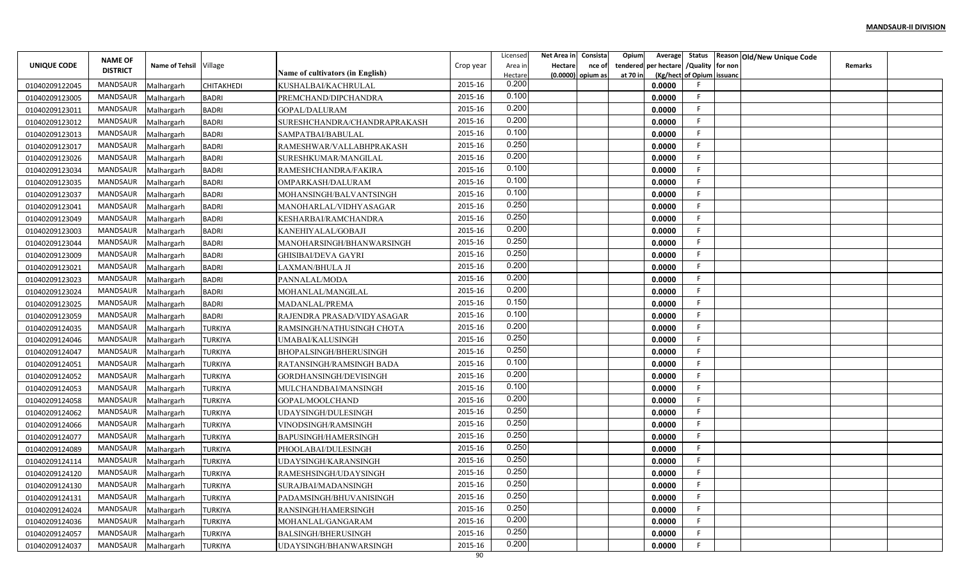|                | <b>NAME OF</b>      |                        |                |                                         |           | Licensed           | Net Area in | Consista                    | Opium                | Average               | Status                    |         | Reason Old/New Unique Code |         |  |
|----------------|---------------------|------------------------|----------------|-----------------------------------------|-----------|--------------------|-------------|-----------------------------|----------------------|-----------------------|---------------------------|---------|----------------------------|---------|--|
| UNIQUE CODE    | <b>DISTRICT</b>     | Name of Tehsil Village |                | <b>Name of cultivators (in English)</b> | Crop year | Area ir<br>Hectare | Hectare     | nce of<br>(0.0000) opium as | tendered<br>at 70 in | per hectare / Quality | (Kg/hect of Opium issuanc | for non |                            | Remarks |  |
| 01040209122045 | <b>MANDSAUR</b>     | Malhargarh             | CHITAKHEDI     | KUSHALBAI/KACHRULAL                     | 2015-16   | 0.200              |             |                             |                      | 0.0000                |                           |         |                            |         |  |
| 01040209123005 | <b>MANDSAUR</b>     | Malhargarh             | <b>BADRI</b>   | PREMCHAND/DIPCHANDRA                    | 2015-16   | 0.100              |             |                             |                      | 0.0000                |                           |         |                            |         |  |
| 01040209123011 | <b>MANDSAUR</b>     | Malhargarh             | <b>BADRI</b>   | GOPAL/DALURAM                           | 2015-16   | 0.200              |             |                             |                      | 0.0000                |                           |         |                            |         |  |
| 01040209123012 | <b>MANDSAUR</b>     | Malhargarh             | <b>BADRI</b>   | SURESHCHANDRA/CHANDRAPRAKASH            | 2015-16   | 0.200              |             |                             |                      | 0.0000                |                           |         |                            |         |  |
| 01040209123013 | <b>MANDSAUR</b>     | Malhargarh             | <b>BADRI</b>   | SAMPATBAI/BABULAL                       | 2015-16   | 0.100              |             |                             |                      | 0.0000                |                           |         |                            |         |  |
| 01040209123017 | <b>MANDSAUR</b>     | Malhargarh             | <b>BADRI</b>   | RAMESHWAR/VALLABHPRAKASH                | 2015-16   | 0.250              |             |                             |                      | 0.0000                |                           |         |                            |         |  |
| 01040209123026 | MANDSAUR            | Malhargarh             | <b>BADRI</b>   | SURESHKUMAR/MANGILAL                    | 2015-16   | 0.200              |             |                             |                      | 0.0000                |                           |         |                            |         |  |
| 01040209123034 | <b>MANDSAUR</b>     | Malhargarh             | <b>BADRI</b>   | RAMESHCHANDRA/FAKIRA                    | 2015-16   | 0.100              |             |                             |                      | 0.0000                |                           |         |                            |         |  |
| 01040209123035 | MANDSAUR            | Malhargarh             | <b>BADRI</b>   | OMPARKASH/DALURAM                       | 2015-16   | 0.100              |             |                             |                      | 0.0000                |                           |         |                            |         |  |
| 01040209123037 | MANDSAUR            | Malhargarh             | <b>BADRI</b>   | MOHANSINGH/BALVANTSINGH                 | 2015-16   | 0.100              |             |                             |                      | 0.0000                |                           |         |                            |         |  |
| 01040209123041 | MANDSAUR            | Malhargarh             | <b>BADRI</b>   | MANOHARLAL/VIDHYASAGAR                  | 2015-16   | 0.250              |             |                             |                      | 0.0000                |                           |         |                            |         |  |
| 01040209123049 | <b>MANDSAUR</b>     | Malhargarh             | <b>BADRI</b>   | KESHARBAI/RAMCHANDRA                    | 2015-16   | 0.250              |             |                             |                      | 0.0000                | E.                        |         |                            |         |  |
| 01040209123003 | MANDSAUR            | Malhargarh             | <b>BADRI</b>   | KANEHIYALAL/GOBAJI                      | 2015-16   | 0.200              |             |                             |                      | 0.0000                |                           |         |                            |         |  |
| 01040209123044 | MANDSAUR            | Malhargarh             | <b>BADRI</b>   | MANOHARSINGH/BHANWARSINGH               | 2015-16   | 0.250              |             |                             |                      | 0.0000                |                           |         |                            |         |  |
| 01040209123009 | MANDSAUR            | Malhargarh             | <b>BADRI</b>   | <b>GHISIBAI/DEVA GAYRI</b>              | 2015-16   | 0.250              |             |                             |                      | 0.0000                |                           |         |                            |         |  |
| 01040209123021 | MANDSAUR            | Malhargarh             | <b>BADRI</b>   | LAXMAN/BHULA JI                         | 2015-16   | 0.200              |             |                             |                      | 0.0000                |                           |         |                            |         |  |
| 01040209123023 | MANDSAUR            | Malhargarh             | <b>BADRI</b>   | PANNALAL/MODA                           | 2015-16   | 0.200              |             |                             |                      | 0.0000                |                           |         |                            |         |  |
| 01040209123024 | <b>MANDSAUR</b>     | Malhargarh             | <b>BADRI</b>   | MOHANLAL/MANGILAI                       | 2015-16   | 0.200              |             |                             |                      | 0.0000                |                           |         |                            |         |  |
| 01040209123025 | MANDSAUR            | Malhargarh             | <b>BADRI</b>   | MADANLAL/PREMA                          | 2015-16   | 0.150              |             |                             |                      | 0.0000                |                           |         |                            |         |  |
| 01040209123059 | <b>MANDSAUR</b>     | Malhargarh             | <b>BADRI</b>   | RAJENDRA PRASAD/VIDYASAGAR              | 2015-16   | 0.100              |             |                             |                      | 0.0000                |                           |         |                            |         |  |
| 01040209124035 | MANDSAUR            | Malhargarh             | <b>TURKIYA</b> | RAMSINGH/NATHUSINGH CHOTA               | 2015-16   | 0.200              |             |                             |                      | 0.0000                |                           |         |                            |         |  |
| 01040209124046 | <b>MANDSAUR</b>     | Malhargarh             | TURKIYA        | UMABAI/KALUSINGH                        | 2015-16   | 0.250              |             |                             |                      | 0.0000                |                           |         |                            |         |  |
| 01040209124047 | MANDSAUR            | Malhargarh             | <b>TURKIYA</b> | BHOPALSINGH/BHERUSINGH                  | 2015-16   | 0.250              |             |                             |                      | 0.0000                |                           |         |                            |         |  |
| 01040209124051 | MANDSAUR            | Malhargarh             | TURKIYA        | RATANSINGH/RAMSINGH BADA                | 2015-16   | 0.100              |             |                             |                      | 0.0000                |                           |         |                            |         |  |
| 01040209124052 | MANDSAUR            | Malhargarh             | <b>TURKIYA</b> | GORDHANSINGH/DEVISINGH                  | 2015-16   | 0.200              |             |                             |                      | 0.0000                | F.                        |         |                            |         |  |
| 01040209124053 | <b>MANDSAUR</b>     | Malhargarh             | <b>TURKIYA</b> | MULCHANDBAI/MANSINGH                    | 2015-16   | 0.100              |             |                             |                      | 0.0000                |                           |         |                            |         |  |
| 01040209124058 | <b>MANDSAUR</b>     | Malhargarh             | <b>TURKIYA</b> | GOPAL/MOOLCHAND                         | 2015-16   | 0.200              |             |                             |                      | 0.0000                |                           |         |                            |         |  |
| 01040209124062 | <b>MANDSAUR</b>     | Malhargarh             | <b>TURKIYA</b> | UDAYSINGH/DULESINGH                     | 2015-16   | 0.250              |             |                             |                      | 0.0000                |                           |         |                            |         |  |
| 01040209124066 | <b>MANDSAUR</b>     | Malhargarh             | <b>TURKIYA</b> | VINODSINGH/RAMSINGH                     | 2015-16   | 0.250              |             |                             |                      | 0.0000                | F.                        |         |                            |         |  |
| 01040209124077 | <b>MANDSAUR</b>     | Malhargarh             | <b>TURKIYA</b> | BAPUSINGH/HAMERSINGH                    | 2015-16   | 0.250              |             |                             |                      | 0.0000                |                           |         |                            |         |  |
| 01040209124089 | MANDSAUR            | Malhargarh             | <b>TURKIYA</b> | PHOOLABAI/DULESINGH                     | 2015-16   | 0.250              |             |                             |                      | 0.0000                |                           |         |                            |         |  |
| 01040209124114 | <b>MANDSAUR</b>     | Malhargarh             | TURKIYA        | UDAYSINGH/KARANSINGH                    | 2015-16   | 0.250              |             |                             |                      | 0.0000                |                           |         |                            |         |  |
| 01040209124120 | MANDSAUR            | Malhargarh             | <b>TURKIYA</b> | RAMESHSINGH/UDAYSINGH                   | 2015-16   | 0.250              |             |                             |                      | 0.0000                |                           |         |                            |         |  |
| 01040209124130 | MANDSAUR Malhargarh |                        | <b>TURKIYA</b> | SURAJBAI/MADANSINGH                     | 2015-16   | 0.250              |             |                             |                      | 0.0000                | F.                        |         |                            |         |  |
| 01040209124131 | MANDSAUR            | Malhargarh             | <b>TURKIYA</b> | PADAMSINGH/BHUVANISINGH                 | 2015-16   | 0.250<br>0.250     |             |                             |                      | 0.0000                | E.                        |         |                            |         |  |
| 01040209124024 | MANDSAUR            | Malhargarh             | <b>TURKIYA</b> | RANSINGH/HAMERSINGH                     | 2015-16   | 0.200              |             |                             |                      | 0.0000                | F.                        |         |                            |         |  |
| 01040209124036 | MANDSAUR            | Malhargarh             | <b>TURKIYA</b> | MOHANLAL/GANGARAM                       | 2015-16   |                    |             |                             |                      | 0.0000                | F.                        |         |                            |         |  |
| 01040209124057 | MANDSAUR            | Malhargarh             | <b>TURKIYA</b> | BALSINGH/BHERUSINGH                     | 2015-16   | 0.250              |             |                             |                      | 0.0000                | F.                        |         |                            |         |  |
| 01040209124037 | MANDSAUR            | Malhargarh             | <b>TURKIYA</b> | UDAYSINGH/BHANWARSINGH                  | 2015-16   | 0.200              |             |                             |                      | 0.0000                |                           |         |                            |         |  |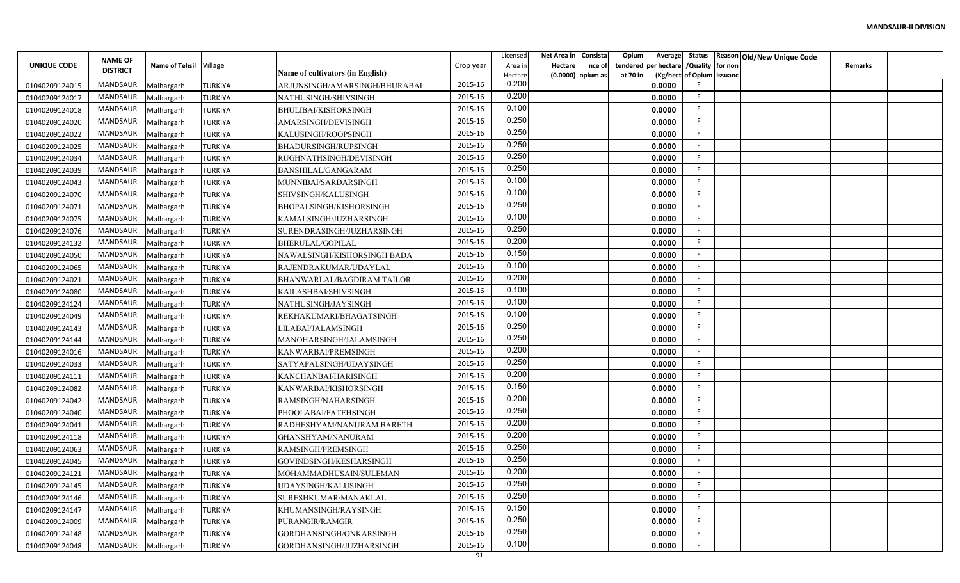|                | <b>NAME OF</b>      |                        |                |                                  |           | Licensed         | Net Area in | Consista                    | Opium    | Average                        | Status            |                    | Reason Old/New Unique Code |         |  |
|----------------|---------------------|------------------------|----------------|----------------------------------|-----------|------------------|-------------|-----------------------------|----------|--------------------------------|-------------------|--------------------|----------------------------|---------|--|
| UNIQUE CODE    | <b>DISTRICT</b>     | Name of Tehsil Village |                | Name of cultivators (in English) | Crop year | Area ir          | Hectare     | nce of<br>(0.0000) opium as | at 70 in | tendered per hectare / Quality | (Kg/hect of Opium | for non<br>issuanc |                            | Remarks |  |
| 01040209124015 | <b>MANDSAUR</b>     | Malhargarh             | <b>TURKIYA</b> | ARJUNSINGH/AMARSINGH/BHURABAI    | 2015-16   | Hectare<br>0.200 |             |                             |          | 0.0000                         |                   |                    |                            |         |  |
| 01040209124017 | <b>MANDSAUR</b>     | Malhargarh             | <b>TURKIYA</b> | NATHUSINGH/SHIVSINGH             | 2015-16   | 0.200            |             |                             |          | 0.0000                         |                   |                    |                            |         |  |
| 01040209124018 | <b>MANDSAUR</b>     | Malhargarh             | <b>TURKIYA</b> | BHULIBAI/KISHORSINGH             | 2015-16   | 0.100            |             |                             |          | 0.0000                         |                   |                    |                            |         |  |
| 01040209124020 | MANDSAUR            | Malhargarh             | <b>TURKIYA</b> | AMARSINGH/DEVISINGH              | 2015-16   | 0.250            |             |                             |          | 0.0000                         |                   |                    |                            |         |  |
| 01040209124022 | MANDSAUR            | Malhargarh             | <b>TURKIYA</b> | KALUSINGH/ROOPSINGH              | 2015-16   | 0.250            |             |                             |          | 0.0000                         |                   |                    |                            |         |  |
| 01040209124025 | MANDSAUR            | Malhargarh             | <b>TURKIYA</b> | BHADURSINGH/RUPSINGH             | 2015-16   | 0.250            |             |                             |          | 0.0000                         |                   |                    |                            |         |  |
| 01040209124034 | MANDSAUR            | Malhargarh             | TURKIYA        | RUGHNATHSINGH/DEVISINGH          | 2015-16   | 0.250            |             |                             |          | 0.0000                         |                   |                    |                            |         |  |
| 01040209124039 | MANDSAUR            | Malhargarh             | <b>TURKIYA</b> | BANSHILAL/GANGARAM               | 2015-16   | 0.250            |             |                             |          | 0.0000                         |                   |                    |                            |         |  |
| 01040209124043 | MANDSAUR            | Malhargarh             | TURKIYA        | MUNNIBAI/SARDARSINGH             | 2015-16   | 0.100            |             |                             |          | 0.0000                         |                   |                    |                            |         |  |
| 01040209124070 | <b>MANDSAUR</b>     | Malhargarh             | <b>TURKIYA</b> | SHIVSINGH/KALUSINGH              | 2015-16   | 0.100            |             |                             |          | 0.0000                         |                   |                    |                            |         |  |
| 01040209124071 | <b>MANDSAUR</b>     | Malhargarh             | TURKIYA        | BHOPALSINGH/KISHORSINGH          | 2015-16   | 0.250            |             |                             |          | 0.0000                         |                   |                    |                            |         |  |
| 01040209124075 | <b>MANDSAUR</b>     | Malhargarh             | <b>TURKIYA</b> | KAMALSINGH/JUZHARSINGH           | 2015-16   | 0.100            |             |                             |          | 0.0000                         | F.                |                    |                            |         |  |
| 01040209124076 | MANDSAUR            | Malhargarh             | <b>TURKIYA</b> | SURENDRASINGH/JUZHARSINGH        | 2015-16   | 0.250            |             |                             |          | 0.0000                         | F.                |                    |                            |         |  |
| 01040209124132 | MANDSAUR            | Malhargarh             | <b>TURKIYA</b> | BHERULAL/GOPILAL                 | 2015-16   | 0.200            |             |                             |          | 0.0000                         |                   |                    |                            |         |  |
| 01040209124050 | <b>MANDSAUR</b>     | Malhargarh             | <b>TURKIYA</b> | NAWALSINGH/KISHORSINGH BADA      | 2015-16   | 0.150            |             |                             |          | 0.0000                         |                   |                    |                            |         |  |
| 01040209124065 | MANDSAUR            | Malhargarh             | <b>TURKIYA</b> | RAJENDRAKUMAR/UDAYLAL            | 2015-16   | 0.100            |             |                             |          | 0.0000                         |                   |                    |                            |         |  |
| 01040209124021 | <b>MANDSAUR</b>     | Malhargarh             | <b>TURKIYA</b> | BHANWARLAL/BAGDIRAM TAILOR       | 2015-16   | 0.200            |             |                             |          | 0.0000                         |                   |                    |                            |         |  |
| 01040209124080 | <b>MANDSAUR</b>     | Malhargarh             | <b>TURKIYA</b> | KAILASHBAI/SHIVSINGH             | 2015-16   | 0.100            |             |                             |          | 0.0000                         |                   |                    |                            |         |  |
| 01040209124124 | <b>MANDSAUR</b>     | Malhargarh             | <b>TURKIYA</b> | NATHUSINGH/JAYSINGH              | 2015-16   | 0.100            |             |                             |          | 0.0000                         |                   |                    |                            |         |  |
| 01040209124049 | <b>MANDSAUR</b>     | Malhargarh             | <b>TURKIYA</b> | REKHAKUMARI/BHAGATSINGH          | 2015-16   | 0.100            |             |                             |          | 0.0000                         |                   |                    |                            |         |  |
| 01040209124143 | <b>MANDSAUR</b>     | Malhargarh             | <b>TURKIYA</b> | LILABAI/JALAMSINGH               | 2015-16   | 0.250            |             |                             |          | 0.0000                         |                   |                    |                            |         |  |
| 01040209124144 | MANDSAUR            | Malhargarh             | <b>TURKIYA</b> | MANOHARSINGH/JALAMSINGH          | 2015-16   | 0.250            |             |                             |          | 0.0000                         |                   |                    |                            |         |  |
| 01040209124016 | MANDSAUR            | Malhargarh             | <b>TURKIYA</b> | KANWARBAI/PREMSINGH              | 2015-16   | 0.200            |             |                             |          | 0.0000                         |                   |                    |                            |         |  |
| 01040209124033 | MANDSAUR            | Malhargarh             | <b>TURKIYA</b> | SATYAPALSINGH/UDAYSINGH          | 2015-16   | 0.250            |             |                             |          | 0.0000                         |                   |                    |                            |         |  |
| 01040209124111 | MANDSAUR            | Malhargarh             | <b>TURKIYA</b> | KANCHANBAI/HARISINGH             | 2015-16   | 0.200            |             |                             |          | 0.0000                         |                   |                    |                            |         |  |
| 01040209124082 | MANDSAUR            | Malhargarh             | TURKIYA        | KANWARBAI/KISHORSINGH            | 2015-16   | 0.150            |             |                             |          | 0.0000                         |                   |                    |                            |         |  |
| 01040209124042 | MANDSAUR            | Malhargarh             | <b>TURKIYA</b> | RAMSINGH/NAHARSINGH              | 2015-16   | 0.200            |             |                             |          | 0.0000                         |                   |                    |                            |         |  |
| 01040209124040 | <b>MANDSAUR</b>     | Malhargarh             | <b>TURKIYA</b> | PHOOLABAI/FATEHSINGH             | 2015-16   | 0.250            |             |                             |          | 0.0000                         |                   |                    |                            |         |  |
| 01040209124041 | MANDSAUR            | Malhargarh             | <b>TURKIYA</b> | RADHESHYAM/NANURAM BARETH        | 2015-16   | 0.200            |             |                             |          | 0.0000                         |                   |                    |                            |         |  |
| 01040209124118 | <b>MANDSAUR</b>     | Malhargarh             | <b>TURKIYA</b> | GHANSHYAM/NANURAM                | 2015-16   | 0.200<br>0.250   |             |                             |          | 0.0000                         |                   |                    |                            |         |  |
| 01040209124063 | MANDSAUR            | Malhargarh             | <b>TURKIYA</b> | RAMSINGH/PREMSINGH               | 2015-16   | 0.250            |             |                             |          | 0.0000                         |                   |                    |                            |         |  |
| 01040209124045 | <b>MANDSAUR</b>     | Malhargarh             | TURKIYA        | GOVINDSINGH/KESHARSINGH          | 2015-16   | 0.200            |             |                             |          | 0.0000                         |                   |                    |                            |         |  |
| 01040209124121 | MANDSAUR            | Malhargarh             | <b>TURKIYA</b> | MOHAMMADHUSAIN/SULEMAN           | 2015-16   |                  |             |                             |          | 0.0000                         |                   |                    |                            |         |  |
| 01040209124145 | MANDSAUR Malhargarh |                        | <b>TURKIYA</b> | UDAYSINGH/KALUSINGH              | 2015-16   | 0.250<br>0.250   |             |                             |          | 0.0000                         | F                 |                    |                            |         |  |
| 01040209124146 | MANDSAUR            | Malhargarh             | <b>TURKIYA</b> | SURESHKUMAR/MANAKLAL             | 2015-16   | 0.150            |             |                             |          | 0.0000                         | E.                |                    |                            |         |  |
| 01040209124147 | MANDSAUR            | Malhargarh             | <b>TURKIYA</b> | KHUMANSINGH/RAYSINGH             | 2015-16   | 0.250            |             |                             |          | 0.0000                         | F.                |                    |                            |         |  |
| 01040209124009 | MANDSAUR            | Malhargarh             | <b>TURKIYA</b> | PURANGIR/RAMGIR                  | 2015-16   | 0.250            |             |                             |          | 0.0000                         | F.                |                    |                            |         |  |
| 01040209124148 | MANDSAUR            | Malhargarh             | <b>TURKIYA</b> | GORDHANSINGH/ONKARSINGH          | 2015-16   |                  |             |                             |          | 0.0000                         | F.                |                    |                            |         |  |
| 01040209124048 | MANDSAUR            | Malhargarh             | <b>TURKIYA</b> | GORDHANSINGH/JUZHARSINGH         | 2015-16   | 0.100            |             |                             |          | 0.0000                         |                   |                    |                            |         |  |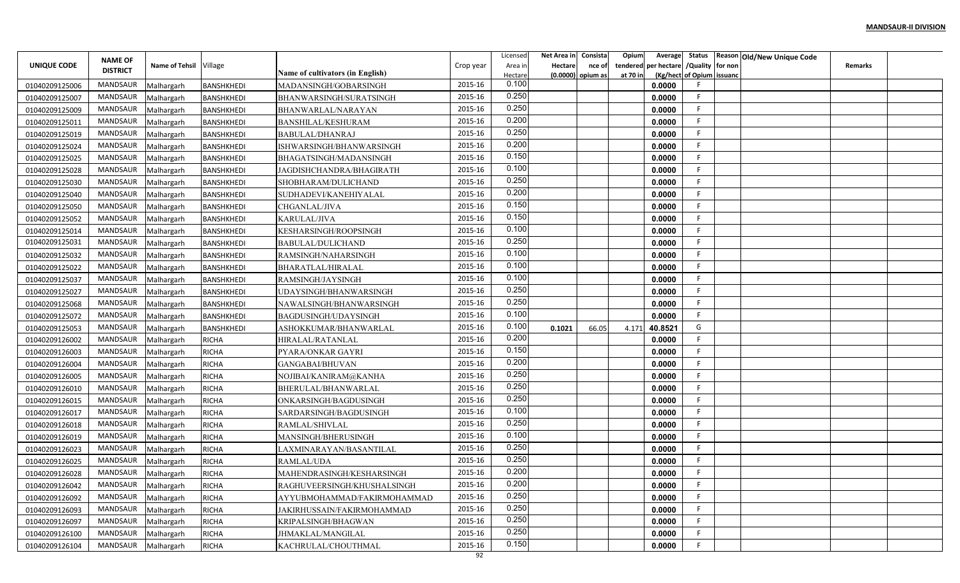|                | <b>NAME OF</b>      |                        |                   |                                         |           | Licensed           | Net Area in | Consista                    | Opium                | Average               | Status                    |         | Reason Old/New Unique Code |         |  |
|----------------|---------------------|------------------------|-------------------|-----------------------------------------|-----------|--------------------|-------------|-----------------------------|----------------------|-----------------------|---------------------------|---------|----------------------------|---------|--|
| UNIQUE CODE    | <b>DISTRICT</b>     | Name of Tehsil Village |                   | <b>Name of cultivators (in English)</b> | Crop year | Area ir<br>Hectare | Hectare     | nce of<br>(0.0000) opium as | tendered<br>at 70 in | per hectare / Quality | (Kg/hect of Opium issuanc | for non |                            | Remarks |  |
| 01040209125006 | <b>MANDSAUR</b>     | Malhargarh             | <b>BANSHKHEDI</b> | MADANSINGH/GOBARSINGH                   | 2015-16   | 0.100              |             |                             |                      | 0.0000                |                           |         |                            |         |  |
| 01040209125007 | <b>MANDSAUR</b>     | Malhargarh             | <b>BANSHKHEDI</b> | BHANWARSINGH/SURATSINGH                 | 2015-16   | 0.250              |             |                             |                      | 0.0000                |                           |         |                            |         |  |
| 01040209125009 | <b>MANDSAUR</b>     | Malhargarh             | <b>BANSHKHEDI</b> | BHANWARLAL/NARAYAN                      | 2015-16   | 0.250              |             |                             |                      | 0.0000                |                           |         |                            |         |  |
| 01040209125011 | <b>MANDSAUR</b>     | Malhargarh             | <b>BANSHKHEDI</b> | BANSHILAL/KESHURAM                      | 2015-16   | 0.200              |             |                             |                      | 0.0000                |                           |         |                            |         |  |
| 01040209125019 | <b>MANDSAUR</b>     | Malhargarh             | <b>BANSHKHEDI</b> | BABULAL/DHANRAJ                         | 2015-16   | 0.250              |             |                             |                      | 0.0000                |                           |         |                            |         |  |
| 01040209125024 | <b>MANDSAUR</b>     | Malhargarh             | <b>BANSHKHEDI</b> | ISHWARSINGH/BHANWARSINGH                | 2015-16   | 0.200              |             |                             |                      | 0.0000                |                           |         |                            |         |  |
| 01040209125025 | <b>MANDSAUR</b>     | Malhargarh             | <b>BANSHKHEDI</b> | BHAGATSINGH/MADANSINGH                  | 2015-16   | 0.150              |             |                             |                      | 0.0000                |                           |         |                            |         |  |
| 01040209125028 | <b>MANDSAUR</b>     | Malhargarh             | <b>BANSHKHEDI</b> | JAGDISHCHANDRA/BHAGIRATH                | 2015-16   | 0.100              |             |                             |                      | 0.0000                |                           |         |                            |         |  |
| 01040209125030 | MANDSAUR            | Malhargarh             | <b>BANSHKHEDI</b> | SHOBHARAM/DULICHAND                     | 2015-16   | 0.250              |             |                             |                      | 0.0000                |                           |         |                            |         |  |
| 01040209125040 | MANDSAUR            | Malhargarh             | <b>BANSHKHEDI</b> | SUDHADEVI/KANEHIYALAL                   | 2015-16   | 0.200              |             |                             |                      | 0.0000                |                           |         |                            |         |  |
| 01040209125050 | MANDSAUR            | Malhargarh             | BANSHKHEDI        | CHGANLAL/JIVA                           | 2015-16   | 0.150              |             |                             |                      | 0.0000                |                           |         |                            |         |  |
| 01040209125052 | <b>MANDSAUR</b>     | Malhargarh             | <b>BANSHKHEDI</b> | <b>KARULAL/JIVA</b>                     | 2015-16   | 0.150              |             |                             |                      | 0.0000                | F.                        |         |                            |         |  |
| 01040209125014 | MANDSAUR            | Malhargarh             | <b>BANSHKHEDI</b> | KESHARSINGH/ROOPSINGH                   | 2015-16   | 0.100              |             |                             |                      | 0.0000                |                           |         |                            |         |  |
| 01040209125031 | <b>MANDSAUR</b>     | Malhargarh             | <b>BANSHKHEDI</b> | <b>BABULAL/DULICHAND</b>                | 2015-16   | 0.250              |             |                             |                      | 0.0000                |                           |         |                            |         |  |
| 01040209125032 | MANDSAUR            | Malhargarh             | <b>BANSHKHEDI</b> | RAMSINGH/NAHARSINGH                     | 2015-16   | 0.100              |             |                             |                      | 0.0000                |                           |         |                            |         |  |
| 01040209125022 | MANDSAUR            | Malhargarh             | <b>BANSHKHEDI</b> | BHARATLAL/HIRALAL                       | 2015-16   | 0.100              |             |                             |                      | 0.0000                |                           |         |                            |         |  |
| 01040209125037 | MANDSAUR            | Malhargarh             | BANSHKHEDI        | RAMSINGH/JAYSINGH                       | 2015-16   | 0.100              |             |                             |                      | 0.0000                |                           |         |                            |         |  |
| 01040209125027 | <b>MANDSAUR</b>     | Malhargarh             | <b>BANSHKHEDI</b> | UDAYSINGH/BHANWARSINGH                  | 2015-16   | 0.250              |             |                             |                      | 0.0000                |                           |         |                            |         |  |
| 01040209125068 | <b>MANDSAUR</b>     | Malhargarh             | BANSHKHEDI        | NAWALSINGH/BHANWARSINGH                 | 2015-16   | 0.250              |             |                             |                      | 0.0000                |                           |         |                            |         |  |
| 01040209125072 | <b>MANDSAUR</b>     | Malhargarh             | <b>BANSHKHEDI</b> | BAGDUSINGH/UDAYSINGH                    | 2015-16   | 0.100              |             |                             |                      | 0.0000                |                           |         |                            |         |  |
| 01040209125053 | MANDSAUR            | Malhargarh             | <b>BANSHKHEDI</b> | ASHOKKUMAR/BHANWARLAL                   | 2015-16   | 0.100              | 0.1021      | 66.05                       | 4.171                | 40.8521               | G                         |         |                            |         |  |
| 01040209126002 | <b>MANDSAUR</b>     | Malhargarh             | <b>RICHA</b>      | HIRALAL/RATANLAL                        | 2015-16   | 0.200              |             |                             |                      | 0.0000                |                           |         |                            |         |  |
| 01040209126003 | MANDSAUR            | Malhargarh             | <b>RICHA</b>      | PYARA/ONKAR GAYRI                       | 2015-16   | 0.150              |             |                             |                      | 0.0000                |                           |         |                            |         |  |
| 01040209126004 | MANDSAUR            | Malhargarh             | <b>RICHA</b>      | <b>GANGABAI/BHUVAN</b>                  | 2015-16   | 0.200              |             |                             |                      | 0.0000                |                           |         |                            |         |  |
| 01040209126005 | MANDSAUR            | Malhargarh             | <b>RICHA</b>      | NOJIBAI/KANIRAM@KANHA                   | 2015-16   | 0.250              |             |                             |                      | 0.0000                | F.                        |         |                            |         |  |
| 01040209126010 | <b>MANDSAUR</b>     | Malhargarh             | <b>RICHA</b>      | BHERULAL/BHANWARLAL                     | 2015-16   | 0.250              |             |                             |                      | 0.0000                |                           |         |                            |         |  |
| 01040209126015 | MANDSAUR            | Malhargarh             | <b>RICHA</b>      | ONKARSINGH/BAGDUSINGH                   | 2015-16   | 0.250              |             |                             |                      | 0.0000                |                           |         |                            |         |  |
| 01040209126017 | <b>MANDSAUR</b>     | Malhargarh             | <b>RICHA</b>      | SARDARSINGH/BAGDUSINGH                  | 2015-16   | 0.100              |             |                             |                      | 0.0000                |                           |         |                            |         |  |
| 01040209126018 | <b>MANDSAUR</b>     | Malhargarh             | <b>RICHA</b>      | RAMLAL/SHIVLAL                          | 2015-16   | 0.250              |             |                             |                      | 0.0000                | F                         |         |                            |         |  |
| 01040209126019 | <b>MANDSAUR</b>     | Malhargarh             | <b>RICHA</b>      | MANSINGH/BHERUSINGH                     | 2015-16   | 0.100              |             |                             |                      | 0.0000                |                           |         |                            |         |  |
| 01040209126023 | MANDSAUR            | Malhargarh             | <b>RICHA</b>      | LAXMINARAYAN/BASANTILAL                 | 2015-16   | 0.250              |             |                             |                      | 0.0000                |                           |         |                            |         |  |
| 01040209126025 | <b>MANDSAUR</b>     | Malhargarh             | <b>RICHA</b>      | RAMLAL/UDA                              | 2015-16   | 0.250              |             |                             |                      | 0.0000                |                           |         |                            |         |  |
| 01040209126028 | MANDSAUR            | Malhargarh             | <b>RICHA</b>      | MAHENDRASINGH/KESHARSINGH               | 2015-16   | 0.200              |             |                             |                      | 0.0000                |                           |         |                            |         |  |
| 01040209126042 | MANDSAUR Malhargarh |                        | <b>RICHA</b>      | RAGHUVEERSINGH/KHUSHALSINGH             | 2015-16   | 0.200              |             |                             |                      | 0.0000                | F.                        |         |                            |         |  |
| 01040209126092 | MANDSAUR            | Malhargarh             | <b>RICHA</b>      | AYYUBMOHAMMAD/FAKIRMOHAMMAD             | 2015-16   | 0.250              |             |                             |                      | 0.0000                |                           |         |                            |         |  |
| 01040209126093 | MANDSAUR            | Malhargarh             | <b>RICHA</b>      | JAKIRHUSSAIN/FAKIRMOHAMMAD              | 2015-16   | 0.250              |             |                             |                      | 0.0000                | F.                        |         |                            |         |  |
| 01040209126097 | MANDSAUR            | Malhargarh             | <b>RICHA</b>      | KRIPALSINGH/BHAGWAN                     | 2015-16   | 0.250              |             |                             |                      | 0.0000                | F.                        |         |                            |         |  |
| 01040209126100 | MANDSAUR            | Malhargarh             | <b>RICHA</b>      | JHMAKLAL/MANGILAL                       | 2015-16   | 0.250              |             |                             |                      | 0.0000                | F.                        |         |                            |         |  |
| 01040209126104 | MANDSAUR            | Malhargarh             | <b>RICHA</b>      | KACHRULAL/CHOUTHMAL                     | 2015-16   | 0.150              |             |                             |                      | 0.0000                |                           |         |                            |         |  |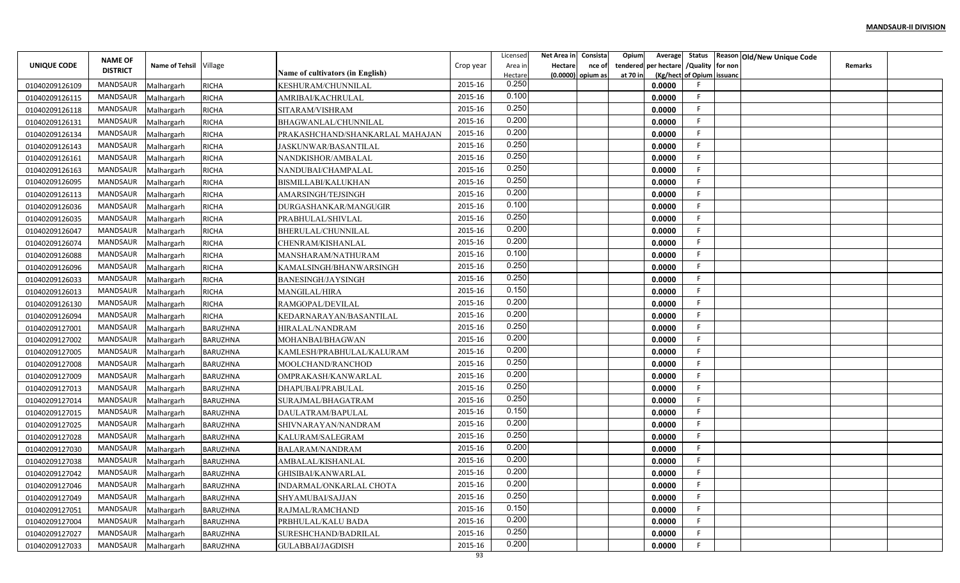|                | <b>NAME OF</b>  |                       |                 |                                  |           | Licensed         | Net Area in | Consista                    | Opium<br>Average                                      |                           | Status Reason Old/New Unique Code |
|----------------|-----------------|-----------------------|-----------------|----------------------------------|-----------|------------------|-------------|-----------------------------|-------------------------------------------------------|---------------------------|-----------------------------------|
| UNIQUE CODE    | <b>DISTRICT</b> | <b>Name of Tehsil</b> | Village         | Name of cultivators (in English) | Crop year | Area in          | Hectare     | nce of<br>(0.0000) opium as | per hectare / Quality for non<br>tendered<br>at 70 in | (Kg/hect of Opium issuand | Remarks                           |
| 01040209126109 | MANDSAUR        | Malhargarh            | <b>RICHA</b>    | KESHURAM/CHUNNILAL               | 2015-16   | Hectare<br>0.250 |             |                             | 0.0000                                                |                           |                                   |
| 01040209126115 | MANDSAUR        | Malhargarh            | <b>RICHA</b>    | AMRIBAI/KACHRULAL                | 2015-16   | 0.100            |             |                             | 0.0000                                                |                           |                                   |
| 01040209126118 | <b>MANDSAUR</b> | Malhargarh            | <b>RICHA</b>    | SITARAM/VISHRAM                  | 2015-16   | 0.250            |             |                             | 0.0000                                                |                           |                                   |
| 01040209126131 | MANDSAUR        | Malhargarh            | <b>RICHA</b>    | BHAGWANLAL/CHUNNILAL             | 2015-16   | 0.200            |             |                             | 0.0000                                                |                           |                                   |
| 01040209126134 | MANDSAUR        | Malhargarh            | <b>RICHA</b>    | PRAKASHCHAND/SHANKARLAL MAHAJAN  | 2015-16   | 0.200            |             |                             | 0.0000                                                |                           |                                   |
| 01040209126143 | MANDSAUR        | Malhargarh            | <b>RICHA</b>    | <b>JASKUNWAR/BASANTILAL</b>      | 2015-16   | 0.250            |             |                             | 0.0000                                                |                           |                                   |
| 01040209126161 | <b>MANDSAUR</b> | Malhargarh            | <b>RICHA</b>    | NANDKISHOR/AMBALAL               | 2015-16   | 0.250            |             |                             | 0.0000                                                |                           |                                   |
| 01040209126163 | MANDSAUR        | Malhargarh            | <b>RICHA</b>    | NANDUBAI/CHAMPALAL               | 2015-16   | 0.250            |             |                             | 0.0000                                                |                           |                                   |
| 01040209126095 | <b>MANDSAUR</b> | Malhargarh            | <b>RICHA</b>    | BISMILLABI/KALUKHAN              | 2015-16   | 0.250            |             |                             | 0.0000                                                |                           |                                   |
| 01040209126113 | MANDSAUR        | Malhargarh            | <b>RICHA</b>    | AMARSINGH/TEJSINGH               | 2015-16   | 0.200            |             |                             | 0.0000                                                |                           |                                   |
| 01040209126036 | <b>MANDSAUR</b> | Malhargarh            | <b>RICHA</b>    | DURGASHANKAR/MANGUGIR            | 2015-16   | 0.100            |             |                             | 0.0000                                                |                           |                                   |
| 01040209126035 | MANDSAUR        | Malhargarh            | <b>RICHA</b>    | PRABHULAL/SHIVLAL                | 2015-16   | 0.250            |             |                             | 0.0000                                                |                           |                                   |
| 01040209126047 | MANDSAUR        | Malhargarh            | <b>RICHA</b>    | BHERULAL/CHUNNILAL               | 2015-16   | 0.200            |             |                             | 0.0000                                                |                           |                                   |
| 01040209126074 | MANDSAUR        | Malhargarh            | <b>RICHA</b>    | CHENRAM/KISHANLAL                | 2015-16   | 0.200            |             |                             | 0.0000                                                |                           |                                   |
| 01040209126088 | <b>MANDSAUR</b> | Malhargarh            | <b>RICHA</b>    | MANSHARAM/NATHURAM               | 2015-16   | 0.100            |             |                             | 0.0000                                                |                           |                                   |
| 01040209126096 | MANDSAUR        | Malhargarh            | <b>RICHA</b>    | KAMALSINGH/BHANWARSINGH          | 2015-16   | 0.250            |             |                             | 0.0000                                                |                           |                                   |
| 01040209126033 | MANDSAUR        | Malhargarh            | <b>RICHA</b>    | <b>BANESINGH/JAYSINGH</b>        | 2015-16   | 0.250            |             |                             | 0.0000                                                |                           |                                   |
| 01040209126013 | MANDSAUR        | Malhargarh            | <b>RICHA</b>    | MANGILAL/HIRA                    | 2015-16   | 0.150            |             |                             | 0.0000                                                |                           |                                   |
| 01040209126130 | MANDSAUR        | Malhargarh            | <b>RICHA</b>    | RAMGOPAL/DEVILAL                 | 2015-16   | 0.200            |             |                             | 0.0000                                                |                           |                                   |
| 01040209126094 | MANDSAUR        | Malhargarh            | <b>RICHA</b>    | KEDARNARAYAN/BASANTILAL          | 2015-16   | 0.200            |             |                             | 0.0000                                                |                           |                                   |
| 01040209127001 | MANDSAUR        | Malhargarh            | BARUZHNA        | HIRALAL/NANDRAM                  | 2015-16   | 0.250            |             |                             | 0.0000                                                |                           |                                   |
| 01040209127002 | MANDSAUR        | Malhargarh            | BARUZHNA        | MOHANBAI/BHAGWAN                 | 2015-16   | 0.200            |             |                             | 0.0000                                                |                           |                                   |
| 01040209127005 | MANDSAUR        | Malhargarh            | <b>BARUZHNA</b> | KAMLESH/PRABHULAL/KALURAM        | 2015-16   | 0.200            |             |                             | 0.0000                                                |                           |                                   |
| 01040209127008 | MANDSAUR        | Malhargarh            | <b>BARUZHNA</b> | MOOLCHAND/RANCHOD                | 2015-16   | 0.250            |             |                             | 0.0000                                                |                           |                                   |
| 01040209127009 | MANDSAUR        | Malhargarh            | BARUZHNA        | OMPRAKASH/KANWARLAL              | 2015-16   | 0.200            |             |                             | 0.0000                                                |                           |                                   |
| 01040209127013 | MANDSAUR        | Malhargarh            | <b>BARUZHNA</b> | DHAPUBAI/PRABULAL                | 2015-16   | 0.250            |             |                             | 0.0000                                                |                           |                                   |
| 01040209127014 | MANDSAUR        | Malhargarh            | BARUZHNA        | SURAJMAL/BHAGATRAM               | 2015-16   | 0.250            |             |                             | 0.0000                                                |                           |                                   |
| 01040209127015 | <b>MANDSAUR</b> | Malhargarh            | <b>BARUZHNA</b> | DAULATRAM/BAPULAL                | 2015-16   | 0.150            |             |                             | 0.0000                                                |                           |                                   |
| 01040209127025 | MANDSAUR        | Malhargarh            | BARUZHNA        | SHIVNARAYAN/NANDRAM              | 2015-16   | 0.200            |             |                             | 0.0000                                                |                           |                                   |
| 01040209127028 | MANDSAUR        | Malhargarh            | BARUZHNA        | KALURAM/SALEGRAM                 | 2015-16   | 0.250            |             |                             | 0.0000                                                |                           |                                   |
| 01040209127030 | MANDSAUR        | Malhargarh            | BARUZHNA        | <b>BALARAM/NANDRAM</b>           | 2015-16   | 0.200            |             |                             | 0.0000                                                |                           |                                   |
| 01040209127038 | MANDSAUR        | Malhargarh            | <b>BARUZHNA</b> | AMBALAL/KISHANLAI                | 2015-16   | 0.200            |             |                             | 0.0000                                                |                           |                                   |
| 01040209127042 | MANDSAUR        | Malhargarh            | <b>BARUZHNA</b> | GHISIBAI/KANWARLAL               | 2015-16   | 0.200            |             |                             | 0.0000                                                |                           |                                   |
| 01040209127046 | MANDSAUR        | Malhargarh            | <b>BARUZHNA</b> | INDARMAL/ONKARLAL CHOTA          | 2015-16   | 0.200            |             |                             | 0.0000                                                |                           |                                   |
| 01040209127049 | MANDSAUR        | Malhargarh            | BARUZHNA        | SHYAMUBAI/SAJJAN                 | 2015-16   | 0.250            |             |                             | 0.0000                                                |                           |                                   |
| 01040209127051 | MANDSAUR        | Malhargarh            | <b>BARUZHNA</b> | RAJMAL/RAMCHAND                  | 2015-16   | 0.150            |             |                             | 0.0000                                                | F.                        |                                   |
| 01040209127004 | MANDSAUR        | Malhargarh            | BARUZHNA        | PRBHULAL/KALU BADA               | 2015-16   | 0.200            |             |                             | 0.0000                                                | F.                        |                                   |
| 01040209127027 | MANDSAUR        | Malhargarh            | <b>BARUZHNA</b> | SURESHCHAND/BADRILAL             | 2015-16   | 0.250            |             |                             | 0.0000                                                |                           |                                   |
| 01040209127033 | MANDSAUR        | Malhargarh            | <b>BARUZHNA</b> | GULABBAI/JAGDISH                 | 2015-16   | 0.200            |             |                             | 0.0000                                                |                           |                                   |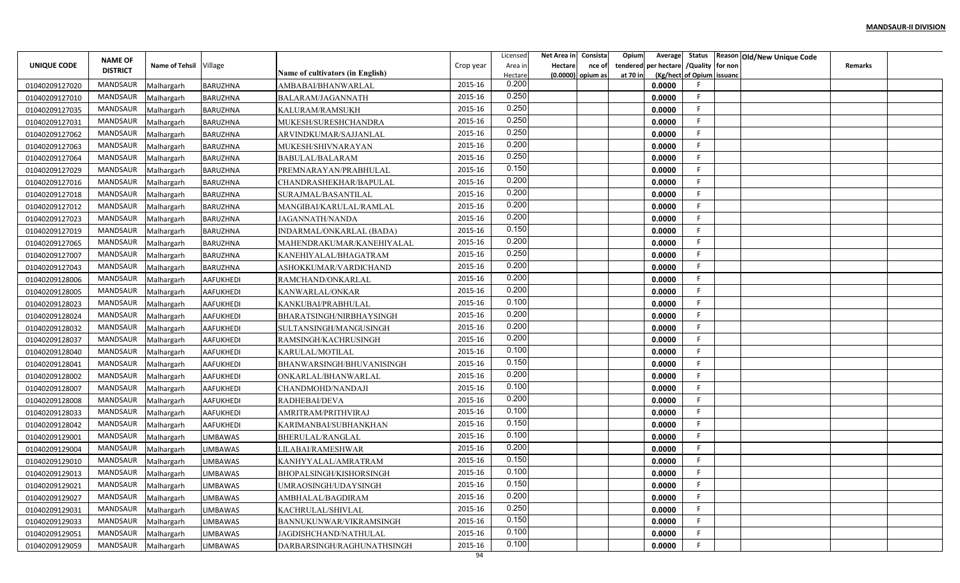|                    | <b>NAME OF</b>      |                       |                  |                                  |           | Licensed           | Net Area in | Consista                    | Opium                | Average                       |                           | Status Reason Old/New Unique Code |         |  |
|--------------------|---------------------|-----------------------|------------------|----------------------------------|-----------|--------------------|-------------|-----------------------------|----------------------|-------------------------------|---------------------------|-----------------------------------|---------|--|
| <b>UNIQUE CODE</b> | <b>DISTRICT</b>     | <b>Name of Tehsil</b> | Village          | Name of cultivators (in English) | Crop year | Area in<br>Hectare | Hectare     | nce of<br>(0.0000) opium as | tendered<br>at 70 in | per hectare / Quality for non | (Kg/hect of Opium issuanc |                                   | Remarks |  |
| 01040209127020     | MANDSAUR            | Malhargarh            | <b>BARUZHNA</b>  | AMBABAI/BHANWARLAL               | 2015-16   | 0.200              |             |                             |                      | 0.0000                        |                           |                                   |         |  |
| 01040209127010     | MANDSAUR            | Malhargarh            | BARUZHNA         | BALARAM/JAGANNATH                | 2015-16   | 0.250              |             |                             |                      | 0.0000                        |                           |                                   |         |  |
| 01040209127035     | MANDSAUR            | Malhargarh            | BARUZHNA         | KALURAM/RAMSUKH                  | 2015-16   | 0.250              |             |                             |                      | 0.0000                        |                           |                                   |         |  |
| 01040209127031     | MANDSAUR            | Malhargarh            | <b>BARUZHNA</b>  | MUKESH/SURESHCHANDRA             | 2015-16   | 0.250              |             |                             |                      | 0.0000                        |                           |                                   |         |  |
| 01040209127062     | MANDSAUR            | Malhargarh            | <b>BARUZHNA</b>  | ARVINDKUMAR/SAJJANLAL            | 2015-16   | 0.250              |             |                             |                      | 0.0000                        |                           |                                   |         |  |
| 01040209127063     | MANDSAUR            | Malhargarh            | <b>BARUZHNA</b>  | MUKESH/SHIVNARAYAN               | 2015-16   | 0.200              |             |                             |                      | 0.0000                        |                           |                                   |         |  |
| 01040209127064     | MANDSAUR            | Malhargarh            | <b>BARUZHNA</b>  | BABULAL/BALARAM                  | 2015-16   | 0.250              |             |                             |                      | 0.0000                        |                           |                                   |         |  |
| 01040209127029     | MANDSAUR            | Malhargarh            | <b>BARUZHNA</b>  | PREMNARAYAN/PRABHULAL            | 2015-16   | 0.150              |             |                             |                      | 0.0000                        |                           |                                   |         |  |
| 01040209127016     | MANDSAUR            | Malhargarh            | <b>BARUZHNA</b>  | CHANDRASHEKHAR/BAPULAL           | 2015-16   | 0.200              |             |                             |                      | 0.0000                        |                           |                                   |         |  |
| 01040209127018     | MANDSAUR            | Malhargarh            | <b>BARUZHNA</b>  | SURAJMAL/BASANTILAL              | 2015-16   | 0.200              |             |                             |                      | 0.0000                        |                           |                                   |         |  |
| 01040209127012     | MANDSAUR            | Malhargarh            | <b>BARUZHNA</b>  | MANGIBAI/KARULAL/RAMLAL          | 2015-16   | 0.200              |             |                             |                      | 0.0000                        |                           |                                   |         |  |
| 01040209127023     | MANDSAUR            | Malhargarh            | <b>BARUZHNA</b>  | JAGANNATH/NANDA                  | 2015-16   | 0.200              |             |                             |                      | 0.0000                        |                           |                                   |         |  |
| 01040209127019     | MANDSAUR            | Malhargarh            | <b>BARUZHNA</b>  | INDARMAL/ONKARLAL (BADA)         | 2015-16   | 0.150              |             |                             |                      | 0.0000                        |                           |                                   |         |  |
| 01040209127065     | MANDSAUR            | Malhargarh            | <b>BARUZHNA</b>  | MAHENDRAKUMAR/KANEHIYALAL        | 2015-16   | 0.200              |             |                             |                      | 0.0000                        |                           |                                   |         |  |
| 01040209127007     | MANDSAUR            | Malhargarh            | <b>BARUZHNA</b>  | KANEHIYALAL/BHAGATRAM            | 2015-16   | 0.250              |             |                             |                      | 0.0000                        |                           |                                   |         |  |
| 01040209127043     | MANDSAUR            | Malhargarh            | <b>BARUZHNA</b>  | ASHOKKUMAR/VARDICHAND            | 2015-16   | 0.200              |             |                             |                      | 0.0000                        |                           |                                   |         |  |
| 01040209128006     | MANDSAUR            | Malhargarh            | <b>AAFUKHEDI</b> | RAMCHAND/ONKARLAL                | 2015-16   | 0.200              |             |                             |                      | 0.0000                        |                           |                                   |         |  |
| 01040209128005     | MANDSAUR            | Malhargarh            | <b>AAFUKHEDI</b> | KANWARLAL/ONKAR                  | 2015-16   | 0.200              |             |                             |                      | 0.0000                        |                           |                                   |         |  |
| 01040209128023     | MANDSAUR            | Malhargarh            | AAFUKHEDI        | KANKUBAI/PRABHULAL               | 2015-16   | 0.100              |             |                             |                      | 0.0000                        |                           |                                   |         |  |
| 01040209128024     | MANDSAUR            | Malhargarh            | <b>AAFUKHEDI</b> | BHARATSINGH/NIRBHAYSINGH         | 2015-16   | 0.200              |             |                             |                      | 0.0000                        |                           |                                   |         |  |
| 01040209128032     | MANDSAUR            | Malhargarh            | <b>AAFUKHEDI</b> | SULTANSINGH/MANGUSINGH           | 2015-16   | 0.200              |             |                             |                      | 0.0000                        |                           |                                   |         |  |
| 01040209128037     | MANDSAUR            | Malhargarh            | AAFUKHEDI        | RAMSINGH/KACHRUSINGH             | 2015-16   | 0.200              |             |                             |                      | 0.0000                        |                           |                                   |         |  |
| 01040209128040     | MANDSAUR            | Malhargarh            | AAFUKHEDI        | KARULAL/MOTILAL                  | 2015-16   | 0.100              |             |                             |                      | 0.0000                        |                           |                                   |         |  |
| 01040209128041     | MANDSAUR            | Malhargarh            | <b>AAFUKHEDI</b> | BHANWARSINGH/BHUVANISINGH        | 2015-16   | 0.150              |             |                             |                      | 0.0000                        |                           |                                   |         |  |
| 01040209128002     | MANDSAUR            | Malhargarh            | <b>AAFUKHEDI</b> | ONKARLAL/BHANWARLAL              | 2015-16   | 0.200              |             |                             |                      | 0.0000                        |                           |                                   |         |  |
| 01040209128007     | MANDSAUR            | Malhargarh            | <b>AAFUKHEDI</b> | CHANDMOHD/NANDAJI                | 2015-16   | 0.100              |             |                             |                      | 0.0000                        |                           |                                   |         |  |
| 01040209128008     | MANDSAUR            | Malhargarh            | AAFUKHEDI        | RADHEBAI/DEVA                    | 2015-16   | 0.200              |             |                             |                      | 0.0000                        |                           |                                   |         |  |
| 01040209128033     | MANDSAUR            | Malhargarh            | AAFUKHEDI        | AMRITRAM/PRITHVIRAJ              | 2015-16   | 0.100              |             |                             |                      | 0.0000                        |                           |                                   |         |  |
| 01040209128042     | MANDSAUR            | Malhargarh            | <b>AAFUKHEDI</b> | KARIMANBAI/SUBHANKHAN            | 2015-16   | 0.150              |             |                             |                      | 0.0000                        |                           |                                   |         |  |
| 01040209129001     | MANDSAUR            | Malhargarh            | LIMBAWAS         | BHERULAL/RANGLAL                 | 2015-16   | 0.100              |             |                             |                      | 0.0000                        |                           |                                   |         |  |
| 01040209129004     | MANDSAUR            | Malhargarh            | <b>LIMBAWAS</b>  | LILABAI/RAMESHWAR                | 2015-16   | 0.200              |             |                             |                      | 0.0000                        |                           |                                   |         |  |
| 01040209129010     | MANDSAUR            | Malhargarh            | <b>LIMBAWAS</b>  | KANHYYALAL/AMRATRAM              | 2015-16   | 0.150              |             |                             |                      | 0.0000                        |                           |                                   |         |  |
| 01040209129013     | MANDSAUR            | Malhargarh            | <b>LIMBAWAS</b>  | BHOPALSINGH/KISHORSINGH          | 2015-16   | 0.100              |             |                             |                      | 0.0000                        |                           |                                   |         |  |
| 01040209129021     | MANDSAUR Malhargarh |                       | <b>LIMBAWAS</b>  | UMRAOSINGH/UDAYSINGH             | 2015-16   | 0.150              |             |                             |                      | 0.0000                        | F.                        |                                   |         |  |
| 01040209129027     | MANDSAUR            | Malhargarh            | LIMBAWAS         | AMBHALAL/BAGDIRAM                | 2015-16   | 0.200              |             |                             |                      | 0.0000                        |                           |                                   |         |  |
| 01040209129031     | MANDSAUR            | Malhargarh            | LIMBAWAS         | KACHRULAL/SHIVLAL                | 2015-16   | 0.250              |             |                             |                      | 0.0000                        | F.                        |                                   |         |  |
| 01040209129033     | MANDSAUR            | Malhargarh            | LIMBAWAS         | BANNUKUNWAR/VIKRAMSINGH          | 2015-16   | 0.150              |             |                             |                      | 0.0000                        | F.                        |                                   |         |  |
| 01040209129051     | MANDSAUR            | Malhargarh            | <b>LIMBAWAS</b>  | JAGDISHCHAND/NATHULAL            | 2015-16   | 0.100              |             |                             |                      | 0.0000                        |                           |                                   |         |  |
| 01040209129059     | MANDSAUR Malhargarh |                       | <b>LIMBAWAS</b>  | DARBARSINGH/RAGHUNATHSINGH       | 2015-16   | 0.100              |             |                             |                      | 0.0000                        |                           |                                   |         |  |